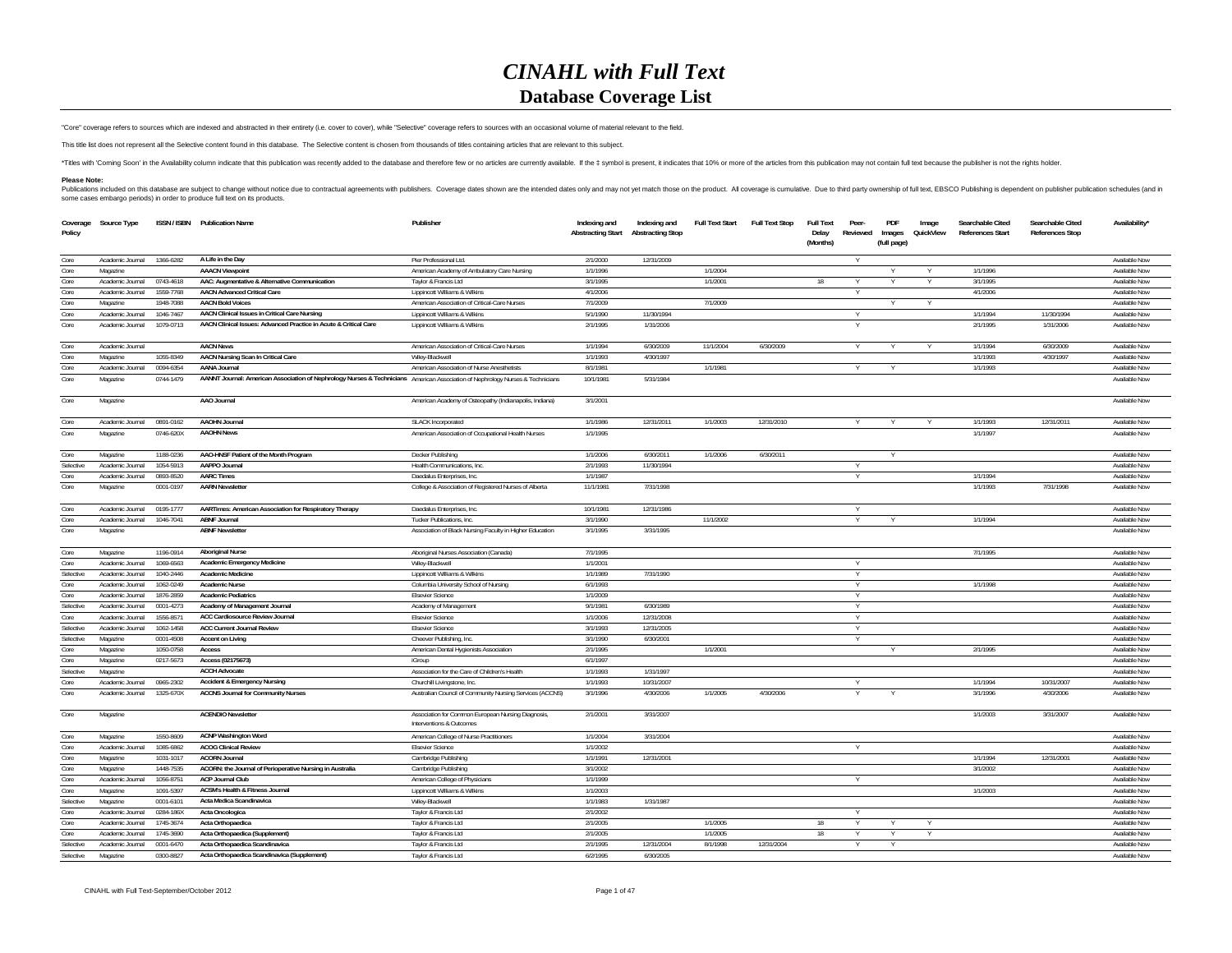## *CINAHL with Full Text***Database Coverage List**

"Core" coverage refers to sources which are indexed and abstracted in their entirety (i.e. cover to cover), while "Selective" coverage refers to sources with an occasional volume of material relevant to the field.

This title list does not represent all the Selective content found in this database. The Selective content is chosen from thousands of titles containing articles that are relevant to this subject.

"Titles with 'Coming Soon' in the Availability column indicate that this publication was recently added to the database and therefore few or no articles are currently available. If the ‡ symbol is present, it indicates tha

## **Please Note:**

Publications included on this database are subject to change without notice due to contractual agreements with publishers. Coverage dates shown are the intended dates only and may not yet match those on the product. All co

| Coverage<br>Policy | Source Type      |           | ISSN / ISBN Publication Name                                                                                                   | Publisher                                                                      | Indexing and<br><b>Abstracting Start</b> | Indexing and<br><b>Abstracting Stop</b> | <b>Full Text Start</b> | <b>Full Text Stop</b> | <b>Full Text</b><br>Delay<br>(Months) | Peer-<br>Reviewed | PDF<br>Images<br>(full page) | Image<br>QuickView | Searchable Cited<br><b>References Start</b> | Searchable Cited<br>References Stop | Availability* |
|--------------------|------------------|-----------|--------------------------------------------------------------------------------------------------------------------------------|--------------------------------------------------------------------------------|------------------------------------------|-----------------------------------------|------------------------|-----------------------|---------------------------------------|-------------------|------------------------------|--------------------|---------------------------------------------|-------------------------------------|---------------|
| Core               | Academic Journal | 1366-6282 | A Life in the Day                                                                                                              | Pier Professional Ltd.                                                         | 2/1/2000                                 | 12/31/2009                              |                        |                       |                                       |                   |                              |                    |                                             |                                     | Available Now |
| Core               | Magazine         |           | <b>AAACN Viewpoint</b>                                                                                                         | American Academy of Ambulatory Care Nursing                                    | 1/1/1996                                 |                                         | 1/1/2004               |                       |                                       |                   |                              |                    | 1/1/1996                                    |                                     | Available Now |
| Core               | Academic Journal | 0743-4618 | AAC: Augmentative & Alternative Communication                                                                                  | Taylor & Francis Ltd                                                           | 3/1/1995                                 |                                         | 1/1/2001               |                       |                                       |                   |                              |                    | 3/1/1995                                    |                                     | Available Now |
| Core               | Academic Journal | 1559-7768 | <b>AACN Advanced Critical Care</b>                                                                                             | Lippincott Williams & Wilkins                                                  | 4/1/2006                                 |                                         |                        |                       |                                       | Y                 |                              |                    | 4/1/2006                                    |                                     | Available Now |
| Core               | Magazine         | 1948-7088 | <b>AACN Bold Voices</b>                                                                                                        | American Association of Critical-Care Nurses                                   | 7/1/2009                                 |                                         | 7/1/2009               |                       |                                       |                   |                              |                    |                                             |                                     | Available Now |
| Core               | Academic Journal | 1046-7467 | AACN Clinical Issues in Critical Care Nursing                                                                                  | Lippincott Williams & Wilkins                                                  | 5/1/1990                                 | 11/30/1994                              |                        |                       |                                       | Y                 |                              |                    | 1/1/1994                                    | 11/30/1994                          | Available Now |
| Core               | Academic Journal | 1079-0713 | AACN Clinical Issues: Advanced Practice in Acute & Critical Care                                                               | Lippincott Williams & Wilkins                                                  | 2/1/1995                                 | 1/31/2006                               |                        |                       |                                       |                   |                              |                    | 2/1/1995                                    | 1/31/2006                           | Available Now |
| Core               | Academic Journal |           | <b>AACN News</b>                                                                                                               | American Association of Critical-Care Nurses                                   | 1/1/1994                                 | 6/30/2009                               | 11/1/2004              | 6/30/2009             |                                       | Y                 |                              |                    | 1/1/1994                                    | 6/30/2009                           | Available Now |
| Core               | Magazine         | 1055-8349 | AACN Nursing Scan In Critical Care                                                                                             | Wiley-Blackwell                                                                | 1/1/1993                                 | 4/30/1997                               |                        |                       |                                       |                   |                              |                    | 1/1/1993                                    | 4/30/1997                           | Available Nov |
| Core               | Academic Journal | 0094-6354 | <b>AANA Journal</b>                                                                                                            | American Association of Nurse Anesthetists                                     | 8/1/1981                                 |                                         | 1/1/1981               |                       |                                       |                   |                              |                    | 1/1/1993                                    |                                     | Available Now |
| Core               | Magazine         | 0744-1479 | AANNT Journal: American Association of Nephrology Nurses & Technicians American Association of Nephrology Nurses & Technicians |                                                                                | 10/1/1981                                | 5/31/1984                               |                        |                       |                                       |                   |                              |                    |                                             |                                     | Available Now |
| Core               | Magazine         |           | AAO Journal                                                                                                                    | American Academy of Osteopathy (Indianapolis, Indiana)                         | 3/1/2001                                 |                                         |                        |                       |                                       |                   |                              |                    |                                             |                                     | Available Now |
| Core               | Academic Journal | 0891-0162 | <b>AAOHN Journal</b>                                                                                                           | <b>SLACK Incorporated</b>                                                      | 1/1/1986                                 | 12/31/2011                              | 1/1/2003               | 12/31/2010            |                                       |                   | $\vee$                       |                    | 1/1/1993                                    | 12/31/2011                          | Available Now |
| Core               | Magazine         | 0746-620X | <b>AAOHN News</b>                                                                                                              | American Association of Occupational Health Nurses                             | 1/1/1995                                 |                                         |                        |                       |                                       |                   |                              |                    | 1/1/1997                                    |                                     | Available Now |
| Core               | Magazine         | 1188-0236 | AAO-HNSF Patient of the Month Program                                                                                          | Decker Publishing                                                              | 1/1/2006                                 | 6/30/2011                               | 1/1/2006               | 6/30/2011             |                                       |                   |                              |                    |                                             |                                     | Available Nov |
| Selective          | Academic Journal | 1054-5913 | AAPPO Journal                                                                                                                  | Health Communications, Inc.                                                    | 2/1/1993                                 | 11/30/1994                              |                        |                       |                                       |                   |                              |                    |                                             |                                     | Available Now |
| Core               | Academic Journal | 0893-8520 | <b>AARC Times</b>                                                                                                              | Daedalus Enterprises, Inc.                                                     | 1/1/1987                                 |                                         |                        |                       |                                       |                   |                              |                    | 1/1/1994                                    |                                     | Available Now |
| Core               | Magazine         | 0001-0197 | <b>AARN Newsletter</b>                                                                                                         | College & Association of Registered Nurses of Alberta                          | 11/1/1981                                | 7/31/1998                               |                        |                       |                                       |                   |                              |                    | 1/1/1993                                    | 7/31/1998                           | Available Now |
| Core               | Academic Journal | 0195-1777 | AARTimes: American Association for Respiratory Therapy                                                                         | Daedalus Enterprises, Inc.                                                     | 10/1/1981                                | 12/31/1986                              |                        |                       |                                       | Y                 |                              |                    |                                             |                                     | Available Now |
| Core               | Academic Journal | 1046-7041 | <b>ABNF Journal</b>                                                                                                            | Tucker Publications, Inc.                                                      | 3/1/1990                                 |                                         | 11/1/2002              |                       |                                       |                   |                              |                    | 1/1/1994                                    |                                     | Available Now |
| Core               | Magazine         |           | <b>ABNF Newsletter</b>                                                                                                         | Association of Black Nursing Faculty in Higher Education                       | 3/1/1995                                 | 3/31/1995                               |                        |                       |                                       |                   |                              |                    |                                             |                                     | Available Now |
| Core               | Magazine         | 1196-0914 | <b>Aboriginal Nurse</b>                                                                                                        | Aboriginal Nurses Association (Canada)                                         | 7/1/1995                                 |                                         |                        |                       |                                       |                   |                              |                    | 7/1/1995                                    |                                     | Available Now |
| Core               | Academic Journal | 1069-6563 | <b>Academic Emergency Medicine</b>                                                                                             | Wiley-Blackwell                                                                | 1/1/2001                                 |                                         |                        |                       |                                       |                   |                              |                    |                                             |                                     | Available Now |
| Selective          | Academic Journal | 1040-2446 | <b>Academic Medicine</b>                                                                                                       | Lippincott Williams & Wilkins                                                  | 1/1/1989                                 | 7/31/1990                               |                        |                       |                                       | Y                 |                              |                    |                                             |                                     | Available Now |
| Core               | Academic Journal | 1062-0249 | <b>Academic Nurse</b>                                                                                                          | Columbia University School of Nursing                                          | 6/1/1993                                 |                                         |                        |                       |                                       |                   |                              |                    | 1/1/1998                                    |                                     | Available Now |
| Core               | Academic Journal | 1876-2859 | <b>Academic Pediatrics</b>                                                                                                     | <b>Elsevier Science</b>                                                        | 1/1/2009                                 |                                         |                        |                       |                                       | <sup>V</sup>      |                              |                    |                                             |                                     | Available Now |
| Selective          | Academic Journal | 0001-4273 | Academy of Management Journal                                                                                                  | Academy of Management                                                          | 9/1/1981                                 | 6/30/1989                               |                        |                       |                                       |                   |                              |                    |                                             |                                     | Available Now |
| Core               | Academic Journal | 1556-8571 | <b>ACC Cardiosource Review Journal</b>                                                                                         | <b>Elsevier Science</b>                                                        | 1/1/2006                                 | 12/31/2008                              |                        |                       |                                       | <sup>V</sup>      |                              |                    |                                             |                                     | Available Now |
| Selective          | Academic Journal | 1062-1458 | <b>ACC Current Journal Review</b>                                                                                              | <b>Elsevier Science</b>                                                        | 3/1/1993                                 | 12/31/2005                              |                        |                       |                                       |                   |                              |                    |                                             |                                     | Available Now |
| Selective          | Magazine         | 0001-4508 | <b>Accent on Living</b>                                                                                                        | Cheever Publishing, Inc.                                                       | 3/1/1990                                 | 6/30/2001                               |                        |                       |                                       | Y                 |                              |                    |                                             |                                     | Available Now |
| Core               | Magazine         | 1050-0758 | Access                                                                                                                         | American Dental Hygienists Association                                         | 2/1/1995                                 |                                         | 1/1/2001               |                       |                                       |                   |                              |                    | 2/1/1995                                    |                                     | Available Now |
| Core               | Magazine         | 0217-5673 | Access (02175673)                                                                                                              | iGroup                                                                         | 6/1/1997                                 |                                         |                        |                       |                                       |                   |                              |                    |                                             |                                     | Available Now |
| Selective          | Magazine         |           | <b>ACCH Advocate</b>                                                                                                           | Association for the Care of Children's Health                                  | 1/1/1993                                 | 1/31/1997                               |                        |                       |                                       |                   |                              |                    |                                             |                                     | Available Now |
| Core               | Academic Journal | 0965-2302 | <b>Accident &amp; Emergency Nursing</b>                                                                                        | Churchill Livingstone, Inc.                                                    | 1/1/1993                                 | 10/31/2007                              |                        |                       |                                       |                   |                              |                    | 1/1/1994                                    | 10/31/2007                          | Available Now |
| Core               | Academic Journal | 1325-670X | <b>ACCNS Journal for Community Nurses</b>                                                                                      | Australian Council of Community Nursing Services (ACCNS)                       | 3/1/1996                                 | 4/30/2006                               | 1/1/2005               | 4/30/2006             |                                       |                   |                              |                    | 3/1/1996                                    | 4/30/2006                           | Available Now |
| Core               | Magazine         |           | <b>ACENDIO Newsletter</b>                                                                                                      | Association for Common European Nursing Diagnosis,<br>Interventions & Outcomes | 2/1/2001                                 | 3/31/2007                               |                        |                       |                                       |                   |                              |                    | 1/1/2003                                    | 3/31/2007                           | Available Now |
| Core               | Magazine         | 1550-8609 | <b>ACNP Washington Word</b>                                                                                                    | American College of Nurse Practitioners                                        | 1/1/2004                                 | 3/31/2004                               |                        |                       |                                       |                   |                              |                    |                                             |                                     | Available Now |
| Core               | Academic Journal | 1085-6862 | <b>ACOG Clinical Review</b>                                                                                                    | <b>Elsevier Science</b>                                                        | 1/1/2002                                 |                                         |                        |                       |                                       |                   |                              |                    |                                             |                                     | Available Now |
| Core               | Magazine         | 1031-1017 | <b>ACORN Journal</b>                                                                                                           | Cambridge Publishing                                                           | 1/1/1991                                 | 12/31/2001                              |                        |                       |                                       |                   |                              |                    | 1/1/1994                                    | 12/31/2001                          | Available Now |
| Core               | Magazine         | 1448-7535 | ACORN: the Journal of Perioperative Nursing in Australia                                                                       | Cambridge Publishing                                                           | 3/1/2002                                 |                                         |                        |                       |                                       |                   |                              |                    | 3/1/2002                                    |                                     | Available Now |
| Core               | Academic Journal | 1056-8751 | <b>ACP Journal Club</b>                                                                                                        | American College of Physicians                                                 | 1/1/1999                                 |                                         |                        |                       |                                       |                   |                              |                    |                                             |                                     | Available Now |
| Core               | Magazine         | 1091-5397 | ACSM's Health & Fitness Journal                                                                                                | Lippincott Williams & Wilkins                                                  | 1/1/2003                                 |                                         |                        |                       |                                       |                   |                              |                    | 1/1/2003                                    |                                     | Available Now |
| Selective          | Magazine         | 0001-6101 | Acta Medica Scandinavica                                                                                                       | Wilev-Blackwell                                                                | 1/1/1983                                 | 1/31/1987                               |                        |                       |                                       |                   |                              |                    |                                             |                                     | Available Now |
| Core               | Academic Journal | 0284-186X | Acta Oncologica                                                                                                                | Taylor & Francis Ltd                                                           | 2/1/2002                                 |                                         |                        |                       |                                       |                   |                              |                    |                                             |                                     | Available Now |
| Core               | Academic Journal | 1745-3674 | Acta Orthopaedica                                                                                                              | Taylor & Francis Ltd                                                           | 2/1/2005                                 |                                         | 1/1/2005               |                       | 18                                    |                   |                              | Y                  |                                             |                                     | Available Now |
| Core               | Academic Journal | 1745-3690 | Acta Orthopaedica (Supplement)                                                                                                 | Taylor & Francis Ltd                                                           | 2/1/2005                                 |                                         | 1/1/2005               |                       | 18                                    |                   |                              |                    |                                             |                                     | Available Now |
| Selective          | Academic Journal | 0001-6470 | Acta Orthopaedica Scandinavica                                                                                                 | Taylor & Francis Ltd                                                           | 2/1/1995                                 | 12/31/2004                              | 8/1/1998               | 12/31/2004            |                                       |                   |                              |                    |                                             |                                     | Available Now |
| Selective          | Magazine         | 0300-8827 | Acta Orthopaedica Scandinavica (Supplement)                                                                                    | Taylor & Francis Ltd                                                           | 6/2/1995                                 | 6/30/2005                               |                        |                       |                                       |                   |                              |                    |                                             |                                     | Available Now |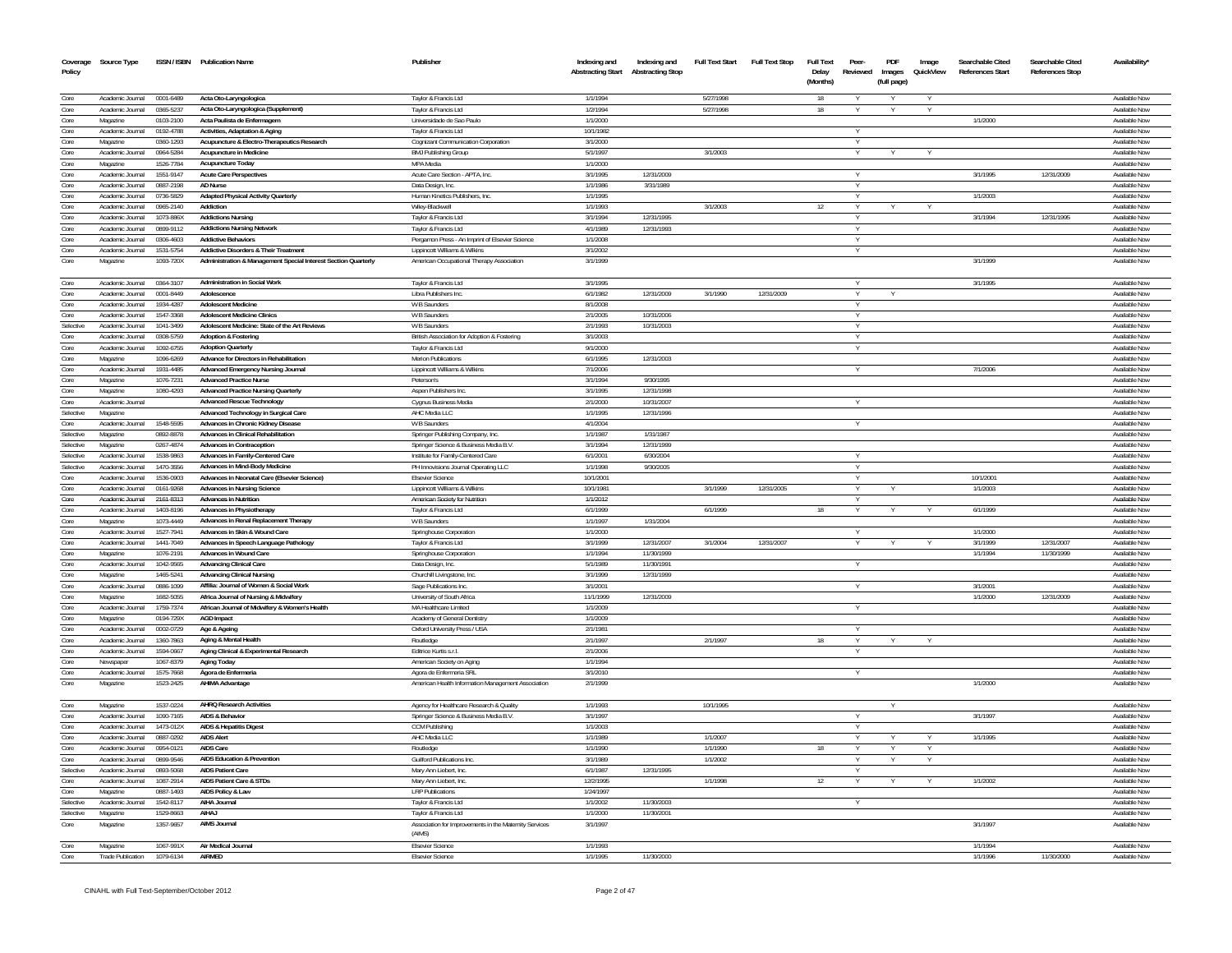| Coverage<br>Policy | Source Type                          |                        | ISSN / ISBN Publication Name                                           | Publisher                                                        | Indexing and<br><b>Abstracting Start</b> | Indexing and<br><b>Abstracting Stop</b> | <b>Full Text Start</b> | <b>Full Text Stop</b> | <b>Full Text</b><br>Delay<br>(Months) | Peer-<br>Reviewed | PDF<br>Images<br>(full page) | Image<br>QuickView | Searchable Cited<br><b>References Start</b> | Searchable Cited<br><b>References Stop</b> | Availability'                  |
|--------------------|--------------------------------------|------------------------|------------------------------------------------------------------------|------------------------------------------------------------------|------------------------------------------|-----------------------------------------|------------------------|-----------------------|---------------------------------------|-------------------|------------------------------|--------------------|---------------------------------------------|--------------------------------------------|--------------------------------|
| Core               | Academic Journal 0001-6489           |                        | Acta Oto-Laryngologica                                                 | Taylor & Francis Ltd                                             | 1/1/1994                                 |                                         | 5/27/1998              |                       | 18                                    |                   |                              | Y                  |                                             |                                            | Available Now                  |
| Core               | Academic Journal                     | 0365-5237              | Acta Oto-Laryngologica (Supplement)                                    | Taylor & Francis Ltd                                             | 1/2/1994                                 |                                         | 5/27/1998              |                       | 18                                    |                   |                              | V                  |                                             |                                            | Available Now                  |
| Core               | Magazine                             | 0103-2100              | Acta Paulista de Enfermagem                                            | Universidade de Sao Paulo                                        | 1/1/2000                                 |                                         |                        |                       |                                       |                   |                              |                    | 1/1/2000                                    |                                            | Available Now                  |
| Core               | Academic Journal                     | 0192-4788              | <b>Activities, Adaptation &amp; Aging</b>                              | Taylor & Francis Ltd                                             | 10/1/1982                                |                                         |                        |                       |                                       | Y                 |                              |                    |                                             |                                            | Available Now                  |
| Core               | Magazine                             | 0360-1293              | Acupuncture & Electro-Therapeutics Research                            | Cognizant Communication Corporation                              | 3/1/2000                                 |                                         |                        |                       |                                       |                   |                              |                    |                                             |                                            | Available Now                  |
| Core               | Academic Journal                     | 0964-5284              | Acupuncture in Medicine                                                | <b>BMJ Publishing Group</b>                                      | 5/1/1997                                 |                                         | 3/1/2003               |                       |                                       |                   |                              |                    |                                             |                                            | Available Now                  |
| Core               | Magazine                             | 1526-7784              | Acupuncture Today                                                      | MPA Media                                                        | 1/1/2000<br>3/1/1995                     | 12/31/2009                              |                        |                       |                                       |                   |                              |                    |                                             | 12/31/2009                                 | Available Now<br>Available Now |
| Core<br>Core       | Academic Journal<br>Academic Journal | 1551-9147<br>0887-2198 | <b>Acute Care Perspectives</b><br>AD Nurse                             | Acute Care Section - APTA, Inc.<br>Data Design, Inc.             | 1/1/1986                                 | 3/31/1989                               |                        |                       |                                       |                   |                              |                    | 3/1/1995                                    |                                            | Available Nov                  |
| Core               | Academic Journal                     | 0736-5829              | <b>Adapted Physical Activity Quarterly</b>                             | Human Kinetics Publishers. Inc.                                  | 1/1/1995                                 |                                         |                        |                       |                                       |                   |                              |                    | 1/1/2003                                    |                                            | Available Now                  |
| Core               | Academic Journal                     | 0965-2140              | Addiction                                                              | Wiley-Blackwell                                                  | 1/1/1993                                 |                                         | 3/1/2003               |                       | 12                                    | $\vee$            |                              |                    |                                             |                                            | Available Now                  |
| Core               | Academic Inumal                      | 1073-886X              | <b>Addictions Nursing</b>                                              | Taylor & Francis Ltd                                             | 3/1/1994                                 | 12/31/1995                              |                        |                       |                                       | Y                 |                              |                    | 3/1/1994                                    | 12/31/1995                                 | Available Now                  |
| Core               | Academic Journal                     | 0899-9112              | <b>Addictions Nursing Network</b>                                      | Taylor & Francis Ltd                                             | 4/1/1989                                 | 12/31/1993                              |                        |                       |                                       | Y                 |                              |                    |                                             |                                            | Available Now                  |
| Core               | Academic Journal                     | 0306-4603              | <b>Addictive Behaviors</b>                                             | Pergamon Press - An Imprint of Elsevier Science                  | 1/1/2008                                 |                                         |                        |                       |                                       |                   |                              |                    |                                             |                                            | Available Now                  |
| Core               | Academic Journal                     | 1531-5754              | <b>Addictive Disorders &amp; Their Treatment</b>                       | Lippincott Williams & Wilkins                                    | 3/1/2002                                 |                                         |                        |                       |                                       | $\vee$            |                              |                    |                                             |                                            | Available Now                  |
| Core               | Magazine                             | 1093-720X              | Administration & Management Special Interest Section Quarterly         | American Occupational Therapy Association                        | 3/1/1999                                 |                                         |                        |                       |                                       |                   |                              |                    | 3/1/1999                                    |                                            | Available Now                  |
| Core               | Academic Journal                     | 0364-3107              | <b>Administration in Social Work</b>                                   | Taylor & Francis Ltd                                             | 3/1/1995                                 |                                         |                        |                       |                                       |                   |                              |                    | 3/1/1995                                    |                                            | Available Nov                  |
| Core               | Academic Journal                     | 0001-8449              | Adolescence                                                            | Libra Publishers Inc.                                            | 6/1/1982                                 | 12/31/2009                              | 3/1/1990               | 12/31/2009            |                                       | $\vee$            |                              |                    |                                             |                                            | Available Now                  |
| Core               | Academic Journal                     | 1934-4287              | <b>Adolescent Medicine</b>                                             | W B Saunders                                                     | 8/1/2008                                 |                                         |                        |                       |                                       |                   |                              |                    |                                             |                                            | Available Now                  |
| Core               | Academic Inumal                      | 1547-3368              | <b>Adolescent Medicine Clinics</b>                                     | W B Saunders                                                     | 2/1/2005                                 | 10/31/2006                              |                        |                       |                                       | Y                 |                              |                    |                                             |                                            | Available Now                  |
| Selective          | Academic Journal                     | 1041-3499              | Adolescent Medicine: State of the Art Reviews                          | W B Saunders                                                     | 2/1/1993                                 | 10/31/2003                              |                        |                       |                                       | Y                 |                              |                    |                                             |                                            | Available Now                  |
| Core               | Academic Journal                     | 0308-5759              | <b>Adoption &amp; Fostering</b>                                        | British Association for Adoption & Fostering                     | 3/1/2003                                 |                                         |                        |                       |                                       | <b>V</b>          |                              |                    |                                             |                                            | Available Now                  |
| Core               | Academic Journal                     | 1092-6755              | <b>Adoption Quarterly</b><br>Advance for Directors in Rehabilitation   | Taylor & Francis Ltd                                             | 9/1/2000                                 |                                         |                        |                       |                                       | $\vee$            |                              |                    |                                             |                                            | Available Now                  |
| Core<br>Core       | Magazine<br>Academic Journal         | 1096-6269<br>1931-4485 |                                                                        | <b>Merion Publications</b>                                       | 6/1/1995<br>7/1/2006                     | 12/31/2003                              |                        |                       |                                       |                   |                              |                    | 7/1/2006                                    |                                            | Available Nov<br>Available Now |
| Core               | Magazine                             | 1076-7231              | Advanced Emergency Nursing Journal<br><b>Advanced Practice Nurse</b>   | Lippincott Williams & Wilkins<br>Peterson's                      | 3/1/1994                                 | 9/30/1995                               |                        |                       |                                       |                   |                              |                    |                                             |                                            | Available Nov                  |
| Core               | Magazine                             | 1080-4293              | <b>Advanced Practice Nursing Quarterly</b>                             | Aspen Publishers Inc.                                            | 3/1/1995                                 | 12/31/1998                              |                        |                       |                                       |                   |                              |                    |                                             |                                            | Available Now                  |
| Core               | Academic Journal                     |                        | <b>Advanced Rescue Technology</b>                                      | Cygnus Business Media                                            | 2/1/2000                                 | 10/31/2007                              |                        |                       |                                       |                   |                              |                    |                                             |                                            | Available Nov                  |
| Selective          | Magazine                             |                        | Advanced Technology in Surgical Care                                   | AHC Media LLC                                                    | 1/1/1995                                 | 12/31/1996                              |                        |                       |                                       |                   |                              |                    |                                             |                                            | Available Now                  |
| Core               | Academic Journal                     | 1548-5595              | Advances in Chronic Kidney Disease                                     | W B Saunders                                                     | 4/1/2004                                 |                                         |                        |                       |                                       |                   |                              |                    |                                             |                                            | Available Now                  |
| Selective          | Magazine                             | 0892-8878              | <b>Advances in Clinical Rehabilitation</b>                             | Springer Publishing Company, Inc.                                | 1/1/1987                                 | 1/31/1987                               |                        |                       |                                       |                   |                              |                    |                                             |                                            | Available Now                  |
| Selective          | Magazine                             | 0267-4874              | <b>Advances in Contraception</b>                                       | Springer Science & Business Media B.V.                           | 3/1/1994                                 | 12/31/1999                              |                        |                       |                                       |                   |                              |                    |                                             |                                            | Available Now                  |
| Selective          | Academic Journal                     | 1538-9863              | Advances in Family-Centered Care                                       | Institute for Family-Centered Care                               | 6/1/2001                                 | 6/30/2004                               |                        |                       |                                       |                   |                              |                    |                                             |                                            | Available Nov                  |
| Selective          | Academic Journal                     | 1470-3556              | Advances in Mind-Body Medicine                                         | PH Innovisions Journal Operating LLC                             | 1/1/1998                                 | 9/30/2005                               |                        |                       |                                       |                   |                              |                    |                                             |                                            | Available Now                  |
| Core               | Academic Journal                     | 1536-0903              | Advances in Neonatal Care (Elsevier Science)                           | <b>Elsevier Science</b>                                          | 10/1/2001                                |                                         |                        |                       |                                       |                   |                              |                    | 10/1/2001                                   |                                            | Available Nov                  |
| Core               | Academic Journal                     | 0161-9268              | Advances in Nursing Science                                            | Lippincott Williams & Wilkins                                    | 10/1/1981                                |                                         | 3/1/1999               | 12/31/2005            |                                       |                   |                              |                    | 1/1/2003                                    |                                            | Available Now                  |
| Core               | Academic Journal                     | 2161-8313              | <b>Advances in Nutrition</b>                                           | American Society for Nutrition                                   | 1/1/2012                                 |                                         |                        |                       |                                       | Y                 |                              |                    |                                             |                                            | Available Nov                  |
| Core               | Academic Journal                     | 1403-8196              | Advances in Physiotherapy                                              | Taylor & Francis Ltd                                             | 6/1/1999                                 |                                         | 6/1/1999               |                       | 18                                    |                   |                              |                    | 6/1/1999                                    |                                            | Available Nov                  |
| Core               | Magazine                             | 1073-4449              | Advances in Renal Replacement Therapy                                  | W B Saunders                                                     | 1/1/1997                                 | 1/31/2004                               |                        |                       |                                       |                   |                              |                    |                                             |                                            | Available Nov                  |
| Core               | Academic Journal                     | 1527-7941              | Advances in Skin & Wound Care                                          | Springhouse Corporation                                          | 1/1/2000                                 |                                         | 3/1/2004               |                       |                                       |                   |                              |                    | 1/1/2000                                    |                                            | Available Now<br>Available Now |
| Core<br>Core       | Academic Journal<br>Magazine         | 1441-7049<br>1076-2191 | Advances in Speech Language Pathology<br><b>Advances in Wound Care</b> | Taylor & Francis Ltd<br>Springhouse Corporation                  | 3/1/1999<br>1/1/1994                     | 12/31/2007<br>11/30/1999                |                        | 12/31/2007            |                                       |                   |                              |                    | 3/1/1999<br>1/1/1994                        | 12/31/2007<br>11/30/1999                   | Available Nov                  |
| Core               | Academic Journal                     | 1042-9565              | <b>Advancing Clinical Care</b>                                         | Data Design, Inc.                                                | 5/1/1989                                 | 11/30/1991                              |                        |                       |                                       |                   |                              |                    |                                             |                                            | Available Now                  |
| Core               | Magazine                             | 1465-5241              | <b>Advancing Clinical Nursing</b>                                      | Churchill Livingstone, Inc.                                      | 3/1/1999                                 | 12/31/1999                              |                        |                       |                                       |                   |                              |                    |                                             |                                            | Available Nov                  |
| Core               | Academic Journal                     | 0886-1099              | Affilia: Journal of Women & Social Work                                | Sage Publications Inc.                                           | 3/1/2001                                 |                                         |                        |                       |                                       |                   |                              |                    | 3/1/2001                                    |                                            | Available Now                  |
| Core               | Magazine                             | 1682-5055              | Africa Journal of Nursing & Midwifery                                  | University of South Africa                                       | 11/1/1999                                | 12/31/2009                              |                        |                       |                                       |                   |                              |                    | 1/1/2000                                    | 12/31/2009                                 | Available Nov                  |
| Core               | Academic Journal                     | 1759-7374              | African Journal of Midwifery & Women's Health                          | MA Healthcare Limited                                            | 1/1/2009                                 |                                         |                        |                       |                                       |                   |                              |                    |                                             |                                            | Available Nov                  |
| Core               | Magazine                             | 0194-729X              | <b>AGD</b> Impact                                                      | Academy of General Dentistry                                     | 1/1/2009                                 |                                         |                        |                       |                                       |                   |                              |                    |                                             |                                            | Available Nov                  |
| Core               | Academic Journal                     | 0002-0729              | Age & Ageing                                                           | Oxford University Press / USA                                    | 2/1/1981                                 |                                         |                        |                       |                                       |                   |                              |                    |                                             |                                            | Available Now                  |
| Core               | Academic Journal                     | 1360-7863              | Aging & Mental Health                                                  | Routledge                                                        | 2/1/1997                                 |                                         | 2/1/1997               |                       | 18                                    |                   |                              |                    |                                             |                                            | Available Now                  |
| Core               | Academic Journal                     | 1594-0667              | Aging Clinical & Experimental Research                                 | Editrice Kurtis s.r.l.                                           | 2/1/2006                                 |                                         |                        |                       |                                       |                   |                              |                    |                                             |                                            | Available Nov                  |
| Core               | Newspaper                            | 1067-8379              | Aging Today                                                            | American Society on Aging                                        | 1/1/1994                                 |                                         |                        |                       |                                       |                   |                              |                    |                                             |                                            | Available Now                  |
| Core               | Academic Journal                     | 1575-7668              | Ágora de Enfermeria                                                    | Agora de Enfermeria SRL                                          | 3/1/2010                                 |                                         |                        |                       |                                       |                   |                              |                    |                                             |                                            | Available Nov                  |
| Core               | Magazine                             | 1523-2425              | AHIMA Advantage                                                        | American Health Information Management Association               | 2/1/1999                                 |                                         |                        |                       |                                       |                   |                              |                    | 1/1/2000                                    |                                            | Available Nov                  |
| Core               | Magazine                             | 1537-0224              | <b>AHRQ Research Activities</b>                                        | Agency for Healthcare Research & Quality                         | 1/1/1993                                 |                                         | 10/1/1995              |                       |                                       |                   |                              |                    |                                             |                                            | Available Nov                  |
| Core               | Academic Journal                     | 1090-7165              | <b>AIDS &amp; Behavior</b>                                             | Springer Science & Business Media B.V                            | 3/1/1997                                 |                                         |                        |                       |                                       | $\vee$            |                              |                    | 3/1/1997                                    |                                            | Available Nov                  |
| Core<br>Core       | Academic Journal<br>Academic Journal | 1473-012X<br>0887-0292 | AIDS & Hepatitis Digest<br><b>AIDS Alert</b>                           | <b>CCM Publishing</b><br>AHC Media LLC                           | 1/1/2003<br>1/1/1989                     |                                         | 1/1/2007               |                       |                                       |                   |                              |                    | 1/1/1995                                    |                                            | Available Now<br>Available Now |
| Core               | Academic Journal                     | 0954-0121              | AIDS Care                                                              | Routledge                                                        | 1/1/1990                                 |                                         | 1/1/1990               |                       | 18                                    | $\vee$            |                              | $\vee$             |                                             |                                            | Available Now                  |
| Core               | Academic Journal                     | 0899-9546              | <b>AIDS Education &amp; Prevention</b>                                 | Guilford Publications Inc.                                       | 3/1/1989                                 |                                         | 1/1/2002               |                       |                                       |                   |                              |                    |                                             |                                            | Available Now                  |
| Selective          | Academic Journal                     | 0893-5068              | <b>AIDS Patient Care</b>                                               | Mary Ann Liebert, Inc.                                           | 6/1/1987                                 | 12/31/1995                              |                        |                       |                                       |                   |                              |                    |                                             |                                            | Available Nov                  |
| Core               | Academic Journal                     | 1087-2914              | <b>AIDS Patient Care &amp; STDs</b>                                    | Mary Ann Liebert, Inc.                                           | 12/2/1995                                |                                         | 1/1/1998               |                       | 12                                    |                   |                              |                    | 1/1/2002                                    |                                            | Available Now                  |
| Core               | Magazine                             | 0887-1493              | AIDS Policy & Law                                                      | <b>LRP Publications</b>                                          | 1/24/1997                                |                                         |                        |                       |                                       |                   |                              |                    |                                             |                                            | Available Nov                  |
| Selective          | Academic Journal                     | 1542-8117              | <b>AIHA Journal</b>                                                    | Taylor & Francis Ltd                                             | 1/1/2002                                 | 11/30/2003                              |                        |                       |                                       |                   |                              |                    |                                             |                                            | <b>Available Nov</b>           |
| Selective          | Magazine                             | 1529-8663              | AIHAJ                                                                  | Taylor & Francis Ltd                                             | 1/1/2000                                 | 11/30/2001                              |                        |                       |                                       |                   |                              |                    |                                             |                                            | Available Nov                  |
| Core               | Magazine                             | 1357-9657              | <b>AIMS Journal</b>                                                    | Association for Improvements in the Maternity Services<br>(AIMS) | 3/1/1997                                 |                                         |                        |                       |                                       |                   |                              |                    | 3/1/1997                                    |                                            | Available Nov                  |
| Core               | Magazine                             | 1067-991X              | Air Medical Journal                                                    | <b>Elsevier Science</b>                                          | 1/1/1993                                 |                                         |                        |                       |                                       |                   |                              |                    | 1/1/1994                                    |                                            | Available Now                  |
| Core               | <b>Trade Publication</b>             | 1079-6134              | AIRMFD                                                                 | Elsevier Science                                                 | 1/1/1995                                 | 11/30/2000                              |                        |                       |                                       |                   |                              |                    | 1/1/1996                                    | 11/30/2000                                 | Available Now                  |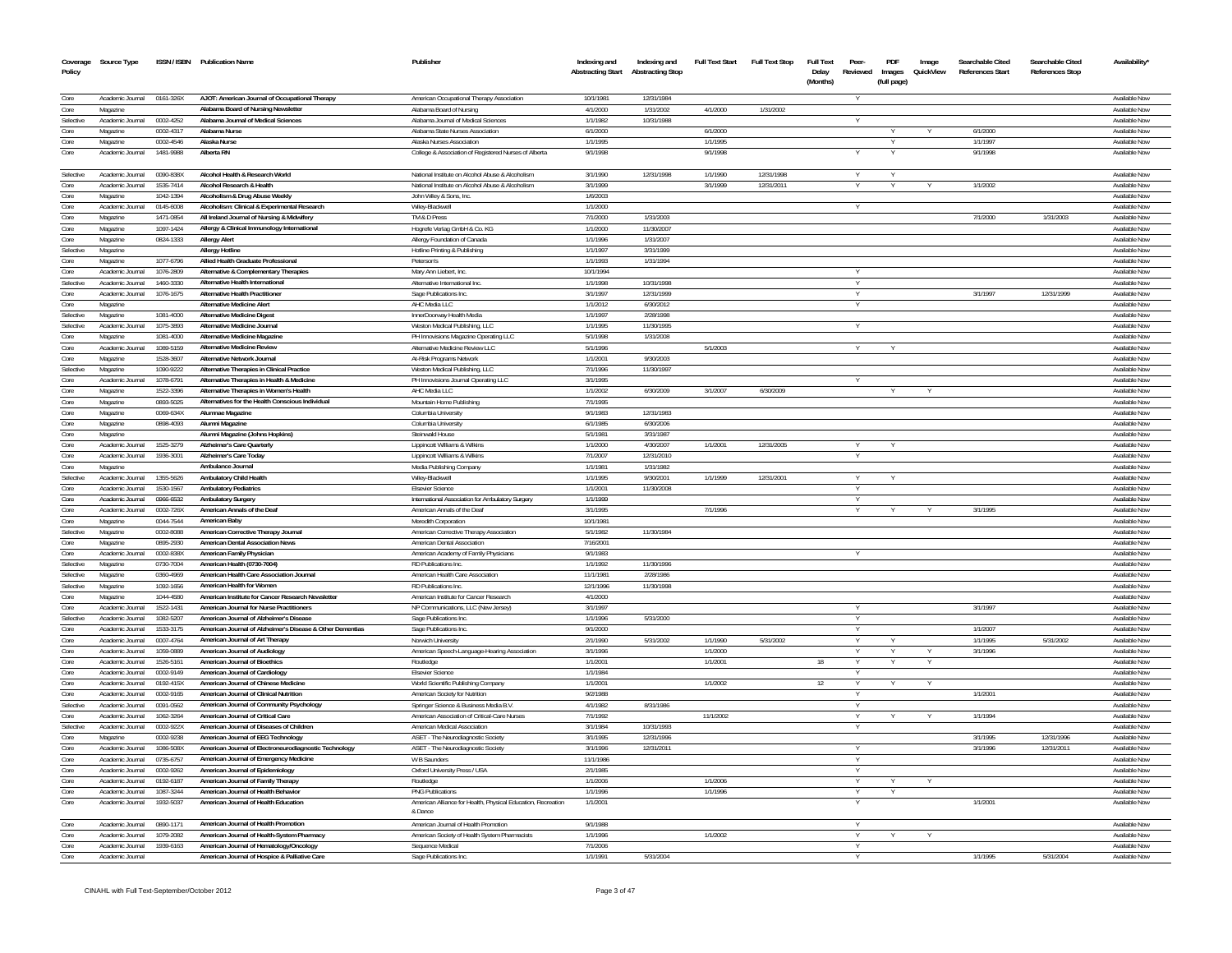| Coverage<br>Policy | Source Type                  |                        | ISSN / ISBN Publication Name                                                                  | Publisher                                                                          | Indexing and<br><b>Abstracting Start</b> | Indexing and<br><b>Abstracting Stop</b> | <b>Full Text Start</b> | <b>Full Text Stop</b> | Full Text<br>Delay<br>(Months) | Peer-<br>Reviewed | PDF<br>Images<br>(full page) | Image<br>QuickView | Searchable Cited<br>References Start | Searchable Cited<br><b>References Stop</b> | <b>Availability</b>                   |
|--------------------|------------------------------|------------------------|-----------------------------------------------------------------------------------------------|------------------------------------------------------------------------------------|------------------------------------------|-----------------------------------------|------------------------|-----------------------|--------------------------------|-------------------|------------------------------|--------------------|--------------------------------------|--------------------------------------------|---------------------------------------|
| Core               | Academic Journal             | 0161-326X              | AJOT: American Journal of Occupational Therapy                                                | American Occupational Therapy Association                                          | 10/1/1981                                | 12/31/1984                              |                        |                       |                                |                   |                              |                    |                                      |                                            | Available Nov                         |
| Core               | Magazine                     |                        | Alabama Board of Nursing Newslette                                                            | Alabama Board of Nursing                                                           | 4/1/2000                                 | 1/31/2002                               | 4/1/2000               | 1/31/2002             |                                |                   |                              |                    |                                      |                                            | Available Nov                         |
| Selective          | Academic Journal             | 0002-4252              | Alabama Journal of Medical Sciences                                                           | Alabama Journal of Medical Sciences                                                | 1/1/1982                                 | 10/31/1988                              |                        |                       |                                |                   |                              |                    |                                      |                                            | Available Nov                         |
| Core               | Magazine                     | 0002-4317              | Alabama Nurse                                                                                 | Alabama State Nurses Association                                                   | 6/1/2000                                 |                                         | 6/1/2000               |                       |                                |                   |                              |                    | 6/1/2000                             |                                            | Available Nov                         |
| Core<br>Core       | Magazine<br>Academic Journal | 0002-4546<br>1481-9988 | Alaska Nurse<br>Alberta RN                                                                    | Alaska Nurses Association<br>College & Association of Registered Nurses of Alberta | 1/1/199<br>9/1/1998                      |                                         | 1/1/1995<br>9/1/1998   |                       |                                |                   |                              |                    | 1/1/1997<br>9/1/1998                 |                                            | Available Nov<br>Available Nov        |
|                    |                              |                        |                                                                                               |                                                                                    |                                          |                                         |                        |                       |                                |                   |                              |                    |                                      |                                            |                                       |
| Selective          | Academic Journal             | 0090-838X              | Alcohol Health & Research World                                                               | National Institute on Alcohol Abuse & Alcoholism                                   | 3/1/1990                                 | 12/31/1998                              | 1/1/1990               | 12/31/1998            |                                |                   |                              |                    |                                      |                                            | Available Nov                         |
| Core               | Academic Journal             | 1535-7414              | Alcohol Research & Health                                                                     | National Institute on Alcohol Abuse & Alcoholism                                   | 3/1/1999                                 |                                         | 3/1/1999               | 12/31/2011            |                                |                   |                              |                    | 1/1/2002                             |                                            | Available Nov                         |
| Core               | Magazine                     | 1042-1394              | Alcoholism & Drug Abuse Weekly                                                                | John Wiley & Sons, Inc.                                                            | 1/6/2003                                 |                                         |                        |                       |                                |                   |                              |                    |                                      |                                            | Available Now                         |
| Core               | Academic Journal             | 0145-6008              | Alcoholism: Clinical & Experimental Research                                                  | Wiley-Blackwell                                                                    | 1/1/2000                                 |                                         |                        |                       |                                |                   |                              |                    |                                      |                                            | Available Nov                         |
| Core               | Magazine                     | 1471-0854              | All Ireland Journal of Nursing & Midwifery                                                    | TM & D Press                                                                       | 7/1/2000                                 | 1/31/2003                               |                        |                       |                                |                   |                              |                    | 7/1/2000                             | 1/31/2003                                  | Available Now                         |
| Core               | Magazine                     | 1097-1424              | Allergy & Clinical Immunology International                                                   | Hogrefe Verlag GmbH & Co. KG                                                       | 1/1/2000                                 | 11/30/2007                              |                        |                       |                                |                   |                              |                    |                                      |                                            | <b>Available Now</b>                  |
| Core               | Magazine                     | 0824-1333              | <b>Allergy Alert</b>                                                                          | Allergy Foundation of Canada                                                       | 1/1/1996                                 | 1/31/2007                               |                        |                       |                                |                   |                              |                    |                                      |                                            | Available Now                         |
| Selective          | Magazine                     |                        | <b>Allergy Hotline</b><br>Allied Health Graduate Professional                                 | Hotline Printing & Publishing                                                      | 1/1/1997<br>1/1/1993                     | 3/31/1999<br>1/31/1994                  |                        |                       |                                |                   |                              |                    |                                      |                                            | Available Now                         |
| Core<br>Core       | Magazine<br>Academic Journal | 1077-6796<br>1076-2809 | Alternative & Complementary Therapies                                                         | Peterson's<br>Mary Ann Liebert, Inc.                                               | 10/1/1994                                |                                         |                        |                       |                                | v                 |                              |                    |                                      |                                            | Available Nov<br>Available Now        |
| Selective          | Academic Journal             | 1460-3330              | Alternative Health International                                                              | Alternative International Inc.                                                     | 1/1/1998                                 | 10/31/1998                              |                        |                       |                                | <b>V</b>          |                              |                    |                                      |                                            | <b>Available Now</b>                  |
| Core               | Academic Journal             | 1076-1675              | <b>Alternative Health Practitioner</b>                                                        | Sage Publications Inc.                                                             | 3/1/1997                                 | 12/31/1999                              |                        |                       |                                | Y                 |                              |                    | 3/1/1997                             | 12/31/1999                                 | Available Now                         |
| Core               | Magazine                     |                        | <b>Alternative Medicine Alert</b>                                                             | AHC Media LLC                                                                      | 1/1/2012                                 | 6/30/2012                               |                        |                       |                                | Y                 |                              |                    |                                      |                                            | Available Now                         |
| Selective          | Magazine                     | 1081-4000              | <b>Alternative Medicine Digest</b>                                                            | InnerDoorway Health Media                                                          | 1/1/1997                                 | 2/28/1998                               |                        |                       |                                |                   |                              |                    |                                      |                                            | Available Nov                         |
| Selective          | Academic Journal             | 1075-3893              | Alternative Medicine Journal                                                                  | Weston Medical Publishing, LLC                                                     | 1/1/1995                                 | 11/30/1995                              |                        |                       |                                |                   |                              |                    |                                      |                                            | <b>Available Now</b>                  |
| Core               | Magazine                     | 1081-4000              | Alternative Medicine Magazine                                                                 | PH Innovisions Magazine Operating LLC                                              | 5/1/1998                                 | 1/31/2008                               |                        |                       |                                |                   |                              |                    |                                      |                                            | Available Nov                         |
| Core               | Academic Journal             | 1089-5159              | <b>Alternative Medicine Review</b>                                                            | Alternative Medicine Review LLC                                                    | 5/1/1996                                 |                                         | 5/1/2003               |                       |                                |                   |                              |                    |                                      |                                            | Available Nov                         |
| Core               | Magazine                     | 1528-3607              | <b>Alternative Network Journal</b>                                                            | At-Risk Programs Network                                                           | 1/1/2001                                 | 9/30/2003                               |                        |                       |                                |                   |                              |                    |                                      |                                            | Available Nov                         |
| Selective          | Magazine                     | 1090-9222              | Alternative Therapies in Clinical Practice                                                    | Weston Medical Publishing, LLC                                                     | 7/1/1996                                 | 11/30/1997                              |                        |                       |                                |                   |                              |                    |                                      |                                            | <b>Available Nov</b>                  |
| Core               | Academic Journal             | 1078-6791              | Alternative Therapies in Health & Medicine                                                    | PH Innovisions Journal Operating LLC                                               | 3/1/199                                  |                                         |                        |                       |                                |                   |                              |                    |                                      |                                            | <b>Available Nov</b>                  |
| Core               | Magazine                     | 1522-3396              | Alternative Therapies in Women's Health                                                       | AHC Media LLC                                                                      | 1/1/2002                                 | 6/30/2009                               | 3/1/2007               | 6/30/2009             |                                |                   |                              |                    |                                      |                                            | Available Nov                         |
| Core               | Magazine                     | 0893-5025              | Alternatives for the Health Conscious Individual                                              | Mountain Home Publishing                                                           | 7/1/1995                                 |                                         |                        |                       |                                |                   |                              |                    |                                      |                                            | <b>Available Nov</b>                  |
| Core<br>Core       | Magazine<br>Magazine         | 0069-634X<br>0898-4093 | Alumnae Magazine<br>Alumni Magazine                                                           | Columbia University<br>Columbia University                                         | 9/1/1983<br>6/1/1985                     | 12/31/1983<br>6/30/2006                 |                        |                       |                                |                   |                              |                    |                                      |                                            | Available Nov<br><b>Available Nov</b> |
| Core               | Magazine                     |                        | Alumni Magazine (Johns Hopkins)                                                               | Steinwald House                                                                    | 5/1/1981                                 | 3/31/1987                               |                        |                       |                                |                   |                              |                    |                                      |                                            | Available Nov                         |
| Core               | Academic Journal             | 1525-3279              | <b>Alzheimer's Care Quarterly</b>                                                             | Lippincott Williams & Wilkins                                                      | 1/1/2000                                 | 4/30/2007                               | 1/1/2001               | 12/31/2005            |                                | V                 |                              |                    |                                      |                                            | Available Nov                         |
| Core               | Academic Journal             | 1936-3001              | Alzheimer's Care Today                                                                        | Linnincott Williams & Wilkins                                                      | 7/1/2007                                 | 12/31/2010                              |                        |                       |                                |                   |                              |                    |                                      |                                            | <b>Available Nov</b>                  |
| Core               | Magazine                     |                        | Ambulance Journal                                                                             | Media Publishing Company                                                           | 1/1/1981                                 | 1/31/1982                               |                        |                       |                                |                   |                              |                    |                                      |                                            | Available Nov                         |
| Selective          | Academic Journal             | 1355-5626              | Ambulatory Child Health                                                                       | Wiley-Blackwel                                                                     | 1/1/1995                                 | 9/30/2001                               | 1/1/1999               | 12/31/2001            |                                | Y                 |                              |                    |                                      |                                            | Available Nov                         |
| Core               | Academic Journal             | 1530-1567              | <b>Ambulatory Pediatrics</b>                                                                  | <b>Elsevier Science</b>                                                            | 1/1/2001                                 | 11/30/2008                              |                        |                       |                                |                   |                              |                    |                                      |                                            | Available Nov                         |
| Core               | Academic Journal             | 0966-6532              | <b>Ambulatory Surgery</b>                                                                     | International Association for Ambulatory Surgery                                   | 1/1/1999                                 |                                         |                        |                       |                                | Y                 |                              |                    |                                      |                                            | Available Nov                         |
| Core               | Academic Journal             | 0002-726X              | American Annals of the Deaf                                                                   | American Annals of the Deaf                                                        | 3/1/1995                                 |                                         | 7/1/1996               |                       |                                |                   |                              |                    | 3/1/1995                             |                                            | Available Now                         |
| Core               | Magazine                     | 0044-7544              | American Baby                                                                                 | Meredith Corporation                                                               | 10/1/1981                                |                                         |                        |                       |                                |                   |                              |                    |                                      |                                            | Available Nov                         |
| Selective          | Magazine                     | 0002-8088              | American Corrective Therapy Journal                                                           | American Corrective Therapy Association                                            | 5/1/1982                                 | 11/30/1984                              |                        |                       |                                |                   |                              |                    |                                      |                                            | Available Nov                         |
| Core               | Magazine                     | 0895-2930              | <b>American Dental Association News</b>                                                       | American Dental Association                                                        | 7/16/2001                                |                                         |                        |                       |                                |                   |                              |                    |                                      |                                            | Available Nov                         |
| Core               | Academic Journal             | 0002-838X              | American Family Physician                                                                     | American Academy of Family Physicians                                              | 9/1/1983                                 |                                         |                        |                       |                                |                   |                              |                    |                                      |                                            | Available Nov                         |
| Selective          | Magazine                     | 0730-7004              | American Health (0730-7004)                                                                   | <b>RD Publications Inc</b>                                                         | 1/1/1992                                 | 11/30/1996                              |                        |                       |                                |                   |                              |                    |                                      |                                            | Available Nov                         |
| Selective          | Magazine                     | 0360-4969              | American Health Care Association Journal                                                      | American Health Care Association                                                   | 11/1/1981                                | 2/28/1986                               |                        |                       |                                |                   |                              |                    |                                      |                                            | Available Nov                         |
| Selective          | Magazine                     | 1092-1656              | American Health for Women                                                                     | RD Publications Inc.                                                               | 12/1/1996                                | 11/30/1998                              |                        |                       |                                |                   |                              |                    |                                      |                                            | Available Nov                         |
| Core<br>Core       | Magazine<br>Academic Journa  | 1044-4580<br>1522-1431 | American Institute for Cancer Research Newsletter<br>American Journal for Nurse Practitioners | American Institute for Cancer Research                                             | 4/1/2000<br>3/1/1997                     |                                         |                        |                       |                                |                   |                              |                    | 3/1/1997                             |                                            | Available Nov<br>Available No         |
| Selective          | Academic Journal             | 1082-5207              | American Journal of Alzheimer's Disease                                                       | NP Communications, LLC (New Jersey)<br>Sage Publications Inc.                      | 1/1/199t                                 | 5/31/2000                               |                        |                       |                                |                   |                              |                    |                                      |                                            | Available Nov                         |
| Core               | Academic Journa              | 1533-3175              | American Journal of Alzheimer's Disease & Other Dementias                                     | Sage Publications Inc.                                                             | 9/1/2000                                 |                                         |                        |                       |                                | Y                 |                              |                    | 1/1/2007                             |                                            | Available Nov                         |
| Core               | Academic Journa              | 0007-4764              | American Journal of Art Therapy                                                               | Norwich University                                                                 | 2/1/1990                                 | 5/31/2002                               | 1/1/1990               | 5/31/2002             |                                |                   |                              |                    | 1/1/1995                             | 5/31/2002                                  | Available Nov                         |
| Core               | Academic Journal             | 1059-0889              | American Journal of Audiology                                                                 | American Speech-Language-Hearing Association                                       | 3/1/1996                                 |                                         | 1/1/2000               |                       |                                |                   |                              |                    | 3/1/1996                             |                                            | Available Nov                         |
| Core               | Academic Journa              | 1526-5161              | <b>American Journal of Bioethics</b>                                                          | Routledge                                                                          | 1/1/200                                  |                                         | 1/1/2001               |                       | 18                             |                   |                              |                    |                                      |                                            | Available No                          |
| Core               | Academic Journal             | 0002-9149              | American Journal of Cardiology                                                                | <b>Elsevier Science</b>                                                            | 1/1/1984                                 |                                         |                        |                       |                                |                   |                              |                    |                                      |                                            | Available No                          |
| Core               | Academic Journa              | 0192-415X              | American Journal of Chinese Medicine                                                          | World Scientific Publishing Company                                                | 1/1/2001                                 |                                         | 1/1/2002               |                       | 12                             |                   |                              |                    |                                      |                                            | Available No                          |
| Core               | Academic Journa              | 0002-9165              | American Journal of Clinical Nutrition                                                        | American Society for Nutrition                                                     | 9/2/1988                                 |                                         |                        |                       |                                |                   |                              |                    | 1/1/2001                             |                                            | Available No                          |
| Selective          | Academic Journa              | 0091-0562              | American Journal of Community Psychology                                                      | Springer Science & Business Media B.V                                              | 4/1/1982                                 | 8/31/1986                               |                        |                       |                                |                   |                              |                    |                                      |                                            | Available No                          |
| Core               | Academic Journa              | 1062-3264              | American Journal of Critical Care                                                             | American Association of Critical-Care Nurses                                       | 7/1/1992                                 |                                         | 11/1/2002              |                       |                                |                   |                              |                    | 1/1/1994                             |                                            | Available No                          |
| Selective          | Academic Journa              | 0002-922X              | American Journal of Diseases of Children                                                      | American Medical Association                                                       | 3/1/1984                                 | 10/31/1993                              |                        |                       |                                |                   |                              |                    |                                      |                                            | Available No                          |
| Core               | Magazine                     | 0002-9238              | American Journal of EEG Technology                                                            | ASET - The Neurodiagnostic Society                                                 | 3/1/1995                                 | 12/31/1996                              |                        |                       |                                |                   |                              |                    | 3/1/1995                             | 12/31/1996                                 | Available Nov                         |
| Core               | Academic Journa              | 1086-508X              | American Journal of Electroneurodiagnostic Technology                                         | ASET - The Neurodiagnostic Society                                                 | 3/1/1996                                 | 12/31/2011                              |                        |                       |                                |                   |                              |                    | 3/1/1996                             | 12/31/201                                  | Available No                          |
| Core               | Academic Journal             | 0735-6757              | American Journal of Emergency Medicine                                                        | W B Saunders                                                                       | 11/1/1986                                |                                         |                        |                       |                                | $\vee$            |                              |                    |                                      |                                            | Available No                          |
| Core               | Academic Journa              | 0002-9262              | American Journal of Epidemiology                                                              | Oxford University Press / USA                                                      | 2/1/1985                                 |                                         |                        |                       |                                | Y                 |                              |                    |                                      |                                            | Available Nov                         |
| Core               | Academic Journa              | 0192-6187              | American Journal of Family Therapy                                                            | Routledge                                                                          | 1/1/2006                                 |                                         | 1/1/2006               |                       |                                | V                 |                              |                    |                                      |                                            | Available No                          |
| Core<br>Core       | Academic Journal             | 1087-3244              | American Journal of Health Behavior<br>American Journal of Health Education                   | <b>PNG Publications</b>                                                            | 1/1/1996                                 |                                         | 1/1/1996               |                       |                                | Y                 |                              |                    | 1/1/2001                             |                                            | Available No                          |
|                    | Academic Journal             | 1932-5037              |                                                                                               | American Alliance for Health, Physical Education, Recreation<br>& Dance            | 1/1/2001                                 |                                         |                        |                       |                                |                   |                              |                    |                                      |                                            | Available Nov                         |
| Core               | Academic Journal             | 0890-1171              | American Journal of Health Promotion                                                          | American Journal of Health Promotion                                               | 9/1/1988                                 |                                         |                        |                       |                                | Y                 |                              |                    |                                      |                                            | Available Nov                         |
| Core               | Academic Journal             | 1079-2082              | American Journal of Health-System Pharmacy                                                    | American Society of Health System Pharmacists                                      | 1/1/1996                                 |                                         | 1/1/2002               |                       |                                | $\vee$            |                              |                    |                                      |                                            | Available Nov                         |
| Core               | Academic Journal             | 1939-6163              | American Journal of Hematology/Oncology                                                       | Sequence Medical                                                                   | 7/1/2006                                 |                                         |                        |                       |                                | Y                 |                              |                    |                                      |                                            | Available Now                         |
| Core               | Academic Journal             |                        | American Journal of Hospice & Palliative Care                                                 | Sage Publications Inc.                                                             | 1/1/1991                                 | 5/31/2004                               |                        |                       |                                | Y                 |                              |                    | 1/1/1995                             | 5/31/2004                                  | Available Now                         |
|                    |                              |                        |                                                                                               |                                                                                    |                                          |                                         |                        |                       |                                |                   |                              |                    |                                      |                                            |                                       |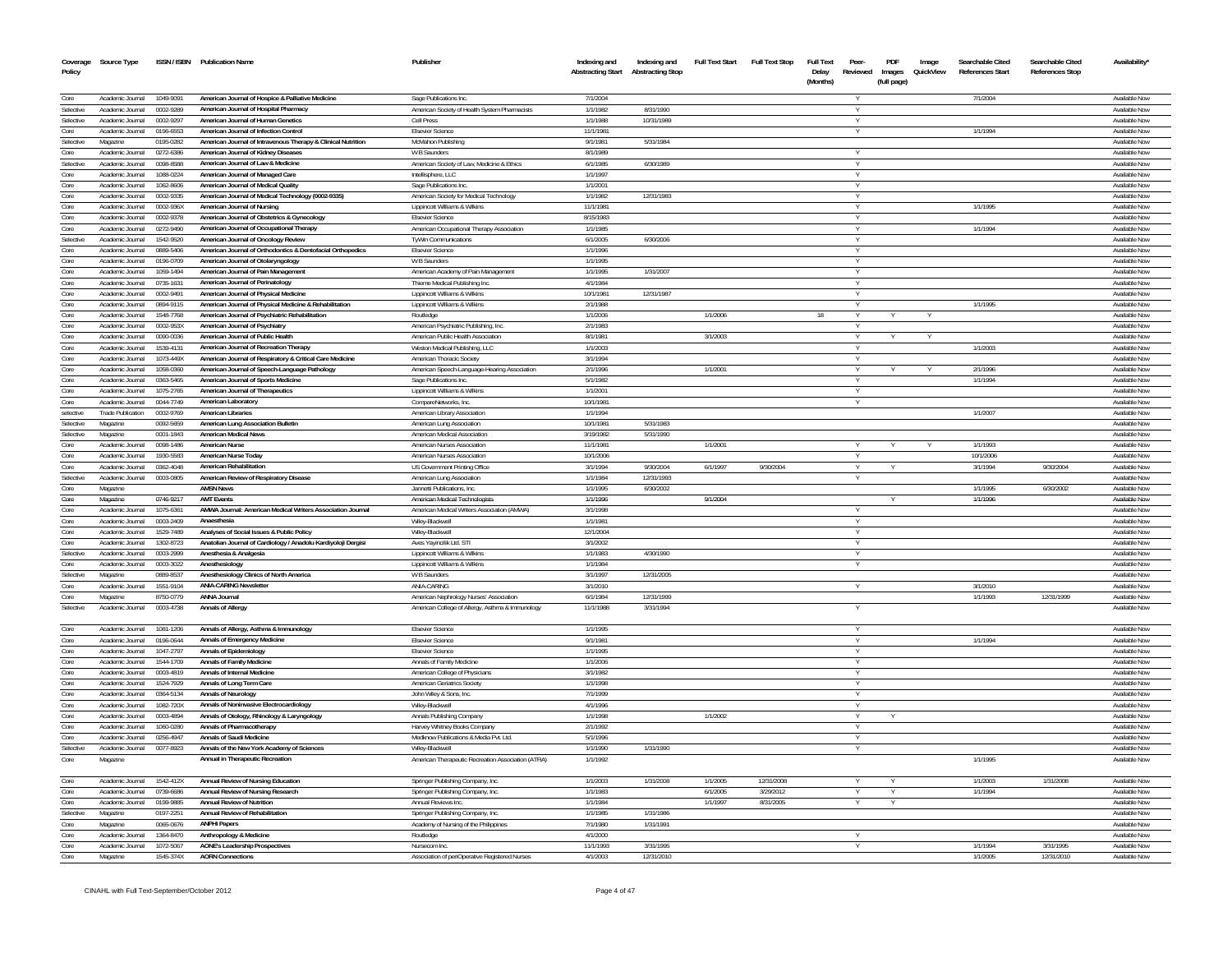|                   | Coverage Source Type                 |                        | ISSN / ISBN Publication Name                                                         | Publisher                                               | Indexing and             | Indexing and            | <b>Full Text Start</b> | <b>Full Text Stop</b> | <b>Full Text</b> | Peer-    | PDF         | Image     | Searchable Cited | Searchable Cited       | Availability'                         |
|-------------------|--------------------------------------|------------------------|--------------------------------------------------------------------------------------|---------------------------------------------------------|--------------------------|-------------------------|------------------------|-----------------------|------------------|----------|-------------|-----------|------------------|------------------------|---------------------------------------|
| Policy            |                                      |                        |                                                                                      |                                                         | <b>Abstracting Start</b> | <b>Abstracting Stop</b> |                        |                       | Delay            | Reviewed | Images      | QuickView | References Start | <b>References Stop</b> |                                       |
|                   |                                      |                        |                                                                                      |                                                         |                          |                         |                        |                       | (Months)         |          | (full page) |           |                  |                        |                                       |
| Core              | Academic Journal                     | 1049-9091              | American Journal of Hospice & Palliative Medicine                                    | Sage Publications Inc.                                  | 7/1/2004                 |                         |                        |                       |                  |          |             |           | 7/1/2004         |                        | Available Now                         |
| Selective         | Academic Journal                     | 0002-9289              | American Journal of Hospital Pharmacy                                                | American Society of Health System Pharmacists           | 1/1/1982                 | 8/31/1990               |                        |                       |                  |          |             |           |                  |                        | <b>Available Now</b>                  |
| Selective         | Academic Journal                     | 0002-9297              | American Journal of Human Genetics                                                   | Cell Press                                              | 1/1/1988                 | 10/31/1989              |                        |                       |                  |          |             |           |                  |                        | Available Now                         |
| Core              | Academic Journal                     | 0196-6553              | American Journal of Infection Control                                                | <b>Elsevier Science</b>                                 | 11/1/1981                |                         |                        |                       |                  |          |             |           | 1/1/1994         |                        | Available Now                         |
| Selective         | Magazine                             | 0195-0282              | American Journal of Intravenous Therapy & Clinical Nutrition                         | McMahon Publishing                                      | 9/1/198                  | 5/31/1984               |                        |                       |                  |          |             |           |                  |                        | Available Now                         |
| Core              | Academic Journal                     | 0272-6386              | American Journal of Kidney Diseases                                                  | <b>W B Saunders</b>                                     | 8/1/1989                 |                         |                        |                       |                  |          |             |           |                  |                        | Available Nov                         |
| Selective         | Academic Journal                     | 0098-858               | American Journal of Law & Medicine                                                   | American Society of Law, Medicine & Ethics              | 6/1/1985                 | 6/30/1989               |                        |                       |                  |          |             |           |                  |                        | Available Nov                         |
| Core              | Academic Journal                     | 1088-0224              | American Journal of Managed Care                                                     | Intellisphere, LLC                                      | 1/1/1997                 |                         |                        |                       |                  |          |             |           |                  |                        | Available Nov                         |
| Core              | Academic Journal                     | 1062-8606              | American Journal of Medical Quality                                                  | Sage Publications Inc                                   | 1/1/2001                 |                         |                        |                       |                  |          |             |           |                  |                        | Available Now                         |
| Core              | Academic Journal                     | 0002-9335              | American Journal of Medical Technology (0002-9335)                                   | American Society for Medical Technology                 | 1/1/1982                 | 12/31/1983              |                        |                       |                  |          |             |           |                  |                        | Available Now                         |
| Core              | Academic Journal                     | 0002-936X              | American Journal of Nursing                                                          | Lippincott Williams & Wilkins                           | 11/1/1981                |                         |                        |                       |                  |          |             |           | 1/1/1995         |                        | Available Now                         |
| Core              | Academic Journal                     | 0002-9378              | American Journal of Obstetrics & Gynecology                                          | <b>Elsevier Science</b>                                 | 8/15/1983                |                         |                        |                       |                  |          |             |           |                  |                        | Available Nov                         |
| Core              | Academic Journal                     | 0272-9490              | American Journal of Occupational Therapy                                             | American Occupational Therapy Association               | 1/1/1985                 |                         |                        |                       |                  |          |             |           | 1/1/1994         |                        | Available Nov                         |
| Selective         | Academic Journal                     | 1542-9520              | American Journal of Oncology Review                                                  | <b>TyWin Communications</b>                             | 6/1/2005                 | 6/30/2006               |                        |                       |                  |          |             |           |                  |                        | Available Nov                         |
| Core              | Academic Journal                     | 0889-5406              | American Journal of Orthodontics & Dentofacial Orthopedics                           | <b>Fisevier Science</b>                                 | 1/1/1996                 |                         |                        |                       |                  |          |             |           |                  |                        | Available Nov                         |
| Core              | Academic Journal                     | 0196-0709              | American Journal of Otolaryngology                                                   | W B Saunders                                            | 1/1/1995                 |                         |                        |                       |                  |          |             |           |                  |                        | Available Nov                         |
| Core              | Academic Journal                     | 1059-1494              | American Journal of Pain Managemen                                                   | American Academy of Pain Management                     | 1/1/1995                 | 1/31/2007               |                        |                       |                  |          |             |           |                  |                        | Available Nov                         |
| Core              | Academic Journal                     | 0735-1631              | American Journal of Perinatology                                                     | Thieme Medical Publishing Inc.                          | 4/1/1984                 |                         |                        |                       |                  |          |             |           |                  |                        | Available Now                         |
| Core              | Academic Journal                     | 0002-9491              | American Journal of Physical Medicine                                                | Lippincott Williams & Wilkins                           | 10/1/1981                | 12/31/1987              |                        |                       |                  |          |             |           |                  |                        | Available Now                         |
| Core<br>Core      | Academic Journal                     | 0894-9115              | American Journal of Physical Medicine & Rehabilitation                               | Lippincott Williams & Wilkins                           | 2/1/1988                 |                         | 1/1/2006               |                       |                  |          |             |           | 1/1/1995         |                        | Available Now                         |
| Core              | Academic Journal                     | 1548-7768              | American Journal of Psychiatric Rehabilitation                                       | Routledge                                               | 1/1/2006<br>2/1/1983     |                         |                        |                       | 18               | Y        |             | Y         |                  |                        | Available Now                         |
| Core              | Academic Journal                     | 0002-953X<br>0090-0036 | American Journal of Psychiatry<br>American Journal of Public Health                  | American Psychiatric Publishing, Inc.                   | 8/1/1981                 |                         | 3/1/2003               |                       |                  | v        |             |           |                  |                        | Available Now                         |
| Core              | Academic Journal<br>Academic Journal |                        |                                                                                      | American Public Health Association                      | 1/1/2003                 |                         |                        |                       |                  | Y<br>v   |             | Y         |                  |                        | Available Now<br>Available Now        |
|                   | Academic Journal                     | 1539-4131              | American Journal of Recreation Therapy                                               | Weston Medical Publishing, LLC                          | 3/1/1994                 |                         |                        |                       |                  | $\vee$   |             |           | 1/1/2003         |                        | Available Now                         |
| Core<br>Core      | Academic Inumal                      | 1073-449X<br>1058-0360 | American Journal of Respiratory & Critical Care Medicine                             | American Thoracic Society                               | 2/1/1996                 |                         | 1/1/2001               |                       |                  |          |             |           | 2/1/1996         |                        | Available Now                         |
| Core              | Academic Journal                     | 0363-5465              | American Journal of Speech-Language Pathology<br>American Journal of Sports Medicine | American Speech-Language-Hearing Association            | 5/1/1982                 |                         |                        |                       |                  |          |             |           | 1/1/1994         |                        | Available Nov                         |
| Core              | Academic Journal                     | 1075-2765              | American Journal of Therapeutics                                                     | Sage Publications Inc.<br>Lippincott Williams & Wilkins | 1/1/2001                 |                         |                        |                       |                  |          |             |           |                  |                        | Available Now                         |
| Core              | Academic Journal                     | 0044-7749              | <b>American Laboratory</b>                                                           | CompareNetworks, Inc.                                   | 10/1/1981                |                         |                        |                       |                  |          |             |           |                  |                        | Available Nov                         |
| selective         | <b>Trade Publication</b>             | 0002-9769              | <b>American Libraries</b>                                                            | American Library Association                            | 1/1/1994                 |                         |                        |                       |                  |          |             |           | 1/1/2007         |                        | Available Nov                         |
| Selective         | Magazine                             | 0092-5659              | American Lung Association Bulletin                                                   | American Lung Association                               | 10/1/1981                | 5/31/1983               |                        |                       |                  |          |             |           |                  |                        | Available Nov                         |
| Selective         | Magazine                             | 0001-1843              | <b>American Medical News</b>                                                         | American Medical Association                            | 3/19/1982                | 5/31/1990               |                        |                       |                  |          |             |           |                  |                        | Available Now                         |
| Core              | Academic Journal                     | 0098-1486              | American Nurse                                                                       | American Nurses Association                             | 11/1/1981                |                         | 1/1/2001               |                       |                  |          |             |           | 1/1/1993         |                        | Available Nov                         |
| Core              | Academic Journal                     | 1930-5583              | American Nurse Today                                                                 | American Nurses Association                             | 10/1/2006                |                         |                        |                       |                  | $\vee$   |             |           | 10/1/2006        |                        | Available Now                         |
| Core              | Academic Journal                     | 0362-4048              | <b>American Rehabilitation</b>                                                       | US Government Printing Office                           | 3/1/1994                 | 9/30/2004               | 6/1/1997               | 9/30/2004             |                  |          |             |           | 3/1/1994         | 9/30/2004              | Available Nov                         |
| Selective         | Academic Journal                     | 0003-0805              | American Review of Respiratory Disease                                               | American Lung Association                               | 1/1/1984                 | 12/31/1993              |                        |                       |                  | V        |             |           |                  |                        | Available Now                         |
| Core              | Magazine                             |                        | <b>AMSN News</b>                                                                     | Jannetti Publications, Inc.                             | 1/1/1995                 | 6/30/2002               |                        |                       |                  |          |             |           | 1/1/1995         | 6/30/2002              | <b>Available Nov</b>                  |
| Core              | Magazine                             | 0746-9217              | <b>AMT Events</b>                                                                    | American Medical Technologists                          | 1/1/1996                 |                         | 9/1/2004               |                       |                  |          |             |           | 1/1/1996         |                        | Available Nov                         |
| Core              | Academic Journa                      | 1075-6361              | AMWA Journal: American Medical Writers Association Journal                           | American Medical Writers Association (AMWA)             | 3/1/1998                 |                         |                        |                       |                  |          |             |           |                  |                        | Available Nov                         |
| Core              | Academic Journal                     | 0003-2409              | Anaesthesia                                                                          | Wiley-Blackwell                                         | 1/1/1981                 |                         |                        |                       |                  |          |             |           |                  |                        | Available Nov                         |
| Core              | Academic Journal                     | 1529-7489              | Analyses of Social Issues & Public Policy                                            | Wiley-Blackwel                                          | 12/1/2004                |                         |                        |                       |                  |          |             |           |                  |                        | Available Nov                         |
| Core              | Academic Journal                     | 1302-8723              | Anatolian Journal of Cardiology / Anadolu Kardiyoloji Dergisi                        | Aves Yayincilik Ltd. STI                                | 3/1/2002                 |                         |                        |                       |                  |          |             |           |                  |                        | Available Nov                         |
| Selective         | Academic Journal                     | 0003-2999              | Anesthesia & Analgesia                                                               | Lippincott Williams & Wilkins                           | 1/1/1983                 | 4/30/1990               |                        |                       |                  |          |             |           |                  |                        | Available Nov                         |
| Core              | Academic Journal                     | 0003-3022              | Anesthesiology                                                                       | Lippincott Williams & Wilkins                           | 1/1/1984                 |                         |                        |                       |                  |          |             |           |                  |                        | Available Nov                         |
| Selective         | Magazine                             | 0889-8537              | Anesthesiology Clinics of North America                                              | W B Saunders                                            | 3/1/1997                 | 12/31/2005              |                        |                       |                  |          |             |           |                  |                        | Available Nov                         |
| Core              | Academic Journal                     | 1551-9104              | <b>ANIA-CARING Newslette</b>                                                         | ANIA-CARING                                             | 3/1/2010                 |                         |                        |                       |                  |          |             |           | 3/1/2010         |                        | Available Nov                         |
| Core              | Magazine                             | 8750-0779              | ANNA Journa                                                                          | American Nephrology Nurses' Association                 | 6/1/1984                 | 12/31/1999              |                        |                       |                  |          |             |           | 1/1/1993         | 12/31/1999             | Available Now                         |
| Selective         | Academic Journal                     | 0003-4738              | <b>Annals of Allergy</b>                                                             | American College of Allergy, Asthma & Immunology        | 11/1/1988                | 3/31/1994               |                        |                       |                  |          |             |           |                  |                        | Available Nov                         |
|                   |                                      |                        |                                                                                      |                                                         |                          |                         |                        |                       |                  |          |             |           |                  |                        |                                       |
| Core              | Academic Journal                     | 1081-1206              | Annals of Allergy, Asthma & Immunology                                               | <b>Elsevier Science</b>                                 | 1/1/1995                 |                         |                        |                       |                  |          |             |           |                  |                        | Available Nov                         |
| Core              | Academic Journal                     | 0196-0644              | <b>Annals of Emergency Medicine</b>                                                  | <b>Elsevier Science</b>                                 | 9/1/1981                 |                         |                        |                       |                  |          |             |           | 1/1/1994         |                        | Available Now                         |
| Core              | Academic Journal                     | 1047-2797              | <b>Annals of Epidemiology</b>                                                        | <b>Elsevier Science</b>                                 | 1/1/1995                 |                         |                        |                       |                  |          |             |           |                  |                        | Available Nov                         |
| Core              | Academic Journal                     | 1544-1709              | <b>Annals of Family Medicine</b>                                                     | Annals of Family Medicine                               | 1/1/2006                 |                         |                        |                       |                  | Y        |             |           |                  |                        | Available Now                         |
| Core              | Academic Journal                     | 0003-4819              | Annals of Internal Medicine                                                          | American College of Physicians                          | 3/1/1982                 |                         |                        |                       |                  |          |             |           |                  |                        | Available Nov                         |
| Core              | Academic Journal                     | 1524-7929              | Annals of Long Term Care                                                             | American Geriatrics Society                             | 1/1/1998                 |                         |                        |                       |                  |          |             |           |                  |                        | Available Now                         |
| Core              | Academic Journal                     | 0364-5134              | <b>Annals of Neurology</b>                                                           | John Wiley & Sons, Inc.                                 | 7/1/1999                 |                         |                        |                       |                  |          |             |           |                  |                        | Available Now                         |
| Core              | Academic Journal                     | 1082-720X              | Annals of Noninvasive Electrocardiology                                              | Wiley-Blackwel                                          | 4/1/1996                 |                         |                        |                       |                  |          |             |           |                  |                        | Available Now                         |
| Core              | Academic Journal                     | 0003-4894              | Annals of Otology, Rhinology & Laryngology                                           | Annals Publishing Company                               | 1/1/1998                 |                         | 1/1/2002               |                       |                  |          |             |           |                  |                        | Available Nov                         |
| Core              | Academic Journal                     | 1060-0280              | <b>Annals of Pharmacotherapy</b>                                                     | Harvey Whitney Books Company                            | 2/1/1992                 |                         |                        |                       |                  |          |             |           |                  |                        | Available Nov                         |
| Core              | Academic Journal                     | 0256-4947              | <b>Annals of Saudi Medicine</b>                                                      | Medknow Publications & Media Pvt. Ltd.                  | 5/1/1996                 |                         |                        |                       |                  |          |             |           |                  |                        | Available Nov                         |
| Selective         | Academic Journal                     | 0077-8923              | Annals of the New York Academy of Sciences                                           | Wiley-Blackwell                                         | 1/1/1990                 | 1/31/1990               |                        |                       |                  |          |             |           |                  |                        | Available Nov                         |
| Core              | Magazine                             |                        | Annual in Therapeutic Recreation                                                     | American Therapeutic Recreation Association (ATRA)      | 1/1/1992                 |                         |                        |                       |                  |          |             |           | 1/1/1995         |                        | Available Now                         |
|                   |                                      |                        |                                                                                      |                                                         |                          |                         |                        |                       |                  |          |             |           |                  |                        |                                       |
| Core              | Academic Journal                     | 1542-412X              | Annual Review of Nursing Education                                                   | Springer Publishing Company, Inc.                       | 1/1/2003                 | 1/31/2008               | 1/1/2005               | 12/31/2008            |                  |          |             |           | 1/1/2003         | 1/31/2008              | Available Now                         |
| Core              | Academic Journal                     | 0739-6686              | Annual Review of Nursing Research                                                    | Springer Publishing Company, Inc.                       | 1/1/1983                 |                         | 6/1/2005               | 3/29/2012             |                  |          |             |           | 1/1/1994         |                        | Available Now                         |
| Core<br>Selective | Academic Journal                     | 0199-9885              | <b>Annual Review of Nutrition</b>                                                    | Annual Reviews Inc.                                     | 1/1/1984                 | 1/31/1986               | 1/1/1997               | 8/31/2005             |                  |          |             |           |                  |                        | Available Now                         |
|                   | Magazine                             | 0197-2251              | Annual Review of Rehabilitation                                                      | Springer Publishing Company, Inc.                       | 1/1/1985                 |                         |                        |                       |                  |          |             |           |                  |                        | Available Now                         |
| Core<br>Core      | Magazine<br>Academic Journal         | 0065-0676<br>1364-8470 | <b>ANPHI Papers</b>                                                                  | Academy of Nursing of the Philippines                   | 7/1/1980<br>4/1/2000     | 1/31/1991               |                        |                       |                  |          |             |           |                  |                        | Available Now<br><b>Available Now</b> |
|                   | Academic Journal                     | 1072-5067              | Anthropology & Medicine<br><b>AONE's Leadership Prospectives</b>                     | Routledge<br>Nursecom Inc.                              | 11/1/1993                | 3/31/1995               |                        |                       |                  |          |             |           | 1/1/1994         | 3/31/1995              | Available Now                         |
| Core<br>Core      | Magazine                             | 1545.374X              | <b>AORN Connections</b>                                                              | Association of periOperative Registered Nurses          | 4/1/2003                 | 12/31/2010              |                        |                       |                  |          |             |           | 1/1/2005         | 12/31/2010             | Available Now                         |
|                   |                                      |                        |                                                                                      |                                                         |                          |                         |                        |                       |                  |          |             |           |                  |                        |                                       |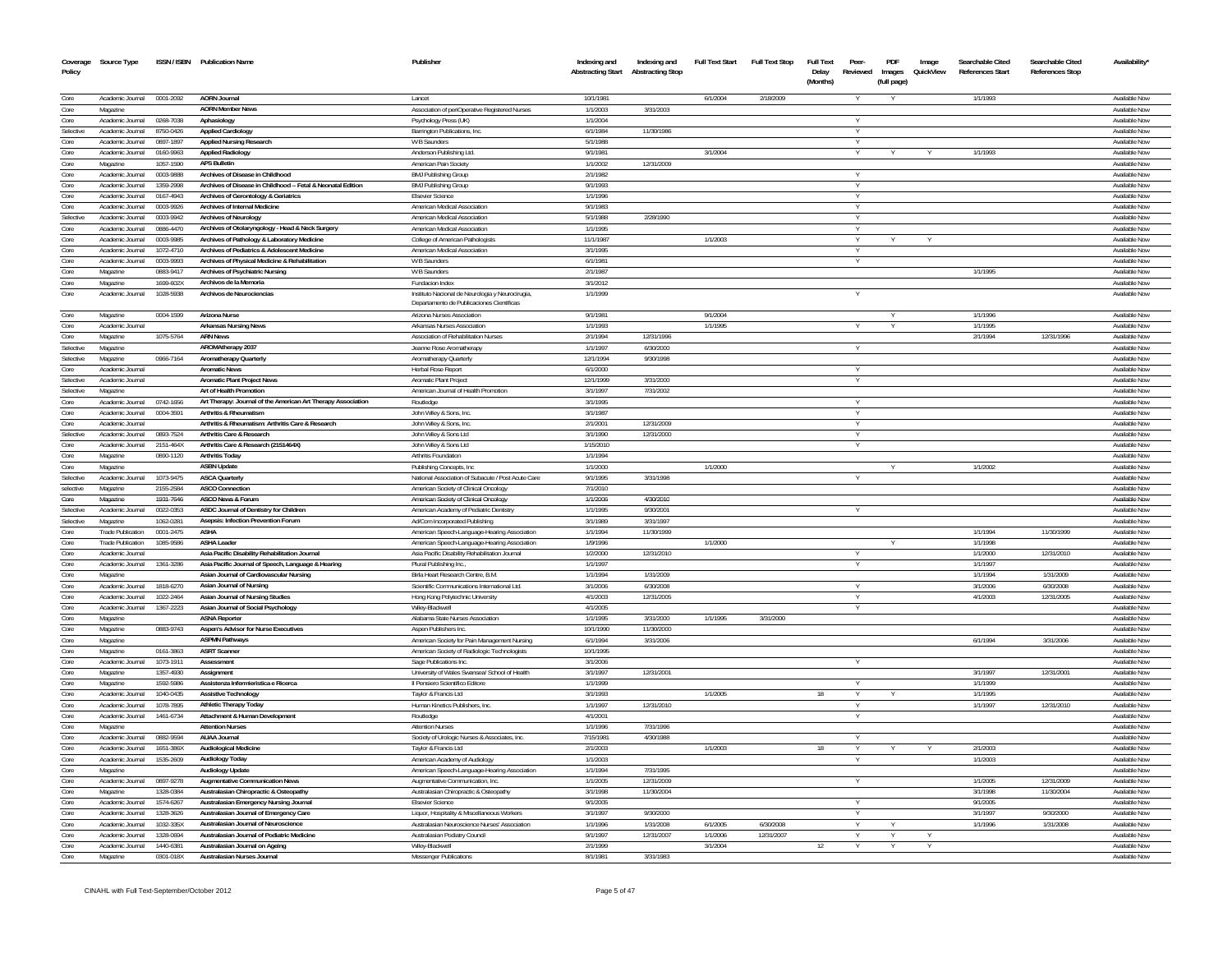| Coverage<br>Policy | Source Type                            |           | ISSN / ISBN Publication Name                                                                      | Publisher                                                                        | Indexing and<br><b>Abstracting Start</b> | Indexing and<br><b>Abstracting Stop</b> | <b>Full Text Start</b> | <b>Full Text Stop</b> | Full Text<br>Delay<br>(Months) | Peer-<br>Reviewed | PDF<br>Images<br>(full page) | Image<br>QuickView | Searchable Cited<br><b>References Start</b> | Searchable Cited<br><b>References Stop</b> | Availability' |
|--------------------|----------------------------------------|-----------|---------------------------------------------------------------------------------------------------|----------------------------------------------------------------------------------|------------------------------------------|-----------------------------------------|------------------------|-----------------------|--------------------------------|-------------------|------------------------------|--------------------|---------------------------------------------|--------------------------------------------|---------------|
|                    |                                        |           |                                                                                                   |                                                                                  |                                          |                                         |                        |                       |                                |                   |                              |                    |                                             |                                            |               |
| Core               | Academic Journal 0001-2092             |           | AORN Journal                                                                                      | Lancet                                                                           | 10/1/1981                                |                                         | 6/1/2004               | 2/18/2009             |                                |                   |                              |                    | 1/1/1993                                    |                                            | Available Now |
| Core               | Magazine                               |           | <b>AORN Member News</b>                                                                           | Association of periOperative Registered Nurses                                   | 1/1/2003                                 | 3/31/2003                               |                        |                       |                                |                   |                              |                    |                                             |                                            | Available Now |
| Core               | Academic Journal                       | 0268-7038 | Aphasiology                                                                                       | Psychology Press (UK)                                                            | 1/1/2004                                 |                                         |                        |                       |                                |                   |                              |                    |                                             |                                            | Available Now |
| Selective          | Academic Journal                       | 8750-0426 | <b>Applied Cardiology</b>                                                                         | Barrington Publications, Inc.                                                    | 6/1/1984                                 | 11/30/1986                              |                        |                       |                                | Y                 |                              |                    |                                             |                                            | Available Now |
| Core               | Academic Journal                       | 0897-1897 | <b>Applied Nursing Research</b>                                                                   | W B Saunders                                                                     | 5/1/1988                                 |                                         |                        |                       |                                |                   |                              |                    |                                             |                                            | Available Now |
| Core               | Academic Journal                       | 0160-9963 | <b>Applied Radiology</b>                                                                          | Anderson Publishing Ltd.                                                         | 9/1/1981                                 |                                         | 3/1/2004               |                       |                                |                   |                              |                    | 1/1/1993                                    |                                            | Available Now |
| Core               | Magazine                               | 1057-1590 | <b>APS Bulletin</b>                                                                               | American Pain Society                                                            | 1/1/2002                                 | 12/31/2009                              |                        |                       |                                |                   |                              |                    |                                             |                                            | Available Now |
| Core               | Academic Journal                       | 0003-9888 | Archives of Disease in Childhood                                                                  | <b>BMJ Publishing Group</b>                                                      | 2/1/1982                                 |                                         |                        |                       |                                |                   |                              |                    |                                             |                                            | Available Now |
| Core               | Academic Journal                       | 1359-2998 | Archives of Disease in Childhood -- Fetal & Neonatal Edition                                      | <b>BMJ Publishing Group</b>                                                      | 9/1/1993                                 |                                         |                        |                       |                                |                   |                              |                    |                                             |                                            | Available Nov |
| Core               | Academic Journal                       | 0167-4943 | Archives of Gerontology & Geriatrics                                                              | <b>Elsevier Science</b>                                                          | 1/1/1996                                 |                                         |                        |                       |                                | v                 |                              |                    |                                             |                                            | Available Now |
| Core               | Academic Journal                       | 0003-9926 | Archives of Internal Medicine                                                                     | American Medical Association                                                     | 9/1/1983                                 |                                         |                        |                       |                                | Y                 |                              |                    |                                             |                                            | Available Now |
| Selective          | Academic Journal                       | 0003-9942 | <b>Archives of Neurology</b>                                                                      | American Medical Association                                                     | 5/1/1988                                 | 2/28/1990                               |                        |                       |                                | Y                 |                              |                    |                                             |                                            | Available Now |
| Core               | Academic Inumal                        | 0886-4470 | Archives of Otolaryngology - Head & Neck Surgery                                                  | American Medical Association                                                     | 1/1/1995                                 |                                         |                        |                       |                                | Y                 |                              |                    |                                             |                                            | Available Now |
| Core               | Academic Journal                       | 0003-9985 | Archives of Pathology & Laboratory Medicine                                                       | College of American Pathologists                                                 | 11/1/1987                                |                                         | 1/1/2003               |                       |                                |                   |                              |                    |                                             |                                            | Available Now |
| Core               | Academic Inumal                        | 1072-4710 | Archives of Pediatrics & Adolescent Medicine                                                      | American Medical Association                                                     | 3/1/1995                                 |                                         |                        |                       |                                |                   |                              |                    |                                             |                                            | Available Now |
| Core               | Academic Journal                       | 0003-9993 | Archives of Physical Medicine & Rehabilitation                                                    | W B Saunders                                                                     | 6/1/1981                                 |                                         |                        |                       |                                |                   |                              |                    |                                             |                                            | Available Now |
| Core               | Magazine                               | 0883-9417 | Archives of Psychiatric Nursing                                                                   | W B Saunders                                                                     | 2/1/1987                                 |                                         |                        |                       |                                |                   |                              |                    | 1/1/1995                                    |                                            | Available Now |
| Core               | Magazine                               | 1699-602X | Archivos de la Memoria                                                                            | Fundacion Index                                                                  | 3/1/2012                                 |                                         |                        |                       |                                |                   |                              |                    |                                             |                                            | Available Nov |
| Core               | Academic Journal                       | 1028-5938 | Archivos de Neurociencias                                                                         | Instituto Nacional de Neurologia y Neurocirugia,                                 | 1/1/1999                                 |                                         |                        |                       |                                |                   |                              |                    |                                             |                                            | Available Nov |
|                    |                                        |           |                                                                                                   | Departamento de Publicaciones Científicas                                        |                                          |                                         |                        |                       |                                |                   |                              |                    |                                             |                                            |               |
| Core               | Magazine                               | 0004-1599 | Arizona Nurse                                                                                     | Arizona Nurses Association                                                       | 9/1/1981                                 |                                         | 9/1/2004               |                       |                                |                   |                              |                    | 1/1/1996                                    |                                            | Available Now |
| Core               | Academic Journal                       |           | <b>Arkansas Nursing News</b>                                                                      | <b>Arkansas Nurses Association</b>                                               | 1/1/1993                                 |                                         | 1/1/1995               |                       |                                |                   | $\vee$                       |                    | 1/1/1995                                    |                                            | Available Now |
| Core               | Magazine                               | 1075-5764 | <b>ARN News</b>                                                                                   | Association of Rehabilitation Nurses                                             | 2/1/1994                                 | 12/31/1996                              |                        |                       |                                |                   |                              |                    | 2/1/1994                                    | 12/31/1996                                 | Available Now |
| Selective          | Magazine                               |           | AROMAtherapy 2037                                                                                 | Jeanne Rose Aromatherapy                                                         | 1/1/1997                                 | 6/30/2000                               |                        |                       |                                |                   |                              |                    |                                             |                                            | Available Now |
| Selective          |                                        | 0966-7164 | <b>Aromatherapy Quarterly</b>                                                                     |                                                                                  | 12/1/1994                                | 9/30/1998                               |                        |                       |                                |                   |                              |                    |                                             |                                            | Available Now |
| Core               | Magazine<br>Academic Journal           |           | <b>Aromatic News</b>                                                                              | Aromatherapy Quarterly<br><b>Herbal Rose Report</b>                              | 6/1/2000                                 |                                         |                        |                       |                                | v                 |                              |                    |                                             |                                            | Available Now |
| Selective          | Academic Journal                       |           | <b>Aromatic Plant Project News</b>                                                                | Aromatic Plant Project                                                           | 12/1/1999                                | 3/31/2000                               |                        |                       |                                |                   |                              |                    |                                             |                                            | Available Nov |
| Selective          |                                        |           | Art of Health Promotion                                                                           | American Journal of Health Promotion                                             | 3/1/1997                                 | 7/31/2002                               |                        |                       |                                |                   |                              |                    |                                             |                                            | Available Now |
|                    | Magazine<br>Academic Journal 0742-1656 |           |                                                                                                   |                                                                                  | 3/1/1995                                 |                                         |                        |                       |                                | $\vee$            |                              |                    |                                             |                                            | Available Now |
| Core               |                                        |           | Art Therapy: Journal of the American Art Therapy Association<br><b>Arthritis &amp; Rheumatism</b> | Routledge                                                                        |                                          |                                         |                        |                       |                                |                   |                              |                    |                                             |                                            |               |
| Core               | Academic Journal                       | 0004-3591 |                                                                                                   | John Wiley & Sons, Inc.                                                          | 3/1/1987                                 |                                         |                        |                       |                                |                   |                              |                    |                                             |                                            | Available Now |
| Core<br>Selective  | Academic Inumal                        |           | Arthritis & Rheumatism: Arthritis Care & Research                                                 | John Wiley & Sons, Inc.                                                          | 2/1/2001                                 | 12/31/2009                              |                        |                       |                                | Y                 |                              |                    |                                             |                                            | Available Now |
|                    | Academic Journal                       | 0893-7524 | <b>Arthritis Care &amp; Research</b>                                                              | John Wiley & Sons Ltd                                                            | 3/1/1990                                 | 12/31/2000                              |                        |                       |                                | Y                 |                              |                    |                                             |                                            | Available Now |
| Core               | Academic Inumal                        | 2151-464X | Arthritis Care & Research (2151464X)                                                              | John Wiley & Sons Ltd                                                            | 1/15/2010                                |                                         |                        |                       |                                |                   |                              |                    |                                             |                                            | Available Now |
| Core               | Magazine                               | 0890-1120 | <b>Arthritis Today</b>                                                                            | Arthritis Foundation                                                             | 1/1/1994                                 |                                         |                        |                       |                                |                   |                              |                    |                                             |                                            | Available Now |
| Core               | Magazine                               |           | <b>ASBN</b> Update                                                                                | Publishing Concepts, Inc.                                                        | 1/1/2000                                 |                                         | 1/1/2000               |                       |                                |                   |                              |                    | 1/1/2002                                    |                                            | Available Now |
| Selective          | Academic Journal                       | 1073-9475 | <b>ASCA Quarterly</b>                                                                             | National Association of Subacute / Post Acute Care                               | 9/1/1995                                 | 3/31/1998                               |                        |                       |                                |                   |                              |                    |                                             |                                            | Available Now |
| selective          | Magazine                               | 2155-2584 | ASCO Connection                                                                                   | American Society of Clinical Oncology                                            | 7/1/2010                                 |                                         |                        |                       |                                |                   |                              |                    |                                             |                                            | Available Now |
| Core               | Magazine                               | 1931-7646 | ASCO News & Forum                                                                                 | American Society of Clinical Oncology                                            | 1/1/2006                                 | 4/30/2010                               |                        |                       |                                |                   |                              |                    |                                             |                                            | Available Now |
| Selective          | Academic Journal                       | 0022-0353 | ASDC Journal of Dentistry for Children                                                            | American Academy of Pediatric Dentistry                                          | 1/1/1995                                 | 9/30/2001                               |                        |                       |                                |                   |                              |                    |                                             |                                            | Available Now |
| Selective          | Magazine                               | 1062-0281 | Asepsis: Infection Prevention Forum                                                               | Ad/Com Incorporated Publishing                                                   | 3/1/1989                                 | 3/31/1997                               |                        |                       |                                |                   |                              |                    |                                             |                                            | Available Now |
| Core               | Trade Publication                      | 0001-2475 | ASHA                                                                                              | American Speech-Language-Hearing Association                                     | 1/1/1994                                 | 11/30/1999                              |                        |                       |                                |                   |                              |                    | 1/1/1994                                    | 11/30/1999                                 | Available Now |
| Core               | Trade Publication                      | 1085.9586 | ASHA Leader                                                                                       | American Speech-Language-Hearing Association                                     | 1/9/1996                                 |                                         | 1/1/2000               |                       |                                |                   |                              |                    | 1/1/1998                                    |                                            | Available Now |
| Core               | Academic Journal                       |           | Asia Pacific Disability Rehabilitation Journal                                                    | Asia Pacific Disability Rehabilitation Journal                                   | 1/2/2000                                 | 12/31/2010                              |                        |                       |                                |                   |                              |                    | 1/1/2000                                    | 12/31/2010                                 | Available Now |
| Core               | Academic Journal                       | 1361-3286 | Asia Pacific Journal of Speech, Language & Hearing                                                | Plural Publishing Inc.,                                                          | 1/1/1997                                 |                                         |                        |                       |                                |                   |                              |                    | 1/1/1997                                    |                                            | Available Now |
| Core               | Magazine                               |           | Asian Journal of Cardiovascular Nursing                                                           | Birla Heart Research Centre, B.M.                                                | 1/1/1994                                 | 1/31/2009                               |                        |                       |                                |                   |                              |                    | 1/1/1994                                    | 1/31/2009                                  | Available Now |
| Core               | Academic Journal                       | 1818-6270 | Asian Journal of Nursing                                                                          | Scientific Communications International Ltd.                                     | 3/1/2006                                 | 6/30/2008                               |                        |                       |                                | Y                 |                              |                    | 3/1/2006                                    | 6/30/2008                                  | Available Now |
| Core               | Academic Journal                       | 1022-2464 | Asian Journal of Nursing Studies                                                                  | Hong Kong Polytechnic University                                                 | 4/1/2003                                 | 12/31/2005                              |                        |                       |                                | $\vee$            |                              |                    | 4/1/2003                                    | 12/31/2005                                 | Available Now |
| Core               | Academic Journal                       | 1367-2223 | Asian Journal of Social Psychology                                                                | Wilev-Blackwell                                                                  | 4/1/2005                                 |                                         |                        |                       |                                |                   |                              |                    |                                             |                                            | Available Now |
| Core               | Magazine                               |           | <b>ASNA Reporter</b>                                                                              | Alabama State Nurses Association                                                 | 1/1/1995                                 | 3/31/2000                               | 1/1/1995               | 3/31/2000             |                                |                   |                              |                    |                                             |                                            | Available Now |
| Core               | Magazine                               | 0883-9743 | <b>Aspen's Advisor for Nurse Executives</b>                                                       | Aspen Publishers Inc.                                                            | 10/1/1990                                | 11/30/2000                              |                        |                       |                                |                   |                              |                    |                                             |                                            | Available Now |
| Core               | Magazine                               |           | <b>ASPMN Pathways</b>                                                                             | American Society for Pain Management Nursing                                     | 6/1/1994                                 | 3/31/2006                               |                        |                       |                                |                   |                              |                    | 6/1/1994                                    | 3/31/2006                                  | Available Now |
| Core               | Magazine                               | 0161-3863 | <b>ASRT Scanner</b>                                                                               | American Society of Radiologic Technologists                                     | 10/1/1995                                |                                         |                        |                       |                                |                   |                              |                    |                                             |                                            | Available Now |
| Core               | Academic Journal                       | 1073-1911 | Assessment                                                                                        | Sage Publications Inc.                                                           | 3/1/2006                                 |                                         |                        |                       |                                |                   |                              |                    |                                             |                                            | Available Now |
| Core               | Magazine                               | 1357-4930 | Assignment                                                                                        | University of Wales Swansea/ School of Health                                    | 3/1/1997                                 | 12/31/2001                              |                        |                       |                                |                   |                              |                    | 3/1/1997                                    | 12/31/2001                                 | Available Now |
| Core               | Magazine                               | 1592-5986 | Assistenza Infermieristica e Ricerca                                                              | Il Pensiero Scientifico Editore                                                  | 1/1/1999                                 |                                         |                        |                       |                                |                   |                              |                    | 1/1/1999                                    |                                            | Available Now |
| Core               | Academic Journal                       | 1040-0435 | <b>Assistive Technology</b>                                                                       | Taylor & Francis Ltd                                                             | 3/1/1993                                 |                                         | 1/1/2005               |                       | 18                             | v                 |                              |                    | 1/1/1995                                    |                                            | Available Now |
| Core               | Academic Journal                       | 1078-7895 | <b>Athletic Therapy Today</b>                                                                     | Human Kinetics Publishers, Inc.                                                  | 1/1/1997                                 | 12/31/2010                              |                        |                       |                                |                   |                              |                    | 1/1/1997                                    | 12/31/2010                                 | Available Now |
| Core               | Academic Inumal                        | 1461-6734 | Attachment & Human Development                                                                    | Routledge                                                                        | 4/1/2001                                 |                                         |                        |                       |                                | v                 |                              |                    |                                             |                                            | Available Now |
| Core               | Magazine                               |           | <b>Attention Nurses</b>                                                                           | <b>Attention Nurses</b>                                                          | 1/1/1996                                 | 7/31/1996                               |                        |                       |                                |                   |                              |                    |                                             |                                            | Available Now |
| Core               | Academic Journal                       | 0882-9594 | AUAA Journal                                                                                      | Society of Urologic Nurses & Associates, Inc.                                    | 7/15/1981                                | 4/30/1988                               |                        |                       |                                |                   |                              |                    |                                             |                                            | Available Now |
| Core               | Academic Journal                       | 1651-386X | Audiological Medicine                                                                             | Tavlor & Francis Ltd                                                             | 2/1/2003                                 |                                         | 1/1/2003               |                       | 18                             | v                 |                              |                    | 2/1/2003                                    |                                            | Available Now |
| Core               | Academic Journal                       | 1535-2609 | <b>Audiology Today</b>                                                                            | American Academy of Audiology                                                    | 1/1/2003                                 |                                         |                        |                       |                                |                   |                              |                    | 1/1/2003                                    |                                            | Available Now |
| Core               | Magazine                               |           | <b>Audiology Update</b>                                                                           |                                                                                  | 1/1/1994                                 | 7/31/1995                               |                        |                       |                                |                   |                              |                    |                                             |                                            | Available Now |
| Core               | Academic Journal                       | 0897-9278 | <b>Augmentative Communication News</b>                                                            | American Speech-Language-Hearing Association<br>Augmentative Communication, Inc. | 1/1/2005                                 | 12/31/2009                              |                        |                       |                                |                   |                              |                    | 1/1/2005                                    | 12/31/2009                                 | Available Now |
|                    |                                        |           |                                                                                                   |                                                                                  | 3/1/1998                                 | 11/30/2004                              |                        |                       |                                |                   |                              |                    | 3/1/1998                                    |                                            | Available Now |
| Core               | Magazine                               | 1328-0384 | Australasian Chiropractic & Osteopathy                                                            | Australasian Chiropractic & Osteopathy                                           |                                          |                                         |                        |                       |                                |                   |                              |                    |                                             | 11/30/2004                                 |               |
| Core               | Academic Journal                       | 1574-6267 | Australasian Emergency Nursing Journal                                                            | <b>Elsevier Science</b>                                                          | 9/1/2005                                 |                                         |                        |                       |                                |                   |                              |                    | 9/1/2005                                    |                                            | Available Now |
| Core               | Academic Journal                       | 1328-3626 | Australasian Journal of Emergency Care                                                            | Liquor, Hospitality & Miscellaneous Workers                                      | 3/1/1997                                 | 9/30/2000                               |                        |                       |                                | v                 |                              |                    | 3/1/1997                                    | 9/30/2000                                  | Available Now |
| Core               | Academic Journal                       | 1032-335X | Australasian Journal of Neuroscience                                                              | Australasian Neuroscience Nurses' Association                                    | 1/1/1996                                 | 1/31/2008                               | 6/1/2005               | 6/30/2008             |                                | Y                 | $\vee$                       |                    | 1/1/1996                                    | 1/31/2008                                  | Available Now |
| Core               | Academic Journal                       | 1328-0694 | Australasian Journal of Podiatric Medicine                                                        | Australasian Podiatry Council                                                    | 9/1/1997                                 | 12/31/2007                              | 1/1/2006               | 12/31/2007            |                                |                   |                              |                    |                                             |                                            | Available Now |
| Core               | Academic Journal                       | 1440-6381 | Australasian Journal on Ageing                                                                    | Wiley-Blackwell                                                                  | 2/1/1999                                 |                                         | 3/1/2004               |                       | 12                             |                   |                              |                    |                                             |                                            | Available Now |
| Core               | Magazine                               | 0301-018X | Australasian Nurses Journal                                                                       | Messenger Publications                                                           | 8/1/1981                                 | 3/31/1983                               |                        |                       |                                |                   |                              |                    |                                             |                                            | Available Now |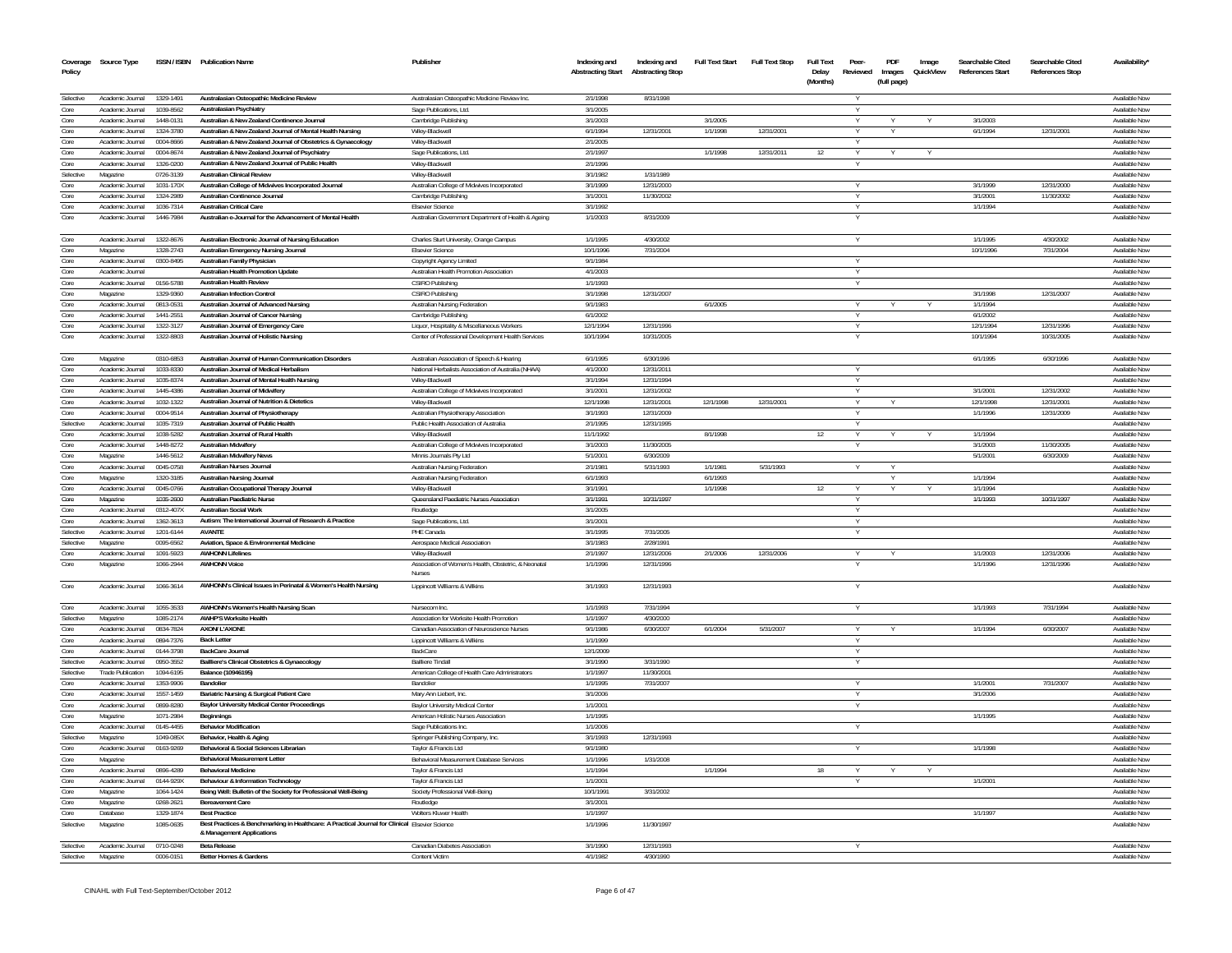| Coverage<br>Policy | Source Type                          |                        | ISSN / ISBN Publication Name                                                                                           | Publisher                                                                                         | Indexing and<br><b>Abstracting Start</b> | Indexing and<br><b>Abstracting Stop</b> | <b>Full Text Start</b> | <b>Full Text Stop</b> | <b>Full Text</b><br>Delay<br>(Months) | Peer<br>Reviewed | PDF<br>Images<br>(full page) | Image<br>QuickView | Searchable Cited<br>References Start | Searchable Cited<br>References Stop | <b>Availability</b>            |
|--------------------|--------------------------------------|------------------------|------------------------------------------------------------------------------------------------------------------------|---------------------------------------------------------------------------------------------------|------------------------------------------|-----------------------------------------|------------------------|-----------------------|---------------------------------------|------------------|------------------------------|--------------------|--------------------------------------|-------------------------------------|--------------------------------|
| Selective          | Academic Journal                     | 1329-1491              | Australasian Osteopathic Medicine Review                                                                               | Australasian Osteopathic Medicine Review Inc.                                                     | 2/1/1998                                 | 8/31/1998                               |                        |                       |                                       | v                |                              |                    |                                      |                                     | Available Now                  |
| Core               | Academic Journal                     | 1039-8562              | Australasian Psychiatry                                                                                                | Sage Publications, Ltd.                                                                           | 3/1/2005                                 |                                         |                        |                       |                                       |                  |                              |                    |                                      |                                     | Available Now                  |
| Core               | Academic Journal                     | 1448-0131              | Australian & New Zealand Continence, Journal                                                                           | Cambridge Publishing                                                                              | 3/1/2003                                 |                                         | 3/1/2005               |                       |                                       | v                |                              |                    | 3/1/2003                             |                                     | Available Now                  |
| Core               | Academic Journal                     | 1324-3780              | Australian & New Zealand Journal of Mental Health Nursing                                                              | Wiley-Blackwell                                                                                   | 6/1/1994                                 | 12/31/2001                              | 1/1/1998               | 12/31/2001            |                                       |                  |                              |                    | 6/1/1994                             | 12/31/2001                          | Available Now                  |
| Core               | Academic Journal                     | 0004-8666              | Australian & New Zealand Journal of Obstetrics & Gynaecology                                                           | Wilev-Blackwell                                                                                   | 2/1/2005                                 |                                         |                        |                       |                                       |                  |                              |                    |                                      |                                     | Available Now                  |
| Core<br>Core       | Academic Journal                     | 0004-8674              | Australian & New Zealand Journal of Psychiatry<br>Australian & New Zealand Journal of Public Health                    | Sage Publications, Ltd.                                                                           | 2/1/1997                                 |                                         | 1/1/1998               | 12/31/2011            | 12                                    | $\vee$           |                              |                    |                                      |                                     | Available Now                  |
| Selective          | Academic Journal<br>Magazine         | 1326-0200<br>0726-3139 | Australian Clinical Review                                                                                             | Wilev-Blackwell<br>Wilev-Blackwell                                                                | 2/1/1996<br>3/1/1982                     | 1/31/1989                               |                        |                       |                                       |                  |                              |                    |                                      |                                     | Available Now<br>Available Now |
| Core               | Academic Journal                     | 1031-170X              | Australian College of Midwives Incorporated Journal                                                                    | Australian College of Midwives Incorporated                                                       | 3/1/1999                                 | 12/31/2000                              |                        |                       |                                       |                  |                              |                    | 3/1/1999                             | 12/31/2000                          | Available Nov                  |
| Core               | Academic Journal                     | 1324-2989              | Australian Continence Journal                                                                                          | Cambridge Publishing                                                                              | 3/1/2001                                 | 11/30/2002                              |                        |                       |                                       | Y                |                              |                    | 3/1/2001                             | 11/30/2002                          | Available Now                  |
| Core               | Academic Journal                     | 1036-7314              | Australian Critical Care                                                                                               | <b>Elsevier Science</b>                                                                           | 3/1/1992                                 |                                         |                        |                       |                                       | Y                |                              |                    | 1/1/1994                             |                                     | Available Now                  |
| Core               | Academic Journal                     | 1446-7984              | Australian e-Journal for the Advancement of Mental Health                                                              | Australian Government Department of Health & Ageing                                               | 1/1/2003                                 | 8/31/2009                               |                        |                       |                                       |                  |                              |                    |                                      |                                     | Available Now                  |
| Core               | Academic Journal                     | 1322-8676              | Australian Electronic Journal of Nursing Education                                                                     | Charles Sturt University, Orange Campus                                                           | 1/1/1995                                 | 4/30/2002                               |                        |                       |                                       |                  |                              |                    | 1/1/1995                             | 4/30/2002                           | Available Now                  |
| Core               | Magazine                             | 1328-2743              | Australian Emergency Nursing Journal                                                                                   | Elsevier Science                                                                                  | 10/1/1996                                | 7/31/2004                               |                        |                       |                                       |                  |                              |                    | 10/1/1996                            | 7/31/2004                           | Available Now                  |
| Core               | Academic Journal                     | 0300-8495              | Australian Family Physician                                                                                            | Copyright Agency Limited                                                                          | 9/1/1984                                 |                                         |                        |                       |                                       | $\vee$           |                              |                    |                                      |                                     | Available Now                  |
| Core               | Academic Journal                     |                        | <b>Australian Health Promotion Update</b>                                                                              | Australian Health Promotion Association                                                           | 4/1/2003                                 |                                         |                        |                       |                                       | Y                |                              |                    |                                      |                                     | Available Now                  |
| Core               | Academic Journal                     | 0156-5788              | <b>Australian Health Review</b>                                                                                        | CSIRO Publishing                                                                                  | 1/1/1993                                 |                                         |                        |                       |                                       | Y                |                              |                    |                                      |                                     | Available Now                  |
| Core               | Magazine                             | 1329-9360              | <b>Australian Infection Control</b>                                                                                    | CSIRO Publishing                                                                                  | 3/1/1998                                 | 12/31/2007                              |                        |                       |                                       |                  |                              |                    | 3/1/1998                             | 12/31/2007                          | Available Now                  |
| Core<br>Core       | Academic Journal<br>Academic Journal | 0813-0531<br>1441-2551 | Australian Journal of Advanced Nursing<br>Australian Journal of Cancer Nursing                                         | Australian Nursing Federation<br>Cambridge Publishing                                             | 9/1/1983<br>6/1/2002                     |                                         | 6/1/2005               |                       |                                       | Y<br>Y           |                              |                    | 1/1/1994<br>6/1/2002                 |                                     | Available Now<br>Available Now |
| Core               | Academic Journal                     | 1322-3127              | Australian Journal of Emergency Care                                                                                   | Liquor, Hospitality & Miscellaneous Workers                                                       | 12/1/1994                                | 12/31/1996                              |                        |                       |                                       | Y                |                              |                    | 12/1/1994                            | 12/31/1996                          | Available Now                  |
| Core               | Academic Journal                     | 1322-8803              | Australian Journal of Holistic Nursing                                                                                 | Center of Professional Development Health Services                                                | 10/1/1994                                | 10/31/2005                              |                        |                       |                                       | Y                |                              |                    | 10/1/1994                            | 10/31/2005                          | Available Now                  |
|                    |                                      |                        | Australian, Journal of Human Communication Disorders                                                                   |                                                                                                   | 6/1/1995                                 | 6/30/1996                               |                        |                       |                                       |                  |                              |                    |                                      |                                     |                                |
| Core<br>Core       | Magazine<br>Academic Journal         | 0310-6853<br>1033-8330 | Australian Journal of Medical Herbalism                                                                                | Australian Association of Speech & Hearing<br>National Herbalists Association of Australia (NHAA) | 4/1/2000                                 | 12/31/2011                              |                        |                       |                                       |                  |                              |                    | 6/1/1995                             | 6/30/1996                           | Available Now<br>Available Now |
| Core               | Academic Journal                     | 1035-8374              | Australian Journal of Mental Health Nursing                                                                            | Wilev-Blackwell                                                                                   | 3/1/1994                                 | 12/31/1994                              |                        |                       |                                       | Y                |                              |                    |                                      |                                     | Available Now                  |
| Core               | Academic Journal                     | 1445-4386              | <b>Australian Journal of Midwiferv</b>                                                                                 | Australian College of Midwives Incorporated                                                       | 3/1/2001                                 | 12/31/2002                              |                        |                       |                                       |                  |                              |                    | 3/1/2001                             | 12/31/2002                          | Available Now                  |
| Core               | Academic Journal                     | 1032-1322              | Australian Journal of Nutrition & Dietetics                                                                            | Wiley-Blackwell                                                                                   | 12/1/1998                                | 12/31/2001                              | 12/1/1998              | 12/31/2001            |                                       | Y                |                              |                    | 12/1/1998                            | 12/31/2001                          | Available Now                  |
| Core               | Academic Journal                     | 0004-9514              | Australian Journal of Physiotherapy                                                                                    | Australian Physiotherapy Association                                                              | 3/1/1993                                 | 12/31/2009                              |                        |                       |                                       |                  |                              |                    | 1/1/1996                             | 12/31/2009                          | Available Now                  |
| Selective          | Academic Journal                     | 1035-7319              | Australian Journal of Public Health                                                                                    | Public Health Association of Australia                                                            | 2/1/1995                                 | 12/31/1995                              |                        |                       |                                       | $\vee$           |                              |                    |                                      |                                     | Available Now                  |
| Core               | Academic Journal                     | 1038-5282              | Australian Journal of Rural Health                                                                                     | Wilev-Blackwell                                                                                   | 11/1/1992                                |                                         | 8/1/1998               |                       | 12                                    |                  |                              |                    | 1/1/1994                             |                                     | Available Now                  |
| Core               | Academic Inumal                      | 1448-8272              | <b>Australian Midwiferv</b>                                                                                            | Australian College of Midwives Incorporated                                                       | 3/1/2003                                 | 11/30/2005                              |                        |                       |                                       |                  |                              |                    | 3/1/2003                             | 11/30/2005                          | Available Now                  |
| Core               | Magazine                             | 1446-5612              | <b>Australian Midwifery News</b>                                                                                       | Minnis Journals Ptv Ltd                                                                           | 5/1/2001                                 | 6/30/2009                               |                        |                       |                                       |                  |                              |                    | 5/1/2001                             | 6/30/2009                           | Available Nov                  |
| Core               | Academic Journal                     | 0045-0758              | <b>Australian Nurses Journal</b><br>Australian Nursing Journal                                                         | Australian Nursing Federation                                                                     | 2/1/1981<br>6/1/1993                     | 5/31/1993                               | 1/1/1981               | 5/31/1993             |                                       |                  |                              |                    | 1/1/1994                             |                                     | Available Now<br>Available Nov |
| Core<br>Core       | Magazine<br>Academic Journal         | 1320-3185<br>0045-0766 | Australian Occupational Therapy Journal                                                                                | Australian Nursing Federation<br>Wilev-Blackwell                                                  | 3/1/1991                                 |                                         | 6/1/1993<br>1/1/1998   |                       | 12                                    | Y                |                              |                    | 1/1/1994                             |                                     | Available Now                  |
| Core               | Magazine                             | 1035-2600              | Australian Paediatric Nurse                                                                                            | Queensland Paediatric Nurses Association                                                          | 3/1/1991                                 | 10/31/1997                              |                        |                       |                                       | $\vee$           |                              |                    | 1/1/1993                             | 10/31/1997                          | Available Now                  |
| Core               | Academic Journal                     | 0312-407X              | <b>Australian Social Work</b>                                                                                          | Routledge                                                                                         | 3/1/2005                                 |                                         |                        |                       |                                       |                  |                              |                    |                                      |                                     | Available Nov                  |
| Core               | Academic Inumal                      | 1362-3613              | Autism: The International Journal of Research & Practice                                                               | Sage Publications, Ltd.                                                                           | 3/1/2001                                 |                                         |                        |                       |                                       | $\vee$           |                              |                    |                                      |                                     | Available Now                  |
| Selective          | Academic Journal                     | 1201-6144              | <b>AVANTE</b>                                                                                                          | PHE Canada                                                                                        | 3/1/1995                                 | 7/31/2005                               |                        |                       |                                       |                  |                              |                    |                                      |                                     | Available Nov                  |
| Selective          | Magazine                             | 0095-6562              | Aviation, Space & Environmental Medicine                                                                               | Aerospace Medical Association                                                                     | 3/1/1983                                 | 2/28/1991                               |                        |                       |                                       |                  |                              |                    |                                      |                                     | Available Now                  |
| Core               | Academic Journal                     | 1091-5923              | <b>AWHONN Lifelines</b>                                                                                                | Wilev-Blackwell                                                                                   | 2/1/1997                                 | 12/31/2006                              | 2/1/2006               | 12/31/2006            |                                       |                  |                              |                    | 1/1/2003                             | 12/31/2006                          | Available Now                  |
| Core               | Magazine                             | 1066-2944              | <b>AWHONN Voice</b>                                                                                                    | Association of Women's Health, Obstetric, & Neonatal<br><b>Nurses</b>                             | 1/1/1996                                 | 12/31/1996                              |                        |                       |                                       |                  |                              |                    | 1/1/1996                             | 12/31/1996                          | Available Now                  |
| Core               | Academic Journal                     | 1066-3614              | AWHONN's Clinical Issues in Perinatal & Women's Health Nursing                                                         | Lippincott Williams & Wilkins                                                                     | 3/1/1993                                 | 12/31/1993                              |                        |                       |                                       |                  |                              |                    |                                      |                                     | Available Now                  |
| Core               | Academic Journal                     | 1055-3533              | AWHONN's Women's Health Nursing Scan                                                                                   | Nursecom Inc.                                                                                     | 1/1/1993                                 | 7/31/1994                               |                        |                       |                                       |                  |                              |                    | 1/1/1993                             | 7/31/1994                           | Available Now                  |
| Selective          | Magazine                             | 1085-2174              | <b>AWHP'S Worksite Health</b>                                                                                          | Association for Worksite Health Promotion                                                         | 1/1/1997                                 | 4/30/2000                               |                        |                       |                                       |                  |                              |                    |                                      |                                     | Available Now                  |
| Core               | Academic Journal                     | 0834-7824              | AXON/I 'AXONE                                                                                                          | Canadian Association of Neuroscience Nurses                                                       | 9/1/1986                                 | 6/30/2007                               | 6/1/2004               | 5/31/2007             |                                       |                  |                              |                    | 1/1/1994                             | 6/30/2007                           | Available Now                  |
| Core               | Academic Journal                     | 0894-7376              | <b>Back Letter</b><br>BackCare Journal                                                                                 | Lippincott Williams & Wilkins                                                                     | 1/1/1999                                 |                                         |                        |                       |                                       | Y                |                              |                    |                                      |                                     | Available Now                  |
| Core<br>Selective  | Academic Journal<br>Academic Journal | 0144-3798<br>0950-3552 | Bailliere's Clinical Obstetrics & Gynaecology                                                                          | <b>BackCare</b><br><b>Bailliere Tindall</b>                                                       | 12/1/2009<br>3/1/1990                    | 3/31/1990                               |                        |                       |                                       | Y<br>Y           |                              |                    |                                      |                                     | Available Now<br>Available Now |
| Selective          | Trade Publication                    | 1094-6195              | Balance (10946195)                                                                                                     | American College of Health Care Administrators                                                    | 1/1/1997                                 | 11/30/2001                              |                        |                       |                                       |                  |                              |                    |                                      |                                     | Available Now                  |
| Core               | Academic Journal                     | 1353-9906              | <b>Bandolier</b>                                                                                                       | <b>Bandolier</b>                                                                                  | 1/1/1995                                 | 7/31/2007                               |                        |                       |                                       |                  |                              |                    | 1/1/2001                             | 7/31/2007                           | Available Now                  |
| Core               | Academic Journal                     | 1557-1459              | Bariatric Nursing & Surgical Patient Care                                                                              | Mary Ann Liebert, Inc.                                                                            | 3/1/2006                                 |                                         |                        |                       |                                       | Y                |                              |                    | 3/1/2006                             |                                     | Available Now                  |
| Core               | Academic Journal                     | 0899-8280              | <b>Baylor University Medical Center Proceedings</b>                                                                    | Baylor University Medical Center                                                                  | 1/1/2001                                 |                                         |                        |                       |                                       | Y                |                              |                    |                                      |                                     | Available Now                  |
| Core               | Magazine                             | 1071-2984              | Beginnings                                                                                                             | American Holistic Nurses Association                                                              | 1/1/1995                                 |                                         |                        |                       |                                       |                  |                              |                    | 1/1/1995                             |                                     | Available Now                  |
| Core               | Academic Journal                     | 0145-4455              | <b>Behavior Modification</b>                                                                                           | Sage Publications Inc.                                                                            | 1/1/2006                                 |                                         |                        |                       |                                       | Y                |                              |                    |                                      |                                     | Available Now                  |
| Selective          | Magazine                             | 1049-085X              | Behavior, Health & Aging                                                                                               | Springer Publishing Company, Inc.                                                                 | 3/1/1993                                 | 12/31/1993                              |                        |                       |                                       |                  |                              |                    |                                      |                                     | Available Now                  |
| Core               | Academic Journal                     | 0163-9269              | <b>Behavioral &amp; Social Sciences Librarian</b>                                                                      | Taylor & Francis Ltd                                                                              | 9/1/1980                                 |                                         |                        |                       |                                       | Y                |                              |                    | 1/1/1998                             |                                     | Available Now                  |
| Core               | Magazine                             |                        | <b>Behavioral Measurement Letter</b>                                                                                   | Behavioral Measurement Database Services                                                          | 1/1/1996                                 | 1/31/2008                               |                        |                       |                                       |                  |                              |                    |                                      |                                     | Available Now                  |
| Core               | Academic Inumal                      | 0896-4289              | <b>Behavioral Medicine</b>                                                                                             | Taylor & Francis Ltd                                                                              | 1/1/1994                                 |                                         | 1/1/1994               |                       | 18                                    | Y                |                              | $\vee$             |                                      |                                     | Available Now                  |
| Core               | Academic Journal                     | 0144-929X              | <b>Behaviour &amp; Information Technology</b>                                                                          | Taylor & Francis Ltd                                                                              | 1/1/2001                                 |                                         |                        |                       |                                       |                  |                              |                    | 1/1/2001                             |                                     | Available Now                  |
| Core               | Magazine                             | 1064-1424              | Being Well: Bulletin of the Society for Professional Well-Being                                                        | Society Professional Well-Being                                                                   | 10/1/1991                                | 3/31/2002                               |                        |                       |                                       |                  |                              |                    |                                      |                                     | Available Now                  |
| Core<br>Core       | Magazine                             | 0268-2621              | <b>Bereavement Care</b>                                                                                                | Routledge                                                                                         | 3/1/2001                                 |                                         |                        |                       |                                       |                  |                              |                    | 1/1/1997                             |                                     | Available Now                  |
| Selective          | Database                             | 1329-1874              | <b>Best Practice</b><br>Best Practices & Benchmarking in Healthcare: A Practical Journal for Clinical Elsevier Science | Wolters Kluwer Health                                                                             | 1/1/1997<br>1/1/1996                     | 11/30/1997                              |                        |                       |                                       |                  |                              |                    |                                      |                                     | Available Now<br>Available Nov |
|                    | Magazine                             | 1085-0635              | & Management Applications                                                                                              |                                                                                                   |                                          |                                         |                        |                       |                                       |                  |                              |                    |                                      |                                     |                                |
| Selective          | Academic Journal                     | 0710-0248              | <b>Beta Release</b>                                                                                                    | <b>Canadian Diabetes Association</b>                                                              | 3/1/1990                                 | 12/31/1993                              |                        |                       |                                       |                  |                              |                    |                                      |                                     | Available Now                  |
| Selective          | Magazine                             | 0006-0151              | Better Homes & Gardens                                                                                                 | Content Victim                                                                                    | 4/1/1982                                 | 4/30/1990                               |                        |                       |                                       |                  |                              |                    |                                      |                                     | Available Now                  |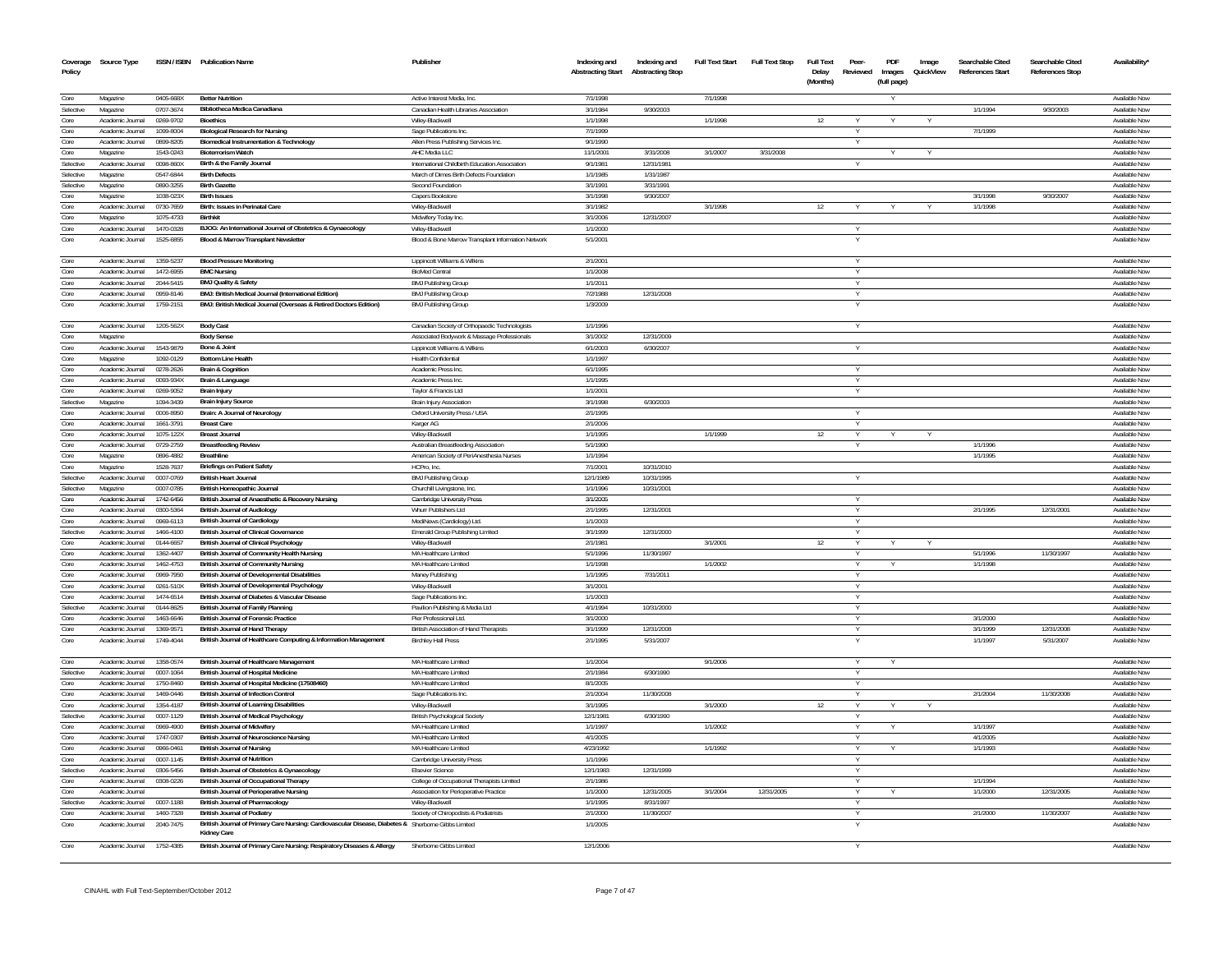| Coverage<br>Policy     | Source Type                          |                        | ISSN / ISBN Publication Name                                                                                              | Publisher                                                            | Indexing and<br><b>Abstracting Start</b> | Indexing and<br><b>Abstracting Stop</b> | <b>Full Text Start</b> | <b>Full Text Stop</b> | <b>Full Text</b><br>Delay<br>(Months) | Peer-<br>Reviewed | <b>PDF</b><br>Images<br>(full page) | Image<br>QuickView | Searchable Cited<br><b>References Start</b> | Searchable Cited<br><b>References Stop</b> | Availability'                         |
|------------------------|--------------------------------------|------------------------|---------------------------------------------------------------------------------------------------------------------------|----------------------------------------------------------------------|------------------------------------------|-----------------------------------------|------------------------|-----------------------|---------------------------------------|-------------------|-------------------------------------|--------------------|---------------------------------------------|--------------------------------------------|---------------------------------------|
| Core                   | Magazine                             | 0405-668X              | <b>Better Nutrition</b>                                                                                                   | Active Interest Media, Inc.                                          | 7/1/1998                                 |                                         | 7/1/1998               |                       |                                       |                   |                                     |                    |                                             |                                            | Available Now                         |
| Selective              | Magazine                             | 0707-3674              | Bibliotheca Medica Canadiana                                                                                              | Canadian Health Libraries Association                                | 3/1/1984                                 | 9/30/2003                               |                        |                       |                                       |                   |                                     |                    | 1/1/1994                                    | 9/30/2003                                  | Available Now                         |
| Core                   | Academic Journal                     | 0269-9702              | <b>Bioethics</b>                                                                                                          | Wiley-Blackwell                                                      | 1/1/1998                                 |                                         | 1/1/1998               |                       | 12                                    |                   |                                     |                    |                                             |                                            | Available Now                         |
| Core                   | Academic Journal                     | 1099-8004              | <b>Biological Research for Nursing</b>                                                                                    | Sage Publications Inc                                                | 7/1/1999                                 |                                         |                        |                       |                                       |                   |                                     |                    | 7/1/1999                                    |                                            | Available Now                         |
| Core                   | Academic Journal                     | 0899-8205              | <b>Biomedical Instrumentation &amp; Technology</b>                                                                        | Allen Press Publishing Services Inc.                                 | 9/1/1990                                 |                                         |                        |                       |                                       |                   |                                     |                    |                                             |                                            | Available Nov                         |
| Core                   | Magazin                              | 1543-0243              | <b>Bioterrorism Watch</b>                                                                                                 | AHC Media LLC                                                        | 11/1/2001                                | 3/31/2008                               | 3/1/2007               | 3/31/2008             |                                       |                   |                                     |                    |                                             |                                            | Available Nov                         |
| Selective              | Academic Journal                     | 0098-860X              | Birth & the Family Journal                                                                                                | International Childbirth Education Association                       | 9/1/1981                                 | 12/31/198                               |                        |                       |                                       |                   |                                     |                    |                                             |                                            | Available Nov                         |
| Selective<br>Selective | Magazine<br>Magazine                 | 0547-6844<br>0890-3255 | <b>Birth Defects</b><br><b>Birth Gazette</b>                                                                              | March of Dimes Birth Defects Foundation<br>Second Foundation         | 1/1/1985<br>3/1/1991                     | 1/31/1987<br>3/31/199                   |                        |                       |                                       |                   |                                     |                    |                                             |                                            | Available Nov<br><b>Available Nov</b> |
| Core                   | Magazine                             | 1038-023X              | <b>Birth Issues</b>                                                                                                       | Capers Bookstore                                                     | 3/1/1998                                 | 9/30/2007                               |                        |                       |                                       |                   |                                     |                    | 3/1/1998                                    | 9/30/2007                                  | Available Nov                         |
| Core                   | Academic Journal                     | 0730-7659              | Birth: Issues in Perinatal Care                                                                                           | Wiley-Blackwell                                                      | 3/1/1982                                 |                                         | 3/1/1998               |                       | 12                                    |                   |                                     |                    | 1/1/1998                                    |                                            | Available Now                         |
| Core                   | Magazine                             | 1075-4733              | Birthkit                                                                                                                  | Midwifery Today Inc                                                  | 3/1/2006                                 | 12/31/2007                              |                        |                       |                                       |                   |                                     |                    |                                             |                                            | Available Nov                         |
| Core                   | Academic Journal                     | 1470-0328              | BJOG: An International Journal of Obstetrics & Gynaecology                                                                | Wilev-Blackwel                                                       | 1/1/2000                                 |                                         |                        |                       |                                       | Y                 |                                     |                    |                                             |                                            | Available Nov                         |
| Core                   | Academic Journal                     | 1525-6855              | Blood & Marrow Transplant Newsletter                                                                                      | Blood & Bone Marrow Transplant Information Network                   | 5/1/2001                                 |                                         |                        |                       |                                       |                   |                                     |                    |                                             |                                            | Available Now                         |
| Core                   | Academic Journal                     | 1359-5237              | <b>Blood Pressure Monitoring</b>                                                                                          | Lippincott Williams & Wilkins                                        | 2/1/2001                                 |                                         |                        |                       |                                       | Y                 |                                     |                    |                                             |                                            | Available Nov                         |
| Core                   | Academic Journal                     | 1472-6955              | <b>BMC Nursing</b>                                                                                                        | <b>BioMed Central</b>                                                | 1/1/2008                                 |                                         |                        |                       |                                       | Y                 |                                     |                    |                                             |                                            | Available Nov                         |
| Core<br>Core           | Academic Journal                     | 2044-5415              | <b>BMJ Quality &amp; Safety</b>                                                                                           | <b>BMJ Publishing Group</b>                                          | 1/1/2011                                 |                                         |                        |                       |                                       | Y<br>$\vee$       |                                     |                    |                                             |                                            | Available Nov                         |
| Core                   | Academic Journal<br>Academic Journal | 0959-8146<br>1759-2151 | BMJ: British Medical Journal (International Edition)<br>BMJ: British Medical Journal (Overseas & Retired Doctors Edition) | <b>BMJ Publishing Group</b><br><b>BMJ Publishing Group</b>           | 7/2/1988<br>1/3/2009                     | 12/31/2008                              |                        |                       |                                       |                   |                                     |                    |                                             |                                            | Available Nov<br>Available Nov        |
| Core                   | Academic Journal                     | 1205-562X              | <b>Body Cast</b>                                                                                                          | Canadian Society of Orthopaedic Technologists                        | 1/1/1996                                 |                                         |                        |                       |                                       |                   |                                     |                    |                                             |                                            | Available Now                         |
| Core                   | Magazine                             |                        | <b>Body Sense</b>                                                                                                         | Associated Bodywork & Massage Professionals                          | 3/1/2002                                 | 12/31/2009                              |                        |                       |                                       |                   |                                     |                    |                                             |                                            | Available Now                         |
| Core                   | Academic Journal                     | 1543-9879              | Bone & Joint                                                                                                              | Lippincott Williams & Wilkins                                        | 6/1/2003                                 | 6/30/2007                               |                        |                       |                                       | v                 |                                     |                    |                                             |                                            | Available Now                         |
| Core                   | Magazine                             | 1092-0129              | <b>Bottom Line Health</b>                                                                                                 | Health Confidential                                                  | 1/1/1997                                 |                                         |                        |                       |                                       |                   |                                     |                    |                                             |                                            | Available Now                         |
| Core                   | Academic Inumal                      | 0278-2626              | <b>Brain &amp; Cognition</b>                                                                                              | Academic Press Inc.                                                  | 6/1/1995                                 |                                         |                        |                       |                                       | $\vee$            |                                     |                    |                                             |                                            | Available Now                         |
| Core                   | Academic Journal                     | 0093-934X              | Brain & Language                                                                                                          | Academic Press Inc                                                   | 1/1/1995                                 |                                         |                        |                       |                                       | Y                 |                                     |                    |                                             |                                            | Available Now                         |
| Core                   | Academic Inurnal                     | 0269-9052              | Brain Injury                                                                                                              | Taylor & Francis Ltd.                                                | 1/1/2001                                 |                                         |                        |                       |                                       |                   |                                     |                    |                                             |                                            | Available Now                         |
| Selective              | Magazine                             | 1094-3439              | <b>Brain Injury Source</b>                                                                                                | Brain Injury Association                                             | 3/1/1998                                 | 6/30/2003                               |                        |                       |                                       |                   |                                     |                    |                                             |                                            | Available Now                         |
| Core                   | Academic Journal                     | 0006-8950<br>1661-3791 | Brain: A Journal of Neurology                                                                                             | Oxford University Press / USA                                        | 2/1/1995                                 |                                         |                        |                       |                                       |                   |                                     |                    |                                             |                                            | Available Nov<br>Available Nov        |
| Core<br>Core           | Academic Journal<br>Academic Journal | 1075-122X              | <b>Breast Care</b><br><b>Breast Journa</b>                                                                                | Karger AG<br>Wiley-Blackwe                                           | 2/1/2006<br>1/1/199                      |                                         | 1/1/1999               |                       | 12                                    |                   |                                     |                    |                                             |                                            | Available Nov                         |
| Core                   | Academic Journal                     | 0729-2759              | <b>Breastfeeding Review</b>                                                                                               | Australian Breastfeeding Association                                 | 5/1/1990                                 |                                         |                        |                       |                                       |                   |                                     |                    | 1/1/1996                                    |                                            | Available Nov                         |
| Core                   | Magazine                             | 0896-4882              | <b>Breathline</b>                                                                                                         | American Society of PeriAnesthesia Nurses                            | 1/1/1994                                 |                                         |                        |                       |                                       |                   |                                     |                    | 1/1/1995                                    |                                            | Available Now                         |
| Core                   | Magazine                             | 1528-7637              | <b>Briefings on Patient Safety</b>                                                                                        | HCPro, Inc                                                           | 7/1/2001                                 | 10/31/2010                              |                        |                       |                                       |                   |                                     |                    |                                             |                                            | Available Nov                         |
| Selective              | Academic Journal                     | 0007-0769              | <b>British Heart Journal</b>                                                                                              | <b>BMJ Publishing Group</b>                                          | 12/1/1989                                | 10/31/1995                              |                        |                       |                                       |                   |                                     |                    |                                             |                                            | Available Now                         |
| Selective              | Magazine                             | 0007-0785              | <b>British Homeopathic Journal</b>                                                                                        | Churchill Livingstone, Inc.                                          | 1/1/1996                                 | 10/31/2001                              |                        |                       |                                       |                   |                                     |                    |                                             |                                            | Available Now                         |
| Core                   | Academic Journal                     | 1742-6456              | British Journal of Anaesthetic & Recovery Nursing                                                                         | Cambridge University Press                                           | 3/1/2005                                 |                                         |                        |                       |                                       |                   |                                     |                    |                                             |                                            | Available Now                         |
| Core                   | Academic Journal                     | 0300-5364              | <b>British Journal of Audiology</b>                                                                                       | Whurr Publishers Ltd                                                 | 2/1/1995                                 | 12/31/2001                              |                        |                       |                                       | Y                 |                                     |                    | 2/1/1995                                    | 12/31/2001                                 | Available Now                         |
| Core<br>Selective      | Academic Journal                     | 0969-6113              | <b>British Journal of Cardiology</b>                                                                                      | MediNews (Cardiology) Ltd.                                           | 1/1/2003                                 |                                         |                        |                       |                                       |                   |                                     |                    |                                             |                                            | Available Now                         |
| Core                   | Academic Journal<br>Academic Journal | 1466-4100<br>0144-6657 | <b>British Journal of Clinical Governance</b><br><b>British Journal of Clinical Psychology</b>                            | Emerald Group Publishing Limited<br>Wiley-Blackwell                  | 3/1/1999<br>2/1/1981                     | 12/31/2000                              | 3/1/2001               |                       | 12                                    | Y<br>Y            |                                     |                    |                                             |                                            | Available Now<br>Available Now        |
| Core                   | Academic Journal                     | 1362-4407              | British Journal of Community Health Nursing                                                                               | MA Healthcare Limited                                                | 5/1/1996                                 | 11/30/1997                              |                        |                       |                                       |                   |                                     |                    | 5/1/1996                                    | 11/30/1997                                 | Available Now                         |
| Core                   | Academic Journal                     | 1462-4753              | <b>British Journal of Community Nursing</b>                                                                               | MA Healthcare Limited                                                | 1/1/1998                                 |                                         | 1/1/2002               |                       |                                       |                   |                                     |                    | 1/1/1998                                    |                                            | Available Now                         |
| Core                   | Academic Journal                     | 0969-7950              | <b>British Journal of Developmental Disabilities</b>                                                                      | Maney Publishing                                                     | 1/1/1995                                 | 7/31/2011                               |                        |                       |                                       | Y                 |                                     |                    |                                             |                                            | Available Now                         |
| Core                   | Academic Journal                     | 0261-510X              | <b>British Journal of Developmental Psychology</b>                                                                        | Wilev-Blackwell                                                      | 3/1/2001                                 |                                         |                        |                       |                                       |                   |                                     |                    |                                             |                                            | Available Now                         |
| Core                   | Academic Journal                     | 1474-6514              | British Journal of Diabetes & Vascular Disease                                                                            | Sage Publications Inc.                                               | 1/1/2003                                 |                                         |                        |                       |                                       | Y.                |                                     |                    |                                             |                                            | Available Now                         |
| Selective              | Academic Journal                     | 0144-8625              | <b>British Journal of Family Planning</b>                                                                                 | Pavilion Publishing & Media Ltd                                      | 4/1/1994                                 | 10/31/2000                              |                        |                       |                                       |                   |                                     |                    |                                             |                                            | Available Now                         |
| Core<br>Core           | Academic Journal                     | 1463-6646<br>1369-9571 | <b>British Journal of Forensic Practice</b><br><b>British Journal of Hand Therapy</b>                                     | Pier Professional Ltd.                                               | 3/1/2000<br>3/1/1999                     |                                         |                        |                       |                                       | Y                 |                                     |                    | 3/1/2000                                    |                                            | Available Now                         |
| Core                   | Academic Journal<br>Academic Journal | 1749-4044              | British Journal of Healthcare Computing & Information Management                                                          | British Association of Hand Therapists<br><b>Birchley Hall Press</b> | 2/1/1995                                 | 12/31/2008<br>5/31/2007                 |                        |                       |                                       |                   |                                     |                    | 3/1/1999<br>1/1/1997                        | 12/31/2008<br>5/31/2007                    | Available Now<br>Available Now        |
| Core                   | Academic Journal                     | 1358-0574              | <b>British Journal of Healthcare Management</b>                                                                           | MA Healthcare Limited                                                | 1/1/2004                                 |                                         | 9/1/2006               |                       |                                       |                   | Y                                   |                    |                                             |                                            | Available Now                         |
| Selective              | Academic Journal                     | 0007-1064              | <b>British Journal of Hospital Medicine</b>                                                                               | MA Healthcare Limited                                                | 2/1/1984                                 | 6/30/1990                               |                        |                       |                                       | Y                 |                                     |                    |                                             |                                            | Available Now                         |
| Core                   | Academic Journal                     | 1750-8460              | British Journal of Hospital Medicine (17508460)                                                                           | MA Healthcare Limited                                                | 8/1/2005                                 |                                         |                        |                       |                                       |                   |                                     |                    |                                             |                                            | Available Now                         |
| Core                   | Academic Journal                     | 1469-0446              | British Journal of Infection Control                                                                                      | Sage Publications Inc.                                               | 2/1/2004                                 | 11/30/2008                              |                        |                       |                                       |                   |                                     |                    | 2/1/2004                                    | 11/30/2008                                 | Available Now                         |
| Core                   | Academic Inumal                      | 1354-4187              | <b>British Journal of Learning Disabilities</b>                                                                           | Wiley-Blackwell                                                      | 3/1/1995                                 |                                         | 3/1/2000               |                       | 12                                    |                   |                                     |                    |                                             |                                            | Available Now                         |
| Selective              | Academic Journal                     | 0007-1129              | <b>British Journal of Medical Psychology</b>                                                                              | <b>British Psychological Society</b>                                 | 12/1/1981                                | 6/30/1990                               |                        |                       |                                       |                   |                                     |                    |                                             |                                            | Available Nov                         |
| Core                   | Academic Journal                     | 0969-4900              | <b>British Journal of Midwifery</b>                                                                                       | MA Healthcare Limited                                                | 1/1/1997                                 |                                         | 1/1/2002               |                       |                                       | V                 |                                     |                    | 1/1/1997                                    |                                            | Available Now                         |
| Core                   | Academic Journal                     | 1747-0307              | <b>British Journal of Neuroscience Nursing</b>                                                                            | MA Healthcare Limited                                                | 4/1/2005                                 |                                         |                        |                       |                                       |                   |                                     |                    | 4/1/2005                                    |                                            | Available Now                         |
| Core<br>Core           | Academic Journal<br>Academic Journal | 0966-0461<br>0007-1145 | <b>British Journal of Nursing</b><br><b>British Journal of Nutrition</b>                                                  | MA Healthcare Limited<br>Cambridge University Press                  | 4/23/1992<br>1/1/1996                    |                                         | 1/1/1992               |                       |                                       | V                 |                                     |                    | 1/1/1993                                    |                                            | Available Now<br>Available Nov        |
| Selective              | Academic Journal                     | 0306-5456              | British Journal of Obstetrics & Gynaecology                                                                               | <b>Elsevier Science</b>                                              | 12/1/1983                                | 12/31/1999                              |                        |                       |                                       | v                 |                                     |                    |                                             |                                            | Available Nov                         |
| Core                   | Academic Journal                     | 0308-0226              | <b>British Journal of Occupational Therapy</b>                                                                            | College of Occupational Therapists Limited                           | 2/1/1986                                 |                                         |                        |                       |                                       |                   |                                     |                    | 1/1/1994                                    |                                            | Available Now                         |
| Core                   | Academic Journa                      |                        | <b>British Journal of Perioperative Nursing</b>                                                                           | Association for Perioperative Practice                               | 1/1/2000                                 | 12/31/2005                              | 3/1/2004               | 12/31/2005            |                                       |                   |                                     |                    | 1/1/2000                                    | 12/31/2005                                 | Available Nov                         |
| Selective              | Academic Journal                     | 0007-1188              | <b>British Journal of Pharmacology</b>                                                                                    | Wiley-Blackwell                                                      | 1/1/1995                                 | 8/31/1997                               |                        |                       |                                       |                   |                                     |                    |                                             |                                            | Available Nov                         |
| Core                   | Academic Journal                     | 1460-7328              | <b>British Journal of Podiatry</b>                                                                                        | Society of Chiropodists & Podiatrists                                | 2/1/2000                                 | 11/30/2007                              |                        |                       |                                       |                   |                                     |                    | 2/1/2000                                    | 11/30/2007                                 | Available Nov                         |
| Core                   | Academic Journal                     | 2040-7475              | British Journal of Primary Care Nursing: Cardiovascular Disease, Diabetes & Sherborne Gibbs Limited<br><b>Kidney Care</b> |                                                                      | 1/1/2005                                 |                                         |                        |                       |                                       |                   |                                     |                    |                                             |                                            | Available Now                         |
| Core                   | Academic Journal                     | 1752-4385              | British Journal of Primary Care Nursing: Respiratory Diseases & Allergy                                                   | Sherborne Gibbs Limited                                              | 12/1/2006                                |                                         |                        |                       |                                       |                   |                                     |                    |                                             |                                            | Available Now                         |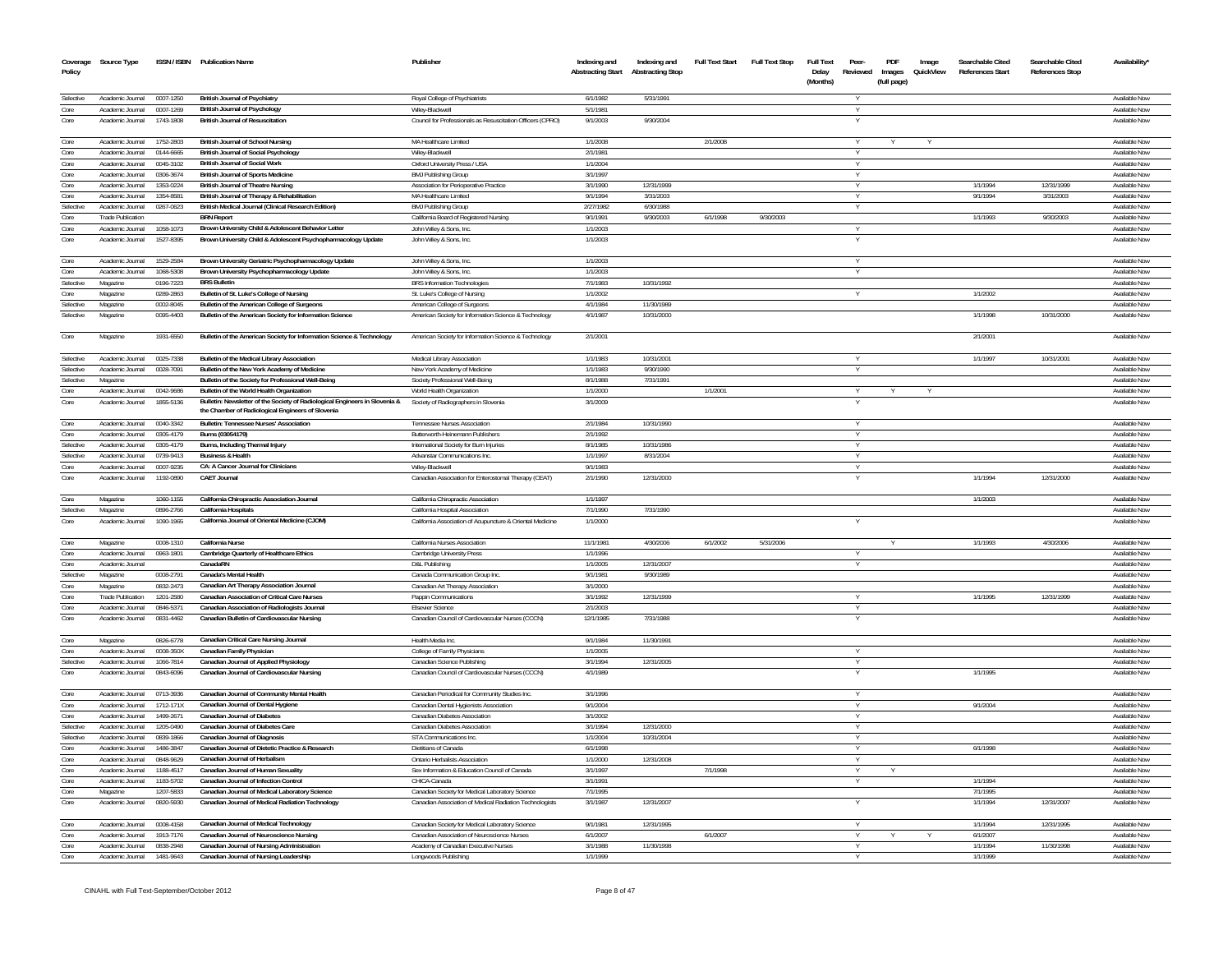| Policy       | Coverage Source Type                 |                        | ISSN / ISBN Publication Name                                                    | Publisher                                                                | Indexing and<br><b>Abstracting Start</b> | Indexing and<br><b>Abstracting Stop</b> | <b>Full Text Start</b> | <b>Full Text Stop</b> | <b>Full Text</b><br>Delay<br>(Months) | Peer-<br>Reviewed | PDF<br>Images<br>(full page) | Image<br>QuickView | Searchable Cited<br>References Start | Searchable Cited<br><b>References Stop</b> | Availability'                  |
|--------------|--------------------------------------|------------------------|---------------------------------------------------------------------------------|--------------------------------------------------------------------------|------------------------------------------|-----------------------------------------|------------------------|-----------------------|---------------------------------------|-------------------|------------------------------|--------------------|--------------------------------------|--------------------------------------------|--------------------------------|
|              |                                      |                        |                                                                                 |                                                                          |                                          |                                         |                        |                       |                                       |                   |                              |                    |                                      |                                            |                                |
| Selective    | Academic Journal                     | 0007-1250              | British Journal of Psychiatry                                                   | Royal College of Psychiatrists                                           | 6/1/1982                                 | 5/31/1991                               |                        |                       |                                       |                   |                              |                    |                                      |                                            | Available Now                  |
| Core<br>Core | Academic Journal<br>Academic Journal | 0007-1269<br>1743-1808 | <b>British Journal of Psychology</b><br><b>British Journal of Resuscitation</b> | Wiley-Blackwell                                                          | 5/1/1981                                 | 9/30/2004                               |                        |                       |                                       |                   |                              |                    |                                      |                                            | Available Now<br>Available Now |
|              |                                      |                        |                                                                                 | Council for Professionals as Resuscitation Officers (CPRO)               | 9/1/2003                                 |                                         |                        |                       |                                       |                   |                              |                    |                                      |                                            |                                |
| Core         | Academic Journal                     | 1752-2803              | <b>British Journal of School Nursing</b>                                        | MA Healthcare Limited                                                    | 1/1/2008                                 |                                         | 2/1/2008               |                       |                                       |                   |                              |                    |                                      |                                            | Available Now                  |
| Core         | Academic Journal                     | 0144-6665              | <b>British Journal of Social Psychology</b>                                     | Wiley-Blackwell                                                          | 2/1/1981                                 |                                         |                        |                       |                                       |                   |                              |                    |                                      |                                            | Available Now                  |
| Core         | Academic Journal                     | 0045-3102              | <b>British Journal of Social Work</b>                                           | Oxford University Press / USA                                            | 1/1/2004                                 |                                         |                        |                       |                                       | Y                 |                              |                    |                                      |                                            | Available Now                  |
| Core         | Academic Journal                     | 0306-3674              | <b>British Journal of Sports Medicine</b>                                       | <b>BMJ Publishing Group</b>                                              | 3/1/1997                                 |                                         |                        |                       |                                       |                   |                              |                    |                                      |                                            | Available Now                  |
| Core         | Academic Journal                     | 1353-0224              | <b>British Journal of Theatre Nursing</b>                                       | Association for Perioperative Practice                                   | 3/1/1990                                 | 12/31/1999                              |                        |                       |                                       | $\vee$            |                              |                    | 1/1/1994                             | 12/31/1999                                 | Available Now                  |
| Core         | Academic Journal                     | 1354-8581              | British Journal of Therapy & Rehabilitation                                     | MA Healthcare Limited                                                    | 9/1/1994                                 | 3/31/2003                               |                        |                       |                                       | $\vee$            |                              |                    | 9/1/1994                             | 3/31/2003                                  | Available Now                  |
| Selective    | Academic Journal                     | 0267-0623              | British Medical Journal (Clinical Research Edition)                             | <b>BMJ Publishing Group</b>                                              | 2/27/1982                                | 6/30/1988                               |                        |                       |                                       |                   |                              |                    |                                      |                                            | Available Now                  |
| Core         | <b>Trade Publication</b>             |                        | <b>BRN</b> Report                                                               | California Board of Registered Nursing                                   | 9/1/1991                                 | 9/30/2003                               | 6/1/1998               | 9/30/2003             |                                       |                   |                              |                    | 1/1/1993                             | 9/30/2003                                  | Available Now                  |
| Core         | Academic Journal                     | 1058-1073              | Brown University Child & Adolescent Behavior Letter                             | John Wiley & Sons, Inc.                                                  | 1/1/2003                                 |                                         |                        |                       |                                       |                   |                              |                    |                                      |                                            | Available Now                  |
| Core         | Academic Journal                     | 1527-8395              | Brown University Child & Adolescent Psychopharmacology Update                   | John Wiley & Sons, Inc.                                                  | 1/1/2003                                 |                                         |                        |                       |                                       |                   |                              |                    |                                      |                                            | Available Nov                  |
| Core         | Academic Journal                     | 1529-2584              | Brown University Geriatric Psychopharmacology Update                            | John Wiley & Sons, Inc.                                                  | 1/1/2003                                 |                                         |                        |                       |                                       |                   |                              |                    |                                      |                                            | Available Nov                  |
| Core         | Academic Journal                     | 1068-5308              | Brown University Psychopharmacology Update                                      | John Wiley & Sons, Inc.                                                  | 1/1/2003                                 |                                         |                        |                       |                                       |                   |                              |                    |                                      |                                            | Available Now                  |
| Selective    | Magazine                             | 0196-7223              | <b>BRS Bulletin</b>                                                             | <b>BRS</b> Information Technologies                                      | 7/1/1983                                 | 10/31/1992                              |                        |                       |                                       |                   |                              |                    |                                      |                                            | Available Now                  |
| Core         | Magazine                             | 0289-2863              | Bulletin of St. Luke's College of Nursing                                       | St. Luke's College of Nursing                                            | 1/1/2002                                 |                                         |                        |                       |                                       |                   |                              |                    | 1/1/2002                             |                                            | Available Now                  |
| Selective    | Magazine                             | 0002-8045              | Bulletin of the American College of Surgeons                                    | American College of Surgeons                                             | 4/1/1984                                 | 11/30/1989                              |                        |                       |                                       |                   |                              |                    |                                      |                                            | Available Now                  |
| Selective    | Magazine                             | 0095-4403              | Bulletin of the American Society for Information Science                        | American Society for Information Science & Technology                    | 4/1/1987                                 | 10/31/2000                              |                        |                       |                                       |                   |                              |                    | 1/1/1998                             | 10/31/2000                                 | Available Now                  |
|              |                                      |                        |                                                                                 |                                                                          |                                          |                                         |                        |                       |                                       |                   |                              |                    |                                      |                                            |                                |
| Core         | Magazine                             | 1931-6550              | Bulletin of the American Society for Information Science & Technology           | American Society for Information Science & Technology                    | 2/1/2001                                 |                                         |                        |                       |                                       |                   |                              |                    | 2/1/2001                             |                                            | Available Nov                  |
| Selective    | Academic Journal 0025-7338           |                        | Bulletin of the Medical Library Association                                     | Medical Library Association                                              | 1/1/1983                                 | 10/31/2001                              |                        |                       |                                       |                   |                              |                    | 1/1/1997                             | 10/31/2001                                 | Available Now                  |
| Selective    | Academic Journal                     | 0028-7091              | Bulletin of the New York Academy of Medicine                                    | New York Academy of Medicine                                             | 1/1/1983                                 | 9/30/1990                               |                        |                       |                                       |                   |                              |                    |                                      |                                            | Available Now                  |
| Selective    | Magazine                             |                        | Bulletin of the Society for Professional Well-Being                             | Society Professional Well-Being                                          | 8/1/1988                                 | 7/31/1991                               |                        |                       |                                       |                   |                              |                    |                                      |                                            | Available Now                  |
| Core         | Academic Journal                     | 0042-9686              | Bulletin of the World Health Organization                                       | World Health Organization                                                | 1/1/2000                                 |                                         | 1/1/2001               |                       |                                       |                   |                              |                    |                                      |                                            | Available Now                  |
| Core         | Academic Journal                     | 1855-5136              | Bulletin: Newsletter of the Society of Radiological Engineers in Slovenia &     | Society of Radiographers in Slovenia                                     | 3/1/2009                                 |                                         |                        |                       |                                       |                   |                              |                    |                                      |                                            | Available Nov                  |
|              |                                      |                        | the Chamber of Radiological Engineers of Slovenia                               |                                                                          |                                          |                                         |                        |                       |                                       |                   |                              |                    |                                      |                                            |                                |
| Core<br>Core | Academic Journal                     | 0040-3342<br>0305-4179 | <b>Bulletin: Tennessee Nurses' Association</b><br>Burns (03054179)              | Tennessee Nurses Association                                             | 2/1/1984                                 | 10/31/1990                              |                        |                       |                                       |                   |                              |                    |                                      |                                            | Available Now                  |
| Selective    | Academic Journal<br>Academic Journal | 0305-4179              |                                                                                 | Butterworth-Heinemann Publishers                                         | 2/1/1992<br>8/1/1985                     | 10/31/1986                              |                        |                       |                                       | $\vee$            |                              |                    |                                      |                                            | Available Now<br>Available Now |
| Selective    | Academic Journal                     | 0739-9413              | Burns, Including Thermal Injury<br><b>Business &amp; Health</b>                 | International Society for Burn Injuries<br>Advanstar Communications Inc. | 1/1/1997                                 | 8/31/2004                               |                        |                       |                                       | $\vee$            |                              |                    |                                      |                                            | Available Now                  |
| Core         | Academic Journal                     | 0007-9235              | CA: A Cancer Journal for Clinicians                                             | Wilev-Blackwell                                                          | 9/1/1983                                 |                                         |                        |                       |                                       | $\vee$            |                              |                    |                                      |                                            | Available Now                  |
| Core         | Academic Journal                     | 1192-0890              | <b>CAET Journal</b>                                                             | Canadian Association for Enterostomal Therapy (CEAT)                     | 2/1/1990                                 | 12/31/2000                              |                        |                       |                                       | $\vee$            |                              |                    | 1/1/1994                             | 12/31/2000                                 | Available Now                  |
|              |                                      |                        |                                                                                 |                                                                          |                                          |                                         |                        |                       |                                       |                   |                              |                    |                                      |                                            |                                |
| Core         | Magazine                             | 1060-1155              | California Chiropractic Association Journal                                     | California Chiropractic Association                                      | 1/1/1997                                 |                                         |                        |                       |                                       |                   |                              |                    | 1/1/2003                             |                                            | Available Now                  |
| Selective    | Magazine                             | 0896-2766              | <b>California Hospitals</b>                                                     | California Hospital Association                                          | 7/1/1990                                 | 7/31/1990                               |                        |                       |                                       |                   |                              |                    |                                      |                                            | Available Now                  |
| Core         | Academic Journal                     | 1090-1965              | California Journal of Oriental Medicine (CJOM)                                  | California Association of Acupuncture & Oriental Medicine                | 1/1/2000                                 |                                         |                        |                       |                                       |                   |                              |                    |                                      |                                            | Available Now                  |
| Core         | Magazine                             | 0008-1310              | California Nurse                                                                | California Nurses Association                                            | 11/1/1981                                | 4/30/2006                               | 6/1/2002               | 5/31/2006             |                                       |                   |                              |                    | 1/1/1993                             | 4/30/2006                                  | Available Now                  |
| Core         | Academic Journal                     | 0963-1801              | Cambridge Quarterly of Healthcare Ethics                                        | Cambridge University Press                                               | 1/1/1996                                 |                                         |                        |                       |                                       |                   |                              |                    |                                      |                                            | Available Now                  |
| Core         | Academic Journal                     |                        | CanadaRN                                                                        | D&L Publishing                                                           | 1/1/2005                                 | 12/31/2007                              |                        |                       |                                       | Y                 |                              |                    |                                      |                                            | Available Now                  |
| Selective    | Magazine                             | 0008-2791              | Canada's Mental Health                                                          | Canada Communication Group Inc.                                          | 9/1/1981                                 | 9/30/1989                               |                        |                       |                                       |                   |                              |                    |                                      |                                            | Available Now                  |
| Core         | Magazine                             | 0832-2473              | Canadian Art Therapy Association Journal                                        | Canadian Art Therapy Association                                         | 3/1/2000                                 |                                         |                        |                       |                                       |                   |                              |                    |                                      |                                            | Available Now                  |
| Core         | <b>Trade Publication</b>             | 1201-2580              | <b>Canadian Association of Critical Care Nurses</b>                             | Pappin Communications                                                    | 3/1/1992                                 | 12/31/1999                              |                        |                       |                                       | v                 |                              |                    | 1/1/1995                             | 12/31/1999                                 | Available Now                  |
| Core         | Academic Journal                     | 0846-5371              | Canadian Association of Radiologists Journal                                    | <b>Fisevier Science</b>                                                  | 2/1/2003                                 |                                         |                        |                       |                                       | Y                 |                              |                    |                                      |                                            | Available Now                  |
| Core         | Academic Journal                     | 0831-4462              | Canadian Bulletin of Cardiovascular Nursing                                     | Canadian Council of Cardiovascular Nurses (CCCN)                         | 12/1/1985                                | 7/31/1988                               |                        |                       |                                       |                   |                              |                    |                                      |                                            | Available Now                  |
|              |                                      |                        |                                                                                 |                                                                          |                                          |                                         |                        |                       |                                       |                   |                              |                    |                                      |                                            |                                |
| Core         | Magazine                             | 0826-6778              | Canadian Critical Care Nursing Journal                                          | Health Media Inc.                                                        | 9/1/1984                                 | 11/30/1991                              |                        |                       |                                       |                   |                              |                    |                                      |                                            | Available Now                  |
| Core         | Academic Journal                     | 0008-350X              | Canadian Family Physician                                                       | College of Family Physicians                                             | 1/1/2005                                 |                                         |                        |                       |                                       |                   |                              |                    |                                      |                                            | Available Now                  |
| Selective    | Academic Journal                     | 1066-7814              | Canadian Journal of Applied Physiology                                          | Canadian Science Publishing                                              | 3/1/1994                                 | 12/31/2005                              |                        |                       |                                       |                   |                              |                    |                                      |                                            | Available Now                  |
| Core         | Academic Journal                     | 0843-6096              | Canadian Journal of Cardiovascular Nursing                                      | Canadian Council of Cardiovascular Nurses (CCCN)                         | 4/1/1989                                 |                                         |                        |                       |                                       |                   |                              |                    | 1/1/1995                             |                                            | Available Nov                  |
| Core         | Academic Journal                     | 0713-3936              | Canadian Journal of Community Mental Health                                     | Canadian Periodical for Community Studies Inc.                           | 3/1/1996                                 |                                         |                        |                       |                                       |                   |                              |                    |                                      |                                            | Available Now                  |
| Core         | Academic Journal                     | 1712-171X              | Canadian Journal of Dental Hygiene                                              | Canadian Dental Hygienists Association                                   | 9/1/2004                                 |                                         |                        |                       |                                       |                   |                              |                    | 9/1/2004                             |                                            | Available Now                  |
| Core         | Academic Journal                     | 1499-2671              | Canadian Journal of Diabetes                                                    | <b>Canadian Diabetes Association</b>                                     | 3/1/2002                                 |                                         |                        |                       |                                       | Y                 |                              |                    |                                      |                                            | Available Now                  |
| Selective    | Academic Journal                     | 1205-0490              | <b>Canadian Journal of Diabetes Care</b>                                        | Canadian Diabetes Association                                            | 3/1/1994                                 | 12/31/2000                              |                        |                       |                                       | Y                 |                              |                    |                                      |                                            | Available Now                  |
| Selective    | Academic Journal                     | 0839-1866              | Canadian Journal of Diagnosis                                                   | STA Communications Inc.                                                  | 1/1/2004                                 | 10/31/2004                              |                        |                       |                                       | Y                 |                              |                    |                                      |                                            | Available Now                  |
| Core         | Academic Journal                     | 1486-3847              | Canadian Journal of Dietetic Practice & Research                                | Dietitians of Canada                                                     | 6/1/1998                                 |                                         |                        |                       |                                       |                   |                              |                    | 6/1/1998                             |                                            | Available Now                  |
| Core         | Academic Journal                     | 0848-9629              | Canadian Journal of Herbalism                                                   | Ontario Herbalists Association                                           | 1/1/2000                                 | 12/31/2008                              |                        |                       |                                       | v                 |                              |                    |                                      |                                            | Available Now                  |
| Core         | Academic Journal                     | 1188-4517              | Canadian Journal of Human Sexuality                                             | Sex Information & Education Council of Canada                            | 3/1/1997                                 |                                         | 7/1/1998               |                       |                                       | Y                 |                              |                    |                                      |                                            | Available Now                  |
| Core         | Academic Journal                     | 1183-5702              | Canadian Journal of Infection Control                                           | CHICA-Canada                                                             | 3/1/199                                  |                                         |                        |                       |                                       |                   |                              |                    | 1/1/1994                             |                                            | Available Now                  |
| Core         | Magazine                             | 1207-5833              | Canadian Journal of Medical Laboratory Science                                  | Canadian Society for Medical Laboratory Science                          | 7/1/1995                                 |                                         |                        |                       |                                       |                   |                              |                    | 7/1/1995                             |                                            | Available Now                  |
| Core         | Academic Journal                     | 0820-5930              | Canadian Journal of Medical Radiation Technology                                | Canadian Association of Medical Radiation Technologists                  | 3/1/1987                                 | 12/31/2007                              |                        |                       |                                       |                   |                              |                    | 1/1/1994                             | 12/31/2007                                 | Available Now                  |
|              |                                      |                        |                                                                                 |                                                                          |                                          |                                         |                        |                       |                                       |                   |                              |                    |                                      |                                            |                                |
| Core         | Academic Journal                     | 0008-4158              | Canadian Journal of Medical Technology                                          | Canadian Society for Medical Laboratory Science                          | 9/1/1981                                 | 12/31/1995                              |                        |                       |                                       |                   |                              |                    | 1/1/1994                             | 12/31/1995                                 | Available Now                  |
| Core         | Academic Journal                     | 1913-7176              | Canadian Journal of Neuroscience Nursing                                        | Canadian Association of Neuroscience Nurses                              | 6/1/2007                                 |                                         | 6/1/2007               |                       |                                       | Y                 |                              |                    | 6/1/2007                             |                                            | Available Now                  |
| Core         | Academic Journal                     | 0838-2948              | Canadian Journal of Nursing Administration                                      | Academy of Canadian Executive Nurses                                     | 3/1/1988                                 | 11/30/1998                              |                        |                       |                                       |                   |                              |                    | 1/1/1994                             | 11/30/1998                                 | Available Now                  |
| Core         | Academic Journal                     | 1481-9643              | Canadian Journal of Nursing Leadership                                          | Longwoods Publishing                                                     | 1/1/1999                                 |                                         |                        |                       |                                       |                   |                              |                    | 1/1/1999                             |                                            | Available Now                  |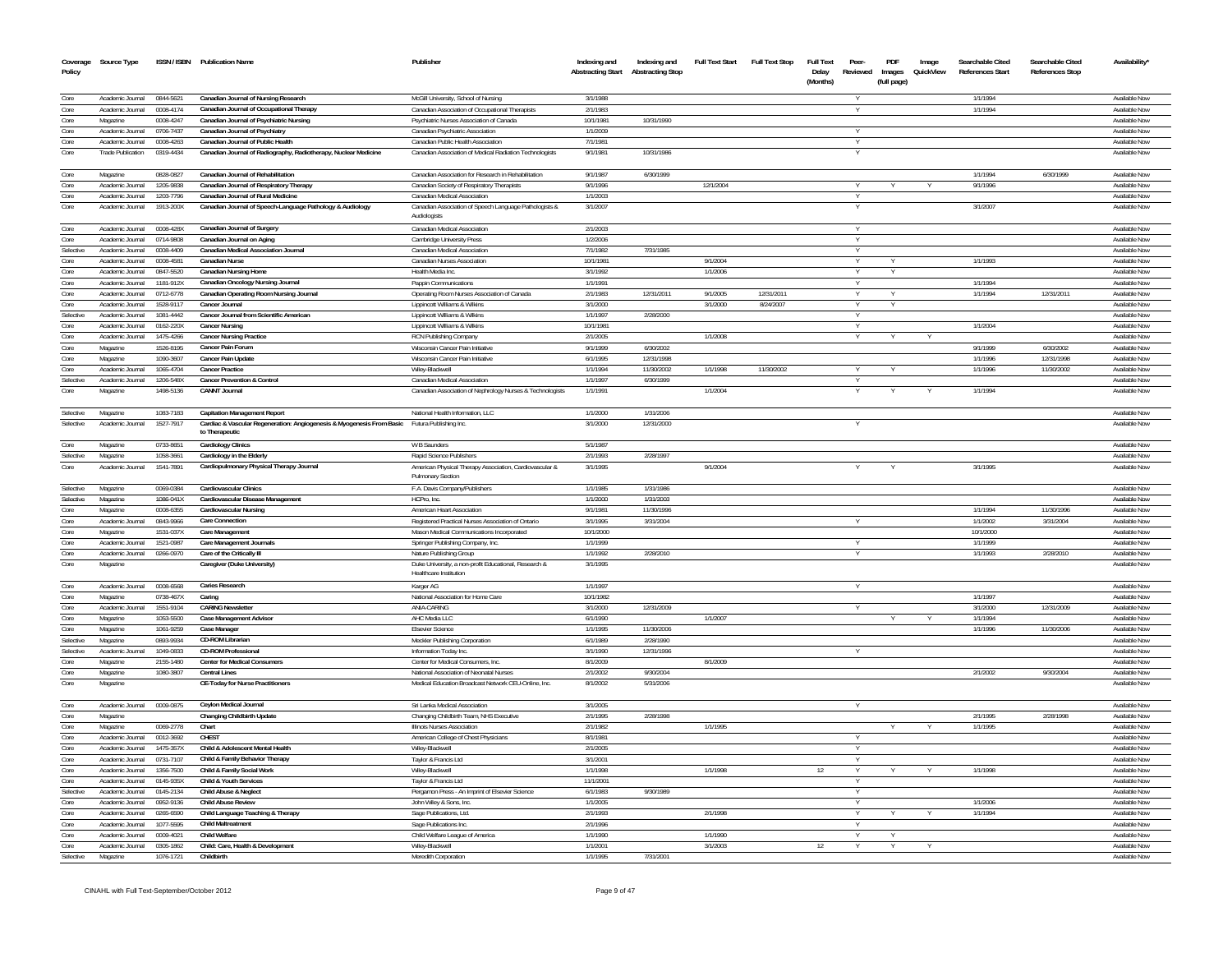| Coverage<br>Policy | Source Type                  |                        | ISSN / ISBN Publication Name                                                                 | Publisher                                                                                   | Indexing and<br><b>Abstracting Start</b> | Indexing and<br><b>Abstracting Stop</b> | <b>Full Text Start</b> | Full Text Stop | <b>Full Text</b><br>Delay<br>(Months) | Peer-<br>Reviewed | PDF<br>Images<br>(full page) | Image<br>QuickView | Searchable Cited<br><b>References Start</b> | Searchable Cited<br><b>References Stop</b> | Availability'                         |
|--------------------|------------------------------|------------------------|----------------------------------------------------------------------------------------------|---------------------------------------------------------------------------------------------|------------------------------------------|-----------------------------------------|------------------------|----------------|---------------------------------------|-------------------|------------------------------|--------------------|---------------------------------------------|--------------------------------------------|---------------------------------------|
|                    |                              |                        |                                                                                              |                                                                                             |                                          |                                         |                        |                |                                       |                   |                              |                    |                                             |                                            |                                       |
| Core               | Academic Journal             | 0844-5621              | Canadian Journal of Nursing Research                                                         | McGill University, School of Nursing                                                        | 3/1/1988                                 |                                         |                        |                |                                       |                   |                              |                    | 1/1/1994                                    |                                            | <b>Available Now</b>                  |
| Core<br>Core       | Academic Journal<br>Magazine | 0008-4174<br>0008-4247 | Canadian Journal of Occupational Therapy<br>Canadian Journal of Psychiatric Nursing          | Canadian Association of Occupational Therapists<br>Psychiatric Nurses Association of Canada | 2/1/1983<br>10/1/1981                    | 10/31/1990                              |                        |                |                                       |                   |                              |                    | 1/1/1994                                    |                                            | Available Nov<br><b>Available Now</b> |
| Core               | Academic Journal             | 0706-7437              | Canadian Journal of Psychiatry                                                               | Canadian Psychiatric Association                                                            | 1/1/2009                                 |                                         |                        |                |                                       |                   |                              |                    |                                             |                                            |                                       |
| Core               | Academic Journal             | 0008-4263              | Canadian Journal of Public Health                                                            | Canadian Public Health Association                                                          | 7/1/1981                                 |                                         |                        |                |                                       |                   |                              |                    |                                             |                                            | Available Nov<br><b>Available Nov</b> |
| Core               | <b>Trade Publication</b>     | 0319-4434              | Canadian Journal of Radiography, Radiotherapy, Nuclear Medicine                              | Canadian Association of Medical Radiation Technologists                                     | 9/1/1981                                 | 10/31/1986                              |                        |                |                                       |                   |                              |                    |                                             |                                            | Available Nov                         |
|                    |                              |                        |                                                                                              |                                                                                             |                                          |                                         |                        |                |                                       |                   |                              |                    |                                             |                                            |                                       |
| Core               | Magazine                     | 0828-0827              | Canadian Journal of Rehabilitation                                                           | Canadian Association for Research in Rehabilitation                                         | 9/1/1987                                 | 6/30/1999                               |                        |                |                                       |                   |                              |                    | 1/1/1994                                    | 6/30/1999                                  | Available Nov                         |
| Core               | Academic Journal             | 1205-9838              | Canadian Journal of Respiratory Therapy                                                      | Canadian Society of Respiratory Therapists                                                  | 9/1/1996                                 |                                         | 12/1/2004              |                |                                       | Y                 |                              | Y                  | 9/1/1996                                    |                                            | Available Now                         |
| Core               | Academic Journal             | 1203-7796              | Canadian Journal of Rural Medicine                                                           | Canadian Medical Association                                                                | 1/1/2003                                 |                                         |                        |                |                                       |                   |                              |                    |                                             |                                            | Available Nov                         |
| Core               | Academic Journal             | 1913-200X              | Canadian Journal of Speech-Language Pathology & Audiology                                    | Canadian Association of Speech Language Pathologists &<br>Audiologists                      | 3/1/2007                                 |                                         |                        |                |                                       |                   |                              |                    | 3/1/2007                                    |                                            | Available Nov                         |
| Core               | Academic Journal             | 0008-428X              |                                                                                              | Canadian Medical Association                                                                | 2/1/2003                                 |                                         |                        |                |                                       | <b>V</b>          |                              |                    |                                             |                                            | Available Nov                         |
| Core               | Academic Journal             | 0714-9808              | Canadian Journal of Surgery<br>Canadian Journal on Aging                                     | Cambridge University Press                                                                  | 1/2/2006                                 |                                         |                        |                |                                       |                   |                              |                    |                                             |                                            | Available Nov                         |
| Selective          | Academic Journal             | 0008-4409              | Canadian Medical Association Journal                                                         | Canadian Medical Association                                                                | 7/1/1982                                 | 7/31/1985                               |                        |                |                                       |                   |                              |                    |                                             |                                            | Available Nov                         |
| Core               | Academic Journal             | 0008-4581              | <b>Canadian Nurse</b>                                                                        | Canadian Nurses Association                                                                 | 10/1/1981                                |                                         | 9/1/2004               |                |                                       |                   |                              |                    | 1/1/1993                                    |                                            | Available Nov                         |
| Core               | Academic Journal             | 0847-5520              | <b>Canadian Nursing Home</b>                                                                 | Health Media Inc.                                                                           | 3/1/1992                                 |                                         | 1/1/2006               |                |                                       |                   | Υ                            |                    |                                             |                                            | Available Nov                         |
| Core               | Academic Journal             | 1181-912X              | Canadian Oncology Nursing Journal                                                            | Pappin Communications                                                                       | 1/1/1991                                 |                                         |                        |                |                                       |                   |                              |                    | 1/1/1994                                    |                                            | Available Nov                         |
| Core               | Academic Journal             | 0712-6778              | Canadian Operating Room Nursing Journal                                                      | Operating Room Nurses Association of Canada                                                 | 2/1/1983                                 | 12/31/2011                              | 9/1/2005               | 12/31/2011     |                                       | Y                 | Y                            |                    | 1/1/1994                                    | 12/31/2011                                 | Available Nov                         |
| Core               | Academic Journal             | 1528-9117              | Cancer Journal                                                                               | Lippincott Williams & Wilkins                                                               | 3/1/2000                                 |                                         | 3/1/2000               | 8/24/2007      |                                       |                   | Y                            |                    |                                             |                                            | Available Nov                         |
| Selective          | Academic Journal             | 1081-4442              | Cancer Journal from Scientific American                                                      | Lippincott Williams & Wilkins                                                               | 1/1/1997                                 | 2/28/2000                               |                        |                |                                       | Y.                |                              |                    |                                             |                                            | Available Now                         |
| Core               | Academic Journal             | 0162-220X              | Cancer Nursing                                                                               | Lippincott Williams & Wilkins                                                               | 10/1/1981                                |                                         |                        |                |                                       | Y                 |                              |                    | 1/1/2004                                    |                                            | Available Now                         |
| Core               | Academic Journal             | 1475-4266              | <b>Cancer Nursing Practice</b>                                                               | <b>RCN Publishing Company</b>                                                               | 2/1/2005                                 |                                         | 1/1/2008               |                |                                       |                   |                              |                    |                                             |                                            | Available Nov                         |
| Core               | Magazine                     | 1526-8195              | Cancer Pain Forum                                                                            | Wisconsin Cancer Pain Initiative                                                            | 9/1/1999                                 | 6/30/2002                               |                        |                |                                       |                   |                              |                    | 9/1/1999                                    | 6/30/2002                                  | Available Now                         |
| Core               | Magazine                     | 1090-3607              | Cancer Pain Undate                                                                           | Wisconsin Cancer Pain Initiative                                                            | 6/1/1995                                 | 12/31/1998                              |                        |                |                                       |                   |                              |                    | 1/1/1996                                    | 12/31/1998                                 | Available Nov                         |
| Core               | Academic Journal             | 1065-4704              | <b>Cancer Practice</b>                                                                       | Wilev-Blackwell                                                                             | 1/1/1994                                 | 11/30/2002                              | 1/1/1998               | 11/30/2002     |                                       |                   |                              |                    | 1/1/1996                                    | 11/30/2002                                 | Available Now                         |
| Selective          | Academic Journal             | 1206-548X              | Cancer Prevention & Control                                                                  | Canadian Medical Association                                                                | 1/1/1997                                 | 6/30/1999                               |                        |                |                                       | <b>V</b>          |                              |                    |                                             |                                            | Available Now                         |
| Core               | Magazine                     | 1498-5136              | <b>CANNT Journal</b>                                                                         | Canadian Association of Nephrology Nurses & Technologists                                   | 1/1/1991                                 |                                         | 1/1/2004               |                |                                       |                   |                              |                    | 1/1/1994                                    |                                            | Available Nov                         |
| Selective          | Magazine                     | 1083-7183              | <b>Capitation Management Report</b>                                                          | National Health Information, LLC                                                            | 1/1/2000                                 | 1/31/2006                               |                        |                |                                       |                   |                              |                    |                                             |                                            | Available Now                         |
| Selective          | Academic Journal             | 1527-7917              | Cardiac & Vascular Regeneration: Angiogenesis & Myogenesis From Basic Futura Publishing Inc. |                                                                                             | 3/1/2000                                 | 12/31/2000                              |                        |                |                                       |                   |                              |                    |                                             |                                            | Available Nov                         |
|                    |                              |                        | to Therapeutic                                                                               |                                                                                             |                                          |                                         |                        |                |                                       |                   |                              |                    |                                             |                                            |                                       |
| Core               | Magazine                     | 0733-8651              | <b>Cardiology Clinics</b>                                                                    | W B Saunders                                                                                | 5/1/1987                                 |                                         |                        |                |                                       |                   |                              |                    |                                             |                                            | Available Now                         |
| Selective          | Magazine                     | 1058-3661              | Cardiology in the Elderly                                                                    | Rapid Science Publishers                                                                    | 2/1/1993                                 | 2/28/1997                               |                        |                |                                       |                   |                              |                    |                                             |                                            | Available Nov                         |
| Core               | Academic Journal             | 1541-7891              | Cardiopulmonary Physical Therapy Journal                                                     | American Physical Therapy Association, Cardiovascular &<br>Pulmonary Section                | 3/1/1995                                 |                                         | 9/1/2004               |                |                                       |                   |                              |                    | 3/1/1995                                    |                                            | Available Nov                         |
| Selective          | Magazine                     | 0069-0384              | <b>Cardiovascular Clinics</b>                                                                | F.A. Davis Company/Publishers                                                               | 1/1/1985                                 | 1/31/1986                               |                        |                |                                       |                   |                              |                    |                                             |                                            | Available Now                         |
| Selective          | Magazine                     | 1086-041X              | Cardiovascular Disease Management                                                            | HCPro, Inc.                                                                                 | 1/1/2000                                 | 1/31/2003                               |                        |                |                                       |                   |                              |                    |                                             |                                            | Available Nov                         |
| Core               | Magazine                     | 0008-6355              | <b>Cardiovascular Nursing</b>                                                                | American Heart Association                                                                  | 9/1/1981                                 | 11/30/1996                              |                        |                |                                       |                   |                              |                    | 1/1/1994                                    | 11/30/1996                                 | Available Nov                         |
| Core               | Academic Journal             | 0843-9966              | <b>Care Connection</b>                                                                       | Registered Practical Nurses Association of Ontario                                          | 3/1/1995                                 | 3/31/2004                               |                        |                |                                       | $\vee$            |                              |                    | 1/1/2002                                    | 3/31/2004                                  | Available Nov                         |
| Core               | Magazine                     | 1531-037X              | Care Management                                                                              | Mason Medical Communications Incorporated                                                   | 10/1/2000                                |                                         |                        |                |                                       |                   |                              |                    | 10/1/2000                                   |                                            | Available Nov                         |
| Core               | Academic Journal             | 1521-0987              | Care Management Journals                                                                     | Springer Publishing Company, Inc.                                                           | 1/1/1999                                 |                                         |                        |                |                                       | Y                 |                              |                    | 1/1/1999                                    |                                            | Available Now                         |
| Core               | Academic Journal             | 0266-0970              | Care of the Critically III                                                                   | Nature Publishing Group                                                                     | 1/1/1992                                 | 2/28/2010                               |                        |                |                                       | $\vee$            |                              |                    | 1/1/1993                                    | 2/28/2010                                  | Available Nov                         |
| Core               | Magazine                     |                        | Caregiver (Duke University)                                                                  | Duke University, a non-profit Educational, Research &<br>Healthcare Institution             | 3/1/1995                                 |                                         |                        |                |                                       |                   |                              |                    |                                             |                                            | Available Nov                         |
| Core               | Academic Journal             | 0008-6568              | <b>Caries Research</b>                                                                       | Karger AG                                                                                   | 1/1/1997                                 |                                         |                        |                |                                       | Y                 |                              |                    |                                             |                                            | Available Now                         |
| Core               | Magazine                     | 0738-467X              | Caring                                                                                       | National Association for Home Care                                                          | 10/1/1982                                |                                         |                        |                |                                       |                   |                              |                    | 1/1/1997                                    |                                            | Available Nov                         |
| Core               | Academic Journal             | 1551-9104              | <b>CARING Newsletter</b>                                                                     | ANIA-CARING                                                                                 | 3/1/2000                                 | 12/31/2009                              |                        |                |                                       | <b>V</b>          |                              |                    | 3/1/2000                                    | 12/31/2009                                 | Available Nov                         |
| Core               | Magazine                     | 1053-5500              | Case Management Advisor                                                                      | AHC Media LLC                                                                               | 6/1/1990                                 |                                         | 1/1/2007               |                |                                       |                   |                              |                    | 1/1/1994                                    |                                            | Available Nov                         |
| Core               | Magazine                     | 1061-9259              | Case Manager                                                                                 | <b>Elsevier Science</b>                                                                     | 1/1/1995                                 | 11/30/2006                              |                        |                |                                       |                   |                              |                    | 1/1/1996                                    | 11/30/2006                                 | Available Nov                         |
| Selective          | Magazine                     | 0893-9934              | CD-ROM Librarian                                                                             | Meckler Publishing Corporation                                                              | 6/1/1989                                 | 2/28/1990                               |                        |                |                                       |                   |                              |                    |                                             |                                            | Available Nov                         |
| Selective          | Academic Journal             | 1049-0833              | <b>CD-ROM Professional</b>                                                                   | Information Today Inc                                                                       | 3/1/1990                                 | 12/31/1996                              |                        |                |                                       |                   |                              |                    |                                             |                                            | Available Nov                         |
| Core               | Magazine                     | 2155-1480              | <b>Center for Medical Consumers</b>                                                          | Center for Medical Consumers, Inc.                                                          | 8/1/2009                                 |                                         | 8/1/2009               |                |                                       |                   |                              |                    |                                             |                                            | Available Nov                         |
| Core               | Magazine                     | 1080-3807              | <b>Central Lines</b>                                                                         | National Association of Neonatal Nurses                                                     | 2/1/2002                                 | 9/30/2004                               |                        |                |                                       |                   |                              |                    | 2/1/2002                                    | 9/30/2004                                  | Available Nov                         |
| Core               | Magazine                     |                        | <b>CE-Today for Nurse Practitioners</b>                                                      | Medical Education Broadcast Network CEU-Online, Inc.                                        | 8/1/2002                                 | 5/31/2006                               |                        |                |                                       |                   |                              |                    |                                             |                                            | Available Nov                         |
| Core               | Academic Journal             | 0009-0875              | Ceylon Medical Journal                                                                       | Sri Lanka Medical Association                                                               | 3/1/2005                                 |                                         |                        |                |                                       |                   |                              |                    |                                             |                                            | <b>Available Nov</b>                  |
| Core               | Magazine                     |                        | Changing Childbirth Update                                                                   | Changing Childbirth Team, NHS Executive                                                     | 2/1/1995                                 | 2/28/1998                               |                        |                |                                       |                   |                              |                    | 2/1/1995                                    | 2/28/1998                                  | Available Nov                         |
| Core               | Magazine                     | 0069-2778              | Chart                                                                                        | Illinois Nurses Association                                                                 | 2/1/1982                                 |                                         | 1/1/1995               |                |                                       |                   |                              |                    | 1/1/1995                                    |                                            | Available Nov                         |
| Core               | Academic Journal             | 0012-3692              | <b>CHEST</b>                                                                                 | American College of Chest Physicians                                                        | 8/1/1981                                 |                                         |                        |                |                                       |                   |                              |                    |                                             |                                            | Available Nov                         |
| Core               | Academic Journal             | 1475-357)              | Child & Adolescent Mental Health                                                             | Wilev-Blackwel                                                                              | 2/1/2005                                 |                                         |                        |                |                                       |                   |                              |                    |                                             |                                            | Available No                          |
| Core               | Academic Journal             | 0731-7107              | Child & Family Behavior Therapy                                                              | Taylor & Francis Ltd                                                                        | 3/1/2001                                 |                                         |                        |                |                                       | $\vee$            |                              |                    |                                             |                                            | Available Nov                         |
| Core               | Academic Journal             | 1356-7500              | Child & Family Social Work                                                                   | Wilev-Blackwe                                                                               | 1/1/1998                                 |                                         | 1/1/1998               |                | 12                                    |                   |                              |                    | 1/1/1998                                    |                                            | Available No                          |
| Core               | Academic Journal             | 0145-935X              | Child & Youth Services                                                                       | Taylor & Francis Ltd                                                                        | 11/1/2001                                |                                         |                        |                |                                       |                   |                              |                    |                                             |                                            | Available No                          |
| Selective          | Academic Journal             | 0145-2134              | Child Abuse & Neglect                                                                        | Pergamon Press - An Imprint of Elsevier Science                                             | 6/1/1983                                 | 9/30/1989                               |                        |                |                                       |                   |                              |                    |                                             |                                            | Available No                          |
| Core               | Academic Journal             | 0952-9136              | <b>Child Abuse Review</b>                                                                    | John Wiley & Sons, Inc.                                                                     | 1/1/2005                                 |                                         |                        |                |                                       |                   |                              |                    | 1/1/2006                                    |                                            | Available No                          |
| Core               | Academic Journal             | 0265-6590              | Child Language Teaching & Therapy                                                            | Sage Publications, Ltd.                                                                     | 2/1/1993                                 |                                         | 2/1/1998               |                |                                       |                   |                              |                    | 1/1/1994                                    |                                            | Available Nov                         |
| Core               | Academic Journal             | 1077-559               | <b>Child Maltreatment</b>                                                                    | Sage Publications Inc                                                                       | 2/1/1996                                 |                                         |                        |                |                                       |                   |                              |                    |                                             |                                            | Available No                          |
| Core               | Academic Journal             | 0009-4021              | <b>Child Welfare</b>                                                                         | Child Welfare League of America                                                             | 1/1/1990                                 |                                         | 1/1/1990               |                |                                       |                   |                              |                    |                                             |                                            | Available Nov                         |
| Core               | Academic Journal             | 0305-1862              | Child: Care, Health & Development                                                            | Wiley-Blackwell                                                                             | 1/1/200                                  |                                         | 3/1/2003               |                |                                       |                   |                              |                    |                                             |                                            | Available No                          |
| Selective          | Magazine                     | 1076-1721              | Childbirth                                                                                   | Meredith Corporation                                                                        | 1/1/1995                                 | 7/31/2001                               |                        |                |                                       |                   |                              |                    |                                             |                                            | Available Nov                         |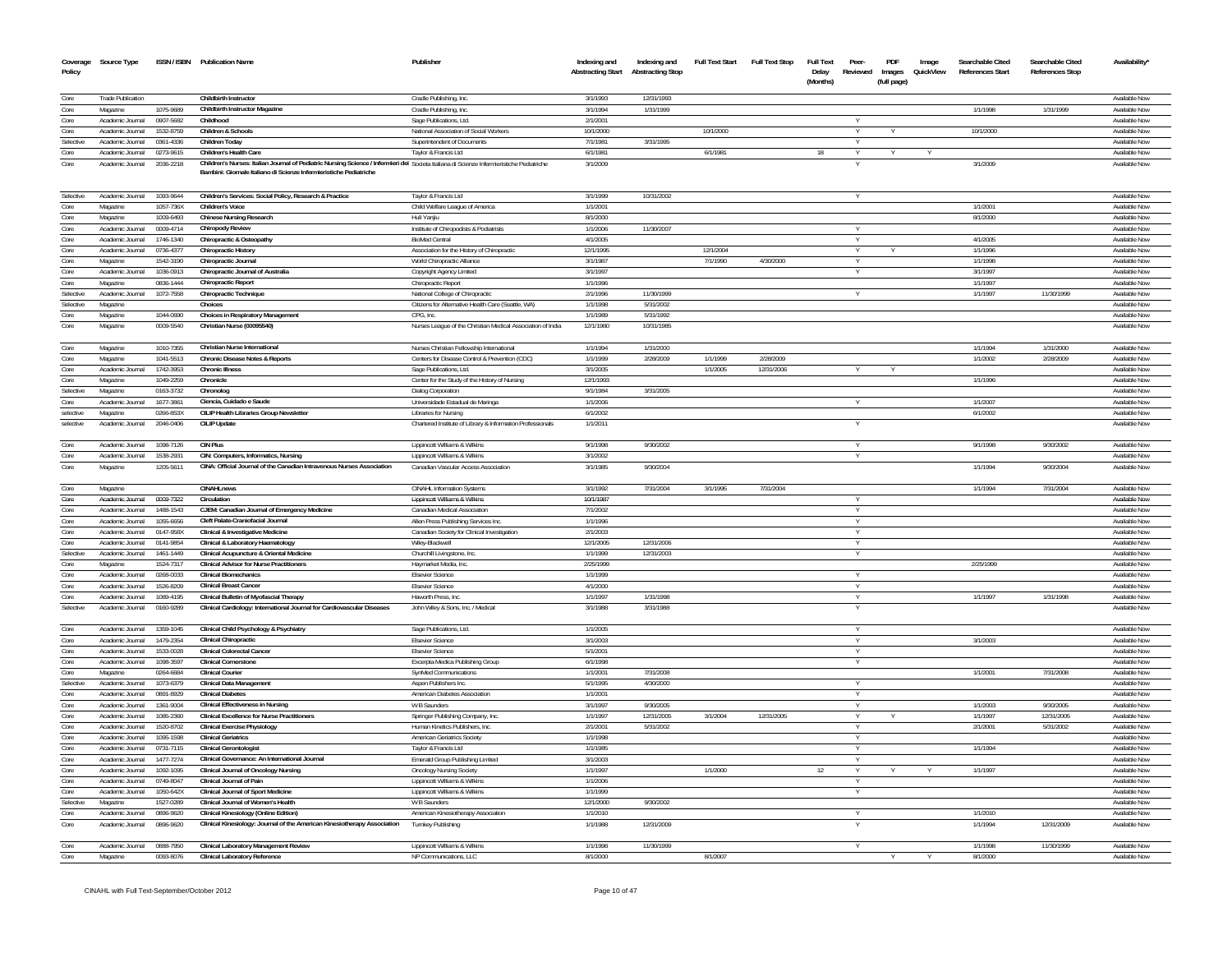| Coverage<br>Policy | Source Type                          |                        | ISSN / ISBN Publication Name                                                                                                              | Publisher                                                             | Indexing and<br><b>Abstracting Start</b> | Indexing and<br><b>Abstracting Stop</b> | <b>Full Text Start</b> | Full Text Stop | <b>Full Text</b><br>Delay<br>(Months) | Peer-<br>Reviewed | PDF<br>Images<br>(full page) | Image<br>QuickView | Searchable Cited<br>References Start | Searchable Cited<br>References Stop | <b>Availability</b>            |
|--------------------|--------------------------------------|------------------------|-------------------------------------------------------------------------------------------------------------------------------------------|-----------------------------------------------------------------------|------------------------------------------|-----------------------------------------|------------------------|----------------|---------------------------------------|-------------------|------------------------------|--------------------|--------------------------------------|-------------------------------------|--------------------------------|
|                    |                                      |                        |                                                                                                                                           |                                                                       |                                          |                                         |                        |                |                                       |                   |                              |                    |                                      |                                     |                                |
| Core               | <b>Trade Publication</b>             |                        | <b>Childbirth Instructor</b>                                                                                                              | Cradle Publishing, Inc.                                               | 3/1/1993                                 | 12/31/1993                              |                        |                |                                       |                   |                              |                    |                                      |                                     | Available Now                  |
| Core               | Magazine                             | 1075-9689              | Childbirth Instructor Magazine                                                                                                            | Cradle Publishing, Inc.                                               | 3/1/1994                                 | 1/31/1999                               |                        |                |                                       |                   |                              |                    | 1/1/1998                             | 1/31/1999                           | Available Nov                  |
| Core<br>Core       | Academic Journal<br>Academic Journal | 0907-5682<br>1532-8759 | Childhood<br>Children & Schools                                                                                                           | Sage Publications, Ltd.<br>National Association of Social Workers     | 2/1/2001<br>10/1/2000                    |                                         | 10/1/2000              |                |                                       | v                 |                              |                    | 10/1/2000                            |                                     | Available Nov<br>Available Now |
| Selective          | Academic Journal                     | 0361-4336              | Children Today                                                                                                                            | Superintendent of Documents                                           | 7/1/1981                                 | 3/31/1995                               |                        |                |                                       |                   |                              |                    |                                      |                                     | Available Now                  |
| Core               | Academic Journal                     | 0273-9615              | Children's Health Care                                                                                                                    | Tavlor & Francis Ltd                                                  | 6/1/1981                                 |                                         | 6/1/1981               |                | 18                                    | v                 |                              |                    |                                      |                                     | Available Now                  |
| Core               | Academic Journal                     | 2036-2218              | Children's Nurses: Italian Journal of Pediatric Nursing Science / Infermieri dei Societa Italiana di Scienze Infermieristiche Pediatriche |                                                                       | 3/1/2009                                 |                                         |                        |                |                                       |                   |                              |                    | 3/1/2009                             |                                     | Available Now                  |
|                    |                                      |                        | Bambini: Giornale Italiano di Scienze Infermieristiche Pediatriche                                                                        |                                                                       |                                          |                                         |                        |                |                                       |                   |                              |                    |                                      |                                     |                                |
| Selective          | Academic Journal                     | 1093-9644              | Children's Services: Social Policy, Research & Practice                                                                                   | Taylor & Francis Ltd                                                  | 3/1/1999                                 | 10/31/2002                              |                        |                |                                       |                   |                              |                    |                                      |                                     | Available Now                  |
| Core               | Magazine                             | 1057-736X              | Children's Voice                                                                                                                          | Child Welfare League of America                                       | 1/1/2001                                 |                                         |                        |                |                                       |                   |                              |                    | 1/1/2001                             |                                     | Available Nov                  |
| Core               | Magazine                             | 1009-6493              | <b>Chinese Nursing Research</b>                                                                                                           | Huli Yanjiu                                                           | 8/1/2000                                 |                                         |                        |                |                                       |                   |                              |                    | 8/1/2000                             |                                     | Available Nov                  |
| Core               | Academic Inumal                      | 0009-4714              | <b>Chiropody Review</b>                                                                                                                   | Institute of Chiropodists & Podiatrists                               | 1/1/2006                                 | 11/30/2007                              |                        |                |                                       |                   |                              |                    |                                      |                                     | Available Now                  |
| Core               | Academic Journal                     | 1746-1340              | Chiropractic & Osteopathy                                                                                                                 | <b>BioMed Central</b>                                                 | 4/1/2005                                 |                                         |                        |                |                                       |                   |                              |                    | 4/1/2005                             |                                     | Available Now                  |
| Core               | Academic Inumal                      | 0736.4377              | <b>Chiropractic History</b>                                                                                                               | Association for the History of Chiropractic                           | 12/1/1995                                |                                         | 12/1/2004              |                |                                       | $\vee$            |                              |                    | 1/1/1996                             |                                     | Available Now                  |
| Core               | Magazine                             | 1542-3190              | Chiropractic Journal                                                                                                                      | World Chiropractic Alliance                                           | 3/1/1987                                 |                                         | 7/1/1990               | 4/30/2000      |                                       |                   |                              |                    | 1/1/1998                             |                                     | Available Nov                  |
| Core               | Academic Journal                     | 1036-0913              | Chiropractic, Journal of Australia                                                                                                        | Copyright Agency Limited                                              | 3/1/1997                                 |                                         |                        |                |                                       |                   |                              |                    | 3/1/1997                             |                                     | Available Now                  |
| Core               | Magazine                             | 0836-1444              | <b>Chiropractic Report</b>                                                                                                                | Chiropractic Report                                                   | 1/1/1996                                 |                                         |                        |                |                                       |                   |                              |                    | 1/1/1997                             |                                     | Available Nov                  |
| Selective          | Academic Journal                     | 1072-7558              | Chiropractic Technique                                                                                                                    | National College of Chiropractic                                      | 2/1/1996                                 | 11/30/1999                              |                        |                |                                       |                   |                              |                    | 1/1/1997                             | 11/30/1999                          | Available Nov                  |
| Selective          | Magazine                             |                        | Choices                                                                                                                                   | Citizens for Alternative Health Care (Seattle, WA)                    | 1/1/1998                                 | 5/31/2002                               |                        |                |                                       |                   |                              |                    |                                      |                                     | Available Nov                  |
| Core               | Magazine                             | 1044-0690              | Choices in Respiratory Management                                                                                                         | CPG, Inc.                                                             | 1/1/1989                                 | 5/31/1992                               |                        |                |                                       |                   |                              |                    |                                      |                                     | Available Nov                  |
| Core               | Magazine                             | 0009-5540              | Christian Nurse (00095540)                                                                                                                | Nurses League of the Christian Medical Association of India           | 12/1/1980                                | 10/31/1985                              |                        |                |                                       |                   |                              |                    |                                      |                                     | Available Nov                  |
| Core               | Magazine                             | 1010-7355              | <b>Christian Nurse International</b>                                                                                                      | Nurses Christian Fellowship International                             | 1/1/1994                                 | 1/31/2000                               |                        |                |                                       |                   |                              |                    | 1/1/1994                             | 1/31/2000                           | Available Nov                  |
| Core               | Magazine                             | 1041-5513              | <b>Chronic Disease Notes &amp; Reports</b>                                                                                                | Centers for Disease Control & Prevention (CDC)                        | 1/1/1999                                 | 2/28/2009                               | 1/1/1999               | 2/28/2009      |                                       |                   |                              |                    | 1/1/2002                             | 2/28/2009                           | Available Not                  |
| Core               | Academic Journal                     | 1742-3953              | <b>Chronic Illness</b>                                                                                                                    | Sage Publications, Ltd.                                               | 3/1/2005                                 |                                         | 1/1/2005               | 12/31/2006     |                                       |                   |                              |                    |                                      |                                     | Available Nov                  |
| Core               | Magazine                             | 1049-2259              | Chronicle                                                                                                                                 | Center for the Study of the History of Nursing                        | 12/1/1993                                |                                         |                        |                |                                       |                   |                              |                    | 1/1/1996                             |                                     | Available Nov                  |
| Selective          | Magazine                             | 0163-3732              | Chronolog<br>Ciencia. Cuidado e Saude                                                                                                     | <b>Dialog Corporation</b>                                             | 9/1/1984                                 | 3/31/2005                               |                        |                |                                       |                   |                              |                    |                                      |                                     | Available No                   |
| Core<br>selectiv   | Academic Journal<br>Magazine         | 1677-3861<br>0266-853X | CILIP Health Libraries Group Newslette                                                                                                    | Universidade Estadual de Maringa<br>Libraries for Nursing             | 1/1/2006<br>6/1/2002                     |                                         |                        |                |                                       |                   |                              |                    | 1/1/2007<br>6/1/2002                 |                                     | Available Nov<br>Available Nov |
| selective          | Academic Journal                     | 2046-0406              | <b>CILIP Update</b>                                                                                                                       |                                                                       | 1/1/2011                                 |                                         |                        |                |                                       |                   |                              |                    |                                      |                                     | Available Nov                  |
|                    |                                      |                        |                                                                                                                                           | Chartered Institute of Library & Information Professionals            |                                          |                                         |                        |                |                                       |                   |                              |                    |                                      |                                     |                                |
| Core<br>Core       | Academic Journal<br>Academic Journal | 1098-7126              | <b>CIN Plus</b><br>CIN: Computers, Informatics, Nursing                                                                                   | Lippincott Williams & Wilkins                                         | 9/1/1998<br>3/1/2002                     | 9/30/2002                               |                        |                |                                       |                   |                              |                    | 9/1/1998                             | 9/30/2002                           | Available Now<br>Available Now |
| Core               | Magazine                             | 1538-2931<br>1205-5611 | CINA: Official Journal of the Canadian Intravenous Nurses Association                                                                     | Lippincott Williams & Wilkins<br>Canadian Vascular Access Association | 3/1/1985                                 | 9/30/2004                               |                        |                |                                       |                   |                              |                    | 1/1/1994                             | 9/30/2004                           | Available Nov                  |
| Core               | Magazine                             |                        | <b>CINAHLnews</b>                                                                                                                         | CINAHL Information Systems                                            | 3/1/1992                                 | 7/31/2004                               | 3/1/1995               | 7/31/2004      |                                       |                   |                              |                    | 1/1/1994                             | 7/31/2004                           | Available Now                  |
| Core               | Academic Journal                     | 0009-7322              | Circulation                                                                                                                               | Lippincott Williams & Wilkins                                         | 10/1/1987                                |                                         |                        |                |                                       | Υ                 |                              |                    |                                      |                                     | Available Now                  |
| Core               | Academic Journal                     | 1488-1543              | CJEM: Canadian Journal of Emergency Medicine                                                                                              | Canadian Medical Association                                          | 7/1/2002                                 |                                         |                        |                |                                       |                   |                              |                    |                                      |                                     | Available Nov                  |
| Core               | Academic Journal                     | 1055-6656              | Cleft Palate-Craniofacial Journal                                                                                                         | Allen Press Publishing Services Inc                                   | 1/1/1996                                 |                                         |                        |                |                                       | Υ                 |                              |                    |                                      |                                     | Available Now                  |
| Core               | Academic Journal                     | 0147-958X              | Clinical & Investigative Medicine                                                                                                         | Canadian Society for Clinical Investigation                           | 2/1/2003                                 |                                         |                        |                |                                       | Υ                 |                              |                    |                                      |                                     | Available Now                  |
| Core               | Academic Journal                     | 0141-9854              | Clinical & Laboratory Haematology                                                                                                         | Wiley-Blackwell                                                       | 12/1/2005                                | 12/31/2006                              |                        |                |                                       | Y                 |                              |                    |                                      |                                     | Available Now                  |
| Selective          | Academic Journal                     | 1461-1449              | Clinical Acupuncture & Oriental Medicine                                                                                                  | Churchill Livingstone, Inc.                                           | 1/1/1999                                 | 12/31/2003                              |                        |                |                                       | Y                 |                              |                    |                                      |                                     | Available Now                  |
| Core               | Magazine                             | 1524-7317              | <b>Clinical Advisor for Nurse Practitioners</b>                                                                                           | Haymarket Media, Inc.                                                 | 2/25/1999                                |                                         |                        |                |                                       |                   |                              |                    | 2/25/1999                            |                                     | Available Now                  |
| Core               | Academic Journal                     | 0268-0033              | <b>Clinical Biomechanics</b>                                                                                                              | <b>Elsevier Science</b>                                               | 1/1/1999                                 |                                         |                        |                |                                       | Y                 |                              |                    |                                      |                                     | Available Now                  |
| Core               | Academic Journal                     | 1526-8209              | <b>Clinical Breast Cancer</b>                                                                                                             | <b>Elsevier Science</b>                                               | 4/1/2000                                 |                                         |                        |                |                                       | Υ                 |                              |                    |                                      |                                     | Available Now                  |
| Core               | Academic Journal                     | 1089-4195              | Clinical Bulletin of Myofascial Therapy                                                                                                   | Haworth Press, Inc.                                                   | 1/1/1997                                 | 1/31/1998                               |                        |                |                                       | Y                 |                              |                    | 1/1/1997                             | 1/31/1998                           | Available Now                  |
| Selective          | Academic Journal                     | 0160-9289              | Clinical Cardiology: International Journal for Cardiovascular Diseases                                                                    | John Wiley & Sons, Inc. / Medical                                     | 3/1/1988                                 | 3/31/198                                |                        |                |                                       |                   |                              |                    |                                      |                                     | Available Nov                  |
| Core               | Academic Journal                     | 1359-1045              | Clinical Child Psychology & Psychiatry                                                                                                    | Sage Publications, Ltd.                                               | 1/1/2005                                 |                                         |                        |                |                                       | Υ                 |                              |                    |                                      |                                     | Available Nov                  |
| Core               | Academic Journal                     | 1479-2354              | <b>Clinical Chiropractic</b>                                                                                                              | <b>Elsevier Science</b>                                               | 3/1/2003                                 |                                         |                        |                |                                       | Y                 |                              |                    | 3/1/2003                             |                                     | Available Now                  |
| Core               | Academic Journal                     | 1533-0028              | <b>Clinical Colorectal Cance</b>                                                                                                          | <b>Elsevier Science</b>                                               | 5/1/2001                                 |                                         |                        |                |                                       | Y                 |                              |                    |                                      |                                     | Available Nov                  |
| Core               | Academic Journal                     | 1098-3597              | <b>Clinical Cornerstone</b>                                                                                                               | Excerpta Medica Publishing Group                                      | 6/1/1998                                 |                                         |                        |                |                                       | Y                 |                              |                    |                                      |                                     | Available Now                  |
| Core               | Magazine                             | 0264-6684              | <b>Clinical Courier</b>                                                                                                                   | SynMed Communications                                                 | 1/1/2001                                 | 7/31/2008                               |                        |                |                                       |                   |                              |                    | 1/1/2001                             | 7/31/2008                           | Available Nov                  |
| Selective          | Academic Journal                     | 1073-6379              | <b>Clinical Data Management</b>                                                                                                           | Aspen Publishers Inc.                                                 | 5/1/1995                                 | 4/30/2000                               |                        |                |                                       |                   |                              |                    |                                      |                                     | Available Nov                  |
| Core               | Academic Journal                     | 0891-8929              | <b>Clinical Diabetes</b>                                                                                                                  | American Diabetes Association                                         | 1/1/2001                                 |                                         |                        |                |                                       | Y                 |                              |                    |                                      |                                     | Available Nov                  |
| Core               | Academic Journal                     | 1361-9004              | <b>Clinical Effectiveness in Nursing</b>                                                                                                  | W B Saunders                                                          | 3/1/1997                                 | 9/30/2005                               |                        |                |                                       |                   |                              |                    | 1/1/2003                             | 9/30/2005                           | Available Nov                  |
| Core               | Academic Journal                     | 1085-2360              | <b>Clinical Excellence for Nurse Practitioners</b>                                                                                        | Springer Publishing Company, Inc.                                     | 1/1/1997                                 | 12/31/2005                              | 3/1/2004               | 12/31/2005     |                                       | Y                 |                              |                    | 1/1/1997                             | 12/31/2005                          | Available Nov                  |
| Core               | Academic Journal                     | 1520-8702              | <b>Clinical Exercise Physiology</b>                                                                                                       | Human Kinetics Publishers, Inc.                                       | 2/1/2001                                 | 5/31/2002                               |                        |                |                                       | Y                 |                              |                    | 2/1/2001                             | 5/31/2002                           | Available Nov                  |
| Core               | Academic Journal                     | 1095-1598              | <b>Clinical Geriatrics</b>                                                                                                                | <b>American Geriatrics Society</b>                                    | 1/1/1998                                 |                                         |                        |                |                                       | Y                 |                              |                    |                                      |                                     | Available Nov                  |
| Core               | Academic Journal                     | 0731-7115              | <b>Clinical Gerontologis</b>                                                                                                              | Taylor & Francis Ltd                                                  | 1/1/1985                                 |                                         |                        |                |                                       | Y                 |                              |                    | 1/1/1994                             |                                     | Available Nov                  |
| Core               | Academic Journal                     | 1477-7274              | Clinical Governance: An International Journal                                                                                             | Emerald Group Publishing Limited                                      | 3/1/2003                                 |                                         |                        |                |                                       |                   |                              |                    |                                      |                                     | Available Nov                  |
| Core               | Academic Journal                     | 1092-1095              | <b>Clinical Journal of Oncology Nursing</b>                                                                                               | <b>Oncology Nursing Society</b>                                       | 1/1/1997                                 |                                         | 1/1/2000               |                | 12                                    | Y                 |                              |                    | 1/1/1997                             |                                     | Available Nov                  |
| Core               | Academic Journal                     | 0749-8047              | Clinical Journal of Pain                                                                                                                  | Lippincott Williams & Wilkins                                         | 1/1/2006                                 |                                         |                        |                |                                       | Y                 |                              |                    |                                      |                                     | Available Nov                  |
| Core               | Academic Journal                     | 1050-642X              | <b>Clinical Journal of Sport Medicine</b>                                                                                                 | Lippincott Williams & Wilkins                                         | 1/1/1999                                 |                                         |                        |                |                                       | Y                 |                              |                    |                                      |                                     | Available Nov                  |
| Selective          | Magazine                             | 1527-0289              | Clinical Journal of Women's Health                                                                                                        | W B Saunders                                                          | 12/1/2000                                | 9/30/2002                               |                        |                |                                       |                   |                              |                    |                                      |                                     | Available Now                  |
| Core               | Academic Journal                     | 0896-9620              | Clinical Kinesiology (Online Edition)                                                                                                     | American Kinesiotherapy Association                                   | 1/1/2010                                 |                                         |                        |                |                                       |                   |                              |                    | 1/1/2010                             |                                     | Available Now                  |
| Core               | Academic Journal                     | 0896-9620              | Clinical Kinesiology: Journal of the American Kinesiotherapy Association                                                                  | Turnkey Publishing                                                    | 1/1/1988                                 | 12/31/2009                              |                        |                |                                       |                   |                              |                    | 1/1/1994                             | 12/31/2009                          | Available Nov                  |
| Core               | Academic Inumal                      | 0888-7950              | Clinical Laboratory Management Review                                                                                                     | Linnincott Williams & Wilkins                                         | 1/1/1998                                 | 11/30/1999                              |                        |                |                                       |                   |                              |                    | 1/1/1998                             | 11/30/1999                          | Available Now                  |
| Core               | Magazine                             | 0093-8076              | <b>Clinical Laboratory Reference</b>                                                                                                      | NP Communications. LLC                                                | 8/1/2000                                 |                                         | 8/1/2007               |                |                                       |                   |                              |                    | 8/1/2000                             |                                     | Available Now                  |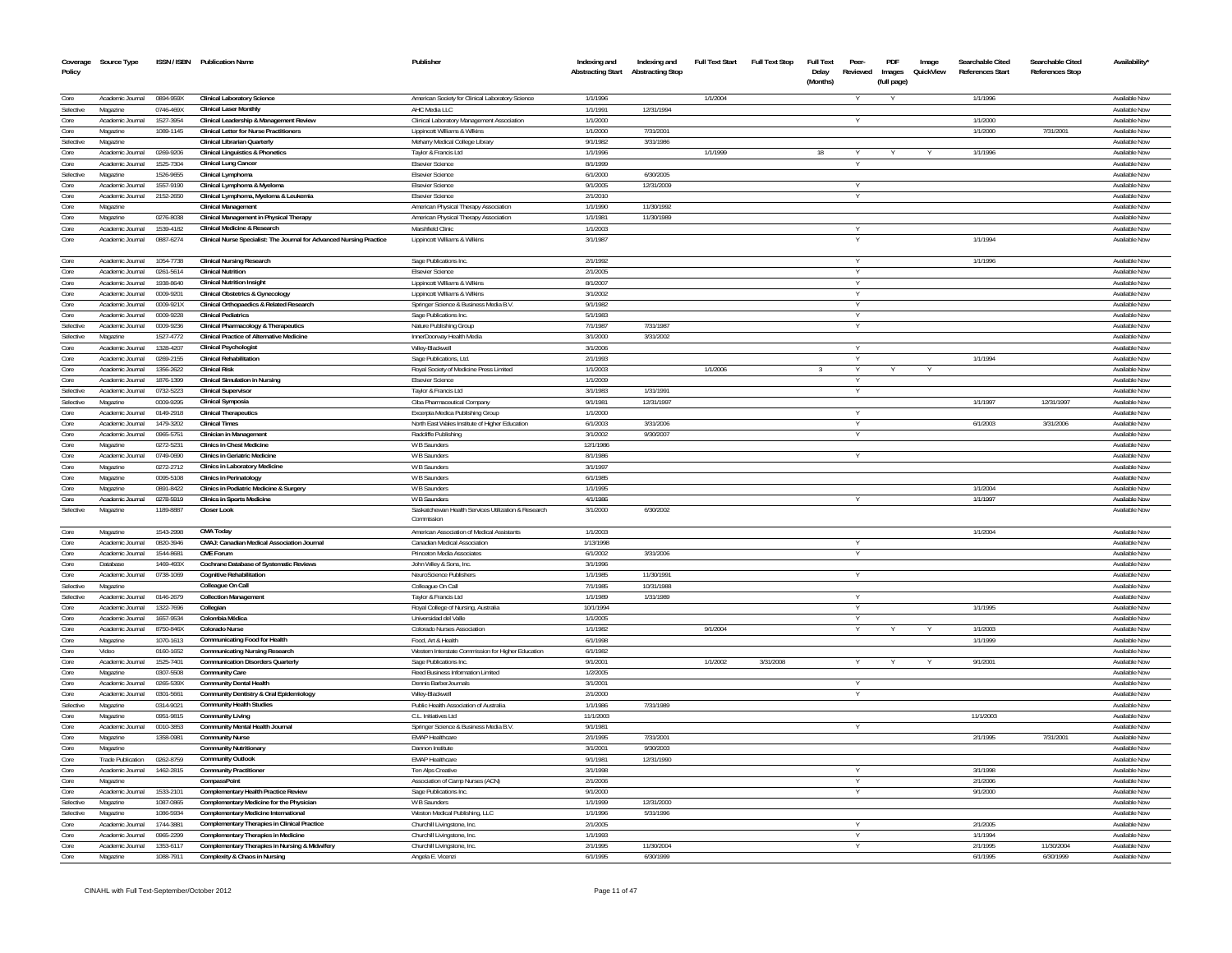| Policy       | Coverage Source Type                 |                        | ISSN / ISBN Publication Name                                                            | Publisher                                                                      | Indexing and<br><b>Abstracting Start</b> | Indexing and<br><b>Abstracting Stop</b> | <b>Full Text Start</b> | <b>Full Text Stop</b> | <b>Full Text</b><br>Delay | Peer-<br>Reviewed | PDF<br>Images | Image<br>QuickView | Searchable Cited<br><b>References Start</b> | Searchable Cited<br><b>References Stop</b> | Availability'                  |
|--------------|--------------------------------------|------------------------|-----------------------------------------------------------------------------------------|--------------------------------------------------------------------------------|------------------------------------------|-----------------------------------------|------------------------|-----------------------|---------------------------|-------------------|---------------|--------------------|---------------------------------------------|--------------------------------------------|--------------------------------|
|              |                                      |                        |                                                                                         |                                                                                |                                          |                                         |                        |                       | (Months)                  |                   | (full page)   |                    |                                             |                                            |                                |
| Core         | Academic Journal                     | 0894-959X              | <b>Clinical Laboratory Science</b>                                                      | American Society for Clinical Laboratory Science                               | 1/1/1996                                 |                                         | 1/1/2004               |                       |                           |                   |               |                    | 1/1/1996                                    |                                            | Available Now                  |
| Selective    | Magazine                             | 0746-469X              | <b>Clinical Laser Monthly</b>                                                           | AHC Media LLC                                                                  | 1/1/1991                                 | 12/31/1994                              |                        |                       |                           |                   |               |                    |                                             |                                            | Available Now                  |
| Core         | Academic Journal                     | 1527-3954              | Clinical Leadership & Management Review                                                 | Clinical Laboratory Management Association                                     | 1/1/2000                                 |                                         |                        |                       |                           |                   |               |                    | 1/1/2000                                    |                                            | Available Now                  |
| Core         | Magazine                             | 1089-1145              | <b>Clinical Letter for Nurse Practitioners</b>                                          | Lippincott Williams & Wilkins                                                  | 1/1/2000                                 | 7/31/2001                               |                        |                       |                           |                   |               |                    | 1/1/2000                                    | 7/31/2001                                  | Available Now                  |
| Selective    | Magazine                             |                        | Clinical Librarian Quarterly                                                            | Meharry Medical College Library                                                | 9/1/1982                                 | 3/31/1986                               |                        |                       |                           |                   |               |                    |                                             |                                            | Available Now                  |
| Core         | Academic Journal                     | 0269-9206              | <b>Clinical Linguistics &amp; Phonetics</b>                                             | Taylor & Francis Ltd                                                           | 1/1/1996                                 |                                         | 1/1/1999               |                       | 18                        |                   |               |                    | 1/1/1996                                    |                                            | Available Now                  |
| Core         | Academic Journal                     | 1525-7304              | <b>Clinical Lung Cancer</b>                                                             | <b>Fisevier Science</b>                                                        | 8/1/1999                                 |                                         |                        |                       |                           |                   |               |                    |                                             |                                            | Available Now                  |
| Selective    | Magazine                             | 1526-9655              | Clinical Lymphoma                                                                       | <b>Elsevier Science</b>                                                        | 6/1/2000                                 | 6/30/2005                               |                        |                       |                           |                   |               |                    |                                             |                                            | Available Now                  |
| Core<br>Core | Academic Journal                     | 1557-9190              | Clinical Lymphoma & Myeloma                                                             | <b>Elsevier Science</b>                                                        | 9/1/2005                                 | 12/31/2009                              |                        |                       |                           | $\vee$            |               |                    |                                             |                                            | Available Now                  |
| Core         | Academic Journal                     | 2152-2650              | Clinical Lymphoma, Myeloma & Leukemia<br><b>Clinical Management</b>                     | <b>Elsevier Science</b>                                                        | 2/1/2010<br>1/1/1990                     | 11/30/1992                              |                        |                       |                           | Y                 |               |                    |                                             |                                            | Available Now<br>Available Now |
| Core         | Magazine<br>Magazine                 | 0276-8038              | Clinical Management in Physical Therapy                                                 | American Physical Therapy Association<br>American Physical Therapy Association | 1/1/1981                                 | 11/30/1989                              |                        |                       |                           |                   |               |                    |                                             |                                            | Available Now                  |
| Core         | Academic Journal                     | 1539-4182              | <b>Clinical Medicine &amp; Research</b>                                                 | Marshfield Clinic                                                              | 1/1/2003                                 |                                         |                        |                       |                           |                   |               |                    |                                             |                                            | Available Now                  |
| Core         | Academic Journal                     | 0887-6274              | Clinical Nurse Specialist: The Journal for Advanced Nursing Practice                    | Lippincott Williams & Wilkins                                                  | 3/1/1987                                 |                                         |                        |                       |                           |                   |               |                    | 1/1/1994                                    |                                            | Available Now                  |
|              |                                      |                        |                                                                                         |                                                                                |                                          |                                         |                        |                       |                           |                   |               |                    |                                             |                                            |                                |
| Core         | Academic Journal                     | 1054-7738              | <b>Clinical Nursing Research</b>                                                        | Sage Publications Inc.                                                         | 2/1/1992                                 |                                         |                        |                       |                           | $\vee$            |               |                    | 1/1/1996                                    |                                            | Available Now                  |
| Core         | Academic Journal                     | 0261-5614              | <b>Clinical Nutrition</b>                                                               | <b>Elsevier Science</b>                                                        | 2/1/2005                                 |                                         |                        |                       |                           |                   |               |                    |                                             |                                            | Available Now                  |
| Core         | Academic Journal                     | 1938-8640              | <b>Clinical Nutrition Insight</b>                                                       | Lippincott Williams & Wilkins                                                  | 8/1/2007                                 |                                         |                        |                       |                           |                   |               |                    |                                             |                                            | Available Nov                  |
| Core         | Academic Journal                     | 0009-9201              | Clinical Obstetrics & Gynecology                                                        | Lippincott Williams & Wilkins                                                  | 3/1/2002                                 |                                         |                        |                       |                           | Y                 |               |                    |                                             |                                            | Available Now                  |
| Core         | Academic Journal                     | 0009-921X              | Clinical Orthopaedics & Related Research                                                | Springer Science & Business Media B.V.                                         | 9/1/1982                                 |                                         |                        |                       |                           |                   |               |                    |                                             |                                            | Available Nov                  |
| Core         | Academic Journal                     | 0009-9228              | <b>Clinical Pediatrics</b>                                                              | Sage Publications Inc.                                                         | 5/1/1983                                 |                                         |                        |                       |                           | Y                 |               |                    |                                             |                                            | Available Now                  |
| Selective    | Academic Journal                     | 0009-9236              | Clinical Pharmacology & Therapeutics                                                    | Nature Publishing Group                                                        | 7/1/1987                                 | 7/31/1987                               |                        |                       |                           | $\vee$            |               |                    |                                             |                                            | Available Now                  |
| Selective    | Magazine                             | 1527-4772              | <b>Clinical Practice of Alternative Medicine</b>                                        | InnerDoorway Health Media                                                      | 3/1/2000                                 | 3/31/2002                               |                        |                       |                           |                   |               |                    |                                             |                                            | Available Now                  |
| Core         | Academic Journal                     | 1328-4207              | <b>Clinical Psychologist</b>                                                            | Wiley-Blackwell                                                                | 3/1/2006                                 |                                         |                        |                       |                           |                   |               |                    |                                             |                                            | Available Now                  |
| Core         | Academic Journal                     | 0269-2155              | <b>Clinical Rehabilitation</b>                                                          | Sage Publications, Ltd.                                                        | 2/1/1993                                 |                                         |                        |                       |                           | $\vee$            |               |                    | 1/1/1994                                    |                                            | Available Now                  |
| Core<br>Core | Academic Journal                     | 1356-2622              | <b>Clinical Risk</b>                                                                    | Royal Society of Medicine Press Limited                                        | 1/1/2003<br>1/1/2009                     |                                         | 1/1/2006               |                       | $\mathcal{R}$             | Y<br>Y            | Y             | $\checkmark$       |                                             |                                            | Available Now<br>Available Now |
| Selective    | Academic Journal<br>Academic Journal | 1876-1399<br>0732-5223 | <b>Clinical Simulation in Nursing</b><br><b>Clinical Supervisor</b>                     | <b>Elsevier Science</b><br>Taylor & Francis Ltd                                | 3/1/1983                                 | 1/31/1991                               |                        |                       |                           |                   |               |                    |                                             |                                            | Available Now                  |
| Selective    | Magazine                             | 0009-9295              | <b>Clinical Symposia</b>                                                                | Ciba Pharmaceutical Company                                                    | 9/1/1981                                 | 12/31/1997                              |                        |                       |                           |                   |               |                    | 1/1/1997                                    | 12/31/1997                                 | Available Now                  |
| Core         | Academic Journal                     | 0149-2918              | <b>Clinical Therapeutics</b>                                                            | Excerpta Medica Publishing Group                                               | 1/1/2000                                 |                                         |                        |                       |                           |                   |               |                    |                                             |                                            | Available Now                  |
| Core         | Academic Journal                     | 1479-3202              | <b>Clinical Times</b>                                                                   | North East Wales Institute of Higher Education                                 | 6/1/2003                                 | 3/31/2006                               |                        |                       |                           |                   |               |                    | 6/1/2003                                    | 3/31/2006                                  | Available Now                  |
| Core         | Academic Inumal                      | 0965-5751              | <b>Clinician in Management</b>                                                          | Radcliffe Publishing                                                           | 3/1/2002                                 | 9/30/2007                               |                        |                       |                           |                   |               |                    |                                             |                                            | Available Nov                  |
| Core         | Magazine                             | 0272-5231              | <b>Clinics in Chest Medicine</b>                                                        | W B Saunders                                                                   | 12/1/1986                                |                                         |                        |                       |                           |                   |               |                    |                                             |                                            | Available Nov                  |
| Core         | Academic Journal                     | 0749-0690              | <b>Clinics in Geriatric Medicine</b>                                                    | W B Saunders                                                                   | 8/1/1986                                 |                                         |                        |                       |                           |                   |               |                    |                                             |                                            | Available Nov                  |
| Core         | Magazine                             | 0272-2712              | Clinics in Laboratory Medicine                                                          | W B Saunders                                                                   | 3/1/1997                                 |                                         |                        |                       |                           |                   |               |                    |                                             |                                            | Available Now                  |
| Core         | Magazine                             | 0095-5108              | <b>Clinics in Perinatology</b>                                                          | W B Saunders                                                                   | 6/1/1985                                 |                                         |                        |                       |                           |                   |               |                    |                                             |                                            | Available Now                  |
| Core         | Magazine                             | 0891-8422              | Clinics in Podiatric Medicine & Surgery                                                 | W B Saunders                                                                   | 1/1/1995                                 |                                         |                        |                       |                           |                   |               |                    | 1/1/2004                                    |                                            | Available Now                  |
| Core         | Academic Journal                     | 0278-5919              | <b>Clinics in Sports Medicine</b>                                                       | W B Saunders                                                                   | 4/1/1986                                 |                                         |                        |                       |                           |                   |               |                    | 1/1/1997                                    |                                            | Available Now                  |
| Selective    | Magazine                             | 1189-8887              | <b>Closer Look</b>                                                                      | Saskatchewan Health Services Utilization & Research<br>Commission              | 3/1/2000                                 | 6/30/2002                               |                        |                       |                           |                   |               |                    |                                             |                                            | Available Nov                  |
| Core         | Magazine                             | 1543-2998              | <b>CMA Today</b>                                                                        | American Association of Medical Assistants                                     | 1/1/2003                                 |                                         |                        |                       |                           |                   |               |                    | 1/1/2004                                    |                                            | Available Now                  |
| Core         | Academic Journal                     | 0820-3946              | CMAJ: Canadian Medical Association Journal                                              | Canadian Medical Association                                                   | 1/13/1998                                |                                         |                        |                       |                           |                   |               |                    |                                             |                                            | Available Nov                  |
| Core         | Academic Journal                     | 1544-8681              | <b>CME Forum</b>                                                                        | Princeton Media Associates                                                     | 6/1/2002                                 | 3/31/2006                               |                        |                       |                           |                   |               |                    |                                             |                                            | Available Now                  |
| Core         | Database                             | 1469-493X              | Cochrane Database of Systematic Reviews                                                 | John Wiley & Sons, Inc.                                                        | 3/1/1996                                 |                                         |                        |                       |                           |                   |               |                    |                                             |                                            | Available Nov                  |
| Core         | Academic Journal                     | 0738-1069              | <b>Cognitive Rehabilitation</b>                                                         | NeuroScience Publishers                                                        | 1/1/1985                                 | 11/30/1991                              |                        |                       |                           |                   |               |                    |                                             |                                            | Available Now                  |
| Selective    | Magazine                             |                        | Colleague On Call                                                                       | Colleague On Call                                                              | 7/1/1985                                 | 10/31/1988                              |                        |                       |                           |                   |               |                    |                                             |                                            | Available Nov                  |
| Selective    | Academic Journal                     | 0146-2679              | <b>Collection Management</b>                                                            | Taylor & Francis Ltd                                                           | 1/1/1989                                 | 1/31/1989                               |                        |                       |                           |                   |               |                    |                                             |                                            | Available Now<br>Available Nov |
| Core<br>Core | Academic Journal<br>Academic Journal | 1322-7696<br>1657-9534 | Collegian<br>Colombia Médica                                                            | Royal College of Nursing, Australia<br>Universidad del Valle                   | 10/1/1994<br>1/1/2005                    |                                         |                        |                       |                           |                   |               |                    | 1/1/1995                                    |                                            | Available Now                  |
| Core         | Academic Journal                     | 8750-846X              | <b>Colorado Nurse</b>                                                                   | Colorado Nurses Association                                                    | 1/1/1982                                 |                                         | 9/1/2004               |                       |                           |                   |               |                    | 1/1/2003                                    |                                            | Available Nov                  |
| Core         | Magazine                             | 1070-1613              | Communicating Food for Health                                                           | Food, Art & Health                                                             | 6/1/1998                                 |                                         |                        |                       |                           |                   |               |                    | 1/1/1999                                    |                                            | Available Now                  |
| Core         | Video                                | 0160-1652              | <b>Communicating Nursing Research</b>                                                   | Western Interstate Commission for Higher Education                             | 6/1/1982                                 |                                         |                        |                       |                           |                   |               |                    |                                             |                                            | Available Now                  |
| Core         | Academic Journal                     | 1525-7401              | <b>Communication Disorders Quarterly</b>                                                | Sage Publications Inc                                                          | 9/1/2001                                 |                                         | 1/1/2002               | 3/31/2008             |                           |                   |               |                    | 9/1/2001                                    |                                            | Available Now                  |
| Core         | Magazine                             | 0307-5508              | <b>Community Care</b>                                                                   | Reed Business Information Limited                                              | 1/2/2005                                 |                                         |                        |                       |                           |                   |               |                    |                                             |                                            | Available Nov                  |
| Core         | Academic Journal                     | 0265-539X              | <b>Community Dental Health</b>                                                          | Dennis BarberJournal                                                           | 3/1/2001                                 |                                         |                        |                       |                           |                   |               |                    |                                             |                                            | Available Nov                  |
| Core         | Academic Journal                     | 0301-5661              | Community Dentistry & Oral Epidemiology                                                 | Wilev-Blackwe                                                                  | 2/1/2000                                 |                                         |                        |                       |                           |                   |               |                    |                                             |                                            | Available Now                  |
| Selective    | Magazine                             | 0314-9021              | <b>Community Health Studies</b>                                                         | Public Health Association of Australia                                         | 1/1/1986                                 | 7/31/1989                               |                        |                       |                           |                   |               |                    |                                             |                                            | Available Nov                  |
| Core         | Magazine                             | 0951-9815              | <b>Community Living</b>                                                                 | C.L. Initiatives Ltd                                                           | 11/1/2003                                |                                         |                        |                       |                           |                   |               |                    | 11/1/2003                                   |                                            | Available Nov                  |
| Core         | Academic Journal                     | 0010-3853              | Community Mental Health Journal                                                         | Springer Science & Business Media B.V                                          | 9/1/1981                                 |                                         |                        |                       |                           |                   |               |                    |                                             |                                            | Available Nov                  |
| Core         | Magazine                             | 1358-0981              | <b>Community Nurse</b>                                                                  | <b>EMAP Healthcare</b>                                                         | 2/1/1995                                 | 7/31/2001                               |                        |                       |                           |                   |               |                    | 2/1/1995                                    | 7/31/2001                                  | Available Nov                  |
| Core         | Magazine                             |                        | <b>Community Nutritionary</b>                                                           | Dannon Institute                                                               | 3/1/2001                                 | 9/30/2003                               |                        |                       |                           |                   |               |                    |                                             |                                            | Available Nov                  |
| Core         | <b>Trade Publication</b>             | 0262-8759              | <b>Community Outlook</b>                                                                | <b>EMAP Healthcare</b>                                                         | 9/1/1981                                 | 12/31/1990                              |                        |                       |                           |                   |               |                    |                                             |                                            | Available Nov                  |
| Core         | Academic Journal                     | 1462-2815              | <b>Community Practitioner</b>                                                           | Ten Alps Creative                                                              | 3/1/199                                  |                                         |                        |                       |                           |                   |               |                    | 3/1/1998                                    |                                            | Available Nov                  |
| Core<br>Core | Magazine                             |                        | CompassPoint                                                                            | Association of Camp Nurses (ACN)                                               | 2/1/2006                                 |                                         |                        |                       |                           |                   |               |                    | 2/1/2006                                    |                                            | Available No                   |
| Selective    | Academic Journal<br>Magazine         | 1533-210<br>1087-0865  | <b>Complementary Health Practice Review</b><br>Complementary Medicine for the Physician | Sage Publications Inc<br><b>W B Saunders</b>                                   | 9/1/2000<br>1/1/1999                     | 12/31/2000                              |                        |                       |                           |                   |               |                    | 9/1/2000                                    |                                            | Available Nov<br>Available Nov |
| Selective    | Magazine                             | 1086-5934              | Complementary Medicine International                                                    | Weston Medical Publishing, LLC                                                 | 1/1/1996                                 | 5/31/1996                               |                        |                       |                           |                   |               |                    |                                             |                                            | Available Nov                  |
| Core         | Academic Journal                     | 1744-388               | <b>Complementary Therapies in Clinical Practice</b>                                     | Churchill Livingstone, Inc                                                     | 2/1/2005                                 |                                         |                        |                       |                           |                   |               |                    | 2/1/2005                                    |                                            | Available Nov                  |
| Core         | Academic Journal                     | 0965-2299              | Complementary Therapies in Medicine                                                     | Churchill Livingstone, Inc                                                     | 1/1/1993                                 |                                         |                        |                       |                           |                   |               |                    | 1/1/1994                                    |                                            | Available Nov                  |
| Core         | Academic Journa                      | 1353-611               | Complementary Therapies in Nursing & Midwifery                                          | Churchill Livingstone, Inc                                                     | 2/1/1995                                 | 11/30/200-                              |                        |                       |                           |                   |               |                    | 2/1/199                                     | 11/30/2004                                 | Available Nov                  |
| Core         | Magazine                             | 1088-7911              | Complexity & Chaos in Nursing                                                           | Angela E. Vicenzi                                                              | 6/1/1995                                 | 6/30/1999                               |                        |                       |                           |                   |               |                    | 6/1/1995                                    | 6/30/1999                                  | Available Nov                  |
|              |                                      |                        |                                                                                         |                                                                                |                                          |                                         |                        |                       |                           |                   |               |                    |                                             |                                            |                                |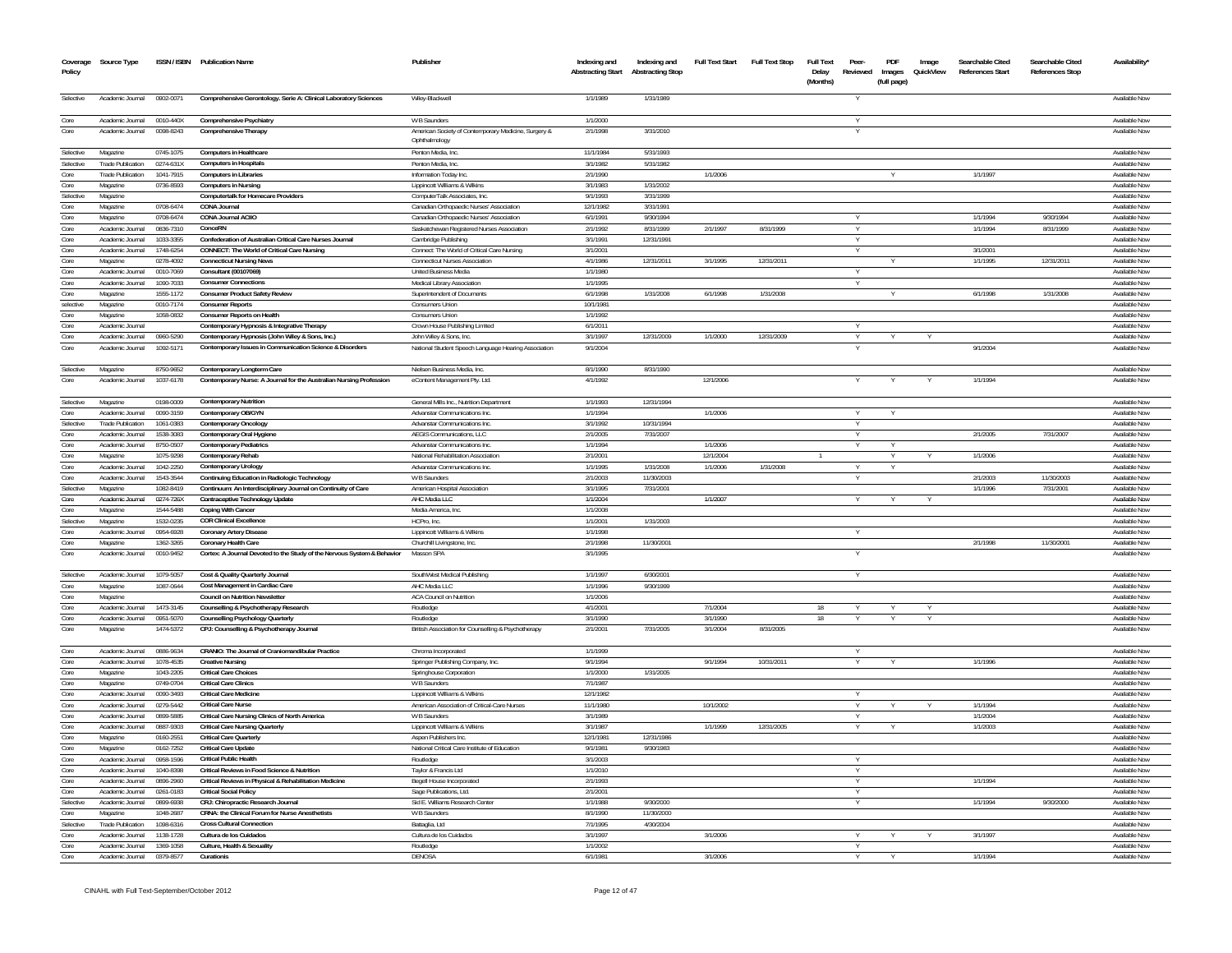| Coverage<br>Policy | Source Type                          |                        | ISSN / ISBN Publication Name                                             | Publisher                                                             | Indexing and<br><b>Abstracting Start</b> | Indexing and<br><b>Abstracting Stop</b> | <b>Full Text Start</b> | <b>Full Text Stop</b> | <b>Full Text</b><br>Delay<br>(Months) | Peer-<br>Reviewed | PDF<br>Images<br>(full page) | Image<br>QuickView | Searchable Cited<br>References Start | Searchable Cited<br><b>References Stop</b> | Availability                   |
|--------------------|--------------------------------------|------------------------|--------------------------------------------------------------------------|-----------------------------------------------------------------------|------------------------------------------|-----------------------------------------|------------------------|-----------------------|---------------------------------------|-------------------|------------------------------|--------------------|--------------------------------------|--------------------------------------------|--------------------------------|
| Selective          | Academic Journal                     | 0902-0071              | Comprehensive Gerontology. Serie A: Clinical Laboratory Sciences         | Wiley-Blackwell                                                       | 1/1/1989                                 | 1/31/1989                               |                        |                       |                                       |                   |                              |                    |                                      |                                            | Available Nov                  |
| Core               | Academic Journal                     | 0010-440X              | Comprehensive Psychiatry                                                 | W B Saunders                                                          | 1/1/2000                                 |                                         |                        |                       |                                       |                   |                              |                    |                                      |                                            | Available Nov                  |
| Core               | Academic Journal                     | 0098-8243              | Comprehensive Therapy                                                    | American Society of Contemporary Medicine, Surgery &<br>Ophthalmology | 2/1/1998                                 | 3/31/2010                               |                        |                       |                                       |                   |                              |                    |                                      |                                            | Available Nov                  |
| Selective          | Magazine                             | 0745-1075              | <b>Computers in Healthcare</b>                                           | Penton Media, Inc                                                     | 11/1/1984                                | 5/31/1993                               |                        |                       |                                       |                   |                              |                    |                                      |                                            | Available Nov                  |
| Selective          | <b>Trade Publication</b>             | 0274-631X              | <b>Computers in Hospitals</b>                                            | Penton Media, Inc.                                                    | 3/1/1982                                 | 5/31/1982                               |                        |                       |                                       |                   |                              |                    |                                      |                                            | Available No                   |
| Core               | <b>Trade Publication</b>             | 1041-7915              | <b>Computers in Libraries</b>                                            | Information Today Ind                                                 | 2/1/1990                                 |                                         | 1/1/2006               |                       |                                       |                   |                              |                    | 1/1/1997                             |                                            | Available Nov                  |
| Core               | Magazine                             | 0736-8593              | <b>Computers in Nursing</b>                                              | Lippincott Williams & Wilkins                                         | 3/1/1983                                 | 1/31/2002                               |                        |                       |                                       |                   |                              |                    |                                      |                                            | Available No                   |
| Selective          | Magazine                             |                        | Computertalk for Homecare Providers                                      | ComputerTalk Associates, Inc.                                         | 9/1/1993                                 | 3/31/1999                               |                        |                       |                                       |                   |                              |                    |                                      |                                            | Available Nov                  |
| Core               | Magazine                             | 0708-6474              | <b>CONA Journal</b>                                                      | Canadian Orthopaedic Nurses' Association                              | 12/1/1982                                | 3/31/1991                               |                        |                       |                                       |                   |                              |                    |                                      |                                            | Available Nov                  |
| Core               | Magazine                             | 0708-6474              | CONA Journal ACIIO                                                       | Canadian Orthopaedic Nurses' Association                              | 6/1/1991                                 | 9/30/1994                               |                        |                       |                                       |                   |                              |                    | 1/1/1994                             | 9/30/1994                                  | Available Nov                  |
| Core<br>Core       | Academic Journal<br>Academic Journal | 0836-7310<br>1033-3355 | ConceRN<br>Confederation of Australian Critical Care Nurses Journal      | Saskatchewan Registered Nurses Association<br>Cambridge Publishing    | 2/1/1992<br>3/1/1991                     | 8/31/1999<br>12/31/1991                 | 2/1/1997               | 8/31/1999             |                                       |                   |                              |                    | 1/1/1994                             | 8/31/1999                                  | Available No<br>Available No   |
| Core               | Academic Journal                     | 1748-6254              | CONNECT: The World of Critical Care Nursing                              | Connect: The World of Critical Care Nursing                           | 3/1/2001                                 |                                         |                        |                       |                                       |                   |                              |                    | 3/1/2001                             |                                            | Available No                   |
| Core               | Magazine                             | 0278-4092              | <b>Connecticut Nursing News</b>                                          | <b>Connecticut Nurses Association</b>                                 | 4/1/1986                                 | 12/31/2011                              | 3/1/1995               | 12/31/2011            |                                       |                   |                              |                    | 1/1/1995                             | 12/31/201                                  | Available No                   |
| Core               | Academic Journal                     | 0010-7069              | Consultant (00107069)                                                    | <b>United Business Media</b>                                          | 1/1/1980                                 |                                         |                        |                       |                                       |                   |                              |                    |                                      |                                            | Available No                   |
| Core               | Academic Journal                     | 1090-7033              | <b>Consumer Connections</b>                                              | Medical Library Association                                           | 1/1/1995                                 |                                         |                        |                       |                                       |                   |                              |                    |                                      |                                            | Available No                   |
| Core               | Magazine                             | 1555-1172              | <b>Consumer Product Safety Review</b>                                    | Superintendent of Documents                                           | 6/1/1998                                 | 1/31/2008                               | 6/1/1998               | 1/31/2008             |                                       |                   |                              |                    | 6/1/1998                             | 1/31/2008                                  | Available Nov                  |
| selective          | Magazine                             | 0010-7174              | <b>Consumer Reports</b>                                                  | Consumers Unio                                                        | 10/1/198                                 |                                         |                        |                       |                                       |                   |                              |                    |                                      |                                            | Available No                   |
| Core               | Magazine                             | 1058-0832              | <b>Consumer Reports on Health</b>                                        | Consumers Union                                                       | 1/1/1992                                 |                                         |                        |                       |                                       |                   |                              |                    |                                      |                                            | Available Nov                  |
| Core               | Academic Journal                     |                        | Contemporary Hypnosis & Integrative Therapy                              | Crown House Publishing Limited                                        | 6/1/2011                                 |                                         |                        |                       |                                       |                   |                              |                    |                                      |                                            | Available No                   |
| Core               | Academic Journal                     | 0960-5290              | Contemporary Hypnosis (John Wiley & Sons, Inc.)                          | John Wiley & Sons, Inc                                                | 3/1/1997                                 | 12/31/2009                              | 1/1/2000               | 12/31/2009            |                                       |                   |                              |                    |                                      |                                            | Available No                   |
| Core               | Academic Journal                     | 1092-5171              | Contemporary Issues in Communication Science & Disorders                 | National Student Speech Language Hearing Association                  | 9/1/2004                                 |                                         |                        |                       |                                       |                   |                              |                    | 9/1/2004                             |                                            | Available Nov                  |
| Selective          | Magazine                             | 8750-9652              | Contemporary Longterm Care                                               | Nielsen Business Media, Inc.                                          | 8/1/1990                                 | 8/31/1990                               |                        |                       |                                       |                   |                              |                    |                                      |                                            | Available Nov                  |
| Core               | Academic Journal                     | 1037-6178              | Contemporary Nurse: A Journal for the Australian Nursing Profession      | eContent Management Pty. Ltd.                                         | 4/1/1992                                 |                                         | 12/1/2006              |                       |                                       |                   |                              |                    | 1/1/1994                             |                                            | Available Nov                  |
| Selective          | Magazine                             | 0198-0009              | <b>Contemporary Nutrition</b>                                            | General Mills Inc., Nutrition Department                              | 1/1/1993                                 | 12/31/1994                              |                        |                       |                                       |                   |                              |                    |                                      |                                            | Available Nov                  |
| Core               | Academic Journal                     | 0090-3159              | Contemporary OB/GYN                                                      | Advanstar Communications In                                           | 1/1/1994                                 |                                         | 1/1/2006               |                       |                                       |                   |                              |                    |                                      |                                            | Available No                   |
| Selective          | <b>Trade Publication</b>             | 1061-0383              | <b>Contemporary Oncology</b>                                             | Advanstar Communications Inc.                                         | 3/1/1992                                 | 10/31/1994                              |                        |                       |                                       |                   |                              |                    |                                      |                                            | Available No                   |
| Core               | Academic Journal                     | 1538-3083              | Contemporary Oral Hygiene                                                | <b>AEGIS Communications, LLC</b>                                      | 2/1/2005                                 | 7/31/2007                               |                        |                       |                                       |                   |                              |                    | 2/1/2005                             | 7/31/2007                                  | Available No                   |
| Core               | Academic Journal                     | 8750-0507              | <b>Contemporary Pediatrics</b>                                           | Advanstar Communications Ind                                          | 1/1/1994                                 |                                         | 1/1/2006               |                       |                                       |                   |                              |                    |                                      |                                            | Available No                   |
| Core               | Magazine                             | 1075-9298              | Contemporary Rehab                                                       | National Rehabilitation Association                                   | 2/1/2001                                 |                                         | 12/1/200-              |                       |                                       |                   |                              |                    | 1/1/2006                             |                                            | Available No                   |
| Core               | Academic Journal                     | 1042-2250              | <b>Contemporary Urology</b>                                              | Advanstar Communications Inc                                          | 1/1/1995                                 | 1/31/2008                               | 1/1/2006               | 1/31/2008             |                                       |                   |                              |                    |                                      |                                            | Available No                   |
| Core               | Academic Journal                     | 1543-3544              | Continuing Education in Radiologic Technology                            | W B Saunders                                                          | 2/1/2003                                 | 11/30/2003                              |                        |                       |                                       |                   |                              |                    | 2/1/2003                             | 11/30/2003                                 | Available No                   |
| Selective          | Magazine                             | 1082-8419              | Continuum: An Interdisciplinary Journal on Continuity of Care            | American Hospital Association                                         | 3/1/1995                                 | 7/31/2001                               |                        |                       |                                       |                   |                              |                    | 1/1/1996                             | 7/31/2001                                  | Available No                   |
| Core               | Academic Journal                     | 0274-726X              | Contraceptive Technology Update                                          | AHC Media LLC                                                         | 1/1/200-                                 |                                         | 1/1/2007               |                       |                                       |                   |                              |                    |                                      |                                            | Available No                   |
| Core               | Magazine                             | 1544-5488              | Coping With Cancer                                                       | Media America, Ind                                                    | 1/1/2008                                 |                                         |                        |                       |                                       |                   |                              |                    |                                      |                                            | Available No                   |
| Selective          | Magazine                             | 1532-0235              | <b>COR Clinical Excellence</b>                                           | HCPro, Inc.                                                           | 1/1/2001                                 | 1/31/2003                               |                        |                       |                                       |                   |                              |                    |                                      |                                            | Available No                   |
| Core<br>Core       | Academic Journal                     | 0954-6928              | <b>Coronary Artery Disease</b><br><b>Coronary Health Care</b>            | Lippincott Williams & Wilkins                                         | 1/1/1998<br>2/1/1998                     | 11/30/2001                              |                        |                       |                                       |                   |                              |                    | 2/1/1998                             | 11/30/2001                                 | Available No<br>Available Nov  |
| Core               | Magazine<br>Academic Journal         | 1362-3265<br>0010-9452 | Cortex: A Journal Devoted to the Study of the Nervous System & Behavior  | Churchill Livingstone, Inc.<br>Masson SPA                             | 3/1/1995                                 |                                         |                        |                       |                                       |                   |                              |                    |                                      |                                            | Available Now                  |
|                    |                                      |                        |                                                                          |                                                                       |                                          |                                         |                        |                       |                                       |                   |                              |                    |                                      |                                            |                                |
| Selective          | Academic Journal                     | 1079-5057              | Cost & Quality Quarterly Journal                                         | SouthWest Medical Publishing                                          | 1/1/1997                                 | 6/30/2001                               |                        |                       |                                       |                   |                              |                    |                                      |                                            | Available No                   |
| Core               | Magazine                             | 1087-0644              | Cost Management in Cardiac Care                                          | AHC Media LLC                                                         | 1/1/199                                  | 9/30/1999                               |                        |                       |                                       |                   |                              |                    |                                      |                                            | Available No                   |
| Core<br>Core       | Magazine<br>Academic Journal         |                        | Council on Nutrition Newsletter                                          | <b>ACA Council on Nutrition</b>                                       | 1/1/2006<br>4/1/200                      |                                         | 7/1/2004               |                       | 18                                    |                   |                              |                    |                                      |                                            | Available Nov<br>Available No  |
| Core               | Academic Journal                     | 1473-3145<br>0951-5070 | Counselling & Psychotherapy Research<br>Counselling Psychology Quarterly | Routledge<br>Routledge                                                | 3/1/1990                                 |                                         | 3/1/1990               |                       | 18                                    |                   |                              |                    |                                      |                                            | Available No                   |
| Core               | Magazine                             | 1474-5372              | CPJ: Counselling & Psychotherapy Journal                                 | British Association for Counselling & Psychotherapy                   | 2/1/2001                                 | 7/31/2005                               | 3/1/2004               | 8/31/2005             |                                       |                   |                              |                    |                                      |                                            | Available No                   |
| Core               | Academic Journal                     | 0886-9634              | CRANIO: The Journal of Craniomandibular Practice                         | Chroma Incorporated                                                   | 1/1/1999                                 |                                         |                        |                       |                                       |                   |                              |                    |                                      |                                            | Available Nov                  |
| Core               | Academic Journal                     | 1078-4535              | <b>Creative Nursing</b>                                                  | Springer Publishing Company, Inc.                                     | 9/1/1994                                 |                                         | 9/1/1994               | 10/31/2011            |                                       |                   |                              |                    | 1/1/1996                             |                                            | Available Nov                  |
| Core               | Magazine                             | 1043-2205              | <b>Critical Care Choices</b>                                             | Springhouse Corporation                                               | 1/1/2000                                 | 1/31/2005                               |                        |                       |                                       |                   |                              |                    |                                      |                                            | Available Nov                  |
| Core               | Magazine                             | 0749-0704              | <b>Critical Care Clinics</b>                                             | W B Saunder                                                           | 7/1/1987                                 |                                         |                        |                       |                                       |                   |                              |                    |                                      |                                            | Available No                   |
| Core               | Academic Journal                     | 0090-3493              | <b>Critical Care Medicine</b>                                            | Lippincott Williams & Wilkins                                         | 12/1/1982                                |                                         |                        |                       |                                       | Y                 |                              |                    |                                      |                                            | Available Nov                  |
| Core               | Academic Journa                      | 0279-5442              | <b>Critical Care Nurse</b>                                               | American Association of Critical-Care Nurses                          | 11/1/198                                 |                                         | 10/1/2002              |                       |                                       |                   |                              |                    | 1/1/199                              |                                            | Available No                   |
| Core               | Academic Journal                     | 0899-5885              | Critical Care Nursing Clinics of North America                           | W B Saunders                                                          | 3/1/1989                                 |                                         |                        |                       |                                       |                   |                              |                    | 1/1/2004                             |                                            | Available Nov                  |
| Core               | Academic Journal                     | 0887-9303              | <b>Critical Care Nursing Quarterly</b>                                   | Lippincott Williams & Wilkins                                         | 3/1/1987                                 |                                         | 1/1/1999               | 12/31/2005            |                                       | Y                 |                              |                    | 1/1/2003                             |                                            | Available Nov                  |
| Core               | Magazine                             | 0160-2551              | <b>Critical Care Quarterly</b>                                           | Aspen Publishers Inc.                                                 | 12/1/1981                                | 12/31/1986                              |                        |                       |                                       |                   |                              |                    |                                      |                                            | Available Nov                  |
| Core               | Magazine                             | 0162-7252              | <b>Critical Care Update</b>                                              | National Critical Care Institute of Education                         | 9/1/1981                                 | 9/30/1983                               |                        |                       |                                       |                   |                              |                    |                                      |                                            | Available Nov                  |
| Core               | Academic Journal                     | 0958-1596              | <b>Critical Public Health</b>                                            | Routledge                                                             | 3/1/2003                                 |                                         |                        |                       |                                       |                   |                              |                    |                                      |                                            | Available Nov                  |
| Core               | Academic Journal                     | 1040-8398              | Critical Reviews in Food Science & Nutrition                             | Taylor & Francis Ltd                                                  | 1/1/2010                                 |                                         |                        |                       |                                       |                   |                              |                    |                                      |                                            | Available Now                  |
| Core               | Academic Journal                     | 0896-2960              | Critical Reviews in Physical & Rehabilitation Medicine                   | Begell House Incorporated                                             | 2/1/1993                                 |                                         |                        |                       |                                       |                   |                              |                    | 1/1/1994                             |                                            | Available Nov                  |
| Core               | Academic Journal                     | 0261-0183              | <b>Critical Social Policy</b>                                            | Sage Publications, Ltd.                                               | 2/1/2001                                 |                                         |                        |                       |                                       |                   |                              |                    |                                      |                                            | Available Nov                  |
| Selective          | Academic Journal                     | 0899-6938              | CRJ: Chiropractic Research Journal                                       | Sid E. Williams Research Center                                       | 1/1/1988                                 | 9/30/2000                               |                        |                       |                                       |                   |                              |                    | 1/1/1994                             | 9/30/2000                                  | Available Now                  |
| Core               | Magazine                             | 1048-2687              | CRNA: the Clinical Forum for Nurse Anesthetists                          | W B Saunders                                                          | 8/1/1990                                 | 11/30/2000                              |                        |                       |                                       |                   |                              |                    |                                      |                                            | Available Now                  |
| Selective          | <b>Trade Publication</b>             | 1098-6316              | <b>Cross Cultural Connectio</b>                                          | Battaglia, Ltd                                                        | 7/1/1995                                 | 4/30/2004                               |                        |                       |                                       |                   |                              |                    |                                      |                                            | Available Nov                  |
| Core               | Academic Journal                     | 1138-1728              | Cultura de los Cuidados                                                  | Cultura de los Cuidados                                               | 3/1/1997                                 |                                         | 3/1/2006               |                       |                                       | Y                 |                              |                    | 3/1/1997                             |                                            | Available Nov                  |
| Core<br>Core       | Academic Journal<br>Academic Journal | 1369-1058<br>0379-8577 | Culture, Health & Sexuality<br>Curationis                                | Routledge<br>DENOSA                                                   | 1/1/2002<br>6/1/1981                     |                                         | 3/1/2006               |                       |                                       |                   |                              |                    | 1/1/1994                             |                                            | Available Nov<br>Available Nov |
|                    |                                      |                        |                                                                          |                                                                       |                                          |                                         |                        |                       |                                       |                   |                              |                    |                                      |                                            |                                |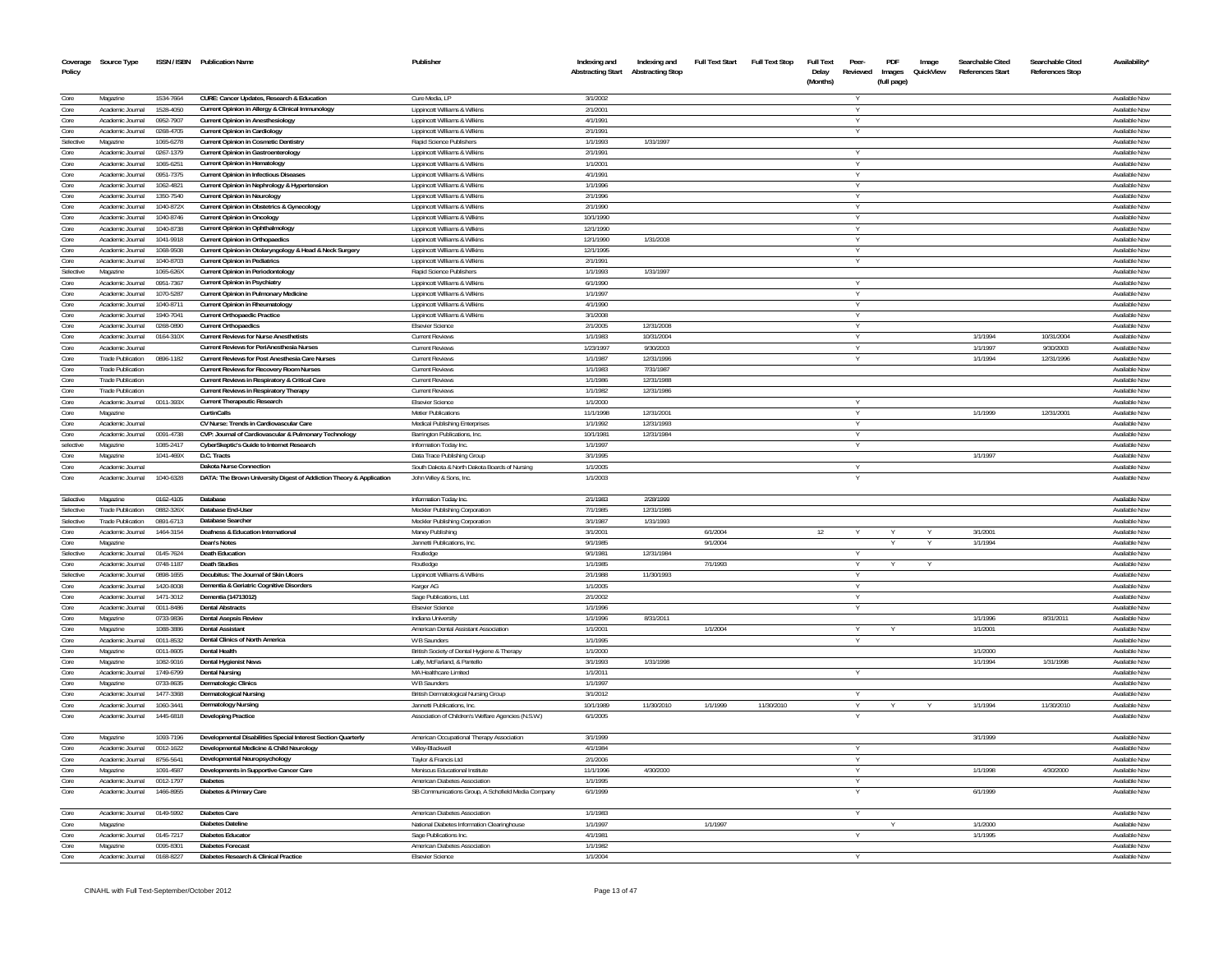| Coverage<br>Policy | Source Type                         |                        | ISSN / ISBN Publication Name                                                     | Publisher                                                      | Indexing and          | Indexing and<br>Abstracting Start Abstracting Stop | <b>Full Text Start</b> | <b>Full Text Stop</b> | <b>Full Text</b><br>Delay<br>(Months) | Peer-<br>Reviewed | PDF<br>Images<br>(full page) | Image<br>QuickView | Searchable Cited<br><b>References Start</b> | Searchable Cited<br><b>References Stop</b> | Availability                   |
|--------------------|-------------------------------------|------------------------|----------------------------------------------------------------------------------|----------------------------------------------------------------|-----------------------|----------------------------------------------------|------------------------|-----------------------|---------------------------------------|-------------------|------------------------------|--------------------|---------------------------------------------|--------------------------------------------|--------------------------------|
| Core               | Magazine                            | 1534-7664              | CURE: Cancer Updates, Research & Education                                       | Cure Media, LP                                                 | 3/1/2002              |                                                    |                        |                       |                                       |                   |                              |                    |                                             |                                            | Available Now                  |
| Core               | Academic Journal                    | 1528-4050              | Current Opinion in Allergy & Clinical Immunology                                 | Lippincott Williams & Wilkins                                  | 2/1/2001              |                                                    |                        |                       |                                       | v                 |                              |                    |                                             |                                            | Available Now                  |
| Core               | Academic Journal                    | 0952-7907              | <b>Current Opinion in Anesthesiology</b>                                         | Lippincott Williams & Wilkins                                  | 4/1/1991              |                                                    |                        |                       |                                       |                   |                              |                    |                                             |                                            | Available Now                  |
| Core               | Academic Journal                    | 0268-4705              | Current Opinion in Cardiology                                                    | Lippincott Williams & Wilkins                                  | 2/1/1991              |                                                    |                        |                       |                                       |                   |                              |                    |                                             |                                            | Available Now                  |
| Selective          | Magazine                            | 1065-6278              | <b>Current Opinion in Cosmetic Dentistry</b>                                     | Rapid Science Publishers                                       | 1/1/1993              | 1/31/1997                                          |                        |                       |                                       |                   |                              |                    |                                             |                                            | Available Now                  |
| Core               | Academic Journal                    | 0267-1379              | Current Opinion in Gastroenterology                                              | Lippincott Williams & Wilkins                                  | 2/1/1991              |                                                    |                        |                       |                                       |                   |                              |                    |                                             |                                            | Available Now                  |
| Core               | Academic Inumal                     | 1065.6251              | <b>Current Opinion in Hematology</b>                                             | Lippincott Williams & Wilkins                                  | 1/1/2001              |                                                    |                        |                       |                                       |                   |                              |                    |                                             |                                            | Available Now                  |
| Core               | Academic Journal                    | 0951-7375              | Current Opinion in Infectious Diseases                                           | Lippincott Williams & Wilkins                                  | 4/1/1991              |                                                    |                        |                       |                                       | Y                 |                              |                    |                                             |                                            | Available Now                  |
| Core               | Academic Journal                    | 1062-4821              | Current Opinion in Nephrology & Hypertension                                     | Lippincott Williams & Wilkins                                  | 1/1/1996              |                                                    |                        |                       |                                       | Y                 |                              |                    |                                             |                                            | Available Now                  |
| Core<br>Core       | Academic Journal                    | 1350-7540              | Current Opinion in Neurology                                                     | Lippincott Williams & Wilkins                                  | 2/1/1996              |                                                    |                        |                       |                                       |                   |                              |                    |                                             |                                            | Available Nov                  |
| Core               | Academic Journa<br>Academic Journal | 1040-872X<br>1040-8746 | Current Opinion in Obstetrics & Gynecology<br><b>Current Opinion in Oncology</b> | Lippincott Williams & Wilkins<br>Lippincott Williams & Wilkins | 2/1/1990<br>10/1/1990 |                                                    |                        |                       |                                       |                   |                              |                    |                                             |                                            | Available Now<br>Available Now |
| Core               | Academic Journal                    | 1040-8738              | Current Opinion in Ophthalmology                                                 | Lippincott Williams & Wilkins                                  | 12/1/1990             |                                                    |                        |                       |                                       |                   |                              |                    |                                             |                                            | Available Now                  |
| Core               | Academic Journal                    | 1041-9918              | <b>Current Opinion in Orthopaedics</b>                                           | Lippincott Williams & Wilkins                                  | 12/1/1990             | 1/31/2008                                          |                        |                       |                                       |                   |                              |                    |                                             |                                            | Available Now                  |
| Core               | Academic Journal                    | 1068-9508              | Current Opinion in Otolaryngology & Head & Neck Surgery                          | Lippincott Williams & Wilkins                                  | 12/1/1995             |                                                    |                        |                       |                                       |                   |                              |                    |                                             |                                            | Available Now                  |
| Core               | Academic Journal                    | 1040-8703              | <b>Current Opinion in Pediatrics</b>                                             | Lippincott Williams & Wilkins                                  | 2/1/1991              |                                                    |                        |                       |                                       | Y                 |                              |                    |                                             |                                            | Available Now                  |
| Selective          | Magazine                            | 1065-626X              | Current Opinion in Periodontology                                                | Rapid Science Publishers                                       | 1/1/1993              | 1/31/1997                                          |                        |                       |                                       |                   |                              |                    |                                             |                                            | Available Now                  |
| Core               | Academic Journal                    | 0951-7367              | <b>Current Opinion in Psychiatry</b>                                             | Lippincott Williams & Wilkins                                  | 6/1/1990              |                                                    |                        |                       |                                       | Y                 |                              |                    |                                             |                                            | Available Now                  |
| Core               | Academic Journal                    | 1070-5287              | <b>Current Opinion in Pulmonary Medicine</b>                                     | Lippincott Williams & Wilkins                                  | 1/1/1997              |                                                    |                        |                       |                                       | Y                 |                              |                    |                                             |                                            | Available Now                  |
| Core               | Academic Inumal                     | 1040-8711              | Current Opinion in Rheumatology                                                  | Lippincott Williams & Wilkins                                  | 4/1/1990              |                                                    |                        |                       |                                       | Y                 |                              |                    |                                             |                                            | Available Now                  |
| Core               | Academic Journal                    | 1940-7041              | <b>Current Orthopaedic Practice</b>                                              | Lippincott Williams & Wilkins                                  | 3/1/2008              |                                                    |                        |                       |                                       | Y                 |                              |                    |                                             |                                            | Available Now                  |
| Core               | Academic Journal                    | 0268-0890              | <b>Current Orthopaedics</b>                                                      | <b>Elsevier Science</b>                                        | 2/1/2005              | 12/31/2008                                         |                        |                       |                                       | Y                 |                              |                    |                                             |                                            | Available Now                  |
| Core               | Academic Journal                    | 0164-310X              | <b>Current Reviews for Nurse Anesthetists</b>                                    | <b>Current Reviews</b>                                         | 1/1/1983              | 10/31/2004                                         |                        |                       |                                       |                   |                              |                    | 1/1/1994                                    | 10/31/2004                                 | Available Now                  |
| Core               | Academic Journal                    |                        | Current Reviews for PeriAnesthesia Nurses                                        | <b>Current Reviews</b>                                         | 1/23/1997             | 9/30/2003                                          |                        |                       |                                       | v                 |                              |                    | 1/1/1997                                    | 9/30/2003                                  | Available Now                  |
| Core               | <b>Trade Publication</b>            | 0896-1182              | Current Reviews for Post Anesthesia Care Nurses                                  | <b>Current Reviews</b>                                         | 1/1/1987              | 12/31/1996                                         |                        |                       |                                       |                   |                              |                    | 1/1/1994                                    | 12/31/1996                                 | Available Now                  |
| Core               | <b>Trade Publication</b>            |                        | <b>Current Reviews for Recovery Room Nurses</b>                                  | <b>Current Reviews</b>                                         | 1/1/1983              | 7/31/1987                                          |                        |                       |                                       |                   |                              |                    |                                             |                                            | Available Now                  |
| Core               | <b>Trade Publication</b>            |                        | Current Reviews in Respiratory & Critical Care                                   | <b>Current Reviews</b>                                         | 1/1/1986              | 12/31/1988                                         |                        |                       |                                       |                   |                              |                    |                                             |                                            | Available Nov                  |
| Core<br>Core       | <b>Trade Publication</b>            |                        | Current Reviews in Respiratory Therapy                                           | <b>Current Reviews</b>                                         | 1/1/1982              | 12/31/1986                                         |                        |                       |                                       |                   |                              |                    |                                             |                                            | Available Now<br>Available Now |
| Core               | Academic Journal<br>Magazine        | 0011-393X              | <b>Current Therapeutic Research</b><br>CurtinCalls                               | <b>Elsevier Science</b><br><b>Metier Publications</b>          | 1/1/2000<br>11/1/1998 | 12/31/2001                                         |                        |                       |                                       |                   |                              |                    | 1/1/1999                                    | 12/31/2001                                 | Available Now                  |
| Core               | Academic Journal                    |                        | CV Nurse: Trends in Cardiovascular Care                                          | Medical Publishing Enterprises                                 | 1/1/1992              | 12/31/1993                                         |                        |                       |                                       | Υ                 |                              |                    |                                             |                                            | Available Now                  |
| Core               | Academic Journal                    | 0091-4738              | CVP: Journal of Cardiovascular & Pulmonary Technology                            | Barrington Publications, Inc.                                  | 10/1/1981             | 12/31/1984                                         |                        |                       |                                       |                   |                              |                    |                                             |                                            | Available Now                  |
| selective          | Magazine                            | 1085-2417              | CyberSkeptic's Guide to Internet Research                                        | Information Today Inc.                                         | 1/1/1997              |                                                    |                        |                       |                                       |                   |                              |                    |                                             |                                            | Available Now                  |
| Core               | Magazine                            | 1041-469X              | D.C. Tracts                                                                      | Data Trace Publishing Group                                    | 3/1/1995              |                                                    |                        |                       |                                       |                   |                              |                    | 1/1/1997                                    |                                            | Available Nov                  |
| Core               | Academic Journal                    |                        | Dakota Nurse Connection                                                          | South Dakota & North Dakota Boards of Nursing                  | 1/1/2005              |                                                    |                        |                       |                                       |                   |                              |                    |                                             |                                            | Available Now                  |
| Core               | Academic Journal                    | 1040-6328              | DATA: The Brown University Digest of Addiction Theory & Application              | John Wiley & Sons, Inc.                                        | 1/1/2003              |                                                    |                        |                       |                                       |                   |                              |                    |                                             |                                            | Available Now                  |
| Selective          | Magazine                            | 0162-4105              | Database                                                                         | Information Today Inc.                                         | 2/1/1983              | 2/28/1999                                          |                        |                       |                                       |                   |                              |                    |                                             |                                            | Available Now                  |
| Selective          | <b>Trade Publication</b>            | 0882-326X              | Database End-User                                                                | Meckler Publishing Corporation                                 | 7/1/1985              | 12/31/1986                                         |                        |                       |                                       |                   |                              |                    |                                             |                                            | Available Now                  |
| Selective          | <b>Trade Publication</b>            | 0891-6713              | Database Searche                                                                 | Meckler Publishing Corporation                                 | 3/1/1987              | 1/31/1993                                          |                        |                       |                                       |                   |                              |                    |                                             |                                            | Available No                   |
| Core               | Academic Journal                    | 1464-3154              | Deafness & Education International                                               | Maney Publishing                                               | 3/1/2001              |                                                    | 6/1/2004               |                       | 12                                    |                   |                              |                    | 3/1/2001                                    |                                            | Available Nov                  |
| Core               | Magazine                            |                        | Dean's Notes                                                                     | Jannetti Publications, Inc.                                    | 9/1/1985              |                                                    | 9/1/2004               |                       |                                       |                   |                              |                    | 1/1/1994                                    |                                            | Available Nov                  |
| Selective          | Academic Journal                    | 0145-7624              | <b>Death Education</b>                                                           | Routledge                                                      | 9/1/1981              | 12/31/1984                                         |                        |                       |                                       |                   |                              |                    |                                             |                                            | Available Now                  |
| Core               | Academic Journal                    | 0748-1187              | <b>Death Studies</b>                                                             | Routledge                                                      | 1/1/1985              |                                                    | 7/1/1993               |                       |                                       |                   |                              |                    |                                             |                                            | Available Now                  |
| Selective          | Academic Journal                    | 0898-1655              | Decubitus: The Journal of Skin Ulcers                                            | Lippincott Williams & Wilkins                                  | 2/1/1988              | 11/30/1993                                         |                        |                       |                                       |                   |                              |                    |                                             |                                            | Available Now                  |
| Core<br>Core       | Academic Journal                    | 1420-8008              | Dementia & Geriatric Cognitive Disorders                                         | Karger AG                                                      | 1/1/2005              |                                                    |                        |                       |                                       |                   |                              |                    |                                             |                                            | Available Now                  |
| Core               | Academic Journal                    | 1471-3012              | Dementia (14713012)<br><b>Dental Abstracts</b>                                   | Sage Publications, Ltd.                                        | 2/1/2002              |                                                    |                        |                       |                                       |                   |                              |                    |                                             |                                            | Available Now                  |
| Core               | Academic Journal<br>Magazine        | 0011-8486<br>0733-9836 | <b>Dental Asensis Review</b>                                                     | <b>Elsevier Science</b><br>Indiana University                  | 1/1/1996<br>1/1/1996  | 8/31/2011                                          |                        |                       |                                       |                   |                              |                    | 1/1/1996                                    | 8/31/2011                                  | Available Now<br>Available Now |
| Core               | Magazine                            | 1088-3886              | <b>Dental Assistant</b>                                                          | American Dental Assistant Association                          | 1/1/2001              |                                                    | 1/1/2004               |                       |                                       |                   |                              |                    | 1/1/2001                                    |                                            | Available Now                  |
| Core               | Academic Journal                    | 0011-8532              | Dental Clinics of North America                                                  | W B Saunders                                                   | 1/1/1995              |                                                    |                        |                       |                                       |                   |                              |                    |                                             |                                            | Available Now                  |
| Core               | Magazine                            | 0011-8605              | <b>Dental Health</b>                                                             | British Society of Dental Hygiene & Therapy                    | 1/1/2000              |                                                    |                        |                       |                                       |                   |                              |                    | 1/1/2000                                    |                                            | Available Now                  |
| Core               | Magazine                            | 1082-9016              | Dental Hygienist News                                                            | Lally, McFarland, & Pantello                                   | 3/1/1993              | 1/31/1998                                          |                        |                       |                                       |                   |                              |                    | 1/1/1994                                    | 1/31/1998                                  | Available Now                  |
| Core               | Academic Journal                    | 1749-6799              | <b>Dental Nursing</b>                                                            | MA Healthcare Limited                                          | 1/1/2011              |                                                    |                        |                       |                                       |                   |                              |                    |                                             |                                            | Available Nov                  |
| Core               | Magazine                            | 0733-8635              | Dermatologic Clinics                                                             | W B Saunders                                                   | 1/1/1997              |                                                    |                        |                       |                                       |                   |                              |                    |                                             |                                            | Available Nov                  |
| Core               | Academic Journal                    | 1477-3368              | <b>Dermatological Nursing</b>                                                    | <b>British Dermatological Nursing Group</b>                    | 3/1/2012              |                                                    |                        |                       |                                       |                   |                              |                    |                                             |                                            | Available Nov                  |
| Core               | Academic Journal                    | 1060-3441              | <b>Dermatology Nursing</b>                                                       | Jannetti Publications, Inc.                                    | 10/1/1989             | 11/30/2010                                         | 1/1/1999               | 11/30/2010            |                                       |                   |                              |                    | 1/1/1994                                    | 11/30/2010                                 | Available Now                  |
| Core               | Academic Journal                    | 1445-6818              | <b>Developing Practice</b>                                                       | Association of Children's Welfare Agencies (N.S.W.)            | 6/1/2005              |                                                    |                        |                       |                                       |                   |                              |                    |                                             |                                            | Available Now                  |
| Core               | Magazine                            | 1093-7196              | Developmental Disabilities Special Interest Section Quarterly                    | American Occupational Therapy Association                      | 3/1/1999              |                                                    |                        |                       |                                       |                   |                              |                    | 3/1/1999                                    |                                            | Available Nov                  |
| Core               | Academic Journal                    | 0012-1622              | Developmental Medicine & Child Neurology                                         | Wilev-Blackwell                                                | 4/1/1984              |                                                    |                        |                       |                                       |                   |                              |                    |                                             |                                            | Available Now                  |
| Core               | Academic Journal                    | 8756-5641              | Developmental Neuropsychology                                                    | Taylor & Francis Ltd                                           | 2/1/2006              |                                                    |                        |                       |                                       |                   |                              |                    |                                             |                                            | Available Now                  |
| Core               | Magazine                            | 1091-4587              | Developments in Supportive Cancer Care                                           | Meniscus Educational Institute                                 | 11/1/1996             | 4/30/2000                                          |                        |                       |                                       | Y                 |                              |                    | 1/1/1998                                    | 4/30/2000                                  | Available Now                  |
| Core               | Academic Journal                    | 0012-1797              | Diabetes                                                                         | American Diabetes Association                                  | 1/1/1995              |                                                    |                        |                       |                                       |                   |                              |                    |                                             |                                            | Available Now                  |
| Core               | Academic Journal                    | 1466-8955              | Diabetes & Primary Care                                                          | SB Communications Group, A Schofield Media Company             | 6/1/1999              |                                                    |                        |                       |                                       |                   |                              |                    | 6/1/1999                                    |                                            | Available Now                  |
| Core               | Academic Journal                    | 0149-5992              | Diabetes Care                                                                    | American Diabetes Association                                  | 1/1/1983              |                                                    |                        |                       |                                       |                   |                              |                    |                                             |                                            | Available Now                  |
| Core               | Magazine                            |                        | <b>Diabetes Dateline</b>                                                         | National Diabetes Information Clearinghouse                    | 1/1/1997              |                                                    | 1/1/1997               |                       |                                       |                   |                              |                    | 1/1/2000                                    |                                            | Available Now                  |
| Core               | Academic Journal                    | 0145-7217              | <b>Diabetes Educator</b>                                                         | Sage Publications Inc.                                         | 4/1/1981              |                                                    |                        |                       |                                       |                   |                              |                    | 1/1/1995                                    |                                            | Available Now                  |
| Core               | Magazine                            | 0095-8301              | <b>Diabetes Forecast</b>                                                         | American Diabetes Association                                  | 1/1/1982              |                                                    |                        |                       |                                       |                   |                              |                    |                                             |                                            | Available Now                  |

Available Now and the Contract of the Contract of the Contract of the Contract of the Contract of the Contract of the Contract of the Contract of the Contract of the Contract of the Contract of the Contract of the Contract

Core Academic Journal 0168-8227 **Diabetes Research & Clinical Practice** Practice Elsevier Science Elsevier Science 1/1/2004 71/2004 71/2004 71/2004 71/2004 71/2004 72:00 1/1/2004 72:00 1/1/2004 72:00 1/1/2004 72:00 1/1/200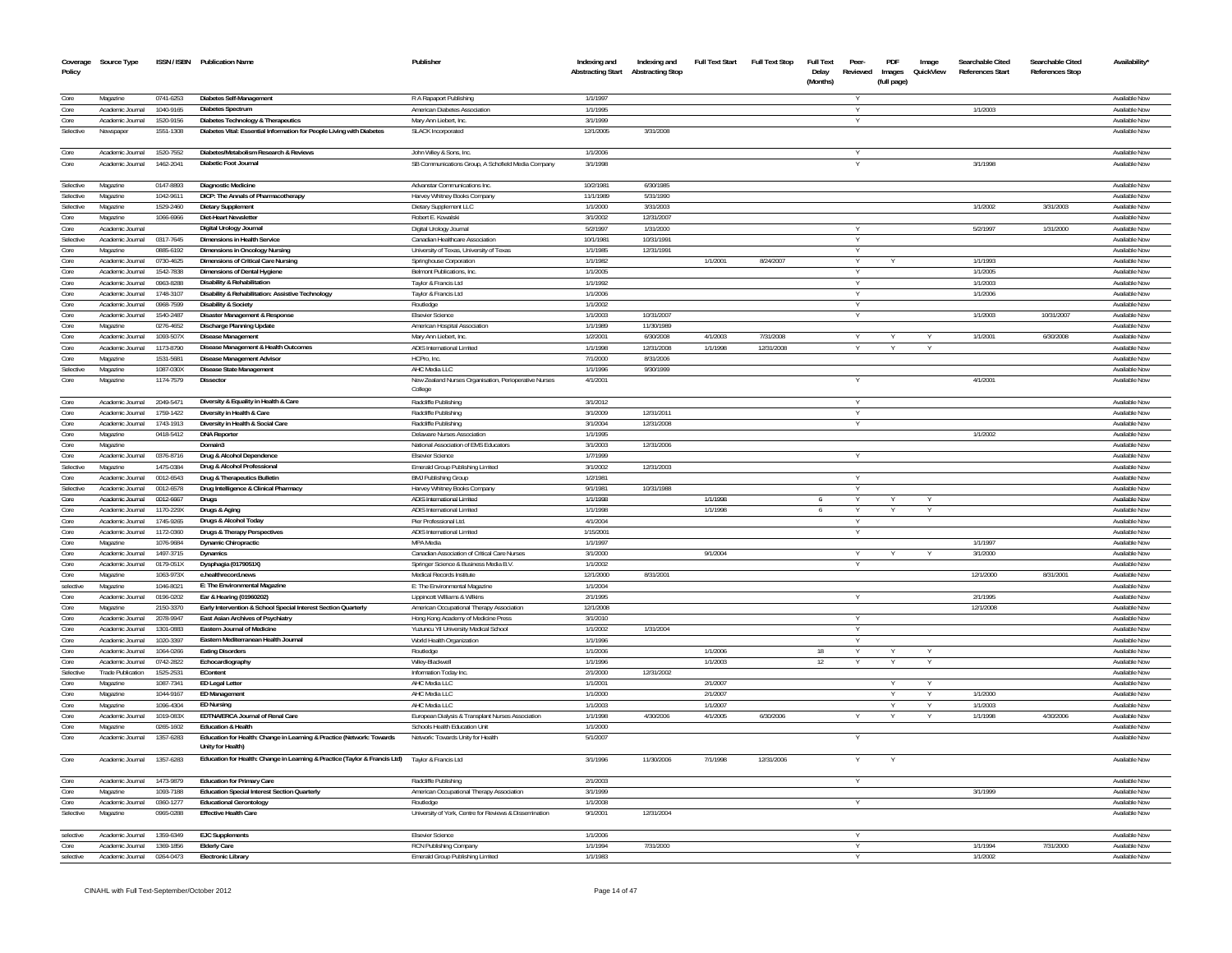|              | Coverage Source Type                 |                        | ISSN / ISBN Publication Name                                                                    | Publisher                                                                     | Indexing and         | Indexing and                              | <b>Full Text Start</b> | Full Text Stop | <b>Full Text</b>  | Peer-    | PDF         | Image     | Searchable Cited        | Searchable Cited       | <b>Availability</b>            |
|--------------|--------------------------------------|------------------------|-------------------------------------------------------------------------------------------------|-------------------------------------------------------------------------------|----------------------|-------------------------------------------|------------------------|----------------|-------------------|----------|-------------|-----------|-------------------------|------------------------|--------------------------------|
| Policy       |                                      |                        |                                                                                                 |                                                                               |                      | <b>Abstracting Start Abstracting Stop</b> |                        |                | Delay<br>(Months) | Reviewed | Images      | QuickView | <b>References Start</b> | <b>References Stop</b> |                                |
|              |                                      |                        |                                                                                                 |                                                                               |                      |                                           |                        |                |                   |          | (full page) |           |                         |                        |                                |
| Core         | Magazine                             | 0741-6253              | Diabetes Self-Management                                                                        | R A Rapaport Publishing                                                       | 1/1/1997             |                                           |                        |                |                   |          |             |           |                         |                        | Available Now                  |
| Core         | Academic Journal                     | 1040-9165              | <b>Diabetes Spectrum</b>                                                                        | American Diabetes Association                                                 | 1/1/1995             |                                           |                        |                |                   |          |             |           | 1/1/2003                |                        | Available Now                  |
| Core         | Academic Journal                     | 1520-9156              | Diabetes Technology & Therapeutics                                                              | Mary Ann Liebert, Inc.                                                        | 3/1/1999             |                                           |                        |                |                   |          |             |           |                         |                        | Available Now                  |
| Selective    | Newspaper                            | 1551-1308              | Diabetes Vital: Essential Information for People Living with Diabetes                           | <b>SLACK Incorporated</b>                                                     | 12/1/2005            | 3/31/2008                                 |                        |                |                   |          |             |           |                         |                        | Available Now                  |
| Core         |                                      |                        | Diabetes/Metabolism Research & Reviews                                                          |                                                                               | 1/1/2006             |                                           |                        |                |                   |          |             |           |                         |                        |                                |
| Core         | Academic Journal<br>Academic Journal | 1520-7552<br>1462-2041 | Diabetic Foot Journal                                                                           | John Wiley & Sons, Inc.<br>SB Communications Group, A Schofield Media Company | 3/1/1998             |                                           |                        |                |                   | Y        |             |           | 3/1/1998                |                        | Available Now<br>Available Nov |
|              |                                      |                        |                                                                                                 |                                                                               |                      |                                           |                        |                |                   |          |             |           |                         |                        |                                |
| Selective    | Magazine                             | 0147-8893              | <b>Diagnostic Medicine</b>                                                                      | Advanstar Communications Inc.                                                 | 10/2/1981            | 6/30/1985                                 |                        |                |                   |          |             |           |                         |                        | Available Now                  |
| Selective    | Magazine                             | 1042-9611              | DICP: The Annals of Pharmacotherapy                                                             | Harvey Whitney Books Company                                                  | 11/1/1989            | 5/31/1990                                 |                        |                |                   |          |             |           |                         |                        | Available Now                  |
| Selective    | Magazine                             | 1529-2460              | <b>Dietary Supplement</b>                                                                       | Dietary Supplement LLC                                                        | 1/1/2000             | 3/31/2003                                 |                        |                |                   |          |             |           | 1/1/2002                | 3/31/2003              | Available Now                  |
| Core         | Magazine                             | 1066-6966              | <b>Diet-Heart Newsletter</b>                                                                    | Robert E. Kowalski                                                            | 3/1/2002             | 12/31/2007                                |                        |                |                   |          |             |           |                         |                        | Available Now                  |
| Core         | Academic Journal                     |                        | Digital Urology Journal                                                                         | Digital Urology Journal                                                       | 5/2/1997             | 1/31/2000                                 |                        |                |                   |          |             |           | 5/2/1997                | 1/31/2000              | Available Now                  |
| Selective    | Academic Journal                     | 0317-7645              | <b>Dimensions in Health Service</b>                                                             | Canadian Healthcare Association                                               | 10/1/198             | 10/31/199                                 |                        |                |                   |          |             |           |                         |                        | Available Nov                  |
| Core         | Magazine                             | 0885-6192              | <b>Dimensions in Oncology Nursing</b>                                                           | University of Texas, University of Texas                                      | 1/1/1985             | 12/31/1991                                |                        |                |                   | Y        |             |           |                         |                        | Available Now                  |
| Core         | Academic Journal                     | 0730-4625              | Dimensions of Critical Care Nursing                                                             | Springhouse Corporation                                                       | 1/1/1982             |                                           | 1/1/2001               | 8/24/2007      |                   | Y        |             |           | 1/1/1993                |                        | Available Now                  |
| Core         | Academic Journal                     | 1542-7838              | Dimensions of Dental Hygiene                                                                    | Belmont Publications, Inc.                                                    | 1/1/2005             |                                           |                        |                |                   |          |             |           | 1/1/2005                |                        | Available Now                  |
| Core         | Academic Journal                     | 0963-8288              | <b>Disability &amp; Rehabilitation</b>                                                          | Taylor & Francis Ltd                                                          | 1/1/1992             |                                           |                        |                |                   | Y        |             |           | 1/1/2003                |                        | Available Now                  |
| Core         | Academic Journal                     | 1748-3107              | Disability & Rehabilitation: Assistive Technology                                               | Taylor & Francis Ltd                                                          | 1/1/2006             |                                           |                        |                |                   |          |             |           | 1/1/2006                |                        | Available Now                  |
| Core<br>Core | Academic Journal<br>Academic Journal | 0968-7599<br>1540-2487 | <b>Disability &amp; Society</b>                                                                 | Routledge                                                                     | 1/1/2002             |                                           |                        |                |                   | Y        |             |           | 1/1/2003                | 10/31/2007             | Available Now<br>Available Now |
| Core         | Magazine                             | 0276-4652              | Disaster Management & Response<br>Discharge Planning Update                                     | <b>Elsevier Science</b><br>American Hospital Association                      | 1/1/2003<br>1/1/1989 | 10/31/2007<br>11/30/1989                  |                        |                |                   |          |             |           |                         |                        | Available Now                  |
| Core         | Academic Journal                     | 1093-507X              | Disease Management                                                                              | Mary Ann Liebert, Inc.                                                        | 1/2/200              | 6/30/200                                  | 4/1/2003               | 7/31/2008      |                   |          |             |           | 1/1/2001                | 6/30/2008              | Available Nov                  |
| Core         | Academic Journal                     | 1173-8790              | Disease Management & Health Outcomes                                                            | ADIS International Limited                                                    | 1/1/1998             | 12/31/2008                                | 1/1/1998               | 12/31/2008     |                   | Y        |             |           |                         |                        | Available Now                  |
| Core         | Magazine                             | 1531-5681              | Disease Management Advisor                                                                      | HCPro, Inc.                                                                   | 7/1/2000             | 8/31/2006                                 |                        |                |                   |          |             |           |                         |                        | Available Nov                  |
| Selective    | Magazine                             | 1087-030X              | Disease State Management                                                                        | AHC Media LLC                                                                 | 1/1/1996             | 9/30/1999                                 |                        |                |                   |          |             |           |                         |                        | Available Now                  |
| Core         | Magazine                             | 1174-7579              | Dissector                                                                                       | New Zealand Nurses Organisation, Perioperative Nurses                         | 4/1/2001             |                                           |                        |                |                   |          |             |           | 4/1/2001                |                        | Available Nov                  |
|              |                                      |                        |                                                                                                 | College                                                                       |                      |                                           |                        |                |                   |          |             |           |                         |                        |                                |
| Core         | Academic Journal                     | 2049-5471              | Diversity & Equality in Health & Care                                                           | Radcliffe Publishing                                                          | 3/1/2012             |                                           |                        |                |                   |          |             |           |                         |                        | Available Now                  |
| Core         | Academic Journal                     | 1759-1422              | Diversity in Health & Care                                                                      | Radcliffe Publishing                                                          | 3/1/2009             | 12/31/201                                 |                        |                |                   |          |             |           |                         |                        | <b>Available Nov</b>           |
| Core         | Academic Journal                     | 1743-1913              | Diversity in Health & Social Care                                                               | Radcliffe Publishing                                                          | 3/1/2004             | 12/31/2008                                |                        |                |                   | Y        |             |           |                         |                        | Available Nov                  |
| Core         | Magazine                             | 0418-5412              | <b>DNA Reporter</b>                                                                             | <b>Delaware Nurses Association</b>                                            | 1/1/199              |                                           |                        |                |                   |          |             |           | 1/1/2002                |                        | Available Nov                  |
| Core         | Magazine                             |                        | Domain3                                                                                         | National Association of EMS Educators                                         | 3/1/2003             | 12/31/2006                                |                        |                |                   |          |             |           |                         |                        | Available Nov                  |
| Core         | Academic Journal                     | 0376-8716              | Drug & Alcohol Dependence                                                                       | <b>Elsevier Science</b>                                                       | 1/7/1999             |                                           |                        |                |                   |          |             |           |                         |                        | Available Nov                  |
| Selective    | Magazine                             | 1475-0384              | Drug & Alcohol Professional                                                                     | Emerald Group Publishing Limited                                              | 3/1/2002             | 12/31/2003                                |                        |                |                   |          |             |           |                         |                        | Available Nov                  |
| Core         | Academic Journal                     | 0012-6543              | Drug & Therapeutics Bulletin                                                                    | <b>BMJ Publishing Group</b>                                                   | 1/2/1981             |                                           |                        |                |                   | Y        |             |           |                         |                        | Available Nov                  |
| Selective    | Academic Journal                     | 0012-6578              | Drug Intelligence & Clinical Pharmacy                                                           | Harvey Whitney Books Company                                                  | 9/1/1981             | 10/31/1988                                |                        |                |                   |          |             |           |                         |                        | Available Nov                  |
| Core<br>Core | Academic Journal                     | 0012-6667              | Drugs                                                                                           | ADIS International Limited                                                    | 1/1/1998             |                                           | 1/1/1998               |                | -6                | Y        |             |           |                         |                        | Available Nov                  |
| Core         | Academic Journal<br>Academic Journal | 1170-229X<br>1745-9265 | Drugs & Aging                                                                                   | <b>ADIS International Limited</b><br>Pier Professional Ltd.                   | 1/1/1998<br>4/1/2004 |                                           | 1/1/1998               |                | -6                |          |             |           |                         |                        | Available Nov                  |
| Core         | Academic Journal                     | 1172-0360              | Drugs & Alcohol Today<br>Drugs & Therapy Perspectives                                           | ADIS International Limited                                                    | 1/15/2001            |                                           |                        |                |                   | Y        |             |           |                         |                        | Available Nov<br>Available Nov |
| Core         | Magazine                             | 1076-9684              | Dynamic Chiropractic                                                                            | MPA Media                                                                     | 1/1/1997             |                                           |                        |                |                   |          |             |           | 1/1/1997                |                        | Available Nov                  |
| Core         | Academic Journal                     | 1497-3715              | <b>Dynamics</b>                                                                                 | Canadian Association of Critical Care Nurses                                  | 3/1/2000             |                                           | 9/1/2004               |                |                   | Y        |             |           | 3/1/2000                |                        | Available Nov                  |
| Core         | Academic Journal                     | 0179-051X              | Dysphagia (0179051X)                                                                            | Springer Science & Business Media B.V                                         | 1/1/2002             |                                           |                        |                |                   | Y        |             |           |                         |                        | Available Nov                  |
| Core         | Magazine                             | 1063-973X              | e.healthrecord.news                                                                             | Medical Records Institute                                                     | 12/1/2000            | 8/31/2001                                 |                        |                |                   |          |             |           | 12/1/2000               | 8/31/2001              | Available Nov                  |
| selective    | Magazine                             | 1046-8021              | E: The Environmental Magazine                                                                   | E: The Environmental Magazine                                                 | 1/1/2004             |                                           |                        |                |                   |          |             |           |                         |                        | Available Nov                  |
| Core         | Academic Journal                     | 0196-0202              | Ear & Hearing (01960202)                                                                        | Lippincott Williams & Wilkins                                                 | 2/1/1995             |                                           |                        |                |                   | Y        |             |           | 2/1/1995                |                        | Available Now                  |
| Core         | Magazine                             | 2150-3370              | Early Intervention & School Special Interest Section Quarterly                                  | American Occupational Therapy Association                                     | 12/1/2008            |                                           |                        |                |                   |          |             |           | 12/1/2008               |                        | Available Nov                  |
| Core         | Academic Journal                     | 2078-9947              | East Asian Archives of Psychiatry                                                               | Hong Kong Academy of Medicine Press                                           | 3/1/2010             |                                           |                        |                |                   | Y        |             |           |                         |                        | Available Nov                  |
| Core         | Academic Journal                     | 1301-0883              | <b>Eastern Journal of Medicine</b>                                                              | Yuzuncu Yil University Medical School                                         | 1/1/2002             | 1/31/2004                                 |                        |                |                   | Y        |             |           |                         |                        | Available Nov                  |
| Core         | Academic Journal                     | 1020-3397              | <b>Fastern Mediterranean Health Journal</b>                                                     | World Health Organization                                                     | 1/1/1996             |                                           |                        |                |                   | Y        |             |           |                         |                        | Available Nov                  |
| Core         | Academic Journal                     | 1064-0266              | <b>Eating Disorders</b>                                                                         | Routledge                                                                     | 1/1/2006             |                                           | 1/1/2006               |                | 18                |          |             |           |                         |                        | Available Nov                  |
| Core         | Academic Journal                     | 0742-2822              | Echocardiography                                                                                | Wiley-Blackwell                                                               | 1/1/1996             |                                           | 1/1/2003               |                | 12                | Y        | Y           | Y         |                         |                        | Available Nov                  |
| Selective    | <b>Trade Publication</b>             | 1525-2531              | EContent                                                                                        | Information Today Inc.                                                        | 2/1/2000             | 12/31/2002                                |                        |                |                   |          |             |           |                         |                        | Available Now                  |
| Core         | Magazine                             | 1087-7341              | FD Legal Letter                                                                                 | AHC Media LLC                                                                 | 1/1/2001             |                                           | 2/1/2007               |                |                   |          |             | Y         |                         |                        | Available Nov                  |
| Core<br>Core | Magazine<br>Magazine                 | 1044-9167<br>1096-4304 | <b>ED Management</b>                                                                            | AHC Media LLC<br>AHC Media LLC                                                | 1/1/2000<br>1/1/2003 |                                           | 2/1/2007<br>1/1/2007   |                |                   |          |             | Y         | 1/1/2000<br>1/1/2003    |                        | Available Nov                  |
| Core         | Academic Journal                     | 1019-083X              | <b>ED Nursing</b><br>EDTNA/ERCA Journal of Renal Care                                           | European Dialysis & Transplant Nurses Association                             | 1/1/1998             | 4/30/2006                                 | 4/1/2005               | 6/30/2006      |                   |          |             | Y         | 1/1/1998                | 4/30/2006              | Available Nov<br>Available Now |
| Core         | Magazine                             | 0265-1602              | <b>Education &amp; Health</b>                                                                   | Schools Health Education Unit                                                 | 1/1/2000             |                                           |                        |                |                   |          |             |           |                         |                        | Available Now                  |
| Core         | Academic Journal                     | 1357-6283              | Education for Health: Change in Learning & Practice (Network: Towards                           | Network: Towards Unity for Health                                             | 5/1/2007             |                                           |                        |                |                   |          |             |           |                         |                        | Available Nov                  |
|              |                                      |                        | Unity for Health)                                                                               |                                                                               |                      |                                           |                        |                |                   |          |             |           |                         |                        |                                |
| Core         | Academic Journal                     | 1357-6283              | Education for Health: Change in Learning & Practice (Taylor & Francis Ltd) Taylor & Francis Ltd |                                                                               | 3/1/1996             | 11/30/2006                                | 7/1/1998               | 12/31/2006     |                   |          |             |           |                         |                        | Available Now                  |
|              |                                      |                        |                                                                                                 |                                                                               |                      |                                           |                        |                |                   |          |             |           |                         |                        |                                |
| Core         | Academic Journal                     | 1473-9879              | <b>Education for Primary Care</b>                                                               | Radcliffe Publishing                                                          | 2/1/2003             |                                           |                        |                |                   | Y        |             |           |                         |                        | Available Now                  |
| Core         | Magazine                             | 1093-7188              | <b>Education Special Interest Section Quarterly</b>                                             | American Occupational Therapy Association                                     | 3/1/1999             |                                           |                        |                |                   |          |             |           | 3/1/1999                |                        | Available Now                  |
| Core         | Academic Journal                     | 0360-1277              | <b>Educational Gerontology</b>                                                                  | Routledge                                                                     | 1/1/2008             |                                           |                        |                |                   | Y        |             |           |                         |                        | Available Now                  |
| Selective    | Magazine                             | 0965-0288              | <b>Effective Health Care</b>                                                                    | University of York, Centre for Reviews & Dissemination                        | 9/1/2001             | 12/31/2004                                |                        |                |                   |          |             |           |                         |                        | Available Nov                  |
|              |                                      |                        |                                                                                                 |                                                                               |                      |                                           |                        |                |                   |          |             |           |                         |                        |                                |
| selective    | Academic Journal                     | 1359-6349              | <b>EJC</b> Supplements                                                                          | <b>Elsevier Science</b>                                                       | 1/1/2006             |                                           |                        |                |                   | Y        |             |           |                         |                        | Available Now                  |
| Core         | Academic Inumal                      | 1369-1856              | <b>Elderly Care</b>                                                                             | RCN Publishing Company                                                        | 1/1/1994             | 7/31/2000                                 |                        |                |                   | $\vee$   |             |           | 1/1/1994                | 7/31/2000              | Available Now                  |
| selective    | Academic Journal                     | 0264-0473              | <b>Electronic Library</b>                                                                       | Emerald Group Publishing Limited                                              | 1/1/1983             |                                           |                        |                |                   | Y        |             |           | 1/1/2002                |                        | Available Now                  |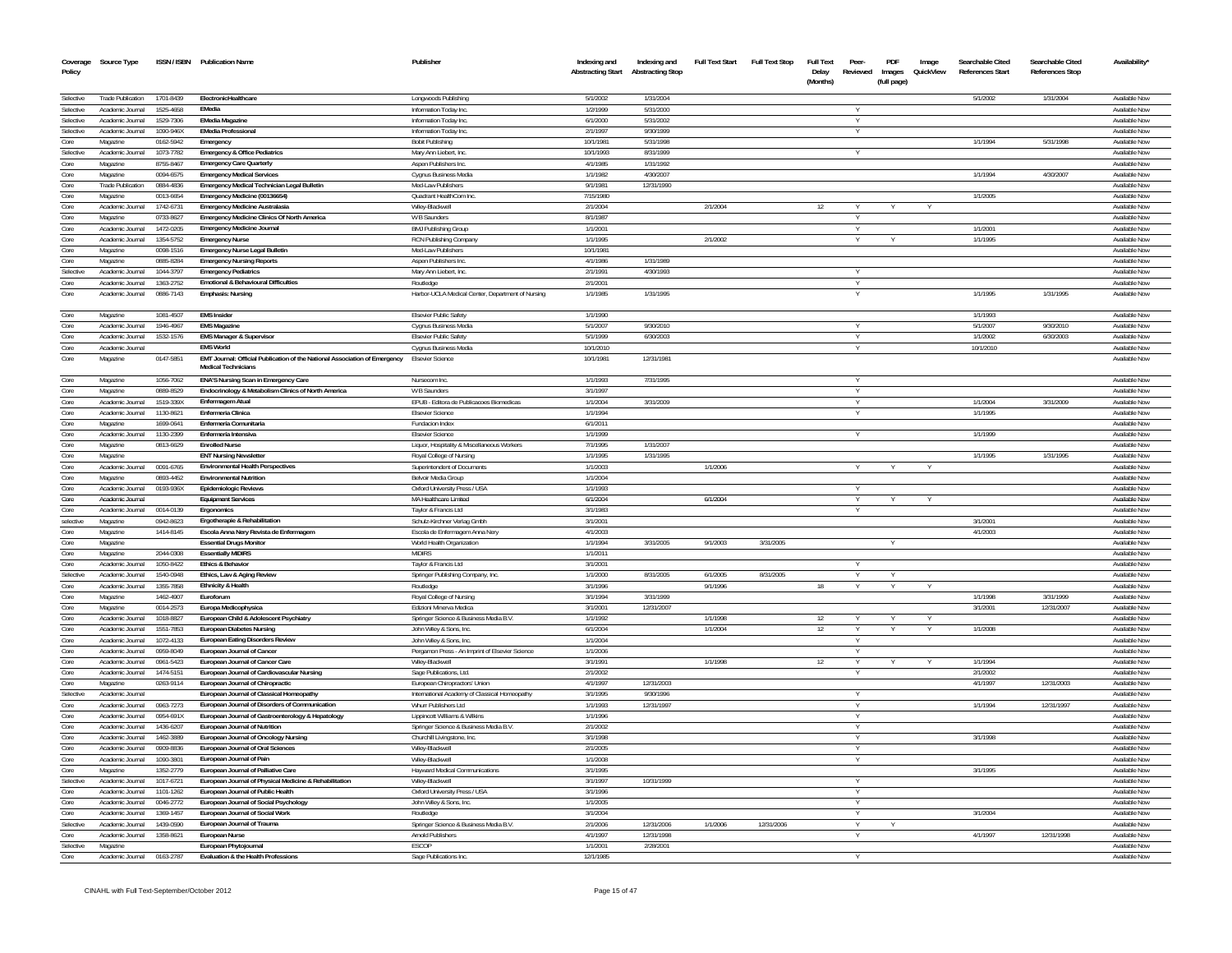| Coverage<br>Policy       | Source Type                          |                        | ISSN / ISBN Publication Name                                                                             | Publisher                                                | Indexing and<br><b>Abstracting Start</b> | Indexing and<br><b>Abstracting Stop</b> | Full Text Start | <b>Full Text Stop</b> | <b>Full Text</b><br>Delay<br>(Months) | Peer<br>Reviewed | PDF<br>Images<br>(full page) | Image<br>QuickView | Searchable Cited<br>References Start | Searchable Cited<br>References Stop | Availability'                  |
|--------------------------|--------------------------------------|------------------------|----------------------------------------------------------------------------------------------------------|----------------------------------------------------------|------------------------------------------|-----------------------------------------|-----------------|-----------------------|---------------------------------------|------------------|------------------------------|--------------------|--------------------------------------|-------------------------------------|--------------------------------|
| Selective                | Trade Publication                    | 1701-8439              | <b>FlectronicHealthcare</b>                                                                              | Longwoods Publishing                                     | 5/1/2002                                 | 1/31/2004                               |                 |                       |                                       |                  |                              |                    | 5/1/2002                             | 1/31/2004                           | Available Now                  |
| Selective                | Academic Journal                     | 1525-4658              | FMedia                                                                                                   | Information Today Inc.                                   | 1/2/1999                                 | 5/31/2000                               |                 |                       |                                       |                  |                              |                    |                                      |                                     | Available Now                  |
| Selective                | Academic Journal                     | 1529-7306              | <b>EMedia Magazine</b>                                                                                   | Information Today Inc.                                   | 6/1/2000                                 | 5/31/2002                               |                 |                       |                                       |                  |                              |                    |                                      |                                     | Available Now                  |
| Selective                | Academic Journal                     | 1090-946X              | <b>FMedia Professional</b>                                                                               | Information Today Inc.                                   | 2/1/1997                                 | 9/30/1999                               |                 |                       |                                       | $\vee$           |                              |                    |                                      |                                     | Available Now                  |
| Core                     | Magazine                             | 0162-5942              | Emergency                                                                                                | <b>Bobit Publishing</b>                                  | 10/1/1981                                | 5/31/1998                               |                 |                       |                                       |                  |                              |                    | 1/1/1994                             | 5/31/1998                           | Available Now                  |
| Selective                | Academic Journal                     | 1073-7782              | Emergency & Office Pediatrics                                                                            | Mary Ann Liebert. Inc.                                   | 10/1/1993                                | 8/31/1999                               |                 |                       |                                       |                  |                              |                    |                                      |                                     | Available Now                  |
| Core                     | Magazine                             | 8755-8467              | Emergency Care Quarterly                                                                                 | Aspen Publishers Inc.                                    | 4/1/1985<br>1/1/1982                     | 1/31/1992<br>4/30/2007                  |                 |                       |                                       |                  |                              |                    | 1/1/1994                             |                                     | Available Now<br>Available Now |
| Core<br>Core             | Magazine<br>Trade Publication        | 0094-6575<br>0884-4836 | <b>Emergency Medical Services</b><br>Emergency Medical Technician Legal Bulletin                         | Cygnus Business Media                                    | 9/1/1981                                 | 12/31/1990                              |                 |                       |                                       |                  |                              |                    |                                      | 4/30/2007                           | Available Now                  |
| Core                     | Magazine                             | 0013-6654              | Emergency Medicine (00136654)                                                                            | Med-Law Publishers<br>Quadrant HealthCom Inc.            | 7/15/1980                                |                                         |                 |                       |                                       |                  |                              |                    | 1/1/2005                             |                                     | Available Now                  |
| Core                     | Academic Journal                     | 1742-6731              | <b>Emergency Medicine Australasia</b>                                                                    | Wilev-Blackwell                                          | 2/1/2004                                 |                                         | 2/1/2004        |                       | 12                                    | $\vee$           |                              |                    |                                      |                                     | Available Now                  |
| Core                     | Magazine                             | 0733-8627              | Emergency Medicine Clinics Of North America                                                              | W B Saunders                                             | 8/1/1987                                 |                                         |                 |                       |                                       | Y                |                              |                    |                                      |                                     | Available Now                  |
| Core                     | Academic Journal                     | 1472-0205              | <b>Emergency Medicine Journal</b>                                                                        | BMJ Publishing Group                                     | 1/1/2001                                 |                                         |                 |                       |                                       | Y                |                              |                    | 1/1/2001                             |                                     | Available Now                  |
| Core                     | Academic Journal                     | 1354-5752              | <b>Emergency Nurse</b>                                                                                   | RCN Publishing Company                                   | 1/1/1995                                 |                                         | 2/1/2002        |                       |                                       |                  |                              |                    | 1/1/1995                             |                                     | Available Now                  |
| Core                     | Magazine                             | 0098-1516              | Emergency Nurse Legal Bulletin                                                                           | Med-Law Publishers                                       | 10/1/1981                                |                                         |                 |                       |                                       |                  |                              |                    |                                      |                                     | Available Now                  |
| Core                     | Magazine                             | 0885-8284              | <b>Emergency Nursing Reports</b>                                                                         | Aspen Publishers Inc                                     | 4/1/1986                                 | 1/31/1989                               |                 |                       |                                       |                  |                              |                    |                                      |                                     | <b>Available Now</b>           |
| Selective                | Academic Journal                     | 1044-3797              | <b>Emergency Pediatrics</b>                                                                              | Mary Ann Liebert, Inc.                                   | 2/1/1991                                 | 4/30/1993                               |                 |                       |                                       |                  |                              |                    |                                      |                                     | Available Now                  |
| Core                     | Academic Journal                     | 1363-2752              | <b>Emotional &amp; Behavioural Difficulties</b>                                                          | Routledge                                                | 2/1/2001                                 |                                         |                 |                       |                                       |                  |                              |                    |                                      |                                     | Available Now                  |
| Core                     | Academic Journal                     | 0886-7143              | <b>Emphasis: Nursing</b>                                                                                 | Harbor-UCLA Medical Center, Department of Nursing        | 1/1/1985                                 | 1/31/1995                               |                 |                       |                                       |                  |                              |                    | 1/1/1995                             | 1/31/1995                           | Available Nov                  |
| Core                     | Magazine                             | 1081-4507              | <b>FMS</b> Insider<br><b>FMS Magazine</b>                                                                | Elsevier Public Safety                                   | 1/1/1990<br>5/1/2007                     |                                         |                 |                       |                                       | $\vee$           |                              |                    | 1/1/1993                             |                                     | Available Now<br>Available Now |
| Core<br>Core             | Academic Journal                     | 1946-4967              |                                                                                                          | Cygnus Business Media<br>Elsevier Public Safety          | 5/1/1999                                 | 9/30/2010<br>6/30/2003                  |                 |                       |                                       | Y                |                              |                    | 5/1/2007<br>1/1/2002                 | 9/30/2010<br>6/30/2003              | Available Now                  |
| Core                     | Academic Journal<br>Academic Inumal  | 1532-1576              | <b>EMS Manager &amp; Supervisor</b><br><b>FMS World</b>                                                  |                                                          | 10/1/2010                                |                                         |                 |                       |                                       |                  |                              |                    | 10/1/2010                            |                                     | Available Now                  |
| Core                     | Magazine                             | 0147-5851              | EMT Journal: Official Publication of the National Association of Emergency<br><b>Medical Technicians</b> | Cygnus Business Media<br><b>Elsevier Science</b>         | 10/1/1981                                | 12/31/1981                              |                 |                       |                                       |                  |                              |                    |                                      |                                     | Available Nov                  |
| Core                     | Magazine                             | 1056-7062              | ENA'S Nursing Scan in Emergency Care                                                                     | Nursecom Inc                                             | 1/1/1993                                 | 7/31/1995                               |                 |                       |                                       |                  |                              |                    |                                      |                                     | <b>Available Now</b>           |
| Core                     | Magazine                             | 0889-8529              | Endocrinology & Metabolism Clinics of North America                                                      | W R Saunders                                             | 3/1/1997                                 |                                         |                 |                       |                                       |                  |                              |                    |                                      |                                     | Available Now                  |
| Core                     | Academic Journal                     | 1519-339X              | <b>Fnfermagem Atual</b>                                                                                  | FPUB - Editora de Publicacoes Biomedicas                 | 1/1/2004                                 | 3/31/2009                               |                 |                       |                                       | $\vee$           |                              |                    | 1/1/2004                             | 3/31/2009                           | Available Now                  |
| Core                     | Academic Journal                     | 1130-8621              | <b>Enfermeria Clinica</b>                                                                                | <b>Elsevier Science</b>                                  | 1/1/1994                                 |                                         |                 |                       |                                       |                  |                              |                    | 1/1/1995                             |                                     | Available Now                  |
| Core                     | Magazine                             | 1699-0641              | Enfermería Comunitaria                                                                                   | Fundacion Index                                          | 6/1/2011                                 |                                         |                 |                       |                                       |                  |                              |                    |                                      |                                     | Available Now                  |
| Core                     | Academic Journal                     | 1130-2399              | <b>Enfermería Intensiva</b>                                                                              | <b>Fisevier Science</b>                                  | 1/1/1999                                 |                                         |                 |                       |                                       |                  |                              |                    | 1/1/1999                             |                                     | Available Now                  |
| $\mathop{\mathrm{Core}}$ | Magazine                             | 0813-6629              | <b>Enrolled Nurse</b>                                                                                    | Liquor, Hospitality & Miscellaneous Workers              | 7/1/1995                                 | 1/31/2007                               |                 |                       |                                       |                  |                              |                    |                                      |                                     | Available Now                  |
| Core                     | Magazine                             |                        | <b>ENT Nursing Newsletter</b>                                                                            | Royal College of Nursing                                 | 1/1/1995                                 | 1/31/1995                               |                 |                       |                                       |                  |                              |                    | 1/1/1995                             | 1/31/1995                           | Available Now                  |
| Core                     | Academic Journal                     | 0091-6765              | <b>Environmental Health Perspectives</b>                                                                 | Superintendent of Documents                              | 1/1/2003                                 |                                         | 1/1/2006        |                       |                                       |                  |                              |                    |                                      |                                     | Available Now                  |
| Core                     | Magazine                             | 0893-4452              | <b>Fnvironmental Nutrition</b>                                                                           | Belvoir Media Group                                      | 1/1/2004                                 |                                         |                 |                       |                                       |                  |                              |                    |                                      |                                     | Available Now                  |
| Core                     | Academic Journal                     | 0193-936X              | <b>Epidemiologic Reviews</b>                                                                             | Oxford University Press / USA                            | 1/1/1993                                 |                                         |                 |                       |                                       |                  |                              |                    |                                      |                                     | Available Now                  |
| Core<br>Core             | Academic Journal<br>Academic Journal | 0014-0139              | <b>Equipment Services</b>                                                                                | MA Healthcare Limited<br>Tavlor & Francis Ltd            | 6/1/2004<br>3/1/1983                     |                                         | 6/1/2004        |                       |                                       | Y                |                              | $\checkmark$       |                                      |                                     | Available Now<br>Available Now |
| selective                | Magazine                             | 0942-8623              | Ergonomics<br>Ergotherapie & Rehabilitation                                                              | Schulz-Kirchner Verlag Gmbh                              | 3/1/2001                                 |                                         |                 |                       |                                       |                  |                              |                    | 3/1/2001                             |                                     | Available Now                  |
| Core                     | Magazine                             | 1414-8145              | Escola Anna Nerv Revista de Enfermagem                                                                   | Escola de Enfermagem Anna Nery                           | 4/1/2003                                 |                                         |                 |                       |                                       |                  |                              |                    | 4/1/2003                             |                                     | Available Now                  |
| Core                     | Magazine                             |                        | <b>Essential Drugs Monitor</b>                                                                           | World Health Organization                                | 1/1/1994                                 | 3/31/2005                               | 9/1/2003        | 3/31/2005             |                                       |                  | $\checkmark$                 |                    |                                      |                                     | Available Now                  |
| Core                     | Magazine                             | 2044-0308              | <b>Essentially MIDIRS</b>                                                                                | <b>MIDIRS</b>                                            | 1/1/2011                                 |                                         |                 |                       |                                       |                  |                              |                    |                                      |                                     | Available Now                  |
| Core                     | Academic Journal                     | 1050-8422              | Ethics & Behavior                                                                                        | Taylor & Francis Ltd                                     | 3/1/2001                                 |                                         |                 |                       |                                       |                  |                              |                    |                                      |                                     | Available Now                  |
| Selective                | Academic Journal                     | 1540-0948              | Ethics, Law & Aging Review                                                                               | Springer Publishing Company, Inc.                        | 1/1/2000                                 | 8/31/2005                               | 6/1/2005        | 8/31/2005             |                                       |                  |                              |                    |                                      |                                     | Available Now                  |
| Core                     | Academic Journal                     | 1355-7858              | Ethnicity & Health                                                                                       | Routledge                                                | 3/1/1996                                 |                                         | 9/1/1996        |                       | 18                                    |                  |                              |                    |                                      |                                     | Available Now                  |
| Core                     | Magazine                             | 1462-4907              | Furoforum                                                                                                | Royal College of Nursing                                 | 3/1/1994                                 | 3/31/1999                               |                 |                       |                                       |                  |                              |                    | 1/1/1998                             | 3/31/1999                           | Available Now                  |
| Core                     | Magazine                             | 0014-2573              | Europa Medicophysica                                                                                     | <b>Edizioni Minerva Medica</b>                           | 3/1/2001                                 | 12/31/2007                              |                 |                       |                                       |                  |                              |                    | 3/1/2001                             | 12/31/2007                          | Available Now                  |
| Core                     | Academic Inumal                      | 1018-8827              | European Child & Adolescent Psychiatry                                                                   | Springer Science & Business Media B.V.                   | 1/1/1992                                 |                                         | 1/1/1998        |                       | 12                                    |                  |                              | v                  |                                      |                                     | Available Now                  |
| Core                     | Academic Journal                     | 1551-7853              | <b>European Diabetes Nursing</b>                                                                         | John Wiley & Sons, Inc.                                  | 6/1/2004                                 |                                         | 1/1/2004        |                       | 12                                    | $\vee$           |                              |                    | 1/1/2008                             |                                     | Available Now                  |
| Core                     | Academic Journal                     | 1072-4133              | <b>European Eating Disorders Review</b>                                                                  | John Wiley & Sons, Inc.                                  | 1/1/2004                                 |                                         |                 |                       |                                       |                  |                              |                    |                                      |                                     | Available Now                  |
| Core<br>Core             | Academic Journal<br>Academic Journal | 0959-8049<br>0961-5423 | <b>European Journal of Cancer</b>                                                                        | Pergamon Press - An Imprint of Elsevier Science          | 1/1/2006<br>3/1/1991                     |                                         | 1/1/1998        |                       |                                       | $\vee$           |                              |                    | 1/1/1994                             |                                     | Available Now<br>Available Now |
|                          | Academic Journal                     | 1474-5151              | European Journal of Cancer Care<br>European Journal of Cardiovascular Nursing                            | Wiley-Blackwell                                          | 2/1/2002                                 |                                         |                 |                       | 12                                    |                  |                              |                    | 2/1/2002                             |                                     | Available Now                  |
| Core<br>Core             | Magazine                             | 0263-9114              | European Journal of Chiropractic                                                                         | Sage Publications, Ltd.<br>European Chiropractors' Union | 4/1/1997                                 | 12/31/2003                              |                 |                       |                                       |                  |                              |                    | 4/1/1997                             | 12/31/2003                          | Available Now                  |
| Selective                | Academic Journal                     |                        | European Journal of Classical Homeopathy                                                                 | International Academy of Classical Homeopathy            | 3/1/1995                                 | 9/30/1996                               |                 |                       |                                       |                  |                              |                    |                                      |                                     | Available Now                  |
| Core                     | Academic Journal                     | 0963-7273              | European Journal of Disorders of Communication                                                           | Whurr Publishers Ltd                                     | 1/1/1993                                 | 12/31/1997                              |                 |                       |                                       |                  |                              |                    | 1/1/1994                             | 12/31/1997                          | Available Now                  |
| Core                     | Academic Journal                     | 0954-691X              | European Journal of Gastroenterology & Hepatology                                                        | Lippincott Williams & Wilkins                            | 1/1/1996                                 |                                         |                 |                       |                                       | <b>V</b>         |                              |                    |                                      |                                     | Available Now                  |
| Core                     | Academic Journal                     | 1436-6207              | <b>European Journal of Nutrition</b>                                                                     | Springer Science & Business Media B.V.                   | 2/1/2002                                 |                                         |                 |                       |                                       | Y                |                              |                    |                                      |                                     | Available Now                  |
| Core                     | Academic Journal                     | 1462-3889              | <b>European Journal of Oncology Nursing</b>                                                              | Churchill Livingstone, Inc.                              | 3/1/1998                                 |                                         |                 |                       |                                       | <b>V</b>         |                              |                    | 3/1/1998                             |                                     | Available Now                  |
| Core                     | Academic Journal                     | 0909-8836              | <b>European Journal of Oral Sciences</b>                                                                 | Wilev-Blackwell                                          | 2/1/2005                                 |                                         |                 |                       |                                       | $\vee$           |                              |                    |                                      |                                     | Available Now                  |
| Core                     | Academic Journal                     | 1090-3801              | European Journal of Pain                                                                                 | Wiley-Blackwell                                          | 1/1/2008                                 |                                         |                 |                       |                                       |                  |                              |                    |                                      |                                     | Available Now                  |
| Core                     | Magazine                             | 1352-2779              | European Journal of Palliative Care                                                                      | Hayward Medical Communications                           | 3/1/1995                                 |                                         |                 |                       |                                       |                  |                              |                    | 3/1/1995                             |                                     | Available Now                  |
| Selective                | Academic Journal                     | 1017-6721              | European Journal of Physical Medicine & Rehabilitation                                                   | Wiley-Blackwell                                          | 3/1/1997                                 | 10/31/1999                              |                 |                       |                                       |                  |                              |                    |                                      |                                     | Available Now                  |
| Core                     | Academic Journal                     | 1101-1262              | European Journal of Public Health                                                                        | Oxford University Press / USA                            | 3/1/1996                                 |                                         |                 |                       |                                       |                  |                              |                    |                                      |                                     | Available Now                  |
| Core                     | Academic Journal                     | 0046-2772              | European Journal of Social Psychology                                                                    | John Wiley & Sons, Inc.                                  | 1/1/2005                                 |                                         |                 |                       |                                       |                  |                              |                    |                                      |                                     | Available Now                  |
| Core                     | Academic Inumal                      | 1369-1457              | European Journal of Social Work                                                                          | Routledge                                                | 3/1/2004                                 |                                         |                 |                       |                                       | <b>V</b>         |                              |                    | 3/1/2004                             |                                     | Available Now                  |
| Selective                | Academic Journal                     | 1439-0590              | European Journal of Trauma                                                                               | Springer Science & Business Media B.V.                   | 2/1/2006<br>4/1/1997                     | 12/31/2006<br>12/31/1998                | 1/1/2006        | 12/31/2006            |                                       | <b>Y</b>         |                              |                    | 4/1/1997                             |                                     | Available Now                  |
| Core<br>Selective        | Academic Journal<br>Magazine         | 1358-8621              | <b>European Nurse</b><br>European Phytojournal                                                           | <b>Arnold Publishers</b><br><b>FSCOP</b>                 | 1/1/2001                                 | 2/28/2001                               |                 |                       |                                       | Y                |                              |                    |                                      | 12/31/1998                          | Available Now<br>Available Now |
| Core                     | Academic Journal 0163-2787           |                        | Evaluation & the Health Professions                                                                      | Sage Publications Inc.                                   | 12/1/1985                                |                                         |                 |                       |                                       |                  |                              |                    |                                      |                                     | Available Now                  |
|                          |                                      |                        |                                                                                                          |                                                          |                                          |                                         |                 |                       |                                       |                  |                              |                    |                                      |                                     |                                |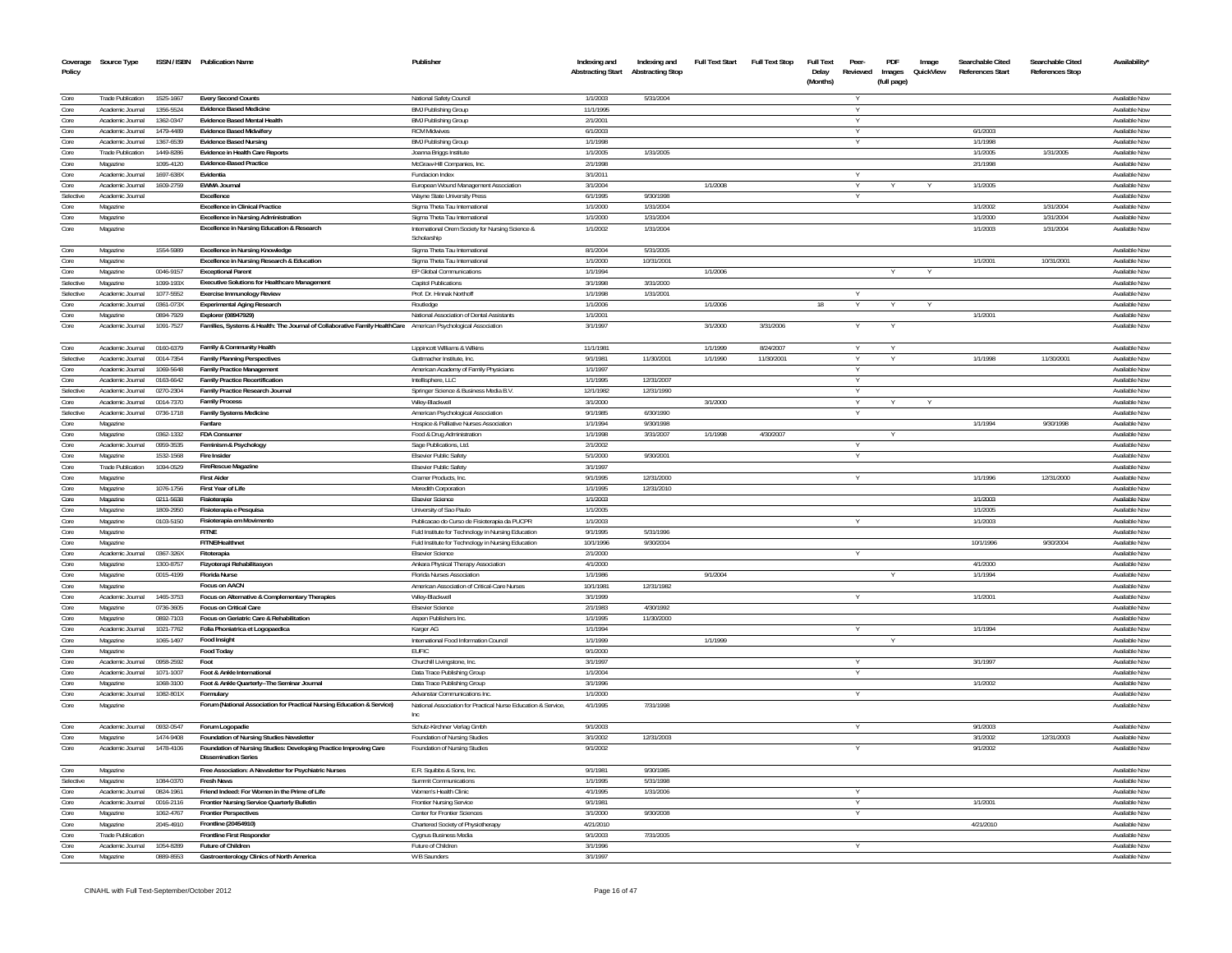| Coverage<br>Policy | Source Type                                  |                        | ISSN / ISBN Publication Name                                                                                  | Publisher                                                            | Indexing and<br><b>Abstracting Start</b> | Indexing and<br><b>Abstracting Stop</b> | <b>Full Text Start</b> | <b>Full Text Stop</b> | <b>Full Text</b><br>Delay<br>(Months) | Peer-<br>Reviewed | PDF<br>Images<br>(full page) | Image<br>QuickView | Searchable Cited<br>References Start | Searchable Cited<br><b>References Stop</b> | Availability'                         |
|--------------------|----------------------------------------------|------------------------|---------------------------------------------------------------------------------------------------------------|----------------------------------------------------------------------|------------------------------------------|-----------------------------------------|------------------------|-----------------------|---------------------------------------|-------------------|------------------------------|--------------------|--------------------------------------|--------------------------------------------|---------------------------------------|
| Core               | <b>Trade Publication</b>                     | 1525-1667              | <b>Every Second Counts</b>                                                                                    | National Safety Council                                              | 1/1/2003                                 | 5/31/2004                               |                        |                       |                                       |                   |                              |                    |                                      |                                            | Available Now                         |
| Core               | Academic Journal                             | 1356-5524              | <b>Evidence Based Medicine</b>                                                                                | <b>BMJ Publishing Group</b>                                          | 11/1/1995                                |                                         |                        |                       |                                       |                   |                              |                    |                                      |                                            | Available Now                         |
| Core               | Academic Journal                             | 1362-0347              | <b>Evidence Based Mental Health</b>                                                                           | BMJ Publishing Group                                                 | 2/1/2001                                 |                                         |                        |                       |                                       |                   |                              |                    |                                      |                                            | Available Now                         |
| Core<br>Core       | Academic Journal<br>Academic Journal         | 1479-4489<br>1367-6539 | <b>Evidence Based Midwiferv</b>                                                                               | <b>RCM Midwives</b>                                                  | 6/1/2003<br>1/1/1998                     |                                         |                        |                       |                                       |                   |                              |                    | 6/1/2003<br>1/1/199                  |                                            | Available Now<br>Available Now        |
| Core               | <b>Trade Publication</b>                     | 1449-8286              | <b>Evidence Based Nursing</b><br>Evidence in Health Care Reports                                              | <b>BMJ Publishing Group</b><br>Joanna Briggs Institute               | 1/1/2005                                 | 1/31/2005                               |                        |                       |                                       |                   |                              |                    | 1/1/2005                             | 1/31/2005                                  | Available Now                         |
| Core               | Magazine                                     | 1095-4120              | <b>Evidence-Based Practice</b>                                                                                | McGraw-Hill Companies, Inc.                                          | 2/1/1998                                 |                                         |                        |                       |                                       |                   |                              |                    | 2/1/1998                             |                                            | Available Now                         |
| Core               | Academic Journal                             | 1697-638X              | Fvidentia                                                                                                     | Fundacion Index                                                      | 3/1/2011                                 |                                         |                        |                       |                                       |                   |                              |                    |                                      |                                            | Available Now                         |
| Core               | Academic Journal                             | 1609-2759              | <b>FWMA Journal</b>                                                                                           | European Wound Management Association                                | 3/1/2004                                 |                                         | 1/1/2008               |                       |                                       |                   |                              |                    | 1/1/2005                             |                                            | Available Nov                         |
| Selective          | Academic Journal                             |                        | Excellence                                                                                                    | Wayne State University Press                                         | 6/1/1995                                 | 9/30/1998                               |                        |                       |                                       | v                 |                              |                    |                                      |                                            | Available Now                         |
| Core               | Magazine                                     |                        | <b>Excellence in Clinical Practice</b>                                                                        | Sigma Theta Tau International                                        | 1/1/2000                                 | 1/31/2004                               |                        |                       |                                       |                   |                              |                    | 1/1/2002                             | 1/31/2004                                  | Available Now                         |
| Core               | Magazine                                     |                        | <b>Excellence in Nursing Administration</b>                                                                   | Sigma Theta Tau International                                        | 1/1/2000                                 | 1/31/2004                               |                        |                       |                                       |                   |                              |                    | 1/1/2000                             | 1/31/2004                                  | Available Now                         |
| Core               | Magazine                                     |                        | Excellence in Nursing Education & Research                                                                    | International Orem Society for Nursing Science &<br>Scholarship      | 1/1/2002                                 | 1/31/2004                               |                        |                       |                                       |                   |                              |                    | 1/1/2003                             | 1/31/2004                                  | Available Nov                         |
| Core               | Magazine                                     | 1554-5989              | <b>Excellence in Nursing Knowledge</b><br>Excellence in Nursing Research & Education                          | Sigma Theta Tau International                                        | 8/1/2004<br>1/1/2000                     | 5/31/2005<br>10/31/2001                 |                        |                       |                                       |                   |                              |                    | 1/1/2001                             | 10/31/2001                                 | Available Now<br>Available Now        |
| Core<br>Core       | Magazine<br>Magazine                         | 0046-9157              | <b>Exceptional Parent</b>                                                                                     | Sigma Theta Tau International<br>EP Global Communications            | 1/1/1994                                 |                                         | 1/1/2006               |                       |                                       |                   |                              |                    |                                      |                                            | Available Now                         |
| Selective          | Magazine                                     | 1099.193X              | <b>Executive Solutions for Healthcare Management</b>                                                          | <b>Capitol Publications</b>                                          | 3/1/1998                                 | 3/31/2000                               |                        |                       |                                       |                   |                              |                    |                                      |                                            | Available Now                         |
| Selective          | Academic Journal                             | 1077-5552              | <b>Exercise Immunology Review</b>                                                                             | Prof. Dr. Hinnak Northoff                                            | 1/1/1998                                 | 1/31/2001                               |                        |                       |                                       |                   |                              |                    |                                      |                                            | Available Now                         |
| Core               | Academic Inumal                              | 0361-073X              | <b>Experimental Aging Research</b>                                                                            | Routledge                                                            | 1/1/2006                                 |                                         | 1/1/2006               |                       | 18                                    | Y                 | Y                            |                    |                                      |                                            | Available Now                         |
| Core               | Magazine                                     | 0894-7929              | Explorer (08947929)                                                                                           | National Association of Dental Assistants                            | 1/1/2001                                 |                                         |                        |                       |                                       |                   |                              |                    | 1/1/2001                             |                                            | Available Now                         |
| Core               | Academic Journal                             | 1091-7527              | Families, Systems & Health: The Journal of Collaborative Family HealthCare American Psychological Association |                                                                      | 3/1/1997                                 |                                         | 3/1/2000               | 3/31/2006             |                                       |                   |                              |                    |                                      |                                            | Available Now                         |
| Core               | Academic Journal                             | 0160-6379              | Family & Community Health                                                                                     | Lippincott Williams & Wilkins                                        | 11/1/1981                                |                                         | 1/1/1999               | 8/24/2007             |                                       |                   |                              |                    |                                      |                                            | Available Now                         |
| Selective          | Academic Journal                             | 0014-7354              | <b>Family Planning Perspectives</b>                                                                           | Guttmacher Institute, Inc.                                           | 9/1/1981                                 | 11/30/2001                              | 1/1/1990               | 11/30/2001            |                                       | v                 |                              |                    | 1/1/1998                             | 11/30/2001                                 | Available Now                         |
| Core<br>Core       | Academic Journal                             | 1069-5648<br>0163-6642 | <b>Family Practice Management</b><br><b>Family Practice Recertification</b>                                   | American Academy of Family Physicians                                | 1/1/1997<br>1/1/1995                     | 12/31/2007                              |                        |                       |                                       | Y                 |                              |                    |                                      |                                            | Available Now                         |
| Selective          | Academic Journal<br>Academic Journal         | 0270-2304              | Family Practice Research Journal                                                                              | Intellisphere, LLC<br>Springer Science & Business Media B.V.         | 12/1/1982                                | 12/31/1990                              |                        |                       |                                       | Y<br>Υ            |                              |                    |                                      |                                            | Available Now<br>Available Now        |
| Core               | Academic Journal                             | 0014-7370              | <b>Family Process</b>                                                                                         | Wilev-Blackwell                                                      | 3/1/2000                                 |                                         | 3/1/2000               |                       |                                       | Y                 |                              |                    |                                      |                                            | Available Now                         |
| Selective          | Academic Journal                             | 0736-1718              | <b>Family Systems Medicine</b>                                                                                | American Psychological Association                                   | 9/1/1985                                 | 6/30/1990                               |                        |                       |                                       |                   |                              |                    |                                      |                                            | Available Nov                         |
| Core               | Magazine                                     |                        | Fanfare                                                                                                       | Hospice & Palliative Nurses Association                              | 1/1/1994                                 | 9/30/1998                               |                        |                       |                                       |                   |                              |                    | 1/1/1994                             | 9/30/1998                                  | Available Now                         |
| Core               | Magazine                                     | 0362-1332              | <b>FDA Consumer</b>                                                                                           | Food & Drug Administration                                           | 1/1/1998                                 | 3/31/2007                               | 1/1/1998               | 4/30/2007             |                                       |                   |                              |                    |                                      |                                            | Available Nov                         |
| Core               | Academic Journal                             | 0959-3535              | Feminism & Psychology                                                                                         | Sage Publications, Ltd.                                              | 2/1/2002                                 |                                         |                        |                       |                                       | Y                 |                              |                    |                                      |                                            | Available Now                         |
| Core               | Magazine                                     | 1532-1568              | <b>Fire Insider</b>                                                                                           | <b>Elsevier Public Safety</b>                                        | 5/1/2000                                 | 9/30/2001                               |                        |                       |                                       | Y                 |                              |                    |                                      |                                            | Available Now                         |
| Core               | <b>Trade Publication</b>                     | 1094-0529              | FireRescue Magazine                                                                                           | Elsevier Public Safety                                               | 3/1/1997                                 |                                         |                        |                       |                                       |                   |                              |                    |                                      |                                            | Available Nov                         |
| Core<br>Core       | Magazine<br>Magazine                         | 1076-1756              | <b>First Aider</b><br>First Year of Life                                                                      | Cramer Products, Inc.<br>Meredith Corporation                        | 9/1/1995<br>1/1/1995                     | 12/31/2000<br>12/31/2010                |                        |                       |                                       | Y                 |                              |                    | 1/1/1996                             | 12/31/2000                                 | Available Now                         |
| Core               | Magazine                                     | 0211-5638              | Fisioterania                                                                                                  | <b>Flsevier Science</b>                                              | 1/1/2003                                 |                                         |                        |                       |                                       |                   |                              |                    | 1/1/2003                             |                                            | Available Nov<br>Available Now        |
| Core               | Magazine                                     | 1809-2950              | Fisioterapia e Pesquisa                                                                                       | University of Sao Paulo                                              | 1/1/2005                                 |                                         |                        |                       |                                       |                   |                              |                    | 1/1/2005                             |                                            | Available Nov                         |
| Core               | Magazine                                     | 0103-5150              | Fisioterapia em Movimento                                                                                     | Publicacao do Curso de Fisioterapia da PUCPF                         | 1/1/2003                                 |                                         |                        |                       |                                       |                   |                              |                    | 1/1/2003                             |                                            | Available Nov                         |
| Core               | Magazine                                     |                        | <b>FITNE</b>                                                                                                  | Fuld Institute for Technology in Nursing Education                   | 9/1/1995                                 | 5/31/1996                               |                        |                       |                                       |                   |                              |                    |                                      |                                            | Available Now                         |
| Core               | Magazine                                     |                        | FITNE/Healthnet                                                                                               | Fuld Institute for Technology in Nursing Education                   | 10/1/1996                                | 9/30/2004                               |                        |                       |                                       |                   |                              |                    | 10/1/1996                            | 9/30/2004                                  | Available Nov                         |
| Core               | Academic Journal                             | 0367-326X              | Fitoterapia                                                                                                   | <b>Elsevier Science</b>                                              | 2/1/2000                                 |                                         |                        |                       |                                       | Y                 |                              |                    |                                      |                                            | Available Nov                         |
| Core               | Magazine                                     | 1300-8757              | Fizyoterapi Rehabilitasyon                                                                                    | Ankara Physical Therapy Association                                  | 4/1/2000                                 |                                         |                        |                       |                                       |                   |                              |                    | 4/1/2000                             |                                            | Available Nov                         |
| Core               | Magazine                                     | 0015-4199              | Florida Nurse                                                                                                 | Florida Nurses Association                                           | 1/1/1986                                 |                                         | 9/1/2004               |                       |                                       |                   |                              |                    | 1/1/1994                             |                                            | Available Nov                         |
| Core<br>Core       | Magazine                                     |                        | <b>Focus on AACN</b>                                                                                          | American Association of Critical-Care Nurses                         | 10/1/1981                                | 12/31/1982                              |                        |                       |                                       |                   |                              |                    |                                      |                                            | Available Nov                         |
| Core               | Academic Journal<br>Magazine                 | 1465-3753<br>0736-360  | Focus on Alternative & Complementary Therapies<br><b>Focus on Critical Care</b>                               | Wilev-Blackwell<br><b>Elsevier Scienc</b>                            | 3/1/1999<br>2/1/1983                     | 4/30/1992                               |                        |                       |                                       |                   |                              |                    | 1/1/2001                             |                                            | Available Nov<br><b>Available Nov</b> |
| Core               | Magazine                                     | 0892-7103              | Focus on Geriatric Care & Rehabilitation                                                                      | Aspen Publishers Inc                                                 | 1/1/1995                                 | 11/30/2000                              |                        |                       |                                       |                   |                              |                    |                                      |                                            | Available Nov                         |
| Core               | Academic Journal                             | 1021-7762              | Folia Phoniatrica et Logopaedica                                                                              | Karger AG                                                            | 1/1/1994                                 |                                         |                        |                       |                                       | Υ                 |                              |                    | 1/1/1994                             |                                            | Available Nov                         |
| Core               | Magazine                                     | 1065-1497              | Food Insight                                                                                                  | International Food Information Council                               | 1/1/1999                                 |                                         | 1/1/1999               |                       |                                       |                   |                              |                    |                                      |                                            | Available Now                         |
| Core               | Magazine                                     |                        | <b>Food Today</b>                                                                                             | EUFIC                                                                | 9/1/2000                                 |                                         |                        |                       |                                       |                   |                              |                    |                                      |                                            | Available Now                         |
| Core               | Academic Journal                             | 0958-2592              | Foot                                                                                                          | Churchill Livingstone, Inc.                                          | 3/1/1997                                 |                                         |                        |                       |                                       | Y                 |                              |                    | 3/1/1997                             |                                            | Available Now                         |
| Core               | Academic Journal                             | 1071-1007              | Foot & Ankle International                                                                                    | Data Trace Publishing Group                                          | 1/1/2004                                 |                                         |                        |                       |                                       | Υ                 |                              |                    |                                      |                                            | Available Now                         |
| Core               | Magazine                                     | 1068-3100              | Foot & Ankle Quarterly--The Seminar Journal                                                                   | Data Trace Publishing Group                                          | 3/1/1996                                 |                                         |                        |                       |                                       |                   |                              |                    | 1/1/2002                             |                                            | Available Now                         |
| Core               | Academic Journal                             | 1082-801X              | Formulary                                                                                                     | Advanstar Communications Inc.                                        | 1/1/2000                                 |                                         |                        |                       |                                       | Υ                 |                              |                    |                                      |                                            | Available Now                         |
| Core               | Magazine                                     |                        | Forum (National Association for Practical Nursing Education & Service)                                        | National Association for Practical Nurse Education & Service<br>Inc. | 4/1/1995                                 | 7/31/1998                               |                        |                       |                                       |                   |                              |                    |                                      |                                            | Available Now                         |
| Core<br>Core       | Academic Journal<br>Magazine                 | 0932-0547<br>1474-9408 | Forum Logopadie<br>Foundation of Nursing Studies Newsletter                                                   | Schulz-Kirchner Verlag Gmbh<br>Foundation of Nursing Studies         | 9/1/2003<br>3/1/2002                     | 12/31/2003                              |                        |                       |                                       | Y                 |                              |                    | 9/1/2003<br>3/1/2002                 | 12/31/2003                                 | Available Now<br>Available Now        |
| Core               | Academic Journal                             | 1478-4106              | Foundation of Nursing Studies: Developing Practice Improving Care<br><b>Dissemination Series</b>              | Foundation of Nursing Studies                                        | 9/1/2002                                 |                                         |                        |                       |                                       | Y                 |                              |                    | 9/1/2002                             |                                            | Available Now                         |
| Core               | Magazine                                     |                        | Free Association: A Newsletter for Psychiatric Nurses                                                         | E.R. Squibbs & Sons, Inc.                                            | 9/1/1981                                 | 9/30/1985                               |                        |                       |                                       |                   |                              |                    |                                      |                                            | Available Now                         |
| Selective          | Magazine                                     | 1084-0370              | <b>Fresh News</b>                                                                                             | Summit Communications                                                | 1/1/1995                                 | 5/31/1998                               |                        |                       |                                       |                   |                              |                    |                                      |                                            | Available Now                         |
| Core               | Academic Journal                             | 0824-1961              | Friend Indeed: For Women in the Prime of Life                                                                 | Women's Health Clinic                                                | 4/1/1995                                 | 1/31/2006                               |                        |                       |                                       |                   |                              |                    |                                      |                                            | Available Now                         |
| Core               | Academic Journal                             | 0016-2116              | Frontier Nursing Service Quarterly Bulletin                                                                   | <b>Frontier Nursing Service</b>                                      | 9/1/1981                                 |                                         |                        |                       |                                       | Y                 |                              |                    | 1/1/2001                             |                                            | Available Now                         |
| Core               | Magazine                                     | 1062-4767              | <b>Frontier Perspectives</b>                                                                                  | Center for Frontier Sciences                                         | 3/1/2000                                 | 9/30/2008                               |                        |                       |                                       | Y                 |                              |                    |                                      |                                            | Available Now                         |
| Core               | Magazine                                     | 2045-4910              | Frontline (20454910)                                                                                          | Chartered Society of Physiotherapy                                   | 4/21/2010                                |                                         |                        |                       |                                       |                   |                              |                    | 4/21/2010                            |                                            | Available Now                         |
| Core<br>Core       | <b>Trade Publication</b><br>Academic Journal | 1054-8289              | <b>Frontline First Responde</b><br>Future of Children                                                         | Cygnus Business Media<br>Future of Children                          | 9/1/2003<br>3/1/1996                     | 7/31/2005                               |                        |                       |                                       |                   |                              |                    |                                      |                                            | Available Nov<br>Available Now        |
| Core               | Magazine                                     | 0889-8553              | Gastroenterology Clinics of North America                                                                     | W B Saunders                                                         | 3/1/1997                                 |                                         |                        |                       |                                       |                   |                              |                    |                                      |                                            | Available Now                         |
|                    |                                              |                        |                                                                                                               |                                                                      |                                          |                                         |                        |                       |                                       |                   |                              |                    |                                      |                                            |                                       |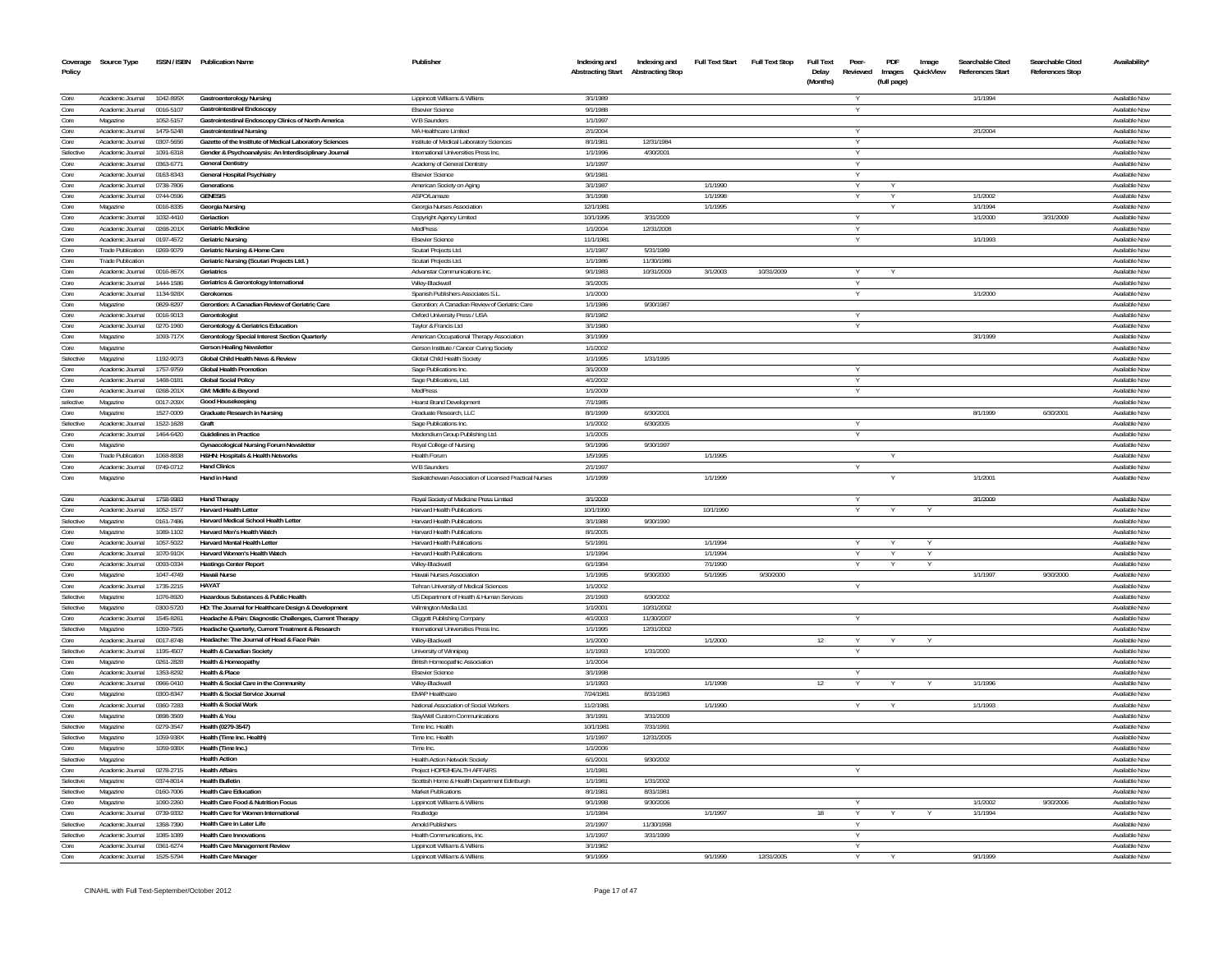| Policy            | Coverage Source Type                         |                        | ISSN / ISBN Publication Name                                                                  | Publisher                                                              | Indexing and<br><b>Abstracting Start</b> | Indexing and<br><b>Abstracting Stop</b> | <b>Full Text Start</b> | <b>Full Text Stop</b> | <b>Full Text</b><br>Delay<br>(Months) | Peer-<br>Reviewed  | PDF<br>Images<br>(full page) | Image<br>QuickView | Searchable Cited<br><b>References Start</b> | Searchable Cited<br><b>References Stop</b> | Availability*                  |
|-------------------|----------------------------------------------|------------------------|-----------------------------------------------------------------------------------------------|------------------------------------------------------------------------|------------------------------------------|-----------------------------------------|------------------------|-----------------------|---------------------------------------|--------------------|------------------------------|--------------------|---------------------------------------------|--------------------------------------------|--------------------------------|
| Core              | Academic Journal                             | 1042-895X              | <b>Gastroenterology Nursing</b>                                                               | Lippincott Williams & Wilkins                                          | 3/1/1989                                 |                                         |                        |                       |                                       |                    |                              |                    | 1/1/1994                                    |                                            | Available Nov                  |
| Core              | Academic Journal                             | 0016-5107              | Gastrointestinal Endoscopy                                                                    | <b>Elsevier Science</b>                                                | 9/1/1988                                 |                                         |                        |                       |                                       |                    |                              |                    |                                             |                                            | Available Nov                  |
| Core              | Magazine                                     | 1052-5157              | Gastrointestinal Endoscopy Clinics of North America                                           | W B Saunders                                                           | 1/1/1997                                 |                                         |                        |                       |                                       |                    |                              |                    |                                             |                                            | Available Nov                  |
| Core              | Academic Journal                             | 1479-5248              | <b>Gastrointestinal Nursing</b>                                                               | MA Healthcare Limited                                                  | 2/1/2004                                 |                                         |                        |                       |                                       |                    |                              |                    | 2/1/2004                                    |                                            | Available Now                  |
| Core              | Academic Journal                             | 0307-5656              | Gazette of the Institute of Medical Laboratory Sciences                                       | Institute of Medical Laboratory Sciences                               | 8/1/1981                                 | 12/31/1984                              |                        |                       |                                       |                    |                              |                    |                                             |                                            | Available Nov                  |
| Selective<br>Core | Academic Journal<br>Academic Journal         | 1091-6318              | Gender & Psychoanalysis: An Interdisciplinary Journal<br><b>General Dentistry</b>             | International Universities Press Inc                                   | 1/1/1996<br>1/1/1997                     | 4/30/2001                               |                        |                       |                                       | Y                  |                              |                    |                                             |                                            | Available Nov<br>Available Now |
| Core              | Academic Journal                             | 0363-6771<br>0163-8343 | General Hospital Psychiatry                                                                   | Academy of General Dentistry<br><b>Elsevier Science</b>                | 9/1/1981                                 |                                         |                        |                       |                                       |                    |                              |                    |                                             |                                            | Available Nov                  |
| Core              | Academic Journal                             | 0738-7806              | Generations                                                                                   | American Society on Aging                                              | 3/1/1987                                 |                                         | 1/1/1990               |                       |                                       | $\vee$             |                              |                    |                                             |                                            | Available Now                  |
| Core              | Academic Journal                             | 0744-0596              | <b>GENESIS</b>                                                                                | ASPO/Lamaze                                                            | 3/1/1998                                 |                                         | 1/1/1998               |                       |                                       |                    |                              |                    | 1/1/2002                                    |                                            | Available Nov                  |
| Core              | Magazine                                     | 0016-8335              | <b>Georgia Nursing</b>                                                                        | Georgia Nurses Association                                             | 12/1/1981                                |                                         | 1/1/1995               |                       |                                       |                    |                              |                    | 1/1/1994                                    |                                            | Available Now                  |
| Core              | Academic Journal                             | 1032-4410              | Geriaction                                                                                    | Copyright Agency Limited                                               | 10/1/1995                                | 3/31/2009                               |                        |                       |                                       |                    |                              |                    | 1/1/2000                                    | 3/31/2009                                  | Available Nov                  |
| Core              | Academic Journal                             | 0268-201X              | <b>Geriatric Medicine</b>                                                                     | MedPress                                                               | 1/1/2004                                 | 12/31/2008                              |                        |                       |                                       | $\vee$             |                              |                    |                                             |                                            | Available Now                  |
| Core              | Academic Journal                             | 0197-4572              | <b>Geriatric Nursing</b>                                                                      | <b>Elsevier Science</b>                                                | 11/1/1981                                |                                         |                        |                       |                                       |                    |                              |                    | 1/1/1993                                    |                                            | Available Nov                  |
| Core              | <b>Trade Publication</b>                     | 0269-9079              | Geriatric Nursing & Home Care                                                                 | Scutari Projects Ltd.                                                  | 1/1/1987                                 | 5/31/1989                               |                        |                       |                                       |                    |                              |                    |                                             |                                            | Available Nov                  |
| Core<br>Core      | <b>Trade Publication</b><br>Academic Journal |                        | Geriatric Nursing (Scutari Projects Ltd.)<br>Geriatrics                                       | Scutari Projects Ltd                                                   | 1/1/1986<br>9/1/1983                     | 11/30/1986<br>10/31/2009                | 3/1/2003               | 10/31/2009            |                                       |                    |                              |                    |                                             |                                            | Available Now<br>Available Now |
| Core              | Academic Journal                             | 0016-867X<br>1444-1586 | Geriatrics & Gerontology International                                                        | Advanstar Communications Inc.<br>Wiley-Blackwell                       | 3/1/2005                                 |                                         |                        |                       |                                       | $\vee$             |                              |                    |                                             |                                            | Available Nov                  |
| Core              | Academic Journal                             | 1134-928X              | Gerokomos                                                                                     | Spanish Publishers Associates S.L.                                     | 1/1/2000                                 |                                         |                        |                       |                                       |                    |                              |                    | 1/1/2000                                    |                                            | Available Now                  |
| Core              | Magazine                                     | 0829-8297              | Gerontion: A Canadian Review of Geriatric Care                                                | Gerontion: A Canadian Review of Geriatric Care                         | 1/1/1986                                 | 9/30/1987                               |                        |                       |                                       |                    |                              |                    |                                             |                                            | Available Nov                  |
| Core              | Academic Journal                             | 0016-9013              | Gerontologist                                                                                 | Oxford University Press / USA                                          | 8/1/1982                                 |                                         |                        |                       |                                       |                    |                              |                    |                                             |                                            | Available Nov                  |
| Core              | Academic Journal                             | 0270-1960              | <b>Gerontology &amp; Geriatrics Education</b>                                                 | Taylor & Francis Ltd                                                   | 3/1/1980                                 |                                         |                        |                       |                                       |                    |                              |                    |                                             |                                            | Available Nov                  |
| Core              | Magazine                                     | 1093-717X              | Gerontology Special Interest Section Quarterly                                                | American Occupational Therapy Association                              | 3/1/1999                                 |                                         |                        |                       |                                       |                    |                              |                    | 3/1/1999                                    |                                            | Available Nov                  |
| Core              | Magazine                                     |                        | <b>Gerson Healing Newsletter</b>                                                              | Gerson Institute / Cancer Curing Society                               | 1/1/2002                                 |                                         |                        |                       |                                       |                    |                              |                    |                                             |                                            | Available Nov                  |
| Selective         | Magazine                                     | 1192-9073              | Global Child Health News & Review                                                             | Global Child Health Society                                            | 1/1/1995                                 | 1/31/1995                               |                        |                       |                                       |                    |                              |                    |                                             |                                            | Available Now                  |
| Core              | Academic Journal                             | 1757-9759              | <b>Global Health Promotion</b>                                                                | Sage Publications Inc.                                                 | 3/1/2009                                 |                                         |                        |                       |                                       |                    |                              |                    |                                             |                                            | Available Now                  |
| Core<br>Core      | Academic Journal<br>Academic Journal         | 1468-0181              | <b>Global Social Policy</b>                                                                   | Sage Publications, Ltd.<br><b>MedPress</b>                             | 4/1/2002<br>1/1/2009                     |                                         |                        |                       |                                       | <b>V</b><br>$\vee$ |                              |                    |                                             |                                            | Available Nov<br>Available Now |
| selective         | Magazine                                     | 0268-201X<br>0017-209X | GM: Midlife & Beyond<br>Good Housekeeping                                                     | <b>Hearst Brand Development</b>                                        | 7/1/1985                                 |                                         |                        |                       |                                       |                    |                              |                    |                                             |                                            | Available Now                  |
| Core              | Magazine                                     | 1527-0009              | Graduate Research in Nursing                                                                  | Graduate Research, LLC                                                 | 8/1/1999                                 | 6/30/2001                               |                        |                       |                                       |                    |                              |                    | 8/1/1999                                    | 6/30/2001                                  | Available Now                  |
| Selective         | Academic Journal                             | 1522-1628              | Graft                                                                                         | Sage Publications Inc.                                                 | 1/1/2002                                 | 6/30/2005                               |                        |                       |                                       |                    |                              |                    |                                             |                                            | Available Nov                  |
| Core              | Academic Journal                             | 1464-6420              | <b>Guidelines in Practice</b>                                                                 | Medendium Group Publishing Ltd.                                        | 1/1/2005                                 |                                         |                        |                       |                                       |                    |                              |                    |                                             |                                            | Available Nov                  |
| Core              | Magazine                                     |                        | <b>Gynaecological Nursing Forum Newsletter</b>                                                | Royal College of Nursing                                               | 9/1/1996                                 | 9/30/1997                               |                        |                       |                                       |                    |                              |                    |                                             |                                            | Available Nov                  |
| Core              | <b>Trade Publication</b>                     | 1068-8838              | H&HN: Hospitals & Health Networks                                                             | Health Forum                                                           | 1/5/1995                                 |                                         | 1/1/1995               |                       |                                       |                    |                              |                    |                                             |                                            | Available Now                  |
| Core              | Academic Journal                             | 0749-0712              | <b>Hand Clinics</b>                                                                           | W B Saunders                                                           | 2/1/1997                                 |                                         |                        |                       |                                       | $\vee$             |                              |                    |                                             |                                            | Available Now                  |
| Core              | Magazine                                     |                        | Hand in Hand                                                                                  | Saskatchewan Association of Licensed Practical Nurses                  | 1/1/1999                                 |                                         | 1/1/1999               |                       |                                       |                    |                              |                    | 1/1/2001                                    |                                            | Available Nov                  |
| Core<br>Core      | Academic Journal<br>Academic Inumal          | 1758-9983              | <b>Hand Therapy</b><br><b>Harvard Health Letter</b>                                           | Royal Society of Medicine Press Limited<br>Harvard Health Publications | 3/1/2009<br>10/1/1990                    |                                         | 10/1/1990              |                       |                                       | $\vee$             |                              |                    | 3/1/2009                                    |                                            | Available Now<br>Available Now |
| Selective         |                                              | 1052-1577<br>0161-7486 | Harvard Medical School Health Letter                                                          | Harvard Health Publications                                            | 3/1/1988                                 | 9/30/1990                               |                        |                       |                                       |                    |                              |                    |                                             |                                            | Available Now                  |
| Core              | Magazine<br>Magazine                         | 1089-1102              | Harvard Men's Health Watch                                                                    | Harvard Health Publications                                            | 8/1/2005                                 |                                         |                        |                       |                                       |                    |                              |                    |                                             |                                            | Available Nov                  |
| Core              | Academic Journal                             | 1057-5022              | <b>Harvard Mental Health Letter</b>                                                           | Harvard Health Publications                                            | 5/1/1991                                 |                                         | 1/1/1994               |                       |                                       |                    |                              |                    |                                             |                                            | Available Now                  |
| Core              | Academic Journal                             | 1070-910X              | Harvard Women's Health Watch                                                                  | Harvard Health Publications                                            | 1/1/1994                                 |                                         | 1/1/1994               |                       |                                       |                    |                              |                    |                                             |                                            | Available Nov                  |
| Core              | Academic Journal                             | 0093-0334              | <b>Hastings Center Report</b>                                                                 | Wiley-Blackwell                                                        | 6/1/1984                                 |                                         | 7/1/1990               |                       |                                       |                    |                              | $\vee$             |                                             |                                            | Available Now                  |
| Core              | Magazine                                     | 1047-4749              | Hawaii Nurse                                                                                  | Hawaii Nurses Association                                              | 1/1/1995                                 | 9/30/2000                               | 5/1/1995               | 9/30/2000             |                                       |                    |                              |                    | 1/1/1997                                    | 9/30/2000                                  | Available Nov                  |
| Core              | Academic Inumal                              | 1735-2215              | ΗΔΥΔΤ                                                                                         | Tehran University of Medical Sciences                                  | 1/1/2002                                 |                                         |                        |                       |                                       | $\vee$             |                              |                    |                                             |                                            | Available Now                  |
| Selective         | Magazine                                     | 1076-8920              | Hazardous Substances & Public Health                                                          | US Department of Health & Human Services                               | 2/1/1993                                 | 6/30/2002                               |                        |                       |                                       |                    |                              |                    |                                             |                                            | Available Now                  |
| Selective         | Magazine                                     | 0300-5720              | HD: The Journal for Healthcare Design & Development                                           | Wilmington Media Ltd.                                                  | 1/1/2001                                 | 10/31/2002                              |                        |                       |                                       |                    |                              |                    |                                             |                                            | Available Now                  |
| Core              | Academic Journal                             | 1545-8261              | Headache & Pain: Diagnostic Challenges, Current Therapy                                       | Cliggott Publishing Company                                            | 4/1/2003                                 | 11/30/2007                              |                        |                       |                                       |                    |                              |                    |                                             |                                            | Available Now                  |
| Selective<br>Core | Magazine<br>Academic Journal                 | 1059-7565<br>0017-8748 | Headache Quarterly, Current Treatment & Research<br>Headache: The Journal of Head & Face Pain | International Universities Press Inc.<br>Wiley-Blackwell               | 1/1/1995<br>1/1/2000                     | 12/31/2002                              | 1/1/2000               |                       | 12                                    |                    |                              |                    |                                             |                                            | Available Nov<br>Available Now |
| Selective         | Academic Journal                             | 1195-4507              | <b>Health &amp; Canadian Society</b>                                                          | University of Winnipeg                                                 | 1/1/1993                                 | 1/31/2000                               |                        |                       |                                       |                    |                              |                    |                                             |                                            | Available Nov                  |
| Core              | Magazine                                     | 0261-2828              | Health & Homeopathy                                                                           | British Homeopathic Association                                        | 1/1/2004                                 |                                         |                        |                       |                                       |                    |                              |                    |                                             |                                            | Available Now                  |
| Core              | Academic Journal                             | 1353-8292              | Health & Place                                                                                | Elsevier Science                                                       | 3/1/1998                                 |                                         |                        |                       |                                       |                    |                              |                    |                                             |                                            | Available Nov                  |
| Core              | Academic Journal                             | 0966-0410              | Health & Social Care in the Community                                                         | Wiley-Blackwel                                                         | 1/1/1993                                 |                                         | 1/1/1998               |                       | 12                                    |                    |                              |                    | 1/1/1996                                    |                                            | Available Now                  |
| Core              | Magazine                                     | 0300-8347              | Health & Social Service Journal                                                               | <b>FMAP Healthcare</b>                                                 | 7/24/1981                                | 8/31/1983                               |                        |                       |                                       |                    |                              |                    |                                             |                                            | Available Now                  |
| Core              | Academic Journal                             | 0360-7283              | <b>Health &amp; Social Work</b>                                                               | National Association of Social Workers                                 | 11/2/1981                                |                                         | 1/1/1990               |                       |                                       |                    |                              |                    | 1/1/1993                                    |                                            | Available Now                  |
| Core              | Magazine                                     | 0898-3569              | Health & You                                                                                  | StayWell Custom Communications                                         | 3/1/1991                                 | 3/31/2009                               |                        |                       |                                       |                    |                              |                    |                                             |                                            | Available Now                  |
| Selective         | Magazine                                     | 0279-3547              | Health (0279-3547)                                                                            | Time Inc. Health                                                       | 10/1/1981                                | 7/31/1991                               |                        |                       |                                       |                    |                              |                    |                                             |                                            | Available Now                  |
| Selective         | Magazine                                     | 1059-938X              | Health (Time Inc. Health)<br>Health (Time Inc.)                                               | Time Inc. Health                                                       | 1/1/1997                                 | 12/31/2005                              |                        |                       |                                       |                    |                              |                    |                                             |                                            | Available Now                  |
| Core<br>Selective | Magazine<br>Magazine                         | 1059-938X              | <b>Health Action</b>                                                                          | Time Inc.<br><b>Health Action Network Society</b>                      | 1/1/2006<br>6/1/2001                     | 9/30/2002                               |                        |                       |                                       |                    |                              |                    |                                             |                                            | Available Nov<br>Available Now |
| Core              | Academic Journal                             | 0278-2715              | <b>Health Affairs</b>                                                                         | Project HOPF/HFAI TH AFFAIRS                                           | 1/1/1981                                 |                                         |                        |                       |                                       |                    |                              |                    |                                             |                                            | Available Now                  |
| Selective         | Magazine                                     | 0374-8014              | <b>Health Bulletin</b>                                                                        | Scottish Home & Health Department Edinburgh                            | 1/1/1981                                 | 1/31/2002                               |                        |                       |                                       |                    |                              |                    |                                             |                                            | Available Now                  |
| Selective         | Magazine                                     | 0160-7006              | <b>Health Care Education</b>                                                                  | Market Publications                                                    | 8/1/1981                                 | 8/31/1981                               |                        |                       |                                       |                    |                              |                    |                                             |                                            | Available Now                  |
| Core              | Magazine                                     | 1090-2260              | <b>Health Care Food &amp; Nutrition Focus</b>                                                 | Lippincott Williams & Wilkins                                          | 9/1/1998                                 | 9/30/2006                               |                        |                       |                                       |                    |                              |                    | 1/1/2002                                    | 9/30/2006                                  | Available Now                  |
| Core              | Academic Journal                             | 0739-9332              | Health Care for Women International                                                           | Routledge                                                              | 1/1/1984                                 |                                         | 1/1/1997               |                       | 18                                    | $\vee$             | $\vee$                       |                    | 1/1/1994                                    |                                            | Available Now                  |
| Selective         | Academic Journal                             | 1358-7390              | <b>Health Care in Later Life</b>                                                              | Arnold Publishers                                                      | 2/1/1997                                 | 11/30/1998                              |                        |                       |                                       | <b>Y</b>           |                              |                    |                                             |                                            | Available Now                  |
| Selective         | Academic Journal                             | 1085-1089              | <b>Health Care Innovations</b>                                                                | Health Communications. Inc.                                            | 1/1/1997                                 | 3/31/1999                               |                        |                       |                                       | <b>V</b>           |                              |                    |                                             |                                            | Available Now                  |
| Core              | Academic Journal                             | 0361-6274              | Health Care Management Review                                                                 | Lippincott Williams & Wilkins                                          | 3/1/1982                                 |                                         |                        |                       |                                       | $\vee$             |                              |                    |                                             |                                            | Available Now                  |
| Core              | Academic Journal                             | 1525-5794              | <b>Health Care Manager</b>                                                                    | Lippincott Williams & Wilkins                                          | 9/1/1999                                 |                                         | 9/1/1999               | 12/31/2005            |                                       |                    |                              |                    | 9/1/1999                                    |                                            | Available Now                  |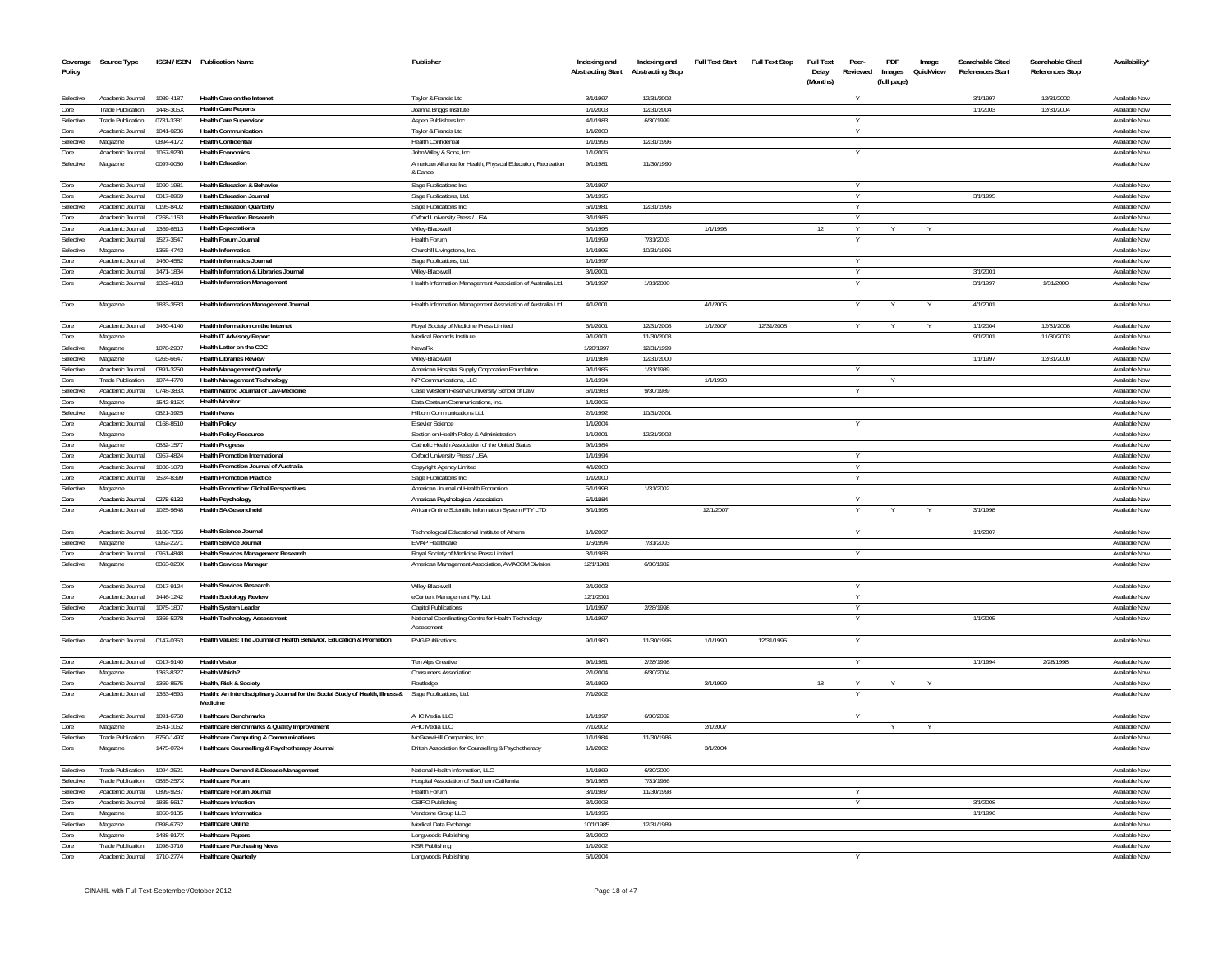| Coverage<br>Policy     | Source Type                           |                        | ISSN / ISBN Publication Name                                                                                                     | Publisher                                                               | Indexing and<br><b>Abstracting Start</b> | Indexing and<br><b>Abstracting Stop</b> | <b>Full Text Start</b> | <b>Full Text Stop</b> | Full Text<br>Delay<br>(Months) | Peer-<br>Reviewed | PDF<br>Images<br>(full page) | Image<br>QuickView | Searchable Cited<br>References Start | Searchable Cited<br><b>References Stop</b> | Availability'                  |
|------------------------|---------------------------------------|------------------------|----------------------------------------------------------------------------------------------------------------------------------|-------------------------------------------------------------------------|------------------------------------------|-----------------------------------------|------------------------|-----------------------|--------------------------------|-------------------|------------------------------|--------------------|--------------------------------------|--------------------------------------------|--------------------------------|
| Selective              | Academic Journal                      | 1089-4187              | Health Care on the Internet                                                                                                      | Taylor & Francis Ltd                                                    | 3/1/1997                                 | 12/31/2002                              |                        |                       |                                | v                 |                              |                    | 3/1/1997                             | 12/31/2002                                 | Available Now                  |
| Core                   | <b>Trade Publication</b>              | 1448-305X              | <b>Health Care Reports</b>                                                                                                       | Joanna Briggs Institute                                                 | 1/1/2003                                 | 12/31/2004                              |                        |                       |                                |                   |                              |                    | 1/1/2003                             | 12/31/2004                                 | Available Now                  |
| Selective              | <b>Trade Publication</b>              | 0731-3381              | <b>Health Care Supervisor</b>                                                                                                    | Aspen Publishers Inc.                                                   | 4/1/1983                                 | 6/30/1999                               |                        |                       |                                | $\checkmark$      |                              |                    |                                      |                                            | Available Now                  |
| Core                   | Academic Inumal                       | 1041-0236              | <b>Health Communication</b>                                                                                                      | Taylor & Francis Ltd                                                    | 1/1/2000                                 |                                         |                        |                       |                                | $\vee$            |                              |                    |                                      |                                            | Available Now                  |
| Selective              | Magazine                              | 0894-4172              | <b>Health Confidential</b>                                                                                                       | Health Confidential                                                     | 1/1/1996                                 | 12/31/1996                              |                        |                       |                                |                   |                              |                    |                                      |                                            | Available Now                  |
| Core                   | Academic Journal                      | 1057-9230              | <b>Health Economics</b>                                                                                                          | John Wiley & Sons, Inc.                                                 | 1/1/2006                                 |                                         |                        |                       |                                | Y                 |                              |                    |                                      |                                            | Available Now                  |
| Selective              | Magazine                              | 0097-0050              | <b>Health Education</b>                                                                                                          | American Alliance for Health, Physical Education, Recreation<br>& Dance | 9/1/1981                                 | 11/30/1990                              |                        |                       |                                |                   |                              |                    |                                      |                                            | Available Now                  |
| Core                   | Academic Journal                      | 1090-1981              | <b>Health Education &amp; Behavior</b><br><b>Health Education Journal</b>                                                        | Sage Publications Inc.                                                  | 2/1/1997                                 |                                         |                        |                       |                                |                   |                              |                    | 3/1/1995                             |                                            | Available Now                  |
| Core<br>Selective      | Academic Journal<br>Academic Journal  | 0017-8969<br>0195-8402 | <b>Health Education Quarterly</b>                                                                                                | Sage Publications, Ltd.                                                 | 3/1/1995<br>6/1/1981                     | 12/31/1996                              |                        |                       |                                | v                 |                              |                    |                                      |                                            | Available Now<br>Available Now |
| Core                   | Academic Journal                      | 0268-1153              | <b>Health Education Research</b>                                                                                                 | Sage Publications Inc.<br>Oxford University Press / USA                 | 3/1/1986                                 |                                         |                        |                       |                                | Y                 |                              |                    |                                      |                                            | Available Now                  |
| Core                   | Academic Journal                      | 1369-6513              | <b>Health Expectations</b>                                                                                                       | Wiley-Blackwell                                                         | 6/1/1998                                 |                                         | 1/1/1998               |                       | 12                             | <b>V</b>          |                              |                    |                                      |                                            | Available Now                  |
| Selective              | Academic Journal                      | 1527-3547              | <b>Health Forum Journal</b>                                                                                                      | Health Forum                                                            | 1/1/1999                                 | 7/31/2003                               |                        |                       |                                |                   |                              |                    |                                      |                                            | Available Now                  |
| Selective              | Magazine                              | 1355-4743              | <b>Health Informatics</b>                                                                                                        | Churchill Livingstone, Inc.                                             | 1/1/1995                                 | 10/31/1996                              |                        |                       |                                |                   |                              |                    |                                      |                                            | Available Now                  |
| Core                   | Academic Journal                      | 1460-4582              | Health Informatics, Journal                                                                                                      | Sage Publications, Ltd.                                                 | 1/1/1997                                 |                                         |                        |                       |                                | $\vee$            |                              |                    |                                      |                                            | Available Now                  |
| Core                   | Academic Inumal                       | 1471-1834              | Health Information & Libraries Journal                                                                                           | Wilev-Blackwell                                                         | 3/1/2001                                 |                                         |                        |                       |                                | Y                 |                              |                    | 3/1/2001                             |                                            | Available Now                  |
| Core                   | Academic Journal                      | 1322-4913              | <b>Health Information Management</b>                                                                                             | Health Information Management Association of Australia Ltd.             | 3/1/1997                                 | 1/31/2000                               |                        |                       |                                | v                 |                              |                    | 3/1/1997                             | 1/31/2000                                  | Available Now                  |
| Core                   | Magazine                              | 1833-3583              | Health Information Management Journal                                                                                            | Health Information Management Association of Australia Ltd.             | 4/1/2001                                 |                                         | 4/1/2005               |                       |                                |                   |                              |                    | 4/1/2001                             |                                            | Available Now                  |
| Core                   | Academic Journal                      | 1460-4140              | Health Information on the Internet                                                                                               | Royal Society of Medicine Press Limited                                 | 6/1/2001                                 | 12/31/2008                              | 1/1/2007               | 12/31/2008            |                                |                   |                              |                    | 1/1/2004                             | 12/31/2008                                 | Available Now                  |
| Core                   | Magazine                              |                        | <b>Health IT Advisory Report</b>                                                                                                 | Medical Records Institute                                               | 9/1/2001                                 | 11/30/2003                              |                        |                       |                                |                   |                              |                    | 9/1/200                              | 11/30/2003                                 | Available Now                  |
| Selective              | Magazine                              | 1078-2907              | Health Letter on the CDC                                                                                                         | NewsRx                                                                  | 1/20/1997                                | 12/31/1999                              |                        |                       |                                |                   |                              |                    |                                      |                                            | Available Now                  |
| Selective<br>Selective | Magazine<br>Academic Journal          | 0265-6647<br>0891-3250 | <b>Health Libraries Review</b><br><b>Health Management Quarterly</b>                                                             | Wilev-Blackwell<br>American Hospital Supply Corporation Foundation      | 1/1/1984<br>9/1/1985                     | 12/31/2000<br>1/31/1989                 |                        |                       |                                | v                 |                              |                    | 1/1/1997                             | 12/31/2000                                 | Available Now<br>Available Now |
| Core                   | Trade Publication                     | 1074-4770              | Health Management Technology                                                                                                     | NP Communications. LLC                                                  | 1/1/1994                                 |                                         | 1/1/1998               |                       |                                |                   |                              |                    |                                      |                                            | Available Now                  |
| Selective              | Academic Journal                      | 0748-383X              | Health Matrix: Journal of Law-Medicine                                                                                           | Case Western Reserve University School of Law                           | 6/1/1983                                 | 9/30/1989                               |                        |                       |                                | Y                 |                              |                    |                                      |                                            | Available Now                  |
| Core                   | Magazine                              | 1542-815X              | <b>Health Monitor</b>                                                                                                            | Data Centrum Communications, Inc.                                       | 1/1/2005                                 |                                         |                        |                       |                                |                   |                              |                    |                                      |                                            | Available Now                  |
| Selective              | Magazine                              | 0821-3925              | <b>Health News</b>                                                                                                               | Hilborn Communications Ltd.                                             | 2/1/1992                                 | 10/31/2001                              |                        |                       |                                |                   |                              |                    |                                      |                                            | Available Now                  |
| Core                   | Academic Journal                      | 0168-8510              | <b>Health Policy</b>                                                                                                             | <b>Elsevier Science</b>                                                 | 1/1/2004                                 |                                         |                        |                       |                                | <b>V</b>          |                              |                    |                                      |                                            | Available Now                  |
| Core                   | Magazine                              |                        | <b>Health Policy Resource</b>                                                                                                    | Section on Health Policy & Administration                               | 1/1/2001                                 | 12/31/2002                              |                        |                       |                                |                   |                              |                    |                                      |                                            | Available Now                  |
| Core                   | Magazine                              | 0882-1577              | <b>Health Progress</b>                                                                                                           | Catholic Health Association of the United States                        | 9/1/1984                                 |                                         |                        |                       |                                |                   |                              |                    |                                      |                                            | Available Now                  |
| Core                   | Academic Journal                      | 0957-4824              | <b>Health Promotion International</b>                                                                                            | Oxford University Press / USA                                           | 1/1/1994                                 |                                         |                        |                       |                                |                   |                              |                    |                                      |                                            | Available Now                  |
| Core                   | Academic Journal                      | 1036-1073<br>1524-8399 | Health Promotion, Journal of Australia<br><b>Health Promotion Practice</b>                                                       | Copyright Agency Limited                                                | 4/1/2000<br>1/1/2000                     |                                         |                        |                       |                                | <b>V</b>          |                              |                    |                                      |                                            | Available Now                  |
| Core<br>Selective      | Academic Journal<br>Magazine          |                        | <b>Health Promotion: Global Perspectives</b>                                                                                     | Sage Publications Inc.<br>American Journal of Health Promotion          | 5/1/1998                                 | 1/31/2002                               |                        |                       |                                |                   |                              |                    |                                      |                                            | Available Now<br>Available Now |
| Core                   | Academic Journal 0278-6133            |                        | Health Psychology                                                                                                                | American Psychological Association                                      | 5/1/1984                                 |                                         |                        |                       |                                | V                 |                              |                    |                                      |                                            | Available Now                  |
| Core                   | Academic Journal                      | 1025-9848              | <b>Health SA Gesondheid</b>                                                                                                      | African Online Scientific Information System PTY LTD                    | 3/1/1998                                 |                                         | 12/1/2007              |                       |                                |                   |                              |                    | 3/1/1998                             |                                            | Available Nov                  |
| Core                   | Academic Journal                      | 1108-7366              | Health Science Journal                                                                                                           | Technological Educational Institute of Athens                           | 1/1/2007                                 |                                         |                        |                       |                                | Y                 |                              |                    | 1/1/2007                             |                                            | Available Now                  |
| Selective              | Magazine                              | 0952-2271              | Health Service Journal                                                                                                           | <b>FMAP Healthcare</b>                                                  | 1/6/1994                                 | 7/31/2003                               |                        |                       |                                |                   |                              |                    |                                      |                                            | Available Now                  |
| Core                   | Academic Journal                      | 0951-4848              | <b>Health Services Management Research</b>                                                                                       | Roval Society of Medicine Press Limited                                 | 3/1/1988                                 |                                         |                        |                       |                                | <b>V</b>          |                              |                    |                                      |                                            | Available Now                  |
| Selective              | Magazine                              | 0363-020X              | <b>Health Services Manager</b>                                                                                                   | American Management Association, AMACOM Division                        | 12/1/1981                                | 6/30/1982                               |                        |                       |                                |                   |                              |                    |                                      |                                            | Available Now                  |
| Core                   | Academic Journal                      | 0017-9124              | <b>Health Services Research</b>                                                                                                  | Wiley-Blackwell                                                         | 2/1/2003                                 |                                         |                        |                       |                                | Y                 |                              |                    |                                      |                                            | Available Now                  |
| Core                   | Academic Inumal                       | 1446-1242              | <b>Health Sociology Review</b>                                                                                                   | eContent Management Pty. Ltd.                                           | 12/1/2001                                |                                         |                        |                       |                                | v                 |                              |                    |                                      |                                            | Available Now                  |
| Selective              | Academic Journal                      | 1075-1807              | <b>Health System Leader</b>                                                                                                      | Capitol Publications                                                    | 1/1/1997                                 | 2/28/1998                               |                        |                       |                                |                   |                              |                    |                                      |                                            | Available Now                  |
| Core                   | Academic Journal                      | 1366-5278              | <b>Health Technology Assessment</b>                                                                                              | National Coordinating Centre for Health Technology<br>Assessment        | 1/1/1997                                 |                                         |                        |                       |                                |                   |                              |                    | 1/1/2005                             |                                            | Available Now                  |
| Selective              | Academic Journal                      | 0147-0353              | Health Values: The Journal of Health Behavior, Education & Promotion                                                             | <b>PNG Publications</b>                                                 | 9/1/1980                                 | 11/30/1995                              | 1/1/1990               | 12/31/1995            |                                |                   |                              |                    |                                      |                                            | Available Now                  |
| Core                   | Academic Journal                      | 0017-9140              | <b>Health Visitor</b>                                                                                                            | Ten Alps Creative                                                       | 9/1/1981                                 | 2/28/1998                               |                        |                       |                                | Y                 |                              |                    | 1/1/1994                             | 2/28/1998                                  | Available Now                  |
| Selective              | Magazine                              | 1363-8327              | Health Which?                                                                                                                    | <b>Consumers Association</b>                                            | 2/1/2004                                 | 6/30/2004                               |                        |                       |                                |                   |                              |                    |                                      |                                            | Available Now                  |
| Core<br>Core           | Academic Journal<br>Academic Journal  | 1369-8575<br>1363-4593 | Health, Risk & Society<br>Health: An Interdisciplinary Journal for the Social Study of Health, Illness & Sage Publications, Ltd. | Routledge                                                               | 3/1/1999<br>7/1/2002                     |                                         | 3/1/1999               |                       | 18                             |                   |                              |                    |                                      |                                            | Available Now<br>Available Now |
| Selective              | Academic Inurnal                      |                        | Medicine                                                                                                                         |                                                                         | 1/1/1997                                 |                                         |                        |                       |                                |                   |                              |                    |                                      |                                            | Available Now                  |
| Core                   | Magazine                              | 1091-6768<br>1541-1052 | <b>Healthcare Benchmarks</b><br>Healthcare Benchmarks & Quality Improvement                                                      | AHC Media LLC<br>AHC Media LLC                                          | 7/1/2002                                 | 6/30/2002                               | 2/1/2007               |                       |                                |                   |                              |                    |                                      |                                            | Available Now                  |
| Selective              | <b>Trade Publication</b>              | 8750-149X              | Healthcare Computing & Communications                                                                                            | McGraw-Hill Companies, Inc.                                             | 1/1/1984                                 | 11/30/1986                              |                        |                       |                                |                   |                              |                    |                                      |                                            | Available Now                  |
| Core                   | Magazine                              | 1475-0724              | Healthcare Counselling & Psychotherapy Journal                                                                                   | British Association for Counselling & Psychotherapy                     | 1/1/2002                                 |                                         | 3/1/2004               |                       |                                |                   |                              |                    |                                      |                                            | Available Now                  |
| Selective              | <b>Trade Publication</b>              | 1094-2521              | Healthcare Demand & Disease Management                                                                                           | National Health Information, LLC                                        | 1/1/1999                                 | 6/30/2000                               |                        |                       |                                |                   |                              |                    |                                      |                                            | Available Now                  |
| Selective              | Trade Publication                     | 0885-257X              | <b>Healthcare Forum</b>                                                                                                          | Hospital Association of Southern California                             | 5/1/1986                                 | 7/31/1986                               |                        |                       |                                |                   |                              |                    |                                      |                                            | Available Now                  |
| Selective              | Academic Inurnal                      | 0899-9287              | <b>Healthcare Forum Journal</b>                                                                                                  | Health Forum                                                            | 3/1/1987                                 | 11/30/1998                              |                        |                       |                                | v                 |                              |                    |                                      |                                            | Available Now                  |
| Core                   | Academic Journal                      | 1835-5617              | <b>Healthcare Infection</b>                                                                                                      | <b>CSIRO Publishing</b>                                                 | 3/1/2008                                 |                                         |                        |                       |                                |                   |                              |                    | 3/1/2008                             |                                            | Available Now                  |
| Core                   | Magazine                              | 1050-9135              | <b>Healthcare Informatics</b>                                                                                                    | Vendome Group LLC                                                       | 1/1/1996                                 |                                         |                        |                       |                                |                   |                              |                    | 1/1/1996                             |                                            | Available Now                  |
| Selective              | Magazine                              | 0898-6762              | <b>Healthcare Online</b>                                                                                                         | Medical Data Exchange                                                   | 10/1/1985                                | 12/31/1989                              |                        |                       |                                |                   |                              |                    |                                      |                                            | Available Now                  |
| Core                   | Magazine                              | 1488-917X              | <b>Healthcare Papers</b><br><b>Healthcare Purchasing News</b>                                                                    | Longwoods Publishing                                                    | 3/1/2002<br>1/1/2002                     |                                         |                        |                       |                                |                   |                              |                    |                                      |                                            | Available Now<br>Available Now |
| Core<br>Core           | Trade Publication<br>Academic Journal | 1098-3716<br>1710-2774 | <b>Healthcare Quarterly</b>                                                                                                      | <b>KSR Publishing</b><br>Longwoods Publishing                           | 6/1/2004                                 |                                         |                        |                       |                                |                   |                              |                    |                                      |                                            | Available Now                  |
|                        |                                       |                        |                                                                                                                                  |                                                                         |                                          |                                         |                        |                       |                                |                   |                              |                    |                                      |                                            |                                |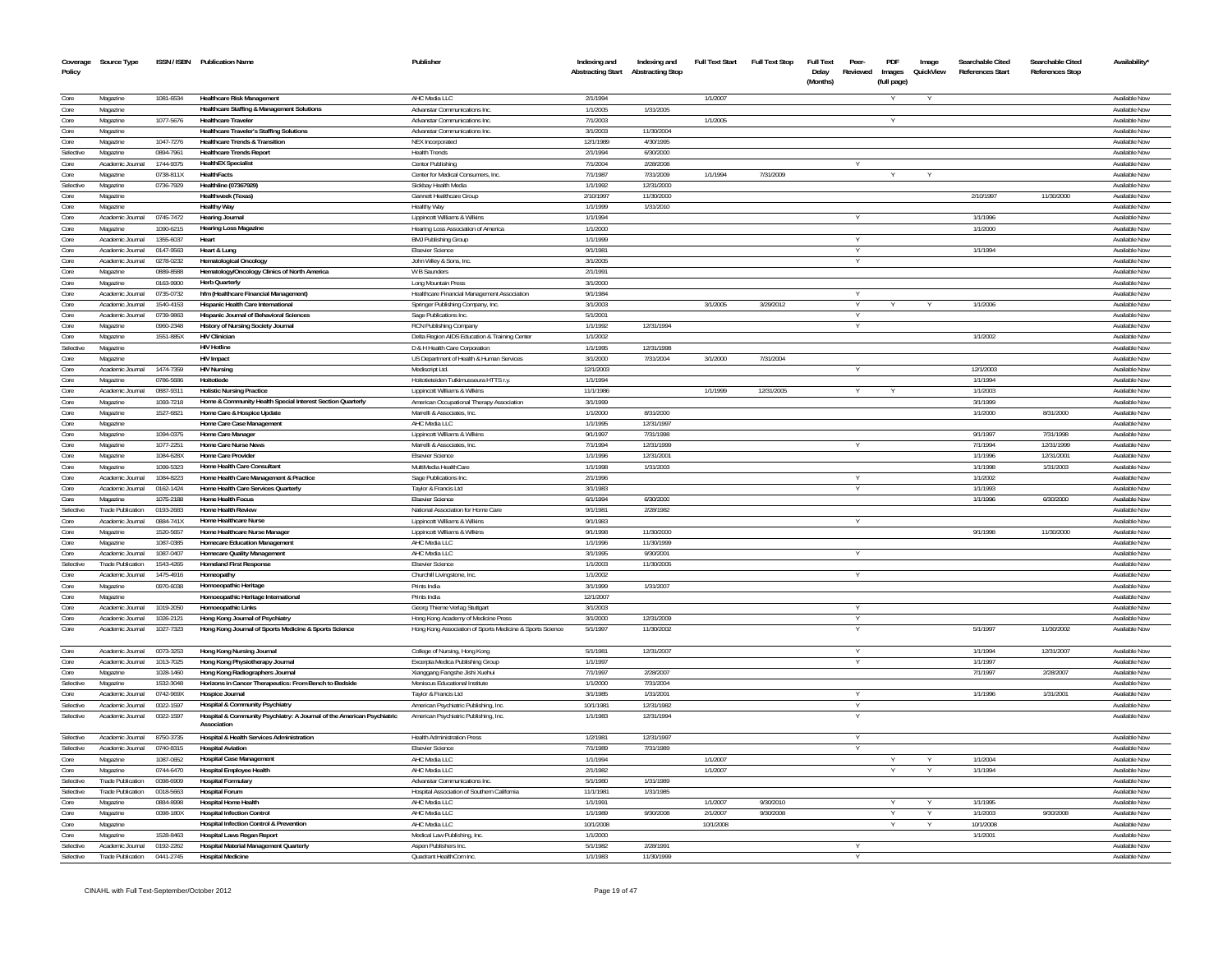| Coverage<br>Policy | Source Type                            |                        | ISSN / ISBN Publication Name                                                          | Publisher                                                                 | Indexing and<br><b>Abstracting Start</b> | Indexing and<br><b>Abstracting Stop</b> | <b>Full Text Start</b> | <b>Full Text Stop</b> | <b>Full Text</b><br>Delay<br>(Months) | Peer<br>Reviewed | PDF<br>Images<br>(full page) | Image<br>QuickView | Searchable Cited<br><b>References Start</b> | Searchable Cited<br><b>References Stop</b> | Availability'                  |
|--------------------|----------------------------------------|------------------------|---------------------------------------------------------------------------------------|---------------------------------------------------------------------------|------------------------------------------|-----------------------------------------|------------------------|-----------------------|---------------------------------------|------------------|------------------------------|--------------------|---------------------------------------------|--------------------------------------------|--------------------------------|
| Core               | Magazine                               | 1081-6534              | <b>Healthcare Risk Management</b>                                                     | AHC Media LLC                                                             | 2/1/1994                                 |                                         | 1/1/2007               |                       |                                       |                  |                              |                    |                                             |                                            | Available Now                  |
| Core               | Magazine                               |                        | <b>Healthcare Staffing &amp; Management Solutions</b>                                 | Advanstar Communications Inc                                              | 1/1/2005                                 | 1/31/2005                               |                        |                       |                                       |                  |                              |                    |                                             |                                            | Available Now                  |
| Core               | Magazine                               | 1077-5676              | <b>Healthcare Traveler</b>                                                            | Advanstar Communications Inc.                                             | 7/1/2003                                 |                                         | 1/1/2005               |                       |                                       |                  | Y                            |                    |                                             |                                            | Available Now                  |
| Core               | Magazine                               |                        | <b>Healthcare Traveler's Staffing Solutions</b>                                       | Advanstar Communications Inc.                                             | 3/1/2003                                 | 11/30/2004                              |                        |                       |                                       |                  |                              |                    |                                             |                                            | Available Now                  |
| Core               | Magazine                               | 1047-7276              | <b>Healthcare Trends &amp; Transition</b>                                             | <b>NEX</b> Incorporated                                                   | 12/1/1989                                | 4/30/1995                               |                        |                       |                                       |                  |                              |                    |                                             |                                            | Available Now                  |
| Selective          | Magazine                               | 0894-7961              | <b>Healthcare Trends Report</b>                                                       | <b>Health Trends</b>                                                      | 2/1/1994                                 | 6/30/2000                               |                        |                       |                                       |                  |                              |                    |                                             |                                            | Available Now                  |
| Core               | Academic Journal                       | 1744-9375              | <b>HealthEX Specialist</b>                                                            | Centor Publishing                                                         | 7/1/2004                                 | 2/28/2008                               |                        |                       |                                       |                  |                              |                    |                                             |                                            | Available Now                  |
| Core               | Magazine                               | 0738-811X              | HealthFacts                                                                           | Center for Medical Consumers. Inc.                                        | 7/1/1987                                 | 7/31/2009                               | 1/1/1994               | 7/31/2009             |                                       |                  |                              |                    |                                             |                                            | Available Nov                  |
| Selective          | Magazine                               | 0736-7929              | Healthline (07367929)                                                                 | Sickbay Health Media                                                      | 1/1/1992                                 | 12/31/2000                              |                        |                       |                                       |                  |                              |                    |                                             |                                            | Available Nov                  |
| Core               | Magazine                               |                        | Healthweek (Texas)<br><b>Healthy Way</b>                                              | <b>Gannett Healthcare Group</b>                                           | 2/10/1997<br>1/1/1999                    | 11/30/2000                              |                        |                       |                                       |                  |                              |                    | 2/10/1997                                   | 11/30/2000                                 | Available Now<br>Available Nov |
| Core<br>Core       | Magazine<br>Academic Journal 0745-7472 |                        | <b>Hearing Journal</b>                                                                | Healthy Way<br>Lippincott Williams & Wilkins                              | 1/1/1994                                 | 1/31/2010                               |                        |                       |                                       |                  |                              |                    | 1/1/1996                                    |                                            | Available Now                  |
| Core               | Magazine                               | 1090-6215              | Hearing Loss Magazine                                                                 | Hearing Loss Association of America                                       | 1/1/2000                                 |                                         |                        |                       |                                       |                  |                              |                    | 1/1/2000                                    |                                            | Available Now                  |
| Core               | Academic Journal                       | 1355-6037              | Heart                                                                                 | <b>BMJ Publishing Group</b>                                               | 1/1/1999                                 |                                         |                        |                       |                                       |                  |                              |                    |                                             |                                            | Available Now                  |
| Core               | Academic Journal                       | 0147-9563              | Heart & Lung                                                                          | <b>Elsevier Science</b>                                                   | 9/1/1981                                 |                                         |                        |                       |                                       |                  |                              |                    | 1/1/1994                                    |                                            | Available Now                  |
| Core               | Academic Journal                       | 0278-0232              | <b>Hematological Oncology</b>                                                         | John Wiley & Sons, Inc.                                                   | 3/1/2005                                 |                                         |                        |                       |                                       |                  |                              |                    |                                             |                                            | Available Now                  |
| Core               | Magazine                               | 0889-8588              | Hematology/Oncology Clinics of North America                                          | W B Saunders                                                              | 2/1/1991                                 |                                         |                        |                       |                                       |                  |                              |                    |                                             |                                            | Available Now                  |
| Core               | Magazine                               | 0163-9900              | <b>Herb Quarterly</b>                                                                 | Long Mountain Press                                                       | 3/1/2000                                 |                                         |                        |                       |                                       |                  |                              |                    |                                             |                                            | Available Now                  |
| Core               | Academic Journal                       | 0735-0732              | hfm (Healthcare Financial Management)                                                 | Healthcare Financial Management Association                               | 9/1/1984                                 |                                         |                        |                       |                                       |                  |                              |                    |                                             |                                            | Available Nov                  |
| Core               | Academic Journal                       | 1540-4153              | Hispanic Health Care International                                                    | Springer Publishing Company, Inc.                                         | 3/1/2003                                 |                                         | 3/1/2005               | 3/29/2012             |                                       |                  |                              |                    | 1/1/2006                                    |                                            | Available Now                  |
| Core               | Academic Journal                       | 0739-9863              | Hispanic Journal of Behavioral Sciences                                               | Sage Publications Inc.                                                    | 5/1/2001                                 |                                         |                        |                       |                                       |                  |                              |                    |                                             |                                            | Available Nov                  |
| Core               | Magazine                               | 0960-2348              | History of Nursing Society Journal                                                    | RCN Publishing Company                                                    | 1/1/1992                                 | 12/31/1994                              |                        |                       |                                       |                  |                              |                    |                                             |                                            | Available Now                  |
| Core               | Magazine                               | 1551-885X              | <b>HIV Clinician</b><br><b>HIV Hotline</b>                                            | Delta Region AIDS Education & Training Center                             | 1/1/2002                                 | 12/31/1998                              |                        |                       |                                       |                  |                              |                    | 1/1/2002                                    |                                            | Available Nov<br>Available Nov |
| Selective          | Magazine<br>Magazine                   |                        | <b>HIV Impact</b>                                                                     | D & H Health Care Corporation<br>US Department of Health & Human Services | 1/1/1995<br>3/1/2000                     | 7/31/2004                               | 3/1/2000               | 7/31/2004             |                                       |                  |                              |                    |                                             |                                            | Available Now                  |
| Core<br>Core       | Academic Journal                       | 1474-7359              | <b>HIV Nursing</b>                                                                    | Mediscript Ltd.                                                           | 12/1/2003                                |                                         |                        |                       |                                       |                  |                              |                    | 12/1/2003                                   |                                            | Available Nov                  |
| Core               | Magazine                               | 0786-5686              | Hoitotiede                                                                            | Hoitotieteiden Tutkimusseura HTTS r.y.                                    | 1/1/1994                                 |                                         |                        |                       |                                       |                  |                              |                    | 1/1/1994                                    |                                            | Available Now                  |
| Core               | Academic Journal                       | 0887-9311              | <b>Holistic Nursing Practice</b>                                                      | Lippincott Williams & Wilkins                                             | 11/1/1986                                |                                         | 1/1/1999               | 12/31/2005            |                                       |                  |                              |                    | 1/1/2003                                    |                                            | Available Now                  |
| Core               | Magazine                               | 1093-7218              | Home & Community Health Special Interest Section Quarterly                            | American Occupational Therapy Association                                 | 3/1/1999                                 |                                         |                        |                       |                                       |                  |                              |                    | 3/1/1999                                    |                                            | Available Nov                  |
| Core               | Magazine                               | 1527-6821              | Home Care & Hospice Update                                                            | Marrelli & Associates, Inc.                                               | 1/1/2000                                 | 8/31/2000                               |                        |                       |                                       |                  |                              |                    | 1/1/2000                                    | 8/31/2000                                  | Available Nov                  |
| Core               | Magazine                               |                        | Home Care Case Management                                                             | AHC Media LLC                                                             | 1/1/1995                                 | 12/31/1997                              |                        |                       |                                       |                  |                              |                    |                                             |                                            | Available Now                  |
| Core               | Magazine                               | 1094-0375              | Home Care Manager                                                                     | Lippincott Williams & Wilkins                                             | 9/1/1997                                 | 7/31/1998                               |                        |                       |                                       |                  |                              |                    | 9/1/1997                                    | 7/31/1998                                  | Available Nov                  |
| Core               | Magazine                               | 1077-2251              | Home Care Nurse News                                                                  | Marrelli & Associates, Inc.                                               | 7/1/1994                                 | 12/31/1999                              |                        |                       |                                       |                  |                              |                    | 7/1/1994                                    | 12/31/1999                                 | Available Now                  |
| Core               | Magazine                               | 1084-628X              | Home Care Provider                                                                    | Elsevier Science                                                          | 1/1/1996                                 | 12/31/200                               |                        |                       |                                       |                  |                              |                    | 1/1/1996                                    | 12/31/200                                  | Available Nov                  |
| Core               | Magazine                               | 1099-5323              | Home Health Care Consultant                                                           | MultiMedia HealthCare                                                     | 1/1/1998                                 | 1/31/2003                               |                        |                       |                                       |                  |                              |                    | 1/1/1998                                    | 1/31/2003                                  | Available Now                  |
| Core               | Academic Journal                       | 1084-8223              | Home Health Care Management & Practice                                                | Sage Publications Inc                                                     | 2/1/199                                  |                                         |                        |                       |                                       |                  |                              |                    | 1/1/2002                                    |                                            | Available Nov                  |
| Core               | Academic Journal                       | 0162-1424              | Home Health Care Services Quarterly                                                   | Taylor & Francis Ltd                                                      | 3/1/1983                                 |                                         |                        |                       |                                       |                  |                              |                    | 1/1/1993                                    |                                            | Available Nov                  |
| Core               | Magazine                               | 1075-2188              | Home Health Focus                                                                     | <b>Elsevier Scienc</b>                                                    | 6/1/1994                                 | 6/30/2000                               |                        |                       |                                       |                  |                              |                    | 1/1/1996                                    | 6/30/2000                                  | Available Nov                  |
| Selectiv           | <b>Trade Publication</b>               | 0193-2683              | Home Health Review                                                                    | National Association for Home Care                                        | 9/1/1981                                 | 2/28/1982                               |                        |                       |                                       |                  |                              |                    |                                             |                                            | Available No                   |
| Core               | Academic Journal                       | 0884-741X              | Home Healthcare Nurse                                                                 | Lippincott Williams & Wilkin                                              | 9/1/1983                                 |                                         |                        |                       |                                       |                  |                              |                    |                                             |                                            | Available Nov                  |
| Core               | Magazine<br>Magazine                   | 1520-565<br>1087-0385  | Home Healthcare Nurse Manager<br><b>Homecare Education Managemen</b>                  | Lippincott Williams & Wilkins                                             | 9/1/1998<br>1/1/1996                     | 11/30/2000<br>11/30/1999                |                        |                       |                                       |                  |                              |                    | 9/1/1998                                    | 11/30/2000                                 | Available Nov<br>Available Nov |
| Core<br>Core       | Academic Journal                       | 1087-040               | Homecare Quality Management                                                           | AHC Media LLC<br>AHC Media LLC                                            | 3/1/199                                  | 9/30/200                                |                        |                       |                                       |                  |                              |                    |                                             |                                            | Available Nov                  |
| Selective          | <b>Trade Publication</b>               | 1543-4265              | <b>Homeland First Response</b>                                                        | <b>Elsevier Scienc</b>                                                    | 1/1/2003                                 | 11/30/2005                              |                        |                       |                                       |                  |                              |                    |                                             |                                            | Available Nov                  |
| Core               | Academic Journal                       | 1475-4916              | Homeopathy                                                                            | Churchill Livingstone, Inc.                                               | 1/1/2002                                 |                                         |                        |                       |                                       |                  |                              |                    |                                             |                                            | Available Nov                  |
| Core               | Magazine                               | 0970-6038              | Homoeopathic Heritage                                                                 | Prints India                                                              | 3/1/1999                                 | 1/31/2007                               |                        |                       |                                       |                  |                              |                    |                                             |                                            | Available Nov                  |
| Core               | Magazine                               |                        | Homoeopathic Heritage International                                                   | Prints India                                                              | 12/1/200                                 |                                         |                        |                       |                                       |                  |                              |                    |                                             |                                            | Available Nov                  |
| Core               | Academic Journal                       | 1019-2050              | <b>Homoeopathic Links</b>                                                             | Georg Thieme Verlag Stuttgart                                             | 3/1/2003                                 |                                         |                        |                       |                                       |                  |                              |                    |                                             |                                            | Available Nov                  |
| Core               | Academic Journal                       | 1026-2121              | Hong Kong Journal of Psychiatry                                                       | Hong Kong Academy of Medicine Press                                       | 3/1/2000                                 | 12/31/2009                              |                        |                       |                                       |                  |                              |                    |                                             |                                            | Available Nov                  |
| Core               | Academic Journal                       | 1027-7323              | Hong Kong Journal of Sports Medicine & Sports Science                                 | Hong Kong Association of Sports Medicine & Sports Science                 | 5/1/1997                                 | 11/30/2002                              |                        |                       |                                       |                  |                              |                    | 5/1/1997                                    | 11/30/2002                                 | Available Now                  |
| Core               | Academic Journal                       | 0073-3253              | Hong Kong Nursing Journal                                                             | College of Nursing, Hong Kong                                             | 5/1/1981                                 | 12/31/2007                              |                        |                       |                                       |                  |                              |                    | 1/1/1994                                    | 12/31/2007                                 | Available Now                  |
| Core               | Academic Journal                       | 1013-7025              | Hong Kong Physiotherapy Journal                                                       | Excerpta Medica Publishing Group                                          | 1/1/1997                                 |                                         |                        |                       |                                       |                  |                              |                    | 1/1/1997                                    |                                            | Available Nov                  |
| Core               | Magazine                               | 1028-1460              | Hong Kong Radiographers Journal                                                       | Xianggang Fangshe Jishi Xuehui                                            | 7/1/1997                                 | 2/28/2007                               |                        |                       |                                       |                  |                              |                    | 7/1/1997                                    | 2/28/2007                                  | Available Now                  |
| Selective          | Magazine                               | 1532-3048              | Horizons in Cancer Therapeutics: From Bench to Bedside                                | Meniscus Educational Institute                                            | 1/1/2000                                 | 7/31/2004                               |                        |                       |                                       |                  |                              |                    |                                             |                                            | Available Nov                  |
| Core               | Academic Journal                       | 0742-969X              | <b>Hospice Journal</b>                                                                | Taylor & Francis Ltd                                                      | 3/1/1985                                 | 1/31/2001                               |                        |                       |                                       | Y                |                              |                    | 1/1/1996                                    | 1/31/2001                                  | Available Nov                  |
| Selective          | Academic Journal                       | 0022-1597              | Hospital & Community Psychiatry                                                       | American Psychiatric Publishing, Inc                                      | 10/1/198                                 | 12/31/1982                              |                        |                       |                                       |                  |                              |                    |                                             |                                            | Available Nov                  |
| Selective          | Academic Journal                       | 0022-1597              | Hospital & Community Psychiatry: A Journal of the American Psychiatric<br>Association | American Psychiatric Publishing, Inc                                      | 1/1/1983                                 | 12/31/1994                              |                        |                       |                                       |                  |                              |                    |                                             |                                            | Available Nov                  |
| Selective          | Academic Journal                       | 8750-3735              | Hospital & Health Services Administration                                             | <b>Health Administration Press</b>                                        | 1/2/1981                                 | 12/31/1997                              |                        |                       |                                       |                  |                              |                    |                                             |                                            | Available Nov                  |
| Selective          | Academic Journal                       | 0740-8315              | <b>Hospital Aviation</b>                                                              | <b>Elsevier Science</b>                                                   | 7/1/1989<br>1/1/1994                     | 7/31/1989                               | 1/1/2007               |                       |                                       | Y                |                              |                    | 1/1/2004                                    |                                            | Available Now<br>Available Nov |
| Core<br>Core       | Magazine<br>Magazine                   | 1087-0652<br>0744-6470 | <b>Hospital Case Management</b><br><b>Hospital Employee Health</b>                    | AHC Media LLC<br>AHC Media LLC                                            | 2/1/1982                                 |                                         | 1/1/2007               |                       |                                       |                  |                              |                    | 1/1/1994                                    |                                            | Available Now                  |
| Selective          | <b>Trade Publication</b>               | 0098-6909              | Hospital Formulary                                                                    | Advanstar Communications Inc                                              | 5/1/1980                                 | 1/31/1989                               |                        |                       |                                       |                  |                              |                    |                                             |                                            | Available Nov                  |
| Selective          | <b>Trade Publication</b>               | 0018-5663              | <b>Hospital Forum</b>                                                                 | Hospital Association of Southern California                               | 11/1/1981                                | 1/31/1985                               |                        |                       |                                       |                  |                              |                    |                                             |                                            | Available Nov                  |
| Core               | Magazine                               | 0884-8998              | <b>Hospital Home Health</b>                                                           | AHC Media LLC                                                             | 1/1/1991                                 |                                         | 1/1/2007               | 9/30/2010             |                                       |                  |                              |                    | 1/1/1995                                    |                                            | Available Now                  |
| Core               | Magazine                               | 0098-180X              | <b>Hospital Infection Control</b>                                                     | AHC Media LLC                                                             | 1/1/1989                                 | 9/30/2008                               | 2/1/2007               | 9/30/2008             |                                       |                  | Y                            |                    | 1/1/2003                                    | 9/30/2008                                  | Available Now                  |
| Core               | Magazine                               |                        | <b>Hospital Infection Control &amp; Prevention</b>                                    | AHC Media LLC                                                             | 10/1/2008                                |                                         | 10/1/2008              |                       |                                       |                  |                              |                    | 10/1/2008                                   |                                            | Available Nov                  |
| Core               | Magazine                               | 1528-8463              | Hospital Laws Regan Report                                                            | Medical Law Publishing, Inc.                                              | 1/1/2000                                 |                                         |                        |                       |                                       |                  |                              |                    | 1/1/2001                                    |                                            | Available Nov                  |
| Selective          | Academic Journal                       | 0192-2262              | Hospital Material Management Quarterly                                                | Aspen Publishers Inc.                                                     | 5/1/1982                                 | 2/28/1991                               |                        |                       |                                       |                  |                              |                    |                                             |                                            | Available Now                  |
| Selective          | <b>Trade Publication</b>               | 0441-2745              | <b>Hospital Medicine</b>                                                              | Quadrant HealthCom Inc                                                    | 1/1/1983                                 | 11/30/1999                              |                        |                       |                                       |                  |                              |                    |                                             |                                            | Available Now                  |
|                    |                                        |                        |                                                                                       |                                                                           |                                          |                                         |                        |                       |                                       |                  |                              |                    |                                             |                                            |                                |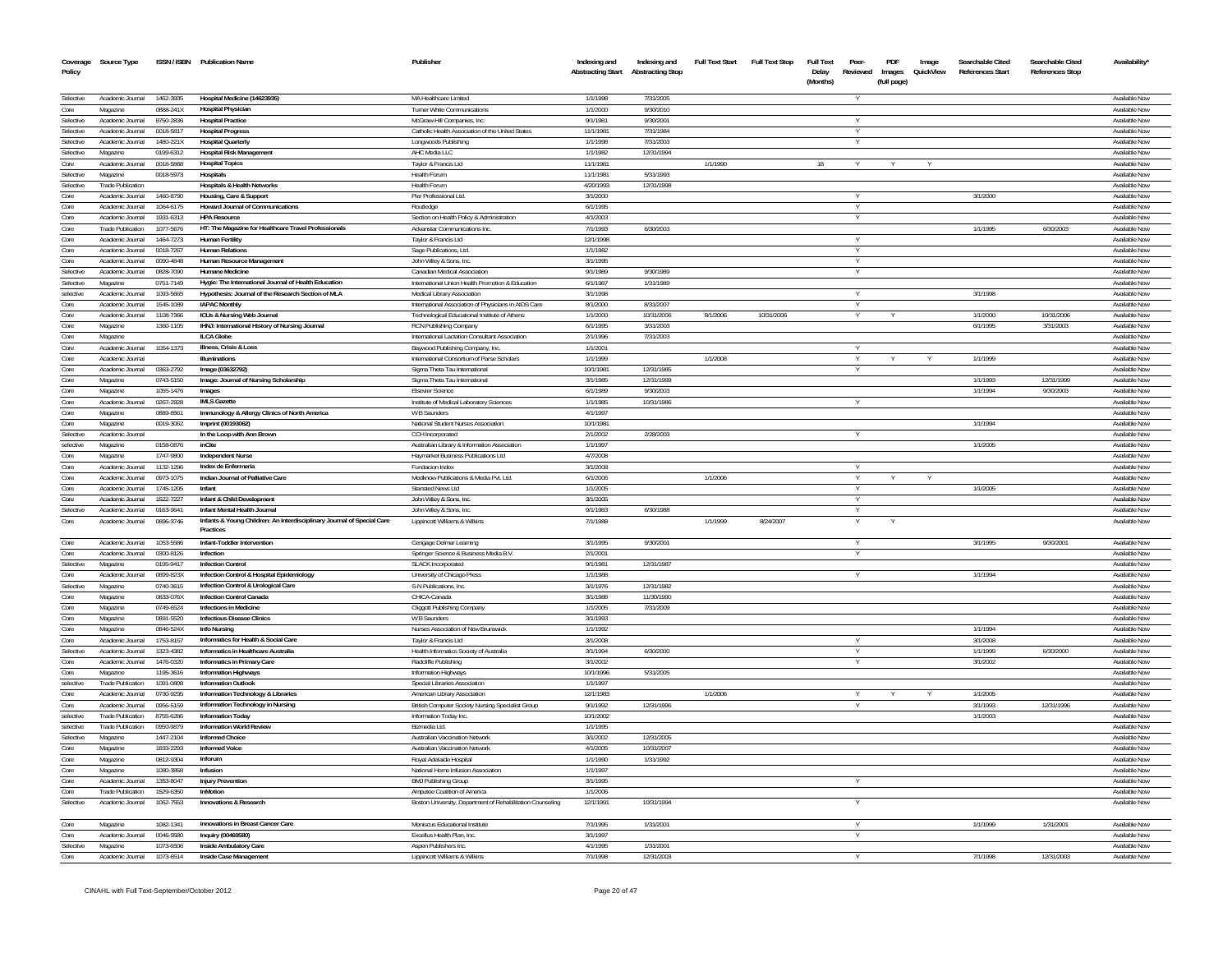| Policy            | Coverage Source Type                         |                        | ISSN / ISBN Publication Name                                                        | Publisher                                                                   | Indexing and<br><b>Abstracting Start</b> | Indexing and<br><b>Abstracting Stop</b> | <b>Full Text Start</b> | <b>Full Text Stop</b> | <b>Full Text</b><br>Delay | Peer-<br>Reviewed | PDF<br>Images | Image<br>QuickView | Searchable Cited<br><b>References Start</b> | Searchable Cited<br>References Stop | Availability'                  |
|-------------------|----------------------------------------------|------------------------|-------------------------------------------------------------------------------------|-----------------------------------------------------------------------------|------------------------------------------|-----------------------------------------|------------------------|-----------------------|---------------------------|-------------------|---------------|--------------------|---------------------------------------------|-------------------------------------|--------------------------------|
|                   |                                              |                        |                                                                                     |                                                                             |                                          |                                         |                        |                       | (Months)                  |                   | (full page)   |                    |                                             |                                     |                                |
| Selective         | Academic Journal                             | 1462-3935              | Hospital Medicine (14623935)                                                        | MA Healthcare Limited                                                       | 1/1/1998                                 | 7/31/2005                               |                        |                       |                           |                   |               |                    |                                             |                                     | <b>Available Now</b>           |
| Core              | Magazine                                     | 0888-241X              | <b>Hospital Physician</b>                                                           | Turner White Communications                                                 | 1/1/2000                                 | 9/30/2010                               |                        |                       |                           |                   |               |                    |                                             |                                     | Available Now                  |
| Selective         | Academic Journal                             | 8750-2836              | <b>Hospital Practice</b>                                                            | McGraw-Hill Companies, Inc.                                                 | 9/1/1981                                 | 9/30/2001                               |                        |                       |                           |                   |               |                    |                                             |                                     | Available Nov                  |
| Selective         | Academic Journal                             | 0018-5817              | <b>Hospital Progress</b>                                                            | Catholic Health Association of the United States                            | 11/1/1981                                | 7/31/1984                               |                        |                       |                           |                   |               |                    |                                             |                                     | Available Now                  |
| Selective         | Academic Journal                             | 1480-221X              | <b>Hospital Quarterly</b>                                                           | Longwoods Publishing                                                        | 1/1/1998                                 | 7/31/2003                               |                        |                       |                           |                   |               |                    |                                             |                                     | <b>Available Nov</b>           |
| Selective         | Magazine                                     | 0199-6312              | <b>Hospital Risk Management</b>                                                     | AHC Media LLC                                                               | 1/1/1982                                 | 12/31/1994                              |                        |                       |                           |                   |               |                    |                                             |                                     | Available Now                  |
| Core              | Academic Journal                             | 0018-5868              | <b>Hospital Topics</b>                                                              | Taylor & Francis Ltd                                                        | 11/1/1981                                |                                         | 1/1/1990               |                       | 18                        |                   |               |                    |                                             |                                     | <b>Available Nov</b>           |
| Selective         | Magazine                                     | 0018-5973              | Hospitals                                                                           | Health Forum                                                                | 11/1/1981                                | 5/31/1993                               |                        |                       |                           |                   |               |                    |                                             |                                     | Available Now                  |
| Selective<br>Core | <b>Trade Publication</b><br>Academic Journal |                        | <b>Hospitals &amp; Health Networks</b>                                              | Health Forum                                                                | 4/20/1993<br>3/1/2000                    | 12/31/1998                              |                        |                       |                           |                   |               |                    |                                             |                                     | Available Now                  |
| Core              | Academic Journal                             | 1460-8790<br>1064-6175 | Housing, Care & Support<br><b>Howard Journal of Communications</b>                  | Pier Professional Ltd.<br>Routledge                                         | 6/1/1995                                 |                                         |                        |                       |                           |                   |               |                    | 3/1/2000                                    |                                     | Available Now<br>Available Now |
| Core              | Academic Journal                             | 1931-6313              | <b>HPA Resource</b>                                                                 | Section on Health Policy & Administration                                   | 4/1/2003                                 |                                         |                        |                       |                           |                   |               |                    |                                             |                                     | Available Now                  |
| Core              | <b>Trade Publication</b>                     | 1077-5676              | HT: The Magazine for Healthcare Travel Professionals                                | Advanstar Communications Inc.                                               | 7/1/1993                                 | 6/30/2003                               |                        |                       |                           |                   |               |                    | 1/1/1995                                    | 6/30/2003                           | Available Now                  |
| Core              | Academic Journal                             | 1464-7273              | <b>Human Fertility</b>                                                              | Taylor & Francis Ltd                                                        | 12/1/1998                                |                                         |                        |                       |                           |                   |               |                    |                                             |                                     | Available Nov                  |
| Core              | Academic Journal                             | 0018-7267              | <b>Human Relations</b>                                                              | Sage Publications, Ltd.                                                     | 1/1/1982                                 |                                         |                        |                       |                           |                   |               |                    |                                             |                                     | Available Now                  |
| Core              | Academic Journal                             | 0090-4848              | Human Resource Management                                                           | John Wiley & Sons. Inc.                                                     | 3/1/1995                                 |                                         |                        |                       |                           |                   |               |                    |                                             |                                     | Available Now                  |
| Selective         | Academic Journal                             | 0828-7090              | <b>Humane Medicine</b>                                                              | Canadian Medical Association                                                | 9/1/1989                                 | 9/30/1989                               |                        |                       |                           |                   |               |                    |                                             |                                     | Available Now                  |
| Selective         | Magazine                                     | 0751-7149              | Hygie: The International Journal of Health Education                                | International Union Health Promotion & Education                            | 6/1/1987                                 | 1/31/1989                               |                        |                       |                           |                   |               |                    |                                             |                                     | Available Nov                  |
| selective         | Academic Journal                             | 1093-5665              | Hypothesis: Journal of the Research Section of MLA                                  | Medical Library Association                                                 | 3/1/1998                                 |                                         |                        |                       |                           |                   |               |                    | 3/1/1998                                    |                                     | Available Nov                  |
| Core              | Academic Journal                             | 1545-1089              | <b>IAPAC Monthly</b>                                                                | International Association of Physicians in AIDS Care                        | 8/1/2000                                 | 8/31/2007                               |                        |                       |                           |                   |               |                    |                                             |                                     | Available Now                  |
| Core              | Academic Journal                             | 1108-7366              | ICUs & Nursing Web Journal                                                          | Technological Educational Institute of Athens                               | 1/1/2000                                 | 10/31/2006                              | 8/1/2006               | 10/31/2006            |                           | Y                 |               |                    | 1/1/2000                                    | 10/31/2006                          | Available Now                  |
| Core              | Magazine                                     | 1360-1105              | IHNJ: International History of Nursing Journal                                      | <b>RCN Publishing Company</b>                                               | 6/1/1995                                 | 3/31/2003                               |                        |                       |                           |                   |               |                    | 6/1/1995                                    | 3/31/2003                           | Available Nov                  |
| Core              | Magazine                                     |                        | ILCA Globe                                                                          | International Lactation Consultant Association                              | 2/1/1996                                 | 7/31/2003                               |                        |                       |                           |                   |               |                    |                                             |                                     | Available Now                  |
| Core              | Academic Journal                             | 1054-1373              | Illness, Crisis & Loss<br><b>Illuminations</b>                                      | Baywood Publishing Company, Inc.                                            | 1/1/2001                                 |                                         | 1/1/2008               |                       |                           |                   |               |                    |                                             |                                     | Available Nov                  |
| Core<br>Core      | Academic Journal<br>Academic Journal         | 0363-2792              | Image (03632792)                                                                    | International Consortium of Parse Scholars<br>Sigma Theta Tau International | 1/1/1999<br>10/1/1981                    | 12/31/1985                              |                        |                       |                           | Y                 |               |                    | 1/1/1999                                    |                                     | Available Now<br>Available Nov |
| Core              | Magazine                                     | 0743-5150              | Image: Journal of Nursing Scholarship                                               |                                                                             | 3/1/1985                                 | 12/31/1999                              |                        |                       |                           |                   |               |                    | 1/1/1993                                    | 12/31/1999                          | Available Nov                  |
| Core              | Magazine                                     | 1055-1476              | Images                                                                              | Sigma Theta Tau International<br><b>Elsevier Science</b>                    | 6/1/1989                                 | 9/30/2003                               |                        |                       |                           |                   |               |                    | 1/1/1994                                    | 9/30/2003                           | Available Nov                  |
| Core              | Academic Journal                             | 0267-2928              | <b>IMI S Gazette</b>                                                                | Institute of Medical Laboratory Sciences                                    | 1/1/1985                                 | 10/31/1986                              |                        |                       |                           |                   |               |                    |                                             |                                     | Available Nov                  |
| Core              | Magazine                                     | 0889-856               | Immunology & Allergy Clinics of North America                                       | W B Saunders                                                                | 4/1/1997                                 |                                         |                        |                       |                           |                   |               |                    |                                             |                                     | Available Nov                  |
| Core              | Magazine                                     | 0019-3062              | Imprint (00193062)                                                                  | National Student Nurses Association                                         | 10/1/1981                                |                                         |                        |                       |                           |                   |               |                    | 1/1/1994                                    |                                     | Available Now                  |
| Selective         | Academic Journal                             |                        | In the Loop with Ann Brown                                                          | <b>CCH</b> Incorporated                                                     | 2/1/2002                                 | 2/28/2003                               |                        |                       |                           |                   |               |                    |                                             |                                     | Available Nov                  |
| selective         | Magazine                                     | 0158-0876              | inCite                                                                              | Australian Library & Information Association                                | 1/1/1997                                 |                                         |                        |                       |                           |                   |               |                    | 1/1/2005                                    |                                     | Available Now                  |
| Core              | Magazine                                     | 1747-9800              | <b>Independent Nurse</b>                                                            | Haymarket Business Publications Ltd                                         | 4/7/2008                                 |                                         |                        |                       |                           |                   |               |                    |                                             |                                     | Available Now                  |
| Core              | Academic Journal                             | 1132-1296              | Index de Enfermeria                                                                 | Fundacion Index                                                             | 3/1/2008                                 |                                         |                        |                       |                           |                   |               |                    |                                             |                                     | Available Now                  |
| Core              | Academic Journal                             | 0973-1075              | Indian Journal of Palliative Care                                                   | Medknow Publications & Media Pvt. Ltd.                                      | 6/1/2006                                 |                                         | 1/1/2006               |                       |                           |                   |               |                    |                                             |                                     | Available Now                  |
| Core              | Academic Journal                             | 1745-1205              | Infant                                                                              | Stansted News Ltd                                                           | 1/1/2005                                 |                                         |                        |                       |                           |                   |               |                    | 1/1/2005                                    |                                     | Available Now                  |
| Core              | Academic Journal                             | 1522-7227              | Infant & Child Development                                                          | John Wiley & Sons, Inc.                                                     | 3/1/2005                                 |                                         |                        |                       |                           | Y                 |               |                    |                                             |                                     | Available Now                  |
| Selective<br>Core | Academic Journal                             | 0163-9641              | Infant Mental Health Journal                                                        | John Wiley & Sons, Inc.                                                     | 9/1/1983                                 | 6/30/1988                               |                        |                       |                           |                   |               |                    |                                             |                                     | Available Now                  |
|                   | Academic Journal                             | 0896-3746              | Infants & Young Children: An Interdisciplinary Journal of Special Care<br>Practices | Lippincott Williams & Wilkins                                               | 7/1/1988                                 |                                         | 1/1/1999               | 8/24/2007             |                           |                   |               |                    |                                             |                                     | Available Now                  |
| Core              | Academic Journal                             | 1053-5586              | Infant-Toddler Intervention                                                         | Cengage Delmar Learning                                                     | 3/1/1995                                 | 9/30/2001                               |                        |                       |                           |                   |               |                    | 3/1/1995                                    | 9/30/2001                           | Available Now                  |
| Core              | Academic Journal                             | 0300-8126              | Infection                                                                           | Springer Science & Business Media B.V                                       | 2/1/2001                                 |                                         |                        |                       |                           |                   |               |                    |                                             |                                     | <b>Available Now</b>           |
| Selective         | Magazine                                     | 0195-9417              | <b>Infection Control</b>                                                            | <b>SLACK Incorporated</b>                                                   | 9/1/1981                                 | 12/31/1987                              |                        |                       |                           |                   |               |                    |                                             |                                     | Available Now                  |
| Core              | Academic Journal                             | 0899-823X              | Infection Control & Hospital Epidemiology                                           | University of Chicago Press                                                 | 1/1/1988                                 |                                         |                        |                       |                           | Y                 |               |                    | 1/1/1994                                    |                                     | Available Now                  |
| Selective         | Magazine                                     | 0740-3615              | Infection Control & Urological Care                                                 | S-N Publications, Inc.                                                      | 3/1/1976                                 | 12/31/1982                              |                        |                       |                           |                   |               |                    |                                             |                                     | Available Now                  |
| Core              | Magazine                                     | 0833-076X              | Infection Control Canada                                                            | CHICA-Canada                                                                | 3/1/1988                                 | 11/30/1990                              |                        |                       |                           |                   |               |                    |                                             |                                     | Available Now                  |
| Core              | Magazine                                     | 0749-6524              | Infections in Medicine                                                              | Cliggott Publishing Company                                                 | 1/1/2005                                 | 7/31/2009                               |                        |                       |                           |                   |               |                    |                                             |                                     | Available Now                  |
| Core              | Magazine                                     | 0891-5520              | <b>Infectious Disease Clinics</b>                                                   | W B Saunders                                                                | 3/1/1993                                 |                                         |                        |                       |                           |                   |               |                    |                                             |                                     | Available Now                  |
| Core<br>Core      | Magazine<br>Academic Journal                 | 0846-524X<br>1753-8157 | <b>Info Nursing</b><br>Informatics for Health & Social Care                         | Nurses Association of New Brunswick                                         | 1/1/1992<br>3/1/2008                     |                                         |                        |                       |                           |                   |               |                    | 1/1/1994<br>3/1/2008                        |                                     | Available Now<br>Available Now |
| Selective         | Academic Journal                             | 1323-4382              | Informatics in Healthcare Australia                                                 | Taylor & Francis Ltd<br>Health Informatics Society of Australia             | 3/1/1994                                 | 6/30/2000                               |                        |                       |                           | $\vee$            |               |                    | 1/1/1999                                    | 6/30/2000                           | Available Now                  |
| Core              | Academic Journal                             | 1476-0320              | Informatics in Primary Care                                                         | Radcliffe Publishing                                                        | 3/1/2002                                 |                                         |                        |                       |                           |                   |               |                    | 3/1/2002                                    |                                     | Available Now                  |
| Core              | Magazine                                     | 1195-3616              | <b>Information Highways</b>                                                         | Information Highways                                                        | 10/1/1996                                | 5/31/2005                               |                        |                       |                           |                   |               |                    |                                             |                                     | Available Now                  |
| selective         | <b>Trade Publication</b>                     | 1091-0808              | <b>Information Outlook</b>                                                          | Special Libraries Association                                               | 1/1/1997                                 |                                         |                        |                       |                           |                   |               |                    |                                             |                                     | Available Now                  |
| Core              | Academic Journal                             | 0730-9295              | Information Technology & Libraries                                                  | American Library Association                                                | 12/1/1983                                |                                         | 1/1/2006               |                       |                           | $\vee$            |               |                    | 1/1/2005                                    |                                     | Available Now                  |
| Core              | Academic Journal                             | 0956-5159              | Information Technology in Nursing                                                   | British Computer Society Nursing Specialist Group                           | 9/1/1992                                 | 12/31/1996                              |                        |                       |                           |                   |               |                    | 3/1/1993                                    | 12/31/1996                          | Available Now                  |
| selective         | <b>Trade Publication</b>                     | 8755-6286              | <b>Information Today</b>                                                            | Information Today Inc.                                                      | 10/1/2002                                |                                         |                        |                       |                           |                   |               |                    | 1/1/2003                                    |                                     | Available Now                  |
| selective         | <b>Trade Publication</b>                     | 0950-9879              | <b>Information World Review</b>                                                     | Bizmedia Ltd.                                                               | 1/1/1995                                 |                                         |                        |                       |                           |                   |               |                    |                                             |                                     | Available Now                  |
| Selective         | Magazine                                     | 1447-2104              | Informed Choice                                                                     | <b>Australian Vaccination Network</b>                                       | 3/1/2002                                 | 12/31/2005                              |                        |                       |                           |                   |               |                    |                                             |                                     | Available Now                  |
| Core              | Magazine                                     | 1833-2293              | <b>Informed Voice</b>                                                               | Australian Vaccination Network                                              | 4/1/2005                                 | 10/31/2007                              |                        |                       |                           |                   |               |                    |                                             |                                     | <b>Available Now</b>           |
| Core              | Magazine                                     | 0812-9304              | Inforum                                                                             | Royal Adelaide Hospital                                                     | 1/1/1990                                 | 1/31/1992                               |                        |                       |                           |                   |               |                    |                                             |                                     | <b>Available Now</b>           |
| Core              | Magazine                                     | 1080-3858              | Infusion                                                                            | National Home Infusion Association                                          | 1/1/1997                                 |                                         |                        |                       |                           |                   |               |                    |                                             |                                     | Available Now                  |
| Core              | Academic Journal                             | 1353-8047              | <b>Injury Prevention</b>                                                            | <b>BMJ Publishing Group</b>                                                 | 3/1/1995                                 |                                         |                        |                       |                           |                   |               |                    |                                             |                                     | Available Now                  |
| Core              | <b>Trade Publication</b>                     | 1529-6350              | InMotion                                                                            | Amputee Coalition of America                                                | 1/1/2006                                 |                                         |                        |                       |                           |                   |               |                    |                                             |                                     | Available Nov                  |
| Selective         | Academic Journal                             | 1062-7553              | Innovations & Research                                                              | Boston University, Department of Rehabilitation Counseling                  | 12/1/1991                                | 10/31/1994                              |                        |                       |                           |                   |               |                    |                                             |                                     | <b>Available Nov</b>           |
|                   |                                              |                        | innovations in Breast Cancer Care                                                   |                                                                             |                                          |                                         |                        |                       |                           | $\vee$            |               |                    |                                             |                                     |                                |
| Core<br>Core      | Magazine<br>Academic Journal                 | 1082-1341<br>0046-9580 | Inquiry (00469580)                                                                  | Meniscus Educational Institute<br>Excellus Health Plan, Inc.                | 7/1/1995<br>3/1/1997                     | 1/31/2001                               |                        |                       |                           | $\vee$            |               |                    | 1/1/1999                                    | 1/31/2001                           | Available Now<br>Available Now |
| Selective         | Magazine                                     | 1073-6506              | <b>Inside Ambulatory Care</b>                                                       | Aspen Publishers Inc.                                                       | 4/1/1995                                 | 1/31/2001                               |                        |                       |                           |                   |               |                    |                                             |                                     | Available Now                  |
| Core              | Academic Journal                             | 1073-6514              | Inside Case Management                                                              | Lippincott Williams & Wilkins                                               | 7/1/1998                                 | 12/31/2003                              |                        |                       |                           |                   |               |                    | 7/1/1998                                    | 12/31/2003                          | Available Now                  |
|                   |                                              |                        |                                                                                     |                                                                             |                                          |                                         |                        |                       |                           |                   |               |                    |                                             |                                     |                                |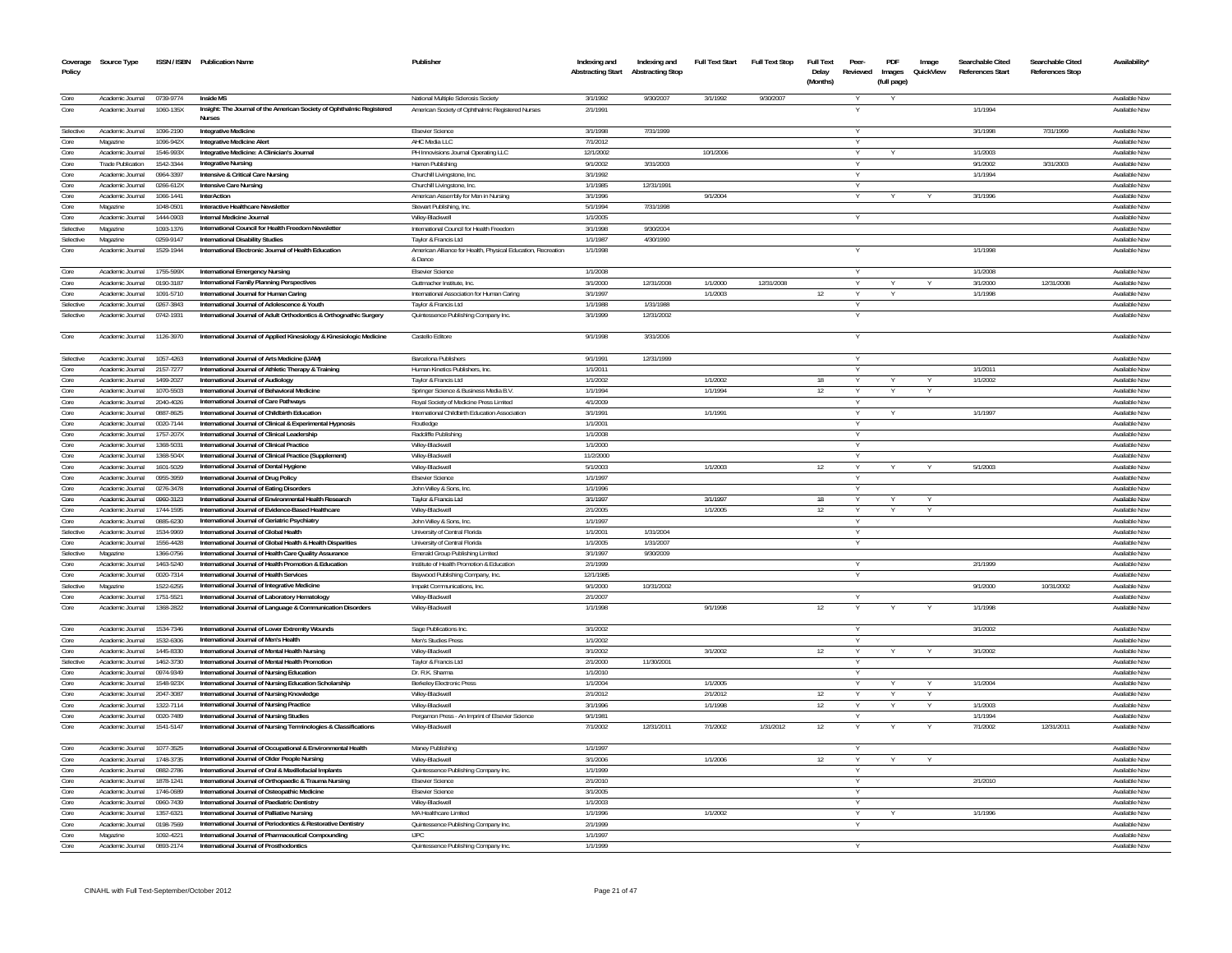| Coverage<br>Policy     | Source Type                          |                        | ISSN / ISBN Publication Name                                                                                  | Publisher                                                                               | Indexing and<br><b>Abstracting Start</b> | Indexing and<br><b>Abstracting Stop</b> | <b>Full Text Start</b> | <b>Full Text Stop</b> | <b>Full Text</b><br>Delay<br>(Months) | Peer-<br>Reviewed | PDF<br>Images<br>(full page) | Image<br>QuickView | Searchable Cited<br>References Start | Searchable Cited<br><b>References Stop</b> | Availability'                  |
|------------------------|--------------------------------------|------------------------|---------------------------------------------------------------------------------------------------------------|-----------------------------------------------------------------------------------------|------------------------------------------|-----------------------------------------|------------------------|-----------------------|---------------------------------------|-------------------|------------------------------|--------------------|--------------------------------------|--------------------------------------------|--------------------------------|
|                        |                                      |                        |                                                                                                               |                                                                                         |                                          |                                         |                        |                       |                                       |                   |                              |                    |                                      |                                            |                                |
| Core<br>Core           | Academic Journal<br>Academic Journal | 0739-9774<br>1060-135X | Inside MS<br>Insight: The Journal of the American Society of Ophthalmic Registered<br><b>Nurses</b>           | National Multiple Sclerosis Society<br>American Society of Ophthalmic Registered Nurses | 3/1/1992<br>2/1/1991                     | 9/30/2007                               | 3/1/1992               | 9/30/2007             |                                       |                   |                              |                    | 1/1/1994                             |                                            | Available Now<br>Available Now |
| Selective              | Academic Journal                     | 1096-2190              | <b>Integrative Medicine</b>                                                                                   | <b>Elsevier Science</b>                                                                 | 3/1/1998                                 | 7/31/1999                               |                        |                       |                                       |                   |                              |                    | 3/1/1998                             | 7/31/1999                                  | Available Nov                  |
| Core                   | Magazine                             | 1096-942X              | <b>Integrative Medicine Aler</b>                                                                              | AHC Media LLC                                                                           | 7/1/2012                                 |                                         |                        |                       |                                       |                   |                              |                    |                                      |                                            | Available Nov                  |
| Core                   | Academic Journal                     | 1546-993X              | Integrative Medicine: A Clinician's Journal                                                                   | PH Innovisions Journal Operating LLC                                                    | 12/1/2002                                |                                         | 10/1/2006              |                       |                                       |                   |                              |                    | 1/1/2003                             |                                            | Available Now                  |
| Core                   | <b>Trade Publication</b>             | 1542-3344              | <b>Integrative Nursing</b>                                                                                    | Harren Publishing                                                                       | 9/1/2002                                 | 3/31/2003                               |                        |                       |                                       |                   |                              |                    | 9/1/2002                             | 3/31/2003                                  | Available Nov                  |
| Core                   | Academic Journal                     | 0964-3397              | Intensive & Critical Care Nursing                                                                             | Churchill Livingstone, Inc.                                                             | 3/1/1992                                 |                                         |                        |                       |                                       | Y                 |                              |                    | 1/1/1994                             |                                            | Available Nov                  |
| Core                   | Academic Journal                     | 0266-612X              | <b>Intensive Care Nursing</b>                                                                                 | Churchill Livingstone, Inc.                                                             | 1/1/1985                                 | 12/31/1991                              |                        |                       |                                       | Y                 |                              |                    |                                      |                                            | Available Now                  |
| Core                   | Academic Journal                     | 1066-1441              | InterAction                                                                                                   | American Assembly for Men in Nursing                                                    | 3/1/1996                                 |                                         | 9/1/2004               |                       |                                       | v                 |                              |                    | 3/1/1996                             |                                            | Available Now                  |
| Core                   | Magazine                             | 1048-0501              | Interactive Healthcare Newsletter                                                                             | Stewart Publishing, Inc.                                                                | 5/1/1994                                 | 7/31/1998                               |                        |                       |                                       |                   |                              |                    |                                      |                                            | Available Now                  |
| Core                   | Academic Journal                     | 1444-0903              | Internal Medicine Journal                                                                                     | Wiley-Blackwell                                                                         | 1/1/2005                                 |                                         |                        |                       |                                       |                   |                              |                    |                                      |                                            | Available Now                  |
| Selective<br>Selective | Magazine                             | 1093-1376<br>0259-9147 | International Council for Health Freedom Newsletter                                                           | International Council for Health Freedom                                                | 3/1/1998<br>1/1/198                      | 9/30/2004<br>4/30/1990                  |                        |                       |                                       |                   |                              |                    |                                      |                                            | Available Now<br>Available Nov |
| Core                   | Magazine<br>Academic Journal         | 1529-1944              | <b>International Disability Studies</b><br>International Electronic Journal of Health Education               | Taylor & Francis Ltd<br>American Alliance for Health, Physical Education, Recreation    | 1/1/1998                                 |                                         |                        |                       |                                       |                   |                              |                    | 1/1/1998                             |                                            | Available Now                  |
|                        |                                      |                        |                                                                                                               | & Dance                                                                                 |                                          |                                         |                        |                       |                                       |                   |                              |                    |                                      |                                            |                                |
| Core                   | Academic Journal                     | 1755-599X              | <b>International Emergency Nursing</b>                                                                        | <b>Elsevier Science</b>                                                                 | 1/1/2008                                 |                                         |                        |                       |                                       |                   |                              |                    | 1/1/2008                             |                                            | Available Now                  |
| Core                   | Academic Journal                     | 0190-3187              | International Family Planning Perspectives                                                                    | Guttmacher Institute, Inc.                                                              | 3/1/2000                                 | 12/31/2008                              | 1/1/2000               | 12/31/2008            |                                       | Y                 | Y                            |                    | 3/1/2000                             | 12/31/2008                                 | Available Now                  |
| Core                   | Academic Journal                     | 1091-5710              | International Journal for Human Caring                                                                        | International Association for Human Caring                                              | 3/1/1997                                 |                                         | 1/1/2003               |                       | 12                                    | Y                 |                              |                    | 1/1/1998                             |                                            | Available Now                  |
| Selective              | Academic Journal                     | 0267-3843              | International Journal of Adolescence & Youth                                                                  | Taylor & Francis Ltd                                                                    | 1/1/1988                                 | 1/31/1988                               |                        |                       |                                       | Y                 |                              |                    |                                      |                                            | Available Now                  |
| Selective              | Academic Journal                     | 0742-1931              | International Journal of Adult Orthodontics & Orthognathic Surgery                                            | Quintessence Publishing Company Inc.                                                    | 3/1/1999                                 | 12/31/2002                              |                        |                       |                                       |                   |                              |                    |                                      |                                            | Available Now                  |
| Core                   | Academic Journal                     | 1126-3970              | International Journal of Applied Kinesiology & Kinesiologic Medicine                                          | Castello Editore                                                                        | 9/1/1998                                 | 3/31/2006                               |                        |                       |                                       |                   |                              |                    |                                      |                                            | Available Now                  |
|                        |                                      |                        |                                                                                                               |                                                                                         |                                          |                                         |                        |                       |                                       |                   |                              |                    |                                      |                                            |                                |
| Selective              | Academic Journal                     | 1057-4263              | International Journal of Arts Medicine (UAM)                                                                  | <b>Barcelona Publishers</b>                                                             | 9/1/1991                                 | 12/31/1999                              |                        |                       |                                       |                   |                              |                    |                                      |                                            | Available Now                  |
| Core                   | Academic Journal                     | 2157-7277              | International Journal of Athletic Therapy & Training                                                          | Human Kinetics Publishers. Inc.                                                         | 1/1/2011                                 |                                         |                        |                       |                                       |                   |                              |                    | 1/1/2011                             |                                            | Available Now                  |
| Core                   | Academic Journal                     | 1499-2027              | International Journal of Audiology                                                                            | Taylor & Francis Ltd                                                                    | 1/1/2002                                 |                                         | 1/1/2002               |                       | 18                                    |                   |                              |                    | 1/1/2002                             |                                            | Available Nov                  |
| Core                   | Academic Journal                     | 1070-5503              | International Journal of Behavioral Medicine                                                                  | Springer Science & Business Media B.V                                                   | 1/1/1994                                 |                                         | 1/1/1994               |                       | 12                                    |                   |                              |                    |                                      |                                            | Available Nov                  |
| Core                   | Academic Journal                     | 2040-4026              | International Journal of Care Pathways                                                                        | Royal Society of Medicine Press Limited                                                 | 4/1/2009                                 |                                         |                        |                       |                                       |                   |                              |                    |                                      |                                            | Available Nov                  |
| Core                   | Academic Journal                     | 0887-8625              | International Journal of Childbirth Education                                                                 | International Childbirth Education Association                                          | 3/1/1991                                 |                                         | 1/1/1991               |                       |                                       |                   |                              |                    | 1/1/1997                             |                                            | Available Nov                  |
| Core<br>Core           | Academic Journal<br>Academic Journal | 0020-7144<br>1757-207X | International Journal of Clinical & Experimental Hypnosis<br>International Journal of Clinical Leadership     | Routledge<br>Radcliffe Publishing                                                       | 1/1/200<br>1/1/2008                      |                                         |                        |                       |                                       |                   |                              |                    |                                      |                                            | Available Nov<br>Available Nov |
| Core                   | Academic Journal                     | 1368-5031              | International Journal of Clinical Practice                                                                    | Wilev-Blackwell                                                                         | 1/1/2000                                 |                                         |                        |                       |                                       |                   |                              |                    |                                      |                                            | Available Nov                  |
| Core                   | Academic Journal                     | 1368-504X              | International Journal of Clinical Practice (Supplement)                                                       | Wiley-Blackwell                                                                         | 11/2/2000                                |                                         |                        |                       |                                       | Y                 |                              |                    |                                      |                                            | Available Nov                  |
| Core                   | Academic Journal                     | 1601-5029              | International Journal of Dental Hygiene                                                                       | Wiley-Blackwel                                                                          | 5/1/2003                                 |                                         | 1/1/2003               |                       | 12                                    |                   |                              |                    | 5/1/2003                             |                                            | Available Nov                  |
| Core                   | Academic Journal                     | 0955-3959              | International Journal of Drug Policy                                                                          | <b>Fisevier Science</b>                                                                 | 1/1/1997                                 |                                         |                        |                       |                                       |                   |                              |                    |                                      |                                            | Available Nov                  |
| Core                   | Academic Journal                     | 0276-3478              | International Journal of Eating Disorders                                                                     | John Wiley & Sons, Inc.                                                                 | 1/1/1996                                 |                                         |                        |                       |                                       |                   |                              |                    |                                      |                                            | Available Now                  |
| Core                   | Academic Inumal                      | 0960-3123              | International Journal of Environmental Health Research                                                        | Taylor & Francis Ltd                                                                    | 3/1/1997                                 |                                         | 3/1/1997               |                       | 18                                    |                   |                              |                    |                                      |                                            | Available Nov                  |
| Core                   | Academic Iournal                     | 1744-1595              | International Journal of Evidence-Based Healthcare                                                            | Wiley-Blackwell                                                                         | 2/1/2005                                 |                                         | 1/1/2005               |                       | 12                                    |                   |                              |                    |                                      |                                            | Available Nov                  |
| Core                   | Academic Journal                     | 0885-6230              | International Journal of Geriatric Psychiatry                                                                 | John Wiley & Sons, Inc                                                                  | 1/1/1997                                 |                                         |                        |                       |                                       |                   |                              |                    |                                      |                                            | Available Nov                  |
| Selective              | Academic Journal                     | 1534-9969              | International Journal of Global Health                                                                        | University of Central Florida                                                           | 1/1/200                                  | 1/31/2004                               |                        |                       |                                       |                   |                              |                    |                                      |                                            | Available Now                  |
| Core                   | Academic Journal                     | 1556-4428              | International Journal of Global Health & Health Disparities                                                   | University of Central Florida                                                           | 1/1/2005                                 | 1/31/2007                               |                        |                       |                                       |                   |                              |                    |                                      |                                            | Available Nov                  |
| Selective              | Magazine                             | 1366-0756              | International Journal of Health Care Quality Assurance                                                        | <b>Emerald Group Publishing Limited</b>                                                 | 3/1/1997                                 | 9/30/2009                               |                        |                       |                                       |                   |                              |                    |                                      |                                            | Available Now                  |
| Core                   | Academic Journal                     | 1463-5240              | International Journal of Health Promotion & Education                                                         | Institute of Health Promotion & Education                                               | 2/1/1999                                 |                                         |                        |                       |                                       |                   |                              |                    | 2/1/1999                             |                                            | Available Now                  |
| Core                   | Academic Journal                     | 0020-7314              | International Journal of Health Services                                                                      | Baywood Publishing Company, Inc.                                                        | 12/1/1985                                |                                         |                        |                       |                                       | Y                 |                              |                    |                                      |                                            | Available Now                  |
| Selective              | Magazine                             | 1522-6255<br>1751-5521 | International Journal of Integrative Medicine                                                                 | Impakt Communications, Inc.                                                             | 9/1/2000<br>2/1/2007                     | 10/31/2002                              |                        |                       |                                       |                   |                              |                    | 9/1/2000                             | 10/31/2002                                 | Available Now                  |
| Core<br>Core           | Academic Journal<br>Academic Journal | 1368-2822              | International Journal of Laboratory Hematology<br>International Journal of Language & Communication Disorders | Wiley-Blackwell<br>Wiley-Blackwel                                                       | 1/1/1998                                 |                                         | 9/1/1998               |                       | 12                                    |                   |                              |                    | 1/1/1998                             |                                            | Available Nov<br>Available Nov |
| Core                   | Academic Journal                     | 1534-7346              | International Journal of Lower Extremity Wounds                                                               | Sage Publications Inc.                                                                  | 3/1/2002                                 |                                         |                        |                       |                                       |                   |                              |                    | 3/1/2002                             |                                            | Available Now                  |
| Core                   | Academic Inumal                      | 1532-6306              | International Journal of Men's Health                                                                         | Men's Studies Press                                                                     | 1/1/2002                                 |                                         |                        |                       |                                       |                   |                              |                    |                                      |                                            | Available Now                  |
| Core                   | Academic Journal                     | 1445-8330              | International Journal of Mental Health Nursing                                                                | Wiley-Blackwell                                                                         | 3/1/2002                                 |                                         | 3/1/2002               |                       | 12                                    |                   |                              |                    | 3/1/2002                             |                                            | Available Nov                  |
| Selective              | Academic Journal                     | 1462-3730              | International Journal of Mental Health Promotion                                                              | Taylor & Francis Ltd                                                                    | 2/1/2000                                 | 11/30/2001                              |                        |                       |                                       |                   |                              |                    |                                      |                                            | Available Nov                  |
| Core                   | Academic Journal                     | 0974-9349              | International Journal of Nursing Education                                                                    | Dr. R.K. Sharma                                                                         | 1/1/2010                                 |                                         |                        |                       |                                       |                   |                              |                    |                                      |                                            | Available Nov                  |
| Core                   | Academic Journal                     | 1548-923X              | International Journal of Nursing Education Scholarship                                                        | <b>Berkeley Electronic Press</b>                                                        | 1/1/2004                                 |                                         | 1/1/2005               |                       |                                       |                   |                              |                    | 1/1/2004                             |                                            | Available Nov                  |
| Core                   | Academic Journal                     | 2047-3087              | International Journal of Nursing Knowledge                                                                    | Wiley-Blackwel                                                                          | 2/1/2012                                 |                                         | 2/1/2012               |                       | 12                                    |                   |                              |                    |                                      |                                            | Available Nov                  |
| Core                   | Academic Journal                     | 1322-7114              | International Journal of Nursing Practice                                                                     | Wiley-Blackwell                                                                         | 3/1/1996                                 |                                         | 1/1/1998               |                       | 12                                    |                   |                              |                    | 1/1/2003                             |                                            | Available Nov                  |
| Core                   | Academic Journal                     | 0020-7489              | International Journal of Nursing Studies                                                                      | Pergamon Press - An Imprint of Elsevier Science                                         | 9/1/1981                                 |                                         |                        |                       |                                       |                   |                              |                    | 1/1/1994                             |                                            | Available Now                  |
| Core                   | Academic Journal                     | 1541-5147              | International Journal of Nursing Terminologies & Classifications                                              | Wiley-Blackwell                                                                         | 7/1/2002                                 | 12/31/2011                              | 7/1/2002               | 1/31/2012             | 12                                    |                   |                              |                    | 7/1/2002                             | 12/31/2011                                 | Available Nov                  |
| Core                   | Academic Journal                     | 1077-3525              | International Journal of Occupational & Environmental Health                                                  | Maney Publishing                                                                        | 1/1/1997                                 |                                         |                        |                       |                                       |                   |                              |                    |                                      |                                            | Available Now                  |
| Core                   | Academic Journal                     | 1748-3735              | International Journal of Older People Nursing                                                                 | Wiley-Blackwell                                                                         | 3/1/2006                                 |                                         | 1/1/2006               |                       | 12                                    | v                 |                              |                    |                                      |                                            | Available Now                  |
| Core                   | Academic Inumal                      | 0882-2786              | International Journal of Oral & Maxillofacial Implants                                                        | Quintessence Publishing Company Inc.                                                    | 1/1/1999                                 |                                         |                        |                       |                                       | v                 |                              |                    |                                      |                                            | Available Now                  |
| Core                   | Academic Iournal                     | 1878-1241              | International Journal of Orthopaedic & Trauma Nursing                                                         | <b>Fisevier Science</b>                                                                 | 2/1/2010                                 |                                         |                        |                       |                                       |                   |                              |                    | 2/1/2010                             |                                            | Available Now                  |
| Core                   | Academic Journal                     | 1746-0689              | International Journal of Osteopathic Medicine                                                                 | <b>Elsevier Science</b>                                                                 | 3/1/2005                                 |                                         |                        |                       |                                       |                   |                              |                    |                                      |                                            | Available Now                  |
| Core<br>Core           | Academic Journal<br>Academic Journa  | 0960-7439<br>1357-6321 | International Journal of Paediatric Dentistry<br>International Journal of Palliative Nursing                  | Wilev-Blackwel<br>MA Healthcare Limited                                                 | 1/1/2003<br>1/1/1996                     |                                         | 1/1/2002               |                       |                                       |                   |                              |                    | 1/1/1996                             |                                            | Available Now<br>Available Nov |
| Core                   | Academic Journal                     | 0198-7569              | International Journal of Periodontics & Restorative Dentistry                                                 | Quintessence Publishing Company Inc.                                                    | 2/1/1999                                 |                                         |                        |                       |                                       |                   |                              |                    |                                      |                                            | Available Now                  |
| Core                   | Magazine                             | 1092-4221              | International Journal of Pharmaceutical Compounding                                                           | <b>UPC</b>                                                                              | 1/1/1997                                 |                                         |                        |                       |                                       |                   |                              |                    |                                      |                                            | Available Now                  |
| Core                   | Academic Journal                     | 0893-2174              | International Journal of Prosthodontics                                                                       | Quintessence Publishing Company Inc.                                                    | 1/1/1999                                 |                                         |                        |                       |                                       |                   |                              |                    |                                      |                                            | Available Now                  |
|                        |                                      |                        |                                                                                                               |                                                                                         |                                          |                                         |                        |                       |                                       |                   |                              |                    |                                      |                                            |                                |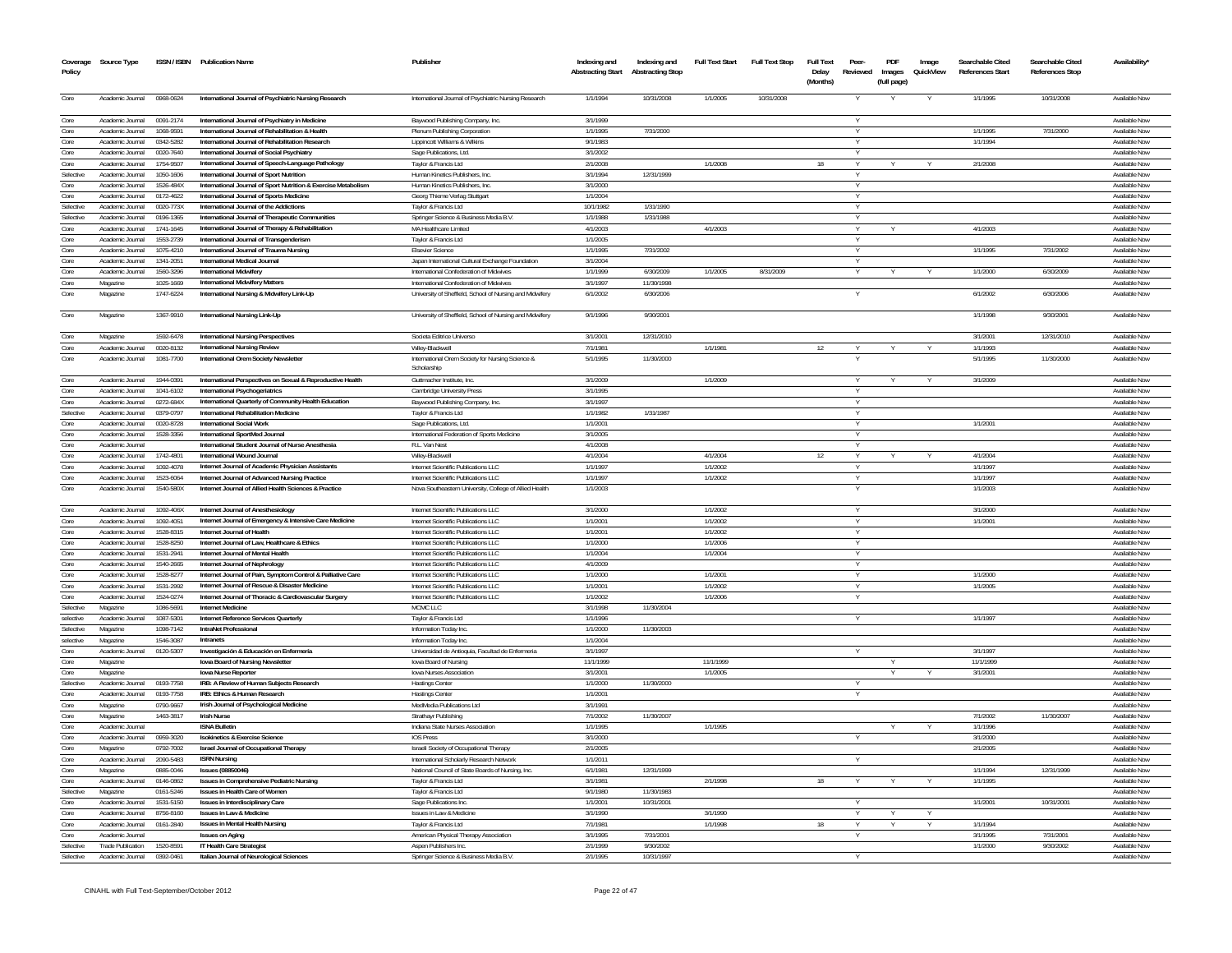| Coverage<br>Policy | Source Type                          |                        | ISSN / ISBN Publication Name                                                                               | Publisher                                                       | Indexing and<br><b>Abstracting Start</b> | Indexing and<br><b>Abstracting Stop</b> | <b>Full Text Start</b> | <b>Full Text Stop</b> | Full Text<br>Delay<br>(Months) | Peer<br>Reviewed | PDF<br>(full page) | Image<br>Images QuickView | Searchable Cited<br>References Start | Searchable Cited<br><b>References Stop</b> | <b>Availability</b>            |
|--------------------|--------------------------------------|------------------------|------------------------------------------------------------------------------------------------------------|-----------------------------------------------------------------|------------------------------------------|-----------------------------------------|------------------------|-----------------------|--------------------------------|------------------|--------------------|---------------------------|--------------------------------------|--------------------------------------------|--------------------------------|
| Core               | Academic Journal                     | 0968-0624              | International Journal of Psychiatric Nursing Research                                                      | International Journal of Psychiatric Nursing Research           | 1/1/1994                                 | 10/31/2008                              | 1/1/2005               | 10/31/2008            |                                |                  |                    |                           | 1/1/1995                             | 10/31/2008                                 | Available Nov                  |
| Core               | Academic Journal                     | 0091-2174              | International Journal of Psychiatry in Medicine                                                            | Baywood Publishing Company, Inc.                                | 3/1/1999                                 |                                         |                        |                       |                                |                  |                    |                           |                                      |                                            | Available Now                  |
| Core               | Academic Journal                     | 1068-9591              | International Journal of Rehabilitation & Health                                                           | Plenum Publishing Corporation                                   | 1/1/1995                                 | 7/31/2000                               |                        |                       |                                | $\vee$           |                    |                           | 1/1/1995                             | 7/31/2000                                  | Available Nov                  |
| Core               | Academic Journal                     | 0342-5282              | International Journal of Rehabilitation Research                                                           | Lippincott Williams & Wilkins                                   | 9/1/1983                                 |                                         |                        |                       |                                |                  |                    |                           | 1/1/1994                             |                                            | Available Now                  |
| Core               | Academic Inumal                      | 0020-7640              | International Journal of Social Psychiatry                                                                 | Sage Publications, Ltd.                                         | 3/1/2002                                 |                                         |                        |                       |                                | $\vee$           |                    |                           |                                      |                                            | Available Now                  |
| Core               | Academic Journal                     | 1754-9507              | International Journal of Speech-Language Pathology                                                         | Tavlor & Francis Ltd                                            | 2/1/2008                                 |                                         | 1/1/2008               |                       | 18                             |                  |                    |                           | 2/1/2008                             |                                            | Available Nov                  |
| Selective          | Academic Journal                     | 1050-1606              | International Journal of Sport Nutrition                                                                   | Human Kinetics Publishers, Inc.                                 | 3/1/1994                                 | 12/31/1999                              |                        |                       |                                | Y                |                    |                           |                                      |                                            | Available Nov                  |
| Core<br>Core       | Academic Journal<br>Academic Inumal  | 1526-484X<br>0172-4622 | International Journal of Sport Nutrition & Exercise Metabolism<br>International Journal of Sports Medicine | Human Kinetics Publishers, Inc.                                 | 3/1/2000<br>1/1/2004                     |                                         |                        |                       |                                | $\vee$<br>$\vee$ |                    |                           |                                      |                                            | Available Nov<br>Available Nov |
| Selective          | Academic Journal                     | 0020-773X              | International Journal of the Addictions                                                                    | Georg Thieme Verlag Stuttgart<br>Tavlor & Francis Ltd           | 10/1/1982                                | 1/31/1990                               |                        |                       |                                |                  |                    |                           |                                      |                                            | Available Nov                  |
| Selective          | Academic Inurnal                     | 0196-1365              | International Journal of Therapeutic Communities                                                           | Springer Science & Business Media B.V.                          | 1/1/1988                                 | 1/31/1988                               |                        |                       |                                |                  |                    |                           |                                      |                                            | Available Nov                  |
| Core               | Academic Journal                     | 1741-1645              | International Journal of Therapy & Rehabilitation                                                          | MA Healthcare Limited                                           | 4/1/2003                                 |                                         | 4/1/2003               |                       |                                |                  |                    |                           | 4/1/2003                             |                                            | Available Nov                  |
| Core               | Academic Journal                     | 1553-2739              | International Journal of Transgenderism                                                                    | Taylor & Francis Ltd                                            | 1/1/2005                                 |                                         |                        |                       |                                |                  |                    |                           |                                      |                                            | Available Nov                  |
| Core               | Academic Journal                     | 1075-4210              | International Journal of Trauma Nursing                                                                    | <b>Elsevier Science</b>                                         | 1/1/1995                                 | 7/31/2002                               |                        |                       |                                |                  |                    |                           | 1/1/1995                             | 7/31/2002                                  | Available Nov                  |
| Core               | Academic Journal                     | 1341-2051              | International Medical Journal                                                                              | Japan International Cultural Exchange Foundation                | 3/1/2004                                 |                                         |                        |                       |                                |                  |                    |                           |                                      |                                            | Available Nov                  |
| Core               | Academic Journal                     | 1560-3296              | <b>International Midwifery</b>                                                                             | International Confederation of Midwives                         | 1/1/1999                                 | 6/30/2009                               | 1/1/2005               | 8/31/2009             |                                | $\vee$           |                    |                           | 1/1/2000                             | 6/30/2009                                  | Available Nov                  |
| Core               | Magazine                             | 1025-1669              | International Midwifery Matters                                                                            | International Confederation of Midwives                         | 3/1/1997                                 | 11/30/1998                              |                        |                       |                                |                  |                    |                           |                                      |                                            | Available Nov                  |
| Core               | Magazine                             | 1747-6224              | International Nursing & Midwifery Link-Up                                                                  | University of Sheffield, School of Nursing and Midwifery        | 6/1/2002                                 | 6/30/2006                               |                        |                       |                                |                  |                    |                           | 6/1/2002                             | 6/30/2006                                  | Available Nov                  |
| Core               | Magazine                             | 1367-9910              | International Nursing Link-Up                                                                              | University of Sheffield, School of Nursing and Midwifery        | 9/1/1996                                 | 9/30/2001                               |                        |                       |                                |                  |                    |                           | 1/1/1998                             | 9/30/2001                                  | Available Nov                  |
| Core               | Magazine                             | 1592-6478              | <b>International Nursing Perspectives</b>                                                                  | Societa Editrice Universo                                       | 3/1/2001                                 | 12/31/2010                              |                        |                       |                                |                  |                    |                           | 3/1/2001                             | 12/31/2010                                 | Available Now                  |
| Core               | Academic Journal                     | 0020-8132              | <b>International Nursing Review</b>                                                                        | Wilev-Blackwell                                                 | 7/1/1981                                 |                                         | 1/1/1981               |                       | 12                             | v                |                    |                           | 1/1/1993                             |                                            | Available Now                  |
| Core               | Academic Journal                     | 1081-7700              | International Orem Society Newsletter                                                                      | International Orem Society for Nursing Science &<br>Scholarship | 5/1/1995                                 | 11/30/2000                              |                        |                       |                                |                  |                    |                           | 5/1/1995                             | 11/30/2000                                 | Available Nov                  |
| Core               | Academic Journal                     | 1944-0391              | International Perspectives on Sexual & Reproductive Health                                                 | Guttmacher Institute. Inc.                                      | 3/1/2009                                 |                                         | 1/1/2009               |                       |                                |                  |                    |                           | 3/1/2009                             |                                            | Available Nov                  |
| Core               | Academic Inumal                      | 1041-6102              | International Psychogeriatrics                                                                             | Cambridge University Press                                      | 3/1/1995                                 |                                         |                        |                       |                                |                  |                    |                           |                                      |                                            | Available Nov                  |
| Core               | Academic Journal                     | 0272-684X              | International Quarterly of Community Health Education                                                      | Baywood Publishing Company, Inc.                                | 3/1/1997                                 |                                         |                        |                       |                                |                  |                    |                           |                                      |                                            | Available Nov                  |
| Selective          | Academic Journal                     | 0379-0797              | International Rehabilitation Medicine                                                                      | Taylor & Francis Ltd                                            | 1/1/1982                                 | 1/31/1987                               |                        |                       |                                |                  |                    |                           |                                      |                                            | Available Nov                  |
| Core               | Academic Journal                     | 0020-8728              | <b>International Social Work</b>                                                                           | Sage Publications, Ltd.                                         | 1/1/2001                                 |                                         |                        |                       |                                |                  |                    |                           | 1/1/2001                             |                                            | Available Nov                  |
| Core               | Academic Inumal                      | 1528-3356              | International SportMed Journal                                                                             | International Federation of Sports Medicine                     | 3/1/2005                                 |                                         |                        |                       |                                |                  |                    |                           |                                      |                                            | Available Nov                  |
| Core               | Academic Journal                     |                        | International Student Journal of Nurse Anesthesia<br>International Wound Journal                           | R.L. Van Nest                                                   | 4/1/2008<br>4/1/2004                     |                                         | 4/1/2004               |                       |                                |                  |                    |                           |                                      |                                            | Available Nov<br>Available Nov |
| Core<br>Core       | Academic Journal<br>Academic Journal | 1742-4801<br>1092-4078 | Internet Journal of Academic Physician Assistants                                                          | Wiley-Blackwell<br>Internet Scientific Publications LLC         | 1/1/1997                                 |                                         | 1/1/2002               |                       | 12                             | Y                |                    |                           | 4/1/2004<br>1/1/1997                 |                                            | Available Nov                  |
| Core               | Academic Journal                     | 1523-6064              | Internet Journal of Advanced Nursing Practice                                                              | Internet Scientific Publications LLC                            | 1/1/1997                                 |                                         | 1/1/2002               |                       |                                |                  |                    |                           | 1/1/1997                             |                                            | Available Nov                  |
| Core               | Academic Journal                     | 1540-580X              | Internet Journal of Allied Health Sciences & Practice                                                      | Nova Southeastern University, College of Allied Health          | 1/1/2003                                 |                                         |                        |                       |                                | $\vee$           |                    |                           | 1/1/2003                             |                                            | Available Nov                  |
|                    |                                      |                        |                                                                                                            |                                                                 |                                          |                                         |                        |                       |                                |                  |                    |                           |                                      |                                            |                                |
| Core               | Academic Journal                     | 1092-406X              | Internet Journal of Anesthesiology                                                                         | Internet Scientific Publications LLC                            | 3/1/2000                                 |                                         | 1/1/2002               |                       |                                | Y                |                    |                           | 3/1/2000                             |                                            | Available Now                  |
| Core               | Academic Journal                     | 1092-4051              | Internet Journal of Emergency & Intensive Care Medicine                                                    | Internet Scientific Publications LLC                            | 1/1/2001                                 |                                         | 1/1/2002               |                       |                                | $\vee$           |                    |                           | 1/1/2001                             |                                            | Available Nov                  |
| Core               | Academic Journal                     | 1528-8315              | Internet Journal of Health                                                                                 | Internet Scientific Publications LLC                            | 1/1/2001                                 |                                         | 1/1/2002               |                       |                                | $\vee$           |                    |                           |                                      |                                            | Available Nov                  |
| Core               | Academic Journal                     | 1528-8250              | Internet Journal of Law. Healthcare & Ethics                                                               | Internet Scientific Publications LLC                            | 1/1/2000                                 |                                         | 1/1/2006               |                       |                                |                  |                    |                           |                                      |                                            | Available Nov                  |
| Core               | Academic Journal                     | 1531-2941              | Internet Journal of Mental Health                                                                          | Internet Scientific Publications LLC                            | 1/1/2004                                 |                                         | 1/1/2004               |                       |                                |                  |                    |                           |                                      |                                            | Available Nov                  |
| Core               | Academic Journal                     | 1540-2665              | Internet Journal of Nephrology                                                                             | Internet Scientific Publications LLC                            | 4/1/2009                                 |                                         |                        |                       |                                |                  |                    |                           |                                      |                                            | Available Nov                  |
| Core               | Academic Journal                     | 1528-8277              | Internet Journal of Pain, Symptom Control & Palliative Care                                                | Internet Scientific Publications LLC                            | 1/1/2000                                 |                                         | 1/1/2001               |                       |                                |                  |                    |                           | 1/1/2000                             |                                            | Available Nov                  |
| Core               | Academic Journal                     | 1531-2992              | Internet Journal of Rescue & Disaster Medicine                                                             | Internet Scientific Publications LLC                            | 1/1/2001                                 |                                         | 1/1/2002               |                       |                                |                  |                    |                           | 1/1/2005                             |                                            | Available Nov                  |
| Core<br>Selective  | Academic Journal                     | 1524-0274              | Internet Journal of Thoracic & Cardiovascular Surgery                                                      | Internet Scientific Publications LLC                            | 1/1/2002                                 |                                         | 1/1/2006               |                       |                                |                  |                    |                           |                                      |                                            | Available Nov                  |
| selective          | Magazine                             | 1086-5691              | <b>Internet Medicine</b>                                                                                   | MCMC LLC                                                        | 3/1/1998                                 | 11/30/2004                              |                        |                       |                                |                  |                    |                           |                                      |                                            | Available Nov<br>Available Nov |
| Selective          | Academic Journal<br>Magazine         | 1087-5301<br>1098-7142 | Internet Reference Services Quarterly<br>IntraNet Professional                                             | Taylor & Francis Ltd<br>Information Today Inc                   | 1/1/1996<br>1/1/2000                     | 11/30/2003                              |                        |                       |                                |                  |                    |                           | 1/1/1997                             |                                            | Available No                   |
| selective          | Magazine                             | 1546-3087              | Intranets                                                                                                  | Information Today Inc.                                          | 1/1/2004                                 |                                         |                        |                       |                                |                  |                    |                           |                                      |                                            | Available Nov                  |
| Core               | Academic Journal                     | 0120-5307              | Investigación & Educación en Enfermería                                                                    | Universidad de Antioquia, Facultad de Enfermeria                | 3/1/1997                                 |                                         |                        |                       |                                |                  |                    |                           | 3/1/1997                             |                                            | Available Nov                  |
| Core               | Magazine                             |                        | lowa Board of Nursing Newsletter                                                                           | lowa Board of Nursing                                           | 11/1/1999                                |                                         | 11/1/1999              |                       |                                |                  |                    |                           | 11/1/1999                            |                                            | Available Nov                  |
| Core               | Magazine                             |                        | <b>lowa Nurse Reporter</b>                                                                                 | Iowa Nurses Association                                         | 3/1/2001                                 |                                         | 1/1/2005               |                       |                                |                  |                    |                           | 3/1/2001                             |                                            | Available Nov                  |
| Selective          | Academic Journal                     | 0193-7758              | IRB: A Review of Human Subiects Research                                                                   | <b>Hastings Center</b>                                          | 1/1/2000                                 | 11/30/2000                              |                        |                       |                                | Y                |                    |                           |                                      |                                            | Available Nov                  |
| Core               | Academic Journal                     | 0193-7758              | IRB: Ethics & Human Research                                                                               | <b>Hastings Center</b>                                          | 1/1/2001                                 |                                         |                        |                       |                                |                  |                    |                           |                                      |                                            | Available Nov                  |
| Core               | Magazine                             | 0790-9667              | Irish Journal of Psychological Medicine                                                                    | MedMedia Publications Ltd                                       | 3/1/1991                                 |                                         |                        |                       |                                |                  |                    |                           |                                      |                                            | Available Nov                  |
| Core               | Magazine                             | 1463-3817              | <b>Irish Nurse</b>                                                                                         | Strathayr Publishing                                            | 7/1/2002                                 | 11/30/2007                              |                        |                       |                                |                  |                    |                           | 7/1/2002                             | 11/30/2007                                 | Available Nov                  |
| Core               | Academic Journal                     |                        | <b>ISNA Bulletin</b>                                                                                       | Indiana State Nurses Association                                | 1/1/1995                                 |                                         | 1/1/1995               |                       |                                |                  |                    |                           | 1/1/1996                             |                                            | Available Nov                  |
| Core               | Academic Journal                     | 0959-3020              | <b>Isokinetics &amp; Exercise Science</b>                                                                  | <b>IOS Press</b>                                                | 3/1/2000                                 |                                         |                        |                       |                                |                  |                    |                           | 3/1/2000                             |                                            | Available Nov                  |
| Core               | Magazine                             | 0792-7002              | Israel Journal of Occupational Therapy                                                                     | Israeli Society of Occupational Therapy                         | 2/1/2005                                 |                                         |                        |                       |                                |                  |                    |                           | 2/1/2005                             |                                            | Available No                   |
| Core               | Academic Journal                     | 2090-5483              | <b>ISRN Nursing</b>                                                                                        | International Scholarly Research Network                        | 1/1/2011                                 |                                         |                        |                       |                                |                  |                    |                           |                                      |                                            | Available Nov                  |
| Core               | Magazine                             | 0885-0046              | <b>Issues (08850046)</b>                                                                                   | National Council of State Boards of Nursing, Inc                | 6/1/1981                                 | 12/31/1999                              |                        |                       |                                |                  |                    |                           | 1/1/1994                             | 12/31/1999                                 | Available Nov                  |
| Core               | Academic Journal                     | 0146-0862              | Issues in Comprehensive Pediatric Nursing                                                                  | Taylor & Francis Ltd                                            | 3/1/1981                                 |                                         | 2/1/1998               |                       |                                |                  |                    |                           | 1/1/1995                             |                                            | Available Nov                  |
| Selective          | Magazine                             | 0161-5246              | Issues in Health Care of Womer                                                                             | Taylor & Francis Ltd                                            | 9/1/1980                                 | 11/30/1983                              |                        |                       |                                |                  |                    |                           |                                      |                                            | Available Nov                  |
| Core<br>Core       | Academic Journal<br>Academic Journal | 1531-5150<br>8756-8160 | Issues in Interdisciplinary Care<br><b>Issues in Law &amp; Medicine</b>                                    | Sage Publications Inc<br>Issues in Law & Medicine               | 1/1/2001<br>3/1/1990                     | 10/31/2001                              | 3/1/1990               |                       |                                |                  |                    |                           | 1/1/2001                             | 10/31/2001                                 | Available Nov<br>Available Nov |
| Core               | Academic Journal                     | 0161-2840              | <b>Issues in Mental Health Nursing</b>                                                                     | Taylor & Francis Ltd                                            | 7/1/1981                                 |                                         | 1/1/1998               |                       | 18                             |                  |                    | Υ                         | 1/1/1994                             |                                            | Available Nov                  |
| Core               | Academic Journal                     |                        | <b>Issues on Aging</b>                                                                                     | American Physical Therapy Association                           | 3/1/1995                                 | 7/31/2001                               |                        |                       |                                |                  |                    |                           | 3/1/1995                             | 7/31/2001                                  | Available Nov                  |
| Selective          | <b>Trade Publication</b>             | 1520-8591              | IT Health Care Strategist                                                                                  | Aspen Publishers Inc.                                           | 2/1/1999                                 | 9/30/2002                               |                        |                       |                                |                  |                    |                           | 1/1/2000                             | 9/30/2002                                  | Available Nov                  |
| Selective          | Academic Journal                     | 0392-0461              | Italian Journal of Neurological Sciences                                                                   | Springer Science & Business Media B.V.                          | 2/1/1995                                 | 10/31/1997                              |                        |                       |                                |                  |                    |                           |                                      |                                            | <b>Available Now</b>           |
|                    |                                      |                        |                                                                                                            |                                                                 |                                          |                                         |                        |                       |                                |                  |                    |                           |                                      |                                            |                                |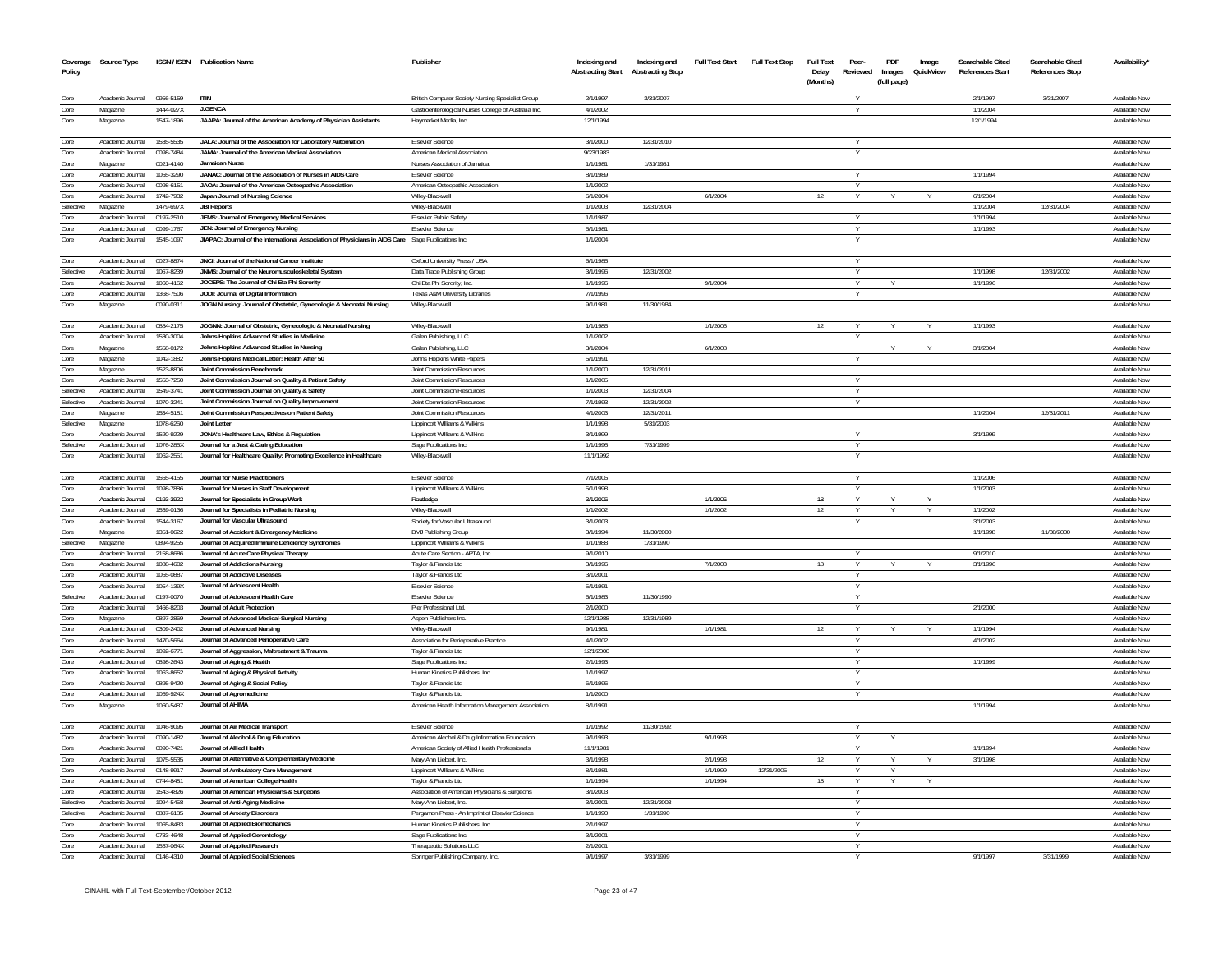| Coverage<br>Policy | Source Type                          |                        | ISSN / ISBN Publication Name                                                                       | Publisher                                                                 | Indexing and<br><b>Abstracting Start</b> | Indexing and<br><b>Abstracting Stop</b> | <b>Full Text Start</b> | <b>Full Text Stop</b> | <b>Full Text</b><br>Delay<br>(Months) | Peer-<br>Reviewed | PDF<br>Images<br>(full page) | Image<br>QuickView | Searchable Cited<br>References Start | Searchable Cited<br><b>References Stop</b> | Availability                   |
|--------------------|--------------------------------------|------------------------|----------------------------------------------------------------------------------------------------|---------------------------------------------------------------------------|------------------------------------------|-----------------------------------------|------------------------|-----------------------|---------------------------------------|-------------------|------------------------------|--------------------|--------------------------------------|--------------------------------------------|--------------------------------|
| Core               | Academic Journal                     | 0956-5159              | <b>ITIN</b>                                                                                        | British Computer Society Nursing Specialist Group                         | 2/1/1997                                 | 3/31/2007                               |                        |                       |                                       |                   |                              |                    | 2/1/1997                             | 3/31/2007                                  | Available Nov                  |
| Core               | Magazine                             | 1444-027X              | <b>J.GENCA</b>                                                                                     | Gastroenterological Nurses College of Australia Inc.                      | 4/1/2002                                 |                                         |                        |                       |                                       |                   |                              |                    | 1/1/2004                             |                                            | Available Now                  |
| Core               | Magazine                             | 1547-1896              | JAAPA: Journal of the American Academy of Physician Assistants                                     | Haymarket Media, Inc.                                                     | 12/1/1994                                |                                         |                        |                       |                                       |                   |                              |                    | 12/1/1994                            |                                            | <b>Available Nov</b>           |
| Core               | Academic Journal                     | 1535-5535              | JALA: Journal of the Association for Laboratory Automation                                         | <b>Elsevier Science</b>                                                   | 3/1/2000                                 | 12/31/2010                              |                        |                       |                                       |                   |                              |                    |                                      |                                            | Available Nov                  |
| Core               | Academic Journal                     | 0098-7484              | JAMA: Journal of the American Medical Association                                                  | American Medical Association                                              | 9/23/1983                                |                                         |                        |                       |                                       |                   |                              |                    |                                      |                                            | <b>Available Nov</b>           |
| Core               | Magazine                             | 0021-4140              | Jamaican Nurse                                                                                     | Nurses Association of Jamaica                                             | 1/1/198                                  | 1/31/1981                               |                        |                       |                                       |                   |                              |                    |                                      |                                            | Available Nov                  |
| Core               | Academic Journal                     | 1055-3290              | JANAC: Journal of the Association of Nurses in AIDS Care                                           | <b>Elsevier Science</b>                                                   | 8/1/1989                                 |                                         |                        |                       |                                       |                   |                              |                    | 1/1/1994                             |                                            | Available Nov                  |
| Core               | Academic Journal                     | 0098-6151              | JAOA: Journal of the American Osteopathic Association                                              | American Osteopathic Association                                          | 1/1/2002                                 |                                         |                        |                       |                                       |                   |                              |                    |                                      |                                            | <b>Available Now</b>           |
| Core               | Academic Journal                     | 1742-7932              | Japan Journal of Nursing Science                                                                   | Wiley-Blackwell                                                           | 6/1/2004                                 |                                         | 6/1/2004               |                       | 12                                    |                   |                              |                    | 6/1/2004                             |                                            | Available Now                  |
| Selective          | Magazine                             | 1479-697X              | <b>JBI Reports</b>                                                                                 | Wilev-Blackwell                                                           | 1/1/2003                                 | 12/31/2004                              |                        |                       |                                       |                   |                              |                    | 1/1/2004                             | 12/31/2004                                 | Available Now                  |
| Core               | Academic Journal                     | 0197-2510              | JEMS: Journal of Emergency Medical Services                                                        | <b>Elsevier Public Safety</b>                                             | 1/1/198                                  |                                         |                        |                       |                                       |                   |                              |                    | 1/1/1994                             |                                            | Available Nov                  |
| Core               | Academic Journal                     | 0099-1767              | JEN: Journal of Emergency Nursing                                                                  | <b>Elsevier Science</b>                                                   | 5/1/1981                                 |                                         |                        |                       |                                       |                   |                              |                    | 1/1/1993                             |                                            | <b>Available Now</b>           |
| Core               | Academic Journal                     | 1545-109               | JIAPAC: Journal of the International Association of Physicians in AIDS Care Sage Publications Inc. |                                                                           | 1/1/2004                                 |                                         |                        |                       |                                       |                   |                              |                    |                                      |                                            | <b>Available Nov</b>           |
| Core               | Academic Journal                     | 0027-8874              | JNCI: Journal of the National Cancer Institute                                                     | Oxford University Press / USA                                             | 6/1/1985                                 |                                         |                        |                       |                                       |                   |                              |                    |                                      |                                            | Available Now                  |
| Selective          | Academic Journal                     | 1067-8239              | JNMS: Journal of the Neuromusculoskeletal System                                                   | Data Trace Publishing Group                                               | 3/1/1996                                 | 12/31/2002                              |                        |                       |                                       | Y                 |                              |                    | 1/1/1998                             | 12/31/2002                                 | Available Now                  |
| Core               | Academic Journal                     | 1060-4162              | JOCEPS: The Journal of Chi Eta Phi Sorority                                                        | Chi Eta Phi Sorority, Inc.                                                | 1/1/1996                                 |                                         | 9/1/2004               |                       |                                       |                   |                              |                    | 1/1/1996                             |                                            | Available Nov                  |
| Core               | Academic Journal                     | 1368-7506              | JODI: Journal of Digital Information                                                               | Texas A&M University Libraries                                            | 7/1/1996                                 |                                         |                        |                       |                                       | Y                 |                              |                    |                                      |                                            | Available Now                  |
| Core               | Magazine                             | 0090-0311              | JOGN Nursing: Journal of Obstetric, Gynecologic & Neonatal Nursing                                 | Wiley-Blackwell                                                           | 9/1/1981                                 | 11/30/1984                              |                        |                       |                                       |                   |                              |                    |                                      |                                            | Available Nov                  |
| Core               | Academic Journal                     | 0884-2175              | JOGNN: Journal of Obstetric, Gynecologic & Neonatal Nursing                                        | Wiley-Blackwell                                                           | 1/1/1985                                 |                                         | 1/1/2006               |                       | 12                                    |                   |                              |                    | 1/1/1993                             |                                            | Available Now                  |
| Core               | Academic Journal                     | 1530-3004              | Johns Hopkins Advanced Studies in Medicine                                                         | Galen Publishing, LLC                                                     | 1/1/200                                  |                                         |                        |                       |                                       |                   |                              |                    |                                      |                                            | Available Nov                  |
| Core               | Magazine                             | 1558-0172              | Johns Hopkins Advanced Studies in Nursing                                                          | Galen Publishing, LLC                                                     | 3/1/2004                                 |                                         | 6/1/2008               |                       |                                       |                   |                              |                    | 3/1/2004                             |                                            | Available Now                  |
| Core               | Magazine                             | 1042-1882              | Johns Hopkins Medical Letter: Health After 50                                                      | Johns Hopkins White Papers                                                | 5/1/1991                                 |                                         |                        |                       |                                       |                   |                              |                    |                                      |                                            | Available Now                  |
| Core               | Magazine                             | 1523-8806              | Joint Commission Benchmark                                                                         | Joint Commission Resource                                                 | 1/1/2000                                 | 12/31/2011                              |                        |                       |                                       |                   |                              |                    |                                      |                                            | Available Nov                  |
| Core               | Academic Journal                     | 1553-7250              | Joint Commission Journal on Quality & Patient Safety                                               | Joint Commission Resources                                                | 1/1/2005                                 |                                         |                        |                       |                                       | Y                 |                              |                    |                                      |                                            | Available Now                  |
| Selective          | Academic Journal                     | 1549-3741              | Joint Commission Journal on Quality & Safety                                                       | <b>Joint Commission Resources</b>                                         | 1/1/2003                                 | 12/31/2004                              |                        |                       |                                       | Y                 |                              |                    |                                      |                                            | Available Nov                  |
| Selective          | Academic Journal                     | 1070-3241              | Joint Commission Journal on Quality Improvement                                                    | <b>Joint Commission Resources</b>                                         | 7/1/1993                                 | 12/31/2002                              |                        |                       |                                       | Y                 |                              |                    |                                      |                                            | Available Nov                  |
| Core               | Magazine                             | 1534-5181              | Joint Commission Perspectives on Patient Safety                                                    | <b>Joint Commission Resources</b>                                         | 4/1/2003                                 | 12/31/2011                              |                        |                       |                                       |                   |                              |                    | 1/1/2004                             | 12/31/2011                                 | Available Now                  |
| Selective          | Magazine                             | 1078-6260              | Joint Letter                                                                                       | Lippincott Williams & Wilkins                                             | 1/1/1998                                 | 5/31/2003                               |                        |                       |                                       |                   |                              |                    |                                      |                                            | Available Now                  |
| Core               | Academic Journal                     | 1520-9229              | JONA's Healthcare Law, Ethics & Regulation                                                         | Lippincott Williams & Wilkins                                             | 3/1/1999                                 |                                         |                        |                       |                                       |                   |                              |                    | 3/1/1999                             |                                            | Available Nov                  |
| Selective          | Academic Journal                     | 1076-285X              | Journal for a Just & Caring Education                                                              | Sage Publications Inc.                                                    | 1/1/1995                                 | 7/31/1999                               |                        |                       |                                       | Y                 |                              |                    |                                      |                                            | Available Nov                  |
| Core               | Academic Journal                     | 1062-2551              | Journal for Healthcare Quality: Promoting Excellence in Healthcare                                 | Wiley-Blackwell                                                           | 11/1/1992                                |                                         |                        |                       |                                       |                   |                              |                    |                                      |                                            | Available Nov                  |
| Core               | Academic Journal                     | 1555-4155              | Journal for Nurse Practitioners                                                                    | <b>Fisevier Science</b>                                                   | 7/1/2005                                 |                                         |                        |                       |                                       |                   |                              |                    | 1/1/2006                             |                                            | Available Now                  |
| Core               | Academic Journal                     | 1098-7886              | Journal for Nurses in Staff Development                                                            | Lippincott Williams & Wilkins                                             | 5/1/1998                                 |                                         |                        |                       |                                       |                   |                              |                    | 1/1/2003                             |                                            | Available Nov                  |
| Core               | Academic Journal                     | 0193-3922              | Journal for Specialists in Group Work                                                              | Routledge                                                                 | 3/1/2006                                 |                                         | 1/1/2006               |                       | 18                                    | Y                 | Y                            | V                  |                                      |                                            | Available Now                  |
| Core               | Academic Journal                     | 1539-0136              | Journal for Specialists in Pediatric Nursing                                                       | Wiley-Blackwel                                                            | 1/1/2002                                 |                                         | 1/1/2002               |                       | 12                                    |                   |                              |                    | 1/1/2002                             |                                            | Available Now                  |
| Core               | Academic Journal                     | 1544-3167              | Journal for Vascular Ultrasound                                                                    | Society for Vascular Ultrasound                                           | 3/1/2003                                 |                                         |                        |                       |                                       |                   |                              |                    | 3/1/2003                             |                                            | Available Now                  |
| Core               | Magazine                             | 1351-0622              | Journal of Accident & Emergency Medicine                                                           | <b>BMJ Publishing Group</b>                                               | 3/1/1994                                 | 11/30/2000                              |                        |                       |                                       |                   |                              |                    | 1/1/1998                             | 11/30/2000                                 | Available Now                  |
| Selective          | Magazine                             | 0894-9255              | Journal of Acquired Immune Deficiency Syndromes                                                    | Lippincott Williams & Wilkins                                             | 1/1/1988                                 | 1/31/1990                               |                        |                       |                                       |                   |                              |                    |                                      |                                            | Available Nov                  |
| Core               | Academic Journal                     | 2158-8686              | Journal of Acute Care Physical Therapy                                                             | Acute Care Section - APTA. Inc                                            | 9/1/201                                  |                                         |                        |                       |                                       |                   |                              |                    | 9/1/2010                             |                                            | Available Nov                  |
| Core               | Academic Journal                     | 1088-4602              | Journal of Addictions Nursing                                                                      | Taylor & Francis Ltd.                                                     | 3/1/1996                                 |                                         | 7/1/2003               |                       | 18                                    |                   |                              |                    | 3/1/1996                             |                                            | Available Now                  |
| Core               | Academic Journal                     | 1055-0887              | Journal of Addictive Diseases                                                                      | Tavlor & Francis Ltd                                                      | 3/1/200                                  |                                         |                        |                       |                                       |                   |                              |                    |                                      |                                            | Available Nov                  |
| Core               | Academic Journal                     | 1054-139X              | Journal of Adolescent Health                                                                       | <b>Elsevier Science</b>                                                   | 5/1/1991                                 |                                         |                        |                       |                                       | Y                 |                              |                    |                                      |                                            | Available Now                  |
| Selective          | Academic Journal                     | 0197-0070              | Journal of Adolescent Health Care                                                                  | <b>Fisevier Science</b>                                                   | 6/1/1983                                 | 11/30/1990                              |                        |                       |                                       |                   |                              |                    |                                      |                                            | Available Now                  |
| Core<br>Core       | Academic Journal<br>Magazine         | 1466-8203<br>0897-2869 | Journal of Adult Protection<br>Journal of Advanced Medical-Surgical Nursing                        | Pier Professional Ltd<br><b>Aspen Publishers Inc.</b>                     | 2/1/2000<br>12/1/1988                    | 12/31/1989                              |                        |                       |                                       |                   |                              |                    | 2/1/2000                             |                                            | Available Now<br>Available Now |
|                    |                                      |                        | Journal of Advanced Nursing                                                                        |                                                                           |                                          |                                         | 1/1/1981               |                       |                                       |                   |                              |                    | 1/1/1994                             |                                            |                                |
| Core<br>Core       | Academic Journal<br>Academic Journal | 0309-2402<br>1470-5664 |                                                                                                    | Wiley, Rlackwell                                                          | 9/1/1981<br>4/1/2002                     |                                         |                        |                       | 12                                    |                   |                              |                    | 4/1/2002                             |                                            | Available Now<br>Available Now |
| Core               | Academic Journal                     | 1092-6771              | Journal of Advanced Perioperative Care                                                             | Association for Perioperative Practice                                    | 12/1/2000                                |                                         |                        |                       |                                       |                   |                              |                    |                                      |                                            | Available Nov                  |
| Core               | Academic Journal                     | 0898-2643              | Journal of Aggression, Maltreatment & Trauma                                                       | Taylor & Francis Ltd<br>Sage Publications Inc.                            | 2/1/1993                                 |                                         |                        |                       |                                       |                   |                              |                    | 1/1/1999                             |                                            | Available Now                  |
| Core               | Academic Journal                     | 1063-8652              | Journal of Aging & Health<br>Journal of Aging & Physical Activity                                  | Human Kinetics Publishers. Inc.                                           | 1/1/1997                                 |                                         |                        |                       |                                       |                   |                              |                    |                                      |                                            | Available Now                  |
| Core               | Academic Journal                     | 0895-9420              | Journal of Aging & Social Policy                                                                   | Tavlor & Francis Ltd                                                      | 6/1/1996                                 |                                         |                        |                       |                                       |                   |                              |                    |                                      |                                            | Available Now                  |
| Core               | Academic Journal                     | 1059-924X              | Journal of Agromedicine                                                                            | Taylor & Francis Ltd                                                      | 1/1/2000                                 |                                         |                        |                       |                                       |                   |                              |                    |                                      |                                            | Available Now                  |
| Core               | Magazine                             | 1060-5487              | Journal of AHIMA                                                                                   | American Health Information Management Association                        | 8/1/1991                                 |                                         |                        |                       |                                       |                   |                              |                    | 1/1/1994                             |                                            | Available Now                  |
|                    |                                      |                        |                                                                                                    |                                                                           |                                          |                                         |                        |                       |                                       |                   |                              |                    |                                      |                                            |                                |
| Core<br>Core       | Academic Journal                     | 1046-9095<br>0090-1482 | Journal of Air Medical Transport<br>Journal of Alcohol & Drug Education                            | <b>Fisevier Science</b><br>American Alcohol & Drug Information Foundation | 1/1/1992<br>9/1/1993                     | 11/30/1992                              | 9/1/1993               |                       |                                       |                   |                              |                    |                                      |                                            | Available Now<br>Available Now |
|                    | Academic Journal                     | 0090-7421              | Journal of Allied Health                                                                           |                                                                           | 11/1/1981                                |                                         |                        |                       |                                       |                   |                              |                    | 1/1/1994                             |                                            |                                |
| Core               | Academic Journal                     | 1075-5535              |                                                                                                    | American Society of Allied Health Professionals                           | 3/1/1998                                 |                                         | 2/1/1998               |                       |                                       |                   |                              |                    | 3/1/1998                             |                                            | Available Now<br>Available Now |
| Core               | Academic Journal                     | 0148-9917              | Journal of Alternative & Complementary Medicine                                                    | Mary Ann Liebert, Inc.                                                    |                                          |                                         | 1/1/1999               | 12/31/2005            | 12                                    |                   |                              |                    |                                      |                                            | Available Now                  |
| Core<br>Core       | Academic Journal<br>Academic Journal | 0744-8481              | Journal of Ambulatory Care Management<br>Journal of American College Health                        | Lippincott Williams & Wilkins                                             | 8/1/1981<br>1/1/1994                     |                                         | 1/1/1994               |                       | 18                                    |                   |                              |                    |                                      |                                            | Available Now                  |
| Core               | Academic Journal                     | 1543.4826              |                                                                                                    | Tavlor & Francis Ltd<br>Association of American Physicians & Surgeons     | 3/1/2003                                 |                                         |                        |                       |                                       |                   |                              |                    |                                      |                                            | Available Now                  |
| Selective          | Academic Journal                     | 1094-5458              | Journal of American Physicians & Surgeons<br>Journal of Anti-Aging Medicine                        | Mary Ann Liebert. Inc                                                     | 3/1/2001                                 | 12/31/2003                              |                        |                       |                                       |                   |                              |                    |                                      |                                            | Available Now                  |
| Selective          | Academic Inurnal                     | 0887-6185              | Journal of Anxiety Disorders                                                                       | Pergamon Press - An Imprint of Elsevier Science                           | 1/1/1990                                 | 1/31/1990                               |                        |                       |                                       |                   |                              |                    |                                      |                                            | Available Now                  |
| Core               | Academic Journal                     | 1065.8483              | Journal of Applied Biomechanics                                                                    | Human Kinetics Publishers. Inc.                                           | 2/1/1997                                 |                                         |                        |                       |                                       |                   |                              |                    |                                      |                                            | Available Now                  |
| Core               | Academic Inumal                      | 0733.4648              | Journal of Applied Gerontology                                                                     | Sage Publications Inc.                                                    | 3/1/2001                                 |                                         |                        |                       |                                       |                   |                              |                    |                                      |                                            | Available Now                  |
| Core               | Academic Journal                     | 1537-064X              | Journal of Applied Research                                                                        | Therapeutic Solutions LLC                                                 | 2/1/2001                                 |                                         |                        |                       |                                       |                   |                              |                    |                                      |                                            | Available Nov                  |
| Core               | Academic Inumal                      | 0146-4310              | Journal of Applied Social Sciences                                                                 | Springer Publishing Company, Inc.                                         | 9/1/1997                                 | 3/31/1999                               |                        |                       |                                       |                   |                              |                    | 9/1/1997                             | 3/31/1999                                  | Available Now                  |
|                    |                                      |                        |                                                                                                    |                                                                           |                                          |                                         |                        |                       |                                       |                   |                              |                    |                                      |                                            |                                |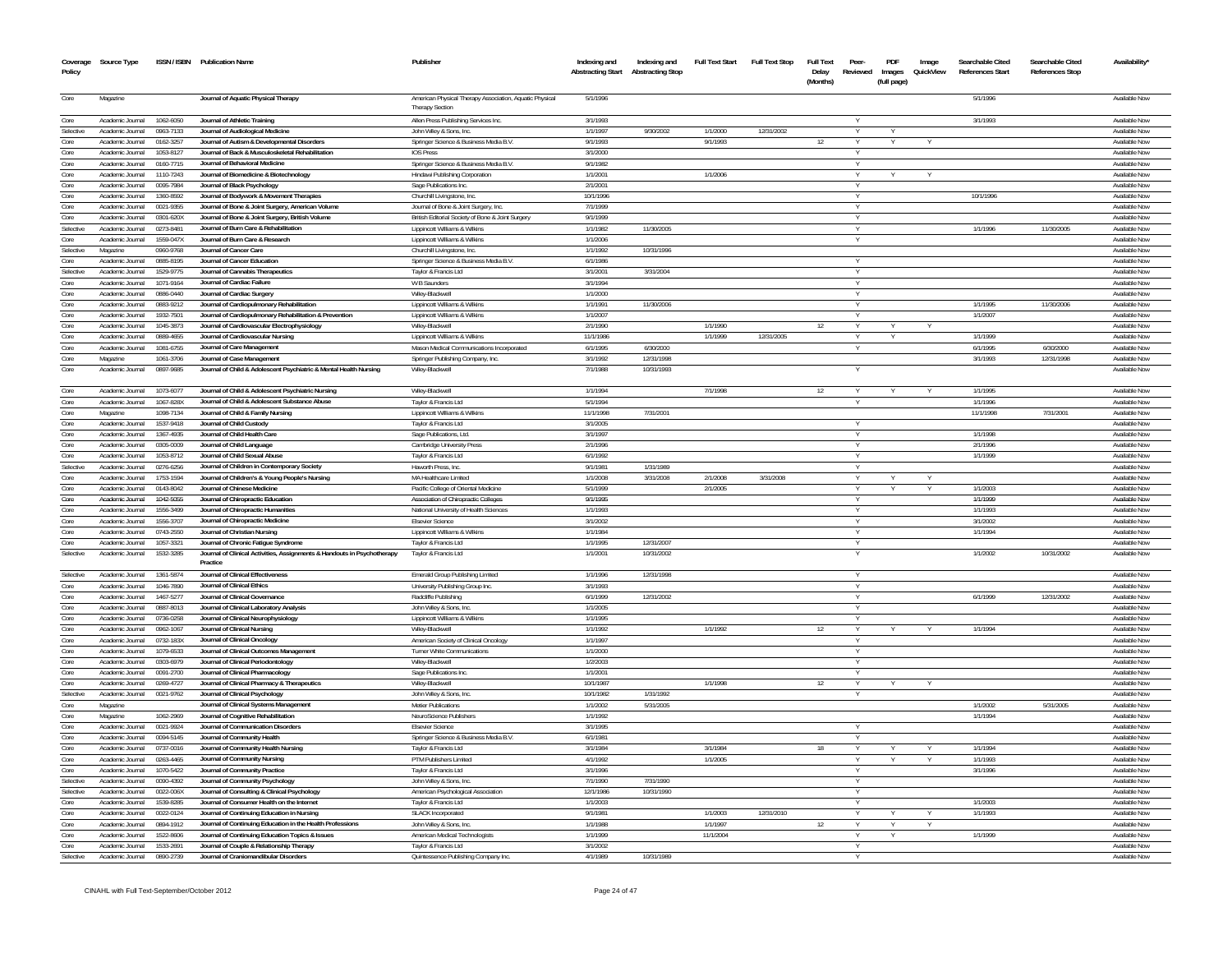| Policy       | Coverage Source Type                 |                        | ISSN / ISBN Publication Name                                                             | Publisher                                                                          | Indexing and<br>Abstracting Start Abstracting Stop | Indexing and | <b>Full Text Start</b> | <b>Full Text Stop</b> | <b>Full Text</b><br>Delay<br>(Months) | Peer-<br>Reviewed | PDF<br>Images<br>(full page) | Image<br>QuickView | Searchable Cited<br><b>References Start</b> | Searchable Cited<br><b>References Stop</b> | Availability*                  |
|--------------|--------------------------------------|------------------------|------------------------------------------------------------------------------------------|------------------------------------------------------------------------------------|----------------------------------------------------|--------------|------------------------|-----------------------|---------------------------------------|-------------------|------------------------------|--------------------|---------------------------------------------|--------------------------------------------|--------------------------------|
| Core         | Magazine                             |                        | Journal of Aquatic Physical Therapy                                                      | American Physical Therapy Association, Aquatic Physical<br><b>Therapy Section</b>  | 5/1/1996                                           |              |                        |                       |                                       |                   |                              |                    | 5/1/1996                                    |                                            | Available Now                  |
| Core         | Academic Journal                     | 1062-6050              | Journal of Athletic Training                                                             | Allen Press Publishing Services Inc.                                               | 3/1/1993                                           |              |                        |                       |                                       |                   |                              |                    | 3/1/1993                                    |                                            | Available Now                  |
| Selective    | Academic Journal                     | 0963-7133              | Journal of Audiological Medicine                                                         | John Wiley & Sons, Inc.                                                            | 1/1/1997                                           | 9/30/2002    | 1/1/2000               | 12/31/2002            |                                       |                   |                              |                    |                                             |                                            | Available Now                  |
| Core         | Academic Journal                     | 0162-325               | Journal of Autism & Developmental Disorders                                              | Springer Science & Business Media B.V.                                             | 9/1/1993                                           |              | 9/1/1993               |                       | 12                                    |                   |                              |                    |                                             |                                            | Available Nov                  |
| Core         | Academic Journal                     | 1053-8127              | Journal of Back & Musculoskeletal Rehabilitation                                         | <b>IOS Press</b>                                                                   | 3/1/2000                                           |              |                        |                       |                                       |                   |                              |                    |                                             |                                            | Available Now                  |
| Core         | Academic Journal                     | 0160-7715              | Journal of Behavioral Medicine                                                           | Springer Science & Business Media B.V.                                             | 9/1/1982                                           |              |                        |                       |                                       |                   |                              |                    |                                             |                                            | Available Now                  |
| Core         | Academic Journal                     | 1110-7243              | Journal of Biomedicine & Biotechnology                                                   | Hindawi Publishing Corporation                                                     | 1/1/2001                                           |              | 1/1/2006               |                       |                                       |                   |                              |                    |                                             |                                            | Available Now                  |
| Core         | Academic Journal                     | 0095-7984              | Journal of Black Psychology                                                              | Sage Publications Inc.                                                             | 2/1/2001                                           |              |                        |                       |                                       | Y                 |                              |                    |                                             |                                            | Available Now                  |
| Core<br>Core | Academic Journal                     | 1360-8592              | Journal of Bodywork & Movement Therapies                                                 | Churchill Livingstone, Inc.                                                        | 10/1/1996                                          |              |                        |                       |                                       |                   |                              |                    | 10/1/1996                                   |                                            | Available Nov                  |
| Core         | Academic Journal<br>Academic Journal | 0021-9355<br>0301-620X | Journal of Bone & Joint Surgery, American Volume                                         | Journal of Bone & Joint Surgery, Inc.                                              | 7/1/1999<br>9/1/1999                               |              |                        |                       |                                       |                   |                              |                    |                                             |                                            | Available Now<br>Available Now |
| Selective    | Academic Journal                     | 0273-8481              | Journal of Bone & Joint Surgery, British Volume<br>Journal of Burn Care & Rehabilitation | British Editorial Society of Bone & Joint Surgery<br>Lippincott Williams & Wilkins | 1/1/1982                                           | 11/30/2005   |                        |                       |                                       | Y<br>Y            |                              |                    | 1/1/1996                                    | 11/30/2005                                 | Available Now                  |
| Core         | Academic Journal                     | 1559-047X              | Journal of Burn Care & Research                                                          | Lippincott Williams & Wilkins                                                      | 1/1/2006                                           |              |                        |                       |                                       |                   |                              |                    |                                             |                                            | Available Nov                  |
| Selective    | Magazine                             | 0960-9768              | Journal of Cancer Care                                                                   | Churchill Livingstone, Inc.                                                        | 1/1/1992                                           | 10/31/1996   |                        |                       |                                       |                   |                              |                    |                                             |                                            | Available Now                  |
| Core         | Academic Journal                     | 0885-8195              | Journal of Cancer Education                                                              | Springer Science & Business Media B.V.                                             | 6/1/1986                                           |              |                        |                       |                                       |                   |                              |                    |                                             |                                            | Available Now                  |
| Selective    | Academic Journal                     | 1529-9775              | Journal of Cannabis Therapeutics                                                         | Taylor & Francis Ltd                                                               | 3/1/2001                                           | 3/31/2004    |                        |                       |                                       | Y                 |                              |                    |                                             |                                            | Available Now                  |
| Core         | Academic Journal                     | 1071-9164              | Journal of Cardiac Failure                                                               | W B Saunders                                                                       | 3/1/1994                                           |              |                        |                       |                                       | v                 |                              |                    |                                             |                                            | Available Now                  |
| Core         | Academic Journal                     | 0886-0440              | Journal of Cardiac Surgery                                                               | Wilev-Blackwell                                                                    | 1/1/2000                                           |              |                        |                       |                                       | Y                 |                              |                    |                                             |                                            | Available Now                  |
| Core         | Academic Journal                     | 0883-9212              | Journal of Cardiopulmonary Rehabilitation                                                | Lippincott Williams & Wilkins                                                      | 1/1/1991                                           | 11/30/2006   |                        |                       |                                       |                   |                              |                    | 1/1/1995                                    | 11/30/2006                                 | Available Now                  |
| Core         | Academic Journal                     | 1932-7501              | Journal of Cardiopulmonary Rehabilitation & Prevention                                   | Lippincott Williams & Wilkins                                                      | 1/1/2007                                           |              |                        |                       |                                       |                   |                              |                    | 1/1/2007                                    |                                            | Available Now                  |
| Core         | Academic Journal                     | 1045-3873              | Journal of Cardiovascular Electrophysiology                                              | Wiley-Blackwell                                                                    | 2/1/1990                                           |              | 1/1/1990               |                       | 12                                    |                   | Y                            |                    |                                             |                                            | Available Now                  |
| Core         | Academic Journal                     | 0889-4655              | Journal of Cardiovascular Nursing                                                        | Lippincott Williams & Wilkins                                                      | 11/1/1986                                          |              | 1/1/1999               | 12/31/2005            |                                       |                   | Y                            |                    | 1/1/1999                                    |                                            | Available Now                  |
| Core         | Academic Journal                     | 1081-6755              | Journal of Care Management                                                               | Mason Medical Communications Incorporated                                          | 6/1/1995                                           | 6/30/2000    |                        |                       |                                       |                   |                              |                    | 6/1/1995                                    | 6/30/2000                                  | Available Now                  |
| Core         | Magazine                             | 1061-3706              | Journal of Case Management                                                               | Springer Publishing Company, Inc.                                                  | 3/1/1992                                           | 12/31/1998   |                        |                       |                                       |                   |                              |                    | 3/1/1993                                    | 12/31/1998                                 | Available Now                  |
| Core         | Academic Journal                     | 0897-9685              | Journal of Child & Adolescent Psychiatric & Mental Health Nursing                        | Wiley-Blackwell                                                                    | 7/1/1988                                           | 10/31/1993   |                        |                       |                                       |                   |                              |                    |                                             |                                            | Available Nov                  |
| Core         | Academic Journal                     | 1073-6077              | Journal of Child & Adolescent Psychiatric Nursing                                        | Wiley-Blackwell                                                                    | 1/1/1994                                           |              | 7/1/1998               |                       | 12                                    | v                 |                              |                    | 1/1/1995                                    |                                            | Available Now                  |
| Core         | Academic Journal                     | 1067-828X              | Journal of Child & Adolescent Substance Abuse                                            | Taylor & Francis Ltd                                                               | 5/1/1994                                           |              |                        |                       |                                       |                   |                              |                    | 1/1/1996                                    |                                            | Available Now                  |
| Core         | Magazine                             | 1098-7134              | Journal of Child & Family Nursing                                                        | Lippincott Williams & Wilkins                                                      | 11/1/1998                                          | 7/31/2001    |                        |                       |                                       |                   |                              |                    | 11/1/1998                                   | 7/31/2001                                  | Available Now                  |
| Core         | Academic Journal                     | 1537-9418              | Journal of Child Custody                                                                 | Taylor & Francis Ltd                                                               | 3/1/2005                                           |              |                        |                       |                                       | $\vee$            |                              |                    |                                             |                                            | Available Now                  |
| Core         | Academic Journal                     | 1367-4935              | Journal of Child Health Care                                                             | Sage Publications, Ltd                                                             | 3/1/1997                                           |              |                        |                       |                                       |                   |                              |                    | 1/1/1998                                    |                                            | Available Now                  |
| Core         | Academic Journal                     | 0305-0009              | Journal of Child Language                                                                | Cambridge University Press                                                         | 2/1/1996                                           |              |                        |                       |                                       |                   |                              |                    | 2/1/1996                                    |                                            | Available Now                  |
| Core         | Academic Journal                     | 1053-8712              | Journal of Child Sexual Abuse                                                            | Taylor & Francis Ltd                                                               | 6/1/1992                                           |              |                        |                       |                                       |                   |                              |                    | 1/1/1999                                    |                                            | Available Now                  |
| Selective    | Academic Journal                     | 0276-6256              | Journal of Children in Contemporary Society                                              | Haworth Press, Inc.                                                                | 9/1/1981                                           | 1/31/1989    |                        |                       |                                       |                   |                              |                    |                                             |                                            | Available Now                  |
| Core         | Academic Journal                     | 1753-1594              | Journal of Children's & Young People's Nursing                                           | MA Healthcare Limited                                                              | 1/1/2008                                           | 3/31/2008    | 2/1/2008               | 3/31/2008             |                                       |                   |                              |                    |                                             |                                            | Available Nov                  |
| Core         | Academic Journal                     | 0143-8042              | Journal of Chinese Medicine                                                              | Pacific College of Oriental Medicine                                               | 5/1/1999                                           |              | 2/1/2005               |                       |                                       |                   |                              |                    | 1/1/2003                                    |                                            | Available Now                  |
| Core         | Academic Journal                     | 1042-5055              | Journal of Chiropractic Education                                                        | Association of Chiropractic Colleges                                               | 9/1/1995                                           |              |                        |                       |                                       | $\vee$            |                              |                    | 1/1/1999                                    |                                            | Available Now                  |
| Core         | Academic Journal                     | 1556-3499              | Journal of Chiropractic Humanities                                                       | National University of Health Sciences                                             | 1/1/1993                                           |              |                        |                       |                                       |                   |                              |                    | 1/1/1993                                    |                                            | Available Nov                  |
| Core         | Academic Journal                     | 1556-3707              | Journal of Chiropractic Medicine                                                         | <b>Elsevier Science</b>                                                            | 3/1/2002                                           |              |                        |                       |                                       |                   |                              |                    | 3/1/2002                                    |                                            | Available Nov                  |
| Core         | Academic Journal                     | 0743-2550              | Journal of Christian Nursing                                                             | Lippincott Williams & Wilkins                                                      | 1/1/1984                                           |              |                        |                       |                                       |                   |                              |                    | 1/1/1994                                    |                                            | Available Now                  |
| Core         | Academic Journal                     | 1057-3321              | Journal of Chronic Fatigue Syndrome                                                      | Taylor & Francis Ltd                                                               | 1/1/1995                                           | 12/31/2007   |                        |                       |                                       |                   |                              |                    |                                             |                                            | Available Now                  |
| Selective    | Academic Journal                     | 1532-3285              | Journal of Clinical Activities, Assignments & Handouts in Psychotherapy<br>Practice      | Taylor & Francis Ltd                                                               | 1/1/2001                                           | 10/31/2002   |                        |                       |                                       |                   |                              |                    | 1/1/2002                                    | 10/31/2002                                 | Available Nov                  |
| Selective    | Academic Journal                     | 1361-5874              | Journal of Clinical Effectiveness                                                        | Emerald Group Publishing Limited                                                   | 1/1/1996                                           | 12/31/1998   |                        |                       |                                       | $\vee$            |                              |                    |                                             |                                            | Available Now                  |
| Core         | Academic Journal                     | 1046-7890              | Journal of Clinical Ethics                                                               | University Publishing Group Inc                                                    | 3/1/1993                                           |              |                        |                       |                                       |                   |                              |                    |                                             |                                            | Available Nov                  |
| Core         | Academic Journal                     | 1467-5277              | Journal of Clinical Governance                                                           | Radcliffe Publishing                                                               | 6/1/1999                                           | 12/31/2002   |                        |                       |                                       | Y                 |                              |                    | 6/1/1999                                    | 12/31/2002                                 | Available Nov<br>Available Nov |
| Core<br>Core | Academic Journal                     | 0887-8013              | Journal of Clinical Laboratory Analysis                                                  | John Wiley & Sons, Inc                                                             | 1/1/2005                                           |              |                        |                       |                                       |                   |                              |                    |                                             |                                            |                                |
| Core         | Academic Journal<br>Academic Journa  | 0736-0258<br>0962-1067 | Journal of Clinical Neurophysiology<br>Journal of Clinical Nursing                       | Lippincott Williams & Wilkins<br>Wiley-Blackwell                                   | 1/1/1995<br>1/1/1992                               |              | 1/1/1992               |                       |                                       |                   |                              |                    | 1/1/1994                                    |                                            | Available Nov<br>Available Nov |
| Core         | Academic Journal                     | 0732-183X              | Journal of Clinical Oncology                                                             | American Society of Clinical Oncology                                              | 1/1/1997                                           |              |                        |                       |                                       |                   |                              |                    |                                             |                                            | Available Nov                  |
| Core         | Academic Journa                      | 079-6533               | Journal of Clinical Outcomes Management                                                  | Turner White Communications                                                        | 1/1/2000                                           |              |                        |                       |                                       |                   |                              |                    |                                             |                                            | Available Nov                  |
| Core         | Academic Journal                     | 0303-6979              | Journal of Clinical Periodontology                                                       | Wilev-Blackwel                                                                     | 1/2/2003                                           |              |                        |                       |                                       |                   |                              |                    |                                             |                                            | Available Nov                  |
| Core         | Academic Journal                     | 0091-2700              | Journal of Clinical Pharmacology                                                         | Sage Publications Inc.                                                             | 1/1/200                                            |              |                        |                       |                                       |                   |                              |                    |                                             |                                            | Available Nov                  |
| Core         | Academic Journal                     | 0269-4727              | Journal of Clinical Pharmacy & Therapeutics                                              | Wilev-Blackwell                                                                    | 10/1/198                                           |              | 1/1/1998               |                       | 12                                    |                   |                              |                    |                                             |                                            | Available Nov                  |
| Selective    | Academic Journal                     | 0021-9762              | Journal of Clinical Psychology                                                           | John Wiley & Sons, Inc.                                                            | 10/1/1982                                          | 1/31/1992    |                        |                       |                                       |                   |                              |                    |                                             |                                            | Available Nov                  |
| Core         | Magazine                             |                        | Journal of Clinical Systems Management                                                   | Metier Publications                                                                | 1/1/2002                                           | 5/31/2005    |                        |                       |                                       |                   |                              |                    | 1/1/2002                                    | 5/31/2005                                  | Available Nov                  |
| Core         | Magazine                             | 1062-2969              | Journal of Cognitive Rehabilitation                                                      | NeuroScience Publishers                                                            | 1/1/1992                                           |              |                        |                       |                                       |                   |                              |                    | 1/1/1994                                    |                                            | Available Nov                  |
| Core         | Academic Journal                     | 0021-9924              | Journal of Communication Disorders                                                       | <b>Elsevier Science</b>                                                            | 3/1/1995                                           |              |                        |                       |                                       |                   |                              |                    |                                             |                                            | Available Nov                  |
| Core         | Academic Journal                     | 0094-5145              | Journal of Community Health                                                              | Springer Science & Business Media B.V                                              | 6/1/1981                                           |              |                        |                       |                                       |                   |                              |                    |                                             |                                            | Available Nov                  |
| Core         | Academic Journal                     | 0737-0016              | Journal of Community Health Nursing                                                      | Taylor & Francis Ltd                                                               | 3/1/1984                                           |              | 3/1/1984               |                       | 18                                    |                   |                              |                    | 1/1/1994                                    |                                            | Available Nov                  |
| Core         | Academic Journal                     | 0263-4465              | Journal of Community Nursing                                                             | PTM Publishers Limited                                                             | 4/1/1992                                           |              | 1/1/2005               |                       |                                       |                   |                              |                    | 1/1/1993                                    |                                            | Available Nov                  |
| Core         | Academic Journal                     | 1070-5422              | Journal of Community Practice                                                            | Taylor & Francis Ltd                                                               | 3/1/1996                                           |              |                        |                       |                                       |                   |                              |                    | 3/1/1996                                    |                                            | Available Nov                  |
| Selective    | Academic Journa                      | 0090-4392              | Journal of Community Psychology                                                          | John Wiley & Sons, Inc.                                                            | 7/1/1990                                           | 7/31/1990    |                        |                       |                                       |                   |                              |                    |                                             |                                            | Available Nov                  |
| Selective    | Academic Journal                     | 0022-006X              | Journal of Consulting & Clinical Psychology                                              | American Psychological Association                                                 | 12/1/1986                                          | 10/31/1990   |                        |                       |                                       |                   |                              |                    |                                             |                                            | Available Now                  |
| Core         | Academic Journal                     | 1539-8285              | Journal of Consumer Health on the Internet                                               | Taylor & Francis Ltd                                                               | 1/1/2003                                           |              |                        |                       |                                       |                   |                              |                    | 1/1/2003                                    |                                            | Available Nov                  |
| Core         | Academic Journal                     | 0022-0124              | Journal of Continuing Education in Nursing                                               | <b>SLACK Incorporated</b>                                                          | 9/1/1981                                           |              | 1/1/2003               | 12/31/2010            |                                       |                   | Υ                            |                    | 1/1/1993                                    |                                            | Available Now                  |
| Core         | Academic Journal                     | 0894-1912              | Journal of Continuing Education in the Health Professions                                | John Wiley & Sons. In                                                              | 1/1/1988                                           |              | 1/1/1997               |                       | 12                                    |                   |                              |                    |                                             |                                            | Available Nov                  |
| Core         | Academic Journal                     | 1522-8606              | Journal of Continuing Education Topics & Issues                                          | American Medical Technologists                                                     | 1/1/1999                                           |              | 11/1/2004              |                       |                                       |                   |                              |                    | 1/1/1999                                    |                                            | Available Now                  |
| Core         | Academic Journal                     | 1533-2691              | Journal of Couple & Relationship Therapy                                                 | Taylor & Francis Ltd                                                               | 3/1/2002                                           |              |                        |                       |                                       |                   |                              |                    |                                             |                                            | Available Now                  |
| Selective    | Academic Journal                     | 0890-2739              | Journal of Craniomandibular Disorders                                                    | Quintessence Publishing Company Inc                                                | 4/1/1989                                           | 10/31/1989   |                        |                       |                                       |                   |                              |                    |                                             |                                            | Available Now                  |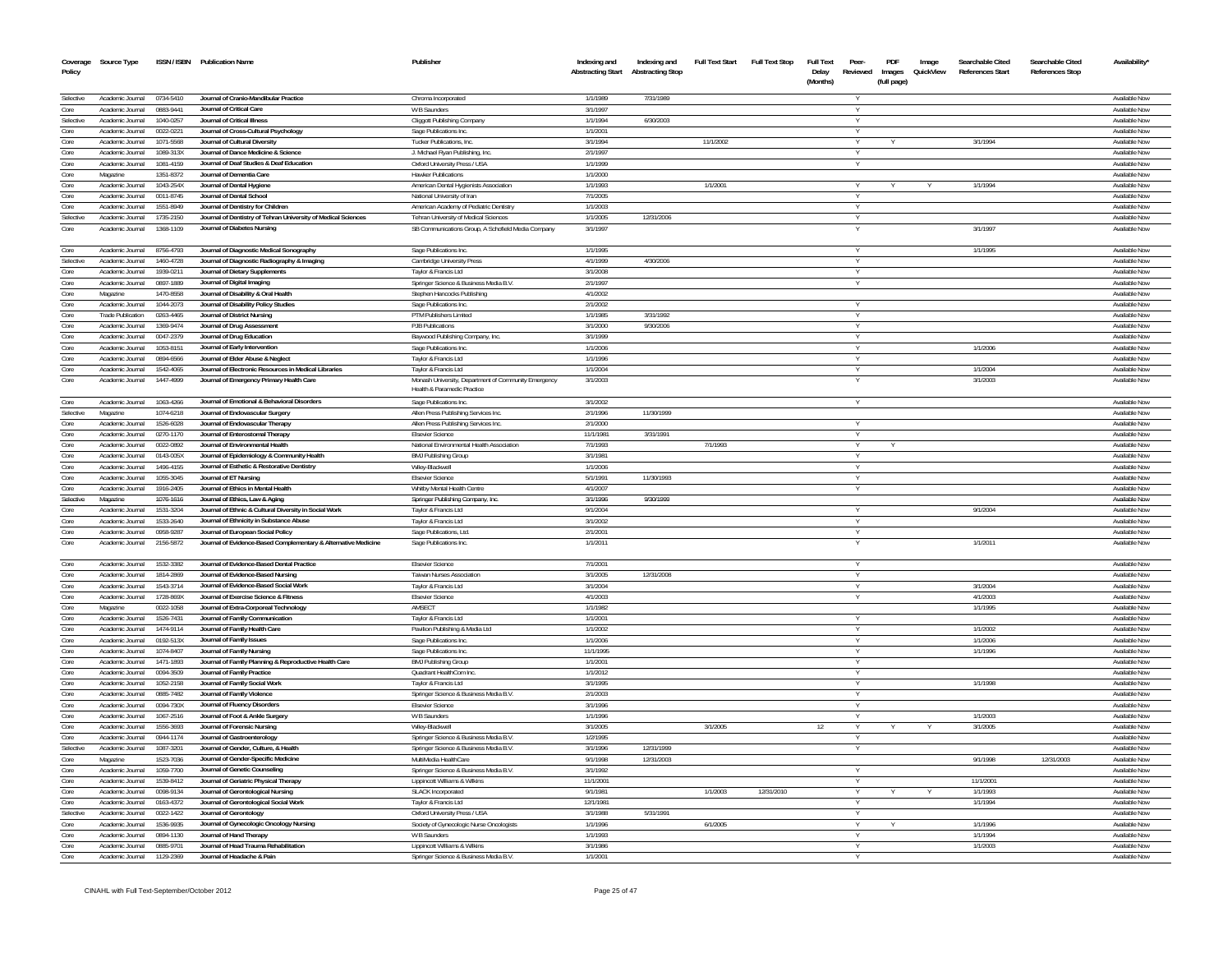| Policy       | Coverage Source Type                 |                        | ISSN / ISBN Publication Name                                                                        | Publisher                                                                           | Indexing and<br><b>Abstracting Start</b> | Indexing and<br><b>Abstracting Stop</b> | <b>Full Text Start</b> | <b>Full Text Stop</b> | <b>Full Text</b><br>Delay<br>(Months) | Peer<br>Reviewed | PDF<br>Images<br>(full page) | Image<br>QuickView | Searchable Cited<br><b>References Start</b> | Searchable Cited<br><b>References Stop</b> | Availability'                                |
|--------------|--------------------------------------|------------------------|-----------------------------------------------------------------------------------------------------|-------------------------------------------------------------------------------------|------------------------------------------|-----------------------------------------|------------------------|-----------------------|---------------------------------------|------------------|------------------------------|--------------------|---------------------------------------------|--------------------------------------------|----------------------------------------------|
| Selective    | Academic Journal                     | 0734-5410              | Journal of Cranio-Mandibular Practice                                                               | Chroma Incorporated                                                                 | 1/1/1989                                 | 7/31/1989                               |                        |                       |                                       |                  |                              |                    |                                             |                                            | Available Now                                |
| Core         | Academic Journal                     | 0883-9441              | Journal of Critical Care                                                                            | W B Saunders                                                                        | 3/1/1997                                 |                                         |                        |                       |                                       | $\vee$           |                              |                    |                                             |                                            | <b>Available Now</b>                         |
| Selective    | Academic Inurnal                     | 1040-0257              | Journal of Critical Illness                                                                         | Cliggott Publishing Company                                                         | 1/1/1994                                 | 6/30/2003                               |                        |                       |                                       | v                |                              |                    |                                             |                                            | Available Now                                |
| Core         | Academic Journal                     | 0022-0221              | Journal of Cross-Cultural Psychology                                                                | Sage Publications Inc.                                                              | 1/1/2001                                 |                                         |                        |                       |                                       | Y                |                              |                    |                                             |                                            | Available Now                                |
| Core<br>Core | Academic Journal<br>Academic Journal | 1071-5568<br>1089-313X | Journal of Cultural Diversity<br>Journal of Dance Medicine & Science                                | <b>Tucker Publications, Inc.</b>                                                    | 3/1/1994<br>2/1/1997                     |                                         | 11/1/2002              |                       |                                       | $\vee$           |                              |                    | 3/1/1994                                    |                                            | Available Now<br><b>Available Now</b>        |
| Core         | Academic Journal                     | 1081-4159              | Journal of Deaf Studies & Deaf Education                                                            | J. Michael Ryan Publishing, Inc.<br>Oxford University Press / USA                   | 1/1/1999                                 |                                         |                        |                       |                                       |                  |                              |                    |                                             |                                            | Available Now                                |
| Core         | Magazine                             | 1351-8372              | Journal of Dementia Care                                                                            | <b>Hawker Publications</b>                                                          | 1/1/2000                                 |                                         |                        |                       |                                       |                  |                              |                    |                                             |                                            | <b>Available Now</b>                         |
| Core         | Academic Journal                     | 1043-254X              | Journal of Dental Hygiene                                                                           | American Dental Hygienists Association                                              | 1/1/1993                                 |                                         | 1/1/2001               |                       |                                       |                  |                              |                    | 1/1/1994                                    |                                            | Available Nov                                |
| Core         | Academic Journal                     | 0011-8745              | Journal of Dental School                                                                            | National University of Iran                                                         | 7/1/2005                                 |                                         |                        |                       |                                       | $\vee$           |                              |                    |                                             |                                            | Available Now                                |
| Core         | Academic Journal                     | 1551-8949              | Journal of Dentistry for Children                                                                   | American Academy of Pediatric Dentistry                                             | 1/1/2003                                 |                                         |                        |                       |                                       |                  |                              |                    |                                             |                                            | Available Now                                |
| Selective    | Academic Journal                     | 1735-2150              | Journal of Dentistry of Tehran University of Medical Sciences                                       | Tehran University of Medical Sciences                                               | 1/1/2005                                 | 12/31/2006                              |                        |                       |                                       | Y                |                              |                    |                                             |                                            | Available Now                                |
| Core         | Academic Journal                     | 1368-1109              | Journal of Diabetes Nursing                                                                         | SB Communications Group, A Schofield Media Company                                  | 3/1/1997                                 |                                         |                        |                       |                                       |                  |                              |                    | 3/1/1997                                    |                                            | Available Nov                                |
| Core         | Academic Journal                     | 8756-4793              | Journal of Diagnostic Medical Sonography                                                            | Sage Publications Inc.                                                              | 1/1/1995                                 |                                         |                        |                       |                                       |                  |                              |                    | 1/1/1995                                    |                                            | Available Now                                |
| Selective    | Academic Journal                     | 1460-4728              | Journal of Diagnostic Radiography & Imaging                                                         | Cambridge University Press                                                          | 4/1/1999                                 | 4/30/2006                               |                        |                       |                                       | $\vee$           |                              |                    |                                             |                                            | Available Nov                                |
| Core         | Academic Journal                     | 1939-0211              | Journal of Dietary Supplements                                                                      | Taylor & Francis Ltd                                                                | 3/1/2008                                 |                                         |                        |                       |                                       |                  |                              |                    |                                             |                                            | Available Nov                                |
| Core<br>Core | Academic Journal<br>Magazine         | 0897-1889<br>1470-8558 | Journal of Digital Imaging<br>Journal of Disability & Oral Health                                   | Springer Science & Business Media B.V.<br>Stephen Hancocks Publishing               | 2/1/1997<br>4/1/2002                     |                                         |                        |                       |                                       |                  |                              |                    |                                             |                                            | Available Nov<br>Available Now               |
| Core         | Academic Journal                     | 1044-2073              | Journal of Disability Policy Studies                                                                | Sage Publications Inc.                                                              | 2/1/2002                                 |                                         |                        |                       |                                       |                  |                              |                    |                                             |                                            | Available Nov                                |
| Core         | <b>Trade Publication</b>             | 0263-4465              | Journal of District Nursing                                                                         | PTM Publishers Limited                                                              | 1/1/1985                                 | 3/31/1992                               |                        |                       |                                       | $\vee$           |                              |                    |                                             |                                            | Available Now                                |
| Core         | Academic Journal                     | 1369-9474              | Journal of Drug Assessment                                                                          | PJB Publications                                                                    | 3/1/2000                                 | 9/30/2006                               |                        |                       |                                       |                  |                              |                    |                                             |                                            | Available Nov                                |
| Core         | Academic Journal                     | 0047-2379              | Journal of Drug Education                                                                           | Baywood Publishing Company, Inc.                                                    | 3/1/1999                                 |                                         |                        |                       |                                       | Y                |                              |                    |                                             |                                            | Available Now                                |
| Core         | Academic Journal                     | 1053-8151              | Journal of Early Intervention                                                                       | Sage Publications Inc.                                                              | 1/1/2006                                 |                                         |                        |                       |                                       |                  |                              |                    | 1/1/2006                                    |                                            | Available Now                                |
| Core         | Academic Journal                     | 0894-6566              | Journal of Elder Abuse & Neglect                                                                    | Taylor & Francis Ltd                                                                | 1/1/1996                                 |                                         |                        |                       |                                       | $\vee$           |                              |                    |                                             |                                            | Available Now                                |
| Core         | Academic Journal                     | 1542-4065              | Journal of Electronic Resources in Medical Libraries                                                | Taylor & Francis Ltd                                                                | 1/1/2004                                 |                                         |                        |                       |                                       |                  |                              |                    | 1/1/2004                                    |                                            | Available Now                                |
| Core         | Academic Journal                     | 1447-4999              | Journal of Emergency Primary Health Care                                                            | Monash University, Department of Community Emergency<br>Health & Paramedic Practice | 3/1/2003                                 |                                         |                        |                       |                                       |                  |                              |                    | 3/1/2003                                    |                                            | Available Now                                |
| Core         | Academic Journal                     | 1063-4266              | Journal of Emotional & Behavioral Disorders                                                         | Sage Publications Inc                                                               | 3/1/2002                                 |                                         |                        |                       |                                       |                  |                              |                    |                                             |                                            | Available Now                                |
| Selective    | Magazine                             | 1074-6218              | Journal of Endovascular Surgery                                                                     | Allen Press Publishing Services Inc.                                                | 2/1/1996                                 | 11/30/1999                              |                        |                       |                                       |                  |                              |                    |                                             |                                            | Available Nov                                |
| Core<br>Core | Academic Journal<br>Academic Journal | 1526-6028<br>0270-1170 | Journal of Endovascular Therapy<br>Journal of Enterostomal Therapy                                  | Allen Press Publishing Services Inc.<br><b>Elsevier Science</b>                     | 2/1/2000<br>11/1/1981                    | 3/31/1991                               |                        |                       |                                       | Y                |                              |                    |                                             |                                            | <b>Available Nov</b><br><b>Available Nov</b> |
| Core         | Academic Journal                     | 0022-0892              | Journal of Environmental Health                                                                     | National Environmental Health Association                                           | 7/1/1993                                 |                                         | 7/1/1993               |                       |                                       |                  |                              |                    |                                             |                                            | Available Nov                                |
| Core         | Academic Journal                     | 0143-005X              | Journal of Epidemiology & Community Health                                                          | <b>BMJ Publishing Group</b>                                                         | 3/1/1981                                 |                                         |                        |                       |                                       | $\vee$           |                              |                    |                                             |                                            | Available Now                                |
| Core         | Academic Journal                     | 1496-4155              | Journal of Esthetic & Restorative Dentistry                                                         | Wiley-Blackwell                                                                     | 1/1/2006                                 |                                         |                        |                       |                                       | $\vee$           |                              |                    |                                             |                                            | Available Nov                                |
| Core         | Academic Journal                     | 1055-3045              | Journal of ET Nursing                                                                               | <b>Elsevier Science</b>                                                             | 5/1/1991                                 | 11/30/1993                              |                        |                       |                                       | V                |                              |                    |                                             |                                            | Available Now                                |
| Core         | Academic Journal                     | 1916-2405              | Journal of Ethics in Mental Health                                                                  | Whitby Mental Health Centre                                                         | 4/1/2007                                 |                                         |                        |                       |                                       |                  |                              |                    |                                             |                                            | Available Nov                                |
| Selective    | Magazine                             | 1076-1616              | Journal of Ethics, Law & Aging                                                                      | Springer Publishing Company, Inc.                                                   | 3/1/1996                                 | 9/30/1999                               |                        |                       |                                       |                  |                              |                    |                                             |                                            | Available Now                                |
| Core         | Academic Journal                     | 1531-3204              | Journal of Ethnic & Cultural Diversity in Social Work                                               | Taylor & Francis Ltd                                                                | 9/1/2004                                 |                                         |                        |                       |                                       |                  |                              |                    | 9/1/2004                                    |                                            | Available Nov                                |
| Core         | Academic Journal                     | 1533-2640              | Journal of Ethnicity in Substance Abuse                                                             | Taylor & Francis Ltd                                                                | 3/1/2002                                 |                                         |                        |                       |                                       | $\vee$           |                              |                    |                                             |                                            | Available Now                                |
| Core<br>Core | Academic Journal<br>Academic Journal | 0958-9287<br>2156-5872 | Journal of European Social Policy<br>Journal of Evidence-Based Complementary & Alternative Medicine | Sage Publications, Ltd<br>Sage Publications Inc.                                    | 2/1/2001<br>1/1/2011                     |                                         |                        |                       |                                       |                  |                              |                    | 1/1/2011                                    |                                            | Available Nov<br>Available Now               |
| Core         | Academic Journal                     | 1532-3382              | Journal of Evidence-Based Dental Practice                                                           | <b>Elsevier Science</b>                                                             | 7/1/2001                                 |                                         |                        |                       |                                       | $\vee$           |                              |                    |                                             |                                            | Available Now                                |
| Core         | Academic Journal                     | 1814-2869              | Journal of Evidence-Based Nursing                                                                   | Taiwan Nurses Association                                                           | 3/1/2005                                 | 12/31/2008                              |                        |                       |                                       | $\vee$           |                              |                    |                                             |                                            | Available Now                                |
| Core         | Academic Journal                     | 1543-3714              | Journal of Evidence-Based Social Work                                                               | Taylor & Francis Ltd                                                                | 3/1/2004                                 |                                         |                        |                       |                                       |                  |                              |                    | 3/1/2004                                    |                                            | Available Now                                |
| Core         | Academic Journal                     | 1728-869X              | Journal of Exercise Science & Fitness                                                               | <b>Elsevier Science</b>                                                             | 4/1/2003                                 |                                         |                        |                       |                                       |                  |                              |                    | 4/1/2003                                    |                                            | <b>Available Nov</b>                         |
| Core         | Magazine                             | 0022-1058              | Journal of Extra-Corporeal Technology                                                               | AMSECT                                                                              | 1/1/1982                                 |                                         |                        |                       |                                       |                  |                              |                    | 1/1/1995                                    |                                            | Available Nov                                |
| Core         | Academic Journal                     | 1526-7431              | Journal of Family Communication                                                                     | Taylor & Francis Ltd                                                                | 1/1/2001                                 |                                         |                        |                       |                                       |                  |                              |                    |                                             |                                            | Available Now                                |
| Core         | Academic Journa                      | 1474-9114              | Journal of Family Health Care                                                                       | Pavilion Publishing & Media Ltd                                                     | 1/1/2002                                 |                                         |                        |                       |                                       |                  |                              |                    | 1/1/2002                                    |                                            | Available Nov                                |
| Core         | Academic Journal                     | 0192-513X              | Journal of Family Issues                                                                            | Sage Publications Inc.                                                              | 1/1/2006                                 |                                         |                        |                       |                                       |                  |                              |                    | 1/1/2006                                    |                                            | Available Now                                |
| Core         | Academic Journa                      | 1074-8407              | Journal of Family Nursing                                                                           | Sage Publications Inc                                                               | 11/1/1995                                |                                         |                        |                       |                                       |                  |                              |                    | 1/1/1996                                    |                                            | Available Nov                                |
| Core         | Academic Journal                     | 1471-1893              | Journal of Family Planning & Reproductive Health Care                                               | <b>BMJ Publishing Group</b>                                                         | 1/1/2001                                 |                                         |                        |                       |                                       | $\vee$           |                              |                    |                                             |                                            | Available Nov                                |
| Core         | Academic Journal                     | 0094-3509              | Journal of Family Practice                                                                          | Quadrant HealthCom Ind                                                              | 1/1/2012                                 |                                         |                        |                       |                                       |                  |                              |                    |                                             |                                            | Available Nov                                |
| Core<br>Core | Academic Journa<br>Academic Journal  | 1052-2158<br>0885-7482 | Journal of Family Social Work<br>Journal of Family Violence                                         | Taylor & Francis Ltd<br>Springer Science & Business Media B.V.                      | 3/1/1995<br>2/1/2003                     |                                         |                        |                       |                                       |                  |                              |                    | 1/1/1998                                    |                                            | <b>Available Nov</b><br>Available Nov        |
| Core         | Academic Journa                      | 0094-730X              | Journal of Fluency Disorders                                                                        | <b>Elsevier Science</b>                                                             | 3/1/1996                                 |                                         |                        |                       |                                       |                  |                              |                    |                                             |                                            | Available Nov                                |
| Core         | Academic Journa                      | 1067-2516              | Journal of Foot & Ankle Surgery                                                                     | W B Saunders                                                                        | 1/1/1996                                 |                                         |                        |                       |                                       |                  |                              |                    | 1/1/2003                                    |                                            | Available Nov                                |
| Core         | Academic Journal                     | 1556-3693              | Journal of Forensic Nursing                                                                         | Wiley-Blackwel                                                                      | 3/1/2005                                 |                                         | 3/1/2005               |                       | 12                                    |                  |                              |                    | 3/1/2005                                    |                                            | Available Nov                                |
| Core         | Academic Journal                     | 0944-1174              | Journal of Gastroenterology                                                                         | Springer Science & Business Media B.V                                               | 1/2/1995                                 |                                         |                        |                       |                                       |                  |                              |                    |                                             |                                            | Available Nov                                |
| Selective    | Academic Journa                      | 1087-320               | Journal of Gender, Culture, & Health                                                                | Springer Science & Business Media B.V                                               | 3/1/1996                                 | 12/31/1999                              |                        |                       |                                       |                  |                              |                    |                                             |                                            | Available Nov                                |
| Core         | Magazine                             | 1523-7036              | Journal of Gender-Specific Medicine                                                                 | MultiMedia HealthCare                                                               | 9/1/1998                                 | 12/31/2003                              |                        |                       |                                       |                  |                              |                    | 9/1/1998                                    | 12/31/2003                                 | Available Nov                                |
| Core         | Academic Journal                     | 1059-7700              | Journal of Genetic Counseling                                                                       | Springer Science & Business Media B.V.                                              | 3/1/1992                                 |                                         |                        |                       |                                       |                  |                              |                    |                                             |                                            | Available Nov                                |
| Core         | Academic Journa                      | 1539-8412              | Journal of Geriatric Physical Therapy                                                               | Lippincott Williams & Wilkins                                                       | 11/1/2001                                |                                         |                        |                       |                                       |                  |                              |                    | 11/1/2001                                   |                                            | Available Nov                                |
| Core         | Academic Journal                     | 0098-9134              | Journal of Gerontological Nursing                                                                   | SLACK Incorporated                                                                  | 9/1/198                                  |                                         | 1/1/2003               | 12/31/2010            |                                       |                  |                              |                    | 1/1/1993                                    |                                            | Available Nov                                |
| Core         | Academic Journal                     | 0163-4372              | Journal of Gerontological Social Work                                                               | Taylor & Francis Ltd                                                                | 12/1/1981                                |                                         |                        |                       |                                       |                  |                              |                    | 1/1/1994                                    |                                            | Available Nov                                |
| Selective    | Academic Journal                     | 0022-1422              | Journal of Gerontology                                                                              | Oxford University Press / USA                                                       | 3/1/1988                                 | 5/31/1991                               |                        |                       |                                       |                  |                              |                    |                                             |                                            | Available Nov                                |
| Core         | Academic Journal                     | 1536-9935              | Journal of Gynecologic Oncology Nursing                                                             | Society of Gynecologic Nurse Oncologists                                            | 1/1/1996                                 |                                         | 6/1/2005               |                       |                                       |                  |                              |                    | 1/1/1996                                    |                                            | Available Nov                                |
| Core         | Academic Journal                     | 0894-1130              | Journal of Hand Therapy                                                                             | W B Saunders                                                                        | 1/1/1993                                 |                                         |                        |                       |                                       |                  |                              |                    | 1/1/1994                                    |                                            | Available Nov                                |
| Core<br>Core | Academic Journal<br>Academic Journal | 0885-970<br>129-2369   | Journal of Head Trauma Rehabilitation<br>Journal of Headache & Pair                                 | Lippincott Williams & Wilkins                                                       | 3/1/1986<br>1/1/200                      |                                         |                        |                       |                                       |                  |                              |                    | 1/1/2003                                    |                                            | Available Nov<br>Available Nov               |
|              |                                      |                        |                                                                                                     | Springer Science & Business Media B.V.                                              |                                          |                                         |                        |                       |                                       |                  |                              |                    |                                             |                                            |                                              |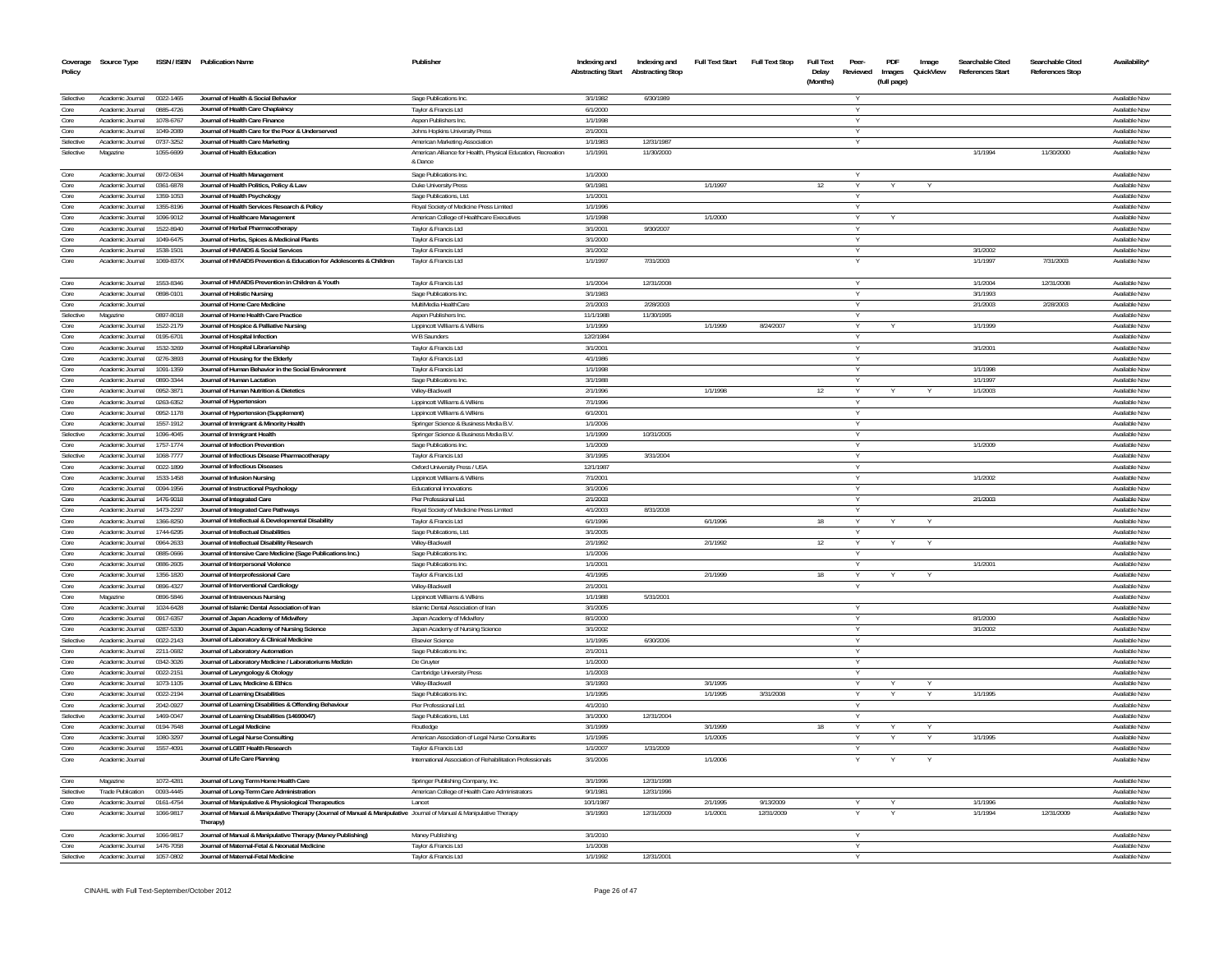| Coverage<br>Policy       | Source Type                          |                        | ISSN / ISBN Publication Name                                                                                                    | Publisher                                                                        | Indexing and<br><b>Abstracting Start</b> | Indexing and<br><b>Abstracting Stop</b> | <b>Full Text Start</b> | <b>Full Text Stop</b> | Full Text<br>Delay<br>(Months) | Peer-<br>Reviewed | PDF<br>Images<br>(full page) | Image<br>QuickView | Searchable Cited<br><b>References Start</b> | Searchable Cited<br><b>References Stop</b> | Availability'                  |
|--------------------------|--------------------------------------|------------------------|---------------------------------------------------------------------------------------------------------------------------------|----------------------------------------------------------------------------------|------------------------------------------|-----------------------------------------|------------------------|-----------------------|--------------------------------|-------------------|------------------------------|--------------------|---------------------------------------------|--------------------------------------------|--------------------------------|
|                          |                                      |                        |                                                                                                                                 |                                                                                  |                                          |                                         |                        |                       |                                |                   |                              |                    |                                             |                                            |                                |
| Selective                | Academic Journal                     | 0022-1465              | Journal of Health & Social Behavior                                                                                             | Sage Publications Inc.                                                           | 3/1/1982                                 | 6/30/1989                               |                        |                       |                                |                   |                              |                    |                                             |                                            | Available Now                  |
| Core<br>Core             | Academic Journal<br>Academic Journal | 0885-4726<br>1078-6767 | Journal of Health Care Chaplaincy<br>Journal of Health Care Finance                                                             | Taylor & Francis Ltd<br>Aspen Publishers Inc.                                    | 6/1/2000<br>1/1/1998                     |                                         |                        |                       |                                | $\vee$<br>v       |                              |                    |                                             |                                            | Available Now<br>Available Now |
| Core                     | Academic Journal                     | 1049-2089              | Journal of Health Care for the Poor & Underserved                                                                               | Johns Hopkins University Press                                                   | 2/1/2001                                 |                                         |                        |                       |                                | $\vee$            |                              |                    |                                             |                                            | Available Now                  |
| Selective                | Academic Journal                     | 0737-3252              | Journal of Health Care Marketing                                                                                                | American Marketing Association                                                   | 1/1/1983                                 | 12/31/1987                              |                        |                       |                                |                   |                              |                    |                                             |                                            | Available Now                  |
| Selective                | Magazine                             | 1055-6699              | Journal of Health Education                                                                                                     | American Alliance for Health, Physical Education, Recreation<br>& Dance          | 1/1/1991                                 | 11/30/2000                              |                        |                       |                                |                   |                              |                    | 1/1/1994                                    | 11/30/2000                                 | Available Now                  |
| Core                     | Academic Journal                     | 0972-0634              | Journal of Health Management                                                                                                    | Sage Publications Inc.                                                           | 1/1/2000                                 |                                         |                        |                       |                                |                   |                              |                    |                                             |                                            | Available Now                  |
| Core                     | Academic Journal                     | 0361-6878              | Journal of Health Politics, Policy & Law                                                                                        | Duke University Press                                                            | 9/1/1981                                 |                                         | 1/1/1997               |                       | 12                             |                   |                              |                    |                                             |                                            | Available Nov                  |
| Core                     | Academic Journal                     | 1359-1053              | Journal of Health Psychology                                                                                                    | Sage Publications, Ltd.                                                          | 1/1/2001                                 |                                         |                        |                       |                                | v                 |                              |                    |                                             |                                            | Available Now                  |
| Core                     | Academic Journal                     | 1355-8196              | Journal of Health Services Research & Policy                                                                                    | Royal Society of Medicine Press Limited                                          | 1/1/1996                                 |                                         |                        |                       |                                |                   |                              |                    |                                             |                                            | Available Now                  |
| Core                     | Academic Journal                     | 1096-9012              | Journal of Healthcare Management                                                                                                | American College of Healthcare Executives                                        | 1/1/1998                                 |                                         | 1/1/2000               |                       |                                | Y                 |                              |                    |                                             |                                            | Available Now                  |
| Core                     | Academic Journal                     | 1522-8940              | Journal of Herbal Pharmacotherapy                                                                                               | Taylor & Francis Ltd                                                             | 3/1/2001                                 | 9/30/2007                               |                        |                       |                                | $\vee$            |                              |                    |                                             |                                            | Available Now                  |
| Core<br>Core             | Academic Journal<br>Academic Journal | 1049-6475              | Journal of Herbs, Spices & Medicinal Plants                                                                                     | Taylor & Francis Ltd                                                             | 3/1/2000                                 |                                         |                        |                       |                                | $\vee$            |                              |                    |                                             |                                            | Available Now<br>Available Now |
| Core                     | Academic Journal                     | 1538-1501<br>1069-837X | Journal of HIV/AIDS & Social Services<br>Journal of HIV/AIDS Prevention & Education for Adolescents & Children                  | Taylor & Francis Ltd<br>Taylor & Francis Ltd                                     | 3/1/2002<br>1/1/1997                     | 7/31/2003                               |                        |                       |                                |                   |                              |                    | 3/1/2002<br>1/1/1997                        | 7/31/2003                                  | Available Now                  |
|                          |                                      |                        |                                                                                                                                 |                                                                                  |                                          |                                         |                        |                       |                                |                   |                              |                    |                                             |                                            |                                |
| Core                     | Academic Journal                     | 1553-8346              | Journal of HIV/AIDS Prevention in Children & Youth                                                                              | Taylor & Francis Ltd                                                             | 1/1/2004                                 | 12/31/2008                              |                        |                       |                                | <b>V</b>          |                              |                    | 1/1/2004                                    | 12/31/2008                                 | Available Now                  |
| Core                     | Academic Journal<br>Academic Journal | 0898-0101              | Journal of Holistic Nursing<br>Journal of Home Care Medicine                                                                    | Sage Publications Inc.                                                           | 3/1/1983<br>2/1/2003                     | 2/28/2003                               |                        |                       |                                |                   |                              |                    | 3/1/1993                                    |                                            | Available Now<br>Available Now |
| Core<br>Selective        | Magazine                             | 0897-8018              | Journal of Home Health Care Practice                                                                                            | MultiMedia HealthCare<br>Aspen Publishers Inc.                                   | 11/1/1988                                | 11/30/1995                              |                        |                       |                                |                   |                              |                    | 2/1/2003                                    | 2/28/2003                                  | Available Now                  |
| Core                     | Academic Journal                     | 1522-2179              | Journal of Hospice & Palliative Nursing                                                                                         | Lippincott Williams & Wilkins                                                    | 1/1/1999                                 |                                         | 1/1/1999               | 8/24/2007             |                                |                   |                              |                    | 1/1/1999                                    |                                            | Available Now                  |
| Core                     | Academic Journal                     | 0195-6701              | Journal of Hospital Infection                                                                                                   | W B Saunders                                                                     | 12/2/1984                                |                                         |                        |                       |                                |                   |                              |                    |                                             |                                            | Available Now                  |
| Core                     | Academic Inumal                      | 1532-3269              | Journal of Hospital Librarianship                                                                                               | Taylor & Francis Ltd                                                             | 3/1/2001                                 |                                         |                        |                       |                                |                   |                              |                    | 3/1/2001                                    |                                            | Available Now                  |
| Core                     | Academic Journal                     | 0276-3893              | Journal of Housing for the Elderly                                                                                              | Taylor & Francis Ltd                                                             | 4/1/1986                                 |                                         |                        |                       |                                |                   |                              |                    |                                             |                                            | Available Now                  |
| Core                     | Academic Journal                     | 1091-1359              | Journal of Human Behavior in the Social Environment                                                                             | Taylor & Francis Ltd                                                             | 1/1/1998                                 |                                         |                        |                       |                                |                   |                              |                    | 1/1/1998                                    |                                            | Available Now                  |
| Core                     | Academic Journal                     | 0890-3344              | Journal of Human Lactation                                                                                                      | Sage Publications Inc.                                                           | 3/1/1988                                 |                                         |                        |                       |                                | $\vee$            |                              |                    | 1/1/1997                                    |                                            | Available Now                  |
| Core                     | Academic Journal                     | 0952-3871              | Journal of Human Nutrition & Dietetics                                                                                          | Wilev-Blackwell                                                                  | 2/1/1996                                 |                                         | 1/1/1998               |                       | 12                             | Y                 |                              |                    | 1/1/2003                                    |                                            | Available Now                  |
| Core                     | Academic Journal                     | 0263-6352              | Journal of Hypertension                                                                                                         | Lippincott Williams & Wilkins                                                    | 7/1/1996                                 |                                         |                        |                       |                                | Y                 |                              |                    |                                             |                                            | Available Now                  |
| Core                     | Academic Journal<br>Academic Inumal  | 0952-1178              | Journal of Hypertension (Supplement)                                                                                            | Lippincott Williams & Wilkins                                                    | 6/1/2001<br>1/1/2006                     |                                         |                        |                       |                                | Y<br><b>V</b>     |                              |                    |                                             |                                            | Available Now<br>Available Now |
| Core<br>Selective        | Academic Journal                     | 1557-1912<br>1096-4045 | Journal of Immigrant & Minority Health<br>Journal of Immigrant Health                                                           | Springer Science & Business Media B.V.<br>Springer Science & Business Media B.V. | 1/1/1999                                 | 10/31/2005                              |                        |                       |                                |                   |                              |                    |                                             |                                            | Available Now                  |
| Core                     | Academic Inurnal                     | 1757-1774              | Journal of Infection Prevention                                                                                                 | Sage Publications Inc                                                            | 1/1/2009                                 |                                         |                        |                       |                                |                   |                              |                    | 1/1/2009                                    |                                            | Available Now                  |
| Selective                | Academic Journal                     | 1068-7777              | Journal of Infectious Disease Pharmacotherapy                                                                                   | Taylor & Francis Ltd                                                             | 3/1/1995                                 | 3/31/2004                               |                        |                       |                                |                   |                              |                    |                                             |                                            | Available Now                  |
| Core                     | Academic Journal                     | 0022-1899              | Journal of Infectious Diseases                                                                                                  | Oxford University Press / USA                                                    | 12/1/1987                                |                                         |                        |                       |                                |                   |                              |                    |                                             |                                            | Available Now                  |
| Core                     | Academic Journal                     | 1533-1458              | Journal of Infusion Nursing                                                                                                     | Lippincott Williams & Wilkins                                                    | 7/1/2001                                 |                                         |                        |                       |                                |                   |                              |                    | 1/1/2002                                    |                                            | Available Now                  |
| Core                     | Academic Journal                     | 0094-1956              | Journal of Instructional Psychology                                                                                             | <b>Educational Innovations</b>                                                   | 3/1/2006                                 |                                         |                        |                       |                                |                   |                              |                    |                                             |                                            | Available Now                  |
| $\overline{\text{Core}}$ | Academic Inumal                      | 1476-9018              | Journal of Integrated Care                                                                                                      | Pier Professional Ltd.                                                           | 2/1/2003                                 |                                         |                        |                       |                                | v                 |                              |                    | 2/1/2003                                    |                                            | Available Now                  |
| Core                     | Academic Journal                     | 1473-2297              | Journal of Integrated Care Pathways                                                                                             | Royal Society of Medicine Press Limited                                          | 4/1/2003                                 | 8/31/2008                               |                        |                       |                                |                   |                              |                    |                                             |                                            | Available Now                  |
| Core                     | Academic Inumal                      | 1366-8250              | Journal of Intellectual & Developmental Disability                                                                              | Taylor & Francis Ltd                                                             | 6/1/1996                                 |                                         | 6/1/1996               |                       | 18                             |                   |                              |                    |                                             |                                            | Available Now                  |
| Core<br>Core             | Academic Journal<br>Academic Journal | 1744-6295<br>0964-2633 | Journal of Intellectual Disabilities<br>Journal of Intellectual Disability Research                                             | Sage Publications, Ltd.                                                          | 3/1/2005<br>2/1/1992                     |                                         | 2/1/1992               |                       | 12                             | $\vee$<br>v       |                              |                    |                                             |                                            | Available Now<br>Available Now |
| Core                     | Academic Journal                     | 0885-0666              | Journal of Intensive Care Medicine (Sage Publications Inc.)                                                                     | Wiley-Blackwell<br>Sage Publications Inc.                                        | 1/1/2006                                 |                                         |                        |                       |                                | Y                 |                              |                    |                                             |                                            | Available Now                  |
| Core                     | Academic Journal                     | 0886-2605              | Journal of Interpersonal Violence                                                                                               | Sage Publications Inc.                                                           | 1/1/2001                                 |                                         |                        |                       |                                | $\checkmark$      |                              |                    | 1/1/2001                                    |                                            | Available Now                  |
| Core                     | Academic Journal                     | 1356-1820              | Journal of Interprofessional Care                                                                                               | Tavlor & Francis Ltd                                                             | 4/1/1995                                 |                                         | 2/1/1999               |                       | 18                             | $\vee$            |                              |                    |                                             |                                            | Available Now                  |
| Core                     | Academic Journal                     | 0896-4327              | Journal of Interventional Cardiology                                                                                            | Wilev-Blackwell                                                                  | 2/1/2001                                 |                                         |                        |                       |                                |                   |                              |                    |                                             |                                            | Available Now                  |
| Core                     | Magazine                             | 0896-5846              | Journal of Intravenous Nursing                                                                                                  | Lippincott Williams & Wilkins                                                    | 1/1/1988                                 | 5/31/2001                               |                        |                       |                                |                   |                              |                    |                                             |                                            | Available Now                  |
| Core                     | Academic Journal                     | 1024-6428              | Journal of Islamic Dental Association of Iran                                                                                   | Islamic Dental Association of Iran                                               | 3/1/2005                                 |                                         |                        |                       |                                |                   |                              |                    |                                             |                                            | Available Now                  |
| Core                     | Academic Journal                     | 0917-6357              | Journal of Japan Academy of Midwifery                                                                                           | Japan Academy of Midwifery                                                       | 8/1/2000                                 |                                         |                        |                       |                                |                   |                              |                    | 8/1/2000                                    |                                            | Available Now                  |
| Core                     | Academic Journal                     | 0287-5330              | Journal of Japan Academy of Nursing Science                                                                                     | Japan Academy of Nursing Science                                                 | 3/1/2002                                 |                                         |                        |                       |                                |                   |                              |                    | 3/1/2002                                    |                                            | Available Now                  |
| Selective                | Academic Journal                     | 0022-2143              | Journal of Laboratory & Clinical Medicine                                                                                       | <b>Elsevier Science</b>                                                          | 1/1/1995                                 | 6/30/2006                               |                        |                       |                                |                   |                              |                    |                                             |                                            | Available Now                  |
| Core<br>Core             | Academic Journal<br>Academic Journal | 2211-0682<br>0342-3026 | Journal of Laboratory Automation                                                                                                | Sage Publications Inc.                                                           | 2/1/2011<br>1/1/2000                     |                                         |                        |                       |                                |                   |                              |                    |                                             |                                            | Available Now<br>Available Now |
| Core                     | Academic Journal                     |                        | Journal of Laboratory Medicine / Laboratoriums Medizin                                                                          | De Gruyter                                                                       | 1/1/2003                                 |                                         |                        |                       |                                | $\vee$            |                              |                    |                                             |                                            | Available Now                  |
| Core                     | Academic Journal                     | 0022-2151<br>1073-1105 | Journal of Laryngology & Otology<br>Journal of Law. Medicine & Ethics                                                           | Cambridge University Press<br>Wiley-Blackwell                                    | 3/1/1993                                 |                                         | 3/1/1995               |                       |                                |                   |                              |                    |                                             |                                            | Available Now                  |
| Core                     | Academic Journal                     | 0022-2194              | Journal of Learning Disabilities                                                                                                | Sage Publications Inc.                                                           | 1/1/1995                                 |                                         | 1/1/1995               | 3/31/2008             |                                | $\vee$            |                              |                    | 1/1/1995                                    |                                            | Available Now                  |
| Core                     | Academic Journal                     | 2042-0927              | Journal of Learning Disabilities & Offending Behaviour                                                                          | Pier Professional Ltd.                                                           | 4/1/2010                                 |                                         |                        |                       |                                |                   |                              |                    |                                             |                                            | Available Now                  |
| Selective                | Academic Journal                     | 1469-0047              | Journal of Learning Disabilities (14690047)                                                                                     | Sage Publications, Ltd.                                                          | 3/1/2000                                 | 12/31/2004                              |                        |                       |                                |                   |                              |                    |                                             |                                            | Available Now                  |
| Core                     | Academic Journal                     | 0194-7648              | Journal of Legal Medicine                                                                                                       | Routledge                                                                        | 3/1/1999                                 |                                         | 3/1/1999               |                       | 18                             |                   |                              |                    |                                             |                                            | Available Now                  |
| Core                     | Academic Journal                     | 1080-3297              | Journal of Legal Nurse Consulting                                                                                               | American Association of Legal Nurse Consultants                                  | 1/1/1995                                 |                                         | 1/1/2005               |                       |                                | v                 |                              |                    | 1/1/1995                                    |                                            | Available Now                  |
| Core                     | Academic Journal                     | 1557-4091              | Journal of LGBT Health Research                                                                                                 | Taylor & Francis Ltd                                                             | 1/1/2007                                 | 1/31/2009                               |                        |                       |                                |                   |                              |                    |                                             |                                            | Available Now                  |
| Core                     | Academic Journal                     |                        | Journal of Life Care Planning                                                                                                   | International Association of Rehabilitation Professionals                        | 3/1/2006                                 |                                         | 1/1/2006               |                       |                                |                   |                              |                    |                                             |                                            | Available Now                  |
| Core                     | Magazine                             | 1072-4281              | Journal of Long Term Home Health Care                                                                                           | Springer Publishing Company, Inc.                                                | 3/1/1996                                 | 12/31/1998                              |                        |                       |                                |                   |                              |                    |                                             |                                            | Available Now                  |
| Selective                | Trade Publication                    | 0093-4445              | Journal of Long-Term Care Administration                                                                                        | American College of Health Care Administrators                                   | 9/1/1981                                 | 12/31/1996                              |                        |                       |                                |                   |                              |                    |                                             |                                            | Available Now                  |
| Core                     | Academic Journal                     | 0161-4754              | Journal of Manipulative & Physiological Therapeutics                                                                            | Lancet                                                                           | 10/1/1987                                |                                         | 2/1/1995               | 9/13/2009             |                                |                   |                              |                    | 1/1/1996                                    |                                            | Available Now                  |
| Core                     | Academic Journal                     | 1066-9817              | Journal of Manual & Manipulative Therapy (Journal of Manual & Manipulative Journal of Manual & Manipulative Therapy<br>Therapy) |                                                                                  | 3/1/1993                                 | 12/31/2009                              | 1/1/2001               | 12/31/2009            |                                |                   |                              |                    | 1/1/1994                                    | 12/31/2009                                 | Available Now                  |
| Core                     | Academic Journal                     | 1066-9817              | Journal of Manual & Manipulative Therapy (Maney Publishing)                                                                     | Maney Publishing                                                                 | 3/1/2010                                 |                                         |                        |                       |                                |                   |                              |                    |                                             |                                            | Available Now                  |
| Core                     | Academic Inumal                      | 1476-7058              | Journal of Maternal-Fetal & Neonatal Medicine                                                                                   | Taylor & Francis Ltd                                                             | 1/1/2008                                 |                                         |                        |                       |                                | $\vee$            |                              |                    |                                             |                                            | Available Now                  |
| Selective                | Academic Journal                     | 1057-0802              | Journal of Maternal-Fetal Medicine                                                                                              | Taylor & Francis Ltd                                                             | 1/1/1992                                 | 12/31/2001                              |                        |                       |                                |                   |                              |                    |                                             |                                            | Available Now                  |
|                          |                                      |                        |                                                                                                                                 |                                                                                  |                                          |                                         |                        |                       |                                |                   |                              |                    |                                             |                                            |                                |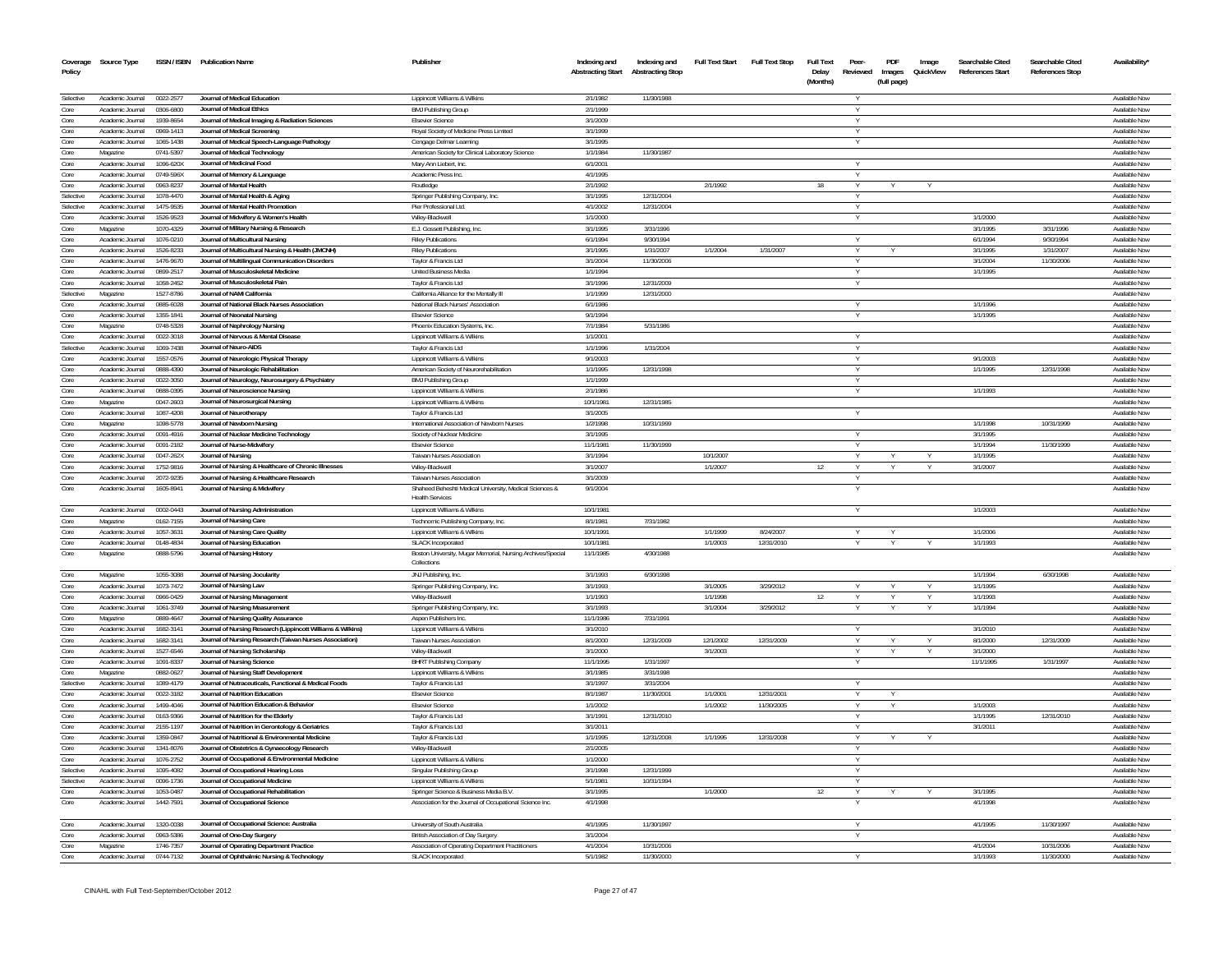| Coverage<br>Policy | Source Type                          |                        | ISSN / ISBN Publication Name                                                                                           | Publisher                                                                  | Indexing and<br><b>Abstracting Start</b> | Indexing and<br><b>Abstracting Stop</b> | <b>Full Text Start</b> | <b>Full Text Stop</b> | <b>Full Text</b><br>Delay | Peer-<br>Reviewed | PDF<br>Images | Image<br>QuickView | Searchable Cited<br><b>References Start</b> | Searchable Cited<br><b>References Stop</b> | Availability'                         |
|--------------------|--------------------------------------|------------------------|------------------------------------------------------------------------------------------------------------------------|----------------------------------------------------------------------------|------------------------------------------|-----------------------------------------|------------------------|-----------------------|---------------------------|-------------------|---------------|--------------------|---------------------------------------------|--------------------------------------------|---------------------------------------|
|                    |                                      |                        |                                                                                                                        |                                                                            |                                          |                                         |                        |                       | (Months)                  |                   | (full page)   |                    |                                             |                                            |                                       |
| Selective          | Academic Journal                     | 0022-2577              | Journal of Medical Education                                                                                           | Lippincott Williams & Wilkins                                              | 2/1/1982                                 | 11/30/1988                              |                        |                       |                           |                   |               |                    |                                             |                                            | <b>Available Now</b>                  |
| Core               | Academic Journal                     | 0306-6800              | Journal of Medical Ethics                                                                                              | <b>BMJ Publishing Group</b>                                                | 2/1/199                                  |                                         |                        |                       |                           |                   |               |                    |                                             |                                            | Available Now                         |
| Core               | Academic Journal                     | 1939-8654              | Journal of Medical Imaging & Radiation Sciences                                                                        | <b>Elsevier Science</b>                                                    | 3/1/2009                                 |                                         |                        |                       |                           |                   |               |                    |                                             |                                            | Available Now                         |
| Core               | Academic Journal                     | 0969-1413              | Journal of Medical Screening                                                                                           | Royal Society of Medicine Press Limited                                    | 3/1/1999                                 |                                         |                        |                       |                           |                   |               |                    |                                             |                                            | Available Now                         |
| Core<br>Core       | Academic Journal                     | 1065-1438              | Journal of Medical Speech-Language Pathology                                                                           | Cengage Delmar Learning                                                    | 3/1/199<br>1/1/1984                      |                                         |                        |                       |                           |                   |               |                    |                                             |                                            | Available Nov<br>Available Now        |
| Core               | Magazine<br>Academic Journal         | 0741-5397<br>1096-620X | Journal of Medical Technology<br>Journal of Medicinal Food                                                             | American Society for Clinical Laboratory Science<br>Mary Ann Liebert, Inc. | 6/1/200                                  | 11/30/1987                              |                        |                       |                           |                   |               |                    |                                             |                                            | Available Nov                         |
| Core               | Academic Journal                     | 0749-596X              | Journal of Memory & Language                                                                                           | Academic Press Inc.                                                        | 4/1/199                                  |                                         |                        |                       |                           |                   |               |                    |                                             |                                            | Available Now                         |
| Core               | Academic Journal                     | 0963-8237              | Journal of Mental Health                                                                                               | Routledge                                                                  | 2/1/1992                                 |                                         | 2/1/1992               |                       | 18                        |                   |               |                    |                                             |                                            | Available Nov                         |
| Selective          | Academic Journal                     | 1078-4470              | Journal of Mental Health & Aging                                                                                       | Springer Publishing Company, Inc.                                          | 3/1/1995                                 | 12/31/2004                              |                        |                       |                           |                   |               |                    |                                             |                                            | Available Now                         |
| Selective          | Academic Journal                     | 1475-9535              | Journal of Mental Health Promotio                                                                                      | Pier Professional Ltd.                                                     | 4/1/2002                                 | 12/31/2004                              |                        |                       |                           |                   |               |                    |                                             |                                            | Available Now                         |
| Core               | Academic Journal                     | 1526-9523              | Journal of Midwifery & Women's Health                                                                                  | Wilev-Blackwel                                                             | 1/1/2000                                 |                                         |                        |                       |                           |                   |               |                    | 1/1/2000                                    |                                            | Available Now                         |
| Core               | Magazine                             | 1070-4329              | Journal of Military Nursing & Research                                                                                 | E.J. Gossett Publishing, Inc.                                              | 3/1/1995                                 | 3/31/1996                               |                        |                       |                           |                   |               |                    | 3/1/1995                                    | 3/31/1996                                  | Available Now                         |
| Core<br>Core       | Academic Journal                     | 1076-0210<br>1526-8233 | Journal of Multicultural Nursing                                                                                       | <b>Riley Publications</b>                                                  | 6/1/199<br>3/1/1995                      | 9/30/199<br>1/31/2007                   | 1/1/2004               | 1/31/2007             |                           |                   |               |                    | 6/1/199<br>3/1/1995                         | 9/30/199<br>1/31/2007                      | Available Nov                         |
| Core               | Academic Journal<br>Academic Journal | 1476-9670              | Journal of Multicultural Nursing & Health (JMCNH)<br>Journal of Multilingual Communication Disorders                   | <b>Riley Publications</b><br>Taylor & Francis Ltd                          | 3/1/2004                                 | 11/30/2006                              |                        |                       |                           | Y                 |               |                    | 3/1/2004                                    | 11/30/2006                                 | Available Now<br>Available Now        |
| Core               | Academic Journal                     | 0899-2517              | Journal of Musculoskeletal Medicine                                                                                    | <b>United Business Media</b>                                               | 1/1/1994                                 |                                         |                        |                       |                           |                   |               |                    | 1/1/1995                                    |                                            | Available Now                         |
| Core               | Academic Journal                     | 1058-2452              | Journal of Musculoskeletal Pair                                                                                        | Taylor & Francis Ltd                                                       | 3/1/1996                                 | 12/31/2009                              |                        |                       |                           | Y                 |               |                    |                                             |                                            | Available Now                         |
| Selective          | Magazine                             | 1527-8786              | Journal of NAMI California                                                                                             | California Alliance for the Mentally III                                   | 1/1/1999                                 | 12/31/2000                              |                        |                       |                           |                   |               |                    |                                             |                                            | Available Nov                         |
| Core               | Academic Journal                     | 0885-6028              | Journal of National Black Nurses Association                                                                           | National Black Nurses' Association                                         | 6/1/1986                                 |                                         |                        |                       |                           |                   |               |                    | 1/1/1996                                    |                                            | Available Now                         |
| Core               | Academic Journal                     | 1355-1841              | Journal of Neonatal Nursing                                                                                            | <b>Elsevier Science</b>                                                    | 9/1/1994                                 |                                         |                        |                       |                           |                   |               |                    | 1/1/1995                                    |                                            | Available Nov                         |
| Core               | Magazine                             | 0748-5328              | Journal of Nephrology Nursing                                                                                          | Phoenix Education Systems, Inc.                                            | 7/1/1984                                 | 5/31/1986                               |                        |                       |                           |                   |               |                    |                                             |                                            | Available Now                         |
| Core               | Academic Journal                     | 0022-3018              | Journal of Nervous & Mental Disease                                                                                    | Lippincott Williams & Wilkins                                              | 1/1/200                                  |                                         |                        |                       |                           |                   |               |                    |                                             |                                            | Available Nov                         |
| Selective<br>Core  | Academic Journal                     | 1069-7438              | Journal of Neuro-AIDS                                                                                                  | Taylor & Francis Ltd                                                       | 1/1/1996                                 | 1/31/2004                               |                        |                       |                           |                   |               |                    |                                             |                                            | Available Now<br>Available Now        |
| Core               | Academic Journal<br>Academic Journal | 1557-0576<br>0888-4390 | Journal of Neurologic Physical Therapy<br>Journal of Neurologic Rehabilitation                                         | Lippincott Williams & Wilkins<br>American Society of Neurorehabilitation   | 9/1/2003<br>1/1/1995                     | 12/31/1998                              |                        |                       |                           |                   |               |                    | 9/1/2003<br>1/1/1995                        | 12/31/1998                                 | Available Now                         |
| Core               | Academic Journal                     | 0022-3050              | Journal of Neurology, Neurosurgery & Psychiatry                                                                        | <b>BMJ Publishing Group</b>                                                | 1/1/1999                                 |                                         |                        |                       |                           |                   |               |                    |                                             |                                            | <b>Available Now</b>                  |
| Core               | Academic Journal                     | 0888-0395              | Journal of Neuroscience Nursing                                                                                        | Lippincott Williams & Wilkins                                              | 2/1/1986                                 |                                         |                        |                       |                           |                   |               |                    | 1/1/1993                                    |                                            | Available Nov                         |
| Core               | Magazine                             | 0047-2603              | Journal of Neurosurgical Nursing                                                                                       | Lippincott Williams & Wilkins                                              | 10/1/1981                                | 12/31/1985                              |                        |                       |                           |                   |               |                    |                                             |                                            | Available Nov                         |
| Core               | Academic Journal                     | 1087-4208              | Journal of Neurotherapy                                                                                                | Taylor & Francis Ltd                                                       | 3/1/2005                                 |                                         |                        |                       |                           |                   |               |                    |                                             |                                            | <b>Available Nov</b>                  |
| Core               | Magazine                             | 1098-5778              | Journal of Newborn Nursing                                                                                             | International Association of Newborn Nurses                                | 1/2/1998                                 | 10/31/1999                              |                        |                       |                           |                   |               |                    | 1/1/1998                                    | 10/31/1999                                 | Available Now                         |
| Core               | Academic Journal                     | 0091-4916              | Journal of Nuclear Medicine Technology                                                                                 | Society of Nuclear Medicine                                                | 3/1/199                                  |                                         |                        |                       |                           |                   |               |                    | 3/1/199                                     |                                            | Available Nov                         |
| Core               | Academic Journal                     | 0091-2182              | Journal of Nurse-Midwifery                                                                                             | <b>Elsevier Science</b>                                                    | 11/1/1981                                | 11/30/1999                              |                        |                       |                           |                   |               |                    | 1/1/1994                                    | 11/30/1999                                 | Available Now                         |
| Core<br>Core       | Academic Journal<br>Academic Journal | 0047-262X<br>1752-9816 | Journal of Nursing<br>Journal of Nursing & Healthcare of Chronic Illnesses                                             | Taiwan Nurses Association<br>Wilev-Blackwel                                | 3/1/1994<br>3/1/2007                     |                                         | 10/1/2007<br>1/1/2007  |                       | 12                        |                   |               |                    | 1/1/1995<br>3/1/2007                        |                                            | Available Now<br>Available Now        |
| Core               | Academic Journal                     | 2072-9235              | Journal of Nursing & Healthcare Research                                                                               | Taiwan Nurses Association                                                  | 3/1/2009                                 |                                         |                        |                       |                           |                   |               |                    |                                             |                                            | Available Now                         |
| Core               | Academic Journal                     | 1605-8941              | Journal of Nursing & Midwifery                                                                                         | Shaheed Beheshti Medical University, Medical Sciences &                    | 9/1/200                                  |                                         |                        |                       |                           |                   |               |                    |                                             |                                            | Available Nov                         |
|                    |                                      |                        |                                                                                                                        | <b>Health Services</b>                                                     |                                          |                                         |                        |                       |                           |                   |               |                    |                                             |                                            |                                       |
| Core               | Academic Journal                     | 0002-0443              | Journal of Nursing Administration                                                                                      | Lippincott Williams & Wilkins                                              | 10/1/1981                                |                                         |                        |                       |                           |                   |               |                    | 1/1/2003                                    |                                            | <b>Available Nov</b>                  |
| Core               | Magazine                             | 0162-7155              | Journal of Nursing Care                                                                                                | Technomic Publishing Company, Inc.                                         | 8/1/1981                                 | 7/31/1982                               |                        |                       |                           |                   |               |                    |                                             |                                            | Available Nov                         |
| Core               | Academic Journal                     | 1057-3631              | Journal of Nursing Care Quality                                                                                        | Lippincott Williams & Wilkins                                              | 10/1/1991                                |                                         | 1/1/1999               | 8/24/2007             |                           |                   |               |                    | 1/1/2006                                    |                                            | Available Now                         |
| Core               | Academic Journal                     | 0148-4834              | Journal of Nursing Education                                                                                           | <b>SLACK Incorporated</b>                                                  | 10/1/1981                                |                                         | 1/1/2003               | 12/31/2010            |                           |                   |               |                    | 1/1/1993                                    |                                            | Available Nov                         |
| Core               | Magazine                             | 0888-5796              | Journal of Nursing History                                                                                             | Boston University, Mugar Memorial, Nursing Archives/Special<br>Collections | 11/1/1985                                | 4/30/1988                               |                        |                       |                           |                   |               |                    |                                             |                                            | Available Now                         |
| Core               | Magazine                             | 1055-3088              | Journal of Nursing Jocularity                                                                                          | JNJ Publishing, Inc.                                                       | 3/1/1993                                 | 6/30/1998                               |                        |                       |                           |                   |               |                    | 1/1/1994                                    | 6/30/1998                                  | Available Now                         |
| Core               | Academic Journal                     | 1073-7472              | Journal of Nursing Law                                                                                                 | Springer Publishing Company, Inc.                                          | 3/1/1993                                 |                                         | 3/1/2005               | 3/29/2012             |                           |                   |               |                    | 1/1/1995                                    |                                            | Available Nov                         |
| Core               | Academic Journal                     | 0966-0429              | Journal of Nursing Management                                                                                          | Wilev-Blackwel                                                             | 1/1/1993                                 |                                         | 1/1/1998               |                       | 12                        |                   |               |                    | 1/1/1993                                    |                                            | Available Now                         |
| Core               | Academic Journal                     | 1061-3749              | Journal of Nursing Measuremen                                                                                          | Springer Publishing Company, Inc.                                          | 3/1/1993                                 |                                         | 3/1/2004               | 3/29/2012             |                           |                   |               |                    | 1/1/1994                                    |                                            | <b>Available Nov</b>                  |
| Core               | Magazine                             | 0889-4647              | Journal of Nursing Quality Assurance                                                                                   | Aspen Publishers Inc                                                       | 11/1/1986                                | 7/31/1991                               |                        |                       |                           |                   |               |                    |                                             |                                            | Available Nov                         |
| Core<br>Core       | Academic Journal<br>Academic Journal | 1682-3141<br>1682-3141 | Journal of Nursing Research (Lippincott Williams & Wilkins)<br>Journal of Nursing Research (Taiwan Nurses Association) | Lippincott Williams & Wilkins<br>Taiwan Nurses Association                 | 3/1/2010<br>8/1/2000                     | 12/31/2009                              | 12/1/2002              | 12/31/2009            |                           |                   |               |                    | 3/1/2010<br>8/1/2000                        | 12/31/2009                                 | <b>Available Nov</b><br>Available Nov |
| Core               | Academic Journal                     | 1527-6546              | Journal of Nursing Scholarship                                                                                         | Wiley-Blackwell                                                            | 3/1/2000                                 |                                         | 3/1/2003               |                       |                           |                   |               |                    | 3/1/2000                                    |                                            | Available Now                         |
| Core               | Academic Journal                     | 1091-8337              | Journal of Nursing Science                                                                                             | BHRT Publishing Company                                                    | 11/1/1995                                | 1/31/1997                               |                        |                       |                           |                   |               |                    | 11/1/1995                                   | 1/31/1997                                  | Available Nov                         |
| Core               | Magazine                             | 0882-0627              | Journal of Nursing Staff Development                                                                                   | Lippincott Williams & Wilkins                                              | 3/1/1985                                 | 3/31/1998                               |                        |                       |                           |                   |               |                    |                                             |                                            | Available Now                         |
| Selective          | Academic Journal                     | 1089-4179              | Journal of Nutraceuticals, Functional & Medical Foods                                                                  | Taylor & Francis Ltd                                                       | 3/1/199                                  | 3/31/2004                               |                        |                       |                           |                   |               |                    |                                             |                                            | <b>Available Nov</b>                  |
| Core               | Academic Journal                     | 0022-3182              | Journal of Nutrition Education                                                                                         | <b>Elsevier Science</b>                                                    | 8/1/1987                                 | 11/30/2001                              | 1/1/2001               | 12/31/2001            |                           |                   |               |                    |                                             |                                            | Available Nov                         |
| Core               | Academic Journal                     | 1499-4046              | Journal of Nutrition Education & Behavior                                                                              | <b>Elsevier Science</b>                                                    | 1/1/2002                                 |                                         | 1/1/2002               | 11/30/2005            |                           |                   |               |                    | 1/1/2003                                    |                                            | <b>Available Nov</b>                  |
| Core               | Academic Journal                     | 0163-9366              | Journal of Nutrition for the Elderly                                                                                   | Taylor & Francis Ltd                                                       | 3/1/199                                  | 12/31/2010                              |                        |                       |                           |                   |               |                    | 1/1/1995                                    | 12/31/2010                                 | Available Nov                         |
| Core               | Academic Journal                     | 2155-1197              | Journal of Nutrition in Gerontology & Geriatrics                                                                       | Taylor & Francis Ltd                                                       | 3/1/2011                                 |                                         |                        |                       |                           |                   |               |                    | 3/1/2011                                    |                                            | <b>Available Nov</b>                  |
| Core               | Academic Journal                     | 1359-0847              | Journal of Nutritional & Environmental Medicine                                                                        | Taylor & Francis Ltd                                                       | 1/1/1995                                 | 12/31/2008                              | 1/1/1995               | 12/31/2008            |                           |                   |               |                    |                                             |                                            | Available Nov                         |
| Core<br>Core       | Academic Journal<br>Academic Journal | 1341-8076<br>1076-2752 | Journal of Obstetrics & Gynaecology Research<br>Journal of Occupational & Environmental Medicine                       | Wiley-Blackwell<br>Lippincott Williams & Wilkins                           | 2/1/2005<br>1/1/2000                     |                                         |                        |                       |                           |                   |               |                    |                                             |                                            | <b>Available Nov</b><br>Available Nov |
| Selective          | Academic Journal                     | 1095-4082              | Journal of Occupational Hearing Loss                                                                                   | Singular Publishing Group                                                  | 3/1/1998                                 | 12/31/1999                              |                        |                       |                           |                   |               |                    |                                             |                                            | Available Now                         |
| Selective          | Academic Journal                     | 0096-1736              | Journal of Occupational Medicine                                                                                       | Lippincott Williams & Wilkins                                              | 5/1/198                                  | 10/31/1994                              |                        |                       |                           |                   |               |                    |                                             |                                            | <b>Available Nov</b>                  |
| Core               | Academic Journal                     | 1053-0487              | Journal of Occupational Rehabilitation                                                                                 | Springer Science & Business Media B.V                                      | 3/1/1995                                 |                                         | 1/1/2000               |                       | 12                        |                   |               |                    | 3/1/1995                                    |                                            | Available Nov                         |
| Core               | Academic Journal                     | 1442-7591              | Journal of Occupational Science                                                                                        | Association for the Journal of Occupational Science Inc.                   | 4/1/1998                                 |                                         |                        |                       |                           |                   |               |                    | 4/1/1998                                    |                                            | Available Now                         |
|                    |                                      |                        |                                                                                                                        |                                                                            |                                          |                                         |                        |                       |                           |                   |               |                    |                                             |                                            |                                       |
| Core               | Academic Journal                     | 1320-0038              | Journal of Occupational Science: Australia                                                                             | University of South Australia                                              | 4/1/1995                                 | 11/30/1997                              |                        |                       |                           |                   |               |                    | 4/1/1995                                    | 11/30/1997                                 | Available Nov                         |
| Core               | Academic Journal                     | 0963-5386              | Journal of One-Day Surgery                                                                                             | British Association of Day Surgery                                         | 3/1/200                                  |                                         |                        |                       |                           |                   |               |                    |                                             |                                            | Available Nov                         |
| Core               | Magazine                             | 1746-7357              | Journal of Operating Department Practice                                                                               | Association of Operating Department Practitioners                          | 4/1/2004                                 | 10/31/2006                              |                        |                       |                           |                   |               |                    | 4/1/2004                                    | 10/31/2006                                 | Available Nov                         |
| Core               | Academic Journal                     | 0744-7132              | Journal of Ophthalmic Nursing & Technology                                                                             | <b>SLACK Incorporated</b>                                                  | 5/1/1982                                 | 11/30/2000                              |                        |                       |                           |                   |               |                    | 1/1/1993                                    | 11/30/2000                                 | Available Nov                         |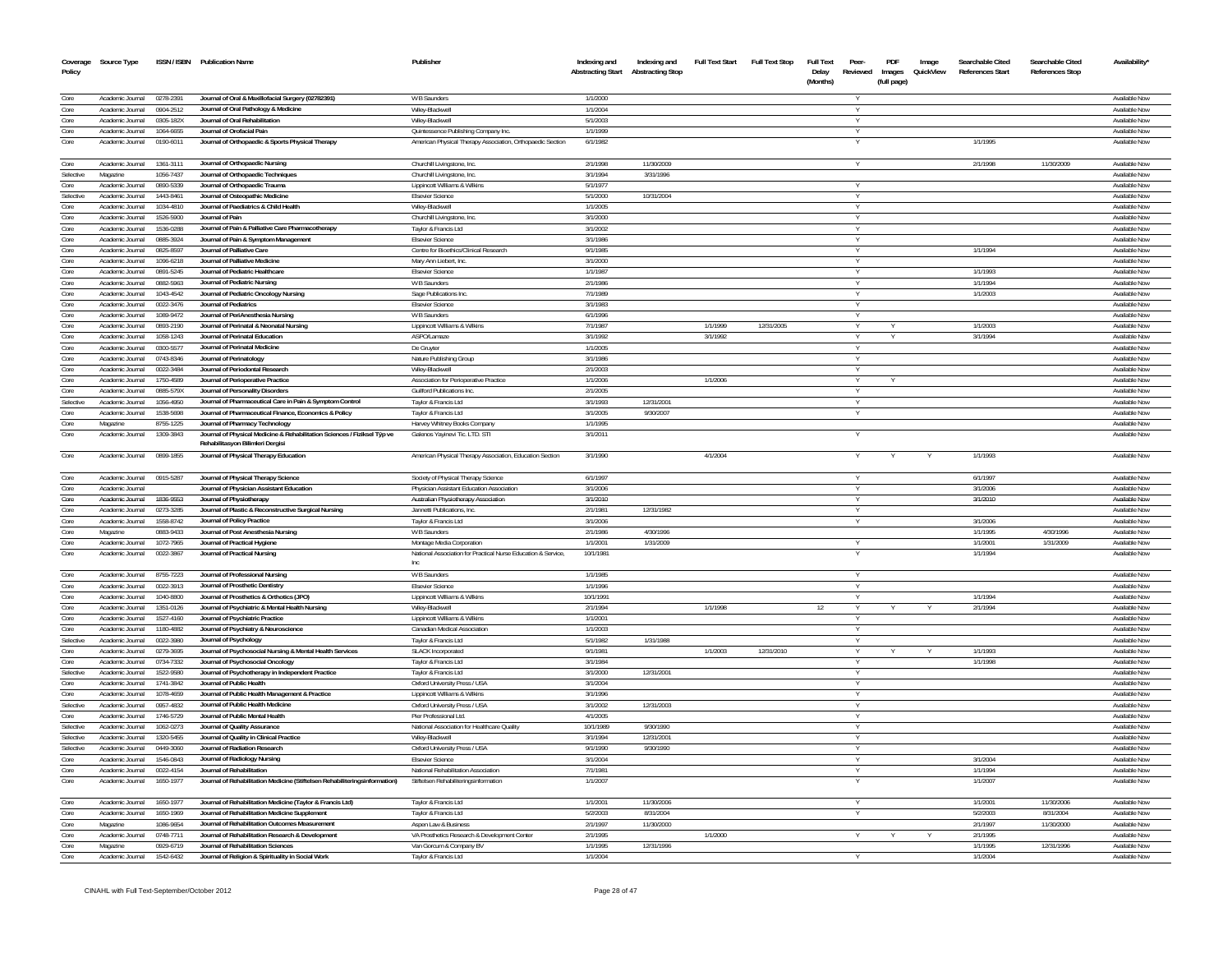| Coverage<br>Policy     | Source Type                          |                        | ISSN / ISBN Publication Name                                                                                                                          | Publisher                                                                        | Indexing and<br><b>Abstracting Start</b> | Indexing and<br><b>Abstracting Stop</b> | <b>Full Text Start</b> | Full Text Stop | <b>Full Text</b><br>Delay<br>(Months) | Peer-<br>Reviewed | PDF<br>Images<br>(full page) | Image<br>QuickView | Searchable Cited<br><b>References Start</b> | Searchable Cited<br><b>References Stop</b> | Availability'                  |
|------------------------|--------------------------------------|------------------------|-------------------------------------------------------------------------------------------------------------------------------------------------------|----------------------------------------------------------------------------------|------------------------------------------|-----------------------------------------|------------------------|----------------|---------------------------------------|-------------------|------------------------------|--------------------|---------------------------------------------|--------------------------------------------|--------------------------------|
|                        |                                      |                        |                                                                                                                                                       |                                                                                  |                                          |                                         |                        |                |                                       |                   |                              |                    |                                             |                                            | Available Now                  |
| Core<br>Core           | Academic Journal<br>Academic Journal | 0278-2391<br>0904-2512 | Journal of Oral & Maxillofacial Surgery (02782391)<br>Journal of Oral Pathology & Medicine                                                            | W B Saunders<br>Wiley-Blackwell                                                  | 1/1/2000<br>1/1/2004                     |                                         |                        |                |                                       |                   |                              |                    |                                             |                                            | Available Now                  |
| Core                   | Academic Journal                     | 0305-182X              | Journal of Oral Rehabilitation                                                                                                                        | Wiley-Blackwell                                                                  | 5/1/2003                                 |                                         |                        |                |                                       | Y                 |                              |                    |                                             |                                            | Available Now                  |
| Core                   | Academic Journal                     | 1064-6655              | Journal of Orofacial Pair                                                                                                                             | Quintessence Publishing Company Inc.                                             | 1/1/1999                                 |                                         |                        |                |                                       |                   |                              |                    |                                             |                                            | Available Now                  |
| Core                   | Academic Journal                     | 0190-601               | Journal of Orthopaedic & Sports Physical Therapy                                                                                                      | American Physical Therapy Association, Orthopaedic Section                       | 6/1/1982                                 |                                         |                        |                |                                       |                   |                              |                    | 1/1/1995                                    |                                            | Available Nov                  |
| Core                   | Academic Journal                     | 1361-3111              | Journal of Orthopaedic Nursing                                                                                                                        | Churchill Livingstone, Inc.                                                      | 2/1/1998                                 | 11/30/200                               |                        |                |                                       |                   |                              |                    | 2/1/1998                                    | 11/30/2009                                 | Available Now                  |
| Selective              | Magazine                             | 1056-7437              | Journal of Orthopaedic Techniques                                                                                                                     | Churchill Livingstone, Inc                                                       | 3/1/1994                                 | 3/31/1996                               |                        |                |                                       |                   |                              |                    |                                             |                                            | Available Now                  |
| Core                   | Academic Journal                     | 0890-5339              | Journal of Orthopaedic Trauma                                                                                                                         | Lippincott Williams & Wilkins                                                    | 5/1/197                                  |                                         |                        |                |                                       | Y                 |                              |                    |                                             |                                            | Available Now                  |
| Selective<br>Core      | Academic Journal<br>Academic Journal | 1443-8461<br>1034-4810 | Journal of Osteopathic Medicine<br>Journal of Paediatrics & Child Health                                                                              | <b>Elsevier Science</b><br>Wilev-Blackwell                                       | 5/1/2000<br>1/1/2005                     | 10/31/2004                              |                        |                |                                       |                   |                              |                    |                                             |                                            | Available Now<br>Available Now |
| Core                   | Academic Journal                     | 1526-5900              | Journal of Pain                                                                                                                                       | Churchill Livingstone, Inc.                                                      | 3/1/2000                                 |                                         |                        |                |                                       |                   |                              |                    |                                             |                                            | Available Now                  |
| Core                   | Academic Journal                     | 1536-0288              | Journal of Pain & Palliative Care Pharmacotherapy                                                                                                     | Taylor & Francis Ltd                                                             | 3/1/2002                                 |                                         |                        |                |                                       |                   |                              |                    |                                             |                                            | Available Now                  |
| Core                   | Academic Journa                      | 0885-3924              | Journal of Pain & Symptom Management                                                                                                                  | <b>Elsevier Science</b>                                                          | 3/1/198                                  |                                         |                        |                |                                       |                   |                              |                    |                                             |                                            | Available Nov                  |
| Core                   | Academic Journal                     | 0825-8597              | Journal of Palliative Care                                                                                                                            | Centre for Bioethics/Clinical Research                                           | 9/1/1985                                 |                                         |                        |                |                                       |                   |                              |                    | 1/1/1994                                    |                                            | Available Now                  |
| Core                   | Academic Journal                     | 1096-6218              | Journal of Palliative Medicine                                                                                                                        | Mary Ann Liebert, Inc.                                                           | 3/1/2000                                 |                                         |                        |                |                                       |                   |                              |                    |                                             |                                            | Available Now                  |
| Core                   | Academic Journal                     | 0891-5245              | Journal of Pediatric Healthcare                                                                                                                       | <b>Elsevier Science</b>                                                          | 1/1/1987                                 |                                         |                        |                |                                       |                   |                              |                    | 1/1/1993                                    |                                            | Available Now                  |
| Core                   | Academic Journal                     | 0882-5963              | Journal of Pediatric Nursing                                                                                                                          | W B Saunders                                                                     | 2/1/1986                                 |                                         |                        |                |                                       | Y                 |                              |                    | 1/1/1994                                    |                                            | Available Now                  |
| Core                   | Academic Journal                     | 1043-4542              | Journal of Pediatric Oncology Nursing                                                                                                                 | Sage Publications Inc.                                                           | 7/1/1989                                 |                                         |                        |                |                                       |                   |                              |                    | 1/1/2003                                    |                                            | Available Now                  |
| Core                   | Academic Journal                     | 0022-3476              | <b>Journal of Pediatrics</b>                                                                                                                          | <b>Elsevier Science</b>                                                          | 3/1/1983                                 |                                         |                        |                |                                       | Y                 |                              |                    |                                             |                                            | Available Now                  |
| Core<br>Core           | Academic Journal<br>Academic Journal | 1089-9472<br>0893-2190 | Journal of PeriAnesthesia Nursing<br>Journal of Perinatal & Neonatal Nursing                                                                          | <b>W B Saunders</b><br>Lippincott Williams & Wilkins                             | 6/1/1996<br>7/1/1987                     |                                         | 1/1/1999               | 12/31/2005     |                                       |                   |                              |                    | 1/1/2003                                    |                                            | Available Now<br>Available Now |
| Core                   | Academic Journal                     | 1058-1243              | Journal of Perinatal Education                                                                                                                        | ASPO/Lamaze                                                                      | 3/1/1992                                 |                                         | 3/1/1992               |                |                                       |                   |                              |                    | 3/1/1994                                    |                                            | Available Nov                  |
| Core                   | Academic Journal                     | 0300-5577              | Journal of Perinatal Medicine                                                                                                                         | De Gruyter                                                                       | 1/1/2005                                 |                                         |                        |                |                                       |                   |                              |                    |                                             |                                            | Available Now                  |
| Core                   | Academic Journal                     | 0743-8346              | Journal of Perinatology                                                                                                                               | Nature Publishing Group                                                          | 3/1/1986                                 |                                         |                        |                |                                       |                   |                              |                    |                                             |                                            | Available Now                  |
| Core                   | Academic Journal                     | 0022-3484              | Journal of Periodontal Research                                                                                                                       | Wiley-Blackwell                                                                  | 2/1/2003                                 |                                         |                        |                |                                       |                   |                              |                    |                                             |                                            | Available Now                  |
| Core                   | Academic Journal                     | 1750-4589              | Journal of Perioperative Practice                                                                                                                     | Association for Perioperative Practice                                           | 1/1/2006                                 |                                         | 1/1/2006               |                |                                       | Y                 |                              |                    |                                             |                                            | Available Now                  |
| Core                   | Academic Journal                     | 0885-579X              | Journal of Personality Disorders                                                                                                                      | Guilford Publications Inc.                                                       | 2/1/2005                                 |                                         |                        |                |                                       |                   |                              |                    |                                             |                                            | Available Now                  |
| Selective              | Academic Journal                     | 1056-4950              | Journal of Pharmaceutical Care in Pain & Symptom Control                                                                                              | Taylor & Francis Ltd                                                             | 3/1/1993                                 | 12/31/2001                              |                        |                |                                       | Y                 |                              |                    |                                             |                                            | Available Now                  |
| Core                   | Academic Journal                     | 1538-5698              | Journal of Pharmaceutical Finance, Economics & Policy                                                                                                 | Taylor & Francis Ltd                                                             | 3/1/2005                                 | 9/30/2007                               |                        |                |                                       |                   |                              |                    |                                             |                                            | Available Now                  |
| Core                   | Magazine                             | 8755-1225              | Journal of Pharmacy Technology                                                                                                                        | Harvey Whitney Books Company                                                     | 1/1/1995                                 |                                         |                        |                |                                       |                   |                              |                    |                                             |                                            | Available Now                  |
| Core<br>Core           | Academic Journal                     | 1309-3843              | Journal of Physical Medicine & Rehabilitation Sciences / Fiziksel Typ ve<br>Rehabilitasvon Bilimleri Dergisi<br>Journal of Physical Therapy Education | Galenos Yayinevi Tic. LTD. STI                                                   | 3/1/2011                                 |                                         |                        |                |                                       |                   |                              |                    |                                             |                                            | Available Nov                  |
|                        | Academic Journal                     | 0899-1855              |                                                                                                                                                       | American Physical Therapy Association, Education Section                         | 3/1/1990                                 |                                         | 4/1/2004               |                |                                       |                   |                              |                    | 1/1/1993                                    |                                            | Available Now                  |
| Core<br>Core           | Academic Journal<br>Academic Journal | 0915-5287              | Journal of Physical Therapy Science                                                                                                                   | Society of Physical Therapy Science<br>Physician Assistant Education Association | 6/1/1997<br>3/1/2006                     |                                         |                        |                |                                       |                   |                              |                    | 6/1/1997<br>3/1/2006                        |                                            | Available Now<br>Available Now |
| Core                   | Academic Journal                     | 1836-9553              | Journal of Physician Assistant Education<br>Journal of Physiotherapy                                                                                  | Australian Physiotherapy Association                                             | 3/1/2010                                 |                                         |                        |                |                                       | Y                 |                              |                    | 3/1/2010                                    |                                            | Available Now                  |
| Core                   | Academic Journal                     | 0273-3285              | Journal of Plastic & Reconstructive Surgical Nursing                                                                                                  | Jannetti Publications, Inc.                                                      | 2/1/1981                                 | 12/31/1982                              |                        |                |                                       |                   |                              |                    |                                             |                                            | <b>Available Now</b>           |
| Core                   | Academic Journal                     | 1558-8742              | Journal of Policy Practice                                                                                                                            | Taylor & Francis Ltd                                                             | 3/1/2006                                 |                                         |                        |                |                                       |                   |                              |                    | 3/1/2006                                    |                                            | Available Now                  |
| Core                   | Magazine                             | 0883-9433              | Journal of Post Anesthesia Nursing                                                                                                                    | W B Saunders                                                                     | 2/1/1986                                 | 4/30/1996                               |                        |                |                                       |                   |                              |                    | 1/1/1995                                    | 4/30/1996                                  | Available Now                  |
| Core                   | Academic Journal                     | 1072-7965              | Journal of Practical Hygiene                                                                                                                          | Montage Media Corporation                                                        | 1/1/200                                  | 1/31/2009                               |                        |                |                                       |                   |                              |                    | 1/1/200                                     | 1/31/2009                                  | Available Now                  |
| Core                   | Academic Journal                     | 0022-3867              | Journal of Practical Nursing                                                                                                                          | National Association for Practical Nurse Education & Service,<br>Inc             | 10/1/1981                                |                                         |                        |                |                                       |                   |                              |                    | 1/1/1994                                    |                                            | Available Nov                  |
| Core                   | Academic Journal                     | 8755-7223              | Journal of Professional Nursing                                                                                                                       | W B Saunders                                                                     | 1/1/1985                                 |                                         |                        |                |                                       |                   |                              |                    |                                             |                                            | Available Now                  |
| Core                   | Academic Journal                     | 0022-3913              | Journal of Prosthetic Dentistry                                                                                                                       | <b>Elsevier Science</b>                                                          | 1/1/1996                                 |                                         |                        |                |                                       |                   |                              |                    |                                             |                                            | Available Nov                  |
| Core                   | Academic Journal<br>Academic Journal | 1040-8800<br>1351-0126 | Journal of Prosthetics & Orthotics (JPO)<br>Journal of Psychiatric & Mental Health Nursing                                                            | Lippincott Williams & Wilkins<br>Wilev-Blackwel                                  | 10/1/1991<br>2/1/1994                    |                                         | 1/1/1998               |                | 12                                    |                   |                              |                    | 1/1/1994<br>2/1/1994                        |                                            | Available Now<br>Available Nov |
| Core<br>Core           | Academic Journal                     | 1527-4160              | Journal of Psychiatric Practice                                                                                                                       | Lippincott Williams & Wilkins                                                    | 1/1/200                                  |                                         |                        |                |                                       |                   |                              |                    |                                             |                                            | Available Now                  |
| Core                   | Academic Journal                     | 1180-4882              | Journal of Psychiatry & Neuroscience                                                                                                                  | Canadian Medical Association                                                     | 1/1/2003                                 |                                         |                        |                |                                       |                   |                              |                    |                                             |                                            | Available Now                  |
| Selective              | Academic Journal                     | 0022-3980              | Journal of Psychology                                                                                                                                 | Tavlor & Francis Ltd                                                             | 5/1/1982                                 | 1/31/1988                               |                        |                |                                       |                   |                              |                    |                                             |                                            | Available Now                  |
| Core                   | Academic Journal                     | 0279-3695              | Journal of Psychosocial Nursing & Mental Health Services                                                                                              | <b>SLACK Incorporated</b>                                                        | 9/1/1981                                 |                                         | 1/1/2003               | 12/31/2010     |                                       |                   |                              |                    | 1/1/1993                                    |                                            | Available Now                  |
| Core                   | Academic Journal                     | 0734-7332              | Journal of Psychosocial Oncology                                                                                                                      | Taylor & Francis Ltd                                                             | 3/1/1984                                 |                                         |                        |                |                                       |                   |                              |                    | 1/1/1998                                    |                                            | Available Nov                  |
| Selective              | Academic Journal                     | 1522-9580              | Journal of Psychotherapy in Independent Practice                                                                                                      | Taylor & Francis Ltd                                                             | 3/1/2000                                 | 12/31/2001                              |                        |                |                                       |                   |                              |                    |                                             |                                            | Available Now                  |
| Core                   | Academic Journal                     | 1741-3842              | Journal of Public Health                                                                                                                              | Oxford University Press / USA                                                    | 3/1/2004                                 |                                         |                        |                |                                       |                   |                              |                    |                                             |                                            | Available Nov                  |
| Core                   | Academic Journal                     | 1078-4659              | Journal of Public Health Management & Practice                                                                                                        | Lippincott Williams & Wilkins                                                    | 3/1/1996                                 |                                         |                        |                |                                       |                   |                              |                    |                                             |                                            | Available Now                  |
| Selective              | Academic Journal                     | 0957-4832              | Journal of Public Health Medicine                                                                                                                     | Oxford University Press / USA                                                    | 3/1/2002                                 | 12/31/2003                              |                        |                |                                       |                   |                              |                    |                                             |                                            | Available Nov                  |
| Core                   | Academic Journal                     | 1746-5729              | Journal of Public Mental Health                                                                                                                       | Pier Professional Ltd.                                                           | 4/1/2005                                 |                                         |                        |                |                                       |                   |                              |                    |                                             |                                            | Available Nov                  |
| Selective<br>Selective | Academic Journal<br>Academic Journal | 1062-0273<br>1320-5455 | Journal of Quality Assurance<br>Journal of Quality in Clinical Practice                                                                               | National Association for Healthcare Quality<br>Wilev-Blackwel                    | 10/1/1989<br>3/1/1994                    | 9/30/1990<br>12/31/200                  |                        |                |                                       |                   |                              |                    |                                             |                                            | Available Now<br>Available Nov |
| Selective              | Academic Journal                     | 0449-3060              | Journal of Radiation Research                                                                                                                         | Oxford University Press / USA                                                    | 9/1/1990                                 | 9/30/1990                               |                        |                |                                       |                   |                              |                    |                                             |                                            | Available Now                  |
| Core                   | Academic Journal                     | 1546-0843              | Journal of Radiology Nursing                                                                                                                          | <b>Elsevier Science</b>                                                          | 3/1/2004                                 |                                         |                        |                |                                       |                   |                              |                    | 3/1/2004                                    |                                            | Available Nov                  |
| Core                   | Academic Journal                     | 0022-4154              | Journal of Rehabilitation                                                                                                                             | National Rehabilitation Association                                              | 7/1/1981                                 |                                         |                        |                |                                       |                   |                              |                    | 1/1/1994                                    |                                            | Available Now                  |
| Core                   | Academic Journal                     | 1650-1977              | Journal of Rehabilitation Medicine (Stiftelsen Rehabiliteringsinformation)                                                                            | Stiftelsen Rehabiliteringsinformation                                            | 1/1/2007                                 |                                         |                        |                |                                       |                   |                              |                    | 1/1/2007                                    |                                            | Available Nov                  |
| Core                   | Academic Journal                     | 1650-1977              | Journal of Rehabilitation Medicine (Taylor & Francis Ltd)                                                                                             | Taylor & Francis Ltd                                                             | 1/1/2001                                 | 11/30/2006                              |                        |                |                                       |                   |                              |                    | 1/1/2001                                    | 11/30/2006                                 | Available Now                  |
| Core                   | Academic Journal                     | 1650-1969              | Journal of Rehabilitation Medicine Supplement                                                                                                         | Taylor & Francis Ltd                                                             | 5/2/2003                                 | 8/31/2004                               |                        |                |                                       |                   |                              |                    | 5/2/2003                                    | 8/31/2004                                  | Available Now                  |
| Core                   | Magazine                             | 1086-9654              | Journal of Rehabilitation Outcomes Measuremen                                                                                                         | Aspen Law & Business                                                             | 2/1/1997                                 | 11/30/2000                              |                        |                |                                       |                   |                              |                    | 2/1/1997                                    | 11/30/2000                                 | Available Now                  |
| Core                   | Academic Journal                     | 0748-7711              | Journal of Rehabilitation Research & Development                                                                                                      | VA Prosthetics Research & Development Center                                     | 2/1/1995                                 |                                         | 1/1/2000               |                |                                       |                   |                              |                    | 2/1/199                                     |                                            | Available Nov                  |
| Core                   | Magazine                             | 0929-6719              | Journal of Rehabilitation Sciences                                                                                                                    | Van Gorcum & Company BV                                                          | 1/1/1995                                 | 12/31/1996                              |                        |                |                                       |                   |                              |                    | 1/1/1995                                    | 12/31/1996                                 | Available Nov                  |
| Core                   | Academic Journal                     | 1542-6432              | Journal of Religion & Spirituality in Social Work                                                                                                     | Taylor & Francis Ltd                                                             | 1/1/2004                                 |                                         |                        |                |                                       |                   |                              |                    | 1/1/2004                                    |                                            | Available Nov                  |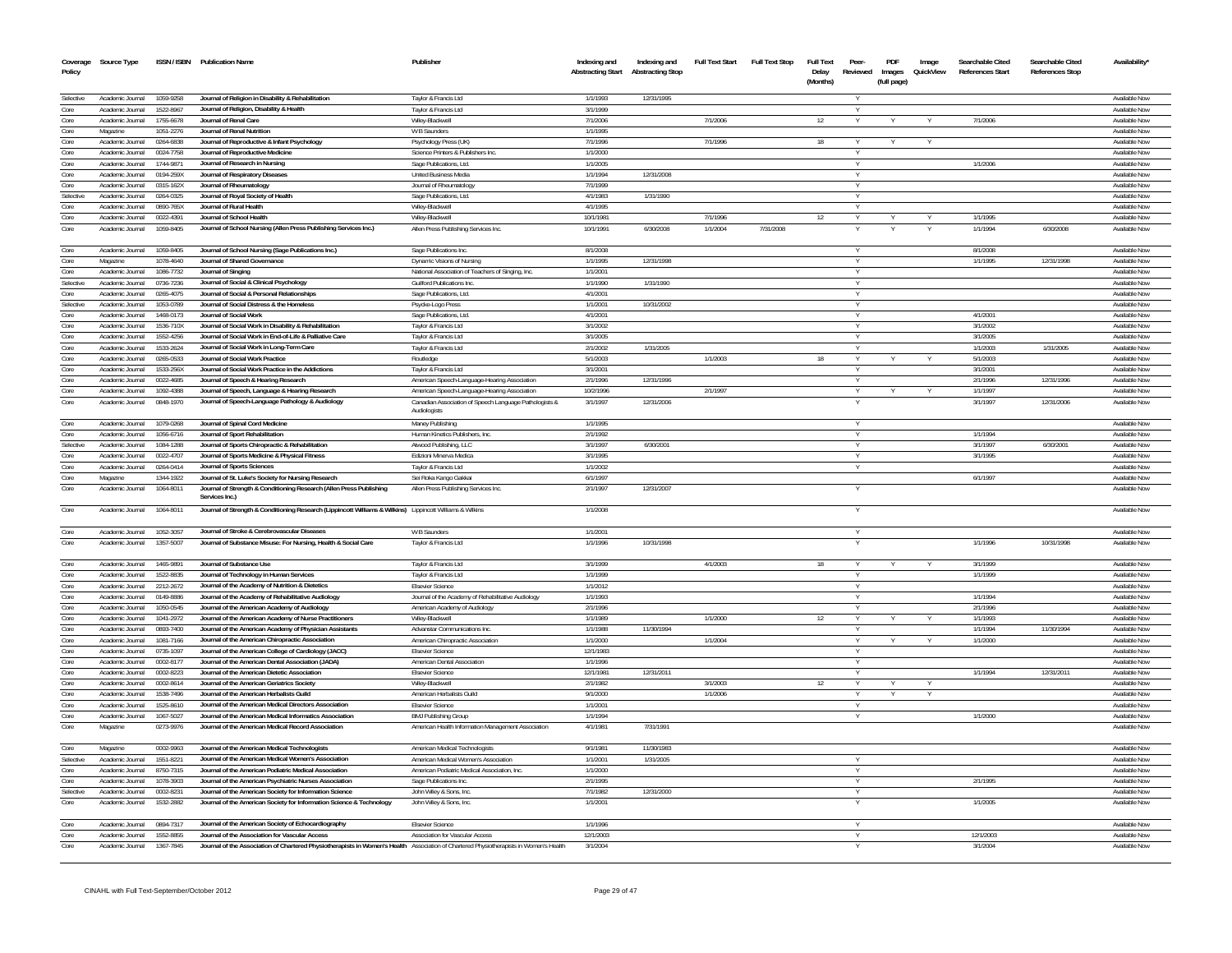| Coverage<br>Policy | Source Type                          |                        | ISSN / ISBN Publication Name                                                                                                                                                                       | Publisher                                                              | Indexing and<br><b>Abstracting Start</b> | Indexing and<br><b>Abstracting Stop</b> | <b>Full Text Start</b> | <b>Full Text Stop</b> | <b>Full Text</b><br>Delay<br>(Months) | Peer-<br>Reviewed | PDF<br>Images<br>(full page) | Image<br>QuickView | Searchable Cited<br>References Start | Searchable Cited<br><b>References Stop</b> | Availability'                  |
|--------------------|--------------------------------------|------------------------|----------------------------------------------------------------------------------------------------------------------------------------------------------------------------------------------------|------------------------------------------------------------------------|------------------------------------------|-----------------------------------------|------------------------|-----------------------|---------------------------------------|-------------------|------------------------------|--------------------|--------------------------------------|--------------------------------------------|--------------------------------|
| Selective          | Academic Journal                     | 1059-9258              | Journal of Religion in Disability & Rehabilitation                                                                                                                                                 | Taylor & Francis Ltd                                                   | 1/1/1993                                 | 12/31/1995                              |                        |                       |                                       |                   |                              |                    |                                      |                                            | Available Nov                  |
| Core               | Academic Journal                     | 1522-8967              | Journal of Religion, Disability & Health                                                                                                                                                           | Taylor & Francis Ltd                                                   | 3/1/1999                                 |                                         |                        |                       |                                       |                   |                              |                    |                                      |                                            | Available Nov                  |
| Core               | Academic Journal                     | 1755-6678              | Journal of Renal Care                                                                                                                                                                              | Wiley-Blackwel                                                         | 7/1/2006                                 |                                         | 7/1/2006               |                       | 12                                    |                   |                              |                    | 7/1/2006                             |                                            | Available Now                  |
| Core               | Magazine                             | 1051-2276              | Journal of Renal Nutrition                                                                                                                                                                         | W B Saunders                                                           | 1/1/1995                                 |                                         |                        |                       |                                       |                   |                              |                    |                                      |                                            | Available Now                  |
| Core               | Academic Journal                     | 0264-6838              | Journal of Reproductive & Infant Psychology                                                                                                                                                        | Psychology Press (UK)                                                  | 7/1/1996                                 |                                         | 7/1/1996               |                       | 18                                    |                   |                              |                    |                                      |                                            | Available Now                  |
| Core               | Academic Journal                     | 0024-7758              | Journal of Reproductive Medicine                                                                                                                                                                   | Science Printers & Publishers Inc.                                     | 1/1/2000                                 |                                         |                        |                       |                                       |                   |                              |                    |                                      |                                            | Available Nov                  |
| Core               | Academic Journal                     | 1744-987               | Journal of Research in Nursing                                                                                                                                                                     | Sage Publications, Ltd.                                                | 1/1/2005                                 |                                         |                        |                       |                                       |                   |                              |                    | 1/1/2006                             |                                            | Available Nov                  |
| Core               | Academic Journal                     | 0194-259X              | Journal of Respiratory Diseases                                                                                                                                                                    | <b>United Business Media</b>                                           | 1/1/1994                                 | 12/31/2008                              |                        |                       |                                       |                   |                              |                    |                                      |                                            | Available Now                  |
| Core               | Academic Inumal                      | 0315-162X              | Journal of Rheumatology                                                                                                                                                                            | Journal of Rheumatology                                                | 7/1/1999                                 |                                         |                        |                       |                                       |                   |                              |                    |                                      |                                            | Available Nov                  |
| Selective          | Academic Journal                     | 0264-0325              | Journal of Royal Society of Health                                                                                                                                                                 | Sage Publications, Ltd.                                                | 4/1/1983                                 | 1/31/1990                               |                        |                       |                                       |                   |                              |                    |                                      |                                            | Available Now                  |
| Core<br>Core       | Academic Inumal<br>Academic Journal  | 0890-765X<br>0022-4391 | Journal of Rural Health<br>Journal of School Health                                                                                                                                                | Wiley-Blackwel                                                         | 4/1/1995<br>10/1/1981                    |                                         | 7/1/1996               |                       | 12                                    |                   |                              |                    | 1/1/1995                             |                                            | Available Nov<br>Available Now |
| Core               | Academic Journal                     | 1059-8405              |                                                                                                                                                                                                    | Wilev-Blackwel                                                         | 10/1/1991                                | 6/30/2008                               | 1/1/2004               | 7/31/2008             |                                       |                   |                              |                    | 1/1/1994                             | 6/30/2008                                  | Available Nov                  |
| Core               | Academic Journal                     | 1059-8405              | Journal of School Nursing (Allen Press Publishing Services Inc.)<br>Journal of School Nursing (Sage Publications Inc.)                                                                             | Allen Press Publishing Services Inc.<br>Sage Publications Inc.         | 8/1/2008                                 |                                         |                        |                       |                                       |                   |                              |                    | 8/1/2008                             |                                            | Available Nov                  |
| Core               | Magazine                             | 1078-4640              | Journal of Shared Governance                                                                                                                                                                       | Dynamic Visions of Nursino                                             | 1/1/1995                                 | 12/31/1998                              |                        |                       |                                       |                   |                              |                    | 1/1/1995                             | 12/31/1998                                 | Available Nov                  |
| Core               | Academic Journa                      | 1086-7732              | Journal of Singing                                                                                                                                                                                 | National Association of Teachers of Singing, Inc                       | 1/1/2001                                 |                                         |                        |                       |                                       |                   |                              |                    |                                      |                                            | Available Nov                  |
| Selective          | Academic Journal                     | 0736-7236              | Journal of Social & Clinical Psychology                                                                                                                                                            | <b>Guilford Publications Inc</b>                                       | 1/1/1990                                 | 1/31/1990                               |                        |                       |                                       |                   |                              |                    |                                      |                                            | Available Nov                  |
| Core               | Academic Journal                     | 0265-4075              | Journal of Social & Personal Relationships                                                                                                                                                         | Sage Publications, Ltd.                                                | 4/1/2001                                 |                                         |                        |                       |                                       |                   |                              |                    |                                      |                                            | Available Nov                  |
| Selective          | Academic Journal                     | 1053-0789              | Journal of Social Distress & the Homeless                                                                                                                                                          | Psycke-Logo Press                                                      | 1/1/2001                                 | 10/31/2002                              |                        |                       |                                       |                   |                              |                    |                                      |                                            | Available Nov                  |
| Core               | Academic Journal                     | 1468-0173              | Journal of Social Worl                                                                                                                                                                             | Sage Publications, Ltd                                                 | 4/1/2001                                 |                                         |                        |                       |                                       |                   |                              |                    | 4/1/2001                             |                                            | Available Nov                  |
| Core               | Academic Journal                     | 1536-710X              | Journal of Social Work in Disability & Rehabilitation                                                                                                                                              | Taylor & Francis Ltd                                                   | 3/1/2002                                 |                                         |                        |                       |                                       |                   |                              |                    | 3/1/2002                             |                                            | Available Nov                  |
| Core               | Academic Journal                     | 1552-4256              | Journal of Social Work in End-of-Life & Palliative Care                                                                                                                                            | Taylor & Francis Ltd                                                   | 3/1/2005                                 |                                         |                        |                       |                                       |                   |                              |                    | 3/1/2005                             |                                            | Available Nov                  |
| Core               | Academic Journal                     | 1533-2624              | Journal of Social Work in Long-Term Care                                                                                                                                                           | Taylor & Francis Ltd                                                   | 2/1/2002                                 | 1/31/2005                               |                        |                       |                                       |                   |                              |                    | 1/1/2003                             | 1/31/2005                                  | Available Nov                  |
| Core               | Academic Journal                     | 0265-0533              | Journal of Social Work Practice                                                                                                                                                                    | Routledge                                                              | 5/1/2003                                 |                                         | 1/1/2003               |                       | 18                                    |                   |                              |                    | 5/1/2003                             |                                            | Available Now                  |
| Core               | Academic Journal                     | 1533-256X              | Journal of Social Work Practice in the Addictions                                                                                                                                                  | Taylor & Francis Ltd                                                   | 3/1/2001                                 |                                         |                        |                       |                                       |                   |                              |                    | 3/1/2001                             |                                            | Available Nov                  |
| Core               | Academic Journal                     | 0022-4685              | Journal of Speech & Hearing Research                                                                                                                                                               | American Speech-Language-Hearing Association                           | 2/1/1996                                 | 12/31/1996                              |                        |                       |                                       |                   |                              |                    | 2/1/1996                             | 12/31/1996                                 | Available Nov                  |
| Core               | Academic Journal                     | 1092-4388              | Journal of Speech, Language & Hearing Research                                                                                                                                                     | American Speech-Language-Hearing Association                           | 10/2/1996                                |                                         | 2/1/1997               |                       |                                       | Y                 | Y                            | Y                  | 1/1/1997                             |                                            | Available Now                  |
| Core               | Academic Journal                     | 0848-1970              | Journal of Speech-Language Pathology & Audiology                                                                                                                                                   | Canadian Association of Speech Language Pathologists &<br>Audiologists | 3/1/1997                                 | 12/31/2006                              |                        |                       |                                       |                   |                              |                    | 3/1/1997                             | 12/31/2006                                 | Available Nov                  |
| Core               | Academic Journal                     | 1079-0268              | Journal of Spinal Cord Medicine                                                                                                                                                                    | Maney Publishing                                                       | 1/1/1995                                 |                                         |                        |                       |                                       | Y                 |                              |                    |                                      |                                            | Available Now                  |
| Core               | Academic Journal                     | 1056-6716              | Journal of Sport Rehabilitation                                                                                                                                                                    | Human Kinetics Publishers, Inc.                                        | 2/1/1992                                 |                                         |                        |                       |                                       |                   |                              |                    | 1/1/1994                             |                                            | Available Nov                  |
| Selective          | Academic Journal                     | 1084-1288              | Journal of Sports Chiropractic & Rehabilitation                                                                                                                                                    | Atwood Publishing, LLC                                                 | 3/1/1997                                 | 6/30/2001                               |                        |                       |                                       | Y                 |                              |                    | 3/1/1997                             | 6/30/2001                                  | Available Nov                  |
| Core               | Academic Journal                     | 0022-4707              | Journal of Sports Medicine & Physical Fitness                                                                                                                                                      | <b>Edizioni Minerva Medica</b>                                         | 3/1/1995                                 |                                         |                        |                       |                                       | Y                 |                              |                    | 3/1/1995                             |                                            | Available Nov                  |
| Core               | Academic Journal                     | 0264-0414              | <b>Journal of Sports Sciences</b>                                                                                                                                                                  | Taylor & Francis Ltd                                                   | 1/1/2002                                 |                                         |                        |                       |                                       | Y                 |                              |                    |                                      |                                            | Available Nov                  |
| Core<br>Core       | Magazine                             | 1344-1922              | Journal of St. Luke's Society for Nursing Research                                                                                                                                                 | Sei Roka Kango Gakkai                                                  | 6/1/1997<br>2/1/1997                     | 12/31/2007                              |                        |                       |                                       |                   |                              |                    | 6/1/1997                             |                                            | Available Nov<br>Available Nov |
| Core               | Academic Journal<br>Academic Journal | 1064-8011<br>1064-8011 | Journal of Strength & Conditioning Research (Allen Press Publishing<br>Services Inc.)<br>Journal of Strength & Conditioning Research (Lippincott Williams & Wilkins) Lippincott Williams & Wilkins | Allen Press Publishing Services Inc.                                   | 1/1/2008                                 |                                         |                        |                       |                                       |                   |                              |                    |                                      |                                            | Available Nov                  |
| Core               | Academic Journal                     | 1052-3057              | Journal of Stroke & Cerebrovascular Diseases                                                                                                                                                       | W B Saunders                                                           | 1/1/2001                                 |                                         |                        |                       |                                       |                   |                              |                    |                                      |                                            | Available Now                  |
| Core               | Academic Journal                     | 1357-5007              | Journal of Substance Misuse: For Nursing, Health & Social Care                                                                                                                                     | Taylor & Francis Ltd                                                   | 1/1/1996                                 | 10/31/1998                              |                        |                       |                                       | V                 |                              |                    | 1/1/1996                             | 10/31/1998                                 | Available Nov                  |
| Core               | Academic Journal                     | 1465-9891              | Journal of Substance Use                                                                                                                                                                           | Taylor & Francis Ltd                                                   | 3/1/1999                                 |                                         | 4/1/2003               |                       | 18                                    |                   |                              |                    | 3/1/1999                             |                                            | Available Nov                  |
| Core               | Academic Journal                     | 1522-8835              | Journal of Technology in Human Services                                                                                                                                                            | Taylor & Francis Ltd                                                   | 1/1/1999                                 |                                         |                        |                       |                                       | $\vee$            |                              |                    | 1/1/1999                             |                                            | Available Nov                  |
| Core               | Academic Journal                     | 2212-2672              | Journal of the Academy of Nutrition & Dietetics                                                                                                                                                    | <b>Elsevier Science</b>                                                | 1/1/2012                                 |                                         |                        |                       |                                       | $\vee$            |                              |                    |                                      |                                            | Available Nov                  |
| Core               | Academic Journal                     | 0149-8886              | Journal of the Academy of Rehabilitative Audiology                                                                                                                                                 | Journal of the Academy of Rehabilitative Audiology                     | 1/1/1993                                 |                                         |                        |                       |                                       |                   |                              |                    | 1/1/1994                             |                                            | Available Nov                  |
| Core               | Academic Journal                     | 1050-0545              | Journal of the American Academy of Audiology                                                                                                                                                       | American Academy of Audiology                                          | 2/1/1996                                 |                                         |                        |                       |                                       |                   |                              |                    | 2/1/1996                             |                                            | Available Nov                  |
| Core               | Academic Journal                     | 1041-2972              | Journal of the American Academy of Nurse Practitioners                                                                                                                                             | Wilev-Blackwel                                                         | 1/1/1989                                 |                                         | 1/1/2000               |                       | 12                                    |                   |                              |                    | 1/1/1993                             |                                            | Available Nov                  |
| Core               | Academic Journal                     | 0893-7400              | Journal of the American Academy of Physician Assistants                                                                                                                                            | Advanstar Communications Inc.                                          | 1/1/1988                                 | 11/30/1994                              |                        |                       |                                       |                   |                              |                    | 1/1/1994                             | 11/30/1994                                 | Available Now                  |
| Core               | Academic Journal                     | 1081-7166              | Journal of the American Chiropractic Association                                                                                                                                                   | American Chiropractic Association                                      | 1/1/2000                                 |                                         | 1/1/2004               |                       |                                       |                   |                              |                    | 1/1/2000                             |                                            | Available Nov                  |
| Core<br>Core       | Academic Journal<br>Academic Journal | 0735-1097<br>0002-8177 | Journal of the American College of Cardiology (JACC)<br>Journal of the American Dental Association (JADA)                                                                                          | <b>Elsevier Science</b><br>American Dental Association                 | 12/1/1983<br>1/1/1996                    |                                         |                        |                       |                                       |                   |                              |                    |                                      |                                            | Available Nov<br>Available Nov |
| Core               | Academic Journal                     | 0002-8223              | Journal of the American Dietetic Association                                                                                                                                                       | <b>Elsevier Science</b>                                                | 12/1/1981                                | 12/31/2011                              |                        |                       |                                       | Y                 |                              |                    | 1/1/1994                             | 12/31/2011                                 | Available Nov                  |
| Core               | Academic Journal                     | 0002-8614              | Journal of the American Geriatrics Society                                                                                                                                                         | Wiley-Blackwell                                                        | 2/1/1982                                 |                                         | 3/1/2003               |                       | 12                                    |                   |                              |                    |                                      |                                            | Available Nov                  |
| Core               | Academic Journal                     | 1538-7496              | Journal of the American Herbalists Guild                                                                                                                                                           | American Herbalists Guild                                              | 9/1/2000                                 |                                         | 1/1/2006               |                       |                                       |                   |                              |                    |                                      |                                            | Available Nov                  |
| Core               | Academic Journal                     | 1525-8610              | Journal of the American Medical Directors Association                                                                                                                                              | <b>Elsevier Science</b>                                                | 1/1/2001                                 |                                         |                        |                       |                                       |                   |                              |                    |                                      |                                            | Available Nov                  |
| Core               | Academic Journal                     | 1067-5027              | Journal of the American Medical Informatics Association                                                                                                                                            | <b>BMJ Publishing Group</b>                                            | 1/1/1994                                 |                                         |                        |                       |                                       | $\vee$            |                              |                    | 1/1/2000                             |                                            | Available Nov                  |
| Core               | Magazine                             | 0273-9976              | Journal of the American Medical Record Association                                                                                                                                                 | American Health Information Management Association                     | 4/1/1981                                 | 7/31/1991                               |                        |                       |                                       |                   |                              |                    |                                      |                                            | Available Nov                  |
| Core               | Magazine                             | 0002-9963              | Journal of the American Medical Technologists                                                                                                                                                      | American Medical Technologists                                         | 9/1/1981                                 | 11/30/1983                              |                        |                       |                                       |                   |                              |                    |                                      |                                            | Available Nov                  |
| Selective          | Academic Journal                     | 1551-8221              | Journal of the American Medical Women's Association                                                                                                                                                | American Medical Women's Association                                   | 1/1/2001                                 | 1/31/2005                               |                        |                       |                                       | <b>V</b>          |                              |                    |                                      |                                            | Available Now                  |
| Core               | Academic Journal                     | 8750-7315              | Journal of the American Podiatric Medical Association                                                                                                                                              | American Podiatric Medical Association, Inc.                           | 1/1/2000                                 |                                         |                        |                       |                                       |                   |                              |                    |                                      |                                            | Available Now                  |
| Core               | Academic Journal                     | 1078-3903              | Journal of the American Psychiatric Nurses Association                                                                                                                                             | Sage Publications Inc.                                                 | 2/1/1995                                 |                                         |                        |                       |                                       | Y                 |                              |                    | 2/1/1995                             |                                            | Available Now                  |
| Selective          | Academic Inurnal                     | 0002-8231              | Journal of the American Society for Information Science                                                                                                                                            | John Wiley & Sons, Inc.                                                | 7/1/1982                                 | 12/31/2000                              |                        |                       |                                       |                   |                              |                    |                                      |                                            | Available Now                  |
| Core               | Academic Journal                     | 1532-2882              | Journal of the American Society for Information Science & Technology                                                                                                                               | John Wiley & Sons, Inc.                                                | 1/1/2001                                 |                                         |                        |                       |                                       |                   |                              |                    | 1/1/2005                             |                                            | Available Nov                  |
| Core               | Academic Journal                     | 0894-7317              | Journal of the American Society of Echocardiography                                                                                                                                                | <b>Elsevier Science</b>                                                | 1/1/1996                                 |                                         |                        |                       |                                       |                   |                              |                    |                                      |                                            | Available Nov                  |
| Core               | Academic Journal                     | 1552-8855              | Journal of the Association for Vascular Access                                                                                                                                                     | Association for Vascular Access                                        | 12/1/2003                                |                                         |                        |                       |                                       |                   |                              |                    | 12/1/2003                            |                                            | Available Nov                  |
| Core               | Academic Journal                     | 1367-7845              | Journal of the Association of Chartered Physiotherapists in Women's Health Association of Chartered Physiotherapists in Women's Health                                                             |                                                                        | 3/1/2004                                 |                                         |                        |                       |                                       |                   |                              |                    | 3/1/2004                             |                                            | Available Now                  |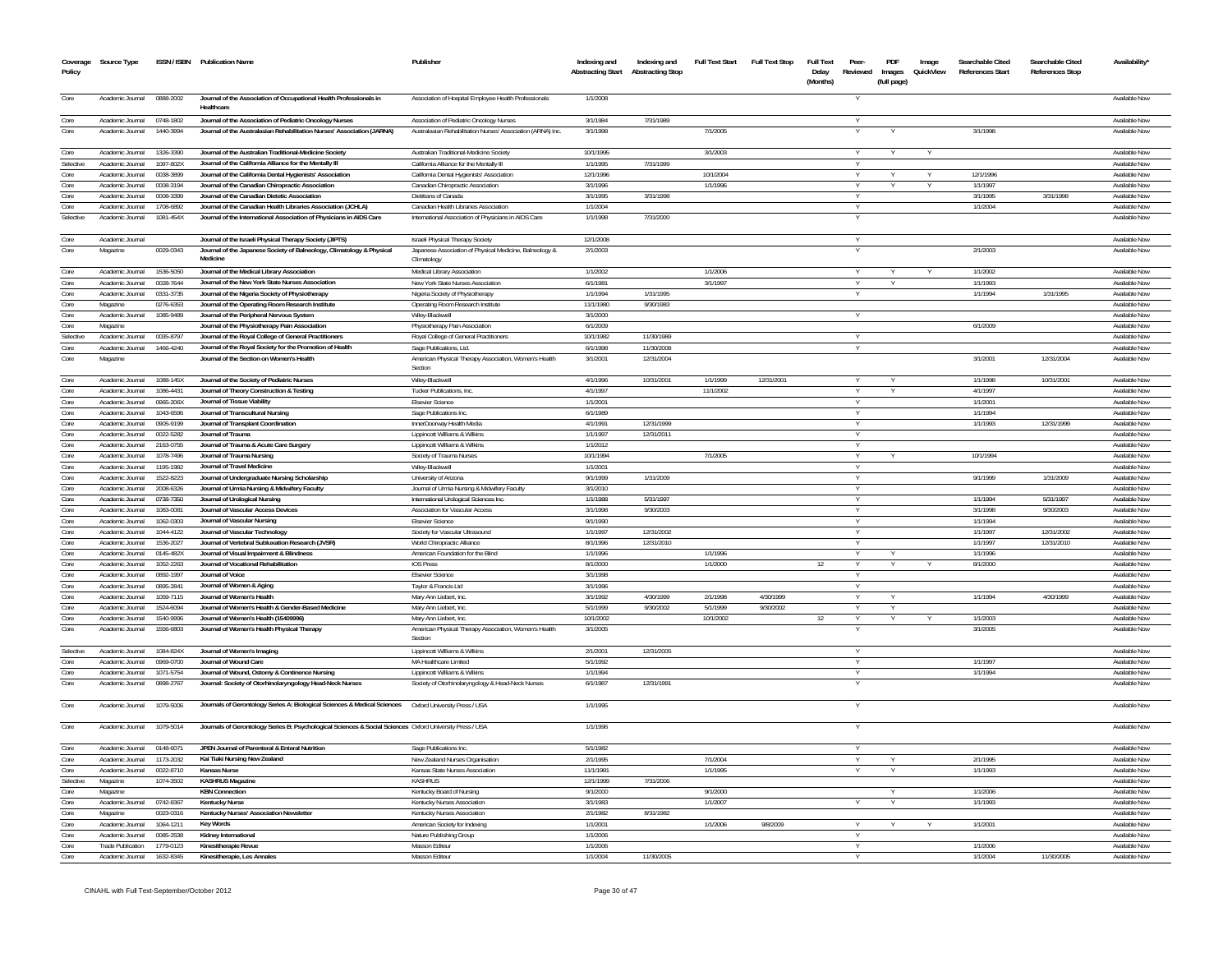| Coverage<br>Policy | Source Type                          |                        | ISSN / ISBN Publication Name                                                                                      | Publisher                                                              | Indexing and<br><b>Abstracting Start</b> | Indexing and<br><b>Abstracting Stop</b> | <b>Full Text Start</b> | <b>Full Text Stop</b> | <b>Full Text</b><br>Delay<br>(Months) | Peer-<br>Reviewed | PDF<br>Images<br>(full page) | Image<br>QuickView | Searchable Cited<br><b>References Start</b> | Searchable Cited<br><b>References Stop</b> | Availability*                  |
|--------------------|--------------------------------------|------------------------|-------------------------------------------------------------------------------------------------------------------|------------------------------------------------------------------------|------------------------------------------|-----------------------------------------|------------------------|-----------------------|---------------------------------------|-------------------|------------------------------|--------------------|---------------------------------------------|--------------------------------------------|--------------------------------|
| Core               | Academic Journal                     | 0888-2002              | Journal of the Association of Occupational Health Professionals in<br>Healthcare                                  | Association of Hospital Employee Health Professionals                  | 1/1/2008                                 |                                         |                        |                       |                                       |                   |                              |                    |                                             |                                            | Available Now                  |
| Core               | Academic Journal                     | 0748-1802              | Journal of the Association of Pediatric Oncology Nurses                                                           | Association of Pediatric Oncology Nurses                               | 3/1/1984                                 | 7/31/1989                               |                        |                       |                                       |                   |                              |                    |                                             |                                            | Available Now                  |
| Core               | Academic Journal                     | 1440-3994              | Journal of the Australasian Rehabilitation Nurses' Association (JARNA)                                            | Australasian Rehabilitation Nurses' Association (ARNA) Inc.            | 3/1/1998                                 |                                         | 7/1/2005               |                       |                                       |                   |                              |                    | 3/1/1998                                    |                                            | Available Now                  |
| Core               | Academic Journal                     | 1326-3390              | Journal of the Australian Traditional-Medicine Society                                                            | Australian Traditional-Medicine Society                                | 10/1/1995                                |                                         | 3/1/2003               |                       |                                       | Y                 | Y                            |                    |                                             |                                            | Available Now                  |
| Selective          | Academic Journal                     | 1097-802X              | Journal of the California Alliance for the Mentally III                                                           | California Alliance for the Mentally III                               | 1/1/1995                                 | 7/31/1999                               |                        |                       |                                       |                   |                              |                    |                                             |                                            | Available Nov                  |
| Core               | Academic Journal                     | 0038-3899              | Journal of the California Dental Hygienists' Association                                                          | California Dental Hygienists' Association                              | 12/1/1996                                |                                         | 10/1/2004              |                       |                                       | Y                 |                              |                    | 12/1/1996                                   |                                            | Available Now                  |
| Core               | Academic Journal                     | 0008-3194              | Journal of the Canadian Chiropractic Association                                                                  | Canadian Chiropractic Association                                      | 3/1/1996                                 |                                         | 1/1/1996               |                       |                                       | Y                 |                              |                    | 1/1/1997                                    |                                            | Available Now                  |
| Core               | Academic Journal                     | 0008-3399              | Journal of the Canadian Dietetic Association                                                                      | Dietitians of Canada                                                   | 3/1/1995                                 | 3/31/1998                               |                        |                       |                                       | Y                 |                              |                    | 3/1/1995                                    | 3/31/1998                                  | Available Now                  |
| Core               | Academic Journal                     | 1708-6892              | Journal of the Canadian Health Libraries Association (JCHLA)                                                      | Canadian Health Libraries Association                                  | 1/1/2004                                 |                                         |                        |                       |                                       |                   |                              |                    | 1/1/2004                                    |                                            | Available Now                  |
| Selective          | Academic Journal                     | 1081-454X              | Journal of the International Association of Physicians in AIDS Care                                               | International Association of Physicians in AIDS Care                   | 1/1/1998                                 | 7/31/2000                               |                        |                       |                                       |                   |                              |                    |                                             |                                            | Available Now                  |
| Core               | Academic Journal                     |                        | Journal of the Israeli Physical Therapy Society (JIPTS)                                                           | <b>Israeli Physical Therapy Society</b>                                | 12/1/2008                                |                                         |                        |                       |                                       |                   |                              |                    |                                             |                                            | Available Now                  |
| Core               | Magazine                             | 0029-0343              | Journal of the Japanese Society of Balneology, Climatology & Physical<br>Medicine                                 | Japanese Association of Physical Medicine, Balneology &<br>Climatology | 2/1/2003                                 |                                         |                        |                       |                                       |                   |                              |                    | 2/1/2003                                    |                                            | Available Nov                  |
| Core               | Academic Inumal                      | 1536-5050              | Journal of the Medical Library Association                                                                        | Medical Library Association                                            | 1/1/2002                                 |                                         | 1/1/2006               |                       |                                       | $\vee$            | $\vee$                       | $\checkmark$       | 1/1/2002                                    |                                            | Available Now                  |
| Core               | Academic Journal                     | 0028-7644              | Journal of the New York State Nurses Association                                                                  | New York State Nurses Association                                      | 6/1/1981                                 |                                         | 3/1/1997               |                       |                                       |                   |                              |                    | 1/1/1993                                    |                                            | Available Now                  |
| Core               | Academic Journal                     | 0331-3735              | Journal of the Nigeria Society of Physiotherapy                                                                   | Nigeria Society of Physiotherapy                                       | 1/1/1994                                 | 1/31/1995                               |                        |                       |                                       |                   |                              |                    | 1/1/1994                                    | 1/31/1995                                  | Available Now                  |
| Core               | Magazine                             | 0276-6353              | Journal of the Operating Room Research Institute                                                                  | Operating Room Research Institute                                      | 11/1/1980                                | 9/30/1983                               |                        |                       |                                       |                   |                              |                    |                                             |                                            | Available Now<br>Available Now |
| Core<br>Core       | Academic Journal                     | 1085-9489              | Journal of the Peripheral Nervous System                                                                          | Wilev-Blackwell                                                        | 3/1/2000                                 |                                         |                        |                       |                                       |                   |                              |                    |                                             |                                            |                                |
| Selective          | Magazine<br>Academic Journal         | 0035-8797              | Journal of the Physiotherapy Pain Association                                                                     | Physiotherapy Pain Association                                         | 6/1/2009<br>10/1/1982                    | 11/30/1989                              |                        |                       |                                       |                   |                              |                    | 6/1/2009                                    |                                            | Available Nov<br>Available Nov |
| Core               | Academic Journal                     | 1466-4240              | Journal of the Royal College of General Practitioners<br>Journal of the Royal Society for the Promotion of Health | Royal College of General Practitioners<br>Sage Publications, Ltd.      | 6/1/1998                                 | 11/30/2008                              |                        |                       |                                       |                   |                              |                    |                                             |                                            | Available Nov                  |
| Core               | Magazine                             |                        | Journal of the Section on Women's Health                                                                          | American Physical Therapy Association, Women's Health<br>Section       | 3/1/2001                                 | 12/31/2004                              |                        |                       |                                       |                   |                              |                    | 3/1/2001                                    | 12/31/2004                                 | Available Nov                  |
| Core               | Academic Journal                     | 1088-145X              | Journal of the Society of Pediatric Nurses                                                                        | Wilev-Blackwell                                                        | 4/1/1996                                 | 10/31/2001                              | 1/1/1999               | 12/31/2001            |                                       |                   |                              |                    | 1/1/1998                                    | 10/31/2001                                 | Available Now                  |
| Core               | Academic Journal                     | 1086-4431              | Journal of Theory Construction & Testing                                                                          | Tucker Publications, Inc.                                              | 4/1/1997                                 |                                         | 11/1/2002              |                       |                                       |                   |                              |                    | 4/1/1997                                    |                                            | Available Nov                  |
| Core               | Academic Journal                     | 0965-206X              | Journal of Tissue Viability                                                                                       | <b>Elsevier Scienc</b>                                                 | 1/1/2001                                 |                                         |                        |                       |                                       |                   |                              |                    | 1/1/2001                                    |                                            | Available Nov                  |
| Core               | Academic Journal                     | 1043-6596              | Journal of Transcultural Nursing                                                                                  | Sage Publications Inc                                                  | 6/1/1989                                 |                                         |                        |                       |                                       |                   |                              |                    | 1/1/1994                                    |                                            | Available Nov                  |
| Core               | Academic Journal                     | 0905-9199              | Journal of Transplant Coordination                                                                                | InnerDoorway Health Media                                              | 4/1/1991                                 | 12/31/1999                              |                        |                       |                                       |                   |                              |                    | 1/1/1993                                    | 12/31/1999                                 | Available Nov                  |
| Core               | Academic Journal                     | 0022-5282              | Journal of Trauma                                                                                                 | Lippincott Williams & Wilkins                                          | 1/1/1997                                 | 12/31/2011                              |                        |                       |                                       |                   |                              |                    |                                             |                                            | Available Nov                  |
| Core               | Academic Journal                     | 2163-0755              | Journal of Trauma & Acute Care Surgery                                                                            | Lippincott Williams & Wilkins                                          | 1/1/2012                                 |                                         |                        |                       |                                       |                   |                              |                    |                                             |                                            | Available Nov                  |
| Core               | Academic Journal                     | 1078-7496              | Journal of Trauma Nursing                                                                                         | Society of Trauma Nurses                                               | 10/1/1994                                |                                         | 7/1/2005               |                       |                                       |                   |                              |                    | 10/1/1994                                   |                                            | Available Now                  |
| Core               | Academic Journal                     | 1195-1982              | Journal of Travel Medicine                                                                                        | Wiley-Blackwell                                                        | 1/1/200                                  |                                         |                        |                       |                                       |                   |                              |                    |                                             |                                            | Available Nov                  |
| Core               | Academic Journal                     | 1522-8223              | Journal of Undergraduate Nursing Scholarship                                                                      | University of Arizona                                                  | 9/1/1999                                 | 1/31/2009                               |                        |                       |                                       |                   |                              |                    | 9/1/1999                                    | 1/31/2009                                  | Available Now                  |
| Core               | Academic Journal                     | 2008-6326              | Journal of Urmia Nursing & Midwifery Faculty                                                                      | Journal of Urmia Nursing & Midwifery Faculty                           | 3/1/2010                                 |                                         |                        |                       |                                       |                   |                              |                    |                                             |                                            | Available Nov                  |
| Core               | Academic Journal                     | 0738-7350              | Journal of Urological Nursing                                                                                     | International Urological Sciences Inc                                  | 1/1/1988                                 | 5/31/1997                               |                        |                       |                                       | Y                 |                              |                    | 1/1/1994                                    | 5/31/1997                                  | Available Now                  |
| Core               | Academic Journa                      | 083-0081               | Journal of Vascular Access Devices                                                                                | Association for Vascular Access                                        | 3/1/1998                                 | 9/30/2003                               |                        |                       |                                       |                   |                              |                    | 3/1/199                                     | 9/30/2003                                  | Available Nov                  |
| Core               | Academic Journal                     | 1062-0303              | Journal of Vascular Nursing                                                                                       | <b>Elsevier Science</b>                                                | 9/1/1990                                 |                                         |                        |                       |                                       |                   |                              |                    | 1/1/1994                                    |                                            | Available Now                  |
| Core               | Academic Journal                     | 1044-4122              | Journal of Vascular Technology                                                                                    | Society for Vascular Ultrasound                                        | 1/1/1997                                 | 12/31/2002                              |                        |                       |                                       | $\overline{Y}$    |                              |                    | 1/1/1997                                    | 12/31/2002                                 | Available Now                  |
| Core               | Academic Journal                     | 1536-2027              | Journal of Vertebral Subluxation Research (JVSR)                                                                  | World Chiropractic Alliance                                            | 8/1/1996                                 | 12/31/2010                              |                        |                       |                                       |                   |                              |                    | 1/1/1997                                    | 12/31/2010                                 | Available Now                  |
| Core               | Academic Journal                     | 0145-482X              | Journal of Visual Impairment & Blindness                                                                          | American Foundation for the Blind                                      | 1/1/1996                                 |                                         | 1/1/1996               |                       |                                       |                   |                              |                    | 1/1/1996                                    |                                            | Available Now                  |
| Core               | Academic Journal<br>Academic Journal | 1052-2263<br>0892-1997 | Journal of Vocational Rehabilitation<br>Journal of Voice                                                          | <b>IOS Press</b><br><b>Elsevier Science</b>                            | 8/1/2000<br>3/1/1998                     |                                         | 1/1/2000               |                       | 12                                    |                   |                              |                    | 8/1/2000                                    |                                            | Available Now<br>Available Now |
| Core<br>Core       | Academic Journal                     | 0895-2841              | Journal of Women & Aging                                                                                          | Taylor & Francis Ltd                                                   | 3/1/1996                                 |                                         |                        |                       |                                       | Y<br>Y            |                              |                    |                                             |                                            | Available Now                  |
| Core               | Academic Journal                     | 1059-7115              | Journal of Women's Health                                                                                         | Mary Ann Liebert, Inc.                                                 | 3/1/1992                                 | 4/30/1999                               | 2/1/1998               | 4/30/1999             |                                       | Y                 |                              |                    | 1/1/1994                                    | 4/30/1999                                  | Available Now                  |
| Core               | Academic Journal                     | 1524-6094              | Journal of Women's Health & Gender-Based Medicine                                                                 | Mary Ann Liebert, Inc.                                                 | 5/1/1999                                 | 9/30/2002                               | 5/1/1999               | 9/30/2002             |                                       |                   |                              |                    |                                             |                                            | Available Now                  |
| Core               | Academic Journal                     | 1540-9996              | Journal of Women's Health (15409996)                                                                              | Mary Ann Liebert, Inc.                                                 | 10/1/2002                                |                                         | 10/1/2002              |                       | 12                                    | v                 |                              |                    | 1/1/2003                                    |                                            | Available Now                  |
| Core               | Academic Journal                     | 1556-6803              | Journal of Women's Health Physical Therapy                                                                        | American Physical Therapy Association, Women's Health<br>Section       | 3/1/2005                                 |                                         |                        |                       |                                       |                   |                              |                    | 3/1/2005                                    |                                            | Available Now                  |
| Selective          | Academic Journal                     | 1084-824X              | Journal of Women's Imaging                                                                                        | Lippincott Williams & Wilkins                                          | 2/1/2001                                 | 12/31/2005                              |                        |                       |                                       |                   |                              |                    |                                             |                                            | Available Now                  |
| Core               | Academic Journal                     | 0969-0700              | Journal of Wound Care                                                                                             | MA Healthcare Limited                                                  | 5/1/1992                                 |                                         |                        |                       |                                       |                   |                              |                    | 1/1/1997                                    |                                            | Available Now                  |
| Core               | Academic Journal                     | 1071-5754              | Journal of Wound, Ostomy & Continence Nursing                                                                     | Lippincott Williams & Wilkins                                          | 1/1/1994                                 |                                         |                        |                       |                                       |                   |                              |                    | 1/1/1994                                    |                                            | Available Now                  |
| Core               | Academic Journal                     | 0898-2767              | Journal: Society of Otorhinolaryngology Head-Neck Nurses                                                          | Society of Otorhinolaryngology & Head-Neck Nurses                      | 6/1/1987                                 | 12/31/1991                              |                        |                       |                                       |                   |                              |                    |                                             |                                            | Available Nov                  |
| Core               | Academic Journal                     | 1079-5006              | Journals of Gerontology Series A: Biological Sciences & Medical Sciences  Oxford University Press / USA           |                                                                        | 1/1/1995                                 |                                         |                        |                       |                                       |                   |                              |                    |                                             |                                            | Available Nov                  |
| Core               | Academic Journal                     | 1079-5014              | Journals of Gerontology Series B: Psychological Sciences & Social Sciences Oxford University Press / USA          |                                                                        | 1/1/1996                                 |                                         |                        |                       |                                       |                   |                              |                    |                                             |                                            | Available Now                  |
| Core               | Academic Journal                     | 0148-6071              | JPEN Journal of Parenteral & Enteral Nutrition                                                                    | Sage Publications Inc.                                                 | 5/1/1982                                 |                                         |                        |                       |                                       | v                 |                              |                    |                                             |                                            | Available Now                  |
| Core               | Academic Journal                     | 1173.2032              | Kai Tiaki Nursing New Zealand                                                                                     | New Zealand Nurses Organisation                                        | 2/1/1995                                 |                                         | 7/1/2004               |                       |                                       |                   |                              |                    | 2/1/1995                                    |                                            | Available Now                  |
| Core               | Academic Journal                     | 0022-8710              | Kansas Nurse                                                                                                      | Kansas State Nurses Association                                        | 11/1/1981                                |                                         | 1/1/1995               |                       |                                       |                   |                              |                    | 1/1/1993                                    |                                            | Available Now                  |
| Selective          | Magazine                             | 1074-3502              | <b>KASHRUS Magazine</b>                                                                                           | KASHRIIS                                                               | 12/1/1999                                | 7/31/2006                               |                        |                       |                                       |                   |                              |                    |                                             |                                            | Available Now                  |
| Core               | Magazine                             |                        | <b>KBN Connection</b>                                                                                             | Kentucky Board of Nursing                                              | 9/1/2000                                 |                                         | 9/1/2000               |                       |                                       |                   |                              |                    | 1/1/2006                                    |                                            | Available Now                  |
| Core               | Academic Journal                     | 0742-8367              | <b>Kentucky Nurse</b>                                                                                             | Kentucky Nurses Association                                            | 3/1/1983                                 |                                         | 1/1/2007               |                       |                                       |                   |                              |                    | 1/1/1993                                    |                                            | Available Now                  |
| Core               | Magazine                             | 0023-0316              | Kentucky Nurses' Association Newsletter                                                                           | Kentucky Nurses Association                                            | 2/1/1982                                 | 8/31/1982                               |                        |                       |                                       |                   |                              |                    |                                             |                                            | Available Now                  |
| Core               | Academic Journal                     | 1064-1211              | <b>Key Words</b>                                                                                                  | American Society for Indexing                                          | 1/1/2001                                 |                                         | 1/1/2006               | 9/8/2009              |                                       |                   |                              |                    | 1/1/2001                                    |                                            | Available Now                  |
| Core               | Academic Journal                     | 0085-2538              | Kidney International                                                                                              | Nature Publishing Group                                                | 1/1/2006                                 |                                         |                        |                       |                                       |                   |                              |                    |                                             |                                            | Available Now                  |
| Core               | <b>Trade Publication</b>             | 1779-0123              | Kinesitherapie Revue                                                                                              | Masson Editeur                                                         | 1/1/2006                                 |                                         |                        |                       |                                       |                   |                              |                    | 1/1/2006                                    |                                            | Available Now                  |
| Core               | Academic Journal                     | 1632-8345              | Kinesitherapie, Les Annales                                                                                       | Masson Editeur                                                         | 1/1/2004                                 | 11/30/2005                              |                        |                       |                                       |                   |                              |                    | 1/1/2004                                    | 11/30/2005                                 | Available Now                  |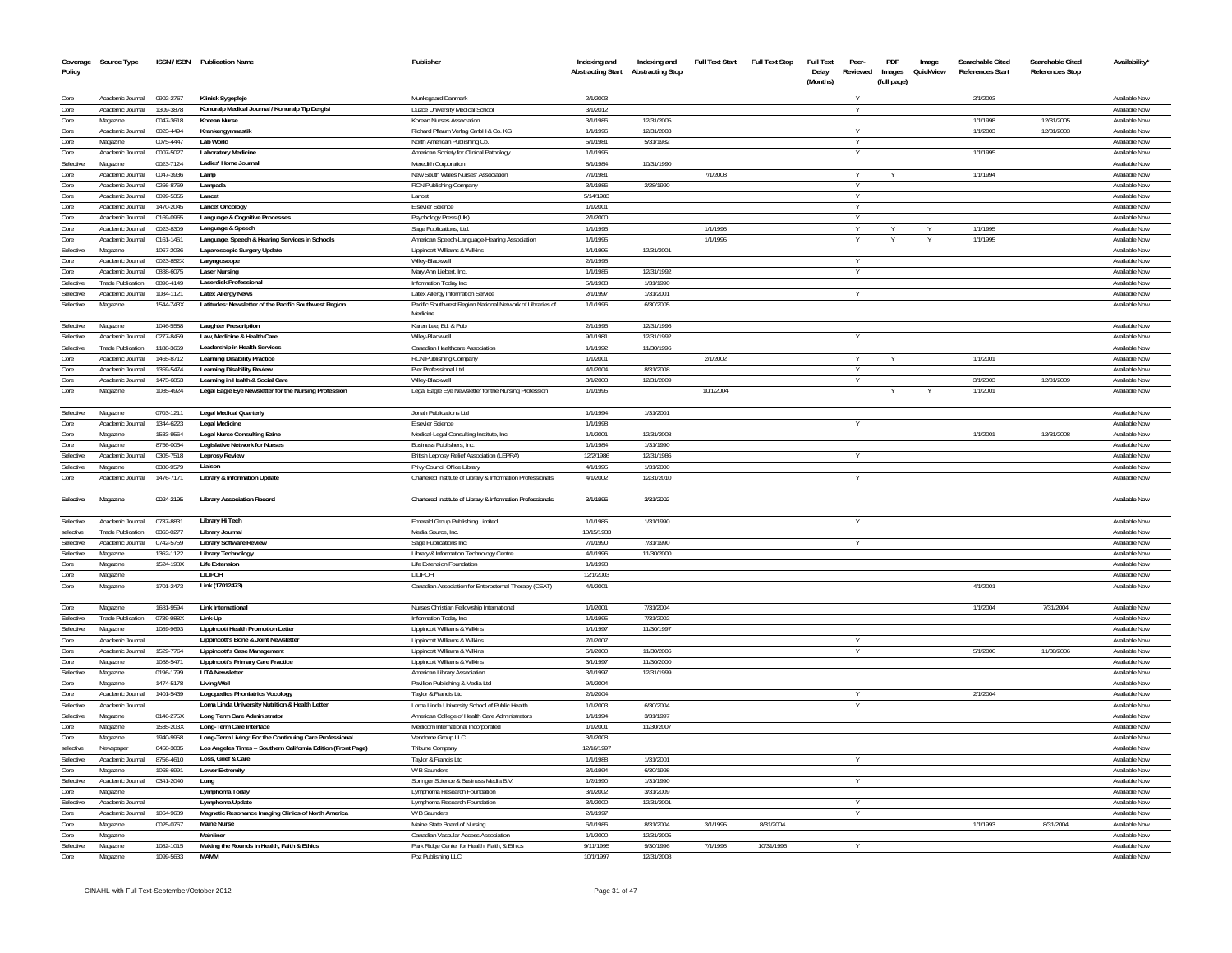| Coverage<br>Policy | Source Type                                  |                        | ISSN / ISBN Publication Name                                         | Publisher                                                                            | Indexing and<br><b>Abstracting Start</b> | Indexing and<br><b>Abstracting Stop</b> | <b>Full Text Start</b> | <b>Full Text Stop</b> | <b>Full Text</b><br>Delay<br>(Months) | Peer-<br>Reviewed | PDF<br>Images<br>(full page) | Image<br>QuickView | Searchable Cited<br><b>References Start</b> | Searchable Cited<br><b>References Stop</b> | Availability'                  |
|--------------------|----------------------------------------------|------------------------|----------------------------------------------------------------------|--------------------------------------------------------------------------------------|------------------------------------------|-----------------------------------------|------------------------|-----------------------|---------------------------------------|-------------------|------------------------------|--------------------|---------------------------------------------|--------------------------------------------|--------------------------------|
| Core               | Academic Journal                             | 0902-2767              | Klinisk Sygepleje                                                    | Munksgaard Danmark                                                                   | 2/1/2003                                 |                                         |                        |                       |                                       |                   |                              |                    | 2/1/2003                                    |                                            | Available Now                  |
| Core               | Academic Journal                             | 1309-3878              | Konuralp Medical Journal / Konuralp Tip Dergisi                      | Duzce University Medical School                                                      | 3/1/2012                                 |                                         |                        |                       |                                       |                   |                              |                    |                                             |                                            | Available Now                  |
| Core               | Magazine                                     | 0047-3618              | Korean Nurse                                                         | Korean Nurses Association                                                            | 3/1/1986                                 | 12/31/2005                              |                        |                       |                                       |                   |                              |                    | 1/1/1998                                    | 12/31/2005                                 | Available Now                  |
| Core               | Academic Journal                             | 0023-4494              | Krankengymnastik                                                     | Richard Pflaum Verlag GmbH & Co. KG                                                  | 1/1/1996                                 | 12/31/2003                              |                        |                       |                                       |                   |                              |                    | 1/1/2003                                    | 12/31/2003                                 | Available Now                  |
| Core               | Magazine                                     | 0075-4447              | Lab World                                                            | North American Publishing Co                                                         | 5/1/1981                                 | 5/31/1982                               |                        |                       |                                       |                   |                              |                    |                                             |                                            | Available Now                  |
| Core               | Academic Journal                             | 0007-5027              | <b>Laboratory Medicine</b>                                           | American Society for Clinical Pathology                                              | 1/1/1995                                 |                                         |                        |                       |                                       | Y                 |                              |                    | 1/1/1995                                    |                                            | Available Nov                  |
| Selective<br>Core  | Magazine<br>Academic Journal                 | 0023-7124<br>0047-3936 | Ladies' Home Journal<br>Lamp                                         | Meredith Corporation<br>New South Wales Nurses' Association                          | 8/1/1984<br>7/1/1981                     | 10/31/1990                              | 7/1/2008               |                       |                                       | Y                 |                              |                    | 1/1/1994                                    |                                            | Available Now<br>Available Nov |
| Core               | Academic Journal                             | 0266-8769              | Lampada                                                              | RCN Publishing Company                                                               | 3/1/1986                                 | 2/28/1990                               |                        |                       |                                       |                   |                              |                    |                                             |                                            | Available Nov                  |
| Core               | Academic Journal                             | 0099-5355              | Lancet                                                               | Lance                                                                                | 5/14/1983                                |                                         |                        |                       |                                       |                   |                              |                    |                                             |                                            | Available Nov                  |
| Core               | Academic Journal                             | 1470-2045              | <b>Lancet Oncology</b>                                               | <b>Elsevier Science</b>                                                              | 1/1/2001                                 |                                         |                        |                       |                                       | Y                 |                              |                    |                                             |                                            | Available Nov                  |
| Core               | Academic Journal                             | 0169-0965              | Language & Cognitive Processes                                       | Psychology Press (UK)                                                                | 2/1/2000                                 |                                         |                        |                       |                                       |                   |                              |                    |                                             |                                            | Available Nov                  |
| Core               | Academic Journal                             | 0023-8309              | Language & Speech                                                    | Sage Publications, Ltd.                                                              | 1/1/1995                                 |                                         | 1/1/1995               |                       |                                       |                   |                              |                    | 1/1/1995                                    |                                            | Available Now                  |
| Core               | Academic Journa                              | 0161-1461              | Language, Speech & Hearing Services in Schools                       | American Speech-Language-Hearing Association                                         | 1/1/1995                                 |                                         | 1/1/199                |                       |                                       |                   |                              |                    | 1/1/1995                                    |                                            | Available Nov                  |
| Selective          | Magazine                                     | 1067-2036              | Laparoscopic Surgery Update                                          | Lippincott Williams & Wilkins                                                        | 1/1/1995                                 | 12/31/2001                              |                        |                       |                                       |                   |                              |                    |                                             |                                            | Available Now                  |
| Core               | Academic Journal                             | 0023-852X              | Laryngoscope                                                         | Wilev-Blackwe                                                                        | 2/1/1995                                 |                                         |                        |                       |                                       |                   |                              |                    |                                             |                                            | Available Nov                  |
| Core               | Academic Journal                             | 0888-6075              | <b>Laser Nursing</b>                                                 | Mary Ann Liebert, Inc.                                                               | 1/1/1986                                 | 12/31/1992                              |                        |                       |                                       |                   |                              |                    |                                             |                                            | Available Nov                  |
| Selective          | <b>Trade Publication</b>                     | 0896-4149              | Laserdisk Professional                                               | Information Today Inc                                                                | 5/1/1988                                 | 1/31/1990                               |                        |                       |                                       |                   |                              |                    |                                             |                                            | Available Nov                  |
| Selective          | Academic Journal                             | 1084-1121              | <b>Latex Allergy News</b>                                            | Latex Allergy Information Service                                                    | 2/1/199                                  | 1/31/2001                               |                        |                       |                                       |                   |                              |                    |                                             |                                            | Available Nov                  |
| Selective          | Magazine                                     | 1544-743X              | Latitudes: Newsletter of the Pacific Southwest Region                | Pacific Southwest Region National Network of Libraries of<br>Medicine                | 1/1/1996                                 | 6/30/2005                               |                        |                       |                                       |                   |                              |                    |                                             |                                            | Available Nov                  |
| Selective          | Magazine                                     | 1046-5588              | Laughter Prescription                                                | Karen Lee, Ed. & Pub.                                                                | 2/1/1996                                 | 12/31/1996                              |                        |                       |                                       |                   |                              |                    |                                             |                                            | Available Nov                  |
| Selective          | Academic Journal                             | 0277-8459              | Law, Medicine & Health Care                                          | Wiley-Blackwell                                                                      | 9/1/198                                  | 12/31/1992                              |                        |                       |                                       |                   |                              |                    |                                             |                                            | Available No                   |
| Selective<br>Core  | <b>Trade Publication</b><br>Academic Journal | 1188-3669<br>1465-8712 | Leadership in Health Services<br><b>Learning Disability Practice</b> | Canadian Healthcare Association                                                      | 1/1/1992<br>1/1/2001                     | 11/30/1996                              | 2/1/2002               |                       |                                       |                   |                              |                    | 1/1/2001                                    |                                            | Available Nov<br>Available Nov |
| Core               | Academic Journal                             | 1359-5474              | <b>Learning Disability Review</b>                                    | RCN Publishing Company<br>Pier Professional Ltd.                                     | 4/1/2004                                 | 8/31/2008                               |                        |                       |                                       | $\vee$            |                              |                    |                                             |                                            | Available Now                  |
| Core               | Academic Journal                             | 1473-6853              | Learning in Health & Social Care                                     | Wilev-Blackwel                                                                       | 3/1/2003                                 | 12/31/2009                              |                        |                       |                                       |                   |                              |                    | 3/1/2003                                    | 12/31/2009                                 | Available Nov                  |
| Core               | Magazine                                     | 1085-4924              | Legal Eagle Eye Newsletter for the Nursing Profession                | Legal Eagle Eye Newsletter for the Nursing Profession                                | 1/1/1995                                 |                                         | 10/1/2004              |                       |                                       |                   |                              |                    | 1/1/2001                                    |                                            | Available Nov                  |
| Selective          | Magazine                                     | 0703-1211              | Legal Medical Quarterly                                              | Jonah Publications Ltd                                                               | 1/1/1994                                 | 1/31/2001                               |                        |                       |                                       |                   |                              |                    |                                             |                                            | Available Nov                  |
| Core               | Academic Journal                             | 1344-6223              | <b>Legal Medicine</b>                                                | <b>Elsevier Science</b>                                                              | 1/1/1998                                 |                                         |                        |                       |                                       |                   |                              |                    |                                             |                                            | Available Nov                  |
| Core               | Magazine                                     | 1533-9564              | Legal Nurse Consulting Ezine                                         | Medical-Legal Consulting Institute, Inc                                              | 1/1/2001                                 | 12/31/2008                              |                        |                       |                                       |                   |                              |                    | 1/1/2001                                    | 12/31/2008                                 | Available Now                  |
| Core               | Magazine                                     | 8756-0054              | Legislative Network for Nurses                                       | Business Publishers, Inc.                                                            | 1/1/1984                                 | 1/31/1990                               |                        |                       |                                       |                   |                              |                    |                                             |                                            | Available Now                  |
| Selective          | Academic Journal                             | 0305-7518              | <b>Leprosy Review</b>                                                | British Leprosy Relief Association (LEPRA)                                           | 12/2/1986                                | 12/31/1986                              |                        |                       |                                       |                   |                              |                    |                                             |                                            | Available Nov                  |
| Selective          | Magazine                                     | 0380-9579              | Liaison                                                              | Privy Council Office Library                                                         | 4/1/1995                                 | 1/31/2000                               |                        |                       |                                       |                   |                              |                    |                                             |                                            | Available Now                  |
| Core               | Academic Journal                             | 1476-7171              | Library & Information Update                                         | Chartered Institute of Library & Information Professionals                           | 4/1/2002                                 | 12/31/2010                              |                        |                       |                                       |                   |                              |                    |                                             |                                            | Available Nov                  |
| Selective          | Magazine                                     | 0024-2195              | Library Association Record                                           | Chartered Institute of Library & Information Professionals                           | 3/1/1996                                 | 3/31/2002                               |                        |                       |                                       |                   |                              |                    |                                             |                                            | Available Nov                  |
| Selective          | Academic Journal                             | 0737-8831              | Library Hi Tech                                                      | Emerald Group Publishing Limited                                                     | 1/1/1985                                 | 1/31/1990                               |                        |                       |                                       |                   |                              |                    |                                             |                                            | Available Now                  |
| selective          | <b>Trade Publication</b>                     | 0363-0277              | Library Journal                                                      | Media Source, Inc.                                                                   | 10/15/1983                               |                                         |                        |                       |                                       |                   |                              |                    |                                             |                                            | Available Nov                  |
| Selective          | Academic Journal                             | 0742-5759              | <b>Library Software Review</b>                                       | Sage Publications Inc.                                                               | 7/1/1990                                 | 7/31/1990                               |                        |                       |                                       |                   |                              |                    |                                             |                                            | Available Now                  |
| Selective          | Magazine                                     | 1362-1122              | <b>Library Technology</b>                                            | Library & Information Technology Centre                                              | 4/1/1996                                 | 11/30/2000                              |                        |                       |                                       |                   |                              |                    |                                             |                                            | Available Now                  |
| Core               | Magazine                                     | 1524-198X              | Life Extension<br><b>LILIPOH</b>                                     | Life Extension Foundation<br><b>III IPOH</b>                                         | 1/1/1998<br>12/1/2003                    |                                         |                        |                       |                                       |                   |                              |                    |                                             |                                            | Available Now                  |
| Core<br>Core       | Magazine<br>Magazine                         | 1701-2473              | Link (17012473)                                                      | Canadian Association for Enterostomal Therapy (CEAT)                                 | 4/1/200                                  |                                         |                        |                       |                                       |                   |                              |                    | 4/1/2001                                    |                                            | Available Now<br>Available Nov |
| Core               | Magazine                                     | 1681-9594              | <b>Link International</b>                                            | Nurses Christian Fellowship International                                            | 1/1/2001                                 | 7/31/2004                               |                        |                       |                                       |                   |                              |                    | 1/1/2004                                    | 7/31/2004                                  | Available Nov                  |
| Selective          | <b>Trade Publication</b>                     | 0739-988X              | Link-Up                                                              | Information Today Inc.                                                               | 1/1/1995                                 | 7/31/2002                               |                        |                       |                                       |                   |                              |                    |                                             |                                            | Available Now                  |
| Selective          | Magazine                                     | 1089-9693              | <b>Lippincott Health Promotion Letter</b>                            | Lippincott Williams & Wilkins                                                        | 1/1/1997                                 | 11/30/1997                              |                        |                       |                                       |                   |                              |                    |                                             |                                            | Available Nov                  |
| Core               | Academic Journal                             |                        | Lippincott's Bone & Joint Newsletter                                 | Lippincott Williams & Wilkins                                                        | 7/1/2007                                 |                                         |                        |                       |                                       | Y.                |                              |                    |                                             |                                            | Available Now                  |
| Core               | Academic Journal                             | 1529-7764              | <b>Lippincott's Case Management</b>                                  | Lippincott Williams & Wilkins                                                        | 5/1/2000                                 | 11/30/2006                              |                        |                       |                                       |                   |                              |                    | 5/1/2000                                    | 11/30/2006                                 | Available Now                  |
| Core               | Magazine                                     | 1088-5471              | Lippincott's Primary Care Practice                                   | Lippincott Williams & Wilkins                                                        | 3/1/199                                  | 11/30/2000                              |                        |                       |                                       |                   |                              |                    |                                             |                                            | Available Nov                  |
| Selective          | Magazine                                     | 0196-1799              | <b>LITA Newsletter</b>                                               | American Library Association                                                         | 3/1/1997                                 | 12/31/1999                              |                        |                       |                                       |                   |                              |                    |                                             |                                            | Available Now                  |
| Core               | Magazine                                     | 1474-5178              | Living Wel                                                           | Pavilion Publishing & Media Ltd                                                      | 9/1/2004                                 |                                         |                        |                       |                                       |                   |                              |                    |                                             |                                            | Available Nov                  |
| Core               | Academic Journal                             | 1401-5439              | <b>Logopedics Phoniatrics Vocology</b>                               | Taylor & Francis Ltd                                                                 | 2/1/2004                                 |                                         |                        |                       |                                       |                   |                              |                    | 2/1/2004                                    |                                            | Available Nov                  |
| Selective          | Academic Journal                             |                        | Loma Linda University Nutrition & Health Letter                      | Loma Linda University School of Public Health                                        | 1/1/2003                                 | 6/30/2004                               |                        |                       |                                       |                   |                              |                    |                                             |                                            | Available Nov                  |
| Selective<br>Core  | Magazine<br>Magazine                         | 0146-275X<br>1535-203X | Long Term Care Administrator<br>Long-Term Care Interface             | American College of Health Care Administrators<br>Medicom International Incorporated | 1/1/1994<br>1/1/200                      | 3/31/1997<br>11/30/2007                 |                        |                       |                                       |                   |                              |                    |                                             |                                            | Available Nov                  |
| Core               | Magazine                                     | 1940-9958              | Long-Term Living: For the Continuing Care Professional               | Vendome Group LLC                                                                    | 3/1/2008                                 |                                         |                        |                       |                                       |                   |                              |                    |                                             |                                            | Available Nov<br>Available Nov |
| selective          | Newspape                                     | 0458-3035              | Los Angeles Times -- Southern California Edition (Front Page)        | Tribune Company                                                                      | 12/16/1997                               |                                         |                        |                       |                                       |                   |                              |                    |                                             |                                            | Available Nov                  |
| Selective          | Academic Journal                             | 8756-4610              | Loss, Grief & Care                                                   | Taylor & Francis Ltd                                                                 | 1/1/1988                                 | 1/31/2001                               |                        |                       |                                       |                   |                              |                    |                                             |                                            | Available Now                  |
| Core               | Magazine                                     | 1068-6991              | <b>Lower Extremity</b>                                               | W B Saunders                                                                         | 3/1/1994                                 | 6/30/1998                               |                        |                       |                                       |                   |                              |                    |                                             |                                            | Available Now                  |
| Selective          | Academic Journal                             | 0341-2040              | Lung                                                                 | Springer Science & Business Media B.V.                                               | 1/2/199                                  | 1/31/1990                               |                        |                       |                                       |                   |                              |                    |                                             |                                            | Available Nov                  |
| Core               | Magazine                                     |                        | Lymphoma Today                                                       | Lymphoma Research Foundation                                                         | 3/1/2002                                 | 3/31/2009                               |                        |                       |                                       |                   |                              |                    |                                             |                                            | Available Now                  |
| Selective          | Academic Journal                             |                        | Lymphoma Update                                                      | Lymphoma Research Foundation                                                         | 3/1/2000                                 | 12/31/2001                              |                        |                       |                                       | Y                 |                              |                    |                                             |                                            | Available Now                  |
| Core               | Academic Journal                             | 1064-9689              | Magnetic Resonance Imaging Clinics of North America                  | W B Saunders                                                                         | 2/1/1997                                 |                                         |                        |                       |                                       |                   |                              |                    |                                             |                                            | Available Now                  |
| Core               | Magazine                                     | 0025-0767              | <b>Maine Nurse</b>                                                   | Maine State Board of Nursing                                                         | 6/1/1986                                 | 8/31/2004                               | 3/1/1995               | 8/31/2004             |                                       |                   |                              |                    | 1/1/1993                                    | 8/31/2004                                  | Available Now                  |
| Core               | Magazine                                     |                        | Mainliner                                                            | Canadian Vascular Access Associatio                                                  | 1/1/2000                                 | 12/31/2005                              |                        |                       |                                       |                   |                              |                    |                                             |                                            | Available Nov                  |
| Selective          | Magazine                                     | 1082-1015              | Making the Rounds in Health, Faith & Ethics                          | Park Ridge Center for Health, Faith, & Ethics                                        | 9/11/1995                                | 9/30/1996                               | 7/1/1995               | 10/31/1996            |                                       |                   |                              |                    |                                             |                                            | Available Nov                  |
| Core               | Magazine                                     | 1099-5633              | <b>MAMM</b>                                                          | Poz Publishing LLC                                                                   | 10/1/1997                                | 12/31/2008                              |                        |                       |                                       |                   |                              |                    |                                             |                                            | Available Nov                  |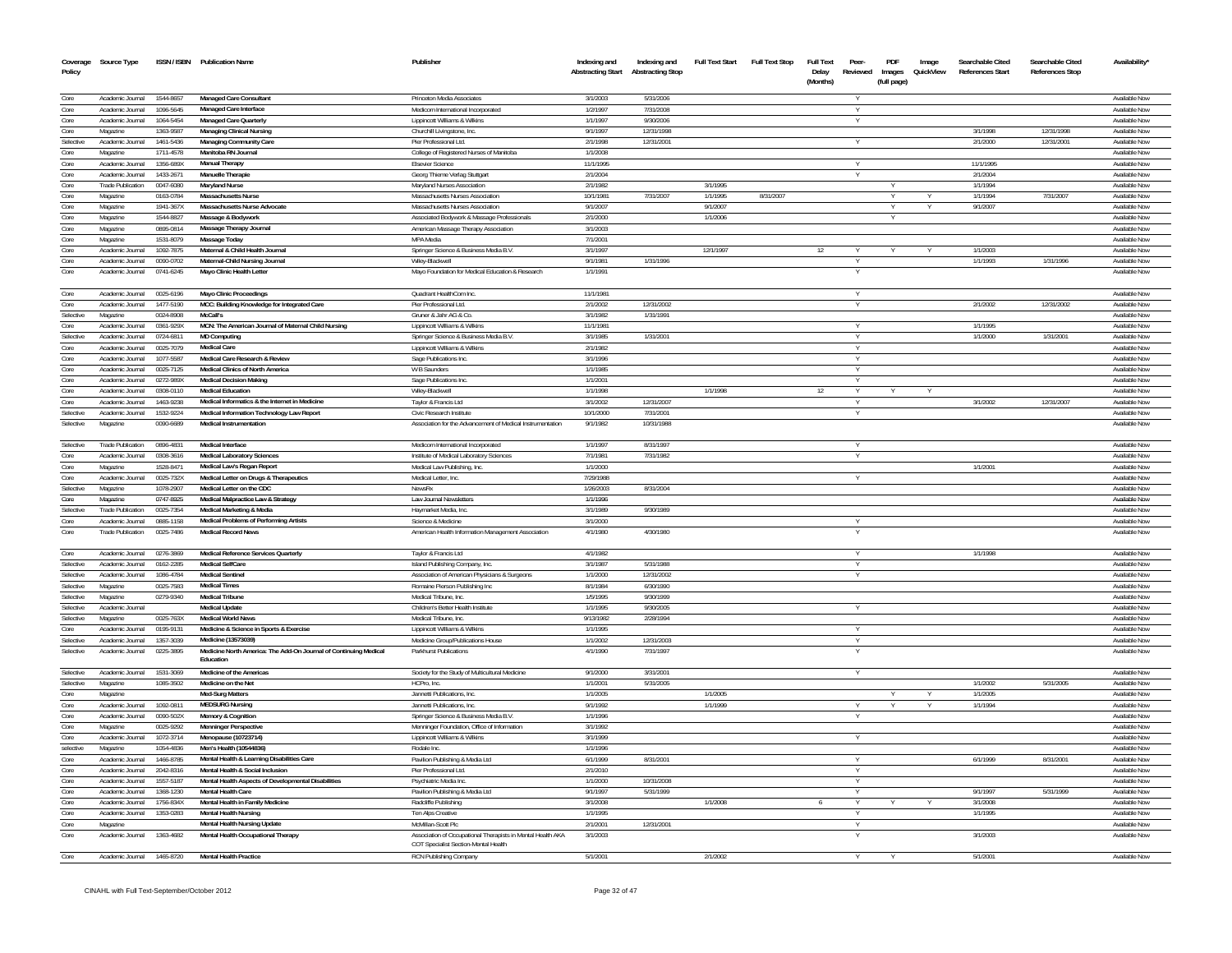| Coverage<br>Policy | Source Type                  |                        | ISSN / ISBN Publication Name                                                         | Publisher                                                                                           | Indexing and<br><b>Abstracting Start</b> | Indexing and<br><b>Abstracting Stop</b> | <b>Full Text Start</b> | <b>Full Text Stop</b> | <b>Full Text</b><br>Delay<br>(Months) | Peer<br>Reviewed | PDF<br>Images<br>(full page) | Image<br>QuickView | Searchable Cited<br>References Start | Searchable Cited<br><b>References Stop</b> | Availability*                        |
|--------------------|------------------------------|------------------------|--------------------------------------------------------------------------------------|-----------------------------------------------------------------------------------------------------|------------------------------------------|-----------------------------------------|------------------------|-----------------------|---------------------------------------|------------------|------------------------------|--------------------|--------------------------------------|--------------------------------------------|--------------------------------------|
| Core               | Academic Journal             | 1544-8657              | Managed Care Consultant                                                              | Princeton Media Associates                                                                          | 3/1/2003                                 | 5/31/2006                               |                        |                       |                                       |                  |                              |                    |                                      |                                            | Available Nov                        |
| Core               | Academic Journal             | 1096-5645              | Managed Care Interface                                                               | Medicom International Incorporated                                                                  | 1/2/1997                                 | 7/31/2008                               |                        |                       |                                       | $\vee$           |                              |                    |                                      |                                            | Available Nov                        |
| Core               | Academic Journal             | 1064-5454              | Managed Care Quarterly                                                               | Lippincott Williams & Wilkins                                                                       | 1/1/1997                                 | 9/30/2006                               |                        |                       |                                       |                  |                              |                    |                                      |                                            | Available Nov                        |
| Core               | Magazine                     | 1363-9587              | Managing Clinical Nursing                                                            | Churchill Livingstone, Inc                                                                          | 9/1/1997                                 | 12/31/1998                              |                        |                       |                                       |                  |                              |                    | 3/1/1998                             | 12/31/1998                                 | Available Nov                        |
| Selective          | Academic Journal             | 1461-543               | Managing Community Care                                                              | Pier Professional Ltd.                                                                              | 2/1/1998                                 | 12/31/2001                              |                        |                       |                                       |                  |                              |                    | 2/1/2000                             | 12/31/2001                                 | Available No                         |
| Core               | Magazine                     | 1711-4578              | Manitoba RN Journal                                                                  | College of Registered Nurses of Manitoba                                                            | 1/1/2008                                 |                                         |                        |                       |                                       |                  |                              |                    |                                      |                                            | <b>Available Nov</b>                 |
| Core               | Academic Journal             | 1356-689X              | <b>Manual Therapy</b>                                                                | <b>Elsevier Science</b>                                                                             | 11/1/1995                                |                                         |                        |                       |                                       |                  |                              |                    | 11/1/1995                            |                                            | Available No                         |
| Core               | Academic Journal             | 1433-2671              | Manuelle Therapi                                                                     | Georg Thieme Verlag Stuttgart                                                                       | 2/1/2004                                 |                                         |                        |                       |                                       |                  |                              |                    | 2/1/2004                             |                                            | Available No                         |
| Core               | <b>Trade Publication</b>     | 0047-6080              | <b>Maryland Nurse</b>                                                                | Maryland Nurses Association                                                                         | 2/1/1982                                 |                                         | 3/1/1995               |                       |                                       |                  | v                            |                    | 1/1/1994                             |                                            | Available No                         |
| Core<br>Core       | Magazine<br>Magazine         | 0163-0784<br>1941-367> | Massachusetts Nurse<br>Massachusetts Nurse Advocate                                  | Massachusetts Nurses Association<br>Massachusetts Nurses Association                                | 10/1/1981<br>9/1/2007                    | 7/31/2007                               | 1/1/1995<br>9/1/2007   | 8/31/2007             |                                       |                  | Υ                            |                    | 1/1/1994<br>9/1/200                  | 7/31/2007                                  | Available Nov<br>Available No        |
| Core               | Magazine                     | 1544-8827              | Massage & Bodywork                                                                   | Associated Bodywork & Massage Professionals                                                         | 2/1/2000                                 |                                         | 1/1/2006               |                       |                                       |                  | v                            |                    |                                      |                                            | Available No                         |
| Core               | Magazine                     | 0895-0814              | Massage Therapy Journal                                                              | American Massage Therapy Association                                                                | 3/1/2003                                 |                                         |                        |                       |                                       |                  |                              |                    |                                      |                                            | Available No                         |
| Core               | Magazine                     | 1531-8079              | Massage Today                                                                        | MPA Media                                                                                           | 7/1/2001                                 |                                         |                        |                       |                                       |                  |                              |                    |                                      |                                            | Available No                         |
| Core               | Academic Journal             | 1092-7875              | Maternal & Child Health Journal                                                      | Springer Science & Business Media B.V                                                               | 3/1/1997                                 |                                         | 12/1/1997              |                       | 12                                    |                  |                              |                    | 1/1/2003                             |                                            | Available No                         |
| Core               | Academic Journal             | 0090-0702              | Maternal-Child Nursing Journal                                                       | Wilev-Blackwel                                                                                      | 9/1/1981                                 | 1/31/1996                               |                        |                       |                                       |                  |                              |                    | 1/1/1993                             | 1/31/1996                                  | Available No                         |
| Core               | Academic Journal             | 0741-6245              | Mayo Clinic Health Letter                                                            | Mayo Foundation for Medical Education & Research                                                    | 1/1/1991                                 |                                         |                        |                       |                                       |                  |                              |                    |                                      |                                            | Available No                         |
| Core               | Academic Journal             | 0025-6196              | <b>Mayo Clinic Proceedings</b>                                                       | Quadrant HealthCom Inc.                                                                             | 11/1/1981                                |                                         |                        |                       |                                       | $\vee$           |                              |                    |                                      |                                            | Available Nov                        |
| Core<br>Selective  | Academic Journal<br>Magazine | 1477-519<br>0024-8908  | MCC: Building Knowledge for Integrated Care<br>McCall's                              | Pier Professional Ltd<br>Gruner & Jahr AG & Co                                                      | 2/1/2002<br>3/1/1982                     | 12/31/2002<br>1/31/1991                 |                        |                       |                                       |                  |                              |                    | 2/1/2002                             | 12/31/2002                                 | Available No<br>Available Nov        |
|                    | Academic Journal             | 0361-929X              | MCN: The American Journal of Maternal Child Nursing                                  | Lippincott Williams & Wilkins                                                                       | 11/1/1981                                |                                         |                        |                       |                                       |                  |                              |                    | 1/1/1995                             |                                            | Available No                         |
| Core<br>Selective  | Academic Journal             | 0724-6811              | <b>MD Computing</b>                                                                  | Springer Science & Business Media B.V                                                               | 3/1/1985                                 | 1/31/2001                               |                        |                       |                                       |                  |                              |                    | 1/1/2000                             | 1/31/2001                                  | Available No                         |
| Core               | Academic Journal             | 0025-7079              | <b>Medical Care</b>                                                                  | Lippincott Williams & Wilkins                                                                       | 2/1/1982                                 |                                         |                        |                       |                                       |                  |                              |                    |                                      |                                            | Available No                         |
| Core               | Academic Journal             | 1077-558               | Medical Care Research & Review                                                       | Sage Publications Inc                                                                               | 3/1/1996                                 |                                         |                        |                       |                                       |                  |                              |                    |                                      |                                            | Available No                         |
| Core               | Academic Journal             | 0025-7125              | Medical Clinics of North America                                                     | W B Saunders                                                                                        | 1/1/1985                                 |                                         |                        |                       |                                       |                  |                              |                    |                                      |                                            | Available No                         |
| Core               | Academic Journal             | 0272-989>              | <b>Medical Decision Making</b>                                                       | Sage Publications Inc                                                                               | 1/1/200                                  |                                         |                        |                       |                                       |                  |                              |                    |                                      |                                            | Available No                         |
| Core               | Academic Journal             | 0308-0110              | <b>Medical Education</b>                                                             | Wilev-Blackwel                                                                                      | 1/1/1998                                 |                                         | 1/1/1998               |                       | 12                                    |                  |                              |                    |                                      |                                            | Available No                         |
| Core               | Academic Journal             | 1463-9238              | Medical Informatics & the Internet in Medicine                                       | Taylor & Francis Ltd                                                                                | 3/1/2002                                 | 12/31/2007                              |                        |                       |                                       |                  |                              |                    | 3/1/2002                             | 12/31/2007                                 | Available No                         |
| Selective          | Academic Journal             | 1532-9224              | Medical Information Technology Law Report                                            | Civic Research Institute                                                                            | 10/1/2000                                | 7/31/2001                               |                        |                       |                                       |                  |                              |                    |                                      |                                            | Available No                         |
| Selective          | Magazine                     | 0090-6689              | <b>Medical Instrumentation</b>                                                       | Association for the Advancement of Medical Instrumentation                                          | 9/1/1982                                 | 10/31/1988                              |                        |                       |                                       |                  |                              |                    |                                      |                                            | Available No                         |
| Selective          | <b>Trade Publication</b>     | 0896-4831              | <b>Medical Interface</b>                                                             | Medicom International Incorporated                                                                  | 1/1/1997                                 | 8/31/1997                               |                        |                       |                                       |                  |                              |                    |                                      |                                            | Available Nov                        |
| Core               | Academic Journal             | 0308-3616              | <b>Medical Laboratory Sciences</b>                                                   | Institute of Medical Laboratory Sciences                                                            | 7/1/1981                                 | 7/31/1982                               |                        |                       |                                       |                  |                              |                    |                                      |                                            | <b>Available Nov</b>                 |
| Core               | Magazine                     | 1528-8471              | Medical Law's Regan Report                                                           | Medical Law Publishing, Inc.                                                                        | 1/1/2000                                 |                                         |                        |                       |                                       |                  |                              |                    | 1/1/2001                             |                                            | Available No                         |
| Core<br>Selective  | Academic Journal<br>Magazine | 0025-732X<br>1078-2907 | Medical Letter on Drugs & Therapeutics<br>Medical Letter on the CDC                  | Medical Letter, Inc.<br>NewsR)                                                                      | 7/29/1988<br>1/26/2003                   | 8/31/2004                               |                        |                       |                                       |                  |                              |                    |                                      |                                            | <b>Available Nov</b><br>Available No |
| Core               | Magazine                     | 0747-8925              | Medical Malpractice Law & Strategy                                                   | Law Journal Newsletters                                                                             | 1/1/1996                                 |                                         |                        |                       |                                       |                  |                              |                    |                                      |                                            | Available No                         |
| Selective          | <b>Trade Publication</b>     | 0025-7354              | Medical Marketing & Media                                                            | Havmarket Media, Inc                                                                                | 3/1/1989                                 | 9/30/1989                               |                        |                       |                                       |                  |                              |                    |                                      |                                            | Available No                         |
| Core               | Academic Journal             | 0885-1158              | Medical Problems of Performing Artists                                               | Science & Medicine                                                                                  | 3/1/2000                                 |                                         |                        |                       |                                       |                  |                              |                    |                                      |                                            | Available No                         |
| Core               | <b>Trade Publication</b>     | 0025-7486              | <b>Medical Record News</b>                                                           | American Health Information Management Association                                                  | 4/1/1980                                 | 4/30/1980                               |                        |                       |                                       |                  |                              |                    |                                      |                                            | Available Nov                        |
| Core               | Academic Journal             | 0276-3869              | Medical Reference Services Quarterly                                                 | Taylor & Francis Ltd                                                                                | 4/1/1982                                 |                                         |                        |                       |                                       | Y                |                              |                    | 1/1/1998                             |                                            | Available Nov                        |
| Selective          | Academic Journal             | 0162-2285              | Medical SelfCar                                                                      | Island Publishing Company, Inc.                                                                     | 3/1/1987                                 | 5/31/1988                               |                        |                       |                                       |                  |                              |                    |                                      |                                            | Available No                         |
| Selective          | Academic Journal             | 1086-4784              | <b>Medical Sentine</b>                                                               | Association of American Physicians & Surgeons                                                       | 1/1/2000                                 | 12/31/2002                              |                        |                       |                                       | Y                |                              |                    |                                      |                                            | Available No                         |
| Selective          | Magazine                     | 0025-7583              | <b>Medical Times</b>                                                                 | Romaine Pierson Publishing Ind                                                                      | 8/1/1984                                 | 6/30/1990                               |                        |                       |                                       |                  |                              |                    |                                      |                                            | Available No                         |
| Selective          | Magazine                     | 0279-9340              | <b>Medical Tribune</b>                                                               | Medical Tribune, Inc.                                                                               | 1/5/1995                                 | 9/30/1999                               |                        |                       |                                       |                  |                              |                    |                                      |                                            | Available No                         |
| Selective          | Academic Journal             |                        | <b>Medical Update</b><br><b>Medical World News</b>                                   | Children's Better Health Institute                                                                  | 1/1/1995<br>9/13/1982                    | 9/30/2005                               |                        |                       |                                       |                  |                              |                    |                                      |                                            | Available No<br>Available No         |
| Selective<br>Core  | Magazine<br>Academic Journal | 0025-763X<br>0195-9131 | Medicine & Science in Sports & Exercise                                              | Medical Tribune, Inc<br>Lippincott Williams & Wilkins                                               | 1/1/1995                                 | 2/28/1994                               |                        |                       |                                       | Y                |                              |                    |                                      |                                            | Available No                         |
| Selective          | Academic Journal             | 1357-3039              | Medicine (13573039)                                                                  | Medicine Group/Publications House                                                                   | 1/1/2002                                 | 12/31/2003                              |                        |                       |                                       |                  |                              |                    |                                      |                                            | Available No                         |
| Selective          | Academic Journal             | 0225-3895              | Medicine North America: The Add-On Journal of Continuing Medical<br><b>Fducation</b> | Parkhurst Publications                                                                              | 4/1/1990                                 | 7/31/1997                               |                        |                       |                                       |                  |                              |                    |                                      |                                            | Available Nov                        |
| Selective          | Academic Journal             | 1531-3069              | Medicine of the Americas                                                             | Society for the Study of Multicultural Medicine                                                     | 9/1/2000                                 | 3/31/2001                               |                        |                       |                                       |                  |                              |                    |                                      |                                            | Available Nov                        |
| Selective          | Magazine                     | 1085-3502              | Medicine on the Ne                                                                   | HCPro. Inc.                                                                                         | 1/1/2001                                 | 5/31/2005                               |                        |                       |                                       |                  |                              |                    | 1/1/2002                             | 5/31/2005                                  | Available No                         |
| Core               | Magazine                     |                        | Med-Surg Matters                                                                     | Jannetti Publications, Inc.                                                                         | 1/1/2005                                 |                                         | 1/1/2005               |                       |                                       |                  |                              |                    | 1/1/2005                             |                                            | Available Nov                        |
| Core               | Academic Journal             | 1092-0811              | <b>MEDSURG Nursing</b>                                                               | Jannetti Publications, Inc.                                                                         | 9/1/1992                                 |                                         | 1/1/1999               |                       |                                       |                  |                              |                    | 1/1/1994                             |                                            | Available No                         |
| Core               | Academic Journal             | 0090-502X              | <b>Memory &amp; Cognition</b>                                                        | Springer Science & Business Media B.V.                                                              | 1/1/1996                                 |                                         |                        |                       |                                       | Y                |                              |                    |                                      |                                            | Available Nov                        |
| Core               | Magazine                     | 0025-9292              | <b>Menninger Perspective</b>                                                         | Menninger Foundation, Office of Information                                                         | 3/1/1992                                 |                                         |                        |                       |                                       |                  |                              |                    |                                      |                                            | Available Nov                        |
| Core               | Academic Journal             | 1072-3714              | Menopause (10723714)<br>Men's Health (10544836)                                      | Lippincott Williams & Wilkins                                                                       | 3/1/1999                                 |                                         |                        |                       |                                       | Y                |                              |                    |                                      |                                            | Available Now                        |
| selective<br>Core  | Magazine<br>Academic Journal | 1054-4836<br>1466-8785 | Mental Health & Learning Disabilities Care                                           | Rodale Inc.<br>Pavilion Publishing & Media Ltd                                                      | 1/1/1996<br>6/1/1999                     | 8/31/2001                               |                        |                       |                                       | Y                |                              |                    | 6/1/1999                             | 8/31/2001                                  | Available Nov<br>Available Nov       |
| Core               | Academic Journal             | 2042-8316              | Mental Health & Social Inclusion                                                     | Pier Professional Ltd.                                                                              | 2/1/2010                                 |                                         |                        |                       |                                       | Y                |                              |                    |                                      |                                            | Available Nov                        |
| Core               | Academic Journal             | 1557-5187              | Mental Health Aspects of Developmental Disabilities                                  | Psychiatric Media Inc.                                                                              | 1/1/2000                                 | 10/31/2008                              |                        |                       |                                       | Y                |                              |                    |                                      |                                            | Available Nov                        |
| Core               | Academic Journal             | 1368-1230              | Mental Health Care                                                                   | Pavilion Publishing & Media Ltd                                                                     | 9/1/1997                                 | 5/31/1999                               |                        |                       |                                       | Y                |                              |                    | 9/1/1997                             | 5/31/1999                                  | Available Nov                        |
| Core               | Academic Journal             | 1756-834X              | Mental Health in Family Medicine                                                     | Radcliffe Publishing                                                                                | 3/1/2008                                 |                                         | 1/1/2008               |                       |                                       |                  |                              |                    | 3/1/2008                             |                                            | Available Nov                        |
| Core               | Academic Journal             | 1353-0283              | <b>Mental Health Nursing</b>                                                         | Ten Alps Creative                                                                                   | 1/1/1995                                 |                                         |                        |                       |                                       | Y                |                              |                    | 1/1/1995                             |                                            | Available Nov                        |
| Core               | Magazine                     |                        | Mental Health Nursing Update                                                         | McMillan-Scott Plc                                                                                  | 2/1/2001                                 | 12/31/2001                              |                        |                       |                                       |                  |                              |                    |                                      |                                            | Available Nov                        |
| Core               | Academic Journal             | 1363-4682              | Mental Health Occupational Therapy                                                   | Association of Occupational Therapists in Mental Health AKA<br>COT Specialist Section-Mental Health | 3/1/2003                                 |                                         |                        |                       |                                       |                  |                              |                    | 3/1/2003                             |                                            | Available Nov                        |
| Core               | Academic Journal 1465-8720   |                        | Mental Health Practice                                                               | RCN Publishing Company                                                                              | 5/1/2001                                 |                                         | 2/1/2002               |                       |                                       |                  |                              |                    | 5/1/2001                             |                                            | Available Nov                        |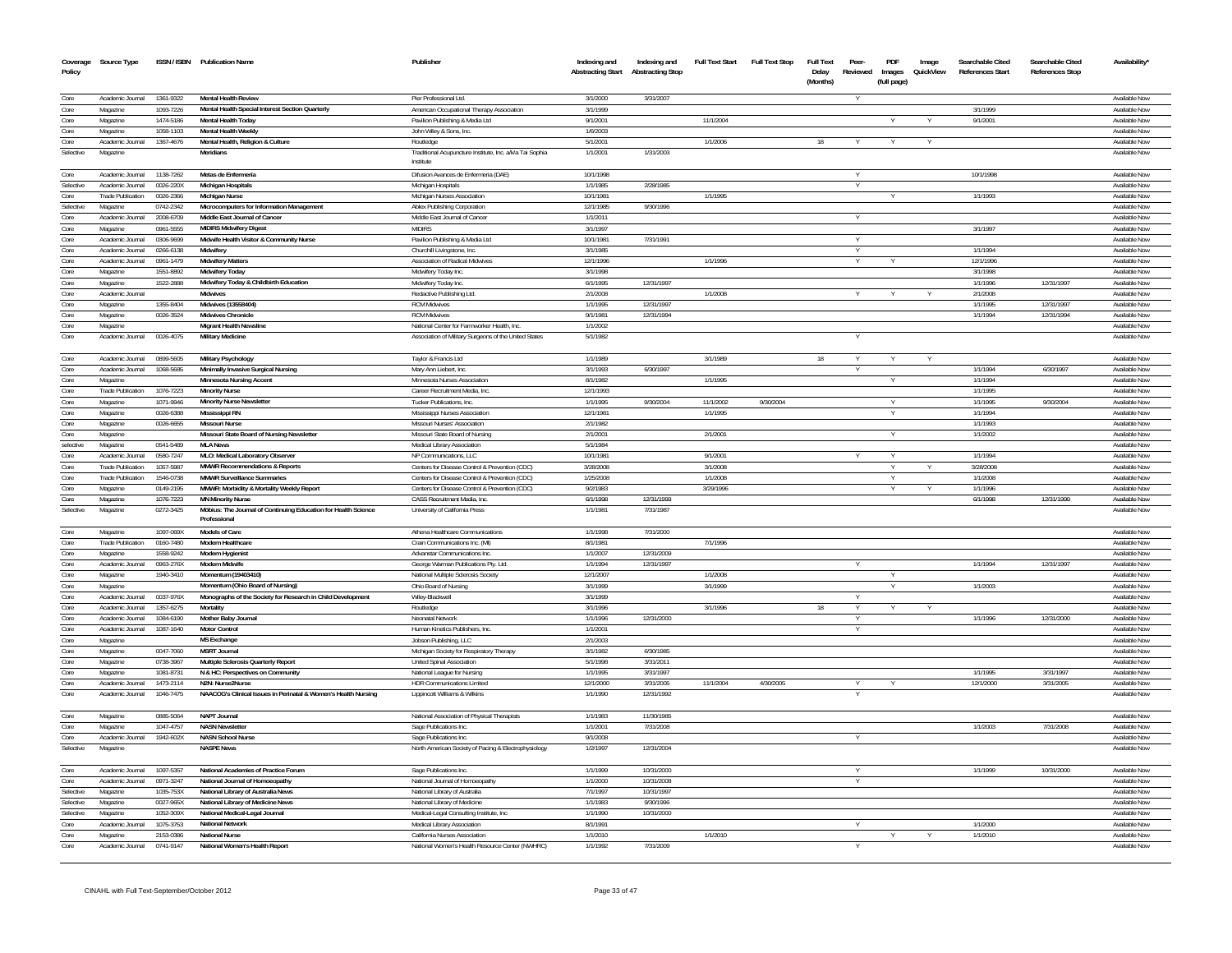| Coverage<br>Policy     | Source Type                                  |                        | ISSN / ISBN Publication Name                                                   | Publisher                                                                    | Indexing and<br><b>Abstracting Start</b> | Indexing and<br><b>Abstracting Stop</b> | <b>Full Text Start</b> | <b>Full Text Stop</b> | <b>Full Text</b><br>Delay | Peer-<br>Reviewed | PDF<br>Images | Image<br>QuickView | Searchable Cited<br><b>References Start</b> | Searchable Cited<br><b>References Stop</b> | Availability                   |
|------------------------|----------------------------------------------|------------------------|--------------------------------------------------------------------------------|------------------------------------------------------------------------------|------------------------------------------|-----------------------------------------|------------------------|-----------------------|---------------------------|-------------------|---------------|--------------------|---------------------------------------------|--------------------------------------------|--------------------------------|
|                        |                                              |                        |                                                                                |                                                                              |                                          |                                         |                        |                       | (Months)                  |                   | (full page)   |                    |                                             |                                            |                                |
| Core                   | Academic Journal                             | 1361-9322              | Mental Health Review                                                           | Pier Professional Ltd.                                                       | 3/1/2000                                 | 3/31/2007                               |                        |                       |                           |                   |               |                    |                                             |                                            | Available Nov                  |
| Core                   | Magazine                                     | 1093-7226              | Mental Health Special Interest Section Quarterly                               | American Occupational Therapy Association                                    | 3/1/1999                                 |                                         |                        |                       |                           |                   |               |                    | 3/1/1999                                    |                                            | Available No                   |
| Core                   | Magazine                                     | 1474-5186              | Mental Health Today                                                            | Pavilion Publishing & Media Ltd                                              | 9/1/2001                                 |                                         | 11/1/2004              |                       |                           |                   |               |                    | 9/1/200                                     |                                            | Available Nov                  |
| Core                   | Magazine                                     | 1058-1103              | <b>Mental Health Weekly</b>                                                    | John Wiley & Sons, Inc.                                                      | 1/6/2003                                 |                                         |                        |                       |                           |                   |               |                    |                                             |                                            | Available Nov                  |
| Core<br>Selective      | Academic Journal<br>Magazine                 | 1367-4676              | Mental Health, Religion & Culture<br><b>Meridians</b>                          | Routledge<br>Traditional Acupuncture Institute, Inc. a/k/a Tai Sophia        | 5/1/2001<br>1/1/2001                     | 1/31/2003                               | 1/1/2006               |                       |                           |                   |               |                    |                                             |                                            | Available No<br>Available Now  |
|                        |                                              |                        |                                                                                | Institute                                                                    |                                          |                                         |                        |                       |                           |                   |               |                    |                                             |                                            |                                |
| Core                   | Academic Journal                             | 1138-7262              | Metas de Enfermeria                                                            | Difusion Avances de Enfermeria (DAE)                                         | 10/1/1998                                |                                         |                        |                       |                           |                   |               |                    | 10/1/1998                                   |                                            | Available Now                  |
| Selective              | Academic Journal                             | 0026-220X              | Michigan Hospitals                                                             | Michigan Hospitals                                                           | 1/1/1985                                 | 2/28/1985                               |                        |                       |                           | Y                 |               |                    |                                             |                                            | Available Nov                  |
| Core                   | <b>Trade Publication</b>                     | 0026-2366              | <b>Michigan Nurse</b>                                                          | Michigan Nurses Association                                                  | 10/1/1981                                |                                         | 1/1/1995               |                       |                           |                   |               |                    | 1/1/1993                                    |                                            | Available Now                  |
| Selective              | Magazine                                     | 0742-2342              | Microcomputers for Information Management                                      | Ablex Publishing Corporation                                                 | 12/1/1985                                | 9/30/1996                               |                        |                       |                           |                   |               |                    |                                             |                                            | Available Nov                  |
| Core                   | Academic Journal                             | 2008-6709              | Middle East Journal of Cancer                                                  | Middle East Journal of Cancer                                                | 1/1/2011                                 |                                         |                        |                       |                           |                   |               |                    |                                             |                                            | Available Now                  |
| Core                   | Magazine                                     | 0961-5555              | <b>MIDIRS Midwifery Digest</b>                                                 | <b>MIDIRS</b>                                                                | 3/1/1997                                 |                                         |                        |                       |                           |                   |               |                    | 3/1/1997                                    |                                            | Available Now                  |
| Core<br>Core           | Academic Journal<br>Academic Journal         | 0306-9699<br>0266-6138 | Midwife Health Visitor & Community Nurse<br>Midwifery                          | Pavilion Publishing & Media Ltd                                              | 10/1/1981<br>3/1/1985                    | 7/31/1991                               |                        |                       |                           | $\vee$            |               |                    | 1/1/1994                                    |                                            | Available Now<br>Available Now |
| Core                   | Academic Journal                             | 0961-1479              | <b>Midwifery Matters</b>                                                       | Churchill Livingstone, Inc.<br>Association of Radical Midwives               | 12/1/1996                                |                                         | 1/1/1996               |                       |                           |                   |               |                    | 12/1/1996                                   |                                            | Available Now                  |
| Core                   | Magazine                                     | 1551-8892              | Midwifery Today                                                                | Midwifery Today Inc.                                                         | 3/1/1998                                 |                                         |                        |                       |                           |                   |               |                    | 3/1/1998                                    |                                            | Available Now                  |
| Core                   | Magazine                                     | 1522-2888              | Midwifery Today & Childbirth Education                                         | Midwifery Today Inc                                                          | 6/1/1995                                 | 12/31/1997                              |                        |                       |                           |                   |               |                    | 1/1/1996                                    | 12/31/1997                                 | Available Now                  |
| Core                   | Academic Journal                             |                        | <b>Midwives</b>                                                                | Redactive Publishing Ltd.                                                    | 2/1/2008                                 |                                         | 1/1/2008               |                       |                           |                   |               |                    | 2/1/2008                                    |                                            | Available Now                  |
| Core                   | Magazine                                     | 1355,8404              | Midwives (13558404)                                                            | <b>RCM Midwives</b>                                                          | 1/1/1995                                 | 12/31/1997                              |                        |                       |                           |                   |               |                    | 1/1/1995                                    | 12/31/1997                                 | Available Now                  |
| Core                   | Magazine                                     | 0026-3524              | Midwives Chronicle                                                             | <b>RCM Midwives</b>                                                          | 9/1/1981                                 | 12/31/1994                              |                        |                       |                           |                   |               |                    | 1/1/1994                                    | 12/31/1994                                 | Available Now                  |
| Core                   | Magazine                                     |                        | Migrant Health Newsline                                                        | National Center for Farmworker Health, Inc.                                  | 1/1/2002                                 |                                         |                        |                       |                           |                   |               |                    |                                             |                                            | Available Now                  |
| Core                   | Academic Journal                             | 0026-4075              | Military Medicine                                                              | Association of Military Surgeons of the United States                        | 5/1/1982                                 |                                         |                        |                       |                           |                   |               |                    |                                             |                                            | Available Nov                  |
|                        |                                              |                        |                                                                                |                                                                              |                                          |                                         |                        |                       |                           |                   |               |                    |                                             |                                            |                                |
| Core<br>Core           | Academic Journal<br>Academic Journal         | 0899-5605<br>1068-5685 | Military Psychology<br>Minimally Invasive Surgical Nursing                     | Taylor & Francis Ltd<br>Mary Ann Liebert. Inc.                               | 1/1/1989<br>3/1/1993                     | 6/30/1997                               | 3/1/1989               |                       | 18                        |                   |               |                    | 1/1/1994                                    | 6/30/1997                                  | Available Now<br>Available Now |
| Core                   | Magazine                                     |                        | Minnesota Nursing Accent                                                       | Minnesota Nurses Association                                                 | 8/1/1982                                 |                                         | 1/1/1995               |                       |                           |                   |               |                    | 1/1/1994                                    |                                            | Available Now                  |
| Core                   | <b>Trade Publication</b>                     | 1076-7223              | <b>Minority Nurse</b>                                                          | Career Recruitment Media, Inc.                                               | 12/1/1993                                |                                         |                        |                       |                           |                   |               |                    | 1/1/1995                                    |                                            | Available Now                  |
| Core                   | Magazine                                     | 1071-9946              | Minority Nurse Newsletter                                                      | Tucker Publications, Inc.                                                    | 1/1/1995                                 | 9/30/2004                               | 11/1/2002              | 9/30/2004             |                           |                   |               |                    | 1/1/1995                                    | 9/30/2004                                  | Available Nov                  |
| Core                   | Magazine                                     | 0026-6388              | Mississippi RN                                                                 | Mississippi Nurses Association                                               | 12/1/1981                                |                                         | 1/1/1995               |                       |                           |                   |               |                    | 1/1/1994                                    |                                            | Available Nov                  |
| Core                   | Magazine                                     | 0026-6655              | <b>Missouri Nurse</b>                                                          | Missouri Nurses' Association                                                 | 2/1/1982                                 |                                         |                        |                       |                           |                   |               |                    | 1/1/1993                                    |                                            | Available Nov                  |
| Core                   | Magazine                                     |                        | Missouri State Board of Nursing Newsletter                                     | Missouri State Board of Nursing                                              | 2/1/2001                                 |                                         | 2/1/2001               |                       |                           |                   |               |                    | 1/1/2002                                    |                                            | Available Nov                  |
| selective              | Magazine                                     | 0541-5489              | <b>MLA News</b>                                                                | Medical Library Association                                                  | 5/1/1984                                 |                                         |                        |                       |                           |                   |               |                    |                                             |                                            | Available Now                  |
| Core<br>Core           | Academic Journal<br><b>Trade Publication</b> | 0580-7247<br>1057-5987 | MLO: Medical Laboratory Observer<br><b>MMWR Recommendations &amp; Reports</b>  | NP Communications. LLC<br>Centers for Disease Control & Prevention (CDC)     | 10/1/1981<br>3/28/2008                   |                                         | 9/1/2001<br>3/1/2008   |                       |                           |                   |               |                    | 1/1/1994<br>3/28/2008                       |                                            | Available Now<br>Available Now |
| Core                   | <b>Trade Publication</b>                     | 1546-0738              | <b>MMWR Surveillance Summaries</b>                                             | Centers for Disease Control & Prevention (CDC)                               | 1/25/2008                                |                                         | 1/1/2008               |                       |                           |                   | Y             |                    | 1/1/2008                                    |                                            | Available Now                  |
| Core                   | Magazine                                     | 0149-2195              | MMWR: Morbidity & Mortality Weekly Report                                      | Centers for Disease Control & Prevention (CDC)                               | 9/2/1983                                 |                                         | 3/29/1996              |                       |                           |                   |               |                    | 1/1/1996                                    |                                            | Available Now                  |
| Core                   | Magazine                                     | 1076-7223              | <b>MN Minority Nurse</b>                                                       | CASS Recruitment Media, Inc.                                                 | 6/1/1998                                 | 12/31/1999                              |                        |                       |                           |                   |               |                    | 6/1/1998                                    | 12/31/1999                                 | Available Now                  |
| Selective              | Magazine                                     | 0272-3425              | Möbius: The Journal of Continuing Education for Health Science<br>Professional | University of California Press                                               | 1/1/1981                                 | 7/31/1987                               |                        |                       |                           |                   |               |                    |                                             |                                            | Available Now                  |
| Core                   | Magazine                                     | 1097-069X              | Models of Care                                                                 | Athena Healthcare Communications                                             | 1/1/1998                                 | 7/31/2000                               |                        |                       |                           |                   |               |                    |                                             |                                            | Available Now                  |
| Core                   | <b>Trade Publication</b>                     | 0160-7480              | Modern Healthcare                                                              | Crain Communications Inc. (MI)                                               | 8/1/1981                                 |                                         | 7/1/1996               |                       |                           |                   |               |                    |                                             |                                            | Available Now                  |
| Core<br>Core           | Magazine<br>Academic Journal                 | 1558-9242<br>0963-276X | <b>Modern Hygienist</b><br><b>Modern Midwife</b>                               | Advanstar Communications Inc.<br>George Warman Publications Ptv. Ltd         | 1/1/2007<br>1/1/1994                     | 12/31/2009<br>12/31/1997                |                        |                       |                           | Y                 |               |                    | 1/1/1994                                    | 12/31/1997                                 | Available Now<br>Available Nov |
| Core                   | Magazine                                     | 1940-3410              | Momentum (19403410                                                             | National Multiple Sclerosis Society                                          | 12/1/200                                 |                                         | 1/1/2008               |                       |                           |                   |               |                    |                                             |                                            | Available Now                  |
| Core                   | Magazine                                     |                        | Momentum (Ohio Board of Nursing)                                               | Ohio Board of Nursing                                                        | 3/1/1999                                 |                                         | 3/1/1999               |                       |                           |                   |               |                    | 1/1/2003                                    |                                            | Available Now                  |
| Core                   | Academic Journal                             | 0037-976X              | Monographs of the Society for Research in Child Development                    | Wilev-Blackwell                                                              | 3/1/1999                                 |                                         |                        |                       |                           | v                 |               |                    |                                             |                                            | Available Now                  |
| Core                   | Academic Journal                             | 1357-6275              | Mortality                                                                      | Routledge                                                                    | 3/1/1996                                 |                                         | 3/1/1996               |                       | 18                        | Y                 | Y             | Y                  |                                             |                                            | Available Now                  |
| Core                   | Academic Journal                             | 1084-6190              | Mother Baby Journal                                                            | Neonatal Network                                                             | 1/1/1996                                 | 12/31/2000                              |                        |                       |                           | Y                 |               |                    | 1/1/1996                                    | 12/31/2000                                 | Available Now                  |
| Core                   | Academic Inumal                              | 1087-1640              | Motor Control                                                                  | Human Kinetics Publishers. Inc.                                              | 1/1/2001                                 |                                         |                        |                       |                           | <b>Y</b>          |               |                    |                                             |                                            | Available Now                  |
| Core                   | Magazine                                     |                        | <b>MS Exchange</b><br><b>MSRT</b> Journal                                      | Jobson Publishing, LLC                                                       | 2/1/2003                                 |                                         |                        |                       |                           |                   |               |                    |                                             |                                            | Available Now                  |
| Core<br>Core           | Magazine                                     | 0047-7060<br>0738-3967 |                                                                                | Michigan Society for Respiratory Therapy<br><b>United Spinal Association</b> | 3/1/1982<br>5/1/1998                     | 6/30/1985<br>3/31/2011                  |                        |                       |                           |                   |               |                    |                                             |                                            | Available Now<br>Available Now |
| Core                   | Magazine<br>Magazine                         | 1081-8731              | Multiple Sclerosis Quarterly Report<br>N & HC: Perspectives on Community       | National League for Nursing                                                  | 1/1/1995                                 | 3/31/1997                               |                        |                       |                           |                   |               |                    | 1/1/1995                                    | 3/31/1997                                  | Available Now                  |
| Core                   | Academic Journal                             | 1473-2114              | N2N: Nurse2Nurse                                                               | <b>HDR Communications Limited</b>                                            | 12/1/2000                                | 3/31/2005                               | 11/1/2004              | 4/30/2005             |                           |                   |               |                    | 12/1/2000                                   | 3/31/2005                                  | Available Now                  |
| Core                   | Academic Journal                             | 1046-7475              | NAACOG's Clinical Issues in Perinatal & Women's Health Nursing                 | Lippincott Williams & Wilkins                                                | 1/1/1990                                 | 12/31/1992                              |                        |                       |                           |                   |               |                    |                                             |                                            | Available Nov                  |
| Core                   | Magazine                                     | 0885-5064              | <b>NAPT Journal</b>                                                            | National Association of Physical Therapists                                  | 1/1/1983                                 | 11/30/1985                              |                        |                       |                           |                   |               |                    |                                             |                                            | Available Now                  |
| Core                   | Magazine                                     | 1047-4757              | <b>NASN Newsletter</b>                                                         | Sage Publications Inc                                                        | 1/1/2001                                 | 7/31/2008                               |                        |                       |                           |                   |               |                    | 1/1/2003                                    | 7/31/2008                                  | Available Now                  |
| Core                   | Academic Journal                             | 1942-602X              | <b>NASN School Nurse</b>                                                       | Sage Publications Inc.                                                       | 9/1/2008                                 |                                         |                        |                       |                           |                   |               |                    |                                             |                                            | Available Now                  |
| Selective              | Magazine                                     |                        | <b>NASPE News</b>                                                              | North American Society of Pacing & Electrophysiology                         | 1/2/1997                                 | 12/31/2004                              |                        |                       |                           |                   |               |                    |                                             |                                            | Available Nov                  |
| Core                   | Academic Journal                             | 1097-5357              | National Academies of Practice Forum                                           | Sage Publications Inc.                                                       | 1/1/1999                                 | 10/31/2000                              |                        |                       |                           | Y                 |               |                    | 1/1/1999                                    | 10/31/2000                                 | Available Now                  |
| Core                   | Academic Journal                             | 0971-3247              | National Journal of Homoeopathy                                                | National Journal of Homoeopathy                                              | 1/1/2000                                 | 10/31/2008                              |                        |                       |                           |                   |               |                    |                                             |                                            | Available No                   |
| Selective<br>Selective | Magazine<br>Magazine                         | 1035-753X<br>0027-965X | National Library of Australia News<br>National Library of Medicine News        | National Library of Australia<br>National Library of Medicine                | 7/1/1997<br>1/1/1983                     | 10/31/1997<br>9/30/1996                 |                        |                       |                           |                   |               |                    |                                             |                                            | Available Nov<br>Available Nov |
| Selective              | Magazine                                     | 1052-309X              | National Medical-Legal Journal                                                 | Medical-Legal Consulting Institute, Inc.                                     | 1/1/1990                                 | 10/31/2000                              |                        |                       |                           |                   |               |                    |                                             |                                            | Available Now                  |
| Core                   | Academic Journal                             | 1075-3753              | <b>National Network</b>                                                        | Medical Library Association                                                  | 8/1/1991                                 |                                         |                        |                       |                           |                   |               |                    | 1/1/2000                                    |                                            | Available Nov                  |
| Core                   | Magazine                                     | 2153-0386              | <b>National Nurse</b>                                                          | California Nurses Association                                                | 1/1/2010                                 |                                         | 1/1/2010               |                       |                           |                   |               |                    | 1/1/2010                                    |                                            | Available Nov                  |
| Core                   | Academic Journal                             | 0741-9147              | National Women's Health Report                                                 | National Women's Health Resource Center (NWHRC)                              | 1/1/1992                                 | 7/31/2009                               |                        |                       |                           |                   |               |                    |                                             |                                            | Available Now                  |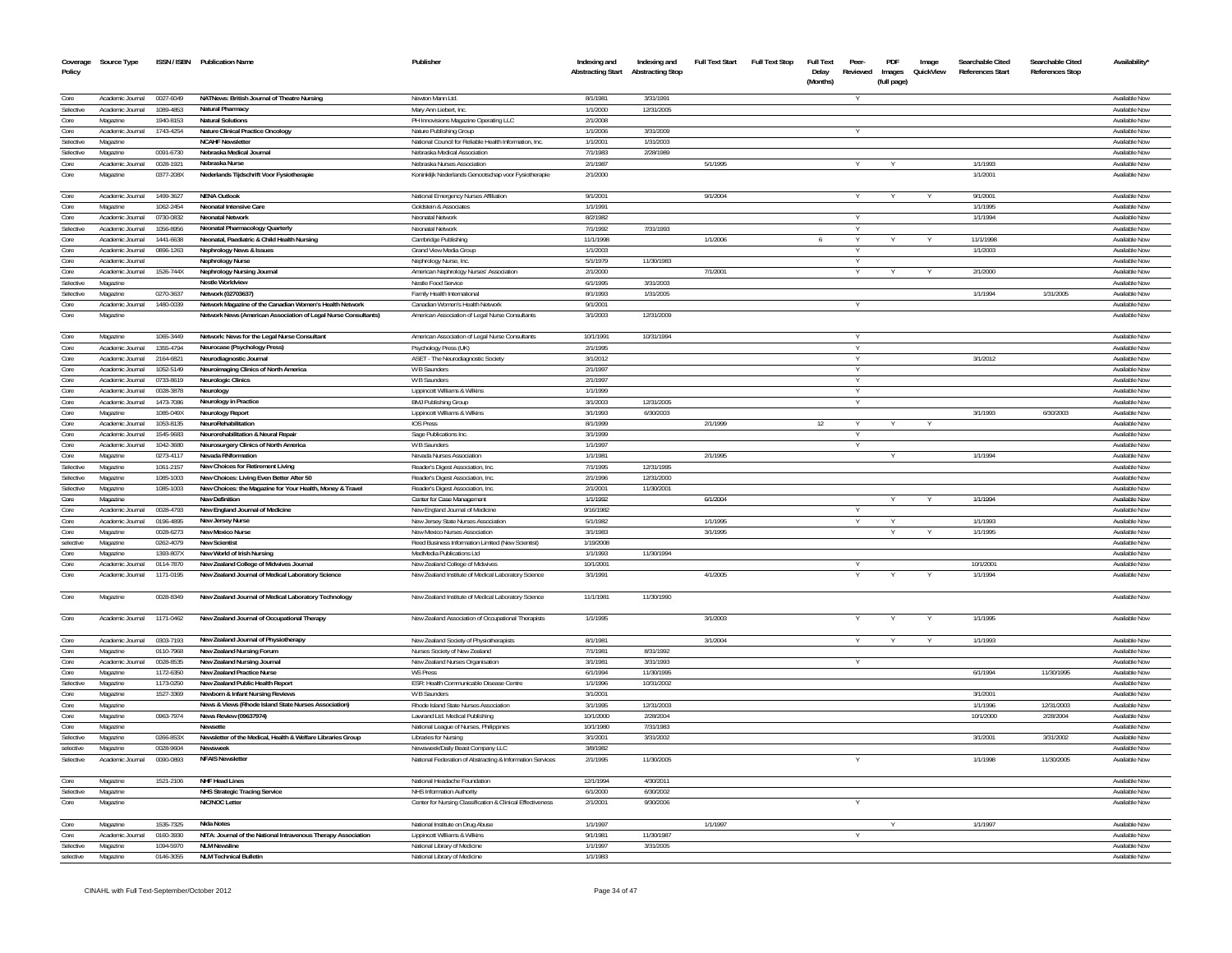| Policy            | Coverage Source Type         |                        | ISSN / ISBN Publication Name                                                             | Publisher                                                        | Indexing and<br><b>Abstracting Start</b> | Indexing and<br><b>Abstracting Stop</b> | Full Text Start | Full Text Stop | <b>Full Text</b><br>Delay<br>(Months) | Peer-<br>Reviewed | PDF<br>Images<br>(full page) | Image<br>QuickView | Searchable Cited<br><b>References Start</b> | Searchable Cited<br><b>References Stop</b> | Availability'                  |
|-------------------|------------------------------|------------------------|------------------------------------------------------------------------------------------|------------------------------------------------------------------|------------------------------------------|-----------------------------------------|-----------------|----------------|---------------------------------------|-------------------|------------------------------|--------------------|---------------------------------------------|--------------------------------------------|--------------------------------|
| Core              | Academic Journal             | 0027-6049              | NATNews: British Journal of Theatre Nursing                                              | Newton Mann Ltd.                                                 | 8/1/1981                                 | 3/31/1991                               |                 |                |                                       |                   |                              |                    |                                             |                                            | Available Now                  |
| Selective         | Academic Journal             | 1089-4853              | Natural Pharmacy                                                                         | Mary Ann Liebert, Inc                                            | 1/1/2000                                 | 12/31/2005                              |                 |                |                                       |                   |                              |                    |                                             |                                            | Available Now                  |
| Core              | Magazine                     | 1940-8153              | <b>Natural Solutions</b>                                                                 | PH Innovisions Magazine Operating LLC                            | 2/1/2008                                 |                                         |                 |                |                                       |                   |                              |                    |                                             |                                            | Available Now                  |
| Core              | Academic Journal             | 1743-4254              | Nature Clinical Practice Oncology                                                        | Nature Publishing Group                                          | 1/1/2006                                 | 3/31/2009                               |                 |                |                                       | Y                 |                              |                    |                                             |                                            | Available Now                  |
| Selective         | Magazine                     |                        | <b>NCAHF Newsletter</b>                                                                  | National Council for Reliable Health Information, Inc.           | 1/1/2001                                 | 1/31/2003                               |                 |                |                                       |                   |                              |                    |                                             |                                            | Available Now                  |
| Selective         | Magazine                     | 0091-6730              | Nebraska Medical Journal                                                                 | Nebraska Medical Association                                     | 7/1/1983                                 | 2/28/1989                               |                 |                |                                       |                   |                              |                    |                                             |                                            | Available Nov                  |
| Core              | Academic Journal             | 0028-1921              | Nebraska Nurse                                                                           | Nebraska Nurses Association                                      | 2/1/1987                                 |                                         | 5/1/1995        |                |                                       |                   |                              |                    | 1/1/1993                                    |                                            | Available Now                  |
| Core              | Magazine                     | 0377-208X              | Nederlands Tijdschrift Voor Fysiotherapie                                                | Koninklijk Nederlands Genootschap voor Fysiotherapie             | 2/1/2000                                 |                                         |                 |                |                                       |                   |                              |                    | 1/1/2001                                    |                                            | Available Nov                  |
| Core              | Academic Journal             | 1499-3627              | <b>NENA Outlook</b>                                                                      | National Emergency Nurses Affiliation                            | 9/1/2001                                 |                                         | 9/1/2004        |                |                                       |                   |                              |                    | 9/1/2001                                    |                                            | Available Now                  |
| Core              | Magazine                     | 1062-2454              | <b>Neonatal Intensive Care</b>                                                           | Goldstein & Associates                                           | 1/1/1991                                 |                                         |                 |                |                                       |                   |                              |                    | 1/1/1995                                    |                                            | Available Now                  |
| Core              | Academic Journal             | 0730-0832              | <b>Neonatal Network</b>                                                                  | Neonatal Network                                                 | 8/2/1982                                 |                                         |                 |                |                                       | Y                 |                              |                    | 1/1/1994                                    |                                            | Available Now                  |
| Selective         | Academic Journal             | 1056-8956              | Neonatal Pharmacology Quarterly                                                          | Neonatal Network                                                 | 7/1/1992                                 | 7/31/1993                               |                 |                |                                       |                   |                              |                    |                                             |                                            | Available Now                  |
| Core              | Academic Journal             | 1441-6638              | Neonatal, Paediatric & Child Health Nursing                                              | Cambridge Publishing                                             | 11/1/1998                                |                                         | 1/1/2006        |                | 6                                     |                   |                              |                    | 11/1/1998                                   |                                            | Available Nov                  |
| Core              | Academic Journal             | 0896-1263              | Nephrology News & Issues                                                                 | Grand View Media Group                                           | 1/1/2003                                 |                                         |                 |                |                                       |                   |                              |                    | 1/1/2003                                    |                                            | Available Now                  |
| Core              | Academic Journa              |                        | Nephrology Nurse                                                                         | Nephrology Nurse, Inc.                                           | 5/1/1979                                 | 11/30/1983                              |                 |                |                                       |                   |                              |                    |                                             |                                            | Available Now                  |
| Core<br>Selective | Academic Journal             | 1526-744X              | Nephrology Nursing Journal                                                               | American Nephrology Nurses' Association                          | 2/1/2000                                 |                                         | 7/1/2001        |                |                                       | Y                 |                              |                    | 2/1/2000                                    |                                            | Available Now                  |
| Selective         | Magazine                     |                        | <b>Nestle Worldview</b>                                                                  | Nestle Food Service                                              | 6/1/1995                                 | 3/31/2003                               |                 |                |                                       |                   |                              |                    | 1/1/1994                                    | 1/31/2005                                  | Available Now                  |
| Core              | Magazine<br>Academic Journal | 0270-3637<br>1480-0039 | Network (02703637)<br>Network Magazine of the Canadian Women's Health Network            | Family Health Internationa<br>Canadian Women's Health Network    | 8/1/1993<br>9/1/2001                     | 1/31/2005                               |                 |                |                                       | Y                 |                              |                    |                                             |                                            | Available Now<br>Available Now |
| Core              | Magazine                     |                        | Network News (American Association of Legal Nurse Consultants)                           | American Association of Legal Nurse Consultants                  | 3/1/2003                                 | 12/31/2009                              |                 |                |                                       |                   |                              |                    |                                             |                                            | Available Nov                  |
| Core              | Magazine                     | 1065-3449              | Network: News for the Legal Nurse Consultant                                             | American Association of Legal Nurse Consultants                  | 10/1/1991                                | 10/31/1994                              |                 |                |                                       |                   |                              |                    |                                             |                                            | Available Now                  |
| Core              | Academic Journal             | 1355-4794              | Neurocase (Psychology Press)                                                             | Psychology Press (UK)                                            | 2/1/1995                                 |                                         |                 |                |                                       |                   |                              |                    |                                             |                                            | Available Now                  |
| Core              | Academic Journal             | 2164-6821              | Neurodiagnostic Journal                                                                  | ASET - The Neurodiagnostic Society                               | 3/1/2012                                 |                                         |                 |                |                                       |                   |                              |                    | 3/1/2012                                    |                                            | Available Now                  |
| Core              | Academic Journal             | 1052-5149              | Neuroimaging Clinics of North America                                                    | W B Saunders                                                     | 2/1/1997                                 |                                         |                 |                |                                       | Y                 |                              |                    |                                             |                                            | Available Now                  |
| Core              | Academic Journal             | 0733-8619              | Neurologic Clinics                                                                       | W B Saunders                                                     | 2/1/1997                                 |                                         |                 |                |                                       |                   |                              |                    |                                             |                                            | Available Nov                  |
| Core              | Academic Journal             | 0028-3878              | Neurology                                                                                | Lippincott Williams & Wilkins                                    | 1/1/1999                                 |                                         |                 |                |                                       |                   |                              |                    |                                             |                                            | Available Now                  |
| Core              | Academic Journal             | 1473-7086              | Neurology in Practice                                                                    | <b>BMJ Publishing Group</b>                                      | 3/1/2003                                 | 12/31/2005                              |                 |                |                                       | Y                 |                              |                    |                                             |                                            | Available Now                  |
| Core              | Magazine                     | 1085-049X              | <b>Neurology Report</b>                                                                  | Lippincott Williams & Wilkins                                    | 3/1/1993                                 | 6/30/2003                               |                 |                |                                       |                   |                              |                    | 3/1/1993                                    | 6/30/2003                                  | Available Nov                  |
| Core              | Academic Journal             | 1053-8135              | NeuroRehabilitation                                                                      | <b>IOS</b> Press                                                 | 8/1/1999                                 |                                         | 2/1/1999        |                | 12                                    |                   |                              |                    |                                             |                                            | Available Nov                  |
| Core              | Academic Journal             | 1545-9683              | Neurorehabilitation & Neural Repair                                                      | Sage Publications Inc.                                           | 3/1/1999                                 |                                         |                 |                |                                       |                   |                              |                    |                                             |                                            | Available Nov                  |
| Core              | Academic Journal             | 1042-3680              | Neurosurgery Clinics of North America                                                    | W B Saunders                                                     | 1/1/1997                                 |                                         |                 |                |                                       | Y                 |                              |                    |                                             |                                            | Available Now                  |
| Core              | Magazine                     | 0273-4117              | Nevada RNformation                                                                       | Nevada Nurses Association                                        | 1/1/1981                                 |                                         | 2/1/1995        |                |                                       |                   |                              |                    | 1/1/1994                                    |                                            | Available Now                  |
| Selective         | Magazine                     | 1061-2157              | New Choices for Retirement Living                                                        | Reader's Digest Association, Inc.                                | 7/1/1995                                 | 12/31/1995                              |                 |                |                                       |                   |                              |                    |                                             |                                            | Available Now                  |
| Selective         | Magazine                     | 1085-1003              | New Choices: Living Even Better After 50                                                 | Reader's Digest Association, Inc                                 | 2/1/1996                                 | 12/31/2000                              |                 |                |                                       |                   |                              |                    |                                             |                                            | Available Nov                  |
| Selective         | Magazine                     | 1085-1003              | New Choices: the Magazine for Your Health, Money & Travel                                | Reader's Digest Association, Inc.                                | 2/1/2001                                 | 11/30/2001                              |                 |                |                                       |                   |                              |                    |                                             |                                            | Available Now                  |
| Core              | Magazine                     |                        | New Definition                                                                           | Center for Case Management                                       | 1/1/1992                                 |                                         | 6/1/2004        |                |                                       |                   |                              |                    | 1/1/1994                                    |                                            | Available Now                  |
| Core              | Academic Journal             | 0028-4793              | New England Journal of Medicine                                                          | New England Journal of Medicine                                  | 9/16/1982                                |                                         |                 |                |                                       |                   |                              |                    |                                             |                                            | Available Nov                  |
| Core              | Academic Journal             | 0196-4895              | New Jersey Nurse                                                                         | New Jersey State Nurses Association                              | 5/1/1982                                 |                                         | 1/1/1995        |                |                                       |                   |                              |                    | 1/1/1993                                    |                                            | Available Now                  |
| Core              | Magazine                     | 0028-6273              | New Mexico Nurse                                                                         | New Mexico Nurses Association                                    | 3/1/1983                                 |                                         | 3/1/1995        |                |                                       |                   |                              |                    | 1/1/1995                                    |                                            | Available Now                  |
| selective         | Magazine                     | 0262-4079              | <b>New Scientist</b>                                                                     | Reed Business Information Limited (New Scientist)                | 1/19/2008                                |                                         |                 |                |                                       |                   |                              |                    |                                             |                                            | Available Now                  |
| Core              | Magazine                     | 1393-807X              | New World of Irish Nursing                                                               | MedMedia Publications Ltd                                        | 1/1/1993                                 | 11/30/1994                              |                 |                |                                       |                   |                              |                    |                                             |                                            | Available Now                  |
| Core              | Academic Journal             | 0114-7870              | New Zealand College of Midwives Journal                                                  | New Zealand College of Midwives                                  | 10/1/2001                                |                                         |                 |                |                                       |                   |                              |                    | 10/1/2001                                   |                                            | Available Now                  |
| Core              | Academic Journal             | 1171-0195              | New Zealand Journal of Medical Laboratory Science                                        | New Zealand Institute of Medical Laboratory Science              | 3/1/1991                                 |                                         | 4/1/2005        |                |                                       | Y                 |                              |                    | 1/1/1994                                    |                                            | Available Now                  |
| Core              | Magazine                     | 0028-8349              | New Zealand Journal of Medical Laboratory Technology                                     | New Zealand Institute of Medical Laboratory Science              | 11/1/1981                                | 11/30/1990                              |                 |                |                                       |                   |                              |                    |                                             |                                            | Available Nov                  |
| Core              | Academic Journal             | 1171-0462              | New Zealand Journal of Occupational Therapy                                              | New Zealand Association of Occupational Therapists               | 1/1/1995                                 |                                         | 3/1/2003        |                |                                       |                   |                              |                    | 1/1/1995                                    |                                            | Available Now                  |
| Core              | Academic Journal             | 0303-7193              | New Zealand Journal of Physiotherapy                                                     | New Zealand Society of Physiotherapists                          | 8/1/1981                                 |                                         | 3/1/2004        |                |                                       |                   |                              |                    | 1/1/1993                                    |                                            | Available Now                  |
| Core<br>Core      | Magazine<br>Academic Journal | 0110-7968<br>0028-8535 | New Zealand Nursing Forum                                                                | Nurses Society of New Zealand<br>New Zealand Nurses Organisation | 7/1/1981<br>3/1/1981                     | 8/31/1992<br>3/31/1993                  |                 |                |                                       | Y                 |                              |                    |                                             |                                            | Available Nov<br>Available Now |
| Core              |                              |                        | New Zealand Nursing Journal                                                              |                                                                  |                                          |                                         |                 |                |                                       |                   |                              |                    |                                             |                                            |                                |
| Selective         | Magazine<br>Magazine         | 1172-6350<br>1173-0250 | New Zealand Practice Nurse<br>New Zealand Public Health Report                           | <b>WS Press</b><br>ESR: Health Communicable Disease Centre       | 6/1/1994<br>1/1/1996                     | 11/30/1995<br>10/31/2002                |                 |                |                                       |                   |                              |                    | 6/1/1994                                    | 11/30/1995                                 | Available Now<br>Available Nov |
| Core              | Magazine                     | 1527-3369              |                                                                                          | <b>WB</b> Saunders                                               | 3/1/2001                                 |                                         |                 |                |                                       |                   |                              |                    | 3/1/2001                                    |                                            | Available Nov                  |
| Core              | Magazine                     |                        | Newborn & Infant Nursing Reviews<br>News & Views (Rhode Island State Nurses Association) | Rhode Island State Nurses Association                            | 3/1/1995                                 | 12/31/2003                              |                 |                |                                       |                   |                              |                    | 1/1/1996                                    | 12/31/2003                                 | Available Now                  |
| Core              | Magazine                     | 0963-7974              | News Review (09637974)                                                                   | Lawrand Ltd. Medical Publishing                                  | 10/1/2000                                | 2/28/2004                               |                 |                |                                       |                   |                              |                    | 10/1/2000                                   | 2/28/2004                                  | Available Nov                  |
| Core              | Magazine                     |                        | Newsette                                                                                 | National League of Nurses, Philippines                           | 10/1/1980                                | 7/31/1983                               |                 |                |                                       |                   |                              |                    |                                             |                                            | Available Now                  |
| Selective         | Magazine                     | 0266-853X              | Newsletter of the Medical, Health & Welfare Libraries Group                              | Libraries for Nursing                                            | 3/1/2001                                 | 3/31/2002                               |                 |                |                                       |                   |                              |                    | 3/1/2001                                    | 3/31/2002                                  | Available Nov                  |
| selective         | Magazine                     | 0028-9604              | Newsweek                                                                                 | Newsweek/Daily Beast Company LLC                                 | 3/8/1982                                 |                                         |                 |                |                                       |                   |                              |                    |                                             |                                            | Available Now                  |
| Selective         | Academic Journal             | 0090-0893              | <b>NFAIS Newsletter</b>                                                                  | National Federation of Abstracting & Information Services        | 2/1/1995                                 | 11/30/2005                              |                 |                |                                       |                   |                              |                    | 1/1/1998                                    | 11/30/2005                                 | Available Now                  |
| Core              | Magazine                     | 1521-2106              | NHF Head Lines                                                                           | National Headache Foundation                                     | 12/1/1994                                | 4/30/2011                               |                 |                |                                       |                   |                              |                    |                                             |                                            | Available Now                  |
| Selective         | Magazine                     |                        | <b>NHS Strategic Tracing Service</b>                                                     | NHS Information Authority                                        | 6/1/2000                                 | 6/30/2002                               |                 |                |                                       |                   |                              |                    |                                             |                                            | Available Now                  |
| Core              | Magazine                     |                        | NIC/NOC Letter                                                                           | Center for Nursing Classification & Clinical Effectiveness       | 2/1/2001                                 | 9/30/2006                               |                 |                |                                       |                   |                              |                    |                                             |                                            | Available Now                  |
| Core              | Magazine                     | 1535-7325              | <b>Nida Notes</b>                                                                        | National Institute on Drug Abuse                                 | 1/1/1997                                 |                                         | 1/1/1997        |                |                                       |                   |                              |                    | 1/1/1997                                    |                                            | Available Now                  |
| Core              | Academic Journal             | 0160-3930              | NITA: Journal of the National Intravenous Therapy Association                            | Lippincott Williams & Wilkins                                    | 9/1/1981                                 | 11/30/1987                              |                 |                |                                       |                   |                              |                    |                                             |                                            | Available Now                  |
| Selective         | Magazine                     | 1094-5970              | <b>NLM Newsline</b>                                                                      | National Library of Medicine                                     | 1/1/1997                                 | 3/31/2005                               |                 |                |                                       |                   |                              |                    |                                             |                                            | Available Now                  |
| selective         | Magazine                     | 0146-3055              | <b>NLM Technical Bulletin</b>                                                            | National Library of Medicine                                     | 1/1/1983                                 |                                         |                 |                |                                       |                   |                              |                    |                                             |                                            | Available Now                  |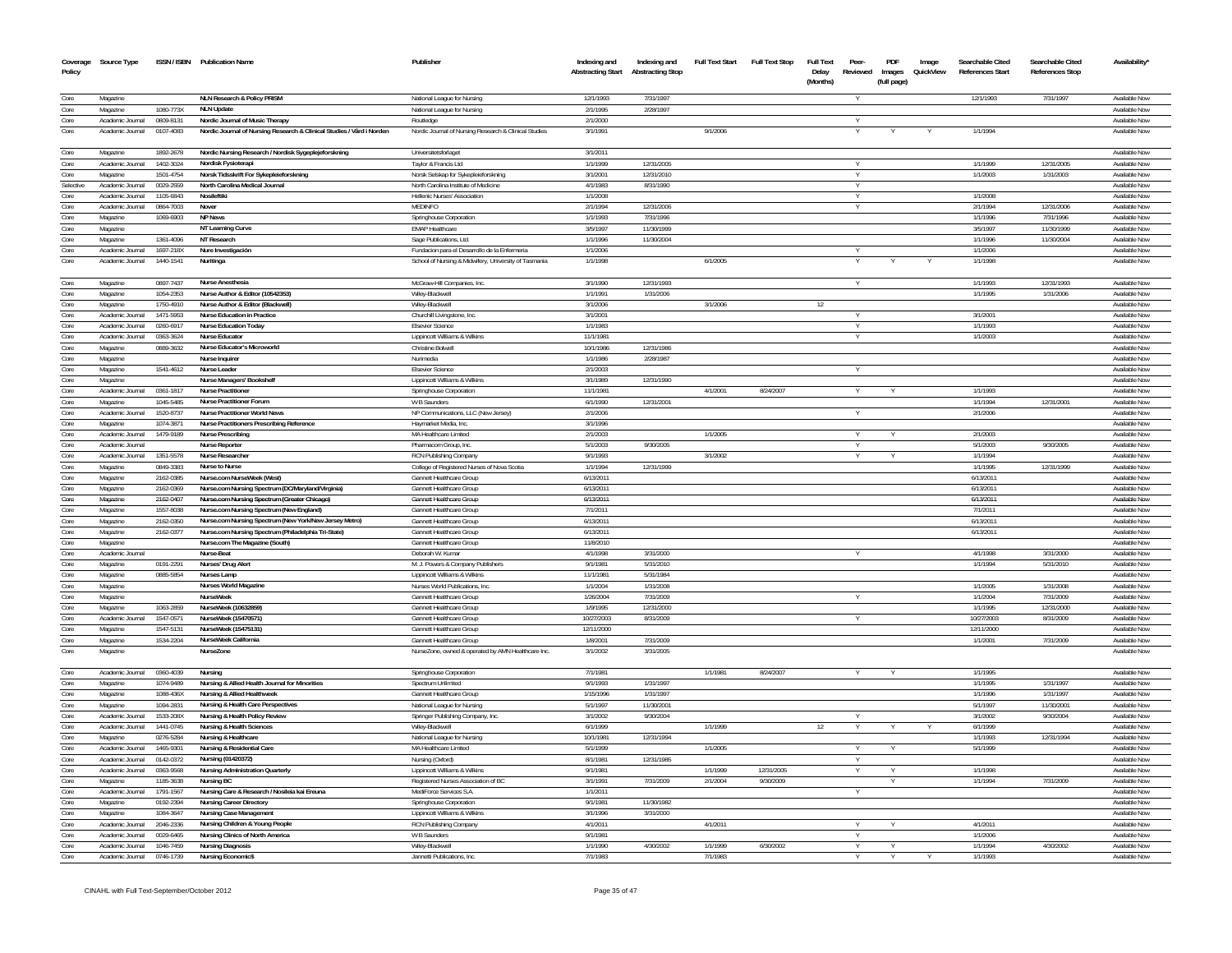| Policy    | Coverage Source Type |           | ISSN / ISBN Publication Name                                          | Publisher                                             | Indexing and<br><b>Abstracting Start</b> | Indexing and<br><b>Abstracting Stop</b> | <b>Full Text Start</b> | Full Text Stop | <b>Full Text</b><br>Delay<br>(Months) | Peer-  | PDF<br>Reviewed Images<br>(full page) | Image<br>QuickView | Searchable Cited<br><b>References Start</b> | Searchable Cited<br><b>References Stop</b> | Availability'                  |
|-----------|----------------------|-----------|-----------------------------------------------------------------------|-------------------------------------------------------|------------------------------------------|-----------------------------------------|------------------------|----------------|---------------------------------------|--------|---------------------------------------|--------------------|---------------------------------------------|--------------------------------------------|--------------------------------|
| Core      | Magazine             |           | NLN Research & Policy PRISM                                           | National League for Nursing                           | 12/1/1993                                | 7/31/1997                               |                        |                |                                       |        |                                       |                    | 12/1/1993                                   | 7/31/1997                                  | Available Now                  |
| Core      | Magazine             | 1080-773X | <b>NLN Update</b>                                                     |                                                       |                                          | 2/28/1997                               |                        |                |                                       |        |                                       |                    |                                             |                                            |                                |
| Core      | Academic Journal     | 0809-8131 | Nordic Journal of Music Therapy                                       | National League for Nursing<br>Routledge              | 2/1/1995<br>2/1/2000                     |                                         |                        |                |                                       | Y      |                                       |                    |                                             |                                            | Available Now<br>Available Now |
| Core      | Academic Journal     | 0107-4083 | Nordic Journal of Nursing Research & Clinical Studies / Vård i Norden | Nordic Journal of Nursing Research & Clinical Studies | 3/1/1991                                 |                                         | 9/1/2006               |                |                                       |        |                                       |                    | 1/1/1994                                    |                                            | Available Now                  |
| Core      | Magazine             | 1892-2678 | Nordic Nursing Research / Nordisk Sygeplejeforskning                  | Universitetsforlaget                                  | 3/1/2011                                 |                                         |                        |                |                                       |        |                                       |                    |                                             |                                            | Available Now                  |
| Core      | Academic Journal     | 1402-3024 | Nordisk Fysioterapi                                                   | Taylor & Francis Ltd                                  | 1/1/199                                  | 12/31/2005                              |                        |                |                                       |        |                                       |                    | 1/1/199                                     | 12/31/2005                                 | Available Nov                  |
| Core      | Magazine             | 1501-4754 | Norsk Tidsskrift For Sykepleieforskning                               | Norsk Selskap for Sykepleieforskning                  | 3/1/2001                                 | 12/31/2010                              |                        |                |                                       |        |                                       |                    | 1/1/2003                                    | 1/31/2003                                  | Available Nov                  |
| Selective | Academic Journal     | 0029-2559 | North Carolina Medical Journal                                        | North Carolina Institute of Medicine                  | 4/1/1983                                 | 8/31/1990                               |                        |                |                                       |        |                                       |                    |                                             |                                            | Available Nov                  |
| Core      | Academic Journal     | 1105-6843 | Nosileftiki                                                           | Hellenic Nurses' Association                          | 1/1/2008                                 |                                         |                        |                |                                       |        |                                       |                    | 1/1/2008                                    |                                            | Available Nov                  |
| Core      | Academic Journal     | 0864-7003 | Nover                                                                 | <b>MEDINFO</b>                                        | 2/1/1994                                 | 12/31/2006                              |                        |                |                                       | Y      |                                       |                    | 2/1/1994                                    | 12/31/2006                                 | Available Now                  |
| Core      | Magazine             | 1069-6903 | <b>NP News</b>                                                        | Springhouse Corporation                               | 1/1/1993                                 | 7/31/1996                               |                        |                |                                       |        |                                       |                    | 1/1/1996                                    | 7/31/199                                   | Available Now                  |
| Core      | Magazine             |           | NT Learning Curve                                                     | FMAP Healthcare                                       | 3/5/1997                                 | 11/30/1999                              |                        |                |                                       |        |                                       |                    | 3/5/1997                                    | 11/30/1999                                 | Available Now                  |
| Core      | Magazine             | 1361-4096 | NT Research                                                           | Sage Publications, Ltd                                | 1/1/1996                                 | 11/30/2004                              |                        |                |                                       |        |                                       |                    | 1/1/1996                                    | 11/30/2004                                 | Available Now                  |
| Core      | Academic Journal     | 1697-218X | Nure Investigación                                                    | Eundacion para el Desarrollo de la Enfermeria         | 1/1/2006                                 |                                         |                        |                |                                       |        |                                       |                    | 1/1/2006                                    |                                            | Available Now                  |
| Core      | Academic Journal     | 1440-1541 | Nuritinga                                                             | School of Nursing & Midwifery, University of Tasmania | 1/1/1998                                 |                                         | 6/1/2005               |                |                                       |        |                                       |                    | 1/1/1998                                    |                                            | Available Now                  |
| Core      | Magazine             | 0897-7437 | Nurse Anesthesia                                                      | McGraw-Hill Companies, Inc.                           | 3/1/1990                                 | 12/31/1993                              |                        |                |                                       |        |                                       |                    | 1/1/1993                                    | 12/31/1993                                 | Available Now                  |
| Core      | Magazine             | 1054-2353 | Nurse Author & Editor (10542353)                                      | Wiley-Blackwell                                       | 1/1/1991                                 | 1/31/2006                               |                        |                |                                       |        |                                       |                    | 1/1/1995                                    | 1/31/2006                                  | Available Now                  |
| Core      | Magazine             | 1750-4910 | Nurse Author & Editor (Blackwell)                                     | Wiley-Blackwell                                       | 3/1/2006                                 |                                         | 3/1/2006               |                | 12                                    |        |                                       |                    |                                             |                                            | Available Now                  |
| Core      | Academic Journal     | 1471-5953 | Nurse Education in Practice                                           | Churchill Livingstone, Inc.                           | 3/1/2001                                 |                                         |                        |                |                                       | Y      |                                       |                    | 3/1/2001                                    |                                            | Available Now                  |
| Core      | Academic Journal     | 0260-6917 | <b>Nurse Education Today</b>                                          | <b>Fisevier Science</b>                               | 1/1/1983                                 |                                         |                        |                |                                       | Y      |                                       |                    | 1/1/1993                                    |                                            | Available Now                  |
| Core      | Academic Journal     | 0363-3624 | Nurse Educator                                                        | Lippincott Williams & Wilkins                         | 11/1/1981                                |                                         |                        |                |                                       | Y      |                                       |                    | 1/1/2003                                    |                                            | Available Now                  |
| Core      | Magazine             | 0889-3632 | Nurse Educator's Microworld                                           | Christine Bolwell                                     | 10/1/1986                                | 12/31/1986                              |                        |                |                                       |        |                                       |                    |                                             |                                            | Available Now                  |
| Core      | Magazine             |           | <b>Nurse Inquirer</b>                                                 | Nurimedia                                             | 1/1/1986                                 | 2/28/1987                               |                        |                |                                       |        |                                       |                    |                                             |                                            | Available Now                  |
| Core      | Magazine             | 1541-4612 | Nurse Leader                                                          | <b>Fisevier Science</b>                               | 2/1/2003                                 |                                         |                        |                |                                       |        |                                       |                    |                                             |                                            | Available Now                  |
| Core      | Magazine             |           | Nurse Managers' Bookshelf                                             | Lippincott Williams & Wilkins                         | 3/1/1989                                 | 12/31/1990                              |                        |                |                                       |        |                                       |                    |                                             |                                            | Available Now                  |
| Core      | Academic Journal     | 0361-1817 | <b>Nurse Practitioner</b>                                             | Springhouse Corporation                               | 11/1/1981                                |                                         | 4/1/2001               | 8/24/2007      |                                       |        |                                       |                    | 1/1/1993                                    |                                            | Available Now                  |
| Core      | Magazine             | 1045-5485 | Nurse Practitioner Forum                                              | W B Saunders                                          | 6/1/1990                                 | 12/31/2001                              |                        |                |                                       |        |                                       |                    | 1/1/1994                                    | 12/31/2001                                 | Available Now                  |
| Core      | Academic Journal     | 1520-8737 | <b>Nurse Practitioner World News</b>                                  | NP Communications. LLC (New Jersey)                   | 2/1/2006                                 |                                         |                        |                |                                       |        |                                       |                    | 2/1/2006                                    |                                            | Available Now                  |
| Core      | Magazine             | 1074-3871 | Nurse Practitioners Prescribing Reference                             | Havmarket Media, Inc.                                 | 3/1/1996                                 |                                         |                        |                |                                       |        |                                       |                    |                                             |                                            | Available Now                  |
| Core      | Academic Journal     | 1479-9189 | <b>Nurse Prescribing</b>                                              | MA Healthcare Limited                                 | 2/1/2003                                 |                                         | 1/1/2005               |                |                                       | Y      | Y                                     |                    | 2/1/2003                                    |                                            | Available Now                  |
| Core      | Academic Journal     |           | <b>Nurse Reporter</b>                                                 | Pharmacom Group, Inc.                                 | 5/1/2003                                 | 9/30/2005                               |                        |                |                                       |        |                                       |                    | 5/1/2003                                    | 9/30/2005                                  | Available Now                  |
| Core      | Academic Journal     | 1351-5578 | Nurse Researcher                                                      | RCN Publishing Company                                | 9/1/1993                                 |                                         | 3/1/2002               |                |                                       |        |                                       |                    | 1/1/1994                                    |                                            | Available Now                  |
| Core      | Magazine             | 0849-3383 | Nurse to Nurse                                                        | College of Registered Nurses of Nova Scotia           | 1/1/1994                                 | 12/31/1999                              |                        |                |                                       |        |                                       |                    | 1/1/1995                                    | 12/31/1999                                 | Available Now                  |
| Core      | Magazine             | 2162-0385 | Nurse.com NurseWeek (West)                                            | <b>Gannett Healthcare Group</b>                       | 6/13/2011                                |                                         |                        |                |                                       |        |                                       |                    | 6/13/2011                                   |                                            | Available Now                  |
| Core      | Magazine             | 2162-0369 | Nurse.com Nursing Spectrum (DC/Maryland/Virginia)                     | Gannett Healthcare Group                              | 6/13/2011                                |                                         |                        |                |                                       |        |                                       |                    | 6/13/2011                                   |                                            | Available Now                  |
| Core      | Magazine             | 2162-0407 | Nurse.com Nursing Spectrum (Greater Chicago)                          | Gannett Healthcare Group                              | 6/13/2011                                |                                         |                        |                |                                       |        |                                       |                    | 6/13/2011                                   |                                            | Available Now                  |
| Core      | Magazine             | 1557-8038 | Nurse.com Nursing Spectrum (New England)                              | <b>Gannett Healthcare Group</b>                       | 7/1/2011                                 |                                         |                        |                |                                       |        |                                       |                    | 7/1/2011                                    |                                            | Available Now                  |
| Core      | Magazine             | 2162-0350 | Nurse.com Nursing Spectrum (New York/New Jersey Metro)                | Gannett Healthcare Group                              | 6/13/2011                                |                                         |                        |                |                                       |        |                                       |                    | 6/13/2011                                   |                                            | Available Now                  |
| Core      | Magazine             | 2162-0377 | Nurse.com Nursing Spectrum (Philadelphia Tri-State)                   | Gannett Healthcare Group                              | 6/13/2011                                |                                         |                        |                |                                       |        |                                       |                    | 6/13/2011                                   |                                            | Available Now                  |
| Core      | Magazine             |           | Nurse.com The Magazine (South)                                        | Gannett Healthcare Group                              | 11/8/2010                                |                                         |                        |                |                                       |        |                                       |                    |                                             |                                            | Available Now                  |
| Core      | Academic Journal     |           | Nurse-Beat                                                            | Deborah W. Kumar                                      | 4/1/1998                                 | 3/31/2000                               |                        |                |                                       |        |                                       |                    | 4/1/1998                                    | 3/31/2000                                  | Available Nov                  |
| Core      | Magazine             | 0191-2291 | Nurses' Drug Alert                                                    | M. J. Powers & Company Publishers                     | 9/1/1981                                 | 5/31/2010                               |                        |                |                                       |        |                                       |                    | 1/1/1994                                    | 5/31/2010                                  | Available Now                  |
| Core      | Magazine             | 0885-5854 | Nurses Lamp                                                           | Lippincott Williams & Wilkins                         | 11/1/1981                                | 5/31/1984                               |                        |                |                                       |        |                                       |                    |                                             |                                            | Available Nov                  |
| Core      | Magazine             |           | <b>Nurses World Magazine</b>                                          | Nurses World Publications. Inc.                       | 1/1/2004                                 | 1/31/2008                               |                        |                |                                       |        |                                       |                    | 1/1/2005                                    | 1/31/2008                                  | Available Now                  |
| Core      | Magazine             |           | NurseWeek                                                             | Gannett Healthcare Group                              | 1/26/2004                                | 7/31/2009                               |                        |                |                                       |        |                                       |                    | 1/1/2004                                    | 7/31/2009                                  | Available Nov                  |
| Core      | Magazine             | 1063-2859 | NurseWeek (10632859)                                                  | <b>Gannett Healthcare Group</b>                       | 1/9/1995                                 | 12/31/2000                              |                        |                |                                       |        |                                       |                    | 1/1/1995                                    | 12/31/2000                                 | Available Now                  |
| Core      | Academic Journal     | 1547-0571 | NurseWeek (15470571)                                                  | Gannett Healthcare Group                              | 10/27/2003                               | 8/31/2009                               |                        |                |                                       |        |                                       |                    | 10/27/2003                                  | 8/31/2009                                  | Available Now                  |
| Core      | Magazine             | 1547-5131 | NurseWeek (15475131)                                                  | Gannett Healthcare Group                              | 12/11/2000                               |                                         |                        |                |                                       |        |                                       |                    | 12/11/2000                                  |                                            | Available Now                  |
| Core      | Magazine             | 1534-2204 | NurseWeek California                                                  | Gannett Healthcare Group                              | 1/8/2001                                 | 7/31/2009                               |                        |                |                                       |        |                                       |                    | 1/1/2001                                    | 7/31/2009                                  | Available Nov                  |
| Core      | Magazine             |           | NurseZone                                                             | NurseZone, owned & operated by AMN Healthcare Inc.    | 3/1/2002                                 | 3/31/2005                               |                        |                |                                       |        |                                       |                    |                                             |                                            | <b>Available Nov</b>           |
| Core      | Academic Journal     | 0360-4039 | Nursing                                                               | Springhouse Corporation                               | 7/1/1981                                 |                                         | 1/1/1981               | 8/24/2007      |                                       |        |                                       |                    | 1/1/1995                                    |                                            | <b>Available Nov</b>           |
| Core      | Magazine             | 1074-9489 | Nursing & Allied Health Journal for Minorities                        | Spectrum Unlimited                                    | 9/1/1993                                 | 1/31/1997                               |                        |                |                                       |        |                                       |                    | 1/1/1995                                    | 1/31/1997                                  | Available Nov                  |
| Core      | Magazine             | 1088-436X | Nursing & Allied Healthweek                                           | Gannett Healthcare Group                              | 1/15/1996                                | 1/31/1997                               |                        |                |                                       |        |                                       |                    | 1/1/1996                                    | 1/31/1997                                  | Available Nov                  |
| Core      | Magazine             | 1094-2831 | Nursing & Health Care Perspectives                                    | National League for Nursing                           | 5/1/1997                                 | 11/30/2001                              |                        |                |                                       |        |                                       |                    | 5/1/1997                                    | 11/30/200                                  | Available Nov                  |
| Core      | Academic Journal     | 1533-208X | Nursing & Health Policy Review                                        | Springer Publishing Company, Inc.                     | 3/1/2002                                 | 9/30/2004                               |                        |                |                                       |        |                                       |                    | 3/1/2002                                    | 9/30/2004                                  | Available Nov                  |
| Core      | Academic Journal     | 1441-0745 | <b>Nursing &amp; Health Sciences</b>                                  | Wilev-Blackwell                                       | 6/1/1999                                 |                                         | 1/1/1999               |                | 12                                    |        |                                       |                    | 6/1/1999                                    |                                            | Available Nov                  |
| Core      | Magazine             | 0276-5284 | Nursing & Healthcare                                                  | National League for Nursing                           | 10/1/1981                                | 12/31/1994                              |                        |                |                                       |        |                                       |                    | 1/1/1993                                    | 12/31/1994                                 | <b>Available Nov</b>           |
| Core      | Academic Journal     | 1465-930  | Nursing & Residential Care                                            | MA Healthcare Limited                                 | 5/1/1999                                 |                                         | 1/1/2005               |                |                                       |        |                                       |                    | 5/1/1999                                    |                                            | Available Nov                  |
| Core      | Academic Journal     | 0142-0372 | Nursing (01420372)                                                    | Nursing (Oxford)                                      | 8/1/1981                                 | 12/31/1985                              |                        |                |                                       | $\vee$ |                                       |                    |                                             |                                            | Available Nov                  |
| Core      | Academic Journal     | 0363-9568 | Nursing Administration Quarterly                                      | Lippincott Williams & Wilkins                         | 9/1/198                                  |                                         | 1/1/1999               | 12/31/2005     |                                       |        |                                       |                    | 1/1/1998                                    |                                            | Available Nov                  |
| Core      | Magazine             | 1185-3638 | <b>Nursing BC</b>                                                     | Registered Nurses Association of BC                   | 3/1/1991                                 | 7/31/2009                               | 2/1/2004               | 9/30/2009      |                                       |        |                                       |                    | 1/1/1994                                    | 7/31/2009                                  | Available Nov                  |
| Core      | Academic Journal     | 1791-1567 | Nursing Care & Research / Nosileia kai Ereuna                         | MediForce Services S.A                                | 1/1/2011                                 |                                         |                        |                |                                       |        |                                       |                    |                                             |                                            | Available Nov                  |
| Core      | Magazine             | 0192-2394 | <b>Nursing Career Directory</b>                                       | Springhouse Corporation                               | 9/1/1981                                 | 11/30/1982                              |                        |                |                                       |        |                                       |                    |                                             |                                            | Available Nov                  |
| Core      | Magazine             | 1084-3647 | Nursing Case Managemen                                                | Lippincott Williams & Wilkins                         | 3/1/1996                                 | 3/31/2000                               |                        |                |                                       |        |                                       |                    |                                             |                                            | Available Nov                  |
| Core      | Academic Journal     | 2046-2336 | Nursing Children & Young People                                       | RCN Publishing Company                                | 4/1/2011                                 |                                         | 4/1/2011               |                |                                       |        |                                       |                    | 4/1/2011                                    |                                            | Available Nov                  |
| Core      | Academic Journal     | 0029-6465 | Nursing Clinics of North America                                      | W B Saunder:                                          | 9/1/1981                                 |                                         |                        |                |                                       |        |                                       |                    | 1/1/2006                                    |                                            | Available Nov                  |
| Core      | Academic Journal     | 1046-7459 | <b>Nursing Diagnosis</b>                                              | Wiley-Blackwel                                        | 1/1/1990                                 | 4/30/2002                               | 1/1/1999               | 6/30/2002      |                                       |        |                                       |                    | 1/1/1994                                    | 4/30/2002                                  | Available No                   |
| Core      | Academic Journal     | 0746-1739 | <b>Nursing EconomicS</b>                                              | Jannetti Publications, Inc.                           | 7/1/1983                                 |                                         | 7/1/1983               |                |                                       |        |                                       |                    | 1/1/1993                                    |                                            | Available Nov                  |
|           |                      |           |                                                                       |                                                       |                                          |                                         |                        |                |                                       |        |                                       |                    |                                             |                                            |                                |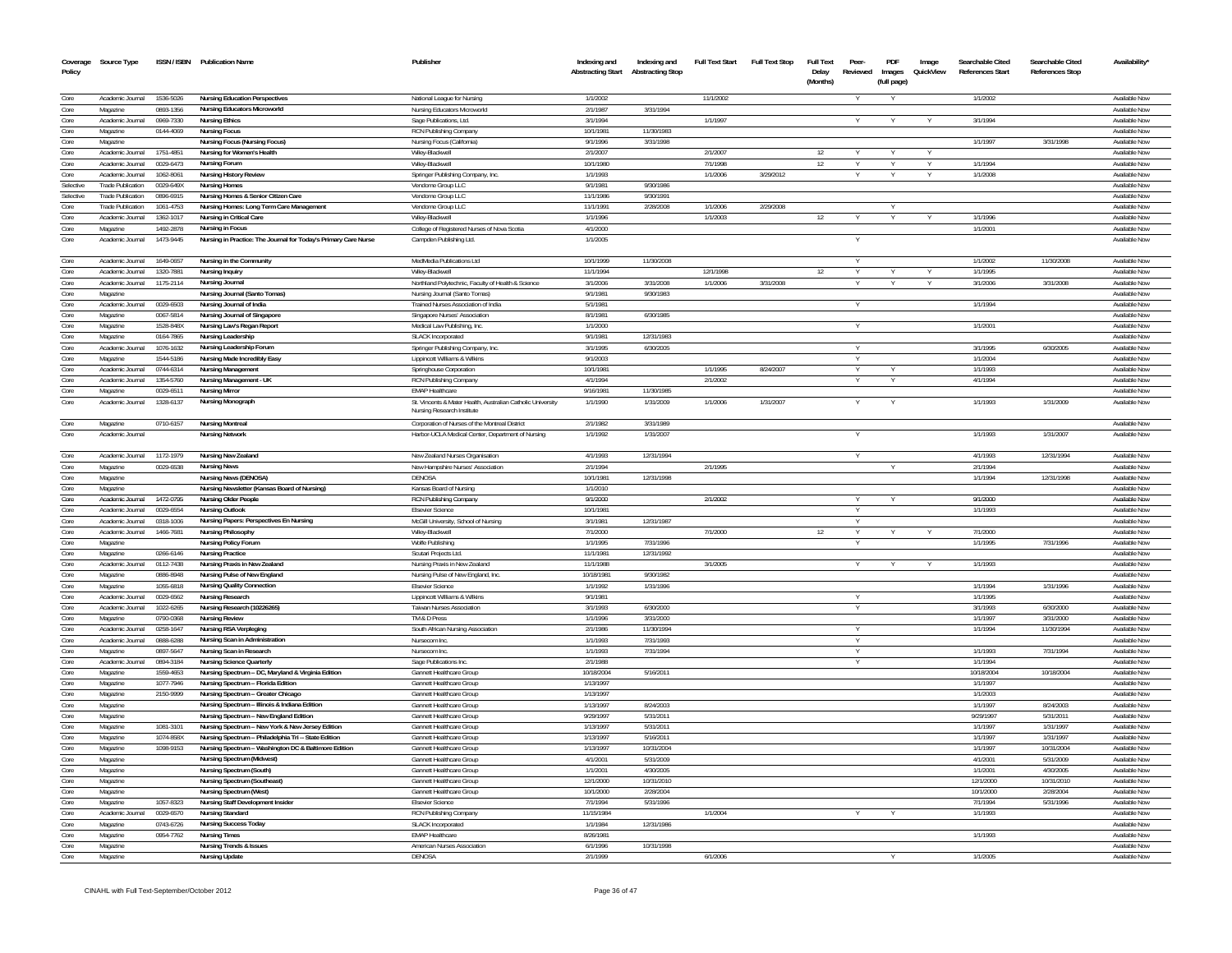| Coverage<br>Policy | Source Type                          |                        | ISSN / ISBN Publication Name                                      | Publisher                                                                                 | Indexing and<br><b>Abstracting Start</b> | Indexing and<br><b>Abstracting Stop</b> | <b>Full Text Start</b> | <b>Full Text Stop</b> | <b>Full Text</b><br>Delay<br>(Months) | Peer-<br>Reviewed | PDF<br>Images<br>(full page) | Image<br>QuickView | Searchable Cited<br>References Start | Searchable Cited<br><b>References Stop</b> | Availability                   |
|--------------------|--------------------------------------|------------------------|-------------------------------------------------------------------|-------------------------------------------------------------------------------------------|------------------------------------------|-----------------------------------------|------------------------|-----------------------|---------------------------------------|-------------------|------------------------------|--------------------|--------------------------------------|--------------------------------------------|--------------------------------|
|                    |                                      |                        |                                                                   |                                                                                           |                                          |                                         |                        |                       |                                       |                   |                              |                    |                                      |                                            |                                |
| Core               | Academic Journal                     | 1536-5026              | <b>Nursing Education Perspectives</b>                             | National League for Nursing                                                               | 1/1/2002                                 |                                         | 11/1/2002              |                       |                                       |                   |                              |                    | 1/1/2002                             |                                            | Available Nov                  |
| Core               | Magazine                             | 0893-1356              | <b>Nursing Educators Microworld</b>                               | Nursing Educators Microworld                                                              | 2/1/1987                                 | 3/31/1994                               |                        |                       |                                       |                   |                              |                    |                                      |                                            | Available Nov                  |
| Core<br>Core       | Academic Journal<br>Magazine         | 0969-7330<br>0144-4069 | <b>Nursing Ethics</b><br><b>Nursing Focus</b>                     | Sage Publications, Ltd.<br>RCN Publishing Company                                         | 3/1/1994<br>10/1/1981                    | 11/30/1983                              | 1/1/1997               |                       |                                       |                   |                              |                    | 3/1/1994                             |                                            | Available Nov<br>Available No  |
| Core               | Magazine                             |                        | Nursing Focus (Nursing Focus)                                     | Nursing Focus (California)                                                                | 9/1/1996                                 | 3/31/1998                               |                        |                       |                                       |                   |                              |                    | 1/1/1997                             | 3/31/1998                                  | Availahle Nor                  |
| Core               | Academic Journal                     | 1751-4851              | Nursing for Women's Health                                        | Wilev-Blackwell                                                                           | 2/1/2007                                 |                                         | 2/1/2007               |                       | 12                                    |                   |                              |                    |                                      |                                            | Available Nov                  |
| Core               | Academic Journal                     | 0029-6473              | <b>Nursing Forum</b>                                              | Wiley-Blackwell                                                                           | 10/1/1980                                |                                         | 7/1/1998               |                       | 12                                    |                   |                              |                    | 1/1/1994                             |                                            | Available Nov                  |
| Core               | Academic Journal                     | 1062-8061              | <b>Nursing History Review</b>                                     | Springer Publishing Company, Inc.                                                         | 1/1/1993                                 |                                         | 1/1/2006               | 3/29/2012             |                                       |                   |                              |                    | 1/1/2008                             |                                            | Available Nov                  |
| Selective          | <b>Trade Publication</b>             | 0029-649X              | <b>Nursing Homes</b>                                              | Vendome Group LLC                                                                         | 9/1/1981                                 | 9/30/1986                               |                        |                       |                                       |                   |                              |                    |                                      |                                            | Available Nov                  |
| Selective          | <b>Trade Publication</b>             | 0896-6915              | Nursing Homes & Senior Citizen Care                               | Vendome Group LLC                                                                         | 11/1/1986                                | 9/30/1991                               |                        |                       |                                       |                   |                              |                    |                                      |                                            | Available Nov                  |
| Core               | <b>Trade Publication</b>             | 1061-4753              | Nursing Homes: Long Term Care Management                          | Vendome Group LLC                                                                         | 11/1/1991                                | 2/28/2008                               | 1/1/2006               | 2/29/2008             |                                       |                   |                              |                    |                                      |                                            | Available Nov                  |
| Core               | Academic Journal                     | 1362-1017              | Nursing in Critical Care                                          | Wilev-Blackwell                                                                           | 1/1/1996                                 |                                         | 1/1/2003               |                       | 12                                    |                   |                              |                    | 1/1/199                              |                                            | Available Nov                  |
| Core               | Magazine                             | 1492-2878              | <b>Nursing in Focus</b>                                           | College of Registered Nurses of Nova Scotia                                               | 4/1/2000                                 |                                         |                        |                       |                                       |                   |                              |                    | 1/1/2001                             |                                            | Available No                   |
| Core               | Academic Journal                     | 1473-9445              | Nursing in Practice: The Journal for Today's Primary Care Nurse   | Campden Publishing Ltd.                                                                   | 1/1/2005                                 |                                         |                        |                       |                                       |                   |                              |                    |                                      |                                            | Available Nov                  |
| Core               | Academic Journal                     | 1649-0657              | Nursing in the Community                                          | MedMedia Publications Ltd                                                                 | 10/1/1999                                | 11/30/2008                              |                        |                       |                                       |                   |                              |                    | 1/1/2002                             | 11/30/2008                                 | Available Now                  |
| Core               | Academic Journal                     | 1320-7881              | <b>Nursing Inquiry</b>                                            | Wilev-Blackwell                                                                           | 11/1/1994                                |                                         | 12/1/1998              |                       | 12                                    |                   |                              |                    | 1/1/1995                             |                                            | Available Nov                  |
| Core               | Academic Journal                     | 1175-2114              | Nursing Journal                                                   | Northland Polytechnic, Faculty of Health & Science                                        | 3/1/2006                                 | 3/31/2008                               | 1/1/2006               | 3/31/2008             |                                       |                   |                              |                    | 3/1/2006                             | 3/31/2008                                  | Available Nov                  |
| Core               | Magazine<br>Academic Journal         | 0029-6503              | Nursing Journal (Santo Tomas)<br>Nursing Journal of India         | Nursing Journal (Santo Tomas)<br>Trained Nurses Association of India                      | 9/1/1981<br>5/1/1981                     | 9/30/1983                               |                        |                       |                                       |                   |                              |                    | 1/1/1994                             |                                            | Available Nov<br>Available No  |
| Core<br>Core       | Magazine                             | 0067-5814              | Nursing Journal of Singapore                                      | Singapore Nurses' Association                                                             | 8/1/1981                                 | 6/30/1985                               |                        |                       |                                       |                   |                              |                    |                                      |                                            | Available Nov                  |
| Core               | Magazine                             | 1528-848X              | Nursing Law's Regan Report                                        | Medical Law Publishing, Inc.                                                              | 1/1/2000                                 |                                         |                        |                       |                                       |                   |                              |                    | 1/1/2001                             |                                            | Available Nov                  |
| Core               | Magazine                             | 0164-7865              | Nursing Leadership                                                | <b>SLACK Incorporated</b>                                                                 | 9/1/1981                                 | 12/31/1983                              |                        |                       |                                       |                   |                              |                    |                                      |                                            | Available Now                  |
| Core               | Academic Journal                     | 1076-1632              | Nursing Leadership Forum                                          | Springer Publishing Company, Inc.                                                         | 3/1/1995                                 | 6/30/2005                               |                        |                       |                                       |                   |                              |                    | 3/1/1995                             | 6/30/2005                                  | Available No                   |
| Core               | Magazine                             | 1544-5186              | Nursing Made Incredibly Easy                                      | Lippincott Williams & Wilkins                                                             | 9/1/2003                                 |                                         |                        |                       |                                       |                   |                              |                    | 1/1/2004                             |                                            | Available Nov                  |
| Core               | Academic Journal                     | 0744-6314              | <b>Nursing Management</b>                                         | Springhouse Corporation                                                                   | 10/1/1981                                |                                         | 1/1/1995               | 8/24/2007             |                                       |                   |                              |                    | 1/1/1993                             |                                            | Available No                   |
| Core               | Academic Journal                     | 1354-5760              | Nursing Management - UK                                           | RCN Publishing Company                                                                    | 4/1/1994                                 |                                         | 2/1/2002               |                       |                                       |                   |                              |                    | 4/1/1994                             |                                            | Available No                   |
| Core               | Magazine                             | 0029-6511              | <b>Nursing Mirror</b>                                             | <b>EMAP Healthcar</b>                                                                     | 9/16/1981                                | 11/30/1985                              |                        |                       |                                       |                   |                              |                    |                                      |                                            | Available Nov                  |
| Core               | Academic Journal                     | 1328-6137              | Nursing Monograph                                                 | St. Vincents & Mater Health, Australian Catholic University<br>Nursing Research Institute | 1/1/1990                                 | 1/31/2009                               | 1/1/2006               | 1/31/2007             |                                       |                   |                              |                    | 1/1/1993                             | 1/31/2009                                  | Available Now                  |
| Core               | Magazine                             | 0710-6157              | <b>Nursing Montreal</b>                                           | Corporation of Nurses of the Montreal District                                            | 2/1/1982                                 | 3/31/1989                               |                        |                       |                                       |                   |                              |                    |                                      |                                            | Available Now                  |
| Core               | Academic Journal                     |                        | <b>Nursing Network</b>                                            | Harbor-UCLA Medical Center, Department of Nursing                                         | 1/1/1992                                 | 1/31/2007                               |                        |                       |                                       |                   |                              |                    | 1/1/1993                             | 1/31/2007                                  | Available Now                  |
| Core               | Academic Journal                     | 1172-1979              | Nursing New Zealand                                               | New Zealand Nurses Organisation                                                           | 4/1/1993                                 | 12/31/1994                              |                        |                       |                                       | Y                 |                              |                    | 4/1/1993                             | 12/31/1994                                 | Available Now                  |
| Core               | Magazine                             | 0029-6538              | <b>Nursing News</b>                                               | New Hampshire Nurses' Association                                                         | 2/1/1994                                 |                                         | 2/1/1995               |                       |                                       |                   |                              |                    | 2/1/1994                             |                                            | Available No                   |
| Core               | Magazine                             |                        | Nursing News (DENOSA)                                             | DENOSA                                                                                    | 10/1/1981                                | 12/31/1998                              |                        |                       |                                       |                   |                              |                    | 1/1/1994                             | 12/31/1998                                 | Available Nov                  |
| Core               | Magazine                             |                        | Nursing Newsletter (Kansas Board of Nursing)                      | Kansas Board of Nursing                                                                   | 1/1/2010                                 |                                         |                        |                       |                                       |                   |                              |                    |                                      |                                            | Available No                   |
| Core               | Academic Journal                     | 1472-0795              | Nursing Older People                                              | RCN Publishing Company                                                                    | 9/1/2000                                 |                                         | 2/1/2002               |                       |                                       |                   |                              |                    | 9/1/2000                             |                                            | Available Now<br>Available Now |
| Core<br>Core       | Academic Journal<br>Academic Journal | 0029-6554<br>0318-1006 | <b>Nursing Outlook</b><br>Nursing Papers: Perspectives En Nursing | <b>Elsevier Science</b><br>McGill University, School of Nursing                           | 10/1/1981<br>3/1/1981                    | 12/31/1987                              |                        |                       |                                       | Y                 |                              |                    | 1/1/1993                             |                                            | Available No                   |
| Core               | Academic Journal                     | 1466-7681              | <b>Nursing Philosophy</b>                                         | Wilev-Blackwell                                                                           | 7/1/2000                                 |                                         | 7/1/2000               |                       | 12                                    |                   |                              |                    | 7/1/2000                             |                                            | Available Nov                  |
| Core               | Magazine                             |                        | <b>Nursing Policy Forum</b>                                       | Wolfe Publishing                                                                          | 1/1/1995                                 | 7/31/1996                               |                        |                       |                                       |                   |                              |                    | 1/1/1995                             | 7/31/1996                                  | Available Nov                  |
| Core               | Magazine                             | 0266-6146              | <b>Nursing Practice</b>                                           | Scutari Projects Ltd                                                                      | 11/1/1981                                | 12/31/1992                              |                        |                       |                                       |                   |                              |                    |                                      |                                            | Available Now                  |
| Core               | Academic Journal                     | 0112-7438              | Nursing Praxis in New Zealand                                     | Nursing Praxis in New Zealand                                                             | 11/1/1988                                |                                         | 3/1/2005               |                       |                                       |                   |                              |                    | 1/1/1993                             |                                            | Available Nov                  |
| Core               | Magazine                             | 0886-8948              | Nursing Pulse of New England                                      | Nursing Pulse of New England, Inc.                                                        | 10/18/1981                               | 9/30/1982                               |                        |                       |                                       |                   |                              |                    |                                      |                                            | Available Now                  |
| Core               | Magazine                             | 1055-6818              | <b>Nursing Quality Connection</b>                                 | <b>Elsevier Science</b>                                                                   | 1/1/1992                                 | 1/31/1996                               |                        |                       |                                       |                   |                              |                    | 1/1/1994                             | 1/31/1996                                  | Available No                   |
| Core               | Academic Journal                     | 0029-6562              | Nursing Research                                                  | Lippincott Williams & Wilkins                                                             | 9/1/1981                                 |                                         |                        |                       |                                       |                   |                              |                    | 1/1/1995                             |                                            | Available Nov                  |
| Core               | Academic Journal                     | 1022-6265              | Nursing Research (10226265)                                       | Taiwan Nurses Association                                                                 | 3/1/1993                                 | 6/30/2000                               |                        |                       |                                       |                   |                              |                    | 3/1/1993                             | 6/30/2000                                  | Available Nov                  |
| Core<br>Core       | Magazine                             | 0790-0368              | <b>Nursing Review</b>                                             | TM & D Press                                                                              | 1/1/1996                                 | 3/31/2000                               |                        |                       |                                       |                   |                              |                    | 1/1/1997                             | 3/31/2000                                  | Available No                   |
| Core               | Academic Journal<br>Academic Journal | 0258-1647<br>0888-6288 | Nursing RSA Verpleging<br>Nursing Scan in Administration          | South African Nursing Association<br>Nursecom Inc                                         | 2/1/1986<br>1/1/1993                     | 11/30/1994<br>7/31/1993                 |                        |                       |                                       | Y                 |                              |                    | 1/1/1994                             | 11/30/1994                                 | Available Now<br>Available Nov |
| Core               | Magazine                             | 0897-5647              | Nursing Scan in Research                                          | Nursecom Inc                                                                              | 1/1/1993                                 | 7/31/1994                               |                        |                       |                                       |                   |                              |                    | 1/1/1993                             | 7/31/1994                                  | Available Now                  |
| Core               | Academic Journal                     | 0894-3184              | <b>Nursing Science Quarterly</b>                                  | Sage Publications Inc                                                                     | 2/1/1988                                 |                                         |                        |                       |                                       |                   |                              |                    | 1/1/1994                             |                                            | Available Nov                  |
| Core               | Magazine                             | 1559-4653              | Nursing Spectrum -- DC, Maryland & Virginia Edition               | <b>Gannett Healthcare Group</b>                                                           | 10/18/2004                               | 5/16/2011                               |                        |                       |                                       |                   |                              |                    | 10/18/2004                           | 10/18/2004                                 | Available Now                  |
| Core               | Magazine                             | 1077-7946              | Nursing Spectrum -- Florida Edition                               | Gannett Healthcare Group                                                                  | 1/13/1997                                |                                         |                        |                       |                                       |                   |                              |                    | 1/1/1997                             |                                            | Available Now                  |
| Core               | Magazine                             | 2150-9999              | Nursing Spectrum -- Greater Chicago                               | Gannett Healthcare Group                                                                  | 1/13/1997                                |                                         |                        |                       |                                       |                   |                              |                    | 1/1/2003                             |                                            | Available Now                  |
| Core               | Magazine                             |                        | Nursing Spectrum -- Illinois & Indiana Edition                    | Gannett Healthcare Group                                                                  | 1/13/1997                                | 8/24/2003                               |                        |                       |                                       |                   |                              |                    | 1/1/1997                             | 8/24/2003                                  | Available Nov                  |
| Core               | Magazine                             |                        | Nursing Spectrum -- New England Edition                           | <b>Gannett Healthcare Group</b>                                                           | 9/29/1997                                | 5/31/201                                |                        |                       |                                       |                   |                              |                    | 9/29/199                             | 5/31/2011                                  | Available Nov                  |
| Core               | Magazine                             | 1081-3101              | Nursing Spectrum -- New York & New Jersey Edition                 | Gannett Healthcare Group                                                                  | 1/13/1997                                | 5/31/2011                               |                        |                       |                                       |                   |                              |                    | 1/1/1997                             | 1/31/1997                                  | Available Nov                  |
| Core               | Magazine                             | 1074-858>              | Nursing Spectrum -- Philadelphia Tri -- State Edition             | Gannett Healthcare Group                                                                  | 1/13/1997                                | 5/16/2011                               |                        |                       |                                       |                   |                              |                    | 1/1/199                              | 1/31/1997                                  | Available No                   |
| Core               | Magazine                             | 1098-9153              | Nursing Spectrum -- Washington DC & Baltimore Edition             | Gannett Healthcare Group                                                                  | 1/13/1997                                | 10/31/2004                              |                        |                       |                                       |                   |                              |                    | 1/1/1997                             | 10/31/2004                                 | Available Now                  |
| Core               | Magazine                             |                        | Nursing Spectrum (Midwest)                                        | <b>Gannett Healthcare Group</b>                                                           | 4/1/2001                                 | 5/31/2009                               |                        |                       |                                       |                   |                              |                    | 4/1/2001                             | 5/31/2009                                  | Available No                   |
| Core<br>Core       | Magazine<br>Magazine                 |                        | Nursing Spectrum (South)                                          | <b>Gannett Healthcare Group</b><br>Gannett Healthcare Group                               | 1/1/2001<br>12/1/2000                    | 4/30/2005<br>10/31/2010                 |                        |                       |                                       |                   |                              |                    | 1/1/2001<br>12/1/2000                | 4/30/2005<br>10/31/2010                    | Available Now<br>Available Now |
| Core               | Magazine                             |                        | Nursing Spectrum (Southeast)<br>Nursing Spectrum (West)           | <b>Gannett Healthcare Group</b>                                                           | 10/1/2000                                | 2/28/2004                               |                        |                       |                                       |                   |                              |                    | 10/1/2000                            | 2/28/2004                                  | Available Now                  |
| Core               | Magazine                             | 1057-8323              | Nursing Staff Development Insider                                 | <b>Elsevier Science</b>                                                                   | 7/1/1994                                 | 5/31/1996                               |                        |                       |                                       |                   |                              |                    | 7/1/1994                             | 5/31/1996                                  | Available Now                  |
| Core               | Academic Journal                     | 0029-6570              | <b>Nursing Standard</b>                                           | RCN Publishing Company                                                                    | 11/15/1984                               |                                         | 1/1/2004               |                       |                                       |                   |                              |                    | 1/1/1993                             |                                            | Available Nov                  |
| Core               | Magazine                             | 0743-6726              | <b>Nursing Success Today</b>                                      | <b>SLACK Incorporated</b>                                                                 | 1/1/1984                                 | 12/31/1986                              |                        |                       |                                       |                   |                              |                    |                                      |                                            | Available Nov                  |
| Core               | Magazine                             | 0954-7762              | <b>Nursing Times</b>                                              | <b>EMAP Healthcare</b>                                                                    | 8/26/198                                 |                                         |                        |                       |                                       |                   |                              |                    | 1/1/1993                             |                                            | Available No                   |
| Core               | Magazine                             |                        | <b>Nursing Trends &amp; Issues</b>                                | American Nurses Association                                                               | 6/1/1996                                 | 10/31/1998                              |                        |                       |                                       |                   |                              |                    |                                      |                                            | Available Nov                  |
| Core               | Magazine                             |                        | <b>Nursing Update</b>                                             | DENOSA                                                                                    | 2/1/1999                                 |                                         | 6/1/2006               |                       |                                       |                   |                              |                    | 1/1/2005                             |                                            | Available Nov                  |
|                    |                                      |                        |                                                                   |                                                                                           |                                          |                                         |                        |                       |                                       |                   |                              |                    |                                      |                                            |                                |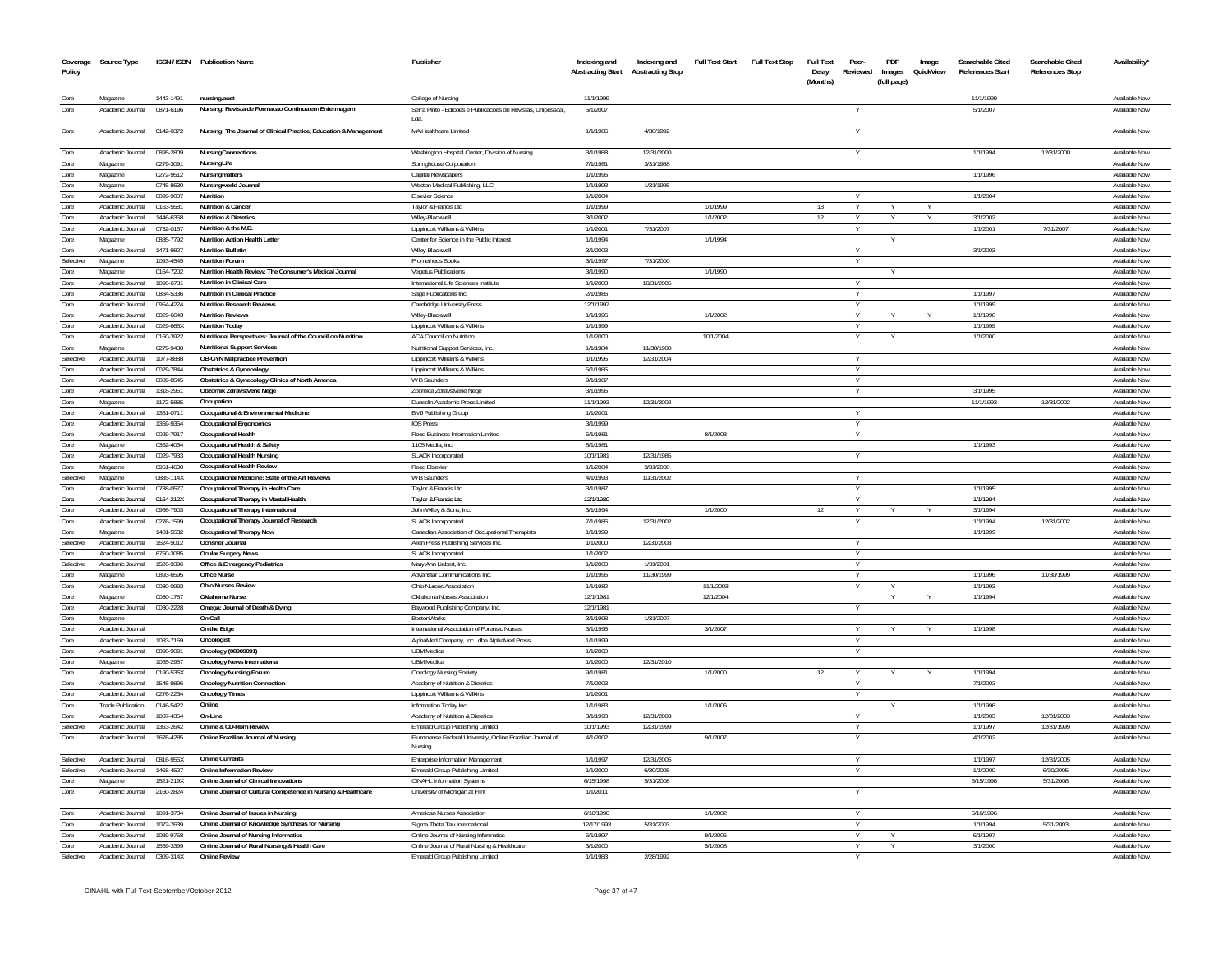| Coverage<br>Policy | Source Type                          |                        | ISSN / ISBN Publication Name                                       | Publisher                                                             | Indexing and<br><b>Abstracting Start</b> | Indexing and<br><b>Abstracting Stop</b> | <b>Full Text Start</b> | <b>Full Text Stop</b> | <b>Full Text</b><br>Delay<br>(Months) | Peer-<br>Reviewed    | PDF<br>Images<br>(full page) | Image<br>QuickView | Searchable Cited<br>References Start | Searchable Cited<br><b>References Stop</b> | Availability'                  |
|--------------------|--------------------------------------|------------------------|--------------------------------------------------------------------|-----------------------------------------------------------------------|------------------------------------------|-----------------------------------------|------------------------|-----------------------|---------------------------------------|----------------------|------------------------------|--------------------|--------------------------------------|--------------------------------------------|--------------------------------|
| Core               | Magazine                             | 1443-1491              | nursing.aust                                                       | College of Nursing                                                    | 11/1/1999                                |                                         |                        |                       |                                       |                      |                              |                    | 11/1/1999                            |                                            | Available Nov                  |
| Core               | Academic Journal                     | 0871-6196              | Nursing: Revista de Formacao Continua em Enfermagem                | Serra Pinto - Edicoes e Publicacoes de Revistas, Unipessoal,<br>Lda.  | 5/1/2007                                 |                                         |                        |                       |                                       |                      |                              |                    | 5/1/2007                             |                                            | Available Nov                  |
| Core               | Academic Journal                     | 0142-0372              | Nursing: The Journal of Clinical Practice, Education & Management  | MA Healthcare Limited                                                 | 1/1/1986                                 | 4/30/1992                               |                        |                       |                                       |                      |                              |                    |                                      |                                            | Available Now                  |
| Core               | Academic Journal                     | 0895-2809              | <b>NursingConnections</b>                                          | Washington Hospital Center, Division of Nursing                       | 3/1/1988                                 | 12/31/2000                              |                        |                       |                                       |                      |                              |                    | 1/1/1994                             | 12/31/2000                                 | Available Now                  |
| Core               | Magazine                             | 0279-3091              | NursingLife                                                        | Springhouse Corporation                                               | 7/1/198                                  | 3/31/1988                               |                        |                       |                                       |                      |                              |                    |                                      |                                            | Available Nov                  |
| Core               | Magazine                             | 0272-9512              | Nursingmatters                                                     | Capital Newspapers                                                    | 1/1/1996                                 |                                         |                        |                       |                                       |                      |                              |                    | 1/1/1996                             |                                            | Available Nov                  |
| Core               | Magazine                             | 0745-8630              | Nursingworld Journal                                               | Weston Medical Publishing, LLC                                        | 1/1/1993                                 | 1/31/1995                               |                        |                       |                                       |                      |                              |                    |                                      |                                            | Available Nov                  |
| Core               | Academic Journal                     | 0899-9007              | Nutrition                                                          | <b>Elsevier Science</b>                                               | 1/1/2004                                 |                                         |                        |                       |                                       |                      |                              |                    | 1/1/2004                             |                                            | Available Nov                  |
| Core               | Academic Journal                     | 0163-5581              | <b>Nutrition &amp; Cancer</b>                                      | Taylor & Francis Ltd                                                  | 1/1/1999                                 |                                         | 1/1/1999               |                       | 18                                    |                      |                              |                    |                                      |                                            | Available Nov                  |
| Core               | Academic Journal                     | 1446-6368              | <b>Nutrition &amp; Dietetics</b>                                   | Wiley-Blackwel                                                        | 3/1/2002                                 |                                         | 1/1/2002               |                       | 12                                    |                      |                              |                    | 3/1/2002                             |                                            | Available Nov                  |
| Core               | Academic Journal                     | 0732-0167              | Nutrition & the M.D                                                | Lippincott Williams & Wilkins                                         | 1/1/2001                                 | 7/31/2007                               |                        |                       |                                       |                      |                              |                    | 1/1/2001                             | 7/31/2007                                  | Available Nov                  |
| Core<br>Core       | Magazine<br>Academic Journal         | 0885-7792<br>1471-9827 | <b>Nutrition Action Health Letter</b><br><b>Nutrition Bulletin</b> | Center for Science in the Public Interest<br>Wiley-Blackwell          | 1/1/1994<br>3/1/2003                     |                                         | 1/1/1994               |                       |                                       |                      |                              |                    | 3/1/2003                             |                                            | Available Nov<br>Available Now |
| Selective          | Magazine                             | 1093-4545              | <b>Nutrition Forum</b>                                             | Prometheus Books                                                      | 3/1/1997                                 | 7/31/2000                               |                        |                       |                                       | $\vee$               |                              |                    |                                      |                                            | Available Now                  |
| Core               | Magazine                             | 0164-7202              | Nutrition Health Review: The Consumer's Medical Journal            | <b>Vegetus Publications</b>                                           | 3/1/1990                                 |                                         | 1/1/1990               |                       |                                       |                      |                              |                    |                                      |                                            | Available Nov                  |
| Core               | Academic Journal                     | 1096-6781              | Nutrition in Clinical Care                                         | International Life Sciences Institute                                 | 1/1/2003                                 | 10/31/2005                              |                        |                       |                                       |                      |                              |                    |                                      |                                            | Available Nov                  |
| Core               | Academic Journal                     | 0884-5336              | Nutrition in Clinical Practice                                     | Sage Publications Inc.                                                | 2/1/1986                                 |                                         |                        |                       |                                       |                      |                              |                    | 1/1/1997                             |                                            | Available Nov                  |
| Core               | Academic Journal                     | 0954-4224              | <b>Nutrition Research Reviews</b>                                  | Cambridge University Press                                            | 12/1/1997                                |                                         |                        |                       |                                       |                      |                              |                    | 1/1/1999                             |                                            | Available Nov                  |
| Core               | Academic Inumal                      | 2333.0010              | <b>Nutrition Reviews</b>                                           | Wiley-Blackwell                                                       | 1/1/1996                                 |                                         | 1/1/2002               |                       |                                       | Y                    |                              |                    | 1/1/1996                             |                                            | Available Now                  |
| Core               | Academic Journal                     | 0029-666X              | <b>Nutrition Today</b>                                             | Lippincott Williams & Wilkins                                         | 1/1/1999                                 |                                         |                        |                       |                                       |                      |                              |                    | 1/1/1999                             |                                            | Available Now                  |
| Core               | Academic Journal                     | 0160-3922              | Nutritional Perspectives: Journal of the Council on Nutrition      | <b>ACA Council on Nutrition</b>                                       | 1/1/2000                                 |                                         | 10/1/2004              |                       |                                       |                      |                              |                    | 1/1/2000                             |                                            | Available Now                  |
| Core               | Magazine                             | 0279-9480              | <b>Nutritional Support Services</b>                                | Nutritional Support Services, Inc.                                    | 1/1/1984                                 | 11/30/1988                              |                        |                       |                                       |                      |                              |                    |                                      |                                            | Available Nov                  |
| Selective          | Academic Journal                     | 1077-8888              | OB-GYN Malpractice Prevention                                      | Lippincott Williams & Wilkins                                         | 1/1/1995                                 | 12/31/2004                              |                        |                       |                                       | Y                    |                              |                    |                                      |                                            | Available Now                  |
| Core               | Academic Journal                     | 0029-7844              | <b>Obstetrics &amp; Gynecology</b>                                 | Lippincott Williams & Wilkins                                         | 5/1/1985                                 |                                         |                        |                       |                                       |                      |                              |                    |                                      |                                            | Available Now                  |
| Core               | Academic Journal                     | 0889-8545              | Obstetrics & Gynecology Clinics of North America                   | W B Saunders                                                          | 9/1/1987                                 |                                         |                        |                       |                                       | Y                    |                              |                    |                                      |                                            | Available Nov                  |
| Core               | Academic Journal                     | 1318-2951              | Obzornik Zdravstvene Nege                                          | Zbornica Zdravstvene Nege                                             | 3/1/1995                                 |                                         |                        |                       |                                       |                      |                              |                    | 3/1/1995                             |                                            | Available Nov                  |
| Core               | Magazine                             | 1172-5885              | Occupation                                                         | Dunedin Academic Press Limited                                        | 11/1/1993                                | 12/31/2002                              |                        |                       |                                       |                      |                              |                    | 11/1/1993                            | 12/31/2002                                 | Available Now                  |
| Core               | Academic Journal                     | 1351-0711              | Occupational & Environmental Medicine                              | <b>BMJ Publishing Group</b>                                           | 1/1/2001<br>3/1/1999                     |                                         |                        |                       |                                       |                      |                              |                    |                                      |                                            | Available Now<br>Available Now |
| Core<br>Core       | Academic Journal<br>Academic Journal | 1359-9364<br>0029-7917 | <b>Occupational Ergonomics</b><br><b>Occupational Health</b>       | <b>IOS Press</b><br>Reed Business Information Limited                 | 6/1/1981                                 |                                         | 8/1/2003               |                       |                                       | <b>V</b><br><b>V</b> |                              |                    |                                      |                                            | Available Now                  |
| Core               | Magazine                             | 0362-4064              | Occupational Health & Safety                                       | 1105 Media, Inc                                                       | 8/1/1981                                 |                                         |                        |                       |                                       |                      |                              |                    | 1/1/1993                             |                                            | Available Nov                  |
| Core               | Academic Journal                     | 0029-7933              | <b>Occupational Health Nursing</b>                                 | <b>SLACK Incorporated</b>                                             | 10/1/198                                 | 12/31/1985                              |                        |                       |                                       | $\vee$               |                              |                    |                                      |                                            | Available Nov                  |
| Core               | Magazine                             | 0951-4600              | <b>Occupational Health Review</b>                                  | <b>Reed Elsevier</b>                                                  | 1/1/2004                                 | 3/31/2008                               |                        |                       |                                       |                      |                              |                    |                                      |                                            | Available Now                  |
| Selective          | Magazine                             | 0885-114X              | Occupational Medicine: State of the Art Reviews                    | W B Saunders                                                          | 4/1/1993                                 | 10/31/2002                              |                        |                       |                                       |                      |                              |                    |                                      |                                            | Available Nov                  |
| Core               | Academic Journal                     | 0738-0577              | Occupational Therapy in Health Care                                | Taylor & Francis Ltd                                                  | 3/1/1987                                 |                                         |                        |                       |                                       |                      |                              |                    | 1/1/1995                             |                                            | Available Nov                  |
| Core               | Academic Journal                     | 0164-212X              | Occupational Therapy in Mental Health                              | Taylor & Francis Ltd                                                  | 12/1/1980                                |                                         |                        |                       |                                       | Y                    |                              |                    | 1/1/1994                             |                                            | Available Now                  |
| Core               | Academic Journal                     | 0966-7903              | Occupational Therapy Internationa                                  | John Wiley & Sons, Inc.                                               | 3/1/1994                                 |                                         | 1/1/2000               |                       | 12                                    |                      |                              |                    | 3/1/1994                             |                                            | Available Now                  |
| Core               | Academic Journal                     | 0276-1599              | Occupational Therapy Journal of Research                           | <b>SLACK Incorporated</b>                                             | 7/1/1986                                 | 12/31/2002                              |                        |                       |                                       |                      |                              |                    | 1/1/1994                             | 12/31/2002                                 | Available Nov                  |
| Core               | Magazine                             | 1481.5532              | <b>Occupational Therapy Now</b>                                    | Canadian Association of Occupational Therapists                       | 1/1/1999                                 |                                         |                        |                       |                                       |                      |                              |                    | 1/1/1999                             |                                            | Available Nov                  |
| Selective          | Academic Journal                     | 1524-5012              | Ochsner Journal                                                    | Allen Press Publishing Services Inc                                   | 1/1/2000                                 | 12/31/2003                              |                        |                       |                                       |                      |                              |                    |                                      |                                            | Available Now                  |
| Core               | Academic Journal                     | 8750-3085              | Ocular Surgery News                                                | <b>SLACK Incorporated</b>                                             | 1/1/2002                                 |                                         |                        |                       |                                       |                      |                              |                    |                                      |                                            | Available Nov                  |
| Selective          | Academic Journal                     | 1526-9396              | <b>Office &amp; Emergency Pediatrics</b>                           | Mary Ann Liebert, Inc                                                 | 1/1/2000                                 | 1/31/2001                               |                        |                       |                                       | Y                    |                              |                    |                                      |                                            | Available Nov                  |
| Core               | Magazine                             | 0893-6595              | <b>Office Nurse</b>                                                | Advanstar Communications Inc.                                         | 1/1/1996                                 | 11/30/1999                              |                        |                       |                                       | $\vee$               |                              |                    | 1/1/1996                             | 11/30/1999                                 | Available Nov                  |
| Core               | Academic Journal                     | 0030-0993              | <b>Ohio Nurses Review</b>                                          | Ohio Nurses Associatio                                                | 1/1/198                                  |                                         | 11/1/2003              |                       |                                       |                      |                              |                    | 1/1/1993                             |                                            | Available Nov                  |
| Core               | Magazine                             | 0030-1787              | Oklahoma Nurse                                                     | Oklahoma Nurses Association                                           | 12/1/198                                 |                                         | 12/1/2004              |                       |                                       |                      |                              |                    | 1/1/1994                             |                                            | Available Nov                  |
| Core               | Academic Journal                     | 0030-2228              | Omega: Journal of Death & Dying                                    | Baywood Publishing Company, Inc.                                      | 12/1/198                                 |                                         |                        |                       |                                       |                      |                              |                    |                                      |                                            | Available Now                  |
| Core<br>Core       | Magazine<br>Academic Journal         |                        | On Call<br>On the Edge                                             | <b>BostonWorks</b><br>International Association of Forensic Nurses    | 3/1/1998<br>3/1/1995                     | 1/31/2007                               | 3/1/2007               |                       |                                       |                      |                              |                    | 1/1/1998                             |                                            | Available Nov<br>Available Nov |
| Core               | Academic Journal                     | 1083-7159              | Oncologist                                                         |                                                                       | 1/1/1999                                 |                                         |                        |                       |                                       | Y                    |                              |                    |                                      |                                            | Available Now                  |
| Core               | Academic Journal                     | 0890-9091              | Oncology (08909091)                                                | AlphaMed Company, Inc., dba AlphaMed Press<br><b>UBM</b> Medica       | 1/1/2000                                 |                                         |                        |                       |                                       | Y                    |                              |                    |                                      |                                            | Available Nov                  |
| Core               | Magazine                             | 1065-2957              | Oncology News International                                        | <b>URM</b> Medica                                                     | 1/1/2000                                 | 12/31/2010                              |                        |                       |                                       |                      |                              |                    |                                      |                                            | Available Now                  |
| Core               | Academic Journal                     | 0190-535X              | <b>Oncology Nursing Forum</b>                                      | <b>Oncology Nursing Society</b>                                       | 9/1/1981                                 |                                         | 1/1/2000               |                       | 12                                    |                      |                              |                    | 1/1/1994                             |                                            | Available Nov                  |
| Core               | Academic Journal                     | 1545-9896              | <b>Oncology Nutrition Connection</b>                               | Academy of Nutrition & Dietetics                                      | 7/1/2003                                 |                                         |                        |                       |                                       | Y                    |                              |                    | 7/1/2003                             |                                            | Available Nov                  |
| Core               | Academic Journal                     | 0276-2234              | <b>Oncology Times</b>                                              | Lippincott Williams & Wilkin                                          | 1/1/2001                                 |                                         |                        |                       |                                       | $\vee$               |                              |                    |                                      |                                            | Available Nov                  |
| Core               | <b>Trade Publication</b>             | 0146-5422              | Online                                                             | Information Today In                                                  | 1/1/1983                                 |                                         | 1/1/2006               |                       |                                       |                      |                              |                    | 1/1/1998                             |                                            | Available Nov                  |
| Core               | Academic Journal                     | 1087-4364              | On-Line                                                            | Academy of Nutrition & Dietetics                                      | 3/1/1998                                 | 12/31/2003                              |                        |                       |                                       |                      |                              |                    | 1/1/2003                             | 12/31/2003                                 | Available Nov                  |
| Selective          | Academic Journal                     | 1353-2642              | Online & CD-Rom Review                                             | Emerald Group Publishing Limited                                      | 10/1/1993                                | 12/31/1999                              |                        |                       |                                       |                      |                              |                    | 1/1/1997                             | 12/31/1999                                 | Available Now                  |
| Core               | Academic Journal                     | 1676-4285              | Online Brazilian Journal of Nursing                                | Fluminense Federal University, Online Brazilian Journal of<br>Nursing | 4/1/2002                                 |                                         | 9/1/2007               |                       |                                       |                      |                              |                    | 4/1/2002                             |                                            | Available Now                  |
| Selective          | Academic Journal                     | 0816-956X              | <b>Online Currents</b>                                             | Enterprise Information Management                                     | 1/1/1997                                 | 12/31/2005                              |                        |                       |                                       | V                    |                              |                    | 1/1/1997                             | 12/31/2005                                 | Available Now                  |
| Selective          | Academic Journal                     | 1468-4527              | Online Information Review                                          | Emerald Group Publishing Limited                                      | 1/1/2000                                 | 6/30/2005                               |                        |                       |                                       | Y                    |                              |                    | 1/1/2000                             | 6/30/2005                                  | Available Now                  |
| Core               | Magazine                             | 1521-219X              | Online Journal of Clinical Innovations                             | <b>CINAHL Information Systems</b>                                     | 6/15/1998                                | 5/31/2008                               |                        |                       |                                       |                      |                              |                    | 6/15/1998                            | 5/31/2008                                  | Available Now                  |
| Core               | Academic Journal                     | 2160-2824              | Online Journal of Cultural Competence in Nursing & Healthcare      | University of Michigan at Flint                                       | 1/1/2011                                 |                                         |                        |                       |                                       |                      |                              |                    |                                      |                                            | Available Nov                  |
| Core               | Academic Journal                     | 1091-3734              | Online Journal of Issues in Nursing                                | American Nurses Association                                           | 6/16/1996                                |                                         | 1/1/2002               |                       |                                       |                      |                              |                    | 6/16/1996                            |                                            | Available Now                  |
| Core               | Academic Journal                     | 1072-7639              | Online Journal of Knowledge Synthesis for Nursing                  | Sigma Theta Tau International                                         | 12/17/1993                               | 5/31/2003                               |                        |                       |                                       |                      |                              |                    | 1/1/1994                             | 5/31/2003                                  | Available Nov                  |
| Core               | Academic Journal                     | 1089-9758              | Online Journal of Nursing Informatics                              | Online Journal of Nursing Informatics                                 | 6/1/1997                                 |                                         | 9/1/2006               |                       |                                       |                      |                              |                    | 6/1/1997                             |                                            | Available Now                  |
| Core               | Academic Journal                     | 1539-3399              | Online Journal of Rural Nursing & Health Care                      | Online Journal of Rural Nursing & Healthcare                          | 3/1/2000                                 |                                         | 5/1/2008               |                       |                                       |                      |                              |                    | 3/1/2000                             |                                            | Available Nov                  |

| CINAHL with Full Text-September/October 2012 | Page 37 of 47 |  |  |
|----------------------------------------------|---------------|--|--|
|                                              |               |  |  |

Selective Academic Journal 0309-314X Online Review

**Online Review** Emerald Group Publishing Limited 1/1/1983 2/28/1992 Y Available Now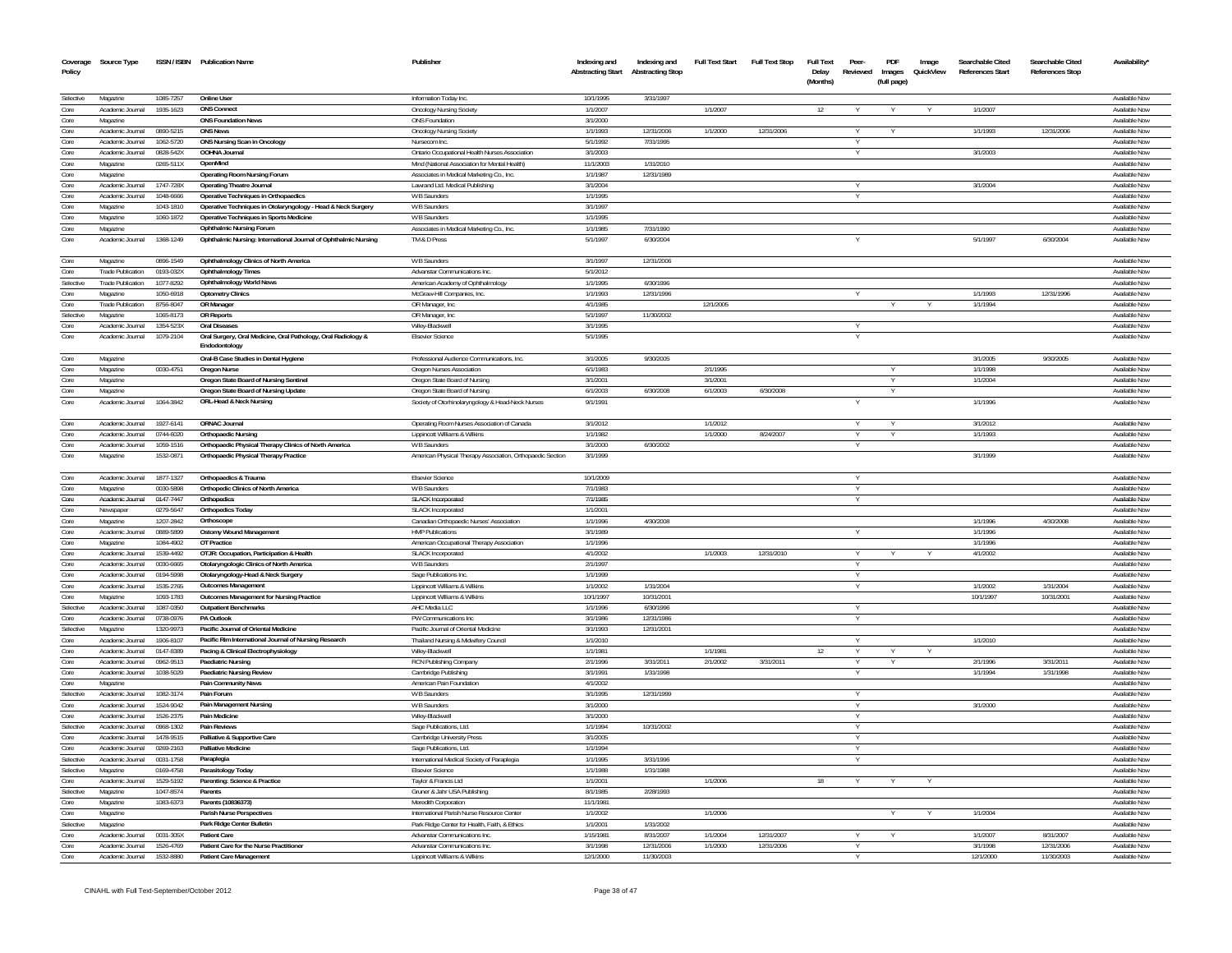| Coverage<br>Policy | Source Type                          |                        | ISSN / ISBN Publication Name                                                   | Publisher                                                                                      | Indexing and<br><b>Abstracting Start</b> | Indexing and<br><b>Abstracting Stop</b> | <b>Full Text Start</b> | <b>Full Text Stop</b> | Full Text<br>Delay<br>(Months) | Peer-<br>Reviewed | PDF<br>Images<br>(full page) | Image<br>QuickView | Searchable Cited<br>References Start | Searchable Cited<br><b>References Stop</b> | Availability'                  |
|--------------------|--------------------------------------|------------------------|--------------------------------------------------------------------------------|------------------------------------------------------------------------------------------------|------------------------------------------|-----------------------------------------|------------------------|-----------------------|--------------------------------|-------------------|------------------------------|--------------------|--------------------------------------|--------------------------------------------|--------------------------------|
| Selective          | Magazine                             | 1085-7257              | <b>Online User</b>                                                             | Information Today Inc                                                                          | 10/1/1995                                | 3/31/1997                               |                        |                       |                                |                   |                              |                    |                                      |                                            | Available Nov                  |
| Core               | Academic Journal                     | 1935-1623              | <b>ONS Connect</b>                                                             | <b>Oncology Nursing Society</b>                                                                | 1/1/2007                                 |                                         | 1/1/2007               |                       | 12                             |                   |                              |                    | 1/1/2007                             |                                            | Available Nov                  |
| Core               | Magazine                             |                        | <b>ONS Foundation News</b>                                                     | ONS Foundation                                                                                 | 3/1/2000                                 |                                         |                        |                       |                                |                   |                              |                    |                                      |                                            | Available Now                  |
| Core               | Academic Journal                     | 0890-5215              | <b>ONS News</b>                                                                | <b>Oncology Nursing Society</b>                                                                | 1/1/1993                                 | 12/31/2006                              | 1/1/2000               | 12/31/2006            |                                |                   |                              |                    | 1/1/1993                             | 12/31/2006                                 | Available Nov                  |
| Core               | Academic Journal                     | 1062-5720              | ONS Nursing Scan in Oncology                                                   | Nursecom In                                                                                    | 5/1/1992                                 | 7/31/1995                               |                        |                       |                                |                   |                              |                    |                                      |                                            | Available Nov                  |
| Core<br>Core       | Academic Journal<br>Magazine         | 0828-542X<br>0265-511X | OOHNA Journa<br>OpenMind                                                       | Ontario Occupational Health Nurses Association<br>Mind (National Association for Mental Health | 3/1/2003<br>11/1/2003                    | 1/31/2010                               |                        |                       |                                |                   |                              |                    | 3/1/2003                             |                                            | Available Nov<br>Available Nov |
| Core               | Magazine                             |                        | Operating Room Nursing Forum                                                   | Associates in Medical Marketing Co., Inc                                                       | 1/1/1987                                 | 12/31/1989                              |                        |                       |                                |                   |                              |                    |                                      |                                            | Available Nov                  |
| Core               | Academic Journal                     | 1747-728X              | <b>Operating Theatre Journal</b>                                               | Lawrand Ltd. Medical Publishing                                                                | 3/1/2004                                 |                                         |                        |                       |                                |                   |                              |                    | 3/1/2004                             |                                            | Available Nov                  |
| Core               | Academic Journal                     | 1048-6666              | Operative Techniques in Orthopaedics                                           | W B Saunder:                                                                                   | 1/1/1995                                 |                                         |                        |                       |                                |                   |                              |                    |                                      |                                            | Available Nov                  |
| Core               | Magazine                             | 1043-1810              | Operative Techniques in Otolaryngology - Head & Neck Surgery                   | W B Saunders                                                                                   | 3/1/1997                                 |                                         |                        |                       |                                |                   |                              |                    |                                      |                                            | Available Nov                  |
| Core               | Magazine                             | 1060-1872              | Operative Techniques in Sports Medicine                                        | W B Saunders                                                                                   | 1/1/1995                                 |                                         |                        |                       |                                |                   |                              |                    |                                      |                                            | Available Now                  |
| Core               | Magazine                             |                        | <b>Ophthalmic Nursing Forum</b>                                                | Associates in Medical Marketing Co., Inc.                                                      | 1/1/1985                                 | 7/31/1990                               |                        |                       |                                |                   |                              |                    |                                      |                                            | Available Nov                  |
| Core               | Academic Journal                     | 1368-1249              | Ophthalmic Nursing: International Journal of Ophthalmic Nursing                | TM & D Press                                                                                   | 5/1/1997                                 | 6/30/2004                               |                        |                       |                                |                   |                              |                    | 5/1/1997                             | 6/30/2004                                  | Available No                   |
| Core               | Magazine                             | 0896-1549              | Ophthalmology Clinics of North America                                         | W B Saunders                                                                                   | 3/1/1997                                 | 12/31/2006                              |                        |                       |                                |                   |                              |                    |                                      |                                            | Available Nov                  |
| Core               | <b>Trade Publication</b>             | 0193-032X              | <b>Ophthalmology Times</b>                                                     | Advanstar Communications Inc.                                                                  | 5/1/2012                                 |                                         |                        |                       |                                |                   |                              |                    |                                      |                                            | Available Nov                  |
| Selective          | <b>Trade Publication</b>             | 1077-8292              | <b>Ophthalmology World News</b>                                                | American Academy of Ophthalmology                                                              | 1/1/1995                                 | 6/30/1996                               |                        |                       |                                |                   |                              |                    |                                      |                                            | Available Now                  |
| Core               | Magazine                             | 1050-6918              | <b>Optometry Clinics</b>                                                       | McGraw-Hill Companies, Inc.                                                                    | 1/1/1993                                 | 12/31/1996                              |                        |                       |                                |                   |                              |                    | 1/1/1993                             | 12/31/1996                                 | Available Now                  |
| Core<br>Selective  | <b>Trade Publication</b><br>Magazine | 8756-8047<br>1065-8173 | OR Manager<br><b>OR Reports</b>                                                | OR Manager, Inc<br>OR Manager, Inc                                                             | 4/1/1985<br>5/1/1997                     | 11/30/2002                              | 12/1/2005              |                       |                                |                   |                              |                    | 1/1/1994                             |                                            | Available Nov<br>Available Nov |
| Core               | Academic Journal                     | 1354-523X              | <b>Oral Diseases</b>                                                           | Wilev-Blackwell                                                                                | 3/1/1995                                 |                                         |                        |                       |                                |                   |                              |                    |                                      |                                            | Available Now                  |
| Core               | Academic Journal                     | 1079-2104              | Oral Surgery, Oral Medicine, Oral Pathology, Oral Radiology &<br>Endodontology | <b>Elsevier Science</b>                                                                        | 5/1/1995                                 |                                         |                        |                       |                                |                   |                              |                    |                                      |                                            | Available Nov                  |
| Core               | Magazine                             |                        | Oral-B Case Studies in Dental Hygiene                                          | Professional Audience Communications, Inc.                                                     | 3/1/2005                                 | 9/30/2005                               |                        |                       |                                |                   |                              |                    | 3/1/2005                             | 9/30/2005                                  | Available Now                  |
| Core               | Magazine                             | 0030-4751              | <b>Oregon Nurse</b>                                                            | Oregon Nurses Association                                                                      | 6/1/1983                                 |                                         | 2/1/1995               |                       |                                |                   |                              |                    | 1/1/1998                             |                                            | Available Nov                  |
| Core               | Magazine                             |                        | Oregon State Board of Nursing Sentinel                                         | Oregon State Board of Nursing                                                                  | 3/1/2001                                 |                                         | 3/1/2001               |                       |                                |                   | Y                            |                    | 1/1/2004                             |                                            | Available Now                  |
| Core               | Magazine                             |                        | Oregon State Board of Nursing Update                                           | Oregon State Board of Nursing                                                                  | 6/1/2003                                 | 6/30/2008                               | 6/1/2003               | 6/30/2008             |                                |                   | $\checkmark$                 |                    |                                      |                                            | Available Now                  |
| Core               | Academic Journal                     | 1064-3842              | ORL-Head & Neck Nursing                                                        | Society of Otorhinolaryngology & Head-Neck Nurses                                              | 9/1/1991                                 |                                         |                        |                       |                                |                   |                              |                    | 1/1/1996                             |                                            | Available Now                  |
| Core               | Academic Journal                     | 1927-6141              | ORNAC Journal                                                                  | Operating Room Nurses Association of Canada                                                    | 3/1/2012                                 |                                         | 1/1/2012               |                       |                                |                   |                              |                    | 3/1/2012                             |                                            | Available Nov                  |
| Core               | Academic Journal                     | 0744-6020              | <b>Orthopaedic Nursing</b>                                                     | Lippincott Williams & Wilkins                                                                  | 1/1/1982                                 |                                         | 1/1/2000               | 8/24/2007             |                                |                   |                              |                    | 1/1/1993                             |                                            | Available Nov                  |
| Core               | Academic Journal                     | 1059-1516              | Orthopaedic Physical Therapy Clinics of North America                          | W B Saunders                                                                                   | 3/1/2000                                 | 6/30/2002                               |                        |                       |                                |                   |                              |                    |                                      |                                            | Available Nov                  |
| Core               | Magazine                             | 1532-0871              | Orthopaedic Physical Therapy Practice                                          | American Physical Therapy Association, Orthopaedic Section                                     | 3/1/1999                                 |                                         |                        |                       |                                |                   |                              |                    | 3/1/1999                             |                                            | Available Nov                  |
| Core               | Academic Journal                     | 1877-1327              | Orthopaedics & Trauma                                                          | <b>Elsevier Science</b>                                                                        | 10/1/2009                                |                                         |                        |                       |                                | $\vee$            |                              |                    |                                      |                                            | Available Now<br>Available Now |
| Core               | Magazine                             | 0030-5898              | <b>Orthopedic Clinics of North America</b>                                     | W B Saunders                                                                                   | 7/1/1983                                 |                                         |                        |                       |                                | $\vee$            |                              |                    |                                      |                                            | Available Now                  |
| Core<br>Core       | Academic Journal<br>Newspaper        | 0147-7447<br>0279-5647 | Orthopedics<br><b>Orthopedics Today</b>                                        | SLACK Incorporated<br><b>SLACK Incorporated</b>                                                | 7/1/1985<br>1/1/2001                     |                                         |                        |                       |                                |                   |                              |                    |                                      |                                            | Available Now                  |
| Core               | Magazine                             | 1207-2842              | Orthoscope                                                                     | Canadian Orthopaedic Nurses' Association                                                       | 1/1/1996                                 | 4/30/2008                               |                        |                       |                                |                   |                              |                    | 1/1/1996                             | 4/30/2008                                  | Available Now                  |
| Core               | Academic Journal                     | 0889-5899              | Ostomy Wound Management                                                        | <b>HMP Publications</b>                                                                        | 3/1/1989                                 |                                         |                        |                       |                                | Y                 |                              |                    | 1/1/1996                             |                                            | Available Now                  |
| Core               | Magazine                             | 1084-4902              | OT Practice                                                                    | American Occupational Therapy Association                                                      | 1/1/1996                                 |                                         |                        |                       |                                |                   |                              |                    | 1/1/1996                             |                                            | Available Now                  |
| Core               | Academic Journal                     | 1539-4492              | OTJR: Occupation, Participation & Health                                       | <b>SLACK Incorporated</b>                                                                      | 4/1/2002                                 |                                         | 1/1/2003               | 12/31/2010            |                                | $\vee$            |                              |                    | 4/1/2002                             |                                            | Available Now                  |
| Core               | Academic Journal                     | 0030-6665              | Otolaryngologic Clinics of North America                                       | W B Saunders                                                                                   | 2/1/1997                                 |                                         |                        |                       |                                |                   |                              |                    |                                      |                                            | Available Now                  |
| Core               | Academic Journal                     | 0194-5998              | Otolaryngology-Head & Neck Surgery                                             | Sage Publications Inc.                                                                         | 1/1/1999                                 |                                         |                        |                       |                                |                   |                              |                    |                                      |                                            | Available Nov                  |
| Core               | Academic Journal                     | 1535-2765              | <b>Outcomes Management</b>                                                     | Lippincott Williams & Wilkins                                                                  | 1/1/2002                                 | 1/31/2004                               |                        |                       |                                |                   |                              |                    | 1/1/2002                             | 1/31/2004                                  | Available Now                  |
| Core               | Magazine                             | 1093-1783              | Outcomes Management for Nursing Practice                                       | Lippincott Williams & Wilkins                                                                  | 10/1/1997                                | 10/31/2001                              |                        |                       |                                |                   |                              |                    | 10/1/1997                            | 10/31/2001                                 | Available Now                  |
| Selective          | Academic Journal                     | 1087-0350              | <b>Outpatient Benchmarks</b>                                                   | AHC Media LLC                                                                                  | 1/1/1996                                 | 6/30/1996                               |                        |                       |                                |                   |                              |                    |                                      |                                            | Available Nov                  |
| Core               | Academic Journal                     | 0738-0976              | PA Outlook                                                                     | PW Communications Inc.                                                                         | 3/1/1986                                 | 12/31/1986                              |                        |                       |                                |                   |                              |                    |                                      |                                            | Available Nov                  |
| Selective          | Magazine<br>Academic Journal         | 1320-9973              | Pacific Journal of Oriental Medicine                                           | Pacific Journal of Oriental Medicine                                                           | 3/1/1993                                 | 12/31/2001                              |                        |                       |                                | $\vee$            |                              |                    |                                      |                                            | Available Now<br>Available Now |
| Core<br>Core       | Academic Journal                     | 1906-8107<br>0147-8389 | Pacific Rim International Journal of Nursing Research                          | Thailand Nursing & Midwifery Council                                                           | 1/1/2010<br>1/1/1981                     |                                         | 1/1/1981               |                       | 12                             |                   |                              |                    | 1/1/2010                             |                                            | Available Now                  |
| Core               | Academic Journal                     | 0962-9513              | Pacing & Clinical Electrophysiology<br>Paediatric Nursing                      | Wiley-Blackwell<br>RCN Publishing Company                                                      | 2/1/1996                                 | 3/31/2011                               | 2/1/2002               | 3/31/2011             |                                | Y                 | Y                            |                    | 2/1/1996                             | 3/31/2011                                  | Available Now                  |
| Core               | Academic Journal                     | 1038-5029              | Paediatric Nursing Review                                                      | Cambridge Publishing                                                                           | 3/1/1991                                 | 1/31/1998                               |                        |                       |                                |                   |                              |                    | 1/1/1994                             | 1/31/1998                                  | Available Now                  |
| Core               | Magazine                             |                        | Pain Community News                                                            | American Pain Foundation                                                                       | 4/1/2002                                 |                                         |                        |                       |                                |                   |                              |                    |                                      |                                            | Available Now                  |
| Selective          | Academic Journal                     | 1082-3174              | Pain Forum                                                                     | W B Saunders                                                                                   | 3/1/1995                                 | 12/31/1999                              |                        |                       |                                |                   |                              |                    |                                      |                                            | Available Now                  |
| Core               | Academic Journal                     | 1524-9042              | Pain Management Nursing                                                        | W B Saunders                                                                                   | 3/1/2000                                 |                                         |                        |                       |                                |                   |                              |                    | 3/1/2000                             |                                            | Available Now                  |
| Core               | Academic Journal                     | 1526-2375              | Pain Medicine                                                                  | Wiley-Blackwell                                                                                | 3/1/2000                                 |                                         |                        |                       |                                |                   |                              |                    |                                      |                                            | Available Now                  |
| Selective          | Academic Journal                     | 0968-1302              | Pain Reviews                                                                   | Sage Publications, Ltd.                                                                        | 1/1/1994                                 | 10/31/2002                              |                        |                       |                                |                   |                              |                    |                                      |                                            | Available Nov                  |
| Core               | Academic Journal                     | 1478-9515              | Palliative & Supportive Care                                                   | Cambridge University Press                                                                     | 3/1/2005                                 |                                         |                        |                       |                                |                   |                              |                    |                                      |                                            | Available Now                  |
| Core               | Academic Journal                     | 0269-2163              | <b>Palliative Medicine</b>                                                     | Sage Publications, Ltd.                                                                        | 1/1/1994                                 |                                         |                        |                       |                                |                   |                              |                    |                                      |                                            | Available Nov                  |
| Selective          | Academic Journal                     | 0031-1758              | Paraplegia                                                                     | International Medical Society of Paraplegia                                                    | 1/1/1995                                 | 3/31/1996                               |                        |                       |                                |                   |                              |                    |                                      |                                            | Available Now                  |
| Selective          | Magazine                             | 0169-4758              | Parasitology Today                                                             | Elsevier Science                                                                               | 1/1/1988                                 | 1/31/1988                               |                        |                       |                                |                   |                              |                    |                                      |                                            | Available Now                  |
| Core               | Academic Journal                     | 1529-5192              | Parenting: Science & Practice                                                  | Taylor & Francis Ltd                                                                           | 1/1/2001                                 |                                         | 1/1/2006               |                       | 18                             |                   |                              |                    |                                      |                                            | Available Now                  |
| Selective          | Magazine                             | 1047-8574              | Parents                                                                        | Gruner & Jahr USA Publishing                                                                   | 8/1/1985                                 | 2/28/1993                               |                        |                       |                                |                   |                              |                    |                                      |                                            | Available Now                  |
| Core               | Magazine                             | 1083-6373              | Parents (10836373)                                                             | Meredith Corporation                                                                           | 11/1/1981                                |                                         |                        |                       |                                |                   |                              |                    |                                      |                                            | Available Now                  |
| Core               | Magazine                             |                        | Parish Nurse Perspectives                                                      | International Parish Nurse Resource Center                                                     | 1/1/2002                                 |                                         | 1/1/2006               |                       |                                |                   | Y                            | <b>Y</b>           | 1/1/2004                             |                                            | Available Now                  |
| Selective<br>Core  | Magazine<br>Academic Journal         | 0031-305X              | Park Ridge Center Bulletin<br>Patient Care                                     | Park Ridge Center for Health, Faith, & Ethics<br>Advanstar Communications Inc.                 | 1/1/2001<br>1/15/1981                    | 1/31/2002<br>8/31/2007                  | 1/1/2004               | 12/31/2007            |                                |                   | Y                            |                    | 1/1/2007                             | 8/31/2007                                  | Available Now<br>Available Now |
| Core               | Academic Journal                     | 1526-4769              | Patient Care for the Nurse Practitioner                                        | Advanstar Communications Inc.                                                                  | 3/1/1998                                 | 12/31/2006                              | 1/1/2000               | 12/31/2006            |                                |                   |                              |                    | 3/1/1998                             | 12/31/2006                                 | Available Now                  |
| Core               | Academic Journal                     | 1532-8880              | Patient Care Management                                                        | Lippincott Williams & Wilkins                                                                  | 12/1/2000                                | 11/30/2003                              |                        |                       |                                |                   |                              |                    | 12/1/2000                            | 11/30/2003                                 | Available Now                  |
|                    |                                      |                        |                                                                                |                                                                                                |                                          |                                         |                        |                       |                                |                   |                              |                    |                                      |                                            |                                |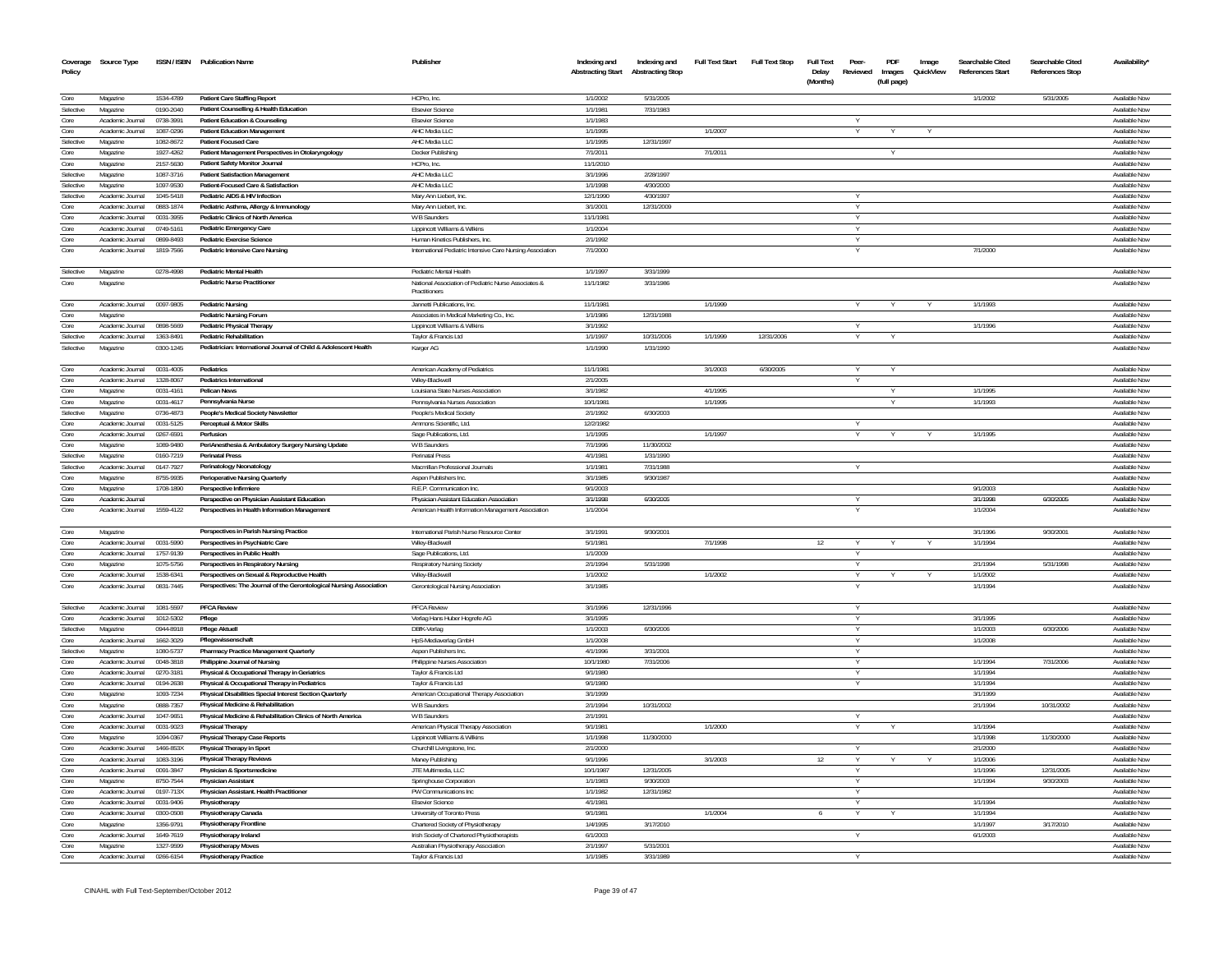| Coverage<br>Policy | Source Type                  |                        | ISSN / ISBN Publication Name                                           | Publisher                                                             | Indexing and<br><b>Abstracting Start</b> | Indexing and<br><b>Abstracting Stop</b> | <b>Full Text Start</b> | <b>Full Text Stop</b> | <b>Full Text</b><br>Delay<br>(Months) | Peer-<br>Reviewed | PDF<br>Images<br>(full page) | Image<br>QuickView | Searchable Cited<br>References Start | Searchable Cited<br><b>References Stop</b> | Availability'                  |
|--------------------|------------------------------|------------------------|------------------------------------------------------------------------|-----------------------------------------------------------------------|------------------------------------------|-----------------------------------------|------------------------|-----------------------|---------------------------------------|-------------------|------------------------------|--------------------|--------------------------------------|--------------------------------------------|--------------------------------|
| Core               | Magazine                     | 1534-4789              | <b>Patient Care Staffing Report</b>                                    | HCPro. Inc.                                                           | 1/1/2002                                 | 5/31/2005                               |                        |                       |                                       |                   |                              |                    | 1/1/2002                             | 5/31/2005                                  | Available Nov                  |
| Selective          | Magazine                     | 0190-2040              | Patient Counselling & Health Education                                 | <b>Elsevier Science</b>                                               | 1/1/1981                                 | 7/31/1983                               |                        |                       |                                       |                   |                              |                    |                                      |                                            | Available Nov                  |
| Core               | Academic Journal             | 0738-3991              | Patient Education & Counseling                                         | <b>Elsevier Science</b>                                               | 1/1/1983                                 |                                         |                        |                       |                                       |                   |                              |                    |                                      |                                            | Available Nov                  |
| Core<br>Selective  | Academic Journal<br>Magazine | 1087-0296<br>1082-8672 | <b>Patient Education Management</b><br>Patient Focused Care            | AHC Media LLC                                                         | 1/1/1995<br>1/1/1995                     |                                         | 1/1/2007               |                       |                                       |                   |                              |                    |                                      |                                            | Available No<br>Available No   |
| Core               | Magazine                     | 1927-4262              | Patient Management Perspectives in Otolaryngology                      | AHC Media LLC<br>Decker Publishing                                    | 7/1/2011                                 | 12/31/1997                              | 7/1/2011               |                       |                                       |                   |                              |                    |                                      |                                            | Available No                   |
| Core               | Magazine                     | 2157-5630              | Patient Safety Monitor Journal                                         | HCPro, Inc.                                                           | 11/1/2010                                |                                         |                        |                       |                                       |                   |                              |                    |                                      |                                            | Available No                   |
| Selective          | Magazine                     | 1087-3716              | <b>Patient Satisfaction Management</b>                                 | AHC Media LLC                                                         | 3/1/1996                                 | 2/28/1997                               |                        |                       |                                       |                   |                              |                    |                                      |                                            | Available No                   |
| Selective          | Magazine                     | 1097-9530              | Patient-Focused Care & Satisfaction                                    | AHC Media LLC                                                         | 1/1/1998                                 | 4/30/200                                |                        |                       |                                       |                   |                              |                    |                                      |                                            | Available No                   |
| Selective          | Academic Journal             | 1045-5418              | Pediatric AIDS & HIV Infection                                         | Mary Ann Liebert, Inc                                                 | 12/1/1990                                | 4/30/1997                               |                        |                       |                                       |                   |                              |                    |                                      |                                            | Available No                   |
| Core               | Academic Journa              | 0883-1874              | Pediatric Asthma, Allergy & Immunology                                 | Mary Ann Liebert, Inc                                                 | 3/1/2001                                 | 12/31/2009                              |                        |                       |                                       |                   |                              |                    |                                      |                                            | Available No                   |
| Core               | Academic Journal             | 0031-3955              | Pediatric Clinics of North America                                     | W B Saunders                                                          | 11/1/1981                                |                                         |                        |                       |                                       | V                 |                              |                    |                                      |                                            | Available Nov                  |
| Core               | Academic Journa              | 0749-5161              | Pediatric Emergency Care                                               | Lippincott Williams & Wilkins                                         | 1/1/2004                                 |                                         |                        |                       |                                       |                   |                              |                    |                                      |                                            | Available No                   |
| Core               | Academic Journal             | 0899-8493              | Pediatric Exercise Science                                             | Human Kinetics Publishers, Inc                                        | 2/1/1992                                 |                                         |                        |                       |                                       |                   |                              |                    |                                      |                                            | Available Nov                  |
| Core               | Academic Journal             | 1819-7566              | Pediatric Intensive Care Nursing                                       | International Pediatric Intensive Care Nursing Association            | 7/1/2000                                 |                                         |                        |                       |                                       |                   |                              |                    | 7/1/2000                             |                                            | Available Nov                  |
| Selective          | Magazine                     | 0278-4998              | Pediatric Mental Health                                                | Pediatric Mental Health                                               | 1/1/1997                                 | 3/31/1999                               |                        |                       |                                       |                   |                              |                    |                                      |                                            | Available Now                  |
| Core               | Magazine                     |                        | <b>Pediatric Nurse Practitioner</b>                                    | National Association of Pediatric Nurse Associates &<br>Practitioners | 11/1/1982                                | 3/31/1986                               |                        |                       |                                       |                   |                              |                    |                                      |                                            | Available Nov                  |
| Core               | Academic Journal             | 0097-9805              | <b>Pediatric Nursing</b>                                               | Jannetti Publications, Inc.                                           | 11/1/1981                                |                                         | 1/1/1999               |                       |                                       |                   |                              |                    | 1/1/1993                             |                                            | Available Nov                  |
| Core               | Magazine                     |                        | <b>Pediatric Nursing Forum</b>                                         | Associates in Medical Marketing Co., Inc.                             | 1/1/1986                                 | 12/31/1988                              |                        |                       |                                       |                   |                              |                    |                                      |                                            | Available Nov                  |
| Core               | Academic Journal             | 0898-5669              | Pediatric Physical Therapy                                             | Lippincott Williams & Wilkins                                         | 3/1/1992                                 |                                         |                        |                       |                                       | V                 |                              |                    | 1/1/1996                             |                                            | Available Nov                  |
| Selective          | Academic Journal             | 1363-8491              | <b>Pediatric Rehabilitation</b>                                        | Taylor & Francis Ltd                                                  | 1/1/1997                                 | 10/31/2006                              | 1/1/1999               | 12/31/2006            |                                       |                   |                              |                    |                                      |                                            | Available Nov                  |
| Selective          | Magazine                     | 0300-1245              | Pediatrician: International Journal of Child & Adolescent Health       | Karger AG                                                             | 1/1/1990                                 | 1/31/1990                               |                        |                       |                                       |                   |                              |                    |                                      |                                            | Available Nov                  |
| Core               | Academic Journal             | 0031-4005              | Pediatrics                                                             | American Academy of Pediatrics                                        | 11/1/1981                                |                                         | 3/1/2003               | 6/30/2005             |                                       |                   |                              |                    |                                      |                                            | Available Nov                  |
| Core               | Academic Journal             | 1328-8067              | <b>Pediatrics International</b>                                        | Wilev-Blackwell                                                       | 2/1/2005                                 |                                         |                        |                       |                                       | $\vee$            |                              |                    |                                      |                                            | Available Nov                  |
| Core<br>Core       | Magazine                     | 0031-4161              | <b>Pelican News</b>                                                    | Louisiana State Nurses Association                                    | 3/1/1982                                 |                                         | 4/1/1995               |                       |                                       |                   |                              |                    | 1/1/1995                             |                                            | Available Nov                  |
| Selective          | Magazine                     | 0031-4617              | Pennsylvania Nurse                                                     | Pennsylvania Nurses Association                                       | 10/1/1981<br>2/1/1992                    | 6/30/2003                               | 1/1/1995               |                       |                                       |                   |                              |                    | 1/1/1993                             |                                            | Available Nov<br>Available Nov |
| Core               | Magazine<br>Academic Journal | 0736-4873<br>0031-5125 | People's Medical Society Newsletter<br>Perceptual & Motor Skills       | People's Medical Societ<br>Ammons Scientific, Ltd.                    | 12/2/1982                                |                                         |                        |                       |                                       |                   |                              |                    |                                      |                                            | Available Nov                  |
| Core               | Academic Journal             | 0267-6591              | Perfusion                                                              | Sage Publications, Ltd.                                               | 1/1/1995                                 |                                         | 1/1/1997               |                       |                                       |                   |                              |                    | 1/1/1995                             |                                            | Available Nov                  |
| Core               | Magazine                     | 1089-9480              | PeriAnesthesia & Ambulatory Surgery Nursing Update                     | W B Saunders                                                          | 7/1/1996                                 | 11/30/2002                              |                        |                       |                                       |                   |                              |                    |                                      |                                            | Available No                   |
| Selective          | Magazine                     | 0160-7219              | <b>Perinatal Press</b>                                                 | Perinatal Press                                                       | 4/1/1981                                 | 1/31/1990                               |                        |                       |                                       |                   |                              |                    |                                      |                                            | Available Nov                  |
| Selective          | Academic Journal             | 0147-7927              | Perinatology Neonatology                                               | Macmillan Professional Journals                                       | 1/1/1981                                 | 7/31/1988                               |                        |                       |                                       | v                 |                              |                    |                                      |                                            | Available Nov                  |
| Core               | Magazine                     | 8755-9935              | Perioperative Nursing Quarterly                                        | <b>Aspen Publishers Inc</b>                                           | 3/1/1985                                 | 9/30/1987                               |                        |                       |                                       |                   |                              |                    |                                      |                                            | Available Nov                  |
| Core               | Magazine                     | 1708-1890              | Perspective Infirmiere                                                 | R.E.P. Communication Inc.                                             | 9/1/2003                                 |                                         |                        |                       |                                       |                   |                              |                    | 9/1/2003                             |                                            | Available Nov                  |
| Core               | Academic Journal             |                        | Perspective on Physician Assistant Education                           | Physician Assistant Education Association                             | 3/1/1998                                 | 6/30/2005                               |                        |                       |                                       | v                 |                              |                    | 3/1/1998                             | 6/30/2005                                  | Available Nov                  |
| Core               | Academic Journal             | 1559-4122              | Perspectives in Health Information Management                          | American Health Information Management Association                    | 1/1/2004                                 |                                         |                        |                       |                                       |                   |                              |                    | 1/1/2004                             |                                            | Available Nov                  |
| Core               | Magazine                     |                        | Perspectives in Parish Nursing Practice                                | International Parish Nurse Resource Center                            | 3/1/1991                                 | 9/30/2001                               |                        |                       |                                       |                   |                              |                    | 3/1/1996                             | 9/30/2001                                  | Available Now                  |
| Core               | Academic Journal             | 0031-5990              | Perspectives in Psychiatric Care                                       | Wiley-Blackwell                                                       | 5/1/1981                                 |                                         | 7/1/1998               |                       | 12                                    |                   |                              |                    | 1/1/1994                             |                                            | Available Nov                  |
| Core               | Academic Journal             | 1757-9139              | Perspectives in Public Health                                          | Sage Publications, Ltd.                                               | 1/1/2009                                 |                                         |                        |                       |                                       | v                 |                              |                    |                                      |                                            | Available Now                  |
| Core               | Magazine                     | 1075-5756              | Perspectives in Respiratory Nursing                                    | Respiratory Nursing Society                                           | 2/1/1994                                 | 5/31/1998                               |                        |                       |                                       | Y                 |                              |                    | 2/1/1994                             | 5/31/1998                                  | Available Now                  |
| Core<br>Core       | Academic Journal             | 1538-6341              | Perspectives on Sexual & Reproductive Health                           | Wilev-Blackwell                                                       | 1/1/2002                                 |                                         | 1/1/2002               |                       |                                       | $\vee$            |                              |                    | 1/1/2002                             |                                            | Available Nov                  |
|                    | Academic Journal             | 0831-7445              | Perspectives: The Journal of the Gerontological Nursing Association    | Gerontological Nursing Association                                    | 3/1/1985                                 |                                         |                        |                       |                                       |                   |                              |                    | 1/1/1994                             |                                            | Available Nov                  |
| Selective          | Academic Journal             | 1081-5597              | <b>PFCA Review</b>                                                     | <b>PFCA Review</b>                                                    | 3/1/1996                                 | 12/31/1996                              |                        |                       |                                       | v                 |                              |                    |                                      |                                            | Available Nov                  |
| Core               | Academic Journal             | 1012-5302<br>0944-8918 | Pflege<br><b>Pflege Aktuell</b>                                        | Verlag Hans Huber Hogrefe AG                                          | 3/1/1995                                 |                                         |                        |                       |                                       |                   |                              |                    | 3/1/1995<br>1/1/2003                 |                                            | Available Nov<br>Available Nov |
| Selective          | Magazine<br>Academic Journal | 1662-3029              |                                                                        | DBfK-Verlag                                                           | 1/1/2003<br>1/1/2008                     | 6/30/2006                               |                        |                       |                                       |                   |                              |                    | 1/1/2008                             | 6/30/2006                                  | Available Nov                  |
| Core<br>Selective  | Magazine                     | 1080-5737              | Pflegewissenschaft<br>Pharmacy Practice Management Quarterly           | HpS-Mediaverlag GmbH<br>Aspen Publishers Inc.                         | 4/1/1996                                 | 3/31/2001                               |                        |                       |                                       |                   |                              |                    |                                      |                                            | Available Nov                  |
| Core               | Academic Journal             | 0048-3818              | Philippine Journal of Nursing                                          | Philippine Nurses Association                                         | 10/1/1980                                | 7/31/2006                               |                        |                       |                                       | v                 |                              |                    | 1/1/1994                             | 7/31/2006                                  | Available Nov                  |
| Core               | Academic Journal             | 0270-3181              | Physical & Occupational Therapy in Geriatrics                          | Taylor & Francis Ltd                                                  | 9/1/1980                                 |                                         |                        |                       |                                       |                   |                              |                    | 1/1/1994                             |                                            | Available Nov                  |
| Core               | Academic Inumal              | 0194-2638              | Physical & Occupational Therapy in Pediatrics                          | Taylor & Francis Ltd                                                  | 9/1/1980                                 |                                         |                        |                       |                                       |                   |                              |                    | 1/1/1994                             |                                            | Available Nov                  |
| Core               | Magazine                     | 1093-7234              | Physical Disabilities Special Interest Section Quarterly               | American Occupational Therapy Association                             | 3/1/1999                                 |                                         |                        |                       |                                       |                   |                              |                    | 3/1/1999                             |                                            | Available Nov                  |
| Core               | Magazine                     | 0888-7357              | Physical Medicine & Rehabilitation                                     | W B Saunders                                                          | 2/1/1994                                 | 10/31/2002                              |                        |                       |                                       |                   |                              |                    | 2/1/1994                             | 10/31/2002                                 | Available Nov                  |
| Core               | Academic Journal             | 1047-9651              | Physical Medicine & Rehabilitation Clinics of North America            | W B Saunders                                                          | 2/1/1991                                 |                                         |                        |                       |                                       | $\vee$            |                              |                    |                                      |                                            | Available Nov                  |
| Core               | Academic Journal             | 0031-9023              | Physical Therapy                                                       | American Physical Therapy Association                                 | 9/1/1981                                 |                                         | 1/1/2000               |                       |                                       |                   |                              |                    | 1/1/1994                             |                                            | Available Nov                  |
| Core               | Magazine                     | 1094-0367              | Physical Therapy Case Reports                                          | Lippincott Williams & Wilkins                                         | 1/1/1998                                 | 11/30/2000                              |                        |                       |                                       |                   |                              |                    | 1/1/1998                             | 11/30/2000                                 | Available Now                  |
| Core               | Academic Journal             | 1466-853X              | Physical Therapy in Sport                                              | Churchill Livingstone, Inc.                                           | 2/1/2000                                 |                                         |                        |                       |                                       |                   |                              |                    | 2/1/2000                             |                                            | Available Nov                  |
| Core               | Academic Journal             | 1083-3196              | Physical Therapy Reviews                                               | Maney Publishing                                                      | 9/1/1996                                 |                                         | 3/1/2003               |                       | 12                                    | Y                 |                              |                    | 1/1/2006                             |                                            | Available Now                  |
| Core<br>Core       | Academic Journal             | 0091-3847<br>8750-7544 | Physician & Sportsmedicine                                             | JTE Multimedia, LLC                                                   | 10/1/1987<br>1/1/1983                    | 12/31/2005<br>9/30/2003                 |                        |                       |                                       | Y                 |                              |                    | 1/1/1996<br>1/1/1994                 | 12/31/2005<br>9/30/2003                    | Available Now<br>Available Now |
| Core               | Magazine<br>Academic Journal | 0197-713X              | <b>Physician Assistant</b><br>Physician Assistant. Health Practitioner | Springhouse Corporation<br>PW Communications Inc.                     | 1/1/1982                                 | 12/31/1982                              |                        |                       |                                       | $\vee$            |                              |                    |                                      |                                            | Available Now                  |
| Core               | Academic Journal             | 0031-9406              | Physiotherapy                                                          | <b>Elsevier Science</b>                                               | 4/1/1981                                 |                                         |                        |                       |                                       | Y                 |                              |                    | 1/1/1994                             |                                            | Available Nov                  |
| Core               | Academic Inumal              | 0300-0508              | Physiotherapy Canada                                                   | University of Toronto Press                                           | 9/1/1981                                 |                                         | 1/1/2004               |                       | 6                                     | V                 |                              |                    | 1/1/1994                             |                                            | Available Now                  |
| Core               | Magazine                     | 1356-9791              | <b>Physiotherapy Frontline</b>                                         | Chartered Society of Physiotherapy                                    | 1/4/1995                                 | 3/17/2010                               |                        |                       |                                       |                   |                              |                    | 1/1/1997                             | 3/17/2010                                  | Available Nov                  |
| Core               | Academic Journal             | 1649-7619              | Physiotherapy Ireland                                                  | Irish Society of Chartered Physiotherapists                           | 6/1/2003                                 |                                         |                        |                       |                                       | v                 |                              |                    | 6/1/2003                             |                                            | Available Nov                  |
| Core               | Magazine                     | 1327-9599              | <b>Physiotherapy Moves</b>                                             | Australian Physiotherapy Association                                  | 2/1/1997                                 | 5/31/2001                               |                        |                       |                                       |                   |                              |                    |                                      |                                            | Available Nov                  |
| Core               | Academic Journal             | 0266-6154              | <b>Physiotherapy Practice</b>                                          | Taylor & Francis Ltd                                                  | 1/1/1985                                 | 3/31/1989                               |                        |                       |                                       |                   |                              |                    |                                      |                                            | Available Now                  |
|                    |                              |                        |                                                                        |                                                                       |                                          |                                         |                        |                       |                                       |                   |                              |                    |                                      |                                            |                                |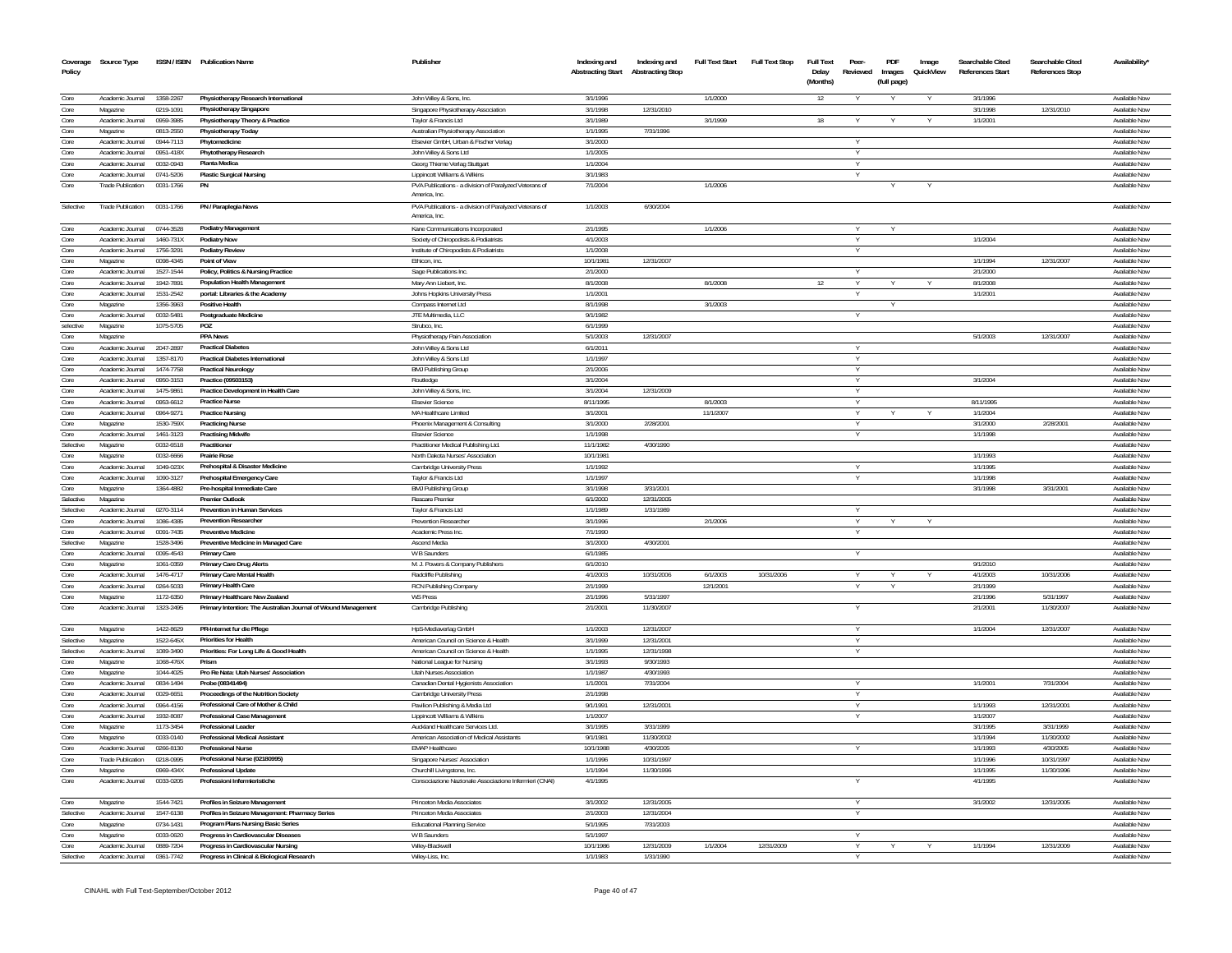| Policy            | Coverage Source Type                         |                        | ISSN / ISBN Publication Name                                                          | Publisher                                                               | Indexing and<br><b>Abstracting Start</b> | Indexing and<br><b>Abstracting Stop</b> | <b>Full Text Start</b> | <b>Full Text Stop</b> | <b>Full Text</b><br>Delay<br>(Months) | Peer-<br>Reviewed | PDF<br>Images<br>(full page) | Image<br>QuickView | Searchable Cited<br>References Start | Searchable Cited<br><b>References Stop</b> | Availability'                  |
|-------------------|----------------------------------------------|------------------------|---------------------------------------------------------------------------------------|-------------------------------------------------------------------------|------------------------------------------|-----------------------------------------|------------------------|-----------------------|---------------------------------------|-------------------|------------------------------|--------------------|--------------------------------------|--------------------------------------------|--------------------------------|
| Core              | Academic Journal                             | 1358-2267              | Physiotherapy Research International                                                  | John Wiley & Sons, Inc.                                                 | 3/1/1996                                 |                                         | 1/1/2000               |                       | 12                                    |                   |                              |                    | 3/1/1996                             |                                            | Available Nov                  |
| Core              | Magazine                                     | 0219-1091              | Physiotherapy Singapore                                                               | Singapore Physiotherapy Association                                     | 3/1/1998                                 | 12/31/2010                              |                        |                       |                                       |                   |                              |                    | 3/1/1998                             | 12/31/2010                                 | Available Now                  |
| Core              | Academic Journal                             | 0959-3985              | Physiotherapy Theory & Practice                                                       | Taylor & Francis Ltd                                                    | 3/1/1989                                 |                                         | 3/1/1999               |                       | 18                                    |                   |                              |                    | 1/1/2001                             |                                            | Available Now                  |
| Core              | Magazine                                     | 0813-2550              | Physiotherapy Today                                                                   | Australian Physiotherapy Association                                    | 1/1/1995                                 | 7/31/1996                               |                        |                       |                                       |                   |                              |                    |                                      |                                            | <b>Available Nov</b>           |
| Core              | Academic Journal                             | 0944-7113              | Phytomedicine                                                                         | Elsevier GmbH, Urban & Fischer Verlag                                   | 3/1/2000                                 |                                         |                        |                       |                                       |                   |                              |                    |                                      |                                            | <b>Available Now</b>           |
| Core              | Academic Journal                             | 0951-418X              | Phytotherapy Research                                                                 | John Wiley & Sons Ltd                                                   | 1/1/2005                                 |                                         |                        |                       |                                       |                   |                              |                    |                                      |                                            | Available Nov                  |
| Core              | Academic Journal                             | 0032-0943              | Planta Medica                                                                         | Georg Thieme Verlag Stuttgart                                           | 1/1/2004                                 |                                         |                        |                       |                                       | Y                 |                              |                    |                                      |                                            | Available Now                  |
| Core              | Academic Journal                             | 0741-5206              | <b>Plastic Surgical Nursing</b>                                                       | Lippincott Williams & Wilkins                                           | 3/1/1983                                 |                                         |                        |                       |                                       |                   |                              |                    |                                      |                                            | Available Now                  |
| Core              | <b>Trade Publication</b>                     | 0031-1766              |                                                                                       | PVA Publications - a division of Paralyzed Veterans of<br>America, Inc. | 7/1/2004                                 |                                         | 1/1/2006               |                       |                                       |                   |                              |                    |                                      |                                            | Available Now                  |
| Selective         | <b>Trade Publication</b>                     | 0031-1766              | PN / Paraplegia News                                                                  | PVA Publications - a division of Paralyzed Veterans of<br>America, Inc. | 1/1/2003                                 | 6/30/2004                               |                        |                       |                                       |                   |                              |                    |                                      |                                            | <b>Available Nov</b>           |
| Core              | Academic Journal                             | 0744-3528              | <b>Podiatry Management</b>                                                            | Kane Communications Incorporated                                        | 2/1/1995                                 |                                         | 1/1/2006               |                       |                                       |                   |                              |                    |                                      |                                            | Available Nov                  |
| Core              | Academic Journal                             | 1460-731X              | <b>Podiatry Now</b>                                                                   | Society of Chiropodists & Podiatrists                                   | 4/1/2003                                 |                                         |                        |                       |                                       | Y                 |                              |                    | 1/1/2004                             |                                            | Available Now                  |
| Core              | Academic Journal                             | 1756-3291              | Podiatry Review                                                                       | Institute of Chiropodists & Podiatrists                                 | 1/1/2008                                 |                                         |                        |                       |                                       | $\vee$            |                              |                    |                                      |                                            | Available Now                  |
| Core              | Magazine                                     | 0098-4345              | <b>Point of View</b>                                                                  | Ethicon, inc                                                            | 10/1/1981                                | 12/31/2007                              |                        |                       |                                       | $\vee$            |                              |                    | 1/1/1994                             | 12/31/2007                                 | Available Nov                  |
| Core<br>Core      | Academic Journal<br>Academic Journal         | 1527-1544<br>1942-7891 | Policy, Politics & Nursing Practice<br>Population Health Management                   | Sage Publications Inc.<br>Mary Ann Liebert, Inc.                        | 2/1/2000<br>8/1/2008                     |                                         | 8/1/2008               |                       | 12                                    |                   |                              |                    | 2/1/2000<br>8/1/2008                 |                                            | Available Now<br>Available Nov |
| Core              | Academic Inumal                              | 1531-2542              | portal: Libraries & the Academy                                                       | Johns Hopkins University Press                                          | 1/1/2001                                 |                                         |                        |                       |                                       |                   |                              |                    | 1/1/2001                             |                                            | <b>Available Now</b>           |
| Core              | Magazine                                     | 1356-3963              | <b>Positive Health</b>                                                                | Compass Internet Ltd                                                    | 8/1/1998                                 |                                         | 3/1/2003               |                       |                                       |                   |                              |                    |                                      |                                            | Available Nov                  |
| Core              | Academic Inumal                              | 0032-5481              | <b>Postgraduate Medicine</b>                                                          | JTE Multimedia, LLC                                                     | 9/1/1982                                 |                                         |                        |                       |                                       | $\vee$            |                              |                    |                                      |                                            | Available Now                  |
| selective         | Magazine                                     | 1075-5705              | POZ                                                                                   | Strubco, Inc.                                                           | 6/1/1999                                 |                                         |                        |                       |                                       |                   |                              |                    |                                      |                                            | Available Now                  |
| Core              | Magazine                                     |                        | <b>PPA News</b>                                                                       | Physiotherapy Pain Association                                          | 5/1/2003                                 | 12/31/2007                              |                        |                       |                                       |                   |                              |                    | 5/1/2003                             | 12/31/2007                                 | Available Now                  |
| Core              | Academic Journal                             | 2047-2897              | <b>Practical Diabetes</b>                                                             | John Wiley & Sons Ltd                                                   | 6/1/2011                                 |                                         |                        |                       |                                       | $\vee$            |                              |                    |                                      |                                            | Available Now                  |
| Core              | Academic Journal                             | 1357-8170              | <b>Practical Diabetes International</b>                                               | John Wiley & Sons Ltd                                                   | 1/1/1997                                 |                                         |                        |                       |                                       |                   |                              |                    |                                      |                                            | Available Now                  |
| Core              | Academic Inumal                              | 1474-7758              | <b>Practical Neurology</b>                                                            | <b>BMJ Publishing Group</b>                                             | 2/1/2006                                 |                                         |                        |                       |                                       | Y                 |                              |                    |                                      |                                            | Available Now                  |
| Core              | Academic Journal                             | 0950-3153              | Practice (09503153)                                                                   | Routledge                                                               | 3/1/2004                                 |                                         |                        |                       |                                       | Y                 |                              |                    | 3/1/2004                             |                                            | Available Now                  |
| Core              | Academic Inumal                              | 1475-9861              | Practice Development in Health Care<br><b>Practice Nurse</b>                          | John Wiley & Sons, Inc.                                                 | 3/1/2004                                 | 12/31/2009                              |                        |                       |                                       | $\vee$            |                              |                    |                                      |                                            | Available Now                  |
| Core<br>Core      | Academic Journal<br>Academic Journal         | 0953-6612<br>0964-9271 | <b>Practice Nursing</b>                                                               | Elsevier Science<br>MA Healthcare Limited                               | 8/11/1995<br>3/1/2001                    |                                         | 8/1/2003<br>11/1/2007  |                       |                                       |                   |                              |                    | 8/11/1995<br>1/1/2004                |                                            | Available Now<br>Available Now |
| Core              | Magazine                                     | 1530-759X              | <b>Practicing Nurse</b>                                                               | Phoenix Management & Consulting                                         | 3/1/2000                                 | 2/28/2001                               |                        |                       |                                       |                   |                              |                    | 3/1/2000                             | 2/28/2001                                  | Available Now                  |
| Core              | Academic Journal                             | 1461-3123              | <b>Practising Midwife</b>                                                             | <b>Elsevier Science</b>                                                 | 1/1/1998                                 |                                         |                        |                       |                                       |                   |                              |                    | 1/1/1998                             |                                            | Available Now                  |
| Selective         | Magazine                                     | 0032-6518              | Practitioner                                                                          | Practitioner Medical Publishing Ltd.                                    | 11/1/1982                                | 4/30/1990                               |                        |                       |                                       |                   |                              |                    |                                      |                                            | Available Now                  |
| Core              | Magazine                                     | 0032-6666              | <b>Prairie Rose</b>                                                                   | North Dakota Nurses' Association                                        | 10/1/1981                                |                                         |                        |                       |                                       |                   |                              |                    | 1/1/1993                             |                                            | Available Now                  |
| Core              | Academic Journal                             | 1049-023X              | Prehospital & Disaster Medicine                                                       | Cambridge University Press                                              | 1/1/1992                                 |                                         |                        |                       |                                       |                   |                              |                    | 1/1/1995                             |                                            | Available Now                  |
| Core              | Academic Journal                             | 1090-3127              | Prehospital Emergency Care                                                            | Taylor & Francis Ltd                                                    | 1/1/1997                                 |                                         |                        |                       |                                       | $\vee$            |                              |                    | 1/1/1998                             |                                            | Available Now                  |
| Core              | Magazine                                     | 1364-4882              | Pre-hospital Immediate Care                                                           | <b>BMJ Publishing Group</b>                                             | 3/1/1998                                 | 3/31/2001                               |                        |                       |                                       |                   |                              |                    | 3/1/1998                             | 3/31/2001                                  | Available Now                  |
| Selective         | Magazine                                     |                        | <b>Premier Outlook</b>                                                                | Rescare Premier                                                         | 6/1/2000                                 | 12/31/2005                              |                        |                       |                                       |                   |                              |                    |                                      |                                            | Available Now                  |
| Selective         | Academic Journal                             | 0270-3114              | <b>Prevention in Human Services</b>                                                   | Taylor & Francis Ltd                                                    | 1/1/1989                                 | 1/31/1989                               |                        |                       |                                       |                   |                              |                    |                                      |                                            | Available Now                  |
| Core              | Academic Journal                             | 1086-4385              | <b>Prevention Researcher</b>                                                          | <b>Prevention Researcher</b>                                            | 3/1/1996                                 |                                         | 2/1/2006               |                       |                                       |                   |                              |                    |                                      |                                            | Available Now                  |
| Core              | Academic Journal                             | 0091-7435              | <b>Preventive Medicine</b>                                                            | Academic Press Inc.                                                     | 7/1/1990                                 |                                         |                        |                       |                                       |                   |                              |                    |                                      |                                            | <b>Available Now</b>           |
| Selective         | Magazine                                     | 1528-3496              | Preventive Medicine in Managed Care                                                   | Ascend Media                                                            | 3/1/2000                                 | 4/30/2001                               |                        |                       |                                       |                   |                              |                    |                                      |                                            | Available Now                  |
| Core<br>Core      | Academic Journal<br>Magazine                 | 0095-4543<br>1061-0359 | <b>Primary Care</b>                                                                   | W B Saunders                                                            | 6/1/1985<br>6/1/2010                     |                                         |                        |                       |                                       | Y                 |                              |                    | 9/1/2010                             |                                            | Available Now<br>Available Now |
| Core              | Academic Journal                             | 1476-4717              | Primary Care Drug Alerts<br>Primary Care Mental Health                                | M. J. Powers & Company Publishers<br>Radcliffe Publishing               | 4/1/2003                                 | 10/31/2006                              | 6/1/2003               | 10/31/2006            |                                       | $\vee$            | $\vee$                       |                    | 4/1/2003                             | 10/31/2006                                 | Available Now                  |
| Core              | Academic Journal                             | 0264-5033              | Primary Health Care                                                                   | RCN Publishing Company                                                  | 2/1/1999                                 |                                         | 12/1/2001              |                       |                                       |                   |                              |                    | 2/1/1999                             |                                            | Available Now                  |
| Core              | Magazine                                     | 1172-6350              | Primary Healthcare New Zealand                                                        | <b>WS Press</b>                                                         | 2/1/1996                                 | 5/31/1997                               |                        |                       |                                       |                   |                              |                    | 2/1/1996                             | 5/31/1997                                  | Available Now                  |
| Core              | Academic Journal                             | 1323-2495              | Primary Intention: The Australian Journal of Wound Management                         | Cambridge Publishing                                                    | 2/1/2001                                 | 11/30/2007                              |                        |                       |                                       |                   |                              |                    | 2/1/2001                             | 11/30/2007                                 | Available Now                  |
| Core              | Magazine                                     | 1422-8629              | PR-Internet fur die Pflege                                                            | HpS-Mediaverlag GmbH                                                    | 1/1/2003                                 | 12/31/2007                              |                        |                       |                                       |                   |                              |                    | 1/1/2004                             | 12/31/2007                                 | Available Now                  |
| Selective         | Magazine                                     | 1522-645X              | <b>Priorities for Health</b>                                                          | American Council on Science & Health                                    | 3/1/1999                                 | 12/31/2001                              |                        |                       |                                       |                   |                              |                    |                                      |                                            | <b>Available Now</b>           |
| Selective         | Academic Journal                             | 1089-3490              | Priorities: For Long Life & Good Health                                               | American Council on Science & Health                                    | 1/1/1995                                 | 12/31/1998                              |                        |                       |                                       | Y                 |                              |                    |                                      |                                            | Available Now                  |
| Core              | Magazine                                     | 1068-476X              | Prism                                                                                 | National League for Nursing                                             | 3/1/1993                                 | 9/30/1993                               |                        |                       |                                       |                   |                              |                    |                                      |                                            | Available Now                  |
| Core              | Magazine                                     | 1044-4025              | Pro Re Nata: Utah Nurses' Association                                                 | Utah Nurses Association                                                 | 1/1/1987                                 | 4/30/1993                               |                        |                       |                                       |                   |                              |                    |                                      |                                            | Available Now                  |
| Core              | Academic Journal                             | 0834-1494              | Probe (08341494)                                                                      | Canadian Dental Hygienists Association                                  | 1/1/2001                                 | 7/31/2004                               |                        |                       |                                       | Y                 |                              |                    | 1/1/2001                             | 7/31/2004                                  | Available Now                  |
| Core              | Academic Journal                             | 0029-6651              | Proceedings of the Nutrition Society                                                  | Cambridge University Press                                              | 2/1/1998                                 |                                         |                        |                       |                                       |                   |                              |                    |                                      |                                            | Available Now                  |
| Core              | Academic Journal                             | 0964-4156              | Professional Care of Mother & Child                                                   | Pavilion Publishing & Media Ltd                                         | 9/1/1991                                 | 12/31/2001                              |                        |                       |                                       |                   |                              |                    | 1/1/1993                             | 12/31/2001                                 | Available Now                  |
| Core              | Academic Journal                             | 1932-8087              | Professional Case Management                                                          | Lippincott Williams & Wilkins                                           | 1/1/2007                                 |                                         |                        |                       |                                       |                   |                              |                    | 1/1/2007                             |                                            | <b>Available Now</b>           |
| Core              | Magazine                                     | 1173-3454              | <b>Professional Leader</b>                                                            | Auckland Healthcare Services Ltd.                                       | 3/1/1995                                 | 3/31/1999                               |                        |                       |                                       |                   |                              |                    | 3/1/1995                             | 3/31/1999                                  | Available Now                  |
| Core<br>Core      | Magazine                                     | 0033-0140<br>0266-8130 | <b>Professional Medical Assistant</b><br><b>Professional Nurse</b>                    | American Association of Medical Assistants                              | 9/1/1981<br>10/1/1988                    | 11/30/2002<br>4/30/2005                 |                        |                       |                                       |                   |                              |                    | 1/1/1994                             | 11/30/2002<br>4/30/2005                    | Available Now                  |
| Core              | Academic Journal<br><b>Trade Publication</b> | 0218-0995              | Professional Nurse (02180995)                                                         | <b>EMAP Healthcare</b>                                                  | 1/1/1996                                 | 10/31/1997                              |                        |                       |                                       |                   |                              |                    | 1/1/1993<br>1/1/1996                 | 10/31/1997                                 | Available Now<br>Available Now |
| Core              | Magazine                                     | 0969-434X              | <b>Professional Update</b>                                                            | Singapore Nurses' Association<br>Churchill Livingstone, Inc.            | 1/1/1994                                 | 11/30/1996                              |                        |                       |                                       |                   |                              |                    | 1/1/1995                             | 11/30/1996                                 | Available Now                  |
| Core              | Academic Journal                             | 0033-0205              | Professioni Infermieristiche                                                          | Consociazione Nazionale Associazione Infermieri (CNAI)                  | 4/1/1995                                 |                                         |                        |                       |                                       |                   |                              |                    | 4/1/1995                             |                                            | Available Now                  |
|                   |                                              | 1544-7421              | Profiles in Seizure Management                                                        |                                                                         | 3/1/2002                                 | 12/31/2005                              |                        |                       |                                       |                   |                              |                    |                                      |                                            | Available Now                  |
| Core<br>Selective | Magazine<br>Academic Journal                 | 1547-6138              |                                                                                       | Princeton Media Associates<br>Princeton Media Associates                | 2/1/2003                                 | 12/31/2004                              |                        |                       |                                       | Y                 |                              |                    | 3/1/2002                             | 12/31/2005                                 | <b>Available Now</b>           |
| Core              | Magazine                                     | 0734-1431              | Profiles in Seizure Management: Pharmacy Series<br>Program Plans Nursing Basic Series | Educational Planning Service                                            | 5/1/1995                                 | 7/31/2003                               |                        |                       |                                       |                   |                              |                    |                                      |                                            | Available Now                  |
| Core              | Magazine                                     | 0033-0620              | Progress in Cardiovascular Diseases                                                   | W B Saunders                                                            | 5/1/1997                                 |                                         |                        |                       |                                       | Y                 |                              |                    |                                      |                                            | Available Now                  |
| Core              | Academic Journal                             | 0889-7204              | Progress in Cardiovascular Nursing                                                    | Wilev-Blackwel                                                          | 10/1/1986                                | 12/31/2009                              | 1/1/2004               | 12/31/2009            |                                       |                   |                              |                    | 1/1/1994                             | 12/31/2009                                 | Available Now                  |
| Selective         | Academic Journal                             | 0361-7742              | Progress in Clinical & Biological Research                                            | Wiley-Liss, Inc.                                                        | 1/1/1983                                 | 1/31/1990                               |                        |                       |                                       |                   |                              |                    |                                      |                                            | Available Now                  |
|                   |                                              |                        |                                                                                       |                                                                         |                                          |                                         |                        |                       |                                       |                   |                              |                    |                                      |                                            |                                |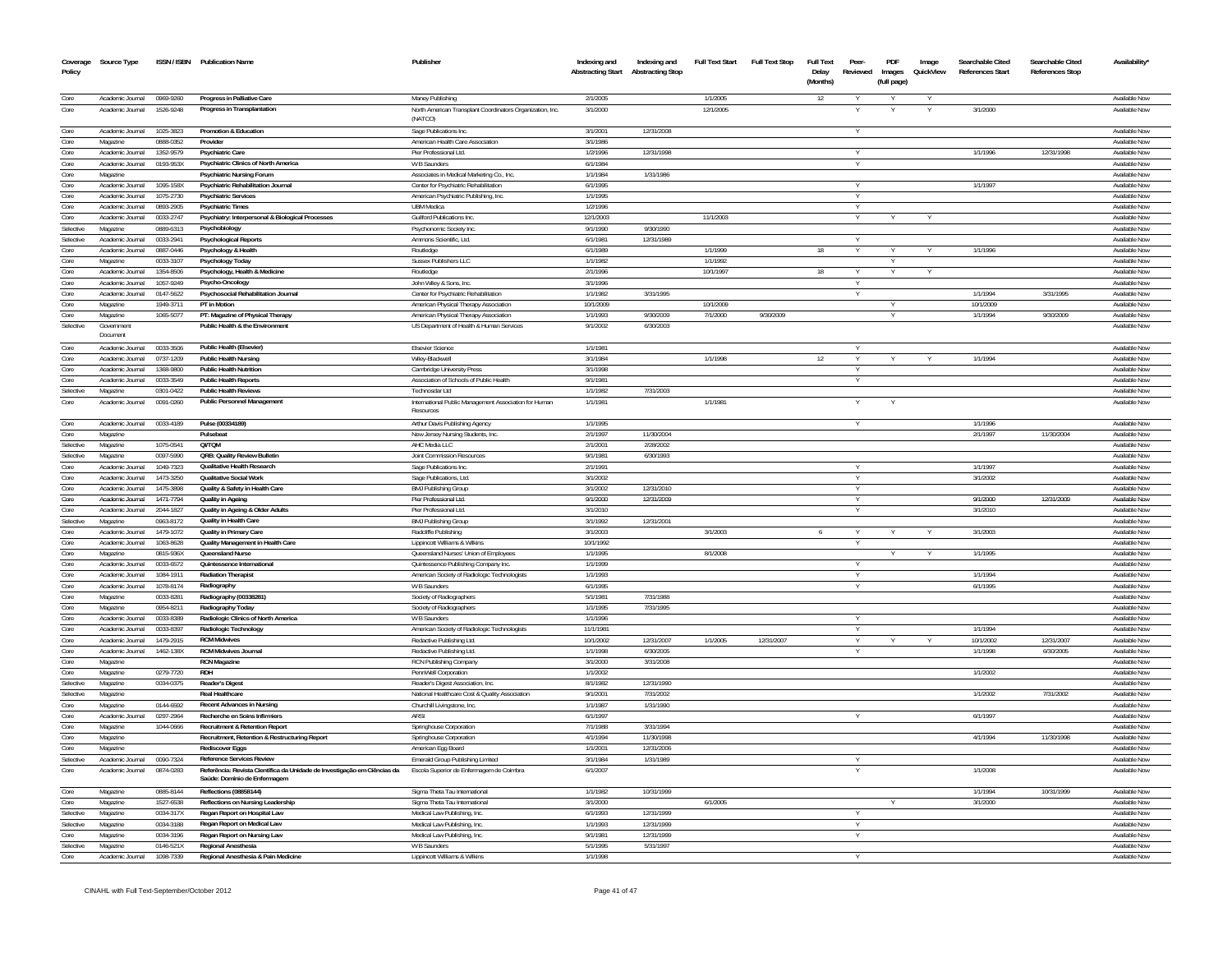| Coverage<br>Policy | Source Type                          |                        | ISSN / ISBN Publication Name                                                                             | Publisher                                                                      | Indexing and<br><b>Abstracting Start</b> | Indexing and<br><b>Abstracting Stop</b> | <b>Full Text Start</b> | <b>Full Text Stop</b> | <b>Full Text</b><br>Delay<br>(Months) | Peer-<br>Reviewed | PDF<br>Images<br>(full page) | Image<br>QuickView | Searchable Cited<br><b>References Start</b> | Searchable Cited<br><b>References Stop</b> | Availability'                  |
|--------------------|--------------------------------------|------------------------|----------------------------------------------------------------------------------------------------------|--------------------------------------------------------------------------------|------------------------------------------|-----------------------------------------|------------------------|-----------------------|---------------------------------------|-------------------|------------------------------|--------------------|---------------------------------------------|--------------------------------------------|--------------------------------|
| Core               | Academic Journal                     | 0969-9260              | Progress in Palliative Care                                                                              | Maney Publishing                                                               | 2/1/2005                                 |                                         | 1/1/2005               |                       | 12                                    |                   |                              |                    |                                             |                                            | Available Now                  |
| Core               | Academic Journal                     | 1526-9248              | Progress in Transplantation                                                                              | North American Transplant Coordinators Organization, Inc.<br>(NATCO)           | 3/1/2000                                 |                                         | 12/1/2005              |                       |                                       |                   |                              |                    | 3/1/2000                                    |                                            | Available Nov                  |
| Core               | Academic Journal                     | 1025-3823              | Promotion & Education                                                                                    | Sage Publications Inc.                                                         | 3/1/2001                                 | 12/31/2008                              |                        |                       |                                       |                   |                              |                    |                                             |                                            | Available Now                  |
| Core               | Magazine                             | 0888-0352              | Provide                                                                                                  | American Health Care Association                                               | 3/1/1986                                 |                                         |                        |                       |                                       |                   |                              |                    |                                             |                                            | Available No                   |
| Core               | Academic Journal<br>Academic Journal | 1352-9579<br>0193-953X | <b>Psychiatric Care</b>                                                                                  | Pier Professional Ltd.                                                         | 1/2/1996<br>6/1/1984                     | 12/31/1998                              |                        |                       |                                       | Y                 |                              |                    | 1/1/1996                                    | 12/31/1998                                 | Available Nov<br>Available Nov |
| Core<br>Core       | Magazine                             |                        | Psychiatric Clinics of North America<br><b>Psychiatric Nursing Forum</b>                                 | W B Saunders<br>Associates in Medical Marketing Co., Inc.                      | 1/1/1984                                 | 1/31/1986                               |                        |                       |                                       |                   |                              |                    |                                             |                                            | Available Nov                  |
| Core               | Academic Journal                     | 1095-158X              | Psychiatric Rehabilitation Journal                                                                       | Center for Psychiatric Rehabilitation                                          | 6/1/1995                                 |                                         |                        |                       |                                       |                   |                              |                    | 1/1/1997                                    |                                            | Available Nov                  |
| Core               | Academic Journal                     | 1075-2730              | <b>Psychiatric Services</b>                                                                              | American Psychiatric Publishing, Inc.                                          | 1/1/1995                                 |                                         |                        |                       |                                       |                   |                              |                    |                                             |                                            | Available Nov                  |
| Core               | Academic Journal                     | 0893-2905              | <b>Psychiatric Times</b>                                                                                 | <b>UBM</b> Medica                                                              | 1/2/1996                                 |                                         |                        |                       |                                       |                   |                              |                    |                                             |                                            | Available Nov                  |
| Core               | Academic Journal                     | 0033-2747              | Psychiatry: Interpersonal & Biological Processes                                                         | <b>Guilford Publications Inc.</b>                                              | 12/1/2003                                |                                         | 11/1/2003              |                       |                                       |                   |                              |                    |                                             |                                            | Available Nov                  |
| Selective          | Magazine                             | 0889-6313              | Psychobiology                                                                                            | Psychonomic Society Inc                                                        | 9/1/1990                                 | 9/30/1990                               |                        |                       |                                       |                   |                              |                    |                                             |                                            | Available Now                  |
| Selective          | Academic Journal                     | 0033-2941              | <b>Psychological Reports</b>                                                                             | Ammons Scientific. Ltd.                                                        | 6/1/198                                  | 12/31/198                               |                        |                       |                                       |                   |                              |                    |                                             |                                            | <b>Available Nov</b>           |
| Core               | Academic Journal                     | 0887-0446              | Psychology & Health                                                                                      | Routledge                                                                      | 6/1/1989                                 |                                         | 1/1/1999               |                       | 18                                    |                   |                              |                    | 1/1/1996                                    |                                            | Available Nov                  |
| Core               | Magazine                             | 0033-3107              | Psychology Today                                                                                         | Sussex Publishers LLC                                                          | 1/1/1982                                 |                                         | 1/1/1992               |                       |                                       |                   | Y                            |                    |                                             |                                            | Available Nov                  |
| Core               | Academic Journal                     | 1354-8506              | Psychology, Health & Medicine                                                                            | Routledge                                                                      | 2/1/1996                                 |                                         | 10/1/1997              |                       | 18                                    |                   |                              |                    |                                             |                                            | Available Nov                  |
| Core<br>Core       | Academic Journal<br>Academic Journal | 1057-9249<br>0147-5622 | Psycho-Oncology                                                                                          | John Wiley & Sons, Inc.                                                        | 3/1/1996<br>1/1/1982                     | 3/31/1995                               |                        |                       |                                       |                   |                              |                    | 1/1/1994                                    | 3/31/1995                                  | Available Now<br>Available Nov |
| Core               | Magazine                             | 1949-3711              | Psychosocial Rehabilitation Journal<br>PT in Motion                                                      | Center for Psychiatric Rehabilitation<br>American Physical Therapy Association | 10/1/2009                                |                                         | 10/1/2009              |                       |                                       |                   |                              |                    | 10/1/2009                                   |                                            | Available Nov                  |
| Core               | Magazine                             | 1065-507               | PT: Magazine of Physical Therapy                                                                         | American Physical Therapy Association                                          | 1/1/1993                                 | 9/30/2009                               | 7/1/2000               | 9/30/2009             |                                       |                   |                              |                    | 1/1/1994                                    | 9/30/2009                                  | Available Nov                  |
| Selective          | Government                           |                        | Public Health & the Environment                                                                          | US Department of Health & Human Services                                       | 9/1/2002                                 | 6/30/2003                               |                        |                       |                                       |                   |                              |                    |                                             |                                            | Available Now                  |
|                    | Document                             |                        |                                                                                                          |                                                                                |                                          |                                         |                        |                       |                                       |                   |                              |                    |                                             |                                            |                                |
| Core               | Academic Journal                     | 0033-3506              | Public Health (Elsevier)                                                                                 | Elsevier Science                                                               | 1/1/1981                                 |                                         |                        |                       |                                       |                   |                              |                    |                                             |                                            | Available Nov                  |
| Core               | Academic Journal                     | 0737-1209              | <b>Public Health Nursing</b>                                                                             | Wiley-Blackwel                                                                 | 3/1/1984                                 |                                         | 1/1/1998               |                       | 12                                    |                   |                              |                    | 1/1/1994                                    |                                            | <b>Available Nov</b>           |
| Core               | Academic Journal                     | 1368-9800              | <b>Public Health Nutrition</b>                                                                           | Cambridge University Press                                                     | 3/1/1998                                 |                                         |                        |                       |                                       |                   |                              |                    |                                             |                                            | Available Nov                  |
| Core               | Academic Journal                     | 0033-3549              | <b>Public Health Reports</b>                                                                             | Association of Schools of Public Health                                        | 9/1/198                                  |                                         |                        |                       |                                       |                   |                              |                    |                                             |                                            | Available Nov                  |
| Selective          | Magazine                             | 0301-0422              | <b>Public Health Reviews</b>                                                                             | Technosdar Ltd                                                                 | 1/1/1982                                 | 7/31/2003                               |                        |                       |                                       |                   |                              |                    |                                             |                                            | Available Now                  |
| Core               | Academic Journal                     | 0091-0260              | Public Personnel Management                                                                              | International Public Management Association for Human<br>Resources             | 1/1/1981                                 |                                         | 1/1/1981               |                       |                                       |                   |                              |                    |                                             |                                            | Available Nov                  |
| Core               | Academic Journal                     | 0033-4189              | Pulse (00334189)                                                                                         | Arthur Davis Publishing Agency                                                 | 1/1/1995                                 |                                         |                        |                       |                                       |                   |                              |                    | 1/1/1996                                    |                                            | Available Nov                  |
| Core               | Magazine                             |                        | Pulsebeat                                                                                                | New Jersey Nursing Students, Ind                                               | 2/1/1997                                 | 11/30/2004                              |                        |                       |                                       |                   |                              |                    | 2/1/1997                                    | 11/30/2004                                 | Available Nov                  |
| Selective          | Magazine                             | 1075-0541              | QI/TQM                                                                                                   | AHC Media LLC                                                                  | 2/1/2001                                 | 2/28/2002                               |                        |                       |                                       |                   |                              |                    |                                             |                                            | Available Nov                  |
| Selective          | Magazine                             | 0097-5990              | QRB: Quality Review Bulletin                                                                             | <b>Joint Commission Resources</b>                                              | 9/1/1981                                 | 6/30/1993                               |                        |                       |                                       | Y                 |                              |                    |                                             |                                            | Available Nov                  |
| Core               | Academic Journal                     | 1049-7323              | Qualitative Health Research<br><b>Qualitative Social Work</b>                                            | Sage Publications Inc                                                          | 2/1/1991                                 |                                         |                        |                       |                                       |                   |                              |                    | 1/1/1997                                    |                                            | Available Nov                  |
| Core<br>Core       | Academic Journa<br>Academic Journal  | 1473-3250<br>1475-3898 | Quality & Safety in Health Care                                                                          | Sage Publications, Ltd<br><b>BMJ Publishing Group</b>                          | 3/1/2002<br>3/1/2002                     | 12/31/2010                              |                        |                       |                                       |                   |                              |                    | 3/1/2002                                    |                                            | Available Nov<br>Available Now |
| Core               | Academic Journal                     | 1471-7794              | Quality in Ageino                                                                                        | Pier Professional Ltd.                                                         | 9/1/2000                                 | 12/31/2009                              |                        |                       |                                       | Y                 |                              |                    | 9/1/2000                                    | 12/31/2009                                 | Available Nov                  |
| Core               | Academic Journal                     | 2044-1827              | Quality in Ageing & Older Adults                                                                         | Pier Professional Ltd.                                                         | 3/1/2010                                 |                                         |                        |                       |                                       |                   |                              |                    | 3/1/2010                                    |                                            | Available Nov                  |
| Selective          | Magazine                             | 0963-8172              | Quality in Health Care                                                                                   | <b>BMJ Publishing Group</b>                                                    | 3/1/1992                                 | 12/31/2001                              |                        |                       |                                       |                   |                              |                    |                                             |                                            | Available Nov                  |
| Core               | Academic Journal                     | 1479-1072              | Quality in Primary Care                                                                                  | Radcliffe Publishing                                                           | 3/1/2003                                 |                                         | 3/1/2003               |                       |                                       |                   |                              |                    | 3/1/2003                                    |                                            | Available Nov                  |
| Core               | Academic Journal                     | 1063-8628              | Quality Management in Health Care                                                                        | Lippincott Williams & Wilkins                                                  | 10/1/1992                                |                                         |                        |                       |                                       | $\vee$            |                              |                    |                                             |                                            | Available Nov                  |
| Core               | Magazine                             | 0815-936>              | Queensland Nurse                                                                                         | Queensland Nurses' Union of Employee:                                          | 1/1/1995                                 |                                         | 8/1/2008               |                       |                                       |                   |                              |                    | 1/1/1995                                    |                                            | Available Nov                  |
| Core               | Academic Journal                     | 0033-6572              | Quintessence International                                                                               | Quintessence Publishing Company Inc.                                           | 1/1/1999                                 |                                         |                        |                       |                                       |                   |                              |                    |                                             |                                            | Available Nov                  |
| Core               | Academic Journal                     | 1084-1911              | <b>Radiation Therapist</b>                                                                               | American Society of Radiologic Technologists                                   | 1/1/1993                                 |                                         |                        |                       |                                       | Y                 |                              |                    | 1/1/1994                                    |                                            | Available Now                  |
| Core               | Academic Journal                     | 1078-8174              | Radiography                                                                                              | W B Saunders                                                                   | 6/1/1995                                 |                                         |                        |                       |                                       |                   |                              |                    | 6/1/1995                                    |                                            | Available Nov                  |
| Core               | Magazine                             | 0033-8281              | Radiography (00338281)                                                                                   | Society of Radiographers                                                       | 5/1/1981                                 | 7/31/1988                               |                        |                       |                                       |                   |                              |                    |                                             |                                            | Available Now                  |
| Core               | Magazine                             | 0954-821               | Radiography Today                                                                                        | Society of Radiographers                                                       | 1/1/1995                                 | 7/31/1995                               |                        |                       |                                       |                   |                              |                    |                                             |                                            | Available Now                  |
| Core               | Academic Journal                     | 0033-8389              | Radiologic Clinics of North America                                                                      | W B Saunders                                                                   | 1/1/1996                                 |                                         |                        |                       |                                       |                   |                              |                    |                                             |                                            | Available Nov                  |
| Core<br>Core       | Academic Journal<br>Academic Journal | 0033-8397<br>1479-2915 | Radiologic Technology<br><b>RCM Midwives</b>                                                             | American Society of Radiologic Technologists<br>Redactive Publishing Ltd       | 11/1/1981<br>10/1/2002                   | 12/31/2007                              | 1/1/2005               | 12/31/2007            |                                       |                   |                              |                    | 1/1/1994<br>10/1/2002                       | 12/31/2007                                 | Available Now<br>Available Nov |
| Core               | Academic Journal                     | 1462-138X              | <b>RCM Midwives Journal</b>                                                                              | Redactive Publishing Ltd                                                       | 1/1/1998                                 | 6/30/2005                               |                        |                       |                                       |                   |                              |                    | 1/1/1998                                    | 6/30/2005                                  | Available Now                  |
| Core               | Magazine                             |                        | <b>RCN Magazine</b>                                                                                      | RCN Publishing Company                                                         | 3/1/2000                                 | 3/31/2008                               |                        |                       |                                       |                   |                              |                    |                                             |                                            | Available Nov                  |
| Core               | Magazine                             | 0279-7720              | <b>RDH</b>                                                                                               | PennWell Corporation                                                           | 1/1/2002                                 |                                         |                        |                       |                                       |                   |                              |                    | 1/1/2002                                    |                                            | Available Now                  |
| Selective          | Magazine                             | 0034-0375              | <b>Reader's Digest</b>                                                                                   | Reader's Digest Association, Inc.                                              | 8/1/1982                                 | 12/31/1990                              |                        |                       |                                       |                   |                              |                    |                                             |                                            | Available Now                  |
| Selective          | Magazine                             |                        | <b>Real Healthcare</b>                                                                                   | National Healthcare Cost & Quality Association                                 | 9/1/2001                                 | 7/31/2002                               |                        |                       |                                       |                   |                              |                    | 1/1/2002                                    | 7/31/2002                                  | Available Now                  |
| Core               | Magazine                             | 0144-6592              | <b>Recent Advances in Nursing</b>                                                                        | Churchill Livingstone, Inc.                                                    | 1/1/1987                                 | 1/31/1990                               |                        |                       |                                       |                   |                              |                    |                                             |                                            | Available Now                  |
| Core               | Academic Journal                     | 0297-2964              | Recherche en Soins Infirmiers                                                                            | ARSI                                                                           | 6/1/1997                                 |                                         |                        |                       |                                       |                   |                              |                    | 6/1/1997                                    |                                            | Available Now                  |
| Core               | Magazine                             | 1044-0666              | <b>Recruitment &amp; Retention Report</b>                                                                | Springhouse Corporation                                                        | 7/1/1988                                 | 3/31/1994                               |                        |                       |                                       |                   |                              |                    |                                             |                                            | Available Nov                  |
| Core               | Magazine                             |                        | Recruitment, Retention & Restructuring Report                                                            | Springhouse Corporation                                                        | 4/1/1994                                 | 11/30/1998                              |                        |                       |                                       |                   |                              |                    | 4/1/1994                                    | 11/30/1998                                 | Available Now                  |
| Core               | Magazine                             |                        | <b>Rediscover Eggs</b>                                                                                   | American Egg Board                                                             | 1/1/2001                                 | 12/31/2006                              |                        |                       |                                       |                   |                              |                    |                                             |                                            | Available Nov                  |
| Selective          | Academic Journal                     | 0090-7324              | <b>Reference Services Review</b>                                                                         | Emerald Group Publishing Limited                                               | 3/1/1984                                 | 1/31/1989                               |                        |                       |                                       |                   |                              |                    |                                             |                                            | Available Now                  |
| Core               | Academic Journal                     | 0874-0283              | Referência: Revista Científica da Unidade de Investigação em Ciências da<br>Saúde: Dominio de Enfermagem | Escola Superior de Enfermagem de Coimbra                                       | 6/1/2007                                 |                                         |                        |                       |                                       |                   |                              |                    | 1/1/2008                                    |                                            | Available Nov                  |
| Core               | Magazine                             | 0885-8144              | Reflections (08858144)                                                                                   | Sigma Theta Tau International                                                  | 1/1/1982                                 | 10/31/1999                              |                        |                       |                                       |                   |                              |                    | 1/1/1994                                    | 10/31/1999                                 | Available Now                  |
| Core               | Magazine                             | 1527-6538              | Reflections on Nursing Leadership                                                                        | Sigma Theta Tau International                                                  | 3/1/2000                                 |                                         | 6/1/2005               |                       |                                       |                   |                              |                    | 3/1/2000                                    |                                            | Available Nov                  |
| Selective          | Magazine                             | 0034-317X              | Regan Report on Hospital Law                                                                             | Medical Law Publishing, Inc.                                                   | 6/1/1993                                 | 12/31/1999                              |                        |                       |                                       | $\vee$            |                              |                    |                                             |                                            | Available Now                  |
| Selective          | Magazine                             | 0034-3188              | Regan Report on Medical Law                                                                              | Medical Law Publishing, Inc.                                                   | 1/1/1993                                 | 12/31/1999                              |                        |                       |                                       | <b>Y</b>          |                              |                    |                                             |                                            | Available Now                  |
| Core<br>Selective  | Magazine                             | 0034-3196              | Regan Report on Nursing Law<br><b>Regional Anesthesia</b>                                                | Medical Law Publishing, Inc.                                                   | 9/1/1981<br>5/1/1995                     | 12/31/1999                              |                        |                       |                                       | Y                 |                              |                    |                                             |                                            | Available Now                  |
| Core               | Magazine<br>Academic Journal         | 0146-521X<br>1098-7339 | Regional Anesthesia & Pain Medicine                                                                      | W B Saunders<br>Lippincott Williams & Wilkins                                  | 1/1/1998                                 | 5/31/1997                               |                        |                       |                                       |                   |                              |                    |                                             |                                            | Available Now<br>Available Now |
|                    |                                      |                        |                                                                                                          |                                                                                |                                          |                                         |                        |                       |                                       |                   |                              |                    |                                             |                                            |                                |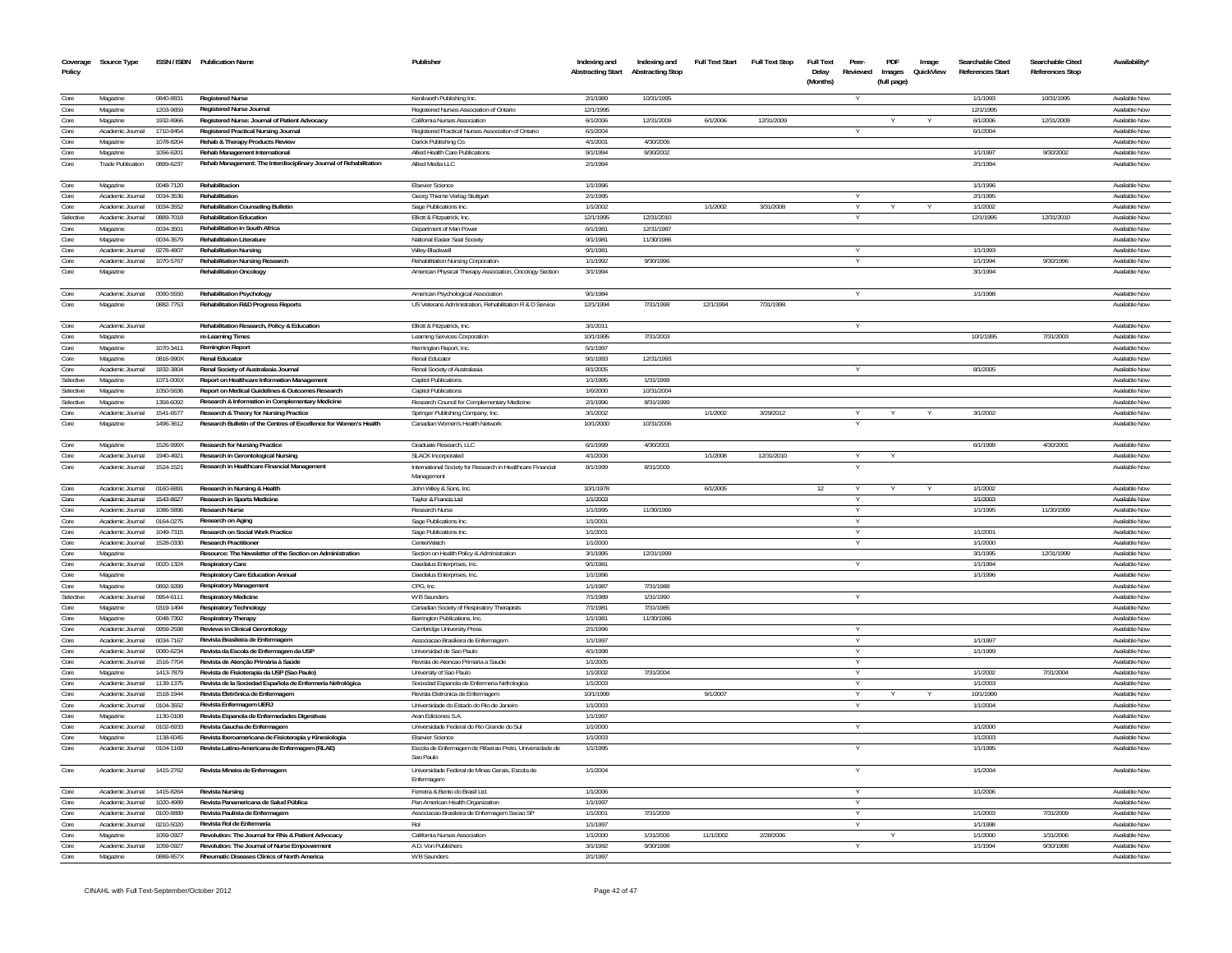|                        | Coverage Source Type                 |                        | ISSN / ISBN Publication Name                                                                    | Publisher                                                                                     | Indexing and             | Indexing and            | Full Text Start | <b>Full Text Stop</b> | <b>Full Text</b>  | Peer-    | PDF         | Image     | Searchable Cited        | Searchable Cited | Availability'                         |
|------------------------|--------------------------------------|------------------------|-------------------------------------------------------------------------------------------------|-----------------------------------------------------------------------------------------------|--------------------------|-------------------------|-----------------|-----------------------|-------------------|----------|-------------|-----------|-------------------------|------------------|---------------------------------------|
| Policy                 |                                      |                        |                                                                                                 |                                                                                               | <b>Abstracting Start</b> | <b>Abstracting Stop</b> |                 |                       | Delay<br>(Months) | Reviewed | Images      | QuickView | <b>References Start</b> | References Stop  |                                       |
|                        |                                      |                        |                                                                                                 |                                                                                               |                          |                         |                 |                       |                   |          | (full page) |           |                         |                  |                                       |
| Core                   | Magazine                             | 0840-8831              | <b>Registered Nurse</b>                                                                         | Kenilworth Publishing Inc.                                                                    | 2/1/1989                 | 10/31/1995              |                 |                       |                   |          |             |           | 1/1/1993                | 10/31/1995       | Available Now                         |
| Core                   | Magazine                             | 1203-9659              | Registered Nurse Journal                                                                        | Registered Nurses Association of Ontario                                                      | 12/1/1995                |                         |                 |                       |                   |          |             |           | 12/1/1995               |                  | Available Now                         |
| Core                   | Magazine                             | 1932-8966              | Registered Nurse: Journal of Patient Advocacy                                                   | California Nurses Association                                                                 | 6/1/2006                 | 12/31/2009              | 6/1/2006        | 12/31/2009            |                   |          |             |           | 6/1/2006                | 12/31/2009       | Available Now                         |
| Core<br>Core           | Academic Journal                     | 1710-8454<br>1078-8204 | Registered Practical Nursing Journal<br>Rehab & Therapy Products Review                         | Registered Practical Nurses Association of Ontario                                            | 6/1/2004<br>4/1/2001     | 4/30/2006               |                 |                       |                   |          |             |           | 6/1/2004                |                  | Available Now<br><b>Available Nov</b> |
| Core                   | Magazine<br>Magazine                 | 1056-6201              | Rehab Management International                                                                  | Darick Publishing Co.<br>Allied Health Care Publications                                      | 9/1/1994                 | 9/30/2002               |                 |                       |                   |          |             |           | 1/1/1997                | 9/30/2002        | Available Now                         |
| Core                   | <b>Trade Publication</b>             | 0899-6237              | Rehab Management: The Interdisciplinary Journal of Rehabilitation                               | Allied Media LLC                                                                              | 2/1/1994                 |                         |                 |                       |                   |          |             |           | 2/1/1994                |                  | <b>Available Nov</b>                  |
|                        |                                      |                        |                                                                                                 |                                                                                               |                          |                         |                 |                       |                   |          |             |           |                         |                  |                                       |
| Core                   | Magazine                             | 0048-7120              | Rehabilitacion                                                                                  | <b>Elsevier Science</b>                                                                       | 1/1/1996                 |                         |                 |                       |                   |          |             |           | 1/1/1996                |                  | Available Now                         |
| Core                   | Academic Journal                     | 0034-3536              | Rehabilitation                                                                                  | Georg Thieme Verlag Stuttgart                                                                 | 2/1/1995                 |                         |                 |                       |                   |          |             |           | 2/1/1995                |                  | Available Nov                         |
| Core                   | Academic Journal                     | 0034-3552              | <b>Rehabilitation Counseling Bulletin</b>                                                       | Sage Publications Inc.                                                                        | 1/1/2002                 |                         | 1/1/2002        | 3/31/2008             |                   | Y        |             |           | 1/1/2002                |                  | Available Now                         |
| Selective              | Academic Journal                     | 0889-7018              | <b>Rehabilitation Education</b>                                                                 | Elliott & Fitzpatrick, Inc.                                                                   | 12/1/1995                | 12/31/2010              |                 |                       |                   |          |             |           | 12/1/1995               | 12/31/2010       | Available Now                         |
| Core                   | Magazine                             | 0034-3501              | Rehabilitation in South Africa                                                                  | Department of Man Power                                                                       | 6/1/1981                 | 12/31/1987              |                 |                       |                   |          |             |           |                         |                  | Available Now                         |
| Core                   | Magazine                             | 0034-3579              | <b>Rehabilitation Literature</b>                                                                | National Easter Seal Society                                                                  | 9/1/1981                 | 11/30/1986              |                 |                       |                   |          |             |           |                         |                  | Available Nov                         |
| Core<br>Core           | Academic Journal                     | 0278-4807              | <b>Rehabilitation Nursing</b>                                                                   | Wiley-Blackwell                                                                               | 9/1/1981                 |                         |                 |                       |                   |          |             |           | 1/1/1993                |                  | Available Now                         |
| Core                   | Academic Journal<br>Magazine         | 1070-5767              | Rehabilitation Nursing Research<br><b>Rehabilitation Oncology</b>                               | Rehabilitation Nursing Corporation<br>American Physical Therapy Association, Oncology Section | 1/1/1992<br>3/1/1994     | 9/30/1996               |                 |                       |                   | Y        |             |           | 1/1/1994<br>3/1/1994    | 9/30/1996        | Available Now<br>Available Now        |
|                        |                                      |                        |                                                                                                 |                                                                                               |                          |                         |                 |                       |                   |          |             |           |                         |                  |                                       |
| Core                   | Academic Journal                     | 0090-5550              | <b>Rehabilitation Psychology</b>                                                                | American Psychological Association                                                            | 9/1/1984                 |                         |                 |                       |                   |          |             |           | 1/1/1998                |                  | Available Now                         |
| Core                   | Magazine                             | 0882-7753              | Rehabilitation R&D Progress Reports                                                             | US Veterans Administration, Rehabilitation R & D Service                                      | 12/1/1994                | 7/31/1998               | 12/1/1994       | 7/31/1998             |                   |          |             |           |                         |                  | Available Nov                         |
|                        |                                      |                        |                                                                                                 |                                                                                               |                          |                         |                 |                       |                   |          |             |           |                         |                  |                                       |
| Core                   | Academic Journal                     |                        | Rehabilitation Research, Policy & Education                                                     | Elliott & Fitzpatrick, Inc.                                                                   | 3/1/2011                 |                         |                 |                       |                   |          |             |           |                         |                  | Available Now                         |
| Core                   | Magazine                             |                        | re-Learning Times                                                                               | Learning Services Corporation                                                                 | 10/1/1995                | 7/31/2003               |                 |                       |                   |          |             |           | 10/1/1995               | 7/31/2003        | Available Now                         |
| Core                   | Magazine                             | 1070-3411              | <b>Remington Report</b>                                                                         | Remington Report, Inc.                                                                        | 5/1/1997                 |                         |                 |                       |                   |          |             |           |                         |                  | Available Nov                         |
| Core                   | Magazine                             | 0816-990X              | <b>Renal Educator</b>                                                                           | Renal Educator                                                                                | 9/1/1993                 | 12/31/1993              |                 |                       |                   |          |             |           |                         |                  | Available Now                         |
| Core                   | Academic Journal                     | 1832-3804              | Renal Society of Australasia Journal                                                            | Renal Society of Australasia                                                                  | 8/1/2005                 |                         |                 |                       |                   |          |             |           | 8/1/2005                |                  | Available Now                         |
| Selective<br>Selective | Magazine<br>Magazine                 | 1071-006X<br>1050-5636 | Report on Healthcare Information Management<br>Report on Medical Guidelines & Outcomes Research | <b>Capitol Publications</b><br>Capitol Publications                                           | 1/1/1995<br>1/6/2000     | 1/31/1999<br>10/31/2004 |                 |                       |                   |          |             |           |                         |                  | Available Now<br>Available Now        |
| Selective              | Magazine                             | 1358-6092              | Research & Information in Complementary Medicine                                                | Research Council for Complementary Medicine                                                   | 2/1/1996                 | 8/31/1999               |                 |                       |                   |          |             |           |                         |                  | Available Now                         |
| Core                   | Academic Journal                     | 1541-6577              | Research & Theory for Nursing Practice                                                          | Springer Publishing Company, Inc                                                              | 3/1/2002                 |                         | 1/1/2002        | 3/29/2012             |                   |          |             |           | 3/1/2002                |                  | Available Nov                         |
| Core                   | Magazine                             | 1496-3612              | Research Bulletin of the Centres of Excellence for Women's Health                               | Canadian Women's Health Network                                                               | 10/1/2000                | 10/31/2006              |                 |                       |                   |          |             |           |                         |                  | Available Now                         |
|                        |                                      |                        |                                                                                                 |                                                                                               |                          |                         |                 |                       |                   |          |             |           |                         |                  |                                       |
| Core                   | Magazine                             | 1526-999X              | <b>Research for Nursing Practice</b>                                                            | Graduate Research, LLC                                                                        | 6/1/1999                 | 4/30/2001               |                 |                       |                   |          |             |           | 6/1/1999                | 4/30/2001        | Available Now                         |
| Core                   | Academic Journal                     | 1940-4921              | Research in Gerontological Nursing                                                              | <b>SLACK Incorporated</b>                                                                     | 4/1/2008                 |                         | 1/1/2008        | 12/31/2010            |                   | Y        |             |           |                         |                  | Available Now                         |
| Core                   | Academic Journal                     | 1524-1521              | Research in Healthcare Financial Management                                                     | International Society for Research in Healthcare Financial                                    | 8/1/1999                 | 8/31/2009               |                 |                       |                   |          |             |           |                         |                  | Available Nov                         |
|                        |                                      |                        |                                                                                                 | Management                                                                                    |                          |                         |                 |                       |                   |          |             |           |                         |                  |                                       |
| Core                   | Academic Journal                     | 0160-6891              | Research in Nursing & Health                                                                    | John Wiley & Sons, Inc.                                                                       | 10/1/1978                |                         | 6/1/2005        |                       | 12                |          |             |           | 1/1/2002                |                  | Available Now                         |
| Core<br>Core           | Academic Journal<br>Academic Journal | 1543-8627<br>1086-589  | Research in Sports Medicine<br><b>Research Nurs</b>                                             | Taylor & Francis Ltd<br>Research Nurse                                                        | 1/1/2003<br>1/1/199      | 11/30/1999              |                 |                       |                   | Y        |             |           | 1/1/2003<br>1/1/1995    | 11/30/1999       | Available Now<br>Available Nov        |
| Core                   | Academic Journal                     | 0164-0275              | Research on Aging                                                                               | Sage Publications Inc.                                                                        | 1/1/2001                 |                         |                 |                       |                   |          |             |           |                         |                  | Available Nov                         |
| Core                   | Academic Journal                     | 1049-7315              | Research on Social Work Practice                                                                | Sage Publications Inc.                                                                        | 1/1/2001                 |                         |                 |                       |                   | Y        |             |           | 1/1/2001                |                  | Available Nov                         |
| Core                   | Academic Journal                     | 1528-0330              | <b>Research Practitioner</b>                                                                    | <b>CenterWatch</b>                                                                            | 1/1/2000                 |                         |                 |                       |                   |          |             |           | 1/1/2000                |                  | Available Nov                         |
| Core                   | Magazine                             |                        | Resource: The Newsletter of the Section on Administration                                       | Section on Health Policy & Administration                                                     | 3/1/1995                 | 12/31/1999              |                 |                       |                   |          |             |           | 3/1/1995                | 12/31/1999       | Available Nov                         |
| Core                   | Academic Journal                     | 0020-1324              | <b>Respiratory Care</b>                                                                         | Daedalus Enterprises, Inc.                                                                    | 9/1/1981                 |                         |                 |                       |                   |          |             |           | 1/1/1994                |                  | Available Now                         |
| Core                   | Magazine                             |                        | Respiratory Care Education Annual                                                               | Daedalus Enterprises, Inc.                                                                    | 1/1/1996                 |                         |                 |                       |                   |          |             |           | 1/1/1996                |                  | Available Nov                         |
| Core                   | Magazine                             | 0892-9289              | <b>Respiratory Management</b>                                                                   | CPG, Inc.                                                                                     | 1/1/1987                 | 7/31/1988               |                 |                       |                   |          |             |           |                         |                  | Available Nov                         |
| Selective              | Academic Journal                     | 0954-6111              | <b>Respiratory Medicine</b>                                                                     | W B Saunders                                                                                  | 7/1/1989                 | 1/31/1990               |                 |                       |                   |          |             |           |                         |                  | Available Nov                         |
| Core                   | Magazine                             | 0319-1494              | <b>Respiratory Technology</b>                                                                   | Canadian Society of Respiratory Therapists                                                    | 7/1/1981                 | 7/31/198                |                 |                       |                   |          |             |           |                         |                  | Available Nov                         |
| Core                   | Magazine                             | 0048-7392              | <b>Respiratory Therapy</b>                                                                      | Barrington Publications, Inc.                                                                 | 1/1/1981                 | 11/30/1986              |                 |                       |                   |          |             |           |                         |                  | Available Nov                         |
| Core<br>Core           | Academic Journal                     | 0959-2598              | Reviews in Clinical Gerontology                                                                 | Cambridge University Press                                                                    | 2/1/1996                 |                         |                 |                       |                   |          |             |           |                         |                  | Available Nov                         |
| Core                   | Academic Journal                     | 0034-7167<br>0080-6234 | Revista Brasileira de Enfermagen<br>Revista da Escola de Enfermagem da USF                      | Associacao Brasileira de Enfermagem                                                           | 1/1/1997<br>4/1/1998     |                         |                 |                       |                   |          |             |           | 1/1/1997<br>1/1/1999    |                  | Available Nov                         |
| Core                   | Academic Journal<br>Academic Journal | 1516-7704              | Revista de Atencão Primária à Saúde                                                             | Universidad de Sao Paulo<br>Revista de Atencao Primaria a Saude                               | 1/1/2005                 |                         |                 |                       |                   | Y        |             |           |                         |                  | Available Nov<br>Available Nov        |
| Core                   | Magazine                             | 1413-7879              | Revista de Fisioterapia da USP (Sao Paulo)                                                      | University of Sao Paulo                                                                       | 1/1/2002                 | 7/31/2004               |                 |                       |                   | Y        |             |           | 1/1/2002                | 7/31/2004        | Available Nov                         |
| Core                   | Academic Journal                     | 1139-137               | Revista de la Sociedad Española de Enfermería Nefrológica                                       | Sociedad Espanola de Enfermeria Nefrologica                                                   | 1/1/2003                 |                         |                 |                       |                   |          |             |           | 1/1/2003                |                  | Available Nov                         |
| Core                   | Academic Journal                     | 1518-1944              | Revista Eletrônica de Enfermagem                                                                | Revista Eletronica de Enfermagem                                                              | 10/1/1999                |                         | 9/1/2007        |                       |                   | Y        |             |           | 10/1/1999               |                  | Available Nov                         |
| Core                   | Academic Journal                     | 0104-3552              | Revista Enfermagem UERJ                                                                         | Universidade do Estado do Rio de Janeiro                                                      | 1/1/2003                 |                         |                 |                       |                   |          |             |           | 1/1/2004                |                  | Available Nov                         |
| Core                   | Magazine                             | 1130-0108              | Revista Espanola de Enfermedades Digestivas                                                     | Aran Ediciones S.A.                                                                           | 1/1/1997                 |                         |                 |                       |                   |          |             |           |                         |                  | Available Nov                         |
| Core                   | Academic Journal                     | 0102-6933              | Revista Gaucha de Enfermagem                                                                    | Universidade Federal do Rio Grande do Sul                                                     | 1/1/2000                 |                         |                 |                       |                   | Y        |             |           | 1/1/2000                |                  | Available Nov                         |
| Core                   | Magazine                             | 1138-6045              | Revista Iberoamericana de Fisioterapia y Kinesiologia                                           | <b>Elsevier Science</b>                                                                       | 1/1/2003                 |                         |                 |                       |                   |          |             |           | 1/1/2003                |                  | Available Nov                         |
| Core                   | Academic Journal                     | 0104-1169              | Revista Latino-Americana de Enfermagem (RLAE)                                                   | Escola de Enfermagem de Ribeirao Preto, Universidade de                                       | 1/1/1995                 |                         |                 |                       |                   |          |             |           | 1/1/1995                |                  | Available Nov                         |
|                        |                                      |                        |                                                                                                 | Sao Paulo                                                                                     |                          |                         |                 |                       |                   |          |             |           |                         |                  |                                       |
| Core                   | Academic Journal                     | 1415-2762              | Revista Mineira de Enfermagem                                                                   | Universidade Federal de Minas Gerais, Escola de                                               | 1/1/2004                 |                         |                 |                       |                   |          |             |           | 1/1/2004                |                  | Available Now                         |
|                        |                                      |                        |                                                                                                 | Enfermagem                                                                                    |                          |                         |                 |                       |                   |          |             |           |                         |                  |                                       |
| Core                   | Academic Journal                     | 1415-8264              | <b>Revista Nursing</b>                                                                          | Ferreira & Bento do Brasil Ltd.                                                               | 1/1/2006                 |                         |                 |                       |                   | <b>V</b> |             |           | 1/1/2006                |                  | Available Now                         |
| Core<br>Core           | Academic Journal<br>Academic Journal | 1020-4989<br>0100-8889 | Revista Panamericana de Salud Pública<br>Revista Paulista de Enfermagem                         | Pan American Health Organization<br>Associacao Brasileira de Enfermagem Secao SP              | 1/1/1997<br>1/1/2001     | 7/31/2009               |                 |                       |                   | Y        |             |           | 1/1/2003                | 7/31/2009        | Available Now<br>Available Nov        |
| Core                   | Academic Journal                     | 0210-5020              | Revista Rol de Enfermería                                                                       | Rol                                                                                           | 1/1/1997                 |                         |                 |                       |                   | Y<br>Y   |             |           | 1/1/1998                |                  | Available Nov                         |
| Core                   | Magazine                             | 1059-0927              | Revolution: The Journal for RNs & Patient Advocacy                                              | California Nurses Association                                                                 | 1/1/2000                 | 1/31/2006               | 11/1/2002       | 2/28/2006             |                   |          |             |           | 1/1/2000                | 1/31/2006        | Available Nov                         |
| Core                   | Academic Journal                     | 1059-0927              | Revolution: The Journal of Nurse Empowerment                                                    | A.D. Von Publishers                                                                           | 3/1/1992                 | 9/30/1998               |                 |                       |                   |          |             |           | 1/1/1994                | 9/30/1998        | Available Now                         |
| Core                   | Magazine                             | 0889-857X              | <b>Rheumatic Diseases Clinics of North America</b>                                              | W B Saunders                                                                                  | 2/1/1997                 |                         |                 |                       |                   |          |             |           |                         |                  | Available Nov                         |
|                        |                                      |                        |                                                                                                 |                                                                                               |                          |                         |                 |                       |                   |          |             |           |                         |                  |                                       |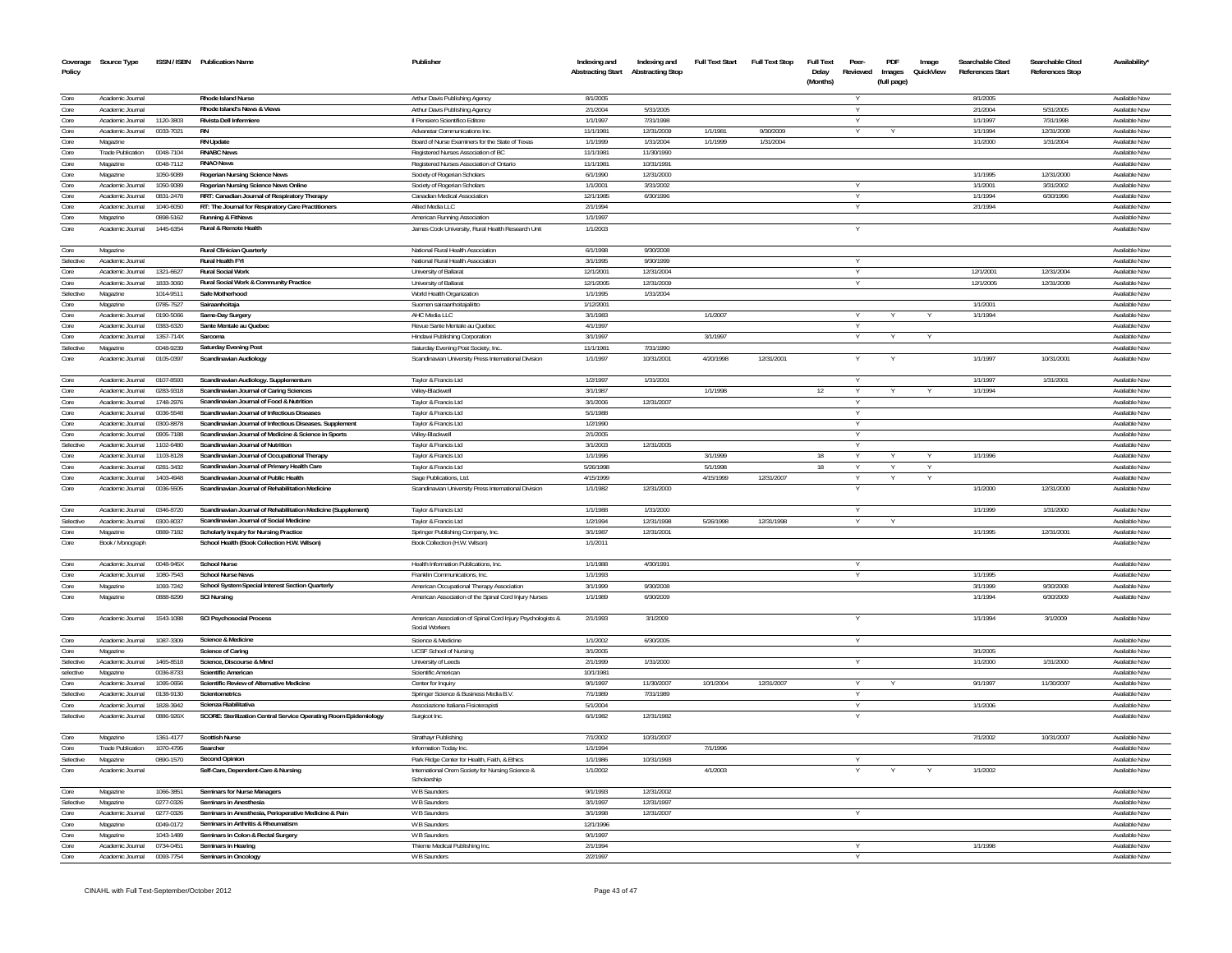| Coverage     | Source Type                          |                        | ISSN / ISBN Publication Name                                                                       | Publisher                                                                    | Indexing and          | Indexing and                       | <b>Full Text Start</b> | Full Text Stop | <b>Full Text</b>  | Peer-    | PDF                   | Image     | Searchable Cited        | Searchable Cited       | Availability'                  |
|--------------|--------------------------------------|------------------------|----------------------------------------------------------------------------------------------------|------------------------------------------------------------------------------|-----------------------|------------------------------------|------------------------|----------------|-------------------|----------|-----------------------|-----------|-------------------------|------------------------|--------------------------------|
| Policy       |                                      |                        |                                                                                                    |                                                                              |                       | Abstracting Start Abstracting Stop |                        |                | Delay<br>(Months) | Reviewed | Images<br>(full page) | QuickView | <b>References Start</b> | <b>References Stop</b> |                                |
| Core         | Academic Journal                     |                        | Rhode Island Nurse                                                                                 | Arthur Davis Publishing Agency                                               | 8/1/2005              |                                    |                        |                |                   | Y        |                       |           | 8/1/2005                |                        | Available Now                  |
| Core         | Academic Journal                     |                        | Rhode Island's News & Views                                                                        | Arthur Davis Publishing Agency                                               | 2/1/2004              | 5/31/2005                          |                        |                |                   |          |                       |           | 2/1/2004                | 5/31/2005              | Available Now                  |
| Core         | Academic Journal                     | 1120-3803              | Rivista Dell Infermiere                                                                            | Il Pensiero Scientifico Editore                                              | 1/1/1997              | 7/31/1998                          |                        |                |                   | Y        |                       |           | 1/1/1997                | 7/31/1998              | Available Now                  |
| Core         | Academic Journal                     | 0033-7021              |                                                                                                    | Advanstar Communications Inc.                                                | 11/1/1981             | 12/31/2009                         | 1/1/1981               | 9/30/2009      |                   |          |                       |           | 1/1/1994                | 12/31/2009             | Available Now                  |
| Core         | Magazine                             |                        | <b>RN Undate</b>                                                                                   | Board of Nurse Examiners for the State of Texas                              | 1/1/1999              | 1/31/2004                          | 1/1/1999               | 1/31/2004      |                   |          |                       |           | 1/1/2000                | 1/31/2004              | Available Now                  |
| Core         | Trade Publication                    | 0048-7104              | <b>RNABC News</b>                                                                                  | Registered Nurses Association of BC                                          | 11/1/1981             | 11/30/1990                         |                        |                |                   |          |                       |           |                         |                        | Available Now                  |
| Core         | Magazine                             | 0048-7112              | <b>RNAO News</b>                                                                                   | Registered Nurses Association of Ontario                                     | 11/1/1981             | 10/31/1991                         |                        |                |                   |          |                       |           |                         |                        | Available Now                  |
| Core         | Magazine                             | 1050-9089              | Rogerian Nursing Science News                                                                      | Society of Rogerian Scholars                                                 | 6/1/1990              | 12/31/2000                         |                        |                |                   |          |                       |           | 1/1/1995                | 12/31/2000             | Available Now                  |
| Core<br>Core | Academic Journal                     | 1050-9089              | Rogerian Nursing Science News Online                                                               | Society of Rogerian Scholars                                                 | 1/1/2001              | 3/31/2002<br>6/30/1996             |                        |                |                   | v        |                       |           | 1/1/2001                | 3/31/2002              | Available Now                  |
| Core         | Academic Journal<br>Academic Journal | 0831-2478<br>1040-6050 | RRT: Canadian Journal of Respiratory Therapy<br>RT: The Journal for Respiratory Care Practitioners | Canadian Medical Association<br>Allied Media LLC                             | 12/1/1985<br>2/1/1994 |                                    |                        |                |                   | Y<br>Y   |                       |           | 1/1/1994<br>2/1/1994    | 6/30/1996              | Available Now<br>Available Now |
| Core         | Magazine                             | 0898-5162              | Running & FitNews                                                                                  | American Running Association                                                 | 1/1/1997              |                                    |                        |                |                   |          |                       |           |                         |                        | Available Now                  |
| Core         | Academic Journal                     | 1445-6354              | <b>Rural &amp; Remote Health</b>                                                                   | James Cook University, Rural Health Research Unit                            | 1/1/2003              |                                    |                        |                |                   | Y        |                       |           |                         |                        | Available Nov                  |
| Core         | Magazine                             |                        | <b>Rural Clinician Quarterly</b>                                                                   | National Rural Health Association                                            | 6/1/1998              | 9/30/2008                          |                        |                |                   |          |                       |           |                         |                        | Available Now                  |
| Selective    | Academic Journal                     |                        | <b>Rural Health FYI</b>                                                                            | National Rural Health Association                                            | 3/1/1995              | 9/30/1999                          |                        |                |                   | $\vee$   |                       |           |                         |                        | Available Now                  |
| Core         | Academic Journal                     | 1321-6627              | <b>Rural Social Work</b>                                                                           | University of Ballarat                                                       | 12/1/2001             | 12/31/2004                         |                        |                |                   | Y        |                       |           | 12/1/2001               | 12/31/2004             | Available Now                  |
| Core         | Academic Journal                     | 1833-3060              | Rural Social Work & Community Practice                                                             | University of Ballarat                                                       | 12/1/2005             | 12/31/2009                         |                        |                |                   | Y        |                       |           | 12/1/2005               | 12/31/2009             | Available Now                  |
| Selective    | Magazine                             | 1014-9511              | Safe Motherhood                                                                                    | World Health Organization                                                    | 1/1/1995              | 1/31/2004                          |                        |                |                   |          |                       |           |                         |                        | Available Now                  |
| Core         | Magazine                             | 0785-7527              | Sairaanhoitaia                                                                                     | Suomen sairaanhoitajaliitto                                                  | 1/12/2001             |                                    |                        |                |                   |          |                       |           | 1/1/2001                |                        | Available Nov                  |
| Core         | Academic Journal                     | 0190-5066              | Same-Day Surgery                                                                                   | AHC Media LLC                                                                | 3/1/1983              |                                    | 1/1/2007               |                |                   | Y        |                       |           | 1/1/1994                |                        | Available Now                  |
| Core         | Academic Journal                     | 0383-6320              | Sante Mentale au Quebec                                                                            | Revue Sante Mentale au Quebec                                                | 4/1/1997              |                                    |                        |                |                   |          |                       |           |                         |                        | Available Now                  |
| Core         | Academic Journal                     | 1357-714X              | Sarcoma                                                                                            | Hindawi Publishing Corporation                                               | 3/1/1997              |                                    | 3/1/1997               |                |                   |          |                       |           |                         |                        | Available Now                  |
| Selective    | Magazine                             | 0048-9239              | Saturday Evening Post                                                                              | Saturday Evening Post Society, Inc.                                          | 11/1/1981             | 7/31/1990                          |                        |                |                   |          |                       |           |                         |                        | Available Now                  |
| Core         | Academic Journal                     | 0105-0397              | Scandinavian Audiology                                                                             | Scandinavian University Press International Division                         | 1/1/1997              | 10/31/2001                         | 4/20/1998              | 12/31/2001     |                   |          |                       |           | 1/1/1997                | 10/31/2001             | Available Nov                  |
| Core         | Academic Journal                     | 0107-8593              | Scandinavian Audiology. Supplementum                                                               | Taylor & Francis Ltd                                                         | 1/2/1997              | 1/31/2001                          |                        |                |                   |          |                       |           | 1/1/1997                | 1/31/2001              | Available Now                  |
| Core         | Academic Journal                     | 0283-9318              | Scandinavian Journal of Caring Sciences                                                            | Wiley-Blackwell                                                              | 3/1/1987              |                                    | 1/1/1998               |                | 12                | $\vee$   |                       |           | 1/1/1994                |                        | Available Now                  |
| Core         | Academic Journal                     | 1748-2976              | Scandinavian Journal of Food & Nutrition                                                           | Taylor & Francis Ltd                                                         | 3/1/2006              | 12/31/2007                         |                        |                |                   |          |                       |           |                         |                        | Available Nov                  |
| Core         | Academic Journal                     | 0036-5548              | Scandinavian Journal of Infectious Diseases                                                        | Taylor & Francis Ltd                                                         | 5/1/1988              |                                    |                        |                |                   |          |                       |           |                         |                        | Available Nov                  |
| Core         | Academic Journal                     | 0300-8878              | Scandinavian Journal of Infectious Diseases. Supplement                                            | Taylor & Francis Ltd                                                         | 1/2/1990              |                                    |                        |                |                   |          |                       |           |                         |                        | Available Nov                  |
| Core         | Academic Journal                     | 0905-7188              | Scandinavian Journal of Medicine & Science in Sports                                               | Wiley-Blackwell                                                              | 2/1/2005              |                                    |                        |                |                   | v        |                       |           |                         |                        | Available Nov                  |
| Selective    | Academic Journal                     | 1102-6480              | Scandinavian Journal of Nutrition                                                                  | Taylor & Francis Ltd                                                         | 3/1/2003              | 12/31/2005                         |                        |                |                   | $\vee$   |                       |           |                         |                        | Available Nov                  |
| Core         | Academic Journal                     | 1103-8128              | Scandinavian Journal of Occupational Therapy                                                       | Taylor & Francis Ltd                                                         | 1/1/1996              |                                    | 3/1/1999               |                | 18                | Y        |                       |           | 1/1/1996                |                        | Available Nov                  |
| Core         | Academic Journal                     | 0281-3432              | Scandinavian Journal of Primary Health Care                                                        | Taylor & Francis Ltd                                                         | 5/26/1998             |                                    | 5/1/1998               |                | 18                | Y        | v                     | <b>Y</b>  |                         |                        | Available Now                  |
| Core         | Academic Journal                     | 1403-4948              | Scandinavian Journal of Public Health                                                              | Sage Publications, Ltd.                                                      | 4/15/1999             |                                    | 4/15/1999              | 12/31/2007     |                   |          |                       |           |                         |                        | Available Now                  |
| Core         | Academic Journal                     | 0036-5505              | Scandinavian Journal of Rehabilitation Medicine                                                    | Scandinavian University Press International Division                         | 1/1/1982              | 12/31/2000                         |                        |                |                   | Y        |                       |           | 1/1/2000                | 12/31/2000             | Available Now                  |
| Core         | Academic Journal                     | 0346-8720              | Scandinavian Journal of Rehabilitation Medicine (Supplement)                                       | Taylor & Francis Ltd                                                         | 1/1/1988              | 1/31/2000                          |                        |                |                   | Y        |                       |           | 1/1/1999                | 1/31/2000              | Available Now                  |
| Selective    | Academic Journal                     | 0300-8037              | Scandinavian Journal of Social Medicine                                                            | Taylor & Francis Ltd                                                         | 1/2/1994              | 12/31/1998                         | 5/26/1998              | 12/31/1998     |                   |          |                       |           |                         |                        | Available Nov                  |
| Core         | Magazine                             | 0889-7182              | Scholarly Inquiry for Nursing Practice                                                             | Springer Publishing Company, Inc.                                            | 3/1/1987              | 12/31/2001                         |                        |                |                   |          |                       |           | 1/1/1995                | 12/31/2001             | Available Now                  |
| Core         | Book / Monograph                     |                        | School Health (Book Collection H.W. Wilson)                                                        | Book Collection (H.W. Wilson)                                                | 1/1/2011              |                                    |                        |                |                   |          |                       |           |                         |                        | Available Now                  |
| Core         | Academic Journal                     | 0048-945X              | <b>School Nurse</b>                                                                                | Health Information Publications, Inc.                                        | 1/1/1988              | 4/30/1991                          |                        |                |                   | Y        |                       |           |                         |                        | Available Now                  |
| Core         | Academic Journal                     | 1080-7543              | <b>School Nurse News</b>                                                                           | Franklin Communications, In                                                  | 1/1/1993              |                                    |                        |                |                   | Y        |                       |           | 1/1/1995                |                        | <b>Available Now</b>           |
| Core         | Magazine                             | 1093-7242              | School System Special Interest Section Quarterly                                                   | American Occupational Therapy Association                                    | 3/1/1999              | 9/30/2008                          |                        |                |                   |          |                       |           | 3/1/1999                | 9/30/2008              | Available Now                  |
| Core         | Magazine                             | 0888-8299              | <b>SCI Nursing</b>                                                                                 | American Association of the Spinal Cord Injury Nurses                        | 1/1/1989              | 6/30/2009                          |                        |                |                   |          |                       |           | 1/1/1994                | 6/30/2009              | Available Now                  |
| Core         | Academic Journal                     | 1543-1088              | <b>SCI Psychosocial Process</b>                                                                    | American Association of Spinal Cord Injury Psychologists &<br>Social Workers | 2/1/1993              | 3/1/2009                           |                        |                |                   | $\vee$   |                       |           | 1/1/1994                | 3/1/2009               | Available Now                  |
| Core         | Academic Journal                     | 1087-3309              | Science & Medicine                                                                                 | Science & Medicin                                                            | 1/1/2002              | 6/30/2005                          |                        |                |                   | $\vee$   |                       |           |                         |                        | Available Now                  |
| Core         | Magazine                             |                        | Science of Caring                                                                                  | <b>UCSF School of Nursing</b>                                                | 3/1/2005              |                                    |                        |                |                   |          |                       |           | 3/1/2005                |                        | Available Now                  |
| Selective    | Academic Journal                     | 1465-8518              | Science, Discourse & Mind                                                                          | University of Leeds                                                          | 2/1/1999              | 1/31/2000                          |                        |                |                   |          |                       |           | 1/1/2000                | 1/31/2000              | Available Now                  |
| selective    | Magazine                             | 0036-8733              | <b>Scientific American</b>                                                                         | Scientific American                                                          | 10/1/1981             |                                    |                        |                |                   |          |                       |           |                         |                        | Available Nov                  |
| Core         | Academic Journal                     | 1095-0656              | Scientific Review of Alternative Medicine                                                          | Center for Inquir                                                            | 9/1/1997              | 11/30/2007                         | 10/1/2004              | 12/31/2007     |                   |          |                       |           | 9/1/1997                | 11/30/2007             | Available Nov                  |
| Selective    | Academic Journal                     | 0138-9130              | Scientometrics                                                                                     | Springer Science & Business Media B.V                                        | 7/1/1989              | 7/31/1989                          |                        |                |                   | $\vee$   |                       |           |                         |                        | Available Nov                  |
| Core         | Academic Journal                     | 1828-3942              | Scienza Riabilitativ                                                                               | Associazione Italiana Fisioterapisti                                         | 5/1/2004              |                                    |                        |                |                   |          |                       |           | 1/1/2006                |                        | Available Nov                  |
| Selective    | Academic Journal                     | 0886-926X              | SCORE: Sterilization Central Service Operating Room Epidemiology                                   | Surgicot Inc.                                                                | 6/1/1982              | 12/31/1982                         |                        |                |                   |          |                       |           |                         |                        | Available Nov                  |
| Core         | Magazine                             | 1361-4177              | <b>Scottish Nurse</b>                                                                              | Strathayr Publishing                                                         | 7/1/2002              | 10/31/2007                         |                        |                |                   |          |                       |           | 7/1/2002                | 10/31/2007             | Available Now                  |
| Core         | <b>Trade Publication</b>             | 1070-4795              | Searcher                                                                                           | Information Today In                                                         | 1/1/1994              |                                    | 7/1/1996               |                |                   |          |                       |           |                         |                        | Available Nov                  |
| Selective    | Magazine                             | 0890-1570              | <b>Second Opinion</b>                                                                              | Park Ridge Center for Health, Faith, & Ethics                                | 1/1/1986              | 10/31/1993                         |                        |                |                   |          |                       |           |                         |                        | Available Now                  |
| Core         | Academic Journal                     |                        | Self-Care, Dependent-Care & Nursing                                                                | International Orem Society for Nursing Science &<br>Scholarship              | 1/1/2002              |                                    | 4/1/2003               |                |                   |          |                       |           | 1/1/2002                |                        | Available Nov                  |
| Core         | Magazine                             | 1066-3851              | Seminars for Nurse Managers                                                                        | W B Saunders                                                                 | 9/1/1993              | 12/31/2002                         |                        |                |                   |          |                       |           |                         |                        | Available Nov                  |
| Selective    | Magazine                             | 0277-0326              | Seminars in Anesthesia                                                                             | W B Saunders                                                                 | 3/1/1997              | 12/31/199                          |                        |                |                   |          |                       |           |                         |                        | <b>Available Nov</b>           |
| Core         | Academic Journal                     | 0277-0326              | Seminars in Anesthesia, Perioperative Medicine & Pain                                              | W B Saunders                                                                 | 3/1/1998              | 12/31/2007                         |                        |                |                   |          |                       |           |                         |                        | Available Nov                  |
| Core         | Magazine                             | 0049-0172              | Seminars in Arthritis & Rheumatism                                                                 | W B Saunders                                                                 | 12/1/1996             |                                    |                        |                |                   |          |                       |           |                         |                        | Available No                   |
| Core         | Magazine                             | 1043-1489              | Seminars in Colon & Rectal Surgery                                                                 | W B Saunders                                                                 | 9/1/1997              |                                    |                        |                |                   |          |                       |           |                         |                        | Available Nov                  |
| Core         | Academic Journal                     | 0734-0451              | Seminars in Hearing                                                                                | Thieme Medical Publishing Inc                                                | 2/1/1994              |                                    |                        |                |                   |          |                       |           | 1/1/1998                |                        | Available No                   |
| Core         | Academic Journal                     | 0093-7754              | Seminars in Oncology                                                                               | W B Saunders                                                                 | 2/2/1997              |                                    |                        |                |                   | Y        |                       |           |                         |                        | Available Nov                  |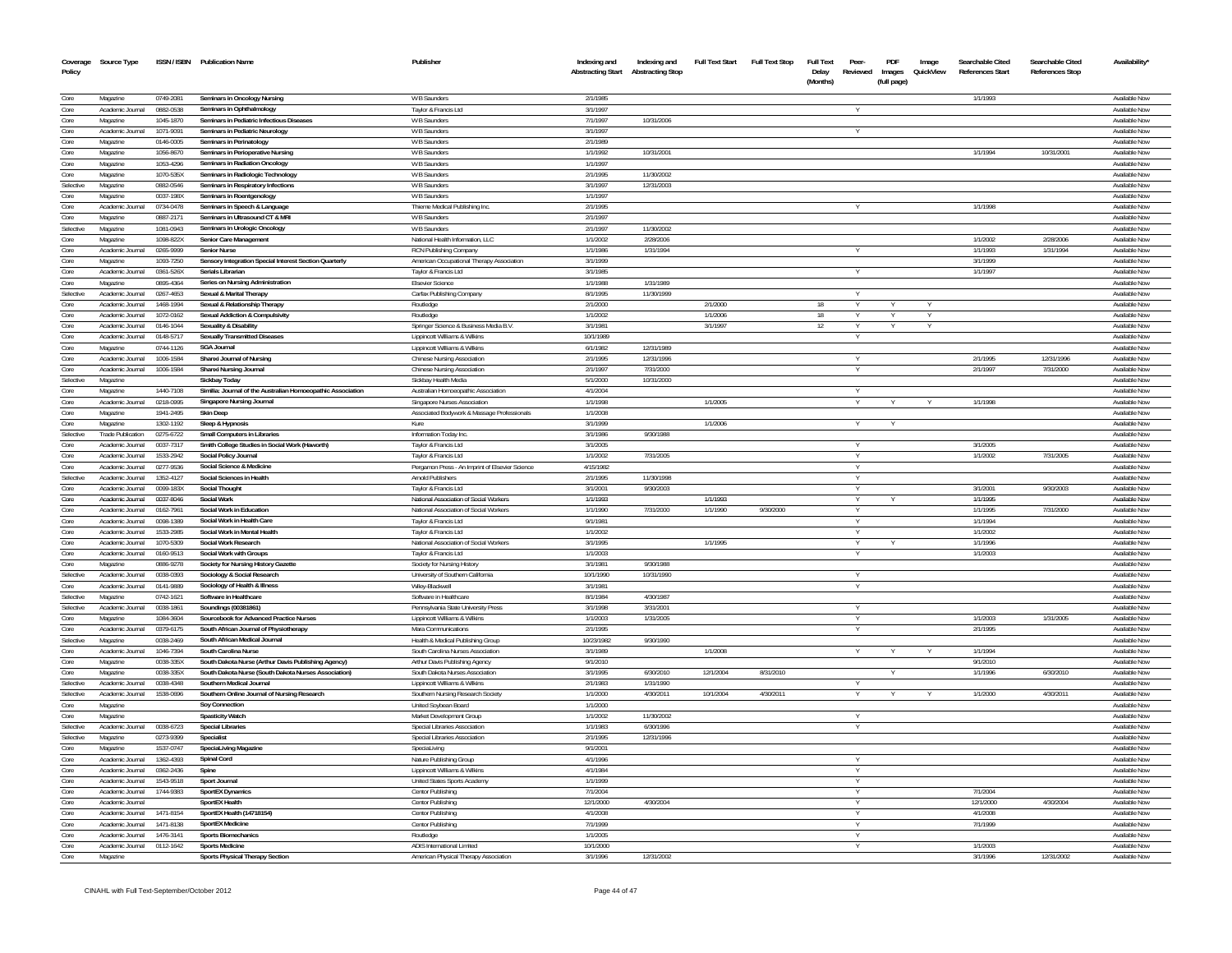| Coverage<br>Policy | Source Type                          |                        | ISSN / ISBN Publication Name                                | Publisher                                       | Indexing and<br><b>Abstracting Start</b> | Indexing and<br><b>Abstracting Stop</b> | <b>Full Text Start</b> | <b>Full Text Stop</b> | <b>Full Text</b><br>Delay<br>(Months) | Peer-<br>Reviewed | PDF<br>Images<br>(full page) | Image<br>QuickView | Searchable Cited<br><b>References Start</b> | Searchable Cited<br><b>References Stop</b> | Availability'                  |
|--------------------|--------------------------------------|------------------------|-------------------------------------------------------------|-------------------------------------------------|------------------------------------------|-----------------------------------------|------------------------|-----------------------|---------------------------------------|-------------------|------------------------------|--------------------|---------------------------------------------|--------------------------------------------|--------------------------------|
|                    | Magazine                             | 0749-2081              |                                                             | W B Saunders                                    | 2/1/1985                                 |                                         |                        |                       |                                       |                   |                              |                    | 1/1/1993                                    |                                            | Available Now                  |
| Core               | Academic Journal                     | 0882-0538              | Seminars in Oncology Nursing<br>Seminars in Ophthalmology   |                                                 | 3/1/199                                  |                                         |                        |                       |                                       |                   |                              |                    |                                             |                                            | Available Nov                  |
| Core<br>Core       | Magazine                             | 1045-1870              | Seminars in Pediatric Infectious Diseases                   | Taylor & Francis Ltd<br>W B Saunders            | 7/1/1997                                 | 10/31/2006                              |                        |                       |                                       |                   |                              |                    |                                             |                                            | Available Now                  |
| Core               | Academic Journal                     | 1071-9091              | Seminars in Pediatric Neurology                             | W B Saunders                                    | 3/1/1997                                 |                                         |                        |                       |                                       |                   |                              |                    |                                             |                                            | Available Now                  |
| Core               | Magazine                             | 0146-0005              | Seminars in Perinatology                                    | W B Saunders                                    | 2/1/1989                                 |                                         |                        |                       |                                       |                   |                              |                    |                                             |                                            | Available Now                  |
| Core               | Magazine                             | 1056-8670              | Seminars in Perioperative Nursing                           | W B Saunders                                    | 1/1/1992                                 | 10/31/2001                              |                        |                       |                                       |                   |                              |                    | 1/1/1994                                    | 10/31/2001                                 | Available Now                  |
| Core               | Magazine                             | 1053-4296              | <b>Seminars in Radiation Oncology</b>                       | <b>W B Saunders</b>                             | 1/1/1997                                 |                                         |                        |                       |                                       |                   |                              |                    |                                             |                                            | Available Now                  |
| Core               | Magazine                             | 1070-535X              | Seminars in Radiologic Technology                           | W B Saunders                                    | 2/1/199!                                 | 11/30/2002                              |                        |                       |                                       |                   |                              |                    |                                             |                                            | Available Nov                  |
| Selective          | Magazine                             | 0882-0546              | Seminars in Respiratory Infections                          | W B Saunders                                    | 3/1/1997                                 | 12/31/2003                              |                        |                       |                                       |                   |                              |                    |                                             |                                            | Available Nov                  |
| Core               | Magazine                             | 0037-198X              | Seminars in Roentgenology                                   | W B Saunders                                    | 1/1/1997                                 |                                         |                        |                       |                                       |                   |                              |                    |                                             |                                            | Available Nov                  |
| Core               | Academic Journal                     | 0734-0478              | Seminars in Speech & Language                               | Thieme Medical Publishing Inc                   | 2/1/1995                                 |                                         |                        |                       |                                       |                   |                              |                    | 1/1/1998                                    |                                            | <b>Available Now</b>           |
| Core               | Magazine                             | 0887-2171              | Seminars in Ultrasound CT & MRI                             | W B Saunders                                    | 2/1/1997                                 |                                         |                        |                       |                                       |                   |                              |                    |                                             |                                            | Available Now                  |
| Selective          | Magazine                             | 1081-0943              | Seminars in Urologic Oncology                               | <b>W B Saunders</b>                             | 2/1/1997                                 | 11/30/2002                              |                        |                       |                                       |                   |                              |                    |                                             |                                            | Available Now                  |
| Core               | Magazine                             | 1098-822X              | Senior Care Management                                      | National Health Information, LLC                | 1/1/2002                                 | 2/28/2006                               |                        |                       |                                       |                   |                              |                    | 1/1/2002                                    | 2/28/2006                                  | Available Now                  |
| Core               | Academic Journal                     | 0265-9999              | Senior Nurse                                                | RCN Publishing Company                          | 1/1/1986                                 | 1/31/1994                               |                        |                       |                                       |                   |                              |                    | 1/1/1993                                    | 1/31/1994                                  | Available Nov                  |
| Core               | Magazine                             | 1093-7250              | Sensory Integration Special Interest Section Quarterly      | American Occupational Therapy Association       | 3/1/1999                                 |                                         |                        |                       |                                       |                   |                              |                    | 3/1/1999                                    |                                            | Available Now                  |
| Core               | Academic Journal                     | $0361 - 526$           | Serials Libraria                                            | Taylor & Francis Ltd                            | 3/1/1985                                 |                                         |                        |                       |                                       |                   |                              |                    | 1/1/1997                                    |                                            | Available Nov                  |
| Core               | Magazine                             | 0895-4364              | Series on Nursing Administration                            | <b>Elsevier Science</b>                         | 1/1/1988                                 | 1/31/1989                               |                        |                       |                                       |                   |                              |                    |                                             |                                            | Available Nov                  |
| Selectiv           | Academic Journal                     | 0267-4653              | Sexual & Marital Therapy                                    | Carfax Publishing Company                       | 8/1/1995                                 | 11/30/1999                              |                        |                       |                                       |                   |                              |                    |                                             |                                            | Available Nov                  |
| Core               | Academic Journal                     | 1468-1994              | Sexual & Relationship Therapy                               | Routledge                                       | 2/1/2000                                 |                                         | 2/1/2000               |                       | 18                                    |                   |                              |                    |                                             |                                            | Available Nov                  |
| Core               | Academic Journal                     | 1072-0162              | Sexual Addiction & Compulsivity                             | Routledge                                       | 1/1/2002                                 |                                         | 1/1/2006               |                       | 18                                    |                   |                              |                    |                                             |                                            | Available Nov                  |
| Core               | Academic Journal                     | 0146-1044              | <b>Sexuality &amp; Disability</b>                           | Springer Science & Business Media B.V.          | 3/1/1981                                 |                                         | 3/1/1997               |                       | 12                                    |                   |                              |                    |                                             |                                            | Available Nov                  |
| Core               | Academic Journal                     | 0148-5717              | <b>Sexually Transmitted Diseases</b>                        | Lippincott Williams & Wilkins                   | 10/1/1989                                |                                         |                        |                       |                                       |                   |                              |                    |                                             |                                            | Available Now                  |
| Core               | Magazine                             | 0744-1126              | <b>SGA Journal</b>                                          | Lippincott Williams & Wilkins                   | 6/1/1982                                 | 12/31/1989                              |                        |                       |                                       |                   |                              |                    |                                             |                                            | Available Now                  |
| Core               | Academic Journal                     | 1006-1584              | Shanxi Journal of Nursing                                   | Chinese Nursing Association                     | 2/1/1995                                 | 12/31/1996                              |                        |                       |                                       |                   |                              |                    | 2/1/1995                                    | 12/31/1996                                 | Available Now                  |
| Core               | Academic Journal                     | 1006-1584              | <b>Shanxi Nursing Journal</b>                               | Chinese Nursing Association                     | 2/1/1997                                 | 7/31/2000                               |                        |                       |                                       | Y                 |                              |                    | 2/1/1997                                    | 7/31/2000                                  | Available Now                  |
| Selective          | Magazine                             |                        | Sickbay Today                                               | Sickbay Health Media                            | 5/1/2000                                 | 10/31/2000                              |                        |                       |                                       |                   |                              |                    |                                             |                                            | Available Nov                  |
| Core               | Magazine                             | 1440-7108              | Similia: Journal of the Australian Homoeopathic Association | Australian Homoeopathic Association             | 4/1/2004                                 |                                         |                        |                       |                                       |                   |                              |                    |                                             |                                            | Available Nov                  |
| Core               | Academic Journal                     | 0218-0995              | Singapore Nursing Journal                                   | Singapore Nurses Association                    | 1/1/1998                                 |                                         | 1/1/2005               |                       |                                       |                   |                              |                    | 1/1/1998                                    |                                            | Available Nov                  |
| Core               | Magazine                             | 1941-2495              | <b>Skin Deep</b>                                            | Associated Bodywork & Massage Professionals     | 1/1/2008                                 |                                         |                        |                       |                                       |                   |                              |                    |                                             |                                            | Available Nov                  |
| Core               | Magazine                             | 1302-1192              | Sleep & Hypnosis                                            | Kure                                            | 3/1/1999                                 |                                         | 1/1/2006               |                       |                                       |                   |                              |                    |                                             |                                            | Available Now                  |
| Selective          | <b>Trade Publication</b>             | 0275-6722              | Small Computers in Libraries                                | Information Today Inc.                          | 3/1/1986                                 | 9/30/1988                               |                        |                       |                                       |                   |                              |                    |                                             |                                            | <b>Available Nov</b>           |
| Core               | Academic Journal                     | 0037-7317              | Smith College Studies in Social Work (Haworth)              | Taylor & Francis Ltd                            | 3/1/2005                                 |                                         |                        |                       |                                       |                   |                              |                    | 3/1/2005                                    |                                            | Available Now                  |
| Core               | Academic Journal                     | 1533-2942              | Social Policy Journal                                       | Taylor & Francis Ltd                            | 1/1/2002                                 | 7/31/2005                               |                        |                       |                                       | Y                 |                              |                    | 1/1/2002                                    | 7/31/2005                                  | Available Now                  |
| Core               | Academic Journal                     | 0277-9536              | Social Science & Medicine                                   | Pergamon Press - An Imprint of Elsevier Science | 4/15/1982                                |                                         |                        |                       |                                       |                   |                              |                    |                                             |                                            | Available Now                  |
| Selective          | Academic Journal                     | 1352-4127              | Social Sciences in Health                                   | Arnold Publishers                               | 2/1/1995                                 | 11/30/1998                              |                        |                       |                                       | Y                 |                              |                    |                                             |                                            | Available Now                  |
| Core               | Academic Journal                     | 0099-183X              | <b>Social Thought</b>                                       | Taylor & Francis Ltd                            | 3/1/200                                  | 9/30/2003                               |                        |                       |                                       |                   |                              |                    | 3/1/2001                                    | 9/30/2003                                  | Available Now                  |
| Core               | Academic Journal                     | 0037-8046              | Social Work                                                 | National Association of Social Workers          | 1/1/1993<br>1/1/1990                     |                                         | 1/1/1993<br>1/1/1990   | 9/30/2000             |                                       | Y                 |                              |                    | 1/1/1995                                    |                                            | Available Now                  |
| Core               | Academic Journal                     | 0162-7961<br>0098-1389 | Social Work in Education                                    | National Association of Social Workers          |                                          | 7/31/2000                               |                        |                       |                                       | Y                 |                              |                    | 1/1/1995                                    | 7/31/2000                                  | Available Now                  |
| Core<br>Core       | Academic Journal                     | 1533-2985              | Social Work in Health Care<br>Social Work in Mental Health  | Taylor & Francis Ltd<br>Taylor & Francis Ltd    | 9/1/1981<br>1/1/2002                     |                                         |                        |                       |                                       |                   |                              |                    | 1/1/1994<br>1/1/2002                        |                                            | Available Now                  |
| Core               | Academic Journal<br>Academic Journal | 1070-5309              | Social Work Research                                        | National Association of Social Workers          | 3/1/1995                                 |                                         | 1/1/1995               |                       |                                       |                   |                              |                    | 1/1/1996                                    |                                            | Available Nov<br>Available Now |
| Core               | Academic Journal                     | 0160-9513              | Social Work with Groups                                     | Taylor & Francis Ltd                            | 1/1/2003                                 |                                         |                        |                       |                                       |                   |                              |                    | 1/1/2003                                    |                                            | Available Now                  |
| Core               | Magazine                             | 0886-9278              | Society for Nursing History Gazette                         | Society for Nursing History                     | 3/1/1981                                 | 9/30/1988                               |                        |                       |                                       |                   |                              |                    |                                             |                                            | Available Now                  |
| Selective          | Academic Journal                     | 0038-0393              | Sociology & Social Research                                 | University of Southern California               | 10/1/1990                                | 10/31/1990                              |                        |                       |                                       |                   |                              |                    |                                             |                                            | Available Now                  |
| Core               | Academic Journal                     | 0141-9889              | Sociology of Health & Illness                               | Wiley-Blackwell                                 | 3/1/1981                                 |                                         |                        |                       |                                       | Y                 |                              |                    |                                             |                                            | Available Now                  |
| Selective          | Magazine                             | 0742-1621              | Software in Healthcare                                      | Software in Healthcare                          | 8/1/1984                                 | 4/30/1987                               |                        |                       |                                       |                   |                              |                    |                                             |                                            | Available Now                  |
| Selective          | Academic Journal                     | 0038-1861              | Soundings (00381861)                                        | Pennsylvania State University Press             | 3/1/1998                                 | 3/31/200                                |                        |                       |                                       | Y                 |                              |                    |                                             |                                            | Available Nov                  |
| Core               | Magazine                             | 1084-3604              | Sourcebook for Advanced Practice Nurses                     | Lippincott Williams & Wilkins                   | 1/1/2003                                 | 1/31/2005                               |                        |                       |                                       |                   |                              |                    | 1/1/2003                                    | 1/31/2005                                  | Available Nov                  |
| Core               | Academic Journal                     | 0379-6175              | South African Journal of Physiotherapy                      | Mara Communications                             | 2/1/1995                                 |                                         |                        |                       |                                       | Y                 |                              |                    | 2/1/1995                                    |                                            | Available Nov                  |
| Selective          | Magazine                             | 0038-2469              | South African Medical Journal                               | Health & Medical Publishing Group               | 10/23/1982                               | 9/30/1990                               |                        |                       |                                       |                   |                              |                    |                                             |                                            | Available Nov                  |
| Core               | Academic Journal                     | 1046-7394              | South Carolina Nurse                                        | South Carolina Nurses Association               | 3/1/1989                                 |                                         | 1/1/2008               |                       |                                       |                   |                              |                    | 1/1/1994                                    |                                            | Available Nov                  |
| Core               | Magazine                             | 0038-335>              | South Dakota Nurse (Arthur Davis Publishing Agency)         | Arthur Davis Publishing Agency                  | 9/1/2010                                 |                                         |                        |                       |                                       |                   |                              |                    | 9/1/2010                                    |                                            | Available Nov                  |
| Core               | Magazine                             | 0038-335X              | South Dakota Nurse (South Dakota Nurses Association)        | South Dakota Nurses Association                 | 3/1/1995                                 | 6/30/2010                               | 12/1/2004              | 8/31/2010             |                                       |                   | Y                            |                    | 1/1/1996                                    | 6/30/2010                                  | Available Now                  |
| Selective          | Academic Journal                     | 0038-4348              | Southern Medical Journal                                    | Lippincott Williams & Wilkins                   | 2/1/1983                                 | 1/31/1990                               |                        |                       |                                       |                   |                              |                    |                                             |                                            | Available Nov                  |
| Selective          | Academic Journal                     | 1538-0696              | Southern Online Journal of Nursing Research                 | Southern Nursing Research Society               | 1/1/2000                                 | 4/30/2011                               | 10/1/2004              | 4/30/2011             |                                       | Y                 |                              |                    | 1/1/2000                                    | 4/30/2011                                  | Available Now                  |
| Core               | Magazine                             |                        | <b>Soy Connection</b>                                       | <b>United Sovbean Board</b>                     | 1/1/2000                                 |                                         |                        |                       |                                       |                   |                              |                    |                                             |                                            | Available Nov                  |
| Core               | Magazine                             |                        | <b>Spasticity Watch</b>                                     | Market Development Group                        | 1/1/2002                                 | 11/30/2002                              |                        |                       |                                       | Y                 |                              |                    |                                             |                                            | Available Now                  |
| Selective          | Academic Journal                     | 0038-6723              | <b>Special Libraries</b>                                    | Special Libraries Association                   | 1/1/1983                                 | 6/30/1996                               |                        |                       |                                       | Y                 |                              |                    |                                             |                                            | Available Nov                  |
| Selective          | Magazine                             | 0273-9399              | Specialist                                                  | Special Libraries Association                   | 2/1/1995                                 | 12/31/1996                              |                        |                       |                                       |                   |                              |                    |                                             |                                            | Available Nov                  |
| Core               | Magazine                             | 1537-0747              | SpeciaLiving Magazine                                       | SpeciaLiving                                    | 9/1/200                                  |                                         |                        |                       |                                       |                   |                              |                    |                                             |                                            | Available Nov                  |
| Core               | Academic Journal                     | 1362-4393              | Spinal Cord                                                 | Nature Publishing Group                         | 4/1/1996                                 |                                         |                        |                       |                                       |                   |                              |                    |                                             |                                            | Available Now                  |
| Core               | Academic Journal                     | 0362-2436              | Spine                                                       | Lippincott Williams & Wilkins                   | 4/1/1984                                 |                                         |                        |                       |                                       |                   |                              |                    |                                             |                                            | Available Now                  |
| Core               | Academic Journal                     | 1543-9518              | Sport Journal                                               | <b>United States Sports Academy</b>             | 1/1/1999                                 |                                         |                        |                       |                                       |                   |                              |                    |                                             |                                            | Available Now                  |
| Core               | Academic Journal                     | 1744-9383              | <b>SportEX Dynamics</b>                                     | Centor Publishing                               | 7/1/2004                                 |                                         |                        |                       |                                       | Y                 |                              |                    | 7/1/2004                                    |                                            | Available Now                  |
| Core               | Academic Journal                     |                        | SportFX Health                                              | Centor Publishing                               | 12/1/2000                                | 4/30/2004                               |                        |                       |                                       | $\vee$            |                              |                    | 12/1/2000                                   | 4/30/2004                                  | Available Now                  |
| Core               | Academic Journal                     | 1471-8154              | SportEX Health (14718154)                                   | Centor Publishing                               | 4/1/2008                                 |                                         |                        |                       |                                       |                   |                              |                    | 4/1/2008                                    |                                            | Available Now                  |
| Core               | Academic Journal                     | 1471-8138              | SportFX Medicine                                            | Centor Publishing                               | 7/1/1999                                 |                                         |                        |                       |                                       | $\vee$            |                              |                    | 7/1/1999                                    |                                            | Available Now                  |
| Core               | Academic Journal                     | 1476-3141              | <b>Sports Biomechanics</b>                                  | Routledge                                       | 1/1/2005                                 |                                         |                        |                       |                                       |                   |                              |                    |                                             |                                            | Available Now                  |
| Core               | Academic Inumal                      | 0112-1642              | <b>Sports Medicine</b>                                      | ADIS International Limited                      | 10/1/2000                                |                                         |                        |                       |                                       |                   |                              |                    | 1/1/2003                                    |                                            | Available Now                  |
| Core               | Magazine                             |                        | Sports Physical Therapy Section                             | American Physical Therapy Association           | 3/1/1996                                 | 12/31/2002                              |                        |                       |                                       |                   |                              |                    | 3/1/1996                                    | 12/31/2002                                 | Available Now                  |
|                    |                                      |                        |                                                             |                                                 |                                          |                                         |                        |                       |                                       |                   |                              |                    |                                             |                                            |                                |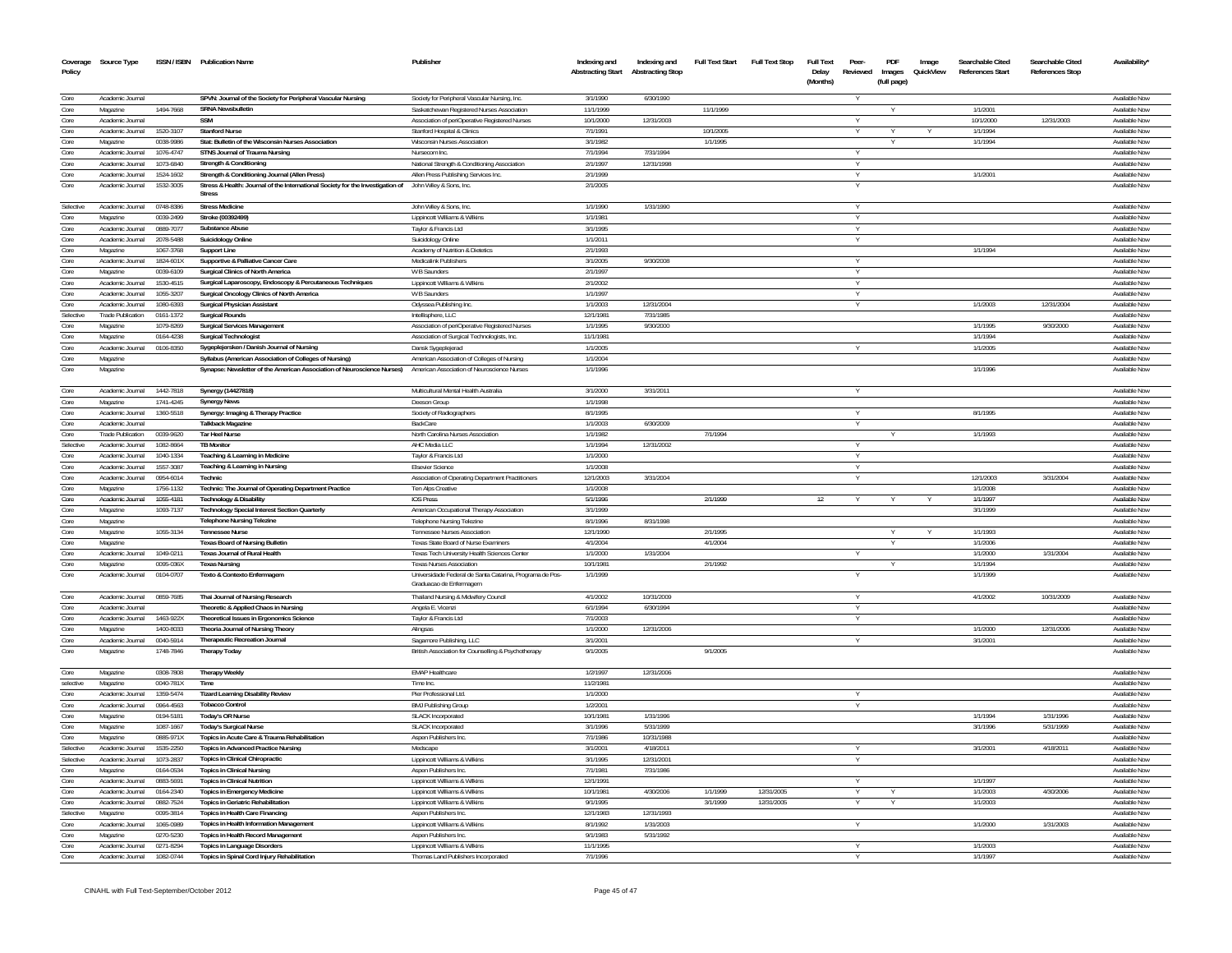| Coverage<br>Policy | Source Type                  |                        | ISSN / ISBN Publication Name                                                                                     | Publisher                                                     | Indexing and<br><b>Abstracting Start</b> | Indexing and<br><b>Abstracting Stop</b> | <b>Full Text Start</b> | <b>Full Text Stop</b> | <b>Full Text</b><br>Delay | Peer-<br>Reviewed | PDF<br>Images | Image<br>QuickView | Searchable Cited<br><b>References Start</b> | Searchable Cited<br>References Stop | Availability'                  |
|--------------------|------------------------------|------------------------|------------------------------------------------------------------------------------------------------------------|---------------------------------------------------------------|------------------------------------------|-----------------------------------------|------------------------|-----------------------|---------------------------|-------------------|---------------|--------------------|---------------------------------------------|-------------------------------------|--------------------------------|
|                    |                              |                        |                                                                                                                  |                                                               |                                          |                                         |                        |                       | (Months)                  |                   | (full page)   |                    |                                             |                                     |                                |
| Core               | Academic Journal             |                        | SPVN: Journal of the Society for Peripheral Vascular Nursing                                                     | Society for Peripheral Vascular Nursing, Inc.                 | 3/1/1990                                 | 6/30/1990                               |                        |                       |                           |                   |               |                    |                                             |                                     | Available Nov                  |
| Core               | Magazine                     | 1494-7668              | <b>SRNA Newsbulletin</b>                                                                                         | Saskatchewan Registered Nurses Association                    | 11/1/1999                                |                                         | 11/1/1999              |                       |                           |                   |               |                    | 1/1/2001                                    |                                     | Available Nov                  |
| Core               | Academic Journal             |                        | <b>SSM</b>                                                                                                       | Association of periOperative Registered Nurses                | 10/1/2000                                | 12/31/2003                              |                        |                       |                           |                   |               |                    | 10/1/2000                                   | 12/31/2003                          | Available Now                  |
| Core               | Academic Journal             | 1520-3107              | <b>Stanford Nurse</b>                                                                                            | Stanford Hospital & Clinics                                   | 7/1/1991                                 |                                         | 10/1/2005              |                       |                           |                   |               |                    | 1/1/1994                                    |                                     | Available Now                  |
| Core               | Magazine                     | 0038-9986              | Stat: Bulletin of the Wisconsin Nurses Association                                                               | Wisconsin Nurses Association                                  | 3/1/1982                                 |                                         | 1/1/1995               |                       |                           |                   |               |                    | 1/1/1994                                    |                                     | Available Now                  |
| Core               | Academic Journal             | 1076-4747              | <b>STNS Journal of Trauma Nursing</b>                                                                            | Nursecom Inc.                                                 | 7/1/1994                                 | 7/31/1994                               |                        |                       |                           |                   |               |                    |                                             |                                     | Available Now                  |
| Core               | Academic Journal             | 1073-6840              | Strength & Conditioning                                                                                          | National Strength & Conditioning Association                  | 2/1/1997                                 | 12/31/1998                              |                        |                       |                           | Y                 |               |                    |                                             |                                     | Available Now                  |
| Core               | Academic Journal             | 1524-1602              | Strength & Conditioning Journal (Allen Press)                                                                    | Allen Press Publishing Services Inc.                          | 2/1/1999                                 |                                         |                        |                       |                           | Y                 |               |                    | 1/1/2001                                    |                                     | Available Now                  |
| Core               | Academic Journal             | 1532-3005              | Stress & Health: Journal of the International Society for the Investigation of John Wiley & Sons, Inc.<br>Stress |                                                               | 2/1/2005                                 |                                         |                        |                       |                           |                   |               |                    |                                             |                                     | Available Nov                  |
| Selective          | Academic Journal             | 0748-8386              | <b>Stress Medicine</b>                                                                                           | John Wiley & Sons, Inc.                                       | 1/1/1990                                 | 1/31/1990                               |                        |                       |                           |                   |               |                    |                                             |                                     | Available Now                  |
| Core               | Magazine                     | 0039-2499              | Stroke (00392499)                                                                                                | Lippincott Williams & Wilkins                                 | 1/1/1981                                 |                                         |                        |                       |                           |                   |               |                    |                                             |                                     | Available Nov                  |
| Core               | Academic Journal             | 0889-7077              | Substance Abuse                                                                                                  | Taylor & Francis Ltd                                          | 3/1/1995                                 |                                         |                        |                       |                           |                   |               |                    |                                             |                                     | Available Nov                  |
| Core               | Academic Journal             | 2078-5488              | Suicidology Online                                                                                               | Suicidology Online                                            | 1/1/2011                                 |                                         |                        |                       |                           |                   |               |                    |                                             |                                     | Available Now                  |
| Core               | Magazine                     | 1067-3768              | <b>Support Line</b>                                                                                              | Academy of Nutrition & Dietetics                              | 2/1/1993                                 |                                         |                        |                       |                           |                   |               |                    | 1/1/1994                                    |                                     | Available Now                  |
| Core               | Academic Journal             | 1824-601X              | Supportive & Palliative Cancer Care                                                                              | Medicalink Publishers                                         | 3/1/2005                                 | 9/30/2008                               |                        |                       |                           |                   |               |                    |                                             |                                     | Available Nov                  |
| Core               | Magazine                     | 0039-6109              | Surgical Clinics of North America                                                                                | W B Saunders                                                  | 2/1/1997                                 |                                         |                        |                       |                           | $\vee$            |               |                    |                                             |                                     | Available Now                  |
| Core               | Academic Journal             | 1530-4515              | Surgical Laparoscopy, Endoscopy & Percutaneous Techniques                                                        | Lippincott Williams & Wilkins                                 | 2/1/2002                                 |                                         |                        |                       |                           | $\vee$            |               |                    |                                             |                                     | Available Nov                  |
| Core               | Academic Inumal              | 1055-3207              | Surgical Oncology Clinics of North America                                                                       | W B Saunders                                                  | 1/1/1997                                 |                                         |                        |                       |                           |                   |               |                    |                                             |                                     | Available Now                  |
| Core               | Academic Journal             | 1080-6393              | <b>Surgical Physician Assistant</b>                                                                              | Odyssea Publishing Inc.                                       | 1/1/2003                                 | 12/31/2004                              |                        |                       |                           |                   |               |                    | 1/1/2003                                    | 12/31/2004                          | Available Nov                  |
| Selective          | <b>Trade Publication</b>     | 0161-1372              | <b>Surgical Rounds</b>                                                                                           | Intellisphere, LLC                                            | 12/1/1981                                | 7/31/1985                               |                        |                       |                           |                   |               |                    |                                             |                                     | Available Now                  |
| Core               | Magazine                     | 1079-8269              | Surgical Services Management                                                                                     | Association of periOperative Registered Nurses                | 1/1/1995                                 | 9/30/2000                               |                        |                       |                           |                   |               |                    | 1/1/1995                                    | 9/30/2000                           | Available Nov                  |
| Core               | Magazine                     | 0164-4238              | Surgical Technologist                                                                                            | Association of Surgical Technologists, Inc.                   | 11/1/1981                                |                                         |                        |                       |                           |                   |               |                    | 1/1/1994                                    |                                     | Availahle Now                  |
| Core               | Academic Journal             | 0106-8350              | Sygeplejersken / Danish Journal of Nursing                                                                       | Dansk Sygeplejerad                                            | 1/1/2005                                 |                                         |                        |                       |                           |                   |               |                    | 1/1/2005                                    |                                     | Available Now                  |
| Core               | Magazine                     |                        | Syllabus (American Association of Colleges of Nursing)                                                           | American Association of Colleges of Nursing                   | 1/1/2004                                 |                                         |                        |                       |                           |                   |               |                    |                                             |                                     | Available Now                  |
| Core               | Magazine                     |                        | Synapse: Newsletter of the American Association of Neuroscience Nurses)                                          | American Association of Neuroscience Nurses                   | 1/1/1996                                 |                                         |                        |                       |                           |                   |               |                    | 1/1/1996                                    |                                     | Available Nov                  |
| Core               | Academic Journal             | 1442-7818              | Synergy (14427818)                                                                                               | Multicultural Mental Health Australia                         | 3/1/2000                                 | 3/31/2011                               |                        |                       |                           |                   |               |                    |                                             |                                     | Available Nov                  |
| Core               | Magazine                     | 1741-4245              | <b>Synergy News</b>                                                                                              | Deeson Group                                                  | 1/1/1998                                 |                                         |                        |                       |                           |                   |               |                    |                                             |                                     | Available Nov                  |
| Core               | Academic Journal             | 1360-5518              | Synergy: Imaging & Therapy Practice                                                                              | Society of Radiographers                                      | 8/1/1995                                 |                                         |                        |                       |                           |                   |               |                    | 8/1/1995                                    |                                     | Available Nov                  |
| Core               | Academic Journal             |                        | <b>Talkback Magazine</b>                                                                                         | BackCare                                                      | 1/1/2003                                 | 6/30/2009                               |                        |                       |                           |                   |               |                    |                                             |                                     | Available Now                  |
| Core               | <b>Trade Publication</b>     | 0039-9620              | <b>Tar Heel Nurse</b>                                                                                            | North Carolina Nurses Association                             | 1/1/1982                                 |                                         | 7/1/1994               |                       |                           |                   |               |                    | 1/1/1993                                    |                                     | Available Nov                  |
| Selective          | Academic Journal             | 1082-8664              | <b>TB Monitor</b>                                                                                                | AHC Media LLC                                                 | 1/1/1994                                 | 12/31/2002                              |                        |                       |                           |                   |               |                    |                                             |                                     | Available Nov                  |
| Core               | Academic Journal             | 1040-1334              | Teaching & Learning in Medicine                                                                                  | Taylor & Francis Ltd                                          | 1/1/2000                                 |                                         |                        |                       |                           |                   |               |                    |                                             |                                     | Available Now                  |
| Core               | Academic Journal             | 1557-3087              | Teaching & Learning in Nursing                                                                                   | <b>Elsevier Science</b>                                       | 1/1/2008                                 |                                         |                        |                       |                           |                   |               |                    |                                             |                                     | Available Now                  |
| Core               | Academic Journal             | 0954-6014              | Technic                                                                                                          | Association of Operating Department Practitioners             | 12/1/2003                                | 3/31/2004                               |                        |                       |                           |                   |               |                    | 12/1/2003                                   | 3/31/2004                           | Available Now                  |
| Core               | Magazine                     | 1756-1132              | Technic: The Journal of Operating Department Practice                                                            | Ten Alps Creative                                             | 1/1/2008                                 |                                         |                        |                       | 12                        |                   |               |                    | 1/1/2008                                    |                                     | Available Now                  |
| Core<br>Core       | Academic Journal<br>Magazine | 1055-4181<br>1093-7137 | Technology & Disability                                                                                          | <b>IOS Press</b><br>American Occupational Therapy Association | 5/1/1996<br>3/1/1999                     |                                         | 2/1/1999               |                       |                           |                   |               |                    | 1/1/1997<br>3/1/1999                        |                                     | Available Nov<br>Available Nov |
|                    | Magazine                     |                        | <b>Technology Special Interest Section Quarterly</b>                                                             |                                                               | 8/1/1996                                 | 8/31/1998                               |                        |                       |                           |                   |               |                    |                                             |                                     | Available Now                  |
| Core<br>Core       |                              | 1055-3134              | <b>Telephone Nursing Telezine</b><br><b>Tennessee Nurse</b>                                                      | Telephone Nursing Telezine<br>Tennessee Nurses Association    | 12/1/1990                                |                                         | 2/1/1995               |                       |                           |                   |               |                    | 1/1/1993                                    |                                     | Available Nov                  |
| Core               | Magazine<br>Magazine         |                        | <b>Texas Board of Nursing Bulletin</b>                                                                           | Texas State Board of Nurse Examiners                          | 4/1/2004                                 |                                         | 4/1/2004               |                       |                           |                   | $\vee$        |                    | 1/1/2006                                    |                                     | Available Now                  |
| Core               | Academic Journal             | 1049-0211              | Texas Journal of Rural Health                                                                                    | Texas Tech University Health Sciences Center                  | 1/1/2000                                 | 1/31/2004                               |                        |                       |                           |                   |               |                    | 1/1/2000                                    | 1/31/2004                           | Available Nov                  |
| Core               | Magazine                     | 0095-036X              | <b>Texas Nursing</b>                                                                                             | <b>Texas Nurses Association</b>                               | 10/1/1981                                |                                         | 2/1/1992               |                       |                           |                   |               |                    | 1/1/1994                                    |                                     | Available Now                  |
| Core               | Academic Journal             | 0104-0707              | Texto & Contexto Enfermagem                                                                                      | Universidade Federal de Santa Catarina, Programa de Pos-      | 1/1/1999                                 |                                         |                        |                       |                           |                   |               |                    | 1/1/1999                                    |                                     | Available Nov                  |
|                    |                              |                        |                                                                                                                  | Graduacao de Enfermagem                                       |                                          |                                         |                        |                       |                           |                   |               |                    |                                             |                                     |                                |
| Core               | Academic Journal             | 0859-7685              | Thai Journal of Nursing Research                                                                                 | Thailand Nursing & Midwifery Council                          | 4/1/2002                                 | 10/31/2009                              |                        |                       |                           |                   |               |                    | 4/1/2002                                    | 10/31/2009                          | Available Nov                  |
| Core               | Academic Journa              |                        | Theoretic & Applied Chaos in Nursing                                                                             | Angela E. Vicenzi                                             | 6/1/1994                                 | 6/30/1994                               |                        |                       |                           |                   |               |                    |                                             |                                     | Available Nov                  |
| Core               | Academic Journal             | 1463-922X              | Theoretical Issues in Ergonomics Science                                                                         | Taylor & Francis Ltd                                          | 7/1/2003                                 |                                         |                        |                       |                           |                   |               |                    |                                             |                                     | Available Nov                  |
| Core               | Magazine                     | 1400-8033              | Theoria Journal of Nursing Theory                                                                                | Alingsas                                                      | 1/1/2000                                 | 12/31/2006                              |                        |                       |                           |                   |               |                    | 1/1/2000                                    | 12/31/2006                          | Available Nov                  |
| Core               | Academic Journal             | 0040-5914              | <b>Therapeutic Recreation Journal</b>                                                                            | Sagamore Publishing, LLC                                      | 3/1/2001                                 |                                         |                        |                       |                           |                   |               |                    | 3/1/200                                     |                                     | Available Nov                  |
| Core               | Magazine                     | 1748-7846              | <b>Therapy Today</b>                                                                                             | British Association for Counselling & Psychotherapy           | 9/1/2005                                 |                                         | 9/1/2005               |                       |                           |                   |               |                    |                                             |                                     | Available Nov                  |
| Core               | Magazine                     | 0308-7808              | <b>Therapy Weekly</b>                                                                                            | <b>EMAP Healthcare</b>                                        | 1/2/1997                                 | 12/31/2006                              |                        |                       |                           |                   |               |                    |                                             |                                     | Available Nov                  |
| selective          | Magazine                     | 0040-781X              | Time                                                                                                             | Time Inc.                                                     | 11/2/198                                 |                                         |                        |                       |                           |                   |               |                    |                                             |                                     | Available Nov                  |
| Core               | Academic Journal             | 1359-5474              | <b>Tizard Learning Disability Review</b>                                                                         | Pier Professional Ltd.                                        | 1/1/2000                                 |                                         |                        |                       |                           |                   |               |                    |                                             |                                     | Available Nov                  |
| Core               | Academic Journal             | 0964-4563              | <b>Tobacco Contro</b>                                                                                            | <b>BMJ Publishing Group</b>                                   | 1/2/2001                                 |                                         |                        |                       |                           |                   |               |                    |                                             |                                     | <b>Available Nov</b>           |
| Core               | Magazine                     | 0194-5181              | <b>Today's OR Nurse</b>                                                                                          | <b>SLACK Incorporated</b>                                     | 10/1/1981                                | 1/31/1996                               |                        |                       |                           |                   |               |                    | 1/1/1994                                    | 1/31/1996                           | Available Nov                  |
| Core               | Magazine                     | 1087-1667              | <b>Today's Surgical Nurse</b>                                                                                    | SLACK Incorporated                                            | 3/1/1996                                 | 5/31/1999                               |                        |                       |                           |                   |               |                    | 3/1/1996                                    | 5/31/1999                           | Available Nov                  |
| Core               | Magazine                     | 0885-971X              | Topics in Acute Care & Trauma Rehabilitation                                                                     | Aspen Publishers Inc.                                         | 7/1/1986                                 | 10/31/1988                              |                        |                       |                           |                   |               |                    |                                             |                                     | Available Nov                  |
| Selective          | Academic Journal             | 1535-2250              | <b>Topics in Advanced Practice Nursing</b>                                                                       | Medscape                                                      | 3/1/2001                                 | 4/18/2011                               |                        |                       |                           | Y                 |               |                    | 3/1/2001                                    | 4/18/2011                           | Available Nov                  |
| Selective          | Academic Journal             | 1073-2837              | <b>Topics in Clinical Chiropractic</b>                                                                           | Lippincott Williams & Wilkins                                 | 3/1/1995                                 | 12/31/2001                              |                        |                       |                           |                   |               |                    |                                             |                                     | Available Nov                  |
| Core               | Magazine                     | 0164-0534              | <b>Topics in Clinical Nursing</b>                                                                                | Aspen Publishers Inc                                          | 7/1/1981                                 | 7/31/1986                               |                        |                       |                           |                   |               |                    |                                             |                                     | Available Now                  |
| Core               | Academic Journal             | 0883-5691              | <b>Topics in Clinical Nutrition</b>                                                                              | Lippincott Williams & Wilkins                                 | 12/1/199                                 |                                         |                        |                       |                           |                   |               |                    | 1/1/1997                                    |                                     | Available Nov                  |
| Core               | Academic Journal             | 0164-2340              | <b>Topics in Emergency Medicine</b>                                                                              | Lippincott Williams & Wilkins                                 | 10/1/1981                                | 4/30/2006                               | 1/1/1999               | 12/31/2005            |                           |                   |               |                    | 1/1/2003                                    | 4/30/2006                           | Available Now                  |
| Core               | Academic Journal             | 0882-7524              | Topics in Geriatric Rehabilitation                                                                               | Lippincott Williams & Wilkins                                 | 9/1/1995                                 |                                         | 3/1/1999               | 12/31/2005            |                           |                   |               |                    | 1/1/2003                                    |                                     | Available Nov                  |
| Selective          | Magazine                     | 0095-3814              | Topics in Health Care Financing                                                                                  | Aspen Publishers Inc.                                         | 12/1/1983                                | 12/31/1993                              |                        |                       |                           |                   |               |                    |                                             |                                     | Available Nov                  |
| Core               | Academic Journal             | 1065-0989              | Topics in Health Information Management                                                                          | Lippincott Williams & Wilkins                                 | 8/1/1992                                 | 1/31/2003                               |                        |                       |                           |                   |               |                    | 1/1/2000                                    | 1/31/2003                           | Available Nov                  |
| Core               | Magazine                     | 0270-5230              | Topics in Health Record Management                                                                               | Aspen Publishers Inc.                                         | 9/1/1983                                 | 5/31/1992                               |                        |                       |                           |                   |               |                    |                                             |                                     | Available Nov                  |
| Core               | Academic Journal             | 0271-8294              | <b>Topics in Language Disorders</b>                                                                              | Lippincott Williams & Wilkins                                 | 11/1/1995<br>7/1/1996                    |                                         |                        |                       |                           | Y                 |               |                    | 1/1/2003<br>1/1/1997                        |                                     | Available Nov<br>Available Nov |
| Core               | Academic Journal             | 1082-0744              | Topics in Spinal Cord Injury Rehabilitation                                                                      | Thomas Land Publishers Incorporated                           |                                          |                                         |                        |                       |                           |                   |               |                    |                                             |                                     |                                |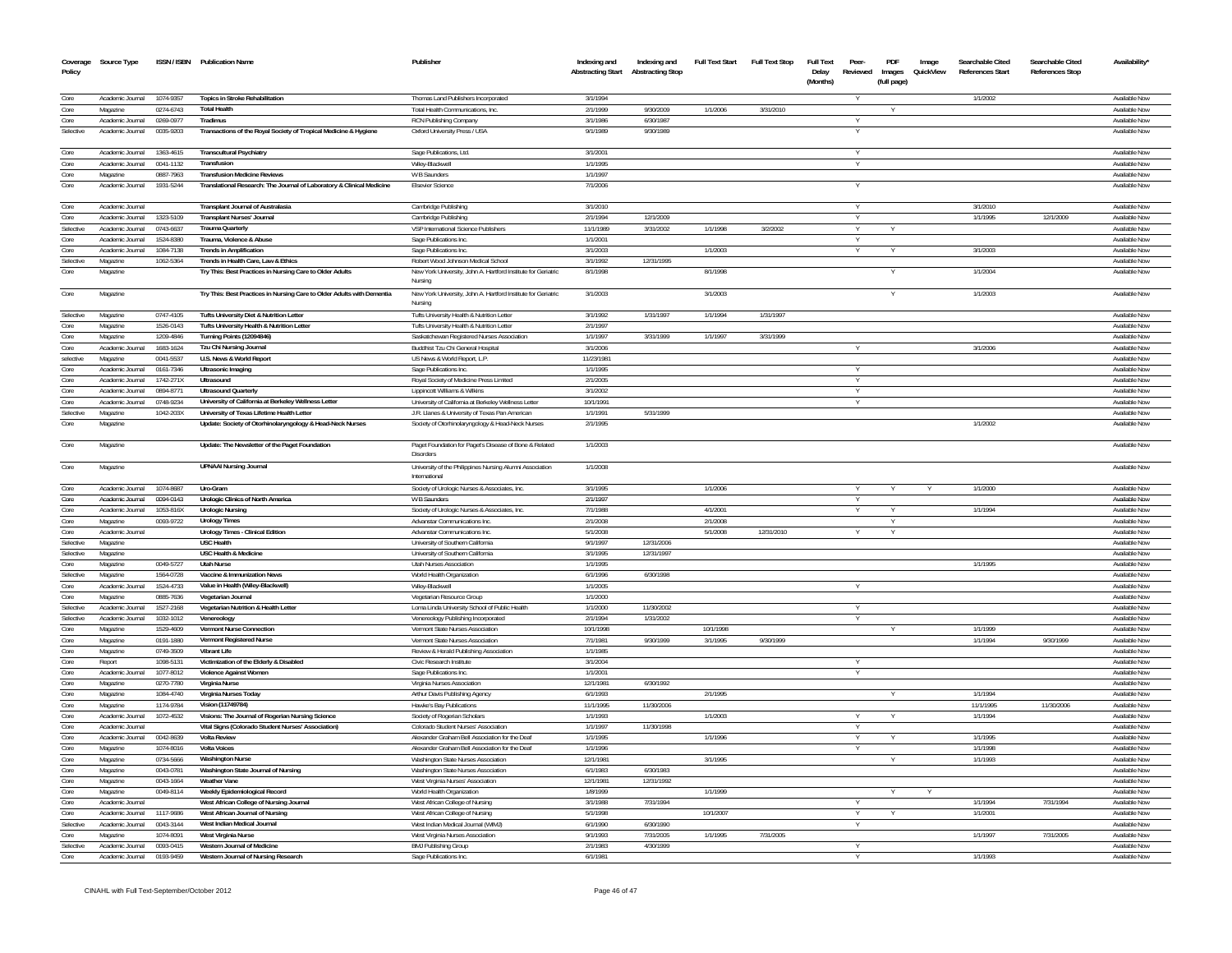| Coverage<br>Policy | Source Type                          |                        | ISSN / ISBN Publication Name                                                                           | Publisher                                                                | Indexing and<br><b>Abstracting Start</b> | Indexing and<br><b>Abstracting Stop</b> | <b>Full Text Start</b> | <b>Full Text Stop</b> | <b>Full Text</b><br>Delay<br>(Months) | Peer-<br>Reviewed | PDF<br>Images<br>(full page) | Image<br>QuickView | Searchable Cited<br><b>References Start</b> | Searchable Cited<br><b>References Stop</b> | <b>Availability</b>            |
|--------------------|--------------------------------------|------------------------|--------------------------------------------------------------------------------------------------------|--------------------------------------------------------------------------|------------------------------------------|-----------------------------------------|------------------------|-----------------------|---------------------------------------|-------------------|------------------------------|--------------------|---------------------------------------------|--------------------------------------------|--------------------------------|
| Core               | Academic Journal                     | 1074-9357              | <b>Topics in Stroke Rehabilitation</b>                                                                 | Thomas Land Publishers Incorporated                                      | 3/1/1994                                 |                                         |                        |                       |                                       |                   |                              |                    | 1/1/2002                                    |                                            | Available Now                  |
| Core               | Magazine                             | 0274-6743              | <b>Total Health</b>                                                                                    | Total Health Communications, Inc.                                        | 2/1/1999                                 | 9/30/2009                               | 1/1/2006               | 3/31/2010             |                                       |                   |                              |                    |                                             |                                            | Available Now                  |
| Core               | Academic Journal                     | 0269-0977              | Tradimus                                                                                               | RCN Publishing Company                                                   | 3/1/1986                                 | 6/30/1987                               |                        |                       |                                       | Y                 |                              |                    |                                             |                                            | Available Now                  |
| Selective          | Academic Journal                     | 0035-9203              | Transactions of the Royal Society of Tropical Medicine & Hygiene                                       | Oxford University Press / USA                                            | 9/1/1989                                 | 9/30/1989                               |                        |                       |                                       |                   |                              |                    |                                             |                                            | Available Now                  |
| Core               | Academic Journal                     | 1363-4615              | <b>Transcultural Psychiatry</b>                                                                        | Sage Publications, Ltd.                                                  | 3/1/2001                                 |                                         |                        |                       |                                       | Y                 |                              |                    |                                             |                                            | Available Now                  |
| Core               | Academic Journal                     | 0041-1132              | Transfusion                                                                                            | Wiley-Blackwell                                                          | 1/1/1995                                 |                                         |                        |                       |                                       | Y                 |                              |                    |                                             |                                            | Available Nov                  |
| Core               | Magazine                             | 0887-7963              | <b>Transfusion Medicine Reviews</b>                                                                    | W B Saunders                                                             | 1/1/1997                                 |                                         |                        |                       |                                       |                   |                              |                    |                                             |                                            | Available Now                  |
| Core               | Academic Journal                     | 1931-5244              | Translational Research: The Journal of Laboratory & Clinical Medicine                                  | <b>Elsevier Science</b>                                                  | 7/1/2006                                 |                                         |                        |                       |                                       |                   |                              |                    |                                             |                                            | Available Nov                  |
| Core               | Academic Journal                     |                        | Transplant Journal of Australasia                                                                      | Cambridge Publishing                                                     | 3/1/2010                                 |                                         |                        |                       |                                       |                   |                              |                    | 3/1/2010                                    |                                            | Available Now                  |
| Core               | Academic Journal                     | 1323-5109              | <b>Transplant Nurses' Journal</b>                                                                      | Cambridge Publishing                                                     | 2/1/1994                                 | 12/1/2009                               |                        |                       |                                       |                   |                              |                    | 1/1/1995                                    | 12/1/2009                                  | Available Now                  |
| Selective          | Academic Journal                     | 0743-6637              | <b>Trauma Quarterly</b>                                                                                | VSP International Science Publishers                                     | 11/1/1989                                | 3/31/2002                               | 1/1/1998               | 3/2/2002              |                                       |                   |                              |                    |                                             |                                            | Available Nov                  |
| Core               | Academic Journal                     | 1524-8380              | Trauma, Violence & Abuse                                                                               | Sage Publications Inc.                                                   | 1/1/2001                                 |                                         |                        |                       |                                       |                   |                              |                    |                                             |                                            | Available Nov                  |
| Core               | Academic Journal                     | 1084-7138              | <b>Trends in Amplification</b>                                                                         | Sage Publications Inc                                                    | 3/1/2003                                 |                                         | 1/1/2003               |                       |                                       |                   |                              |                    | 3/1/2003                                    |                                            | Available Nov                  |
| Selective          | Magazine                             | 1062-5364              | Trends in Health Care, Law & Ethics                                                                    | Robert Wood Johnson Medical School                                       | 3/1/1992                                 | 12/31/1995                              |                        |                       |                                       |                   |                              |                    |                                             |                                            | Available Now                  |
| Core               | Magazine                             |                        | Try This: Best Practices in Nursing Care to Older Adults                                               | New York University, John A. Hartford Institute for Geriatric<br>Nursing | 8/1/1998                                 |                                         | 8/1/1998               |                       |                                       |                   |                              |                    | 1/1/2004                                    |                                            | Available Now                  |
| Core               | Magazine                             |                        | Try This: Best Practices in Nursing Care to Older Adults with Dementia                                 | New York University, John A. Hartford Institute for Geriatric<br>Nursing | 3/1/2003                                 |                                         | 3/1/2003               |                       |                                       |                   |                              |                    | 1/1/2003                                    |                                            | Available Now                  |
| Selective          | Magazine                             | 0747-4105              | Tufts University Diet & Nutrition Letter                                                               | Tufts University Health & Nutrition Letter                               | 3/1/1992                                 | 1/31/1997                               | 1/1/1994               | 1/31/1997             |                                       |                   |                              |                    |                                             |                                            | Available Now                  |
| Core               | Magazine                             | 1526-0143              | Tufts University Health & Nutrition Letter                                                             | Tufts University Health & Nutrition Letter                               | 2/1/1997                                 |                                         |                        |                       |                                       |                   |                              |                    |                                             |                                            | Available Nov                  |
| Core               | Magazine                             | 1209-4846              | Turning Points (12094846)                                                                              | Saskatchewan Registered Nurses Association                               | 1/1/1997                                 | 3/31/1999                               | 1/1/1997               | 3/31/1999             |                                       |                   |                              |                    |                                             |                                            | Available Nov                  |
| Core               | Academic Journal                     | 1683-1624              | Tzu Chi Nursing Journal                                                                                | Buddhist Tzu Chi General Hospital                                        | 3/1/2006                                 |                                         |                        |                       |                                       |                   |                              |                    | 3/1/2006                                    |                                            | Available Nov                  |
| selective          | Magazine                             | 0041-5537              | U.S. News & World Report                                                                               | US News & World Report, L.P.                                             | 11/23/1981                               |                                         |                        |                       |                                       |                   |                              |                    |                                             |                                            | Available Now                  |
| Core               | Academic Journal                     | 0161-7346              | <b>Ultrasonic Imaging</b>                                                                              | Sage Publications Inc.                                                   | 1/1/1995                                 |                                         |                        |                       |                                       |                   |                              |                    |                                             |                                            | Available Nov                  |
| Core<br>Core       | Academic Journal<br>Academic Journal | 1742-271X<br>0894-8771 | Ultrasound<br><b>Ultrasound Quarterly</b>                                                              | Royal Society of Medicine Press Limited<br>Lippincott Williams & Wilkins | 2/1/2005<br>3/1/2002                     |                                         |                        |                       |                                       | Y<br>Y            |                              |                    |                                             |                                            | Available Now<br>Available Now |
| Core               | Academic Journal                     | 0748-9234              | University of California at Berkeley Wellness Letter                                                   | University of California at Berkeley Wellness Letter                     | 10/1/1991                                |                                         |                        |                       |                                       | Υ                 |                              |                    |                                             |                                            | Available Now                  |
| Selective          | Magazine                             | 1042-203X              | University of Texas Lifetime Health Letter                                                             | J.R. Llanes & University of Texas Pan American                           | 1/1/1991                                 | 5/31/1999                               |                        |                       |                                       |                   |                              |                    |                                             |                                            | Available Now                  |
| Core               | Magazine                             |                        | Update: Society of Otorhinolaryngology & Head-Neck Nurses                                              | Society of Otorhinolaryngology & Head-Neck Nurses                        | 2/1/1995                                 |                                         |                        |                       |                                       |                   |                              |                    | 1/1/2002                                    |                                            | Available Nov                  |
| Core               | Magazine                             |                        | Update: The Newsletter of the Paget Foundation                                                         | Paget Foundation for Paget's Disease of Bone & Related                   | 1/1/2003                                 |                                         |                        |                       |                                       |                   |                              |                    |                                             |                                            | Available Nov                  |
| Core               | Magazine                             |                        | <b>UPNAAI Nursing Journal</b>                                                                          | Disorders<br>University of the Philippines Nursing Alumni Association    | 1/1/2008                                 |                                         |                        |                       |                                       |                   |                              |                    |                                             |                                            | Available Nov                  |
| Core               | Academic Journal                     | 1074-8687              | Uro-Gram                                                                                               | International<br>Society of Urologic Nurses & Associates, Inc.           | 3/1/1995                                 |                                         | 1/1/2006               |                       |                                       |                   | Y                            |                    | 1/1/2000                                    |                                            | Available Now                  |
| Core               | Academic Journal                     | 0094-0143              | Urologic Clinics of North America                                                                      | W B Saunders                                                             | 2/1/1997                                 |                                         |                        |                       |                                       |                   |                              |                    |                                             |                                            | Available Now                  |
| Core               | Academic Journal                     | 1053-816X              | <b>Urologic Nursing</b>                                                                                | Society of Urologic Nurses & Associates, Inc.                            | 7/1/1988                                 |                                         | 4/1/2001               |                       |                                       | Y                 |                              |                    | 1/1/1994                                    |                                            | Available Nov                  |
| Core               | Magazine                             | 0093-9722              | <b>Urology Times</b>                                                                                   | Advanstar Communications Inc.                                            | 2/1/2008                                 |                                         | 2/1/2008               |                       |                                       |                   | Y                            |                    |                                             |                                            | Available Nov                  |
| Core               | Academic Journal                     |                        | <b>Urology Times - Clinical Edition</b>                                                                | Advanstar Communications Inc.                                            | 5/1/2008                                 |                                         | 5/1/2008               | 12/31/2010            |                                       | Y                 | Y                            |                    |                                             |                                            | Available Now                  |
| Selective          | Magazine                             |                        | <b>USC Health</b>                                                                                      | University of Southern California                                        | 9/1/1997                                 | 12/31/2006                              |                        |                       |                                       |                   |                              |                    |                                             |                                            | Available Nov                  |
| Selective          | Magazine                             |                        | USC Health & Medicine                                                                                  | University of Southern California                                        | 3/1/1995                                 | 12/31/1997                              |                        |                       |                                       |                   |                              |                    |                                             |                                            | Available Nov                  |
| Core               | Magazine                             | 0049-5727              | <b>Utah Nurse</b>                                                                                      | <b>Utah Nurses Association</b>                                           | 1/1/1995                                 |                                         |                        |                       |                                       |                   |                              |                    | 1/1/1995                                    |                                            | Available Nov                  |
| Selective          | Magazine                             | 1564-0728              | Vaccine & Immunization News                                                                            | World Health Organization                                                | 6/1/1996                                 | 6/30/1998                               |                        |                       |                                       |                   |                              |                    |                                             |                                            | Available Nov                  |
| Core               | Academic Journal                     | 1524-4733              | Value in Health (Wiley-Blackwell)                                                                      | Wilev-Blackwell                                                          | 1/1/2005                                 |                                         |                        |                       |                                       |                   |                              |                    |                                             |                                            | Available Nov                  |
| Core               | Magazine                             | 0885-7636              | Vegetarian Journal                                                                                     | Vegetarian Resource Group                                                | 1/1/2000                                 |                                         |                        |                       |                                       |                   |                              |                    |                                             |                                            | Available Now                  |
| Selective          | Academic Journal                     | 1527-2168              | Vegetarian Nutrition & Health Letter                                                                   | Loma Linda University School of Public Health                            | 1/1/2000                                 | 11/30/2002                              |                        |                       |                                       |                   |                              |                    |                                             |                                            | Available Nov                  |
| Selective          | Academic Journal                     | 1032-1012              | Venereology                                                                                            | Venereology Publishing Incorporated                                      | 2/1/1994                                 | 1/31/2002                               |                        |                       |                                       | Y                 |                              |                    |                                             |                                            | Available Nov                  |
| Core               | Magazine                             | 1529-4609              | <b>Vermont Nurse Connection</b>                                                                        | Vermont State Nurses Association                                         | 10/1/1998                                |                                         | 10/1/1998              |                       |                                       |                   |                              |                    | 1/1/1999                                    |                                            | Available Now                  |
| Core               | Magazine                             | 0191-1880              | Vermont Registered Nurse                                                                               | Vermont State Nurses Association                                         | 7/1/1981                                 | 9/30/1999                               | 3/1/1995               | 9/30/1999             |                                       |                   |                              |                    | 1/1/1994                                    | 9/30/1999                                  | Available Nov                  |
| Core               | Magazine                             | 0749-3509              | <b>Vibrant Life</b>                                                                                    | Review & Herald Publishing Association                                   | 1/1/1985                                 |                                         |                        |                       |                                       |                   |                              |                    |                                             |                                            | Available Now                  |
| Core               | Report                               | 1098-5131              | Victimization of the Elderly & Disabled                                                                | Civic Research Institute                                                 | 3/1/2004                                 |                                         |                        |                       |                                       |                   |                              |                    |                                             |                                            | Available Nov                  |
| Core               | Academic Journal                     | 1077-8012              | Violence Against Women                                                                                 | Sage Publications Inc                                                    | 1/1/2001                                 |                                         |                        |                       |                                       | Y                 |                              |                    |                                             |                                            | Available Nov                  |
| Core               | Magazine                             | 0270-7780              | Virginia Nurse                                                                                         | Virginia Nurses Association                                              | 12/1/198                                 | 6/30/1992                               |                        |                       |                                       |                   |                              |                    |                                             |                                            | Available Nov                  |
| Core<br>Core       | Magazine                             | 1084-4740<br>1174-9784 | Virginia Nurses Today<br>Vision (11749784)                                                             | Arthur Davis Publishing Agency<br><b>Hawke's Bay Publications</b>        | 6/1/1993<br>11/1/199                     | 11/30/2006                              | 2/1/1995               |                       |                                       |                   |                              |                    | 1/1/1994                                    | 11/30/2006                                 | Available Nov                  |
| Core               | Magazine<br>Academic Journal         | 1072-4532              |                                                                                                        |                                                                          | 1/1/1993                                 |                                         | 1/1/2003               |                       |                                       |                   |                              |                    | 11/1/1995<br>1/1/1994                       |                                            | Available Nov<br>Available Now |
| Core               | Academic Journal                     |                        | Visions: The Journal of Rogerian Nursing Science<br>Vital Signs (Colorado Student Nurses' Association) | Society of Rogerian Scholars<br>Colorado Student Nurses' Association     | 1/1/1997                                 | 11/30/1998                              |                        |                       |                                       | Y                 | Y                            |                    |                                             |                                            | Available Now                  |
| Core               | Academic Journal                     | 0042-8639              | <b>Volta Review</b>                                                                                    | Alexander Graham Bell Association for the Deal                           | 1/1/1995                                 |                                         | 1/1/1996               |                       |                                       | Y                 |                              |                    | 1/1/1995                                    |                                            | Available Nov                  |
| Core               | Magazine                             | 1074-8016              | <b>Volta Voices</b>                                                                                    | Alexander Graham Bell Association for the Deaf                           | 1/1/1996                                 |                                         |                        |                       |                                       | Y                 |                              |                    | 1/1/1998                                    |                                            | Available Now                  |
| Core               | Magazine                             | 0734-5666              | <b>Washington Nurse</b>                                                                                | Washington State Nurses Association                                      | 12/1/1981                                |                                         | 3/1/1995               |                       |                                       |                   |                              |                    | 1/1/1993                                    |                                            | Available Nov                  |
| Core               | Magazine                             | 0043-0781              | Washington State Journal of Nursing                                                                    | Washington State Nurses Association                                      | 6/1/1983                                 | 6/30/1983                               |                        |                       |                                       |                   |                              |                    |                                             |                                            | Available Now                  |
| Core               | Magazine                             | 0043-1664              | <b>Weather Vane</b>                                                                                    | West Virginia Nurses' Association                                        | 12/1/198                                 | 12/31/1992                              |                        |                       |                                       |                   |                              |                    |                                             |                                            | Available Nov                  |
| Core               | Magazine                             | 0049-8114              | Weekly Epidemiological Record                                                                          | World Health Organization                                                | 1/8/1999                                 |                                         | 1/1/1999               |                       |                                       |                   |                              |                    |                                             |                                            | Available Nov                  |
| Core               | Academic Journal                     |                        | West African College of Nursing Journal                                                                | West African College of Nursing                                          | 3/1/1988                                 | 7/31/1994                               |                        |                       |                                       | Υ                 |                              |                    | 1/1/1994                                    | 7/31/1994                                  | Available Now                  |
| Core               | Academic Journal                     | 1117-9686              | West African Journal of Nursing                                                                        | West African College of Nursing                                          | 5/1/1998                                 |                                         | 10/1/2007              |                       |                                       | Y                 |                              |                    | 1/1/2001                                    |                                            | Available Nov                  |
| Selective          | Academic Journal                     | 0043-3144              | West Indian Medical Journal                                                                            | West Indian Medical Journal (WIMI)                                       | 6/1/1990                                 | 6/30/1990                               |                        |                       |                                       | Υ                 |                              |                    |                                             |                                            | Available Nov                  |
| Core               | Magazine                             | 1074-8091              | West Virginia Nurse                                                                                    | West Virginia Nurses Association                                         | 9/1/1993                                 | 7/31/2005                               | 1/1/1995               | 7/31/2005             |                                       |                   |                              |                    | 1/1/1997                                    | 7/31/2005                                  | Available Now                  |
| Selective          | Academic Journal                     | 0093-0415              | Western Journal of Medicine                                                                            | <b>BMJ Publishing Group</b>                                              | 2/1/1983                                 | 4/30/1999                               |                        |                       |                                       | Y                 |                              |                    |                                             |                                            | Available Now                  |
| Core               | Academic Journal                     | 0193-9459              | Western Journal of Nursing Research                                                                    | Sage Publications Inc                                                    | 6/1/1981                                 |                                         |                        |                       |                                       |                   |                              |                    | 1/1/1993                                    |                                            | Available Now                  |